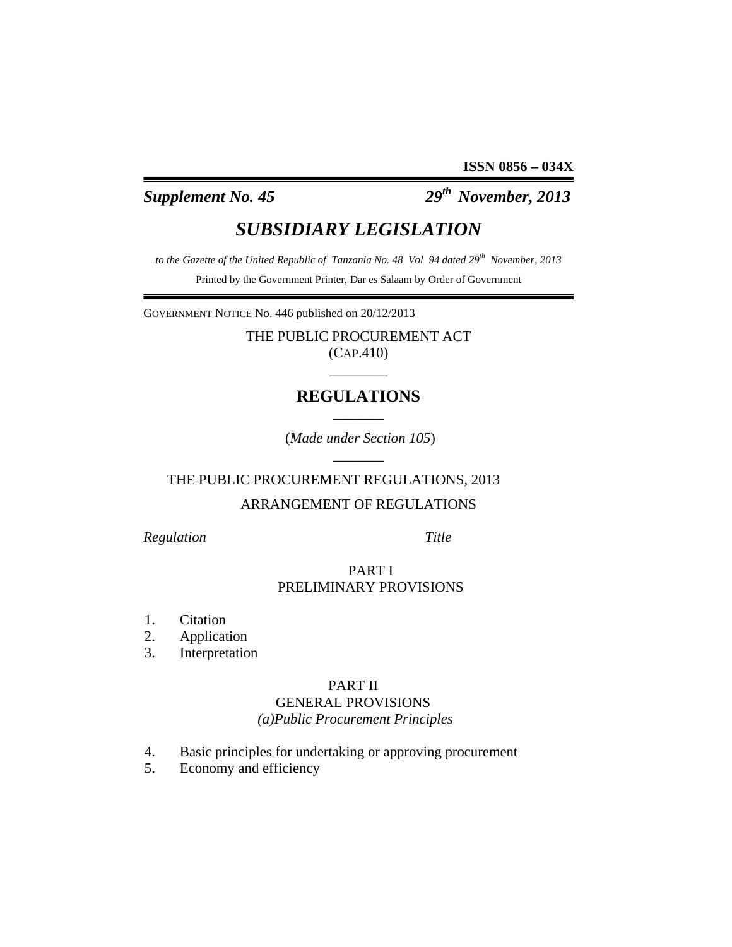*Supplement No. 45 29th November, 2013* 

# *SUBSIDIARY LEGISLATION*

to the Gazette of the United Republic of Tanzania No. 48 Vol 94 dated 29<sup>th</sup> November, 2013 Printed by the Government Printer, Dar es Salaam by Order of Government

GOVERNMENT NOTICE No. 446 published on 20/12/2013

THE PUBLIC PROCUREMENT ACT (CAP.410)

 $\overline{\phantom{a}}$   $\overline{\phantom{a}}$ 

## **REGULATIONS**   $\overline{\phantom{a}}$

 (*Made under Section 105*)  $\overline{\phantom{a}}$ 

THE PUBLIC PROCUREMENT REGULATIONS, 2013

### ARRANGEMENT OF REGULATIONS

*Regulation Title* 

### PART I PRELIMINARY PROVISIONS

- 1. Citation
- 2. Application
- 3. Interpretation

### PART II

### GENERAL PROVISIONS *(a)Public Procurement Principles*

- 4. Basic principles for undertaking or approving procurement
- 5. Economy and efficiency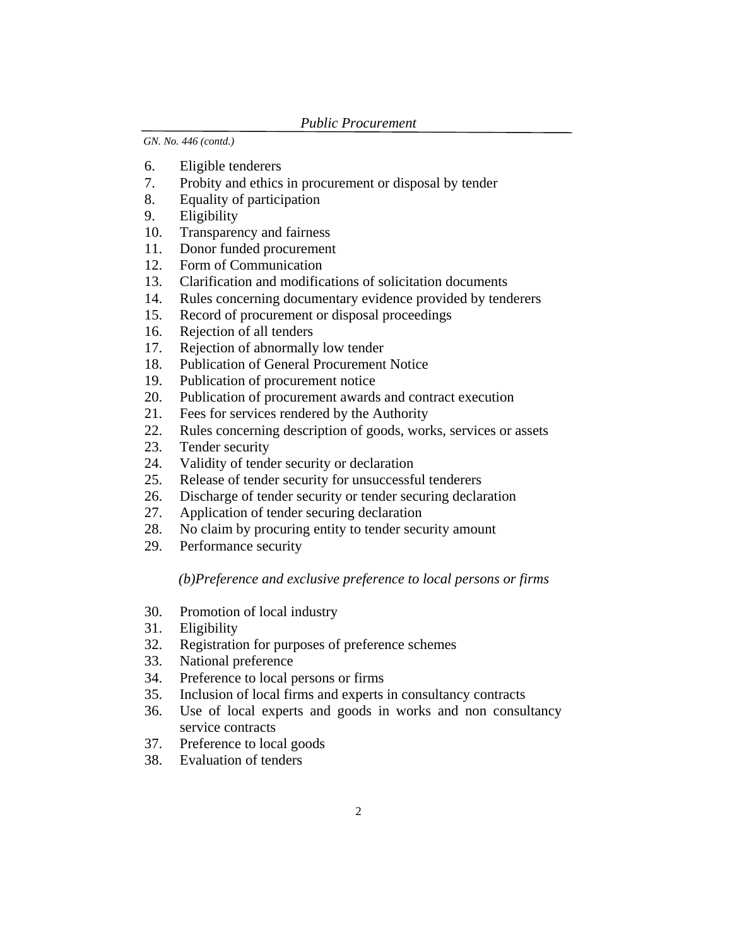- 6. Eligible tenderers
- 7. Probity and ethics in procurement or disposal by tender
- 8. Equality of participation
- 9. Eligibility
- 10. Transparency and fairness
- 11. Donor funded procurement
- 12. Form of Communication
- 13. Clarification and modifications of solicitation documents
- 14. Rules concerning documentary evidence provided by tenderers
- 15. Record of procurement or disposal proceedings
- 16. Rejection of all tenders
- 17. Rejection of abnormally low tender
- 18. Publication of General Procurement Notice
- 19. Publication of procurement notice
- 20. Publication of procurement awards and contract execution
- 21. Fees for services rendered by the Authority
- 22. Rules concerning description of goods, works, services or assets
- 23. Tender security
- 24. Validity of tender security or declaration
- 25. Release of tender security for unsuccessful tenderers
- 26. Discharge of tender security or tender securing declaration
- 27. Application of tender securing declaration
- 28. No claim by procuring entity to tender security amount
- 29. Performance security

### *(b)Preference and exclusive preference to local persons or firms*

- 30. Promotion of local industry
- 31. Eligibility
- 32. Registration for purposes of preference schemes
- 33. National preference
- 34. Preference to local persons or firms
- 35. Inclusion of local firms and experts in consultancy contracts
- 36. Use of local experts and goods in works and non consultancy service contracts
- 37. Preference to local goods
- 38. Evaluation of tenders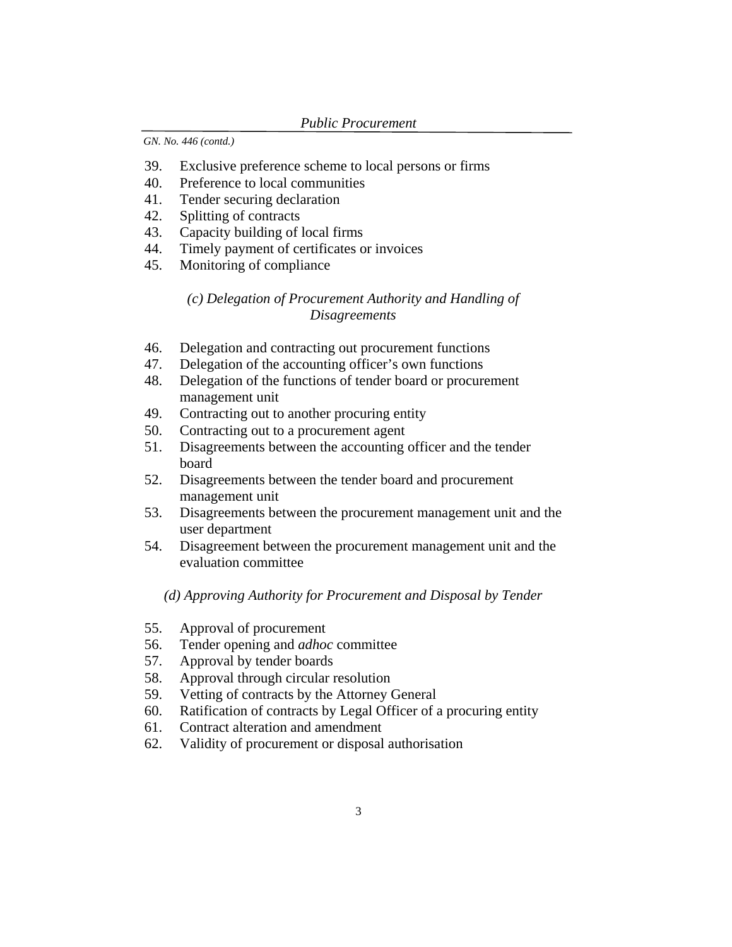- 39. Exclusive preference scheme to local persons or firms
- 40. Preference to local communities
- 41. Tender securing declaration
- 42. Splitting of contracts
- 43. Capacity building of local firms
- 44. Timely payment of certificates or invoices
- 45. Monitoring of compliance

*(c) Delegation of Procurement Authority and Handling of Disagreements* 

- 46. Delegation and contracting out procurement functions
- 47. Delegation of the accounting officer's own functions
- 48. Delegation of the functions of tender board or procurement management unit
- 49. Contracting out to another procuring entity
- 50. Contracting out to a procurement agent
- 51. Disagreements between the accounting officer and the tender board
- 52. Disagreements between the tender board and procurement management unit
- 53. Disagreements between the procurement management unit and the user department
- 54. Disagreement between the procurement management unit and the evaluation committee

*(d) Approving Authority for Procurement and Disposal by Tender* 

- 55. Approval of procurement
- 56. Tender opening and *adhoc* committee
- 57. Approval by tender boards
- 58. Approval through circular resolution
- 59. Vetting of contracts by the Attorney General
- 60. Ratification of contracts by Legal Officer of a procuring entity
- 61. Contract alteration and amendment
- 62. Validity of procurement or disposal authorisation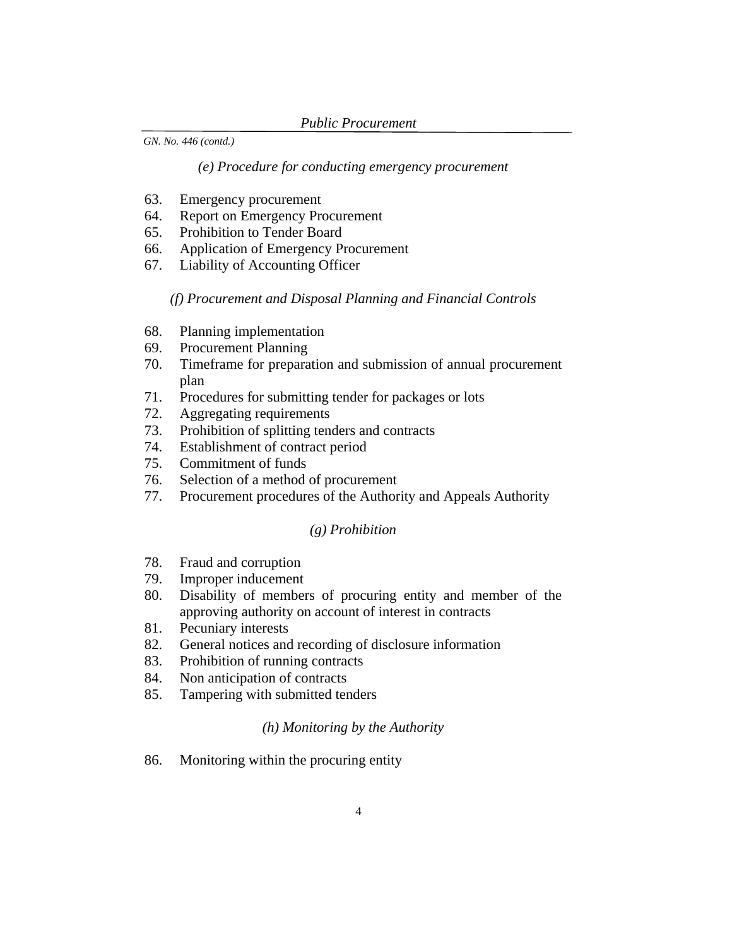*(e) Procedure for conducting emergency procurement* 

- 63. Emergency procurement
- 64. Report on Emergency Procurement
- 65. Prohibition to Tender Board
- 66. Application of Emergency Procurement
- 67. Liability of Accounting Officer

*(f) Procurement and Disposal Planning and Financial Controls* 

- 68. Planning implementation
- 69. Procurement Planning
- 70. Timeframe for preparation and submission of annual procurement plan
- 71. Procedures for submitting tender for packages or lots
- 72. Aggregating requirements
- 73. Prohibition of splitting tenders and contracts
- 74. Establishment of contract period
- 75. Commitment of funds
- 76. Selection of a method of procurement
- 77. Procurement procedures of the Authority and Appeals Authority

#### *(g) Prohibition*

- 78. Fraud and corruption
- 79. Improper inducement
- 80. Disability of members of procuring entity and member of the approving authority on account of interest in contracts
- 81. Pecuniary interests
- 82. General notices and recording of disclosure information
- 83. Prohibition of running contracts
- 84. Non anticipation of contracts
- 85. Tampering with submitted tenders

### *(h) Monitoring by the Authority*

86. Monitoring within the procuring entity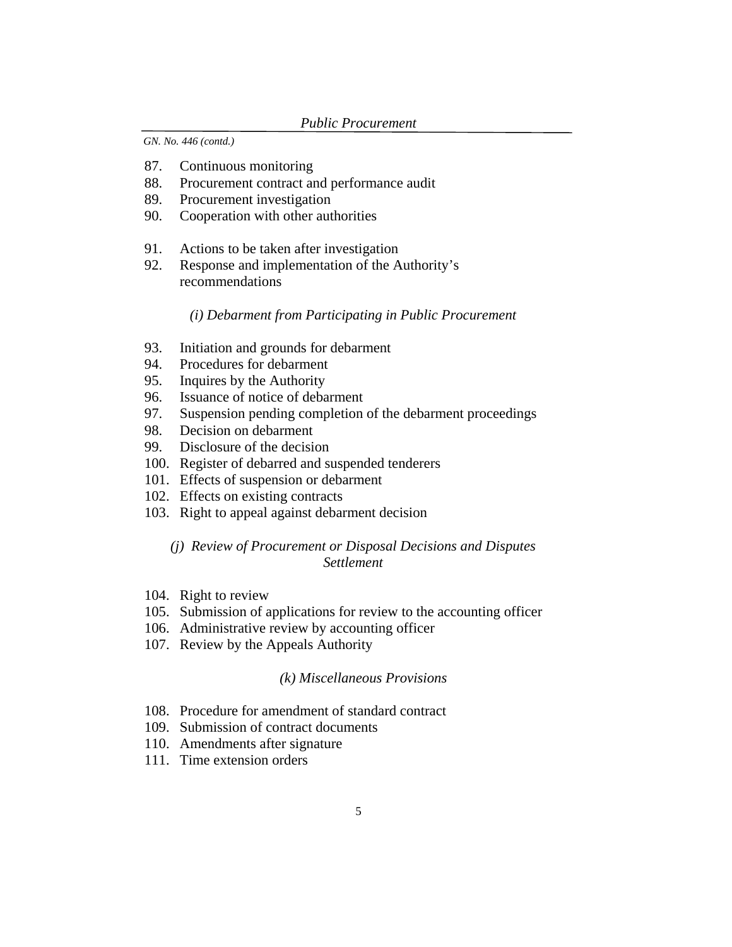- 87. Continuous monitoring
- 88. Procurement contract and performance audit
- 89. Procurement investigation
- 90. Cooperation with other authorities
- 91. Actions to be taken after investigation
- 92. Response and implementation of the Authority's recommendations

### *(i) Debarment from Participating in Public Procurement*

- 93. Initiation and grounds for debarment
- 94. Procedures for debarment
- 95. Inquires by the Authority
- 96. Issuance of notice of debarment
- 97. Suspension pending completion of the debarment proceedings
- 98. Decision on debarment
- 99. Disclosure of the decision
- 100. Register of debarred and suspended tenderers
- 101. Effects of suspension or debarment
- 102. Effects on existing contracts
- 103. Right to appeal against debarment decision

### *(j) Review of Procurement or Disposal Decisions and Disputes Settlement*

- 104. Right to review
- 105. Submission of applications for review to the accounting officer
- 106. Administrative review by accounting officer
- 107. Review by the Appeals Authority

### *(k) Miscellaneous Provisions*

- 108. Procedure for amendment of standard contract
- 109. Submission of contract documents
- 110. Amendments after signature
- 111. Time extension orders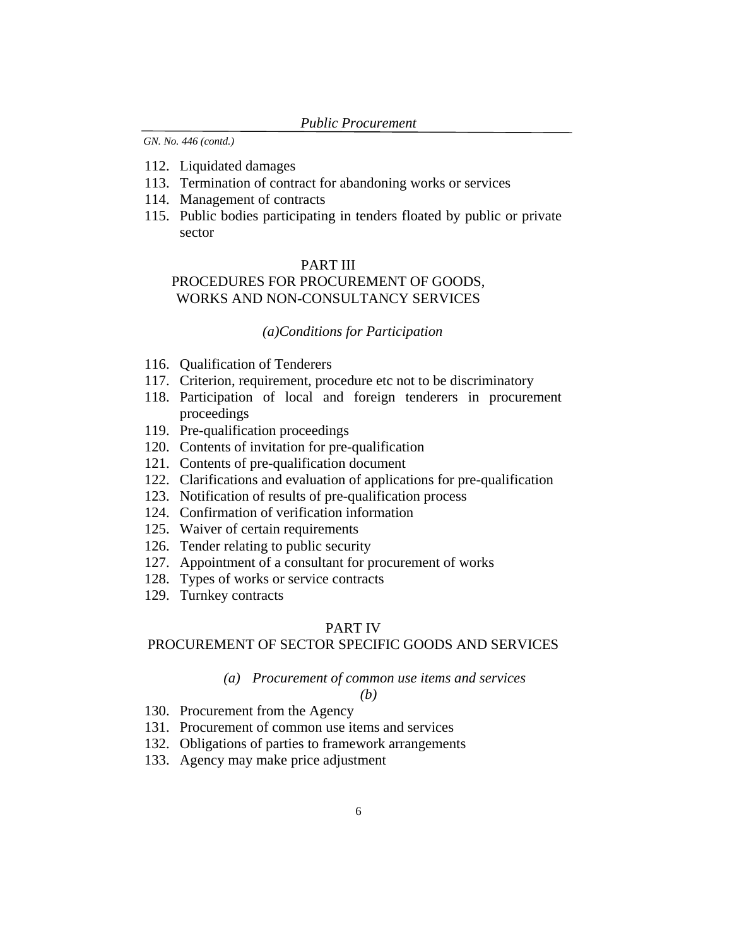- 112. Liquidated damages
- 113. Termination of contract for abandoning works or services
- 114. Management of contracts
- 115. Public bodies participating in tenders floated by public or private sector

#### PART III

### PROCEDURES FOR PROCUREMENT OF GOODS, WORKS AND NON-CONSULTANCY SERVICES

## *(a)Conditions for Participation*

- 116. Qualification of Tenderers
- 117. Criterion, requirement, procedure etc not to be discriminatory
- 118. Participation of local and foreign tenderers in procurement proceedings
- 119. Pre-qualification proceedings
- 120. Contents of invitation for pre-qualification
- 121. Contents of pre-qualification document
- 122. Clarifications and evaluation of applications for pre-qualification
- 123. Notification of results of pre-qualification process
- 124. Confirmation of verification information
- 125. Waiver of certain requirements
- 126. Tender relating to public security
- 127. Appointment of a consultant for procurement of works
- 128. Types of works or service contracts
- 129. Turnkey contracts

#### PART IV

## PROCUREMENT OF SECTOR SPECIFIC GOODS AND SERVICES

### *(a) Procurement of common use items and services*

*(b)*

- 130. Procurement from the Agency
- 131. Procurement of common use items and services
- 132. Obligations of parties to framework arrangements
- 133. Agency may make price adjustment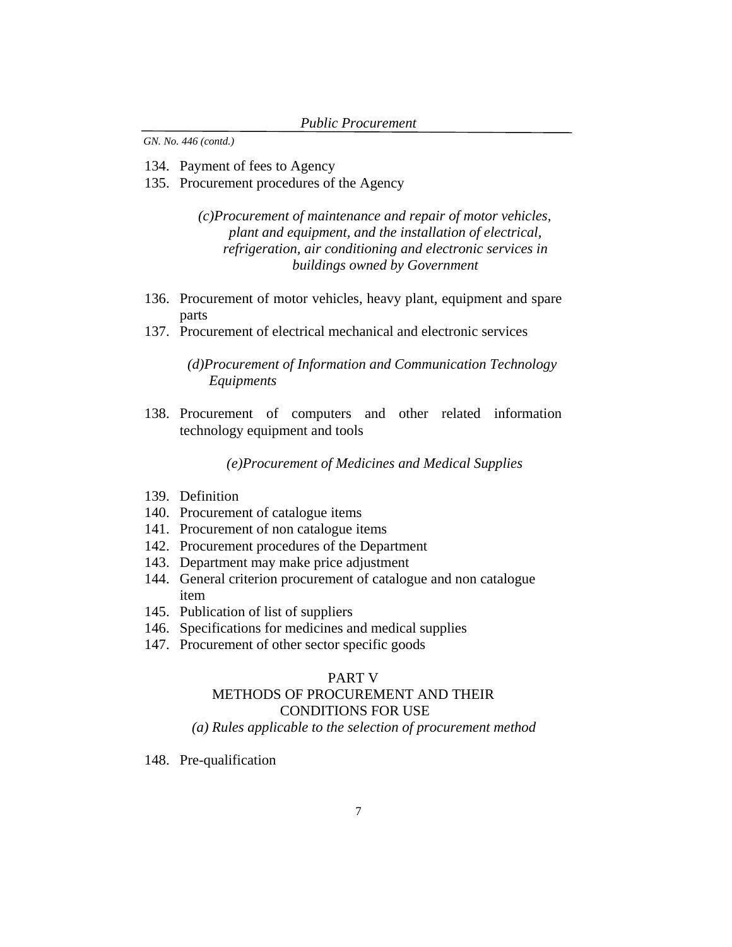- 134. Payment of fees to Agency
- 135. Procurement procedures of the Agency

*(c)Procurement of maintenance and repair of motor vehicles, plant and equipment, and the installation of electrical, refrigeration, air conditioning and electronic services in buildings owned by Government* 

- 136. Procurement of motor vehicles, heavy plant, equipment and spare parts
- 137. Procurement of electrical mechanical and electronic services

*(d)Procurement of Information and Communication Technology Equipments* 

138. Procurement of computers and other related information technology equipment and tools

*(e)Procurement of Medicines and Medical Supplies* 

- 139. Definition
- 140. Procurement of catalogue items
- 141. Procurement of non catalogue items
- 142. Procurement procedures of the Department
- 143. Department may make price adjustment
- 144. General criterion procurement of catalogue and non catalogue item
- 145. Publication of list of suppliers
- 146. Specifications for medicines and medical supplies
- 147. Procurement of other sector specific goods

#### PART V

### METHODS OF PROCUREMENT AND THEIR CONDITIONS FOR USE

#### *(a) Rules applicable to the selection of procurement method*

148. Pre-qualification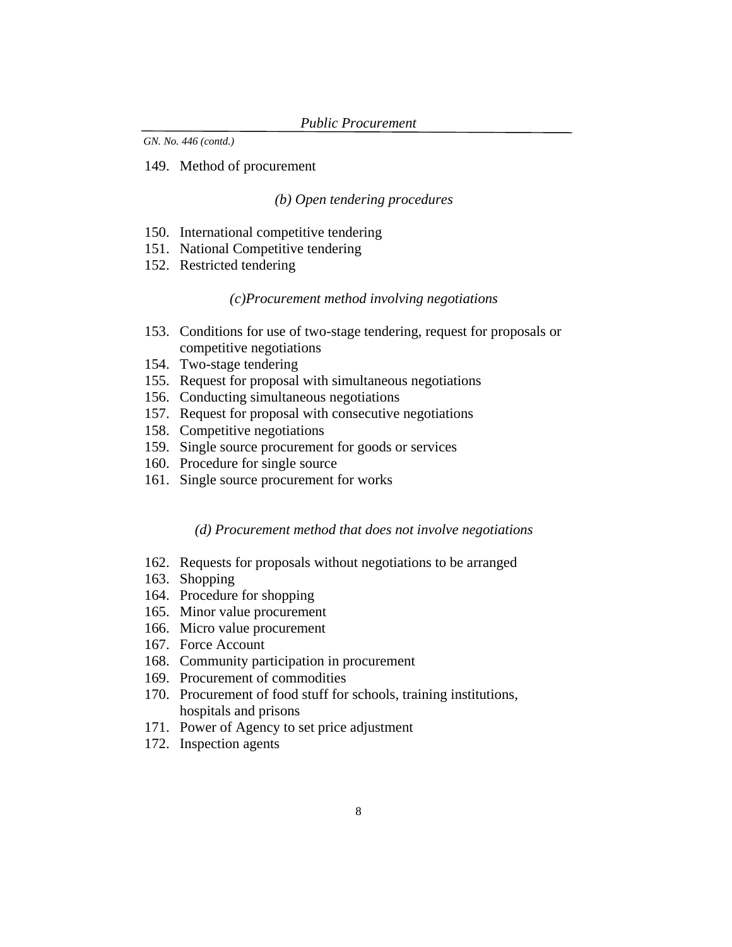## 149. Method of procurement

### *(b) Open tendering procedures*

- 150. International competitive tendering
- 151. National Competitive tendering
- 152. Restricted tendering

### *(c)Procurement method involving negotiations*

- 153. Conditions for use of two-stage tendering, request for proposals or competitive negotiations
- 154. Two-stage tendering
- 155. Request for proposal with simultaneous negotiations
- 156. Conducting simultaneous negotiations
- 157. Request for proposal with consecutive negotiations
- 158. Competitive negotiations
- 159. Single source procurement for goods or services
- 160. Procedure for single source
- 161. Single source procurement for works

#### *(d) Procurement method that does not involve negotiations*

- 162. Requests for proposals without negotiations to be arranged
- 163. Shopping
- 164. Procedure for shopping
- 165. Minor value procurement
- 166. Micro value procurement
- 167. Force Account
- 168. Community participation in procurement
- 169. Procurement of commodities
- 170. Procurement of food stuff for schools, training institutions, hospitals and prisons
- 171. Power of Agency to set price adjustment
- 172. Inspection agents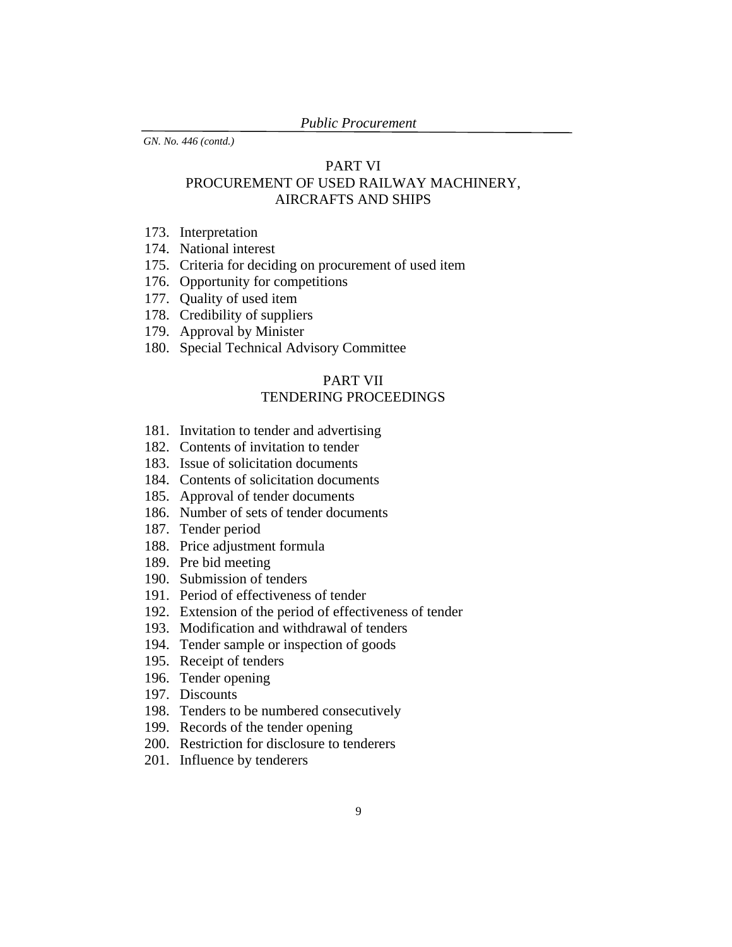### PART VI

### PROCUREMENT OF USED RAILWAY MACHINERY, AIRCRAFTS AND SHIPS

- 173. Interpretation
- 174. National interest
- 175. Criteria for deciding on procurement of used item
- 176. Opportunity for competitions
- 177. Quality of used item
- 178. Credibility of suppliers
- 179. Approval by Minister
- 180. Special Technical Advisory Committee

## PART VII

## TENDERING PROCEEDINGS

- 181. Invitation to tender and advertising
- 182. Contents of invitation to tender
- 183. Issue of solicitation documents
- 184. Contents of solicitation documents
- 185. Approval of tender documents
- 186. Number of sets of tender documents
- 187. Tender period
- 188. Price adjustment formula
- 189. Pre bid meeting
- 190. Submission of tenders
- 191. Period of effectiveness of tender
- 192. Extension of the period of effectiveness of tender
- 193. Modification and withdrawal of tenders
- 194. Tender sample or inspection of goods
- 195. Receipt of tenders
- 196. Tender opening
- 197. Discounts
- 198. Tenders to be numbered consecutively
- 199. Records of the tender opening
- 200. Restriction for disclosure to tenderers
- 201. Influence by tenderers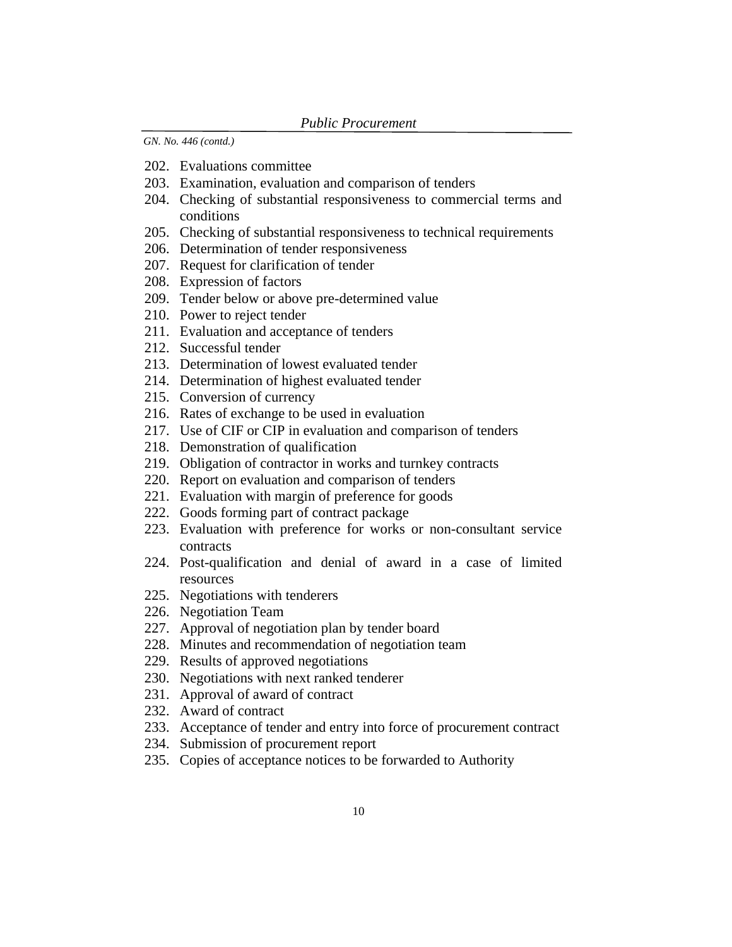- 202. Evaluations committee
- 203. Examination, evaluation and comparison of tenders
- 204. Checking of substantial responsiveness to commercial terms and conditions
- 205. Checking of substantial responsiveness to technical requirements
- 206. Determination of tender responsiveness
- 207. Request for clarification of tender
- 208. Expression of factors
- 209. Tender below or above pre-determined value
- 210. Power to reject tender
- 211. Evaluation and acceptance of tenders
- 212. Successful tender
- 213. Determination of lowest evaluated tender
- 214. Determination of highest evaluated tender
- 215. Conversion of currency
- 216. Rates of exchange to be used in evaluation
- 217. Use of CIF or CIP in evaluation and comparison of tenders
- 218. Demonstration of qualification
- 219. Obligation of contractor in works and turnkey contracts
- 220. Report on evaluation and comparison of tenders
- 221. Evaluation with margin of preference for goods
- 222. Goods forming part of contract package
- 223. Evaluation with preference for works or non-consultant service contracts
- 224. Post-qualification and denial of award in a case of limited resources
- 225. Negotiations with tenderers
- 226. Negotiation Team
- 227. Approval of negotiation plan by tender board
- 228. Minutes and recommendation of negotiation team
- 229. Results of approved negotiations
- 230. Negotiations with next ranked tenderer
- 231. Approval of award of contract
- 232. Award of contract
- 233. Acceptance of tender and entry into force of procurement contract
- 234. Submission of procurement report
- 235. Copies of acceptance notices to be forwarded to Authority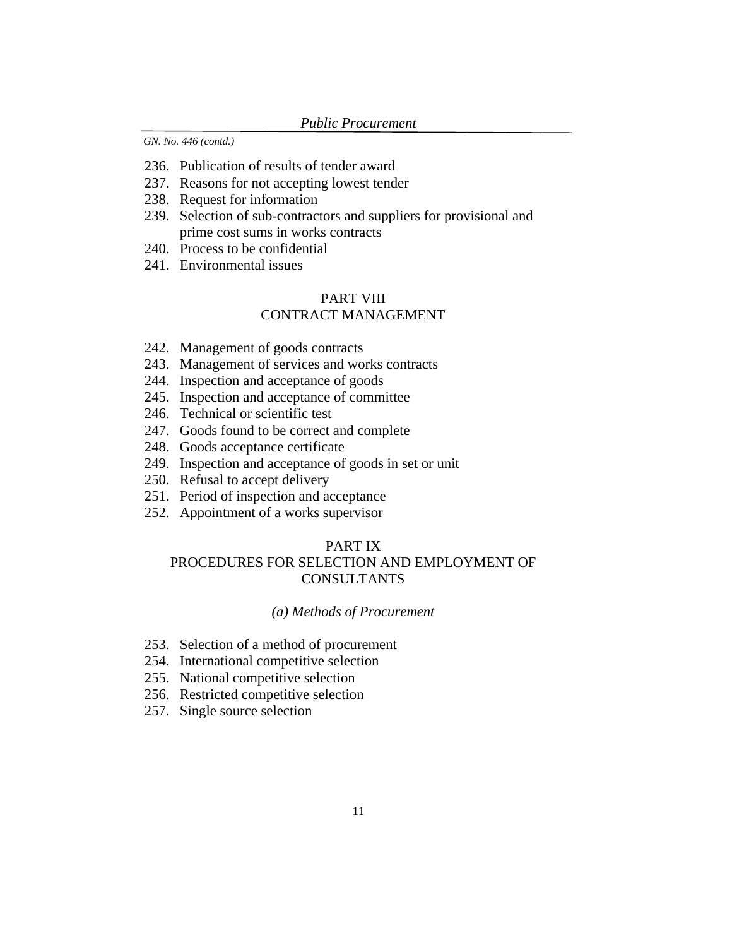- 236. Publication of results of tender award
- 237. Reasons for not accepting lowest tender
- 238. Request for information
- 239. Selection of sub-contractors and suppliers for provisional and prime cost sums in works contracts
- 240. Process to be confidential
- 241. Environmental issues

### PART VIII CONTRACT MANAGEMENT

- 242. Management of goods contracts
- 243. Management of services and works contracts
- 244. Inspection and acceptance of goods
- 245. Inspection and acceptance of committee
- 246. Technical or scientific test
- 247. Goods found to be correct and complete
- 248. Goods acceptance certificate
- 249. Inspection and acceptance of goods in set or unit
- 250. Refusal to accept delivery
- 251. Period of inspection and acceptance
- 252. Appointment of a works supervisor

#### PART IX

## PROCEDURES FOR SELECTION AND EMPLOYMENT OF CONSULTANTS

#### *(a) Methods of Procurement*

- 253. Selection of a method of procurement
- 254. International competitive selection
- 255. National competitive selection
- 256. Restricted competitive selection
- 257. Single source selection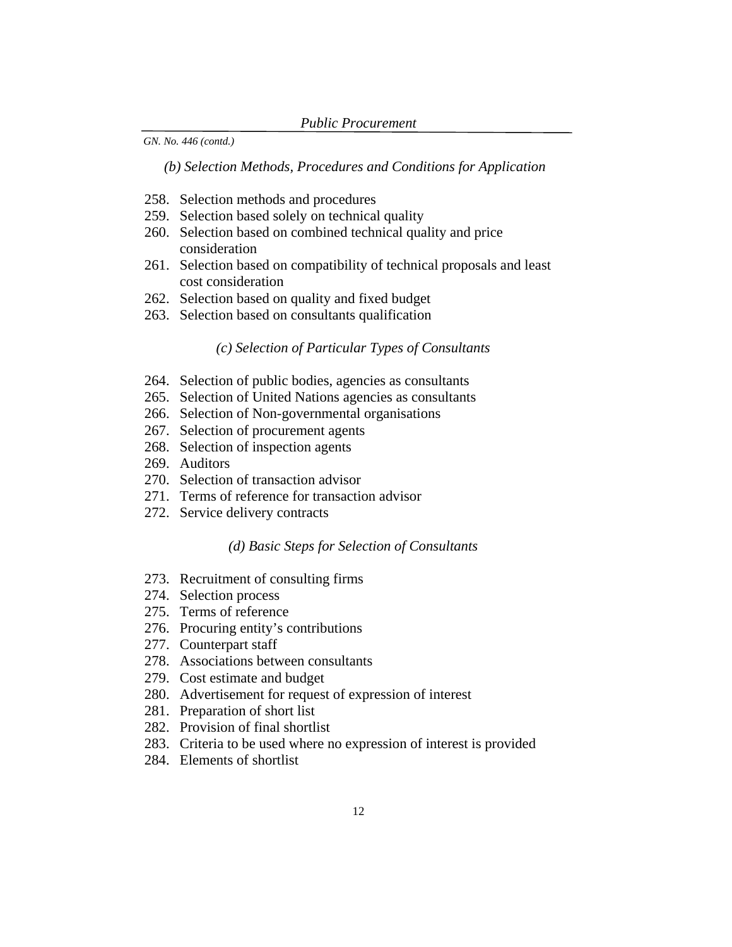*(b) Selection Methods, Procedures and Conditions for Application* 

- 258. Selection methods and procedures
- 259. Selection based solely on technical quality
- 260. Selection based on combined technical quality and price consideration
- 261. Selection based on compatibility of technical proposals and least cost consideration
- 262. Selection based on quality and fixed budget
- 263. Selection based on consultants qualification

### *(c) Selection of Particular Types of Consultants*

- 264. Selection of public bodies, agencies as consultants
- 265. Selection of United Nations agencies as consultants
- 266. Selection of Non-governmental organisations
- 267. Selection of procurement agents
- 268. Selection of inspection agents
- 269. Auditors
- 270. Selection of transaction advisor
- 271. Terms of reference for transaction advisor
- 272. Service delivery contracts

#### *(d) Basic Steps for Selection of Consultants*

- 273. Recruitment of consulting firms
- 274. Selection process
- 275. Terms of reference
- 276. Procuring entity's contributions
- 277. Counterpart staff
- 278. Associations between consultants
- 279. Cost estimate and budget
- 280. Advertisement for request of expression of interest
- 281. Preparation of short list
- 282. Provision of final shortlist
- 283. Criteria to be used where no expression of interest is provided
- 284. Elements of shortlist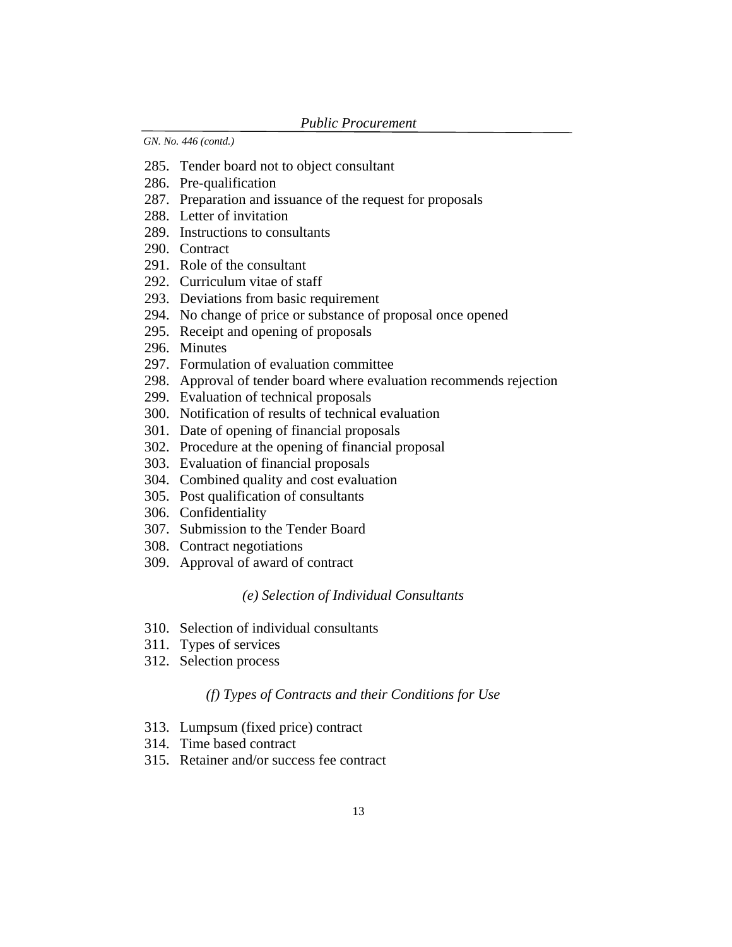- 285. Tender board not to object consultant
- 286. Pre-qualification
- 287. Preparation and issuance of the request for proposals
- 288. Letter of invitation
- 289. Instructions to consultants
- 290. Contract
- 291. Role of the consultant
- 292. Curriculum vitae of staff
- 293. Deviations from basic requirement
- 294. No change of price or substance of proposal once opened
- 295. Receipt and opening of proposals
- 296. Minutes
- 297. Formulation of evaluation committee
- 298. Approval of tender board where evaluation recommends rejection
- 299. Evaluation of technical proposals
- 300. Notification of results of technical evaluation
- 301. Date of opening of financial proposals
- 302. Procedure at the opening of financial proposal
- 303. Evaluation of financial proposals
- 304. Combined quality and cost evaluation
- 305. Post qualification of consultants
- 306. Confidentiality
- 307. Submission to the Tender Board
- 308. Contract negotiations
- 309. Approval of award of contract

#### *(e) Selection of Individual Consultants*

- 310. Selection of individual consultants
- 311. Types of services
- 312. Selection process

#### *(f) Types of Contracts and their Conditions for Use*

- 313. Lumpsum (fixed price) contract
- 314. Time based contract
- 315. Retainer and/or success fee contract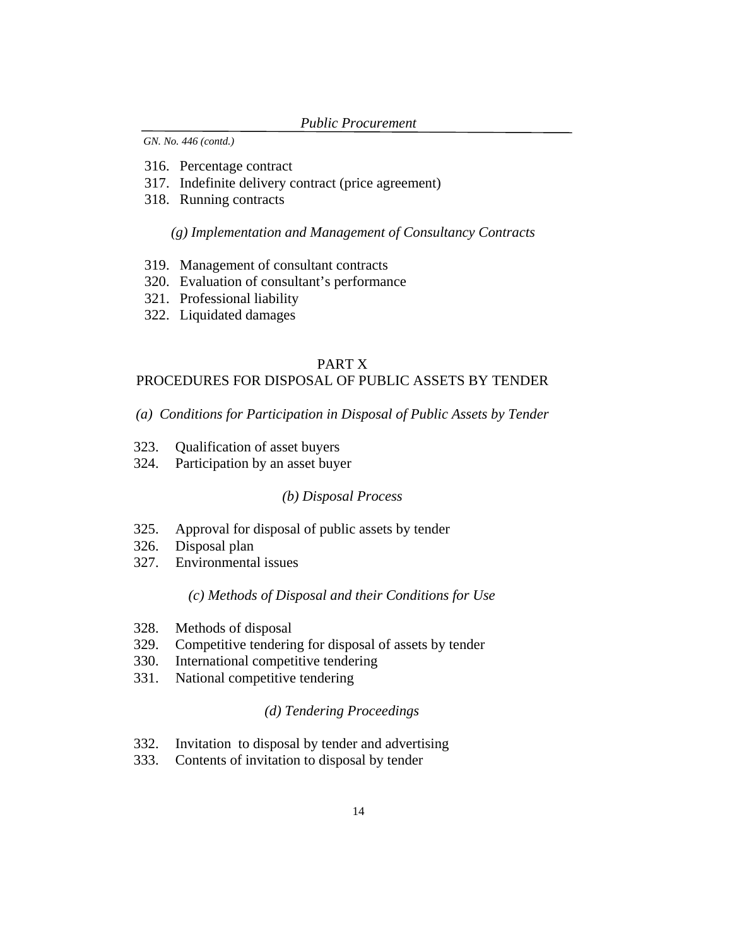- 316. Percentage contract
- 317. Indefinite delivery contract (price agreement)
- 318. Running contracts

*(g) Implementation and Management of Consultancy Contracts* 

- 319. Management of consultant contracts
- 320. Evaluation of consultant's performance
- 321. Professional liability
- 322. Liquidated damages

### PART X

## PROCEDURES FOR DISPOSAL OF PUBLIC ASSETS BY TENDER

- *(a) Conditions for Participation in Disposal of Public Assets by Tender*
- 323. Qualification of asset buyers
- 324. Participation by an asset buyer

#### *(b) Disposal Process*

- 325. Approval for disposal of public assets by tender
- 326. Disposal plan
- 327. Environmental issues

### *(c) Methods of Disposal and their Conditions for Use*

- 328. Methods of disposal
- 329. Competitive tendering for disposal of assets by tender
- 330. International competitive tendering
- 331. National competitive tendering

### *(d) Tendering Proceedings*

- 332. Invitation to disposal by tender and advertising
- 333. Contents of invitation to disposal by tender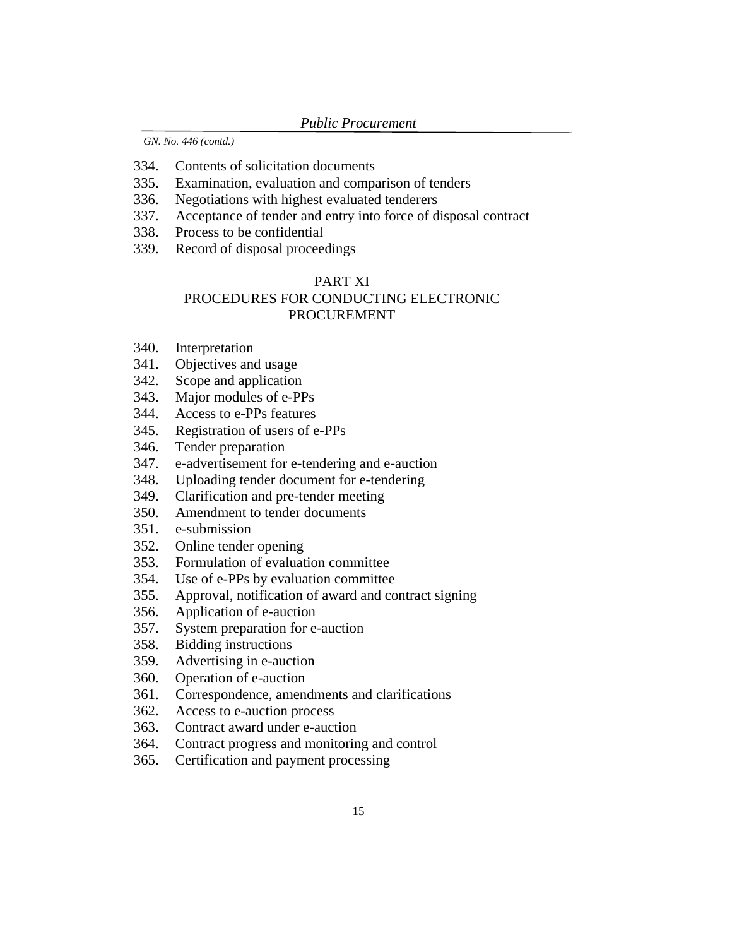- 334. Contents of solicitation documents
- 335. Examination, evaluation and comparison of tenders
- 336. Negotiations with highest evaluated tenderers
- 337. Acceptance of tender and entry into force of disposal contract
- 338. Process to be confidential
- 339. Record of disposal proceedings

## PART XI PROCEDURES FOR CONDUCTING ELECTRONIC PROCUREMENT

- 340. Interpretation
- 341. Objectives and usage
- 342. Scope and application<br>343. Maior modules of e-PI
- Major modules of e-PPs
- 344. Access to e-PPs features
- 345. Registration of users of e-PPs
- 346. Tender preparation
- 347. e-advertisement for e-tendering and e-auction
- 348. Uploading tender document for e-tendering
- 349. Clarification and pre-tender meeting
- 350. Amendment to tender documents
- 351. e-submission
- 352. Online tender opening
- 353. Formulation of evaluation committee
- 354. Use of e-PPs by evaluation committee
- 355. Approval, notification of award and contract signing
- 356. Application of e-auction
- 357. System preparation for e-auction
- 358. Bidding instructions
- 359. Advertising in e-auction
- 360. Operation of e-auction
- 361. Correspondence, amendments and clarifications
- 362. Access to e-auction process
- 363. Contract award under e-auction
- 364. Contract progress and monitoring and control
- 365. Certification and payment processing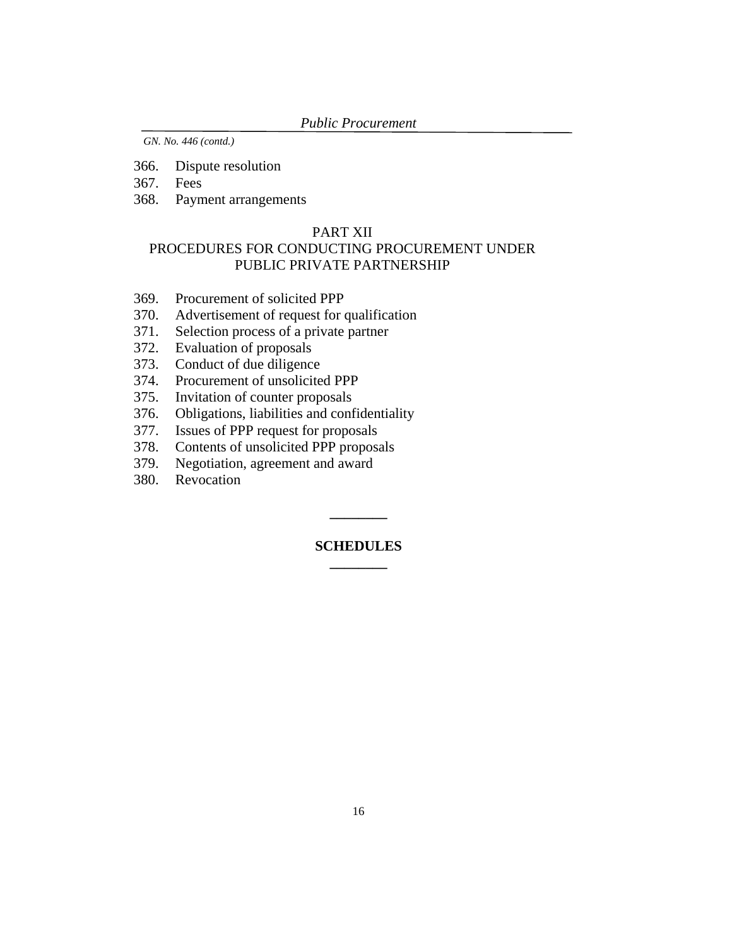*Public Procurement* 

*GN. No. 446 (contd.)* 

366. Dispute resolution

367. Fees

368. Payment arrangements

### PART XII

## PROCEDURES FOR CONDUCTING PROCUREMENT UNDER PUBLIC PRIVATE PARTNERSHIP

- 369. Procurement of solicited PPP
- 370. Advertisement of request for qualification
- 371. Selection process of a private partner
- 372. Evaluation of proposals
- 373. Conduct of due diligence
- 374. Procurement of unsolicited PPP
- 375. Invitation of counter proposals
- 376. Obligations, liabilities and confidentiality
- 377. Issues of PPP request for proposals
- 378. Contents of unsolicited PPP proposals
- 379. Negotiation, agreement and award
- 380. Revocation

### **SCHEDULES \_\_\_\_\_\_\_\_**

**\_\_\_\_\_\_\_\_**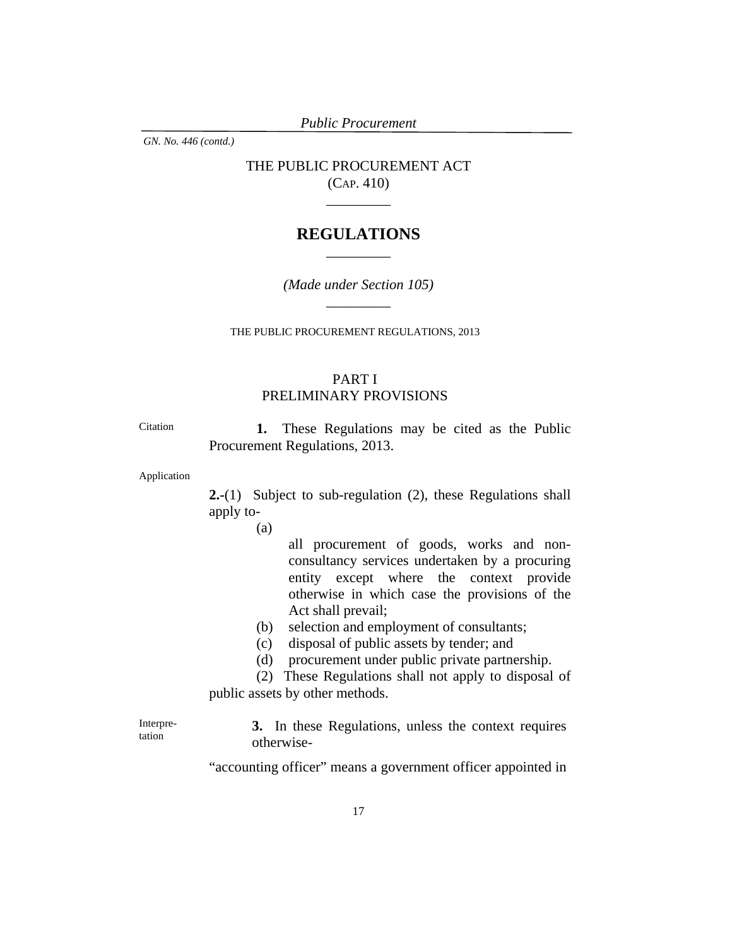*Public Procurement* 

*GN. No. 446 (contd.)* 

THE PUBLIC PROCUREMENT ACT (CAP. 410)

\_\_\_\_\_\_\_\_\_

## **REGULATIONS**   $\overline{\phantom{a}}$

*(Made under Section 105) \_\_\_\_\_\_\_\_\_* 

THE PUBLIC PROCUREMENT REGULATIONS, 2013

## PART I PRELIMINARY PROVISIONS

Citation **1.** These Regulations may be cited as the Public Procurement Regulations, 2013.

Application

**2.-**(1) Subject to sub-regulation (2), these Regulations shall apply to-

(a)

all procurement of goods, works and nonconsultancy services undertaken by a procuring entity except where the context provide otherwise in which case the provisions of the Act shall prevail;

- (b) selection and employment of consultants;
- (c) disposal of public assets by tender; and

(d) procurement under public private partnership.

(2) These Regulations shall not apply to disposal of public assets by other methods.

Interpretation

**3.** In these Regulations, unless the context requires otherwise-

"accounting officer" means a government officer appointed in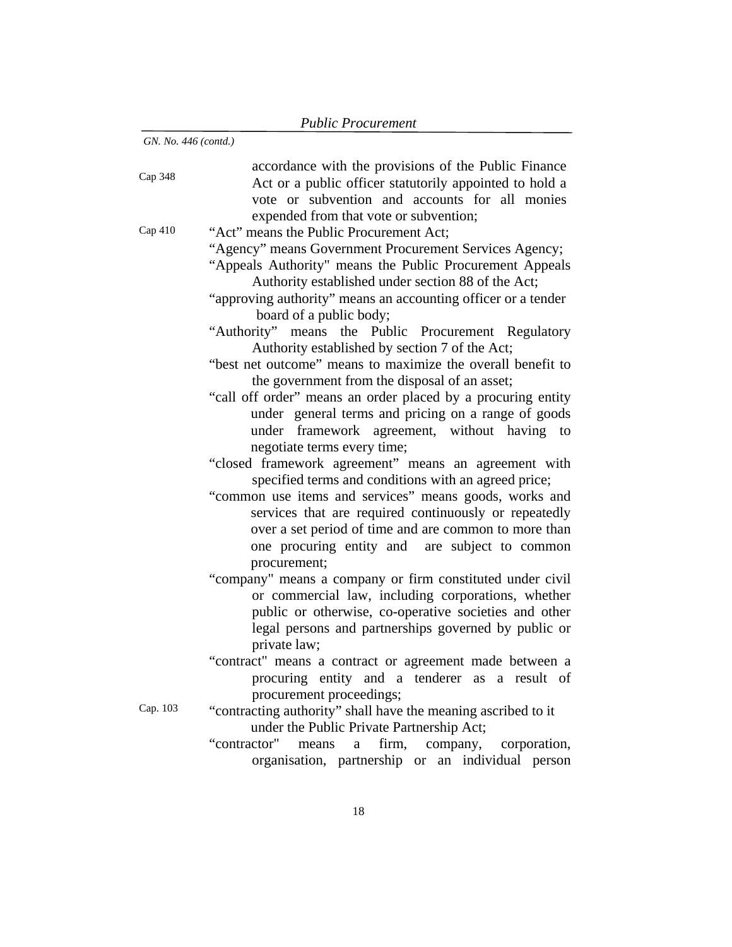| Cap 348  | accordance with the provisions of the Public Finance<br>Act or a public officer statutorily appointed to hold a<br>vote or subvention and accounts for all monies<br>expended from that vote or subvention;                                                                                                                                       |
|----------|---------------------------------------------------------------------------------------------------------------------------------------------------------------------------------------------------------------------------------------------------------------------------------------------------------------------------------------------------|
| Cap 410  | "Act" means the Public Procurement Act;                                                                                                                                                                                                                                                                                                           |
|          |                                                                                                                                                                                                                                                                                                                                                   |
|          | "Agency" means Government Procurement Services Agency;                                                                                                                                                                                                                                                                                            |
|          | "Appeals Authority" means the Public Procurement Appeals                                                                                                                                                                                                                                                                                          |
|          | Authority established under section 88 of the Act;                                                                                                                                                                                                                                                                                                |
|          | "approving authority" means an accounting officer or a tender                                                                                                                                                                                                                                                                                     |
|          | board of a public body;                                                                                                                                                                                                                                                                                                                           |
|          | "Authority" means the Public Procurement Regulatory                                                                                                                                                                                                                                                                                               |
|          | Authority established by section 7 of the Act;                                                                                                                                                                                                                                                                                                    |
|          | "best net outcome" means to maximize the overall benefit to                                                                                                                                                                                                                                                                                       |
|          | the government from the disposal of an asset;                                                                                                                                                                                                                                                                                                     |
|          | "call off order" means an order placed by a procuring entity                                                                                                                                                                                                                                                                                      |
|          | under general terms and pricing on a range of goods                                                                                                                                                                                                                                                                                               |
|          | under framework agreement, without having to                                                                                                                                                                                                                                                                                                      |
|          | negotiate terms every time;                                                                                                                                                                                                                                                                                                                       |
|          | "closed framework agreement" means an agreement with                                                                                                                                                                                                                                                                                              |
|          | specified terms and conditions with an agreed price;                                                                                                                                                                                                                                                                                              |
|          | "common use items and services" means goods, works and                                                                                                                                                                                                                                                                                            |
|          | services that are required continuously or repeatedly                                                                                                                                                                                                                                                                                             |
|          | over a set period of time and are common to more than                                                                                                                                                                                                                                                                                             |
|          | one procuring entity and are subject to common                                                                                                                                                                                                                                                                                                    |
|          | procurement;                                                                                                                                                                                                                                                                                                                                      |
|          | "company" means a company or firm constituted under civil                                                                                                                                                                                                                                                                                         |
|          | or commercial law, including corporations, whether                                                                                                                                                                                                                                                                                                |
|          | public or otherwise, co-operative societies and other                                                                                                                                                                                                                                                                                             |
|          | legal persons and partnerships governed by public or                                                                                                                                                                                                                                                                                              |
|          |                                                                                                                                                                                                                                                                                                                                                   |
|          | private law;                                                                                                                                                                                                                                                                                                                                      |
|          | "contract" means a contract or agreement made between a                                                                                                                                                                                                                                                                                           |
|          | procuring entity and a tenderer as a result of                                                                                                                                                                                                                                                                                                    |
|          | procurement proceedings;                                                                                                                                                                                                                                                                                                                          |
| Cap. 103 | "contracting authority" shall have the meaning ascribed to it<br>under the Public Private Partnership Act;                                                                                                                                                                                                                                        |
|          | $\alpha$ and $\alpha$ and $\alpha$ and $\alpha$ and $\alpha$ and $\alpha$ and $\alpha$ and $\alpha$ and $\alpha$ and $\alpha$ and $\alpha$ and $\alpha$ and $\alpha$ and $\alpha$ and $\alpha$ and $\alpha$ and $\alpha$ and $\alpha$ and $\alpha$ and $\alpha$ and $\alpha$ and $\alpha$ and $\alpha$ and $\alpha$ and $\alpha$<br>$\sim$ $\sim$ |

 "contractor" means a firm, company, corporation, organisation, partnership or an individual person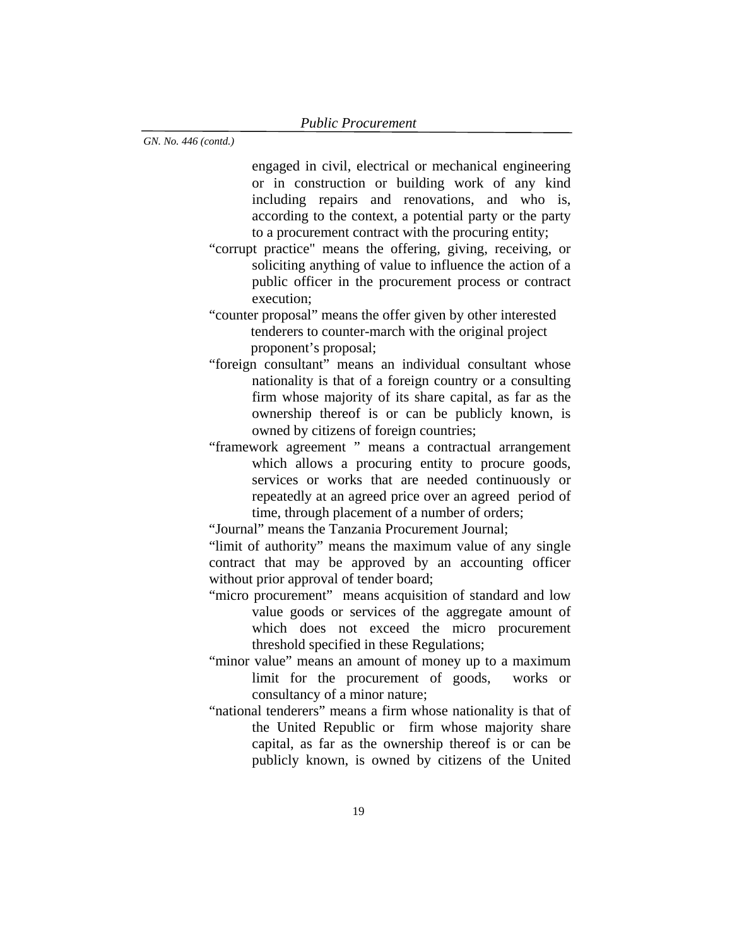engaged in civil, electrical or mechanical engineering or in construction or building work of any kind including repairs and renovations, and who is, according to the context, a potential party or the party to a procurement contract with the procuring entity;

 "corrupt practice" means the offering, giving, receiving, or soliciting anything of value to influence the action of a public officer in the procurement process or contract execution;

 "counter proposal" means the offer given by other interested tenderers to counter-march with the original project proponent's proposal;

- "foreign consultant" means an individual consultant whose nationality is that of a foreign country or a consulting firm whose majority of its share capital, as far as the ownership thereof is or can be publicly known, is owned by citizens of foreign countries;
- "framework agreement " means a contractual arrangement which allows a procuring entity to procure goods, services or works that are needed continuously or repeatedly at an agreed price over an agreed period of time, through placement of a number of orders;

"Journal" means the Tanzania Procurement Journal;

 "limit of authority" means the maximum value of any single contract that may be approved by an accounting officer without prior approval of tender board;

- "micro procurement" means acquisition of standard and low value goods or services of the aggregate amount of which does not exceed the micro procurement threshold specified in these Regulations;
- "minor value" means an amount of money up to a maximum limit for the procurement of goods, works or consultancy of a minor nature;
- "national tenderers" means a firm whose nationality is that of the United Republic or firm whose majority share capital, as far as the ownership thereof is or can be publicly known, is owned by citizens of the United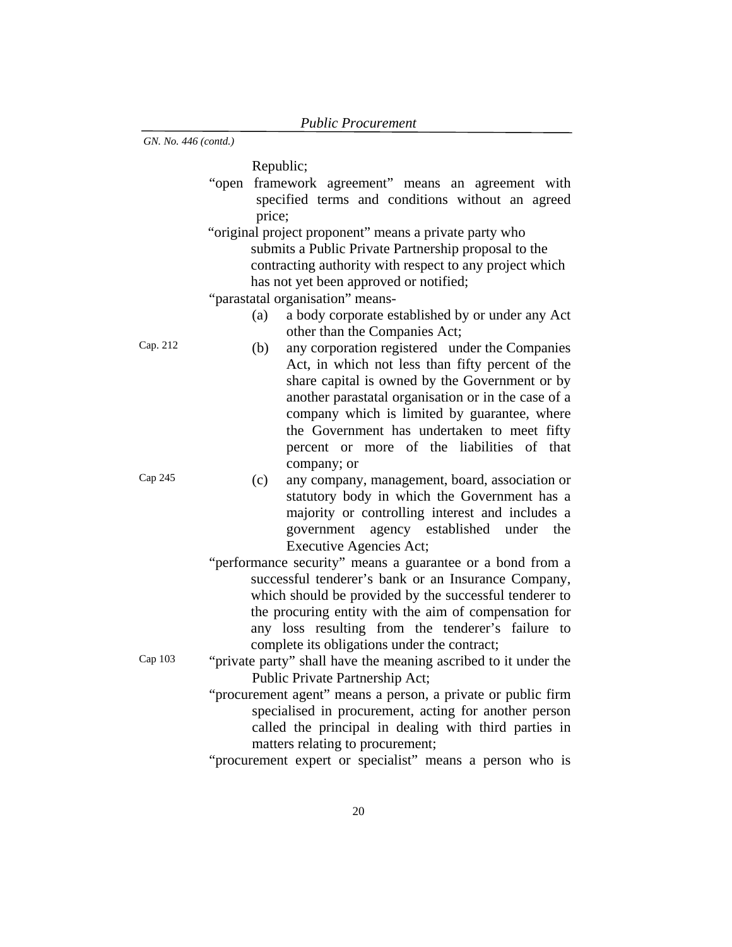Republic;

- "open framework agreement" means an agreement with specified terms and conditions without an agreed price;
- "original project proponent" means a private party who submits a Public Private Partnership proposal to the contracting authority with respect to any project which has not yet been approved or notified;

"parastatal organisation" means-

- (a) a body corporate established by or under any Act other than the Companies Act;
- Cap. 212 (b) any corporation registered under the Companies Act, in which not less than fifty percent of the share capital is owned by the Government or by another parastatal organisation or in the case of a company which is limited by guarantee, where the Government has undertaken to meet fifty percent or more of the liabilities of that company; or
- Cap 245 (c) any company, management, board, association or statutory body in which the Government has a majority or controlling interest and includes a government agency established under the Executive Agencies Act;
	- "performance security" means a guarantee or a bond from a successful tenderer's bank or an Insurance Company, which should be provided by the successful tenderer to the procuring entity with the aim of compensation for any loss resulting from the tenderer's failure to complete its obligations under the contract;
- Cap 103 "private party" shall have the meaning ascribed to it under the Public Private Partnership Act;
	- "procurement agent" means a person, a private or public firm specialised in procurement, acting for another person called the principal in dealing with third parties in matters relating to procurement;

 <sup>&</sup>quot;procurement expert or specialist" means a person who is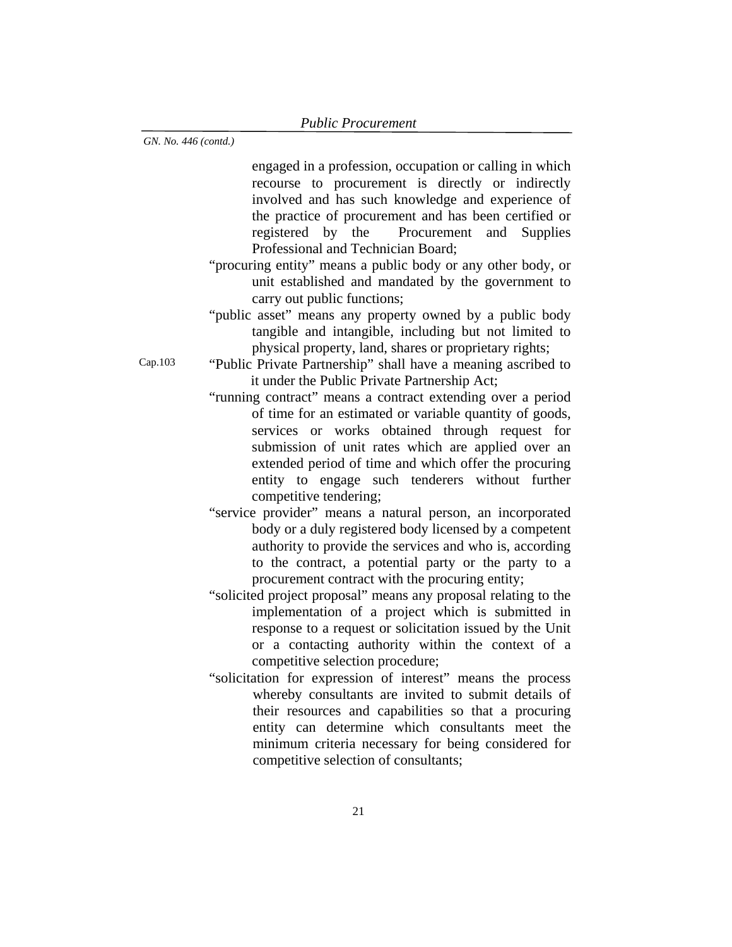engaged in a profession, occupation or calling in which recourse to procurement is directly or indirectly involved and has such knowledge and experience of the practice of procurement and has been certified or registered by the Procurement and Supplies Professional and Technician Board;

- "procuring entity" means a public body or any other body, or unit established and mandated by the government to carry out public functions;
- "public asset" means any property owned by a public body tangible and intangible, including but not limited to physical property, land, shares or proprietary rights;
- Cap.103 "Public Private Partnership" shall have a meaning ascribed to it under the Public Private Partnership Act;
	- "running contract" means a contract extending over a period of time for an estimated or variable quantity of goods, services or works obtained through request for submission of unit rates which are applied over an extended period of time and which offer the procuring entity to engage such tenderers without further competitive tendering;
	- "service provider" means a natural person, an incorporated body or a duly registered body licensed by a competent authority to provide the services and who is, according to the contract, a potential party or the party to a procurement contract with the procuring entity;
	- "solicited project proposal" means any proposal relating to the implementation of a project which is submitted in response to a request or solicitation issued by the Unit or a contacting authority within the context of a competitive selection procedure;
	- "solicitation for expression of interest" means the process whereby consultants are invited to submit details of their resources and capabilities so that a procuring entity can determine which consultants meet the minimum criteria necessary for being considered for competitive selection of consultants;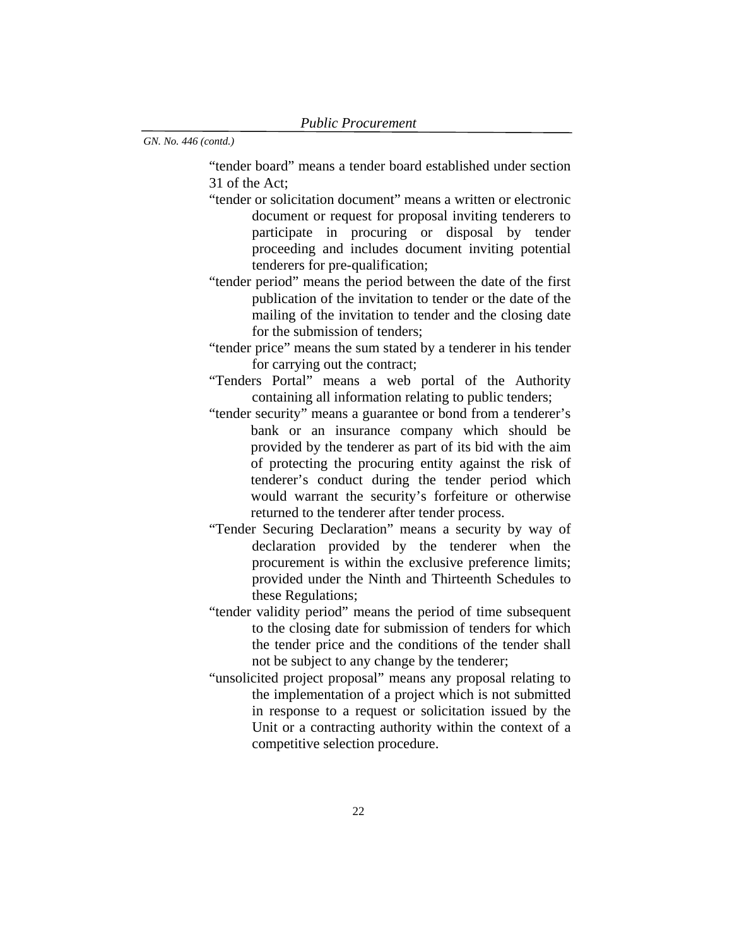"tender board" means a tender board established under section 31 of the Act;

- "tender or solicitation document" means a written or electronic document or request for proposal inviting tenderers to participate in procuring or disposal by tender proceeding and includes document inviting potential tenderers for pre-qualification;
- "tender period" means the period between the date of the first publication of the invitation to tender or the date of the mailing of the invitation to tender and the closing date for the submission of tenders;
- "tender price" means the sum stated by a tenderer in his tender for carrying out the contract;
- "Tenders Portal" means a web portal of the Authority containing all information relating to public tenders;
- "tender security" means a guarantee or bond from a tenderer's bank or an insurance company which should be provided by the tenderer as part of its bid with the aim of protecting the procuring entity against the risk of tenderer's conduct during the tender period which would warrant the security's forfeiture or otherwise returned to the tenderer after tender process.
- "Tender Securing Declaration" means a security by way of declaration provided by the tenderer when the procurement is within the exclusive preference limits; provided under the Ninth and Thirteenth Schedules to these Regulations;
- "tender validity period" means the period of time subsequent to the closing date for submission of tenders for which the tender price and the conditions of the tender shall not be subject to any change by the tenderer;
- "unsolicited project proposal" means any proposal relating to the implementation of a project which is not submitted in response to a request or solicitation issued by the Unit or a contracting authority within the context of a competitive selection procedure.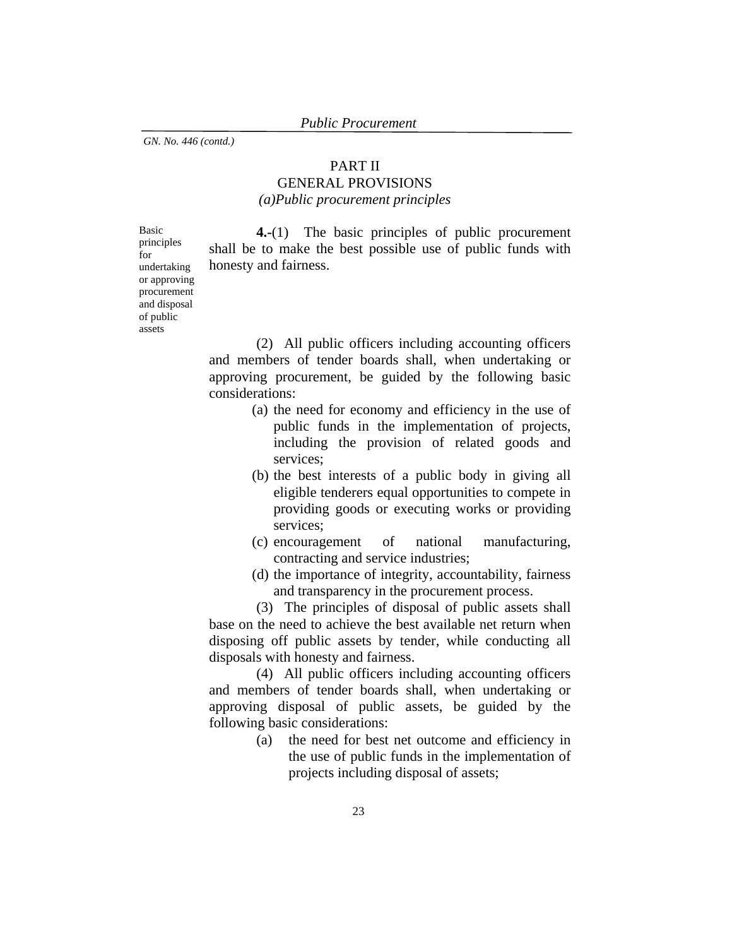## PART II

### GENERAL PROVISIONS *(a)Public procurement principles*

**4.-**(1) The basic principles of public procurement shall be to make the best possible use of public funds with honesty and fairness.

(2) All public officers including accounting officers and members of tender boards shall, when undertaking or approving procurement, be guided by the following basic considerations:

- (a) the need for economy and efficiency in the use of public funds in the implementation of projects, including the provision of related goods and services;
- (b) the best interests of a public body in giving all eligible tenderers equal opportunities to compete in providing goods or executing works or providing services;
- (c) encouragement of national manufacturing, contracting and service industries;
- (d) the importance of integrity, accountability, fairness and transparency in the procurement process.

(3) The principles of disposal of public assets shall base on the need to achieve the best available net return when disposing off public assets by tender, while conducting all disposals with honesty and fairness.

(4) All public officers including accounting officers and members of tender boards shall, when undertaking or approving disposal of public assets, be guided by the following basic considerations:

> (a) the need for best net outcome and efficiency in the use of public funds in the implementation of projects including disposal of assets;

Basic principles for undertaking or approving procurement and disposal of public assets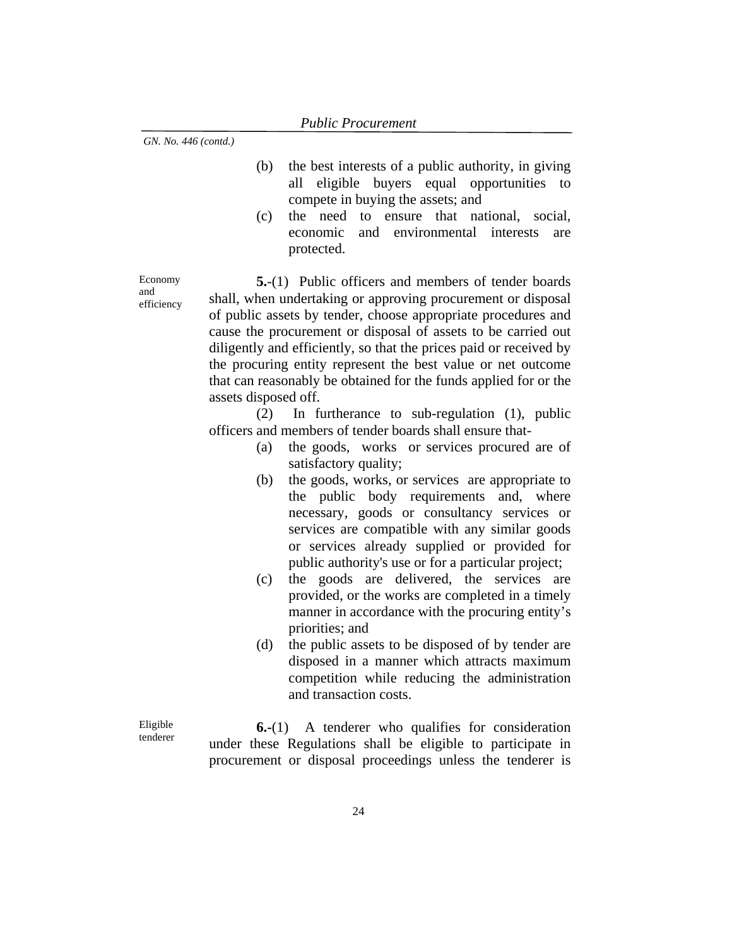- (b) the best interests of a public authority, in giving all eligible buyers equal opportunities to compete in buying the assets; and
- (c) the need to ensure that national, social, economic and environmental interests are protected.

**5.**-(1) Public officers and members of tender boards shall, when undertaking or approving procurement or disposal of public assets by tender, choose appropriate procedures and cause the procurement or disposal of assets to be carried out diligently and efficiently, so that the prices paid or received by the procuring entity represent the best value or net outcome that can reasonably be obtained for the funds applied for or the assets disposed off.

(2) In furtherance to sub-regulation (1), public officers and members of tender boards shall ensure that-

- (a) the goods, works or services procured are of satisfactory quality;
- (b) the goods, works, or services are appropriate to the public body requirements and, where necessary, goods or consultancy services or services are compatible with any similar goods or services already supplied or provided for public authority's use or for a particular project;
- (c) the goods are delivered, the services are provided, or the works are completed in a timely manner in accordance with the procuring entity's priorities; and
- (d) the public assets to be disposed of by tender are disposed in a manner which attracts maximum competition while reducing the administration and transaction costs.

Eligible tenderer

**6.-**(1) A tenderer who qualifies for consideration under these Regulations shall be eligible to participate in procurement or disposal proceedings unless the tenderer is

Economy and efficiency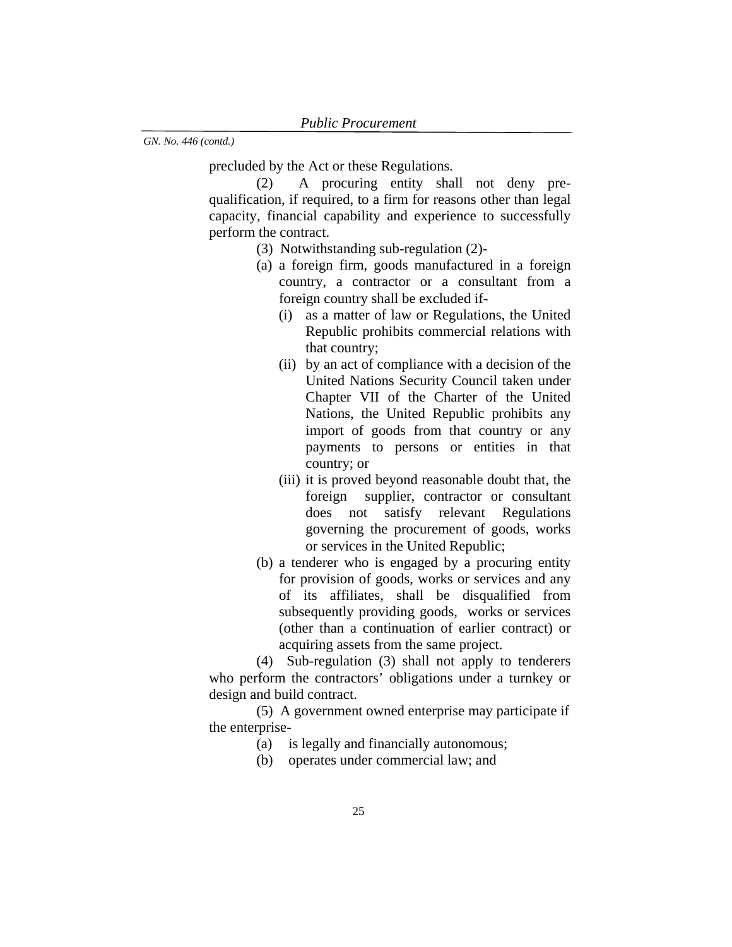precluded by the Act or these Regulations.

(2) A procuring entity shall not deny prequalification, if required, to a firm for reasons other than legal capacity, financial capability and experience to successfully perform the contract.

- (3) Notwithstanding sub-regulation (2)-
- (a) a foreign firm, goods manufactured in a foreign country, a contractor or a consultant from a foreign country shall be excluded if-
	- (i) as a matter of law or Regulations, the United Republic prohibits commercial relations with that country;
	- (ii) by an act of compliance with a decision of the United Nations Security Council taken under Chapter VII of the Charter of the United Nations, the United Republic prohibits any import of goods from that country or any payments to persons or entities in that country; or
	- (iii) it is proved beyond reasonable doubt that, the foreign supplier, contractor or consultant does not satisfy relevant Regulations governing the procurement of goods, works or services in the United Republic;
- (b) a tenderer who is engaged by a procuring entity for provision of goods, works or services and any of its affiliates, shall be disqualified from subsequently providing goods, works or services (other than a continuation of earlier contract) or acquiring assets from the same project.

(4) Sub-regulation (3) shall not apply to tenderers who perform the contractors' obligations under a turnkey or design and build contract.

(5) A government owned enterprise may participate if the enterprise-

- (a) is legally and financially autonomous;
- (b) operates under commercial law; and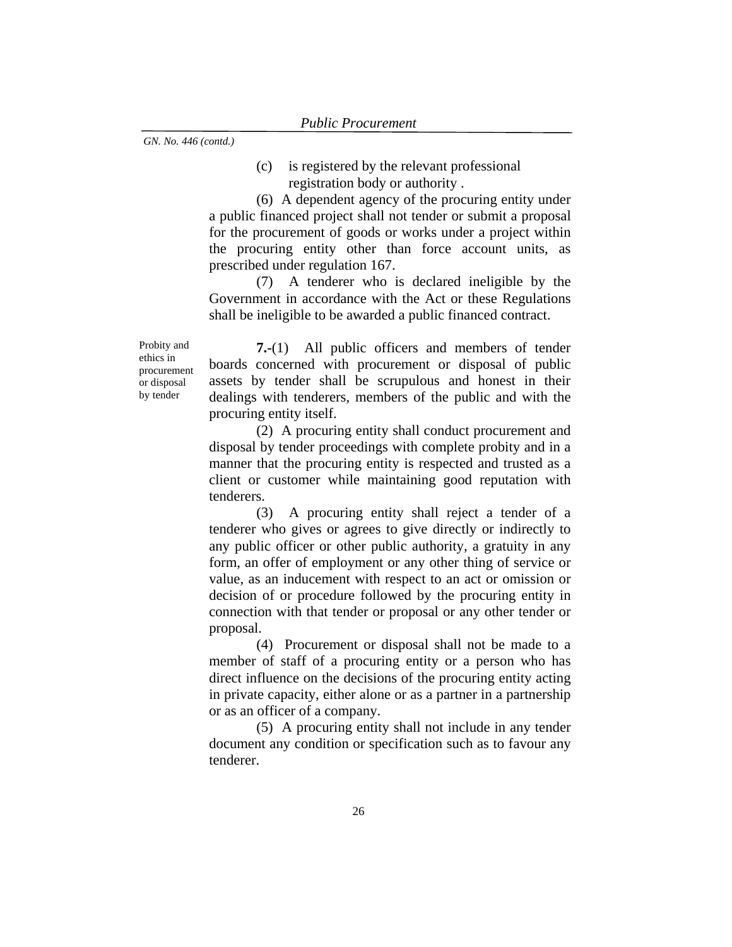### (c) is registered by the relevant professional registration body or authority .

(6) A dependent agency of the procuring entity under a public financed project shall not tender or submit a proposal for the procurement of goods or works under a project within the procuring entity other than force account units, as prescribed under regulation 167.

(7) A tenderer who is declared ineligible by the Government in accordance with the Act or these Regulations shall be ineligible to be awarded a public financed contract.

Probity and ethics in procurement or disposal by tender

**7.-**(1) All public officers and members of tender boards concerned with procurement or disposal of public assets by tender shall be scrupulous and honest in their dealings with tenderers, members of the public and with the procuring entity itself.

(2) A procuring entity shall conduct procurement and disposal by tender proceedings with complete probity and in a manner that the procuring entity is respected and trusted as a client or customer while maintaining good reputation with tenderers.

(3) A procuring entity shall reject a tender of a tenderer who gives or agrees to give directly or indirectly to any public officer or other public authority, a gratuity in any form, an offer of employment or any other thing of service or value, as an inducement with respect to an act or omission or decision of or procedure followed by the procuring entity in connection with that tender or proposal or any other tender or proposal.

(4) Procurement or disposal shall not be made to a member of staff of a procuring entity or a person who has direct influence on the decisions of the procuring entity acting in private capacity, either alone or as a partner in a partnership or as an officer of a company.

(5) A procuring entity shall not include in any tender document any condition or specification such as to favour any tenderer.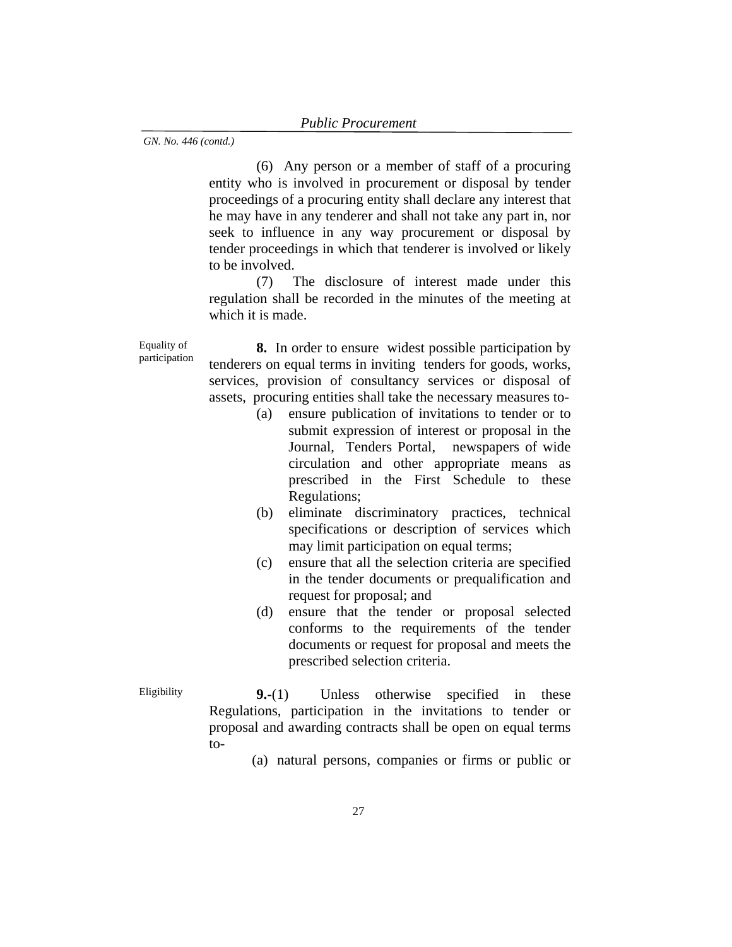(6) Any person or a member of staff of a procuring entity who is involved in procurement or disposal by tender proceedings of a procuring entity shall declare any interest that he may have in any tenderer and shall not take any part in, nor seek to influence in any way procurement or disposal by tender proceedings in which that tenderer is involved or likely to be involved.

(7) The disclosure of interest made under this regulation shall be recorded in the minutes of the meeting at which it is made.

Equality of participation

**8.** In order to ensure widest possible participation by tenderers on equal terms in inviting tenders for goods, works, services, provision of consultancy services or disposal of assets, procuring entities shall take the necessary measures to-

- (a) ensure publication of invitations to tender or to submit expression of interest or proposal in the Journal, Tenders Portal, newspapers of wide circulation and other appropriate means as prescribed in the First Schedule to these Regulations;
- (b) eliminate discriminatory practices, technical specifications or description of services which may limit participation on equal terms;
- (c) ensure that all the selection criteria are specified in the tender documents or prequalification and request for proposal; and
- (d) ensure that the tender or proposal selected conforms to the requirements of the tender documents or request for proposal and meets the prescribed selection criteria.

Eligibility **9.-**(1) Unless otherwise specified in these Regulations, participation in the invitations to tender or proposal and awarding contracts shall be open on equal terms to-

(a) natural persons, companies or firms or public or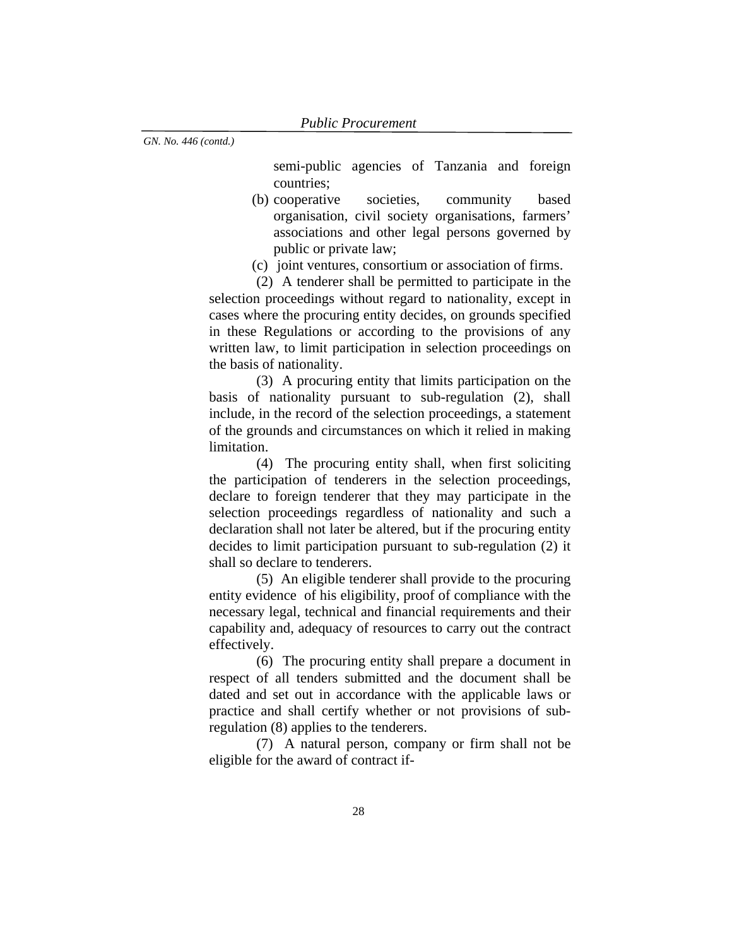semi-public agencies of Tanzania and foreign countries;

- (b) cooperative societies, community based organisation, civil society organisations, farmers' associations and other legal persons governed by public or private law;
- (c) joint ventures, consortium or association of firms.

(2) A tenderer shall be permitted to participate in the selection proceedings without regard to nationality, except in cases where the procuring entity decides, on grounds specified in these Regulations or according to the provisions of any written law, to limit participation in selection proceedings on the basis of nationality.

(3) A procuring entity that limits participation on the basis of nationality pursuant to sub-regulation (2), shall include, in the record of the selection proceedings, a statement of the grounds and circumstances on which it relied in making limitation.

(4) The procuring entity shall, when first soliciting the participation of tenderers in the selection proceedings, declare to foreign tenderer that they may participate in the selection proceedings regardless of nationality and such a declaration shall not later be altered, but if the procuring entity decides to limit participation pursuant to sub-regulation (2) it shall so declare to tenderers.

(5) An eligible tenderer shall provide to the procuring entity evidence of his eligibility, proof of compliance with the necessary legal, technical and financial requirements and their capability and, adequacy of resources to carry out the contract effectively.

(6) The procuring entity shall prepare a document in respect of all tenders submitted and the document shall be dated and set out in accordance with the applicable laws or practice and shall certify whether or not provisions of subregulation (8) applies to the tenderers.

(7) A natural person, company or firm shall not be eligible for the award of contract if-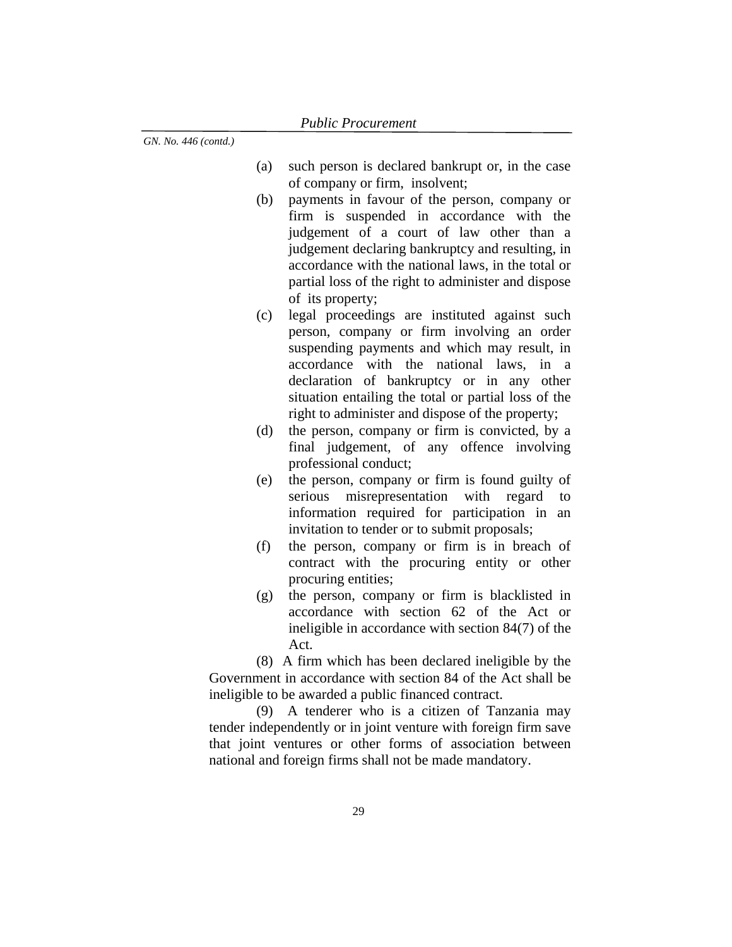- (a) such person is declared bankrupt or, in the case of company or firm, insolvent;
- (b) payments in favour of the person, company or firm is suspended in accordance with the judgement of a court of law other than a judgement declaring bankruptcy and resulting, in accordance with the national laws, in the total or partial loss of the right to administer and dispose of its property;
- (c) legal proceedings are instituted against such person, company or firm involving an order suspending payments and which may result, in accordance with the national laws, in a declaration of bankruptcy or in any other situation entailing the total or partial loss of the right to administer and dispose of the property;
- (d) the person, company or firm is convicted, by a final judgement, of any offence involving professional conduct;
- (e) the person, company or firm is found guilty of serious misrepresentation with regard to information required for participation in an invitation to tender or to submit proposals;
- (f) the person, company or firm is in breach of contract with the procuring entity or other procuring entities;
- (g) the person, company or firm is blacklisted in accordance with section 62 of the Act or ineligible in accordance with section 84(7) of the Act.

(8) A firm which has been declared ineligible by the Government in accordance with section 84 of the Act shall be ineligible to be awarded a public financed contract.

(9) A tenderer who is a citizen of Tanzania may tender independently or in joint venture with foreign firm save that joint ventures or other forms of association between national and foreign firms shall not be made mandatory.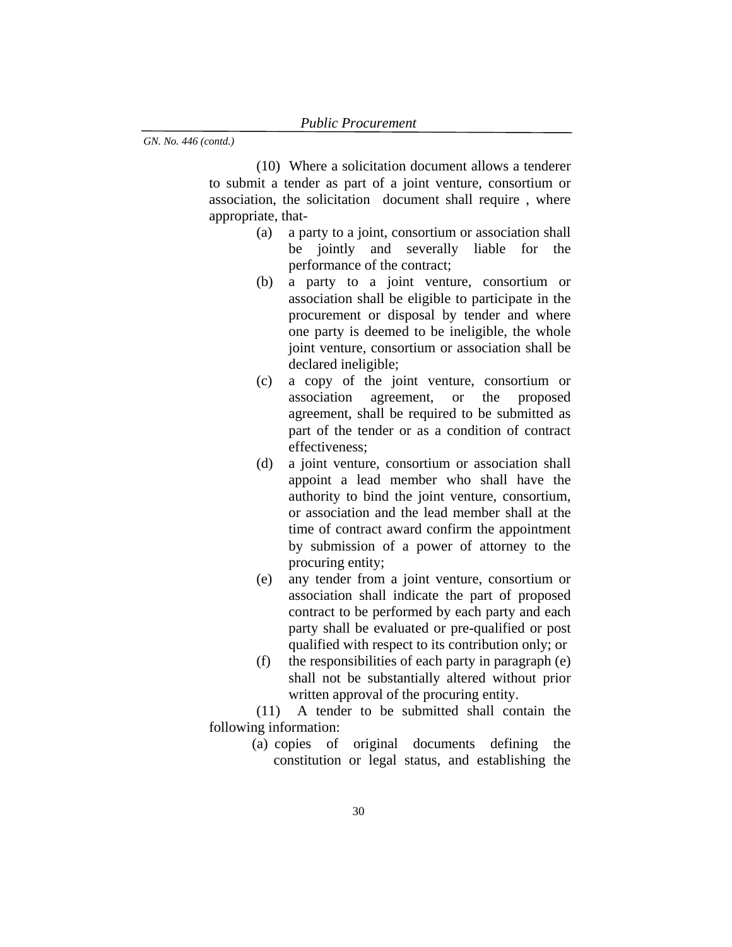(10) Where a solicitation document allows a tenderer to submit a tender as part of a joint venture, consortium or association, the solicitation document shall require , where appropriate, that-

- (a) a party to a joint, consortium or association shall be jointly and severally liable for the performance of the contract;
- (b) a party to a joint venture, consortium or association shall be eligible to participate in the procurement or disposal by tender and where one party is deemed to be ineligible, the whole joint venture, consortium or association shall be declared ineligible;
- (c) a copy of the joint venture, consortium or association agreement, or the proposed agreement, shall be required to be submitted as part of the tender or as a condition of contract effectiveness;
- (d) a joint venture, consortium or association shall appoint a lead member who shall have the authority to bind the joint venture, consortium, or association and the lead member shall at the time of contract award confirm the appointment by submission of a power of attorney to the procuring entity;
- (e) any tender from a joint venture, consortium or association shall indicate the part of proposed contract to be performed by each party and each party shall be evaluated or pre-qualified or post qualified with respect to its contribution only; or
- (f) the responsibilities of each party in paragraph (e) shall not be substantially altered without prior written approval of the procuring entity.

(11) A tender to be submitted shall contain the following information:

> (a) copies of original documents defining the constitution or legal status, and establishing the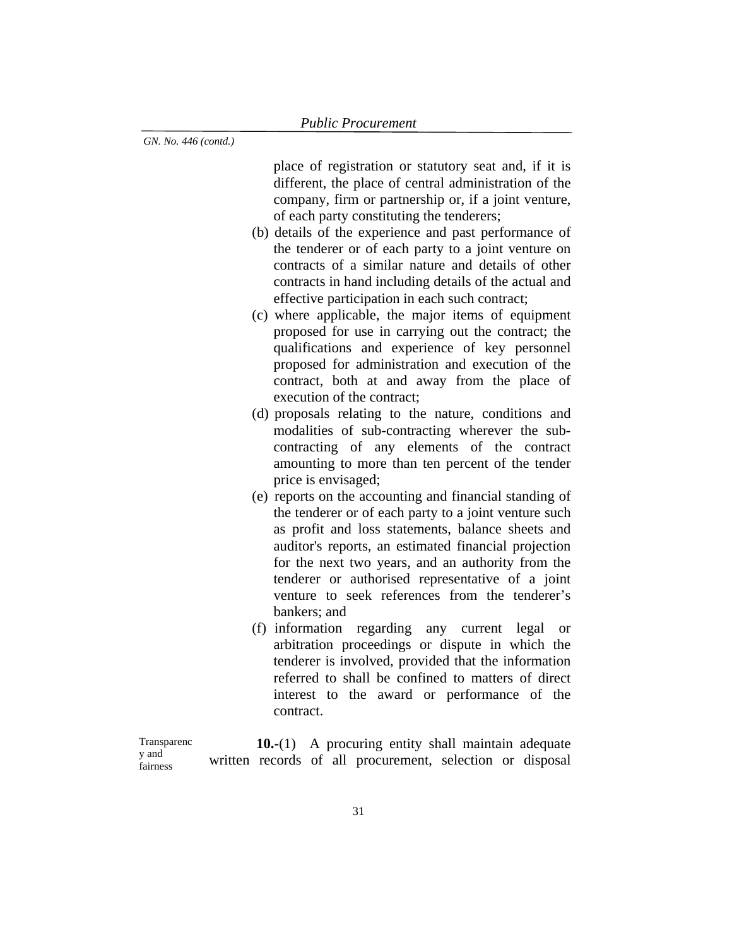place of registration or statutory seat and, if it is different, the place of central administration of the company, firm or partnership or, if a joint venture, of each party constituting the tenderers;

- (b) details of the experience and past performance of the tenderer or of each party to a joint venture on contracts of a similar nature and details of other contracts in hand including details of the actual and effective participation in each such contract;
- (c) where applicable, the major items of equipment proposed for use in carrying out the contract; the qualifications and experience of key personnel proposed for administration and execution of the contract, both at and away from the place of execution of the contract;
- (d) proposals relating to the nature, conditions and modalities of sub-contracting wherever the subcontracting of any elements of the contract amounting to more than ten percent of the tender price is envisaged;
- (e) reports on the accounting and financial standing of the tenderer or of each party to a joint venture such as profit and loss statements, balance sheets and auditor's reports, an estimated financial projection for the next two years, and an authority from the tenderer or authorised representative of a joint venture to seek references from the tenderer's bankers; and
- (f) information regarding any current legal or arbitration proceedings or dispute in which the tenderer is involved, provided that the information referred to shall be confined to matters of direct interest to the award or performance of the contract.

Transparenc y and fairness **10.-**(1)A procuring entity shall maintain adequate written records of all procurement, selection or disposal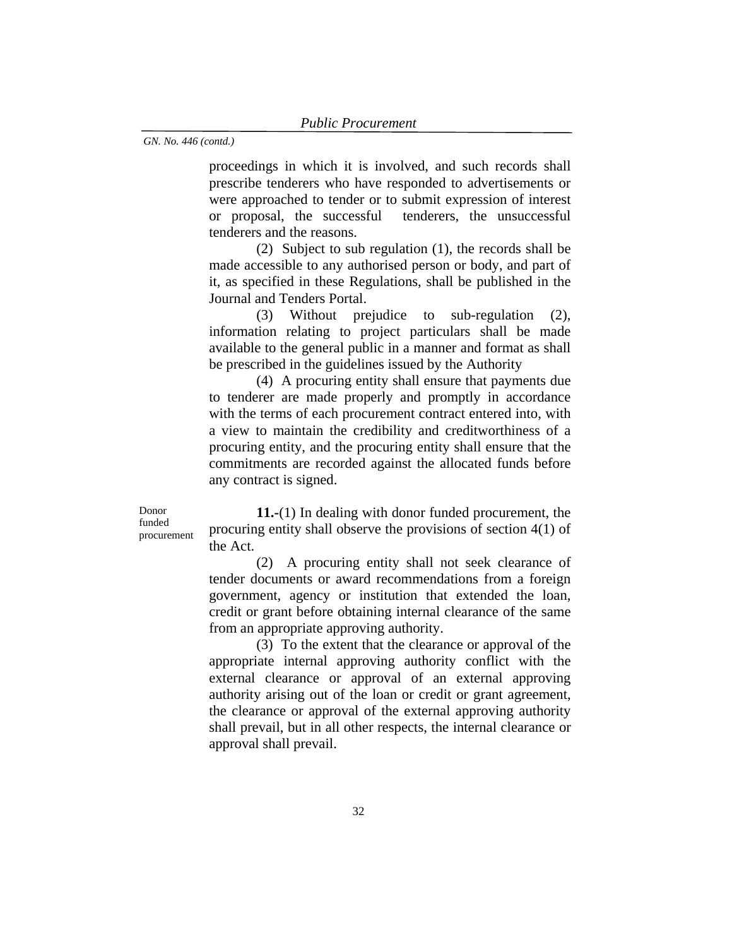proceedings in which it is involved, and such records shall prescribe tenderers who have responded to advertisements or were approached to tender or to submit expression of interest or proposal, the successful tenderers, the unsuccessful tenderers and the reasons.

(2) Subject to sub regulation (1), the records shall be made accessible to any authorised person or body, and part of it, as specified in these Regulations, shall be published in the Journal and Tenders Portal.

(3) Without prejudice to sub-regulation (2), information relating to project particulars shall be made available to the general public in a manner and format as shall be prescribed in the guidelines issued by the Authority

(4) A procuring entity shall ensure that payments due to tenderer are made properly and promptly in accordance with the terms of each procurement contract entered into, with a view to maintain the credibility and creditworthiness of a procuring entity, and the procuring entity shall ensure that the commitments are recorded against the allocated funds before any contract is signed.

Donor funded procurement

**11.-**(1) In dealing with donor funded procurement, the procuring entity shall observe the provisions of section 4(1) of the Act.

(2) A procuring entity shall not seek clearance of tender documents or award recommendations from a foreign government, agency or institution that extended the loan, credit or grant before obtaining internal clearance of the same from an appropriate approving authority.

(3) To the extent that the clearance or approval of the appropriate internal approving authority conflict with the external clearance or approval of an external approving authority arising out of the loan or credit or grant agreement, the clearance or approval of the external approving authority shall prevail, but in all other respects, the internal clearance or approval shall prevail.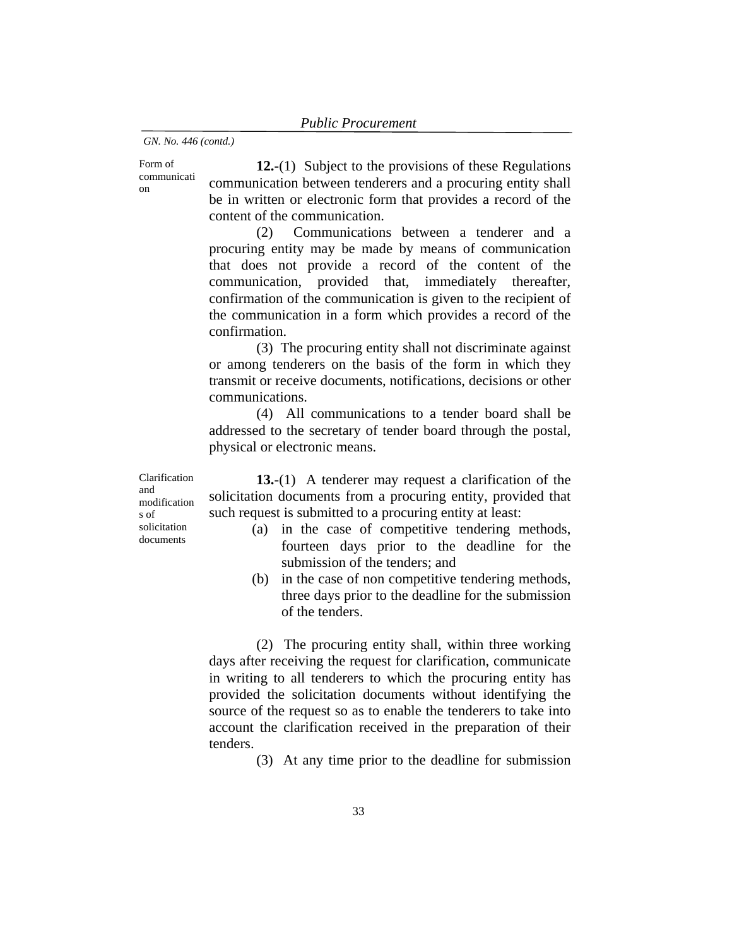Form of

 $\alpha$ 

communicati **12.-**(1) Subject to the provisions of these Regulations communication between tenderers and a procuring entity shall be in written or electronic form that provides a record of the content of the communication.

> (2) Communications between a tenderer and a procuring entity may be made by means of communication that does not provide a record of the content of the communication, provided that, immediately thereafter, confirmation of the communication is given to the recipient of the communication in a form which provides a record of the confirmation.

> (3) The procuring entity shall not discriminate against or among tenderers on the basis of the form in which they transmit or receive documents, notifications, decisions or other communications.

> (4) All communications to a tender board shall be addressed to the secretary of tender board through the postal, physical or electronic means.

Clarification and modification s of solicitation documents

**13.**-(1) A tenderer may request a clarification of the solicitation documents from a procuring entity, provided that such request is submitted to a procuring entity at least:

- (a) in the case of competitive tendering methods, fourteen days prior to the deadline for the submission of the tenders; and
- (b) in the case of non competitive tendering methods, three days prior to the deadline for the submission of the tenders.

(2) The procuring entity shall, within three working days after receiving the request for clarification, communicate in writing to all tenderers to which the procuring entity has provided the solicitation documents without identifying the source of the request so as to enable the tenderers to take into account the clarification received in the preparation of their tenders.

(3) At any time prior to the deadline for submission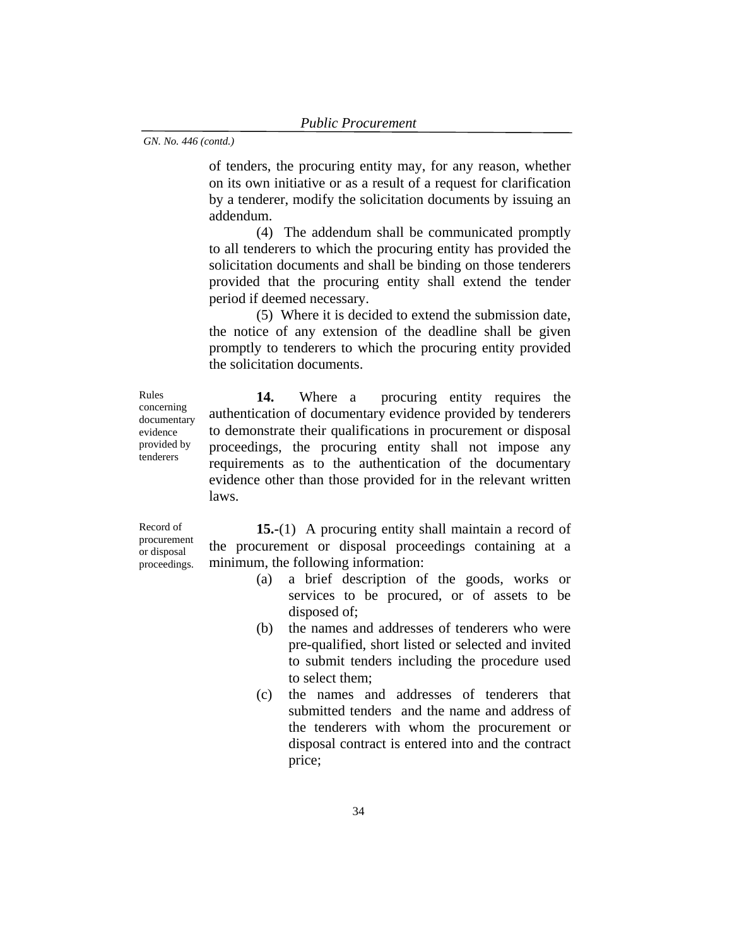of tenders, the procuring entity may, for any reason, whether on its own initiative or as a result of a request for clarification by a tenderer, modify the solicitation documents by issuing an addendum.

(4) The addendum shall be communicated promptly to all tenderers to which the procuring entity has provided the solicitation documents and shall be binding on those tenderers provided that the procuring entity shall extend the tender period if deemed necessary.

(5) Where it is decided to extend the submission date, the notice of any extension of the deadline shall be given promptly to tenderers to which the procuring entity provided the solicitation documents.

**14.** Where a procuring entity requires the authentication of documentary evidence provided by tenderers to demonstrate their qualifications in procurement or disposal proceedings, the procuring entity shall not impose any requirements as to the authentication of the documentary evidence other than those provided for in the relevant written laws.

Record of procurement or disposal proceedings.

Rules concerning documentary evidence provided by tenderers

> **15.-**(1)A procuring entity shall maintain a record of the procurement or disposal proceedings containing at a minimum, the following information:

- (a) a brief description of the goods, works or services to be procured, or of assets to be disposed of;
- (b) the names and addresses of tenderers who were pre-qualified, short listed or selected and invited to submit tenders including the procedure used to select them;
- (c) the names and addresses of tenderers that submitted tenders and the name and address of the tenderers with whom the procurement or disposal contract is entered into and the contract price;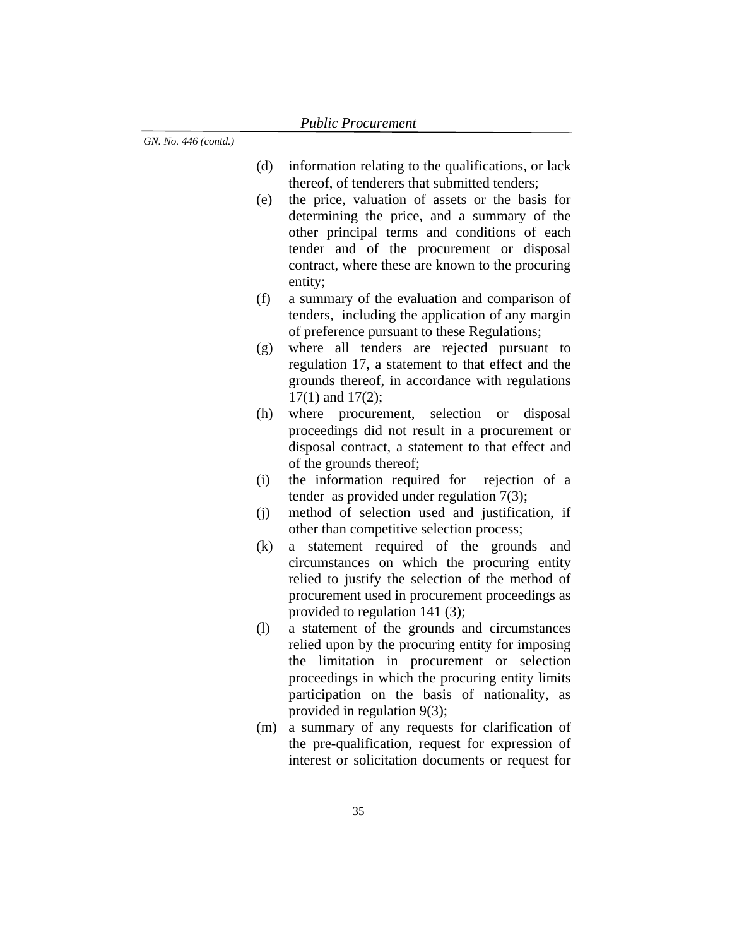- (d) information relating to the qualifications, or lack thereof, of tenderers that submitted tenders;
- (e) the price, valuation of assets or the basis for determining the price, and a summary of the other principal terms and conditions of each tender and of the procurement or disposal contract, where these are known to the procuring entity;
- (f) a summary of the evaluation and comparison of tenders, including the application of any margin of preference pursuant to these Regulations;
- (g) where all tenders are rejected pursuant to regulation 17, a statement to that effect and the grounds thereof, in accordance with regulations 17(1) and 17(2);
- (h) where procurement, selection or disposal proceedings did not result in a procurement or disposal contract, a statement to that effect and of the grounds thereof;
- (i) the information required for rejection of a tender as provided under regulation 7(3);
- (j) method of selection used and justification, if other than competitive selection process;
- (k) a statement required of the grounds and circumstances on which the procuring entity relied to justify the selection of the method of procurement used in procurement proceedings as provided to regulation 141 (3);
- (l) a statement of the grounds and circumstances relied upon by the procuring entity for imposing the limitation in procurement or selection proceedings in which the procuring entity limits participation on the basis of nationality, as provided in regulation 9(3);
- (m) a summary of any requests for clarification of the pre-qualification, request for expression of interest or solicitation documents or request for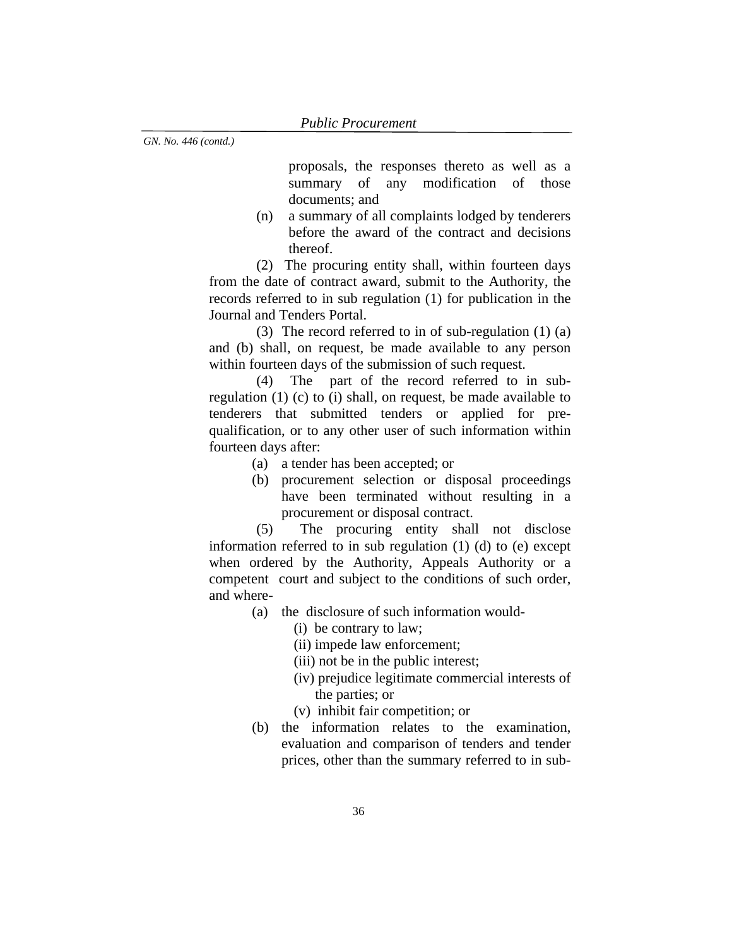proposals, the responses thereto as well as a summary of any modification of those documents; and

(n) a summary of all complaints lodged by tenderers before the award of the contract and decisions thereof.

(2) The procuring entity shall, within fourteen days from the date of contract award, submit to the Authority, the records referred to in sub regulation (1) for publication in the Journal and Tenders Portal.

(3) The record referred to in of sub-regulation (1) (a) and (b) shall, on request, be made available to any person within fourteen days of the submission of such request.

(4) The part of the record referred to in subregulation (1) (c) to (i) shall, on request, be made available to tenderers that submitted tenders or applied for prequalification, or to any other user of such information within fourteen days after:

- (a) a tender has been accepted; or
- (b) procurement selection or disposal proceedings have been terminated without resulting in a procurement or disposal contract.

(5) The procuring entity shall not disclose information referred to in sub regulation (1) (d) to (e) except when ordered by the Authority, Appeals Authority or a competent court and subject to the conditions of such order, and where-

- (a) the disclosure of such information would-
	- (i) be contrary to law;
	- (ii) impede law enforcement;
	- (iii) not be in the public interest;
	- (iv) prejudice legitimate commercial interests of the parties; or
	- (v) inhibit fair competition; or
- (b) the information relates to the examination, evaluation and comparison of tenders and tender prices, other than the summary referred to in sub-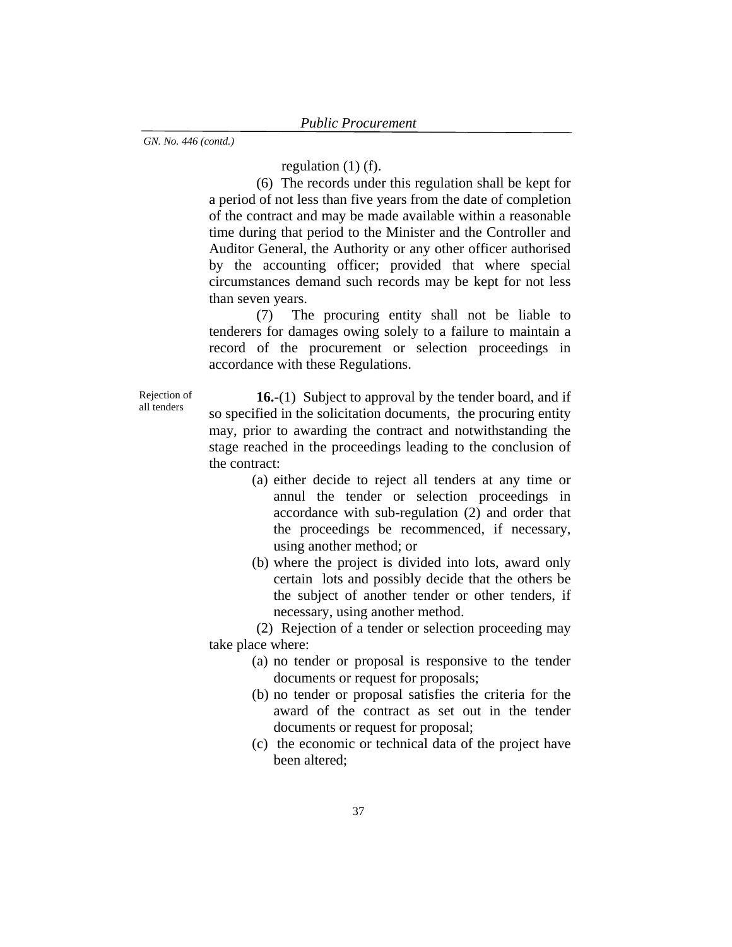regulation (1) (f).

(6) The records under this regulation shall be kept for a period of not less than five years from the date of completion of the contract and may be made available within a reasonable time during that period to the Minister and the Controller and Auditor General, the Authority or any other officer authorised by the accounting officer; provided that where special circumstances demand such records may be kept for not less than seven years.

(7) The procuring entity shall not be liable to tenderers for damages owing solely to a failure to maintain a record of the procurement or selection proceedings in accordance with these Regulations.

Rejection of all tenders

**16.-**(1)Subject to approval by the tender board, and if so specified in the solicitation documents, the procuring entity may, prior to awarding the contract and notwithstanding the stage reached in the proceedings leading to the conclusion of the contract:

- (a) either decide to reject all tenders at any time or annul the tender or selection proceedings in accordance with sub-regulation (2) and order that the proceedings be recommenced, if necessary, using another method; or
- (b) where the project is divided into lots, award only certain lots and possibly decide that the others be the subject of another tender or other tenders, if necessary, using another method.

(2) Rejection of a tender or selection proceeding may take place where:

- (a) no tender or proposal is responsive to the tender documents or request for proposals;
- (b) no tender or proposal satisfies the criteria for the award of the contract as set out in the tender documents or request for proposal;
- (c) the economic or technical data of the project have been altered;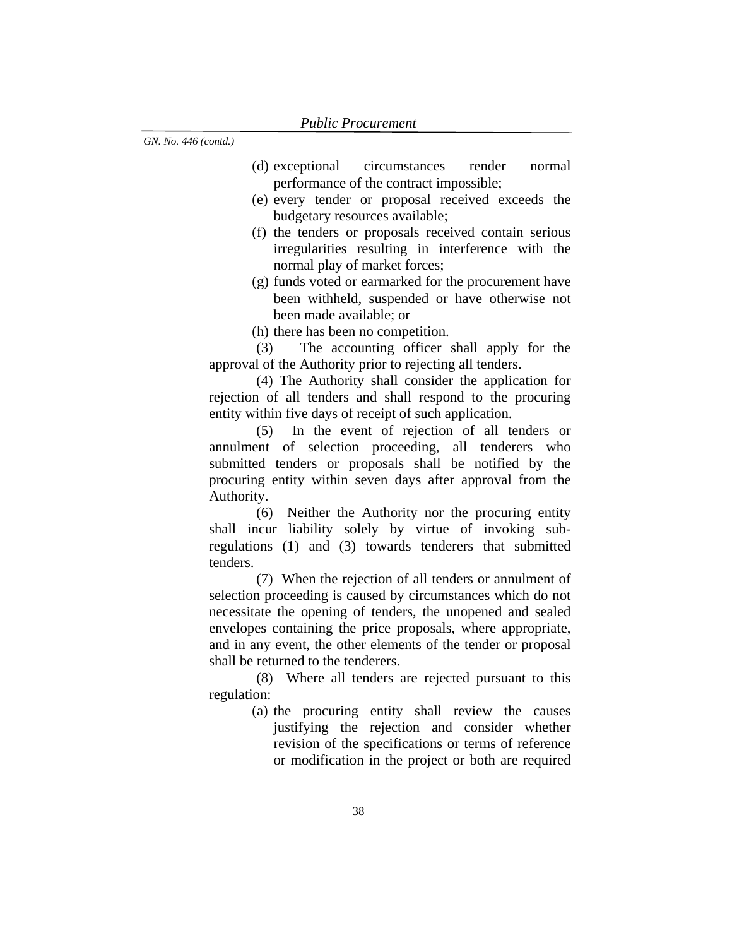- (d) exceptional circumstances render normal performance of the contract impossible;
- (e) every tender or proposal received exceeds the budgetary resources available;
- (f) the tenders or proposals received contain serious irregularities resulting in interference with the normal play of market forces;
- (g) funds voted or earmarked for the procurement have been withheld, suspended or have otherwise not been made available; or
- (h) there has been no competition.

(3) The accounting officer shall apply for the approval of the Authority prior to rejecting all tenders.

(4) The Authority shall consider the application for rejection of all tenders and shall respond to the procuring entity within five days of receipt of such application.

(5) In the event of rejection of all tenders or annulment of selection proceeding, all tenderers who submitted tenders or proposals shall be notified by the procuring entity within seven days after approval from the Authority.

(6) Neither the Authority nor the procuring entity shall incur liability solely by virtue of invoking subregulations (1) and (3) towards tenderers that submitted tenders.

(7) When the rejection of all tenders or annulment of selection proceeding is caused by circumstances which do not necessitate the opening of tenders, the unopened and sealed envelopes containing the price proposals, where appropriate, and in any event, the other elements of the tender or proposal shall be returned to the tenderers.

(8) Where all tenders are rejected pursuant to this regulation:

> (a) the procuring entity shall review the causes justifying the rejection and consider whether revision of the specifications or terms of reference or modification in the project or both are required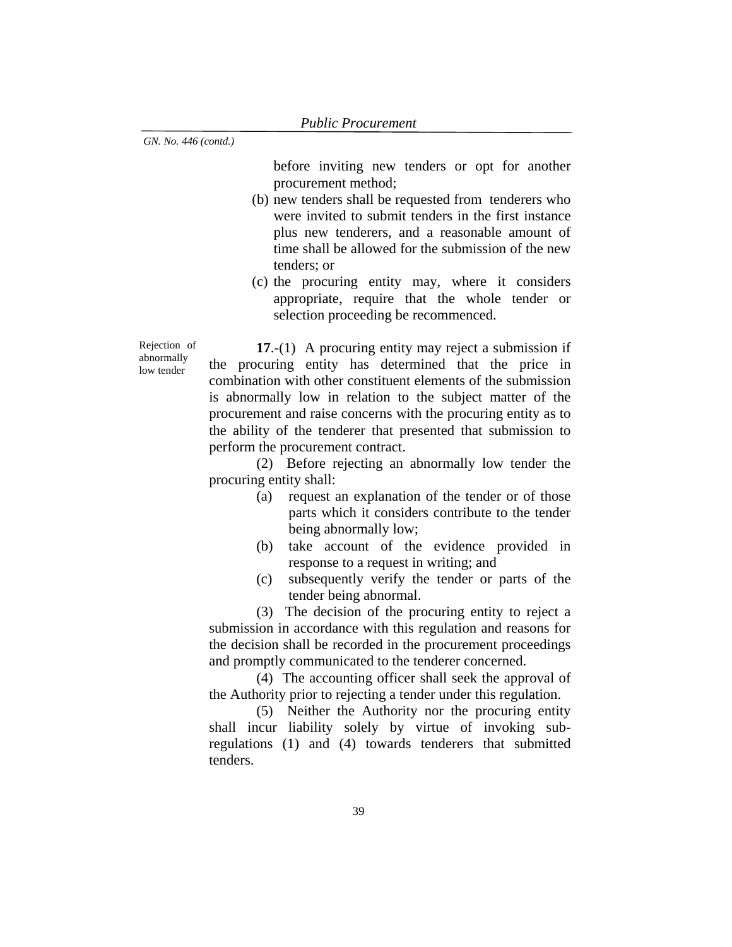before inviting new tenders or opt for another procurement method;

- (b) new tenders shall be requested from tenderers who were invited to submit tenders in the first instance plus new tenderers, and a reasonable amount of time shall be allowed for the submission of the new tenders; or
- (c) the procuring entity may, where it considers appropriate, require that the whole tender or selection proceeding be recommenced.

Rejection of abnormally low tender

**17**.-(1) A procuring entity may reject a submission if the procuring entity has determined that the price in combination with other constituent elements of the submission is abnormally low in relation to the subject matter of the procurement and raise concerns with the procuring entity as to the ability of the tenderer that presented that submission to perform the procurement contract.

(2) Before rejecting an abnormally low tender the procuring entity shall:

- (a) request an explanation of the tender or of those parts which it considers contribute to the tender being abnormally low;
- (b) take account of the evidence provided in response to a request in writing; and
- (c) subsequently verify the tender or parts of the tender being abnormal.

(3) The decision of the procuring entity to reject a submission in accordance with this regulation and reasons for the decision shall be recorded in the procurement proceedings and promptly communicated to the tenderer concerned.

(4) The accounting officer shall seek the approval of the Authority prior to rejecting a tender under this regulation.

(5) Neither the Authority nor the procuring entity shall incur liability solely by virtue of invoking subregulations (1) and (4) towards tenderers that submitted tenders.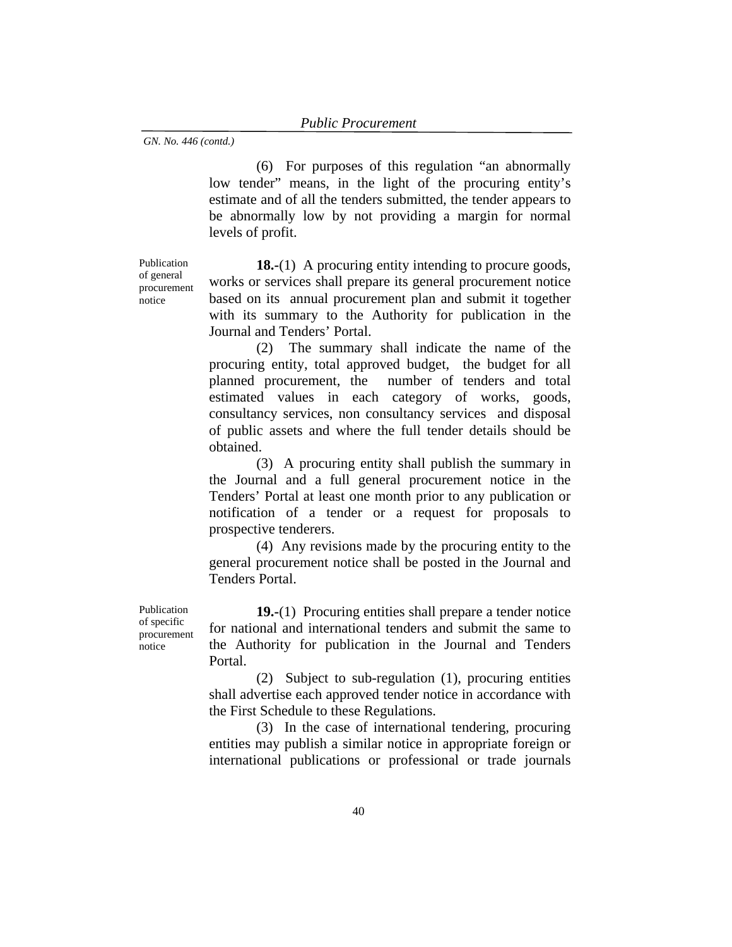(6) For purposes of this regulation "an abnormally low tender" means, in the light of the procuring entity's estimate and of all the tenders submitted, the tender appears to be abnormally low by not providing a margin for normal levels of profit.

Publication of general procurement notice

**18.-**(1) A procuring entity intending to procure goods, works or services shall prepare its general procurement notice based on its annual procurement plan and submit it together with its summary to the Authority for publication in the Journal and Tenders' Portal.

(2) The summary shall indicate the name of the procuring entity, total approved budget, the budget for all planned procurement, the number of tenders and total estimated values in each category of works, goods, consultancy services, non consultancy services and disposal of public assets and where the full tender details should be obtained.

(3) A procuring entity shall publish the summary in the Journal and a full general procurement notice in the Tenders' Portal at least one month prior to any publication or notification of a tender or a request for proposals to prospective tenderers.

(4) Any revisions made by the procuring entity to the general procurement notice shall be posted in the Journal and Tenders Portal.

Publication of specific procurement notice

**19.-**(1) Procuring entities shall prepare a tender notice for national and international tenders and submit the same to the Authority for publication in the Journal and Tenders Portal.

(2) Subject to sub-regulation (1), procuring entities shall advertise each approved tender notice in accordance with the First Schedule to these Regulations.

(3) In the case of international tendering, procuring entities may publish a similar notice in appropriate foreign or international publications or professional or trade journals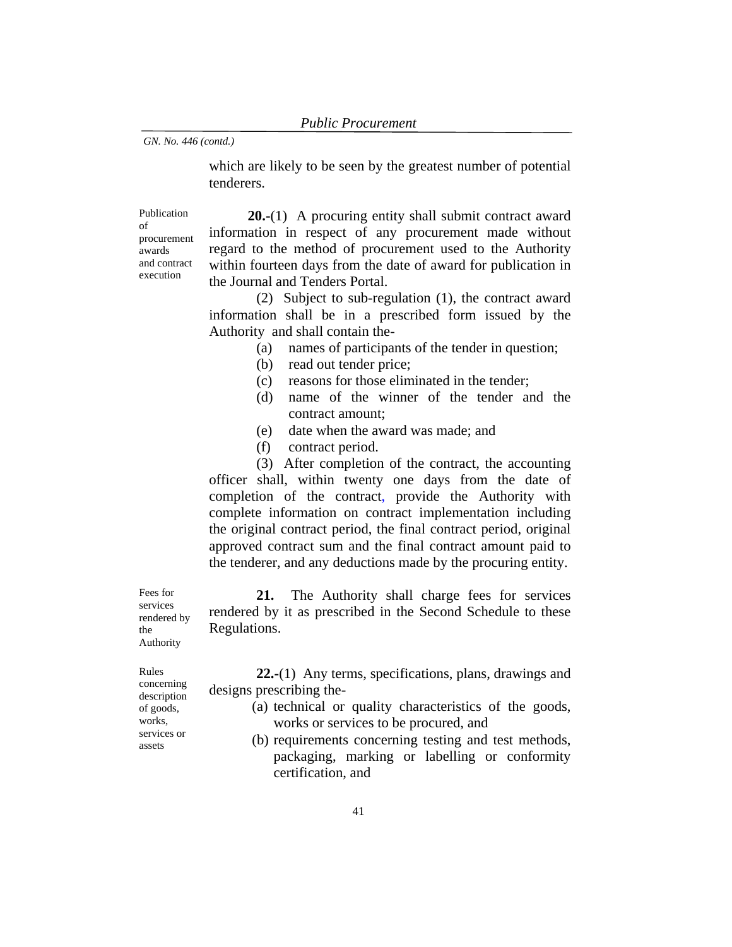which are likely to be seen by the greatest number of potential tenderers.

Publication of procurement awards and contract execution

**20.-**(1) A procuring entity shall submit contract award information in respect of any procurement made without regard to the method of procurement used to the Authority within fourteen days from the date of award for publication in the Journal and Tenders Portal.

(2) Subject to sub-regulation (1), the contract award information shall be in a prescribed form issued by the Authority and shall contain the-

- (a) names of participants of the tender in question;
- (b) read out tender price;
- (c) reasons for those eliminated in the tender;
- (d) name of the winner of the tender and the contract amount;
- (e) date when the award was made; and
- (f) contract period.

(3) After completion of the contract, the accounting officer shall, within twenty one days from the date of completion of the contract, provide the Authority with complete information on contract implementation including the original contract period, the final contract period, original approved contract sum and the final contract amount paid to the tenderer, and any deductions made by the procuring entity.

**21.** The Authority shall charge fees for services rendered by it as prescribed in the Second Schedule to these Regulations.

Rules concerning description of goods, works, services or

assets

Fees for services rendered by the Authority

> **22.-**(1) Any terms, specifications, plans, drawings and designs prescribing the-

- (a) technical or quality characteristics of the goods, works or services to be procured, and
- (b) requirements concerning testing and test methods, packaging, marking or labelling or conformity certification, and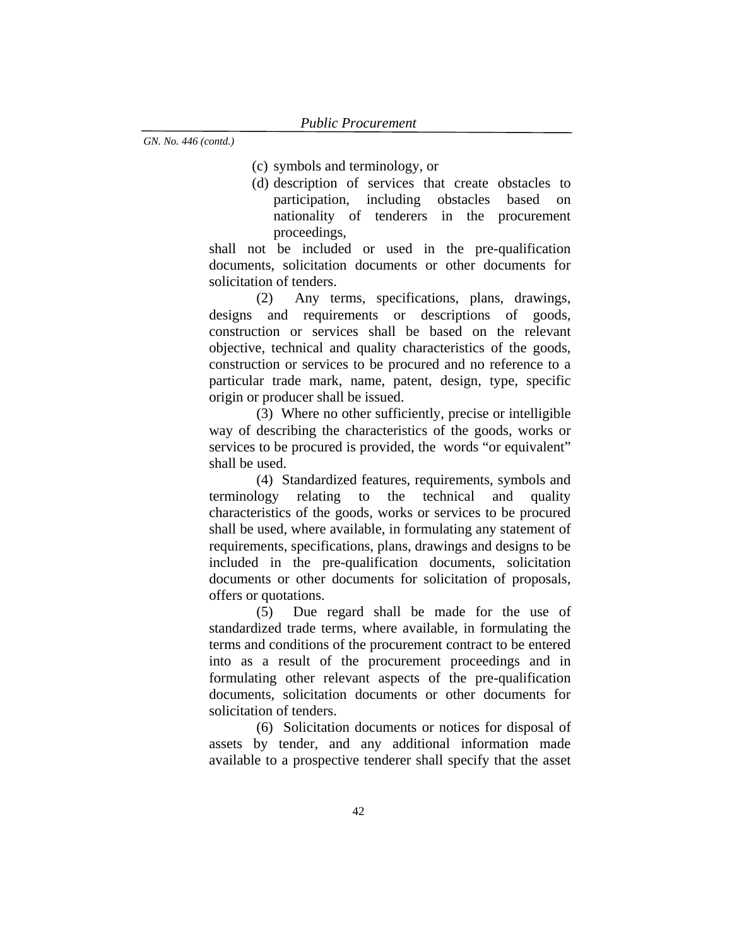### (c) symbols and terminology, or

(d) description of services that create obstacles to participation, including obstacles based on nationality of tenderers in the procurement proceedings,

shall not be included or used in the pre-qualification documents, solicitation documents or other documents for solicitation of tenders.

(2) Any terms, specifications, plans, drawings, designs and requirements or descriptions of goods, construction or services shall be based on the relevant objective, technical and quality characteristics of the goods, construction or services to be procured and no reference to a particular trade mark, name, patent, design, type, specific origin or producer shall be issued.

(3) Where no other sufficiently, precise or intelligible way of describing the characteristics of the goods, works or services to be procured is provided, the words "or equivalent" shall be used.

(4) Standardized features, requirements, symbols and terminology relating to the technical and quality characteristics of the goods, works or services to be procured shall be used, where available, in formulating any statement of requirements, specifications, plans, drawings and designs to be included in the pre-qualification documents, solicitation documents or other documents for solicitation of proposals, offers or quotations.

(5) Due regard shall be made for the use of standardized trade terms, where available, in formulating the terms and conditions of the procurement contract to be entered into as a result of the procurement proceedings and in formulating other relevant aspects of the pre-qualification documents, solicitation documents or other documents for solicitation of tenders.

(6) Solicitation documents or notices for disposal of assets by tender, and any additional information made available to a prospective tenderer shall specify that the asset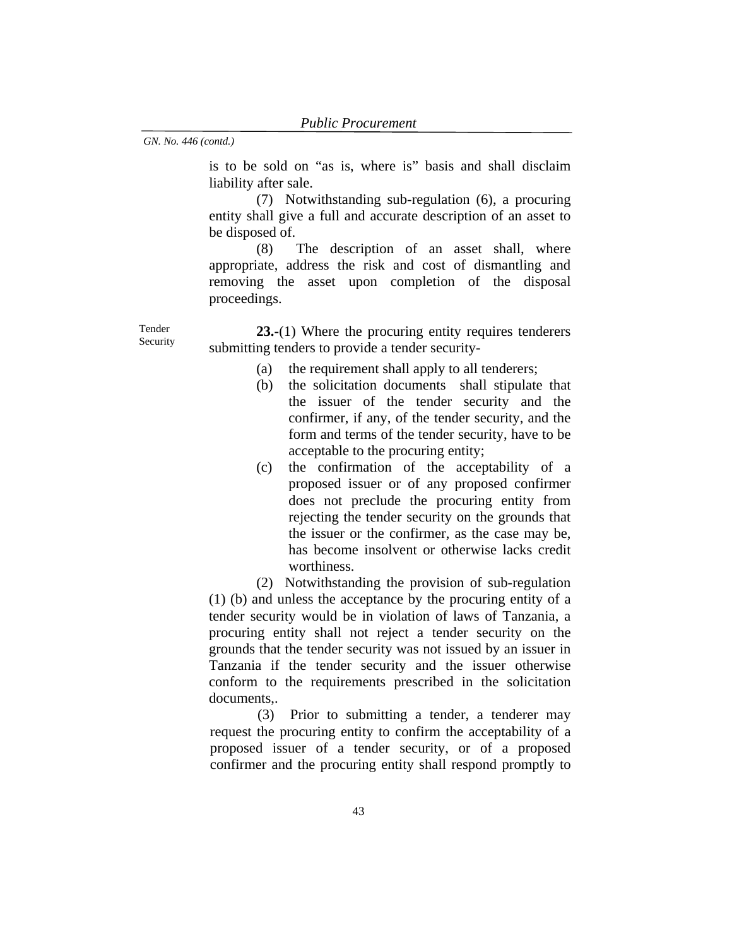is to be sold on "as is, where is" basis and shall disclaim liability after sale.

(7) Notwithstanding sub-regulation (6), a procuring entity shall give a full and accurate description of an asset to be disposed of.

(8) The description of an asset shall, where appropriate, address the risk and cost of dismantling and removing the asset upon completion of the disposal proceedings.

Tender Security

**23.-**(1) Where the procuring entity requires tenderers submitting tenders to provide a tender security-

- (a) the requirement shall apply to all tenderers;
- (b) the solicitation documents shall stipulate that the issuer of the tender security and the confirmer, if any, of the tender security, and the form and terms of the tender security, have to be acceptable to the procuring entity;
- (c) the confirmation of the acceptability of a proposed issuer or of any proposed confirmer does not preclude the procuring entity from rejecting the tender security on the grounds that the issuer or the confirmer, as the case may be, has become insolvent or otherwise lacks credit worthiness.

(2) Notwithstanding the provision of sub-regulation (1) (b) and unless the acceptance by the procuring entity of a tender security would be in violation of laws of Tanzania, a procuring entity shall not reject a tender security on the grounds that the tender security was not issued by an issuer in Tanzania if the tender security and the issuer otherwise conform to the requirements prescribed in the solicitation documents,.

(3) Prior to submitting a tender, a tenderer may request the procuring entity to confirm the acceptability of a proposed issuer of a tender security, or of a proposed confirmer and the procuring entity shall respond promptly to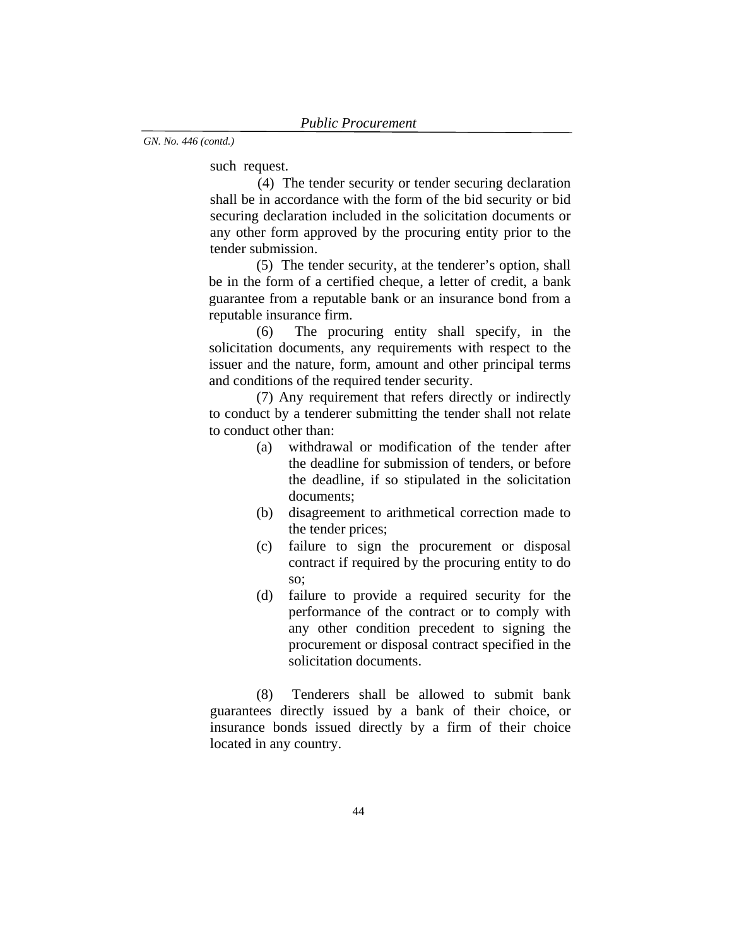such request.

(4) The tender security or tender securing declaration shall be in accordance with the form of the bid security or bid securing declaration included in the solicitation documents or any other form approved by the procuring entity prior to the tender submission.

(5) The tender security, at the tenderer's option, shall be in the form of a certified cheque, a letter of credit, a bank guarantee from a reputable bank or an insurance bond from a reputable insurance firm.

(6) The procuring entity shall specify, in the solicitation documents, any requirements with respect to the issuer and the nature, form, amount and other principal terms and conditions of the required tender security.

(7) Any requirement that refers directly or indirectly to conduct by a tenderer submitting the tender shall not relate to conduct other than:

- (a) withdrawal or modification of the tender after the deadline for submission of tenders, or before the deadline, if so stipulated in the solicitation documents;
- (b) disagreement to arithmetical correction made to the tender prices;
- (c) failure to sign the procurement or disposal contract if required by the procuring entity to do so;
- (d) failure to provide a required security for the performance of the contract or to comply with any other condition precedent to signing the procurement or disposal contract specified in the solicitation documents.

(8) Tenderers shall be allowed to submit bank guarantees directly issued by a bank of their choice, or insurance bonds issued directly by a firm of their choice located in any country.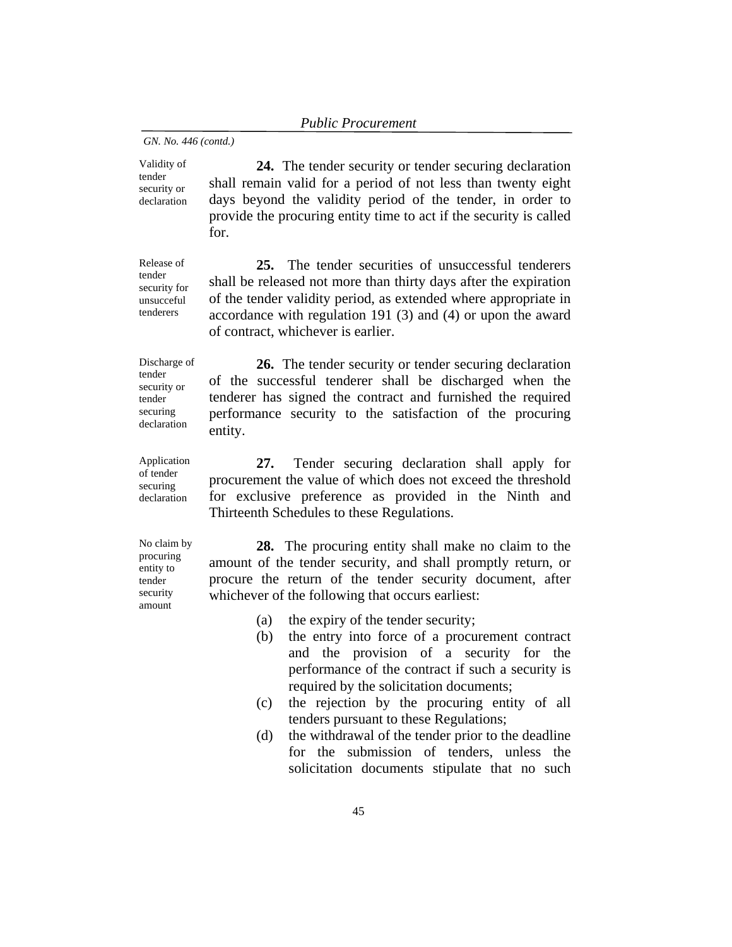Validity of tender security or declaration

**24.** The tender security or tender securing declaration shall remain valid for a period of not less than twenty eight days beyond the validity period of the tender, in order to provide the procuring entity time to act if the security is called for.

Release of tender security for unsucceful tenderers

**25.** The tender securities of unsuccessful tenderers shall be released not more than thirty days after the expiration of the tender validity period, as extended where appropriate in accordance with regulation 191 (3) and (4) or upon the award of contract, whichever is earlier.

Discharge of tender security or tender securing declaration

**26.** The tender security or tender securing declaration of the successful tenderer shall be discharged when the tenderer has signed the contract and furnished the required performance security to the satisfaction of the procuring entity.

Application of tender securing declaration

**27.** Tender securing declaration shall apply for procurement the value of which does not exceed the threshold for exclusive preference as provided in the Ninth and Thirteenth Schedules to these Regulations.

No claim by procuring entity to tender security amount

**28.** The procuring entity shall make no claim to the amount of the tender security, and shall promptly return, or procure the return of the tender security document, after whichever of the following that occurs earliest:

- (a) the expiry of the tender security;
- (b) the entry into force of a procurement contract and the provision of a security for the performance of the contract if such a security is required by the solicitation documents;
- (c) the rejection by the procuring entity of all tenders pursuant to these Regulations;
- (d) the withdrawal of the tender prior to the deadline for the submission of tenders, unless the solicitation documents stipulate that no such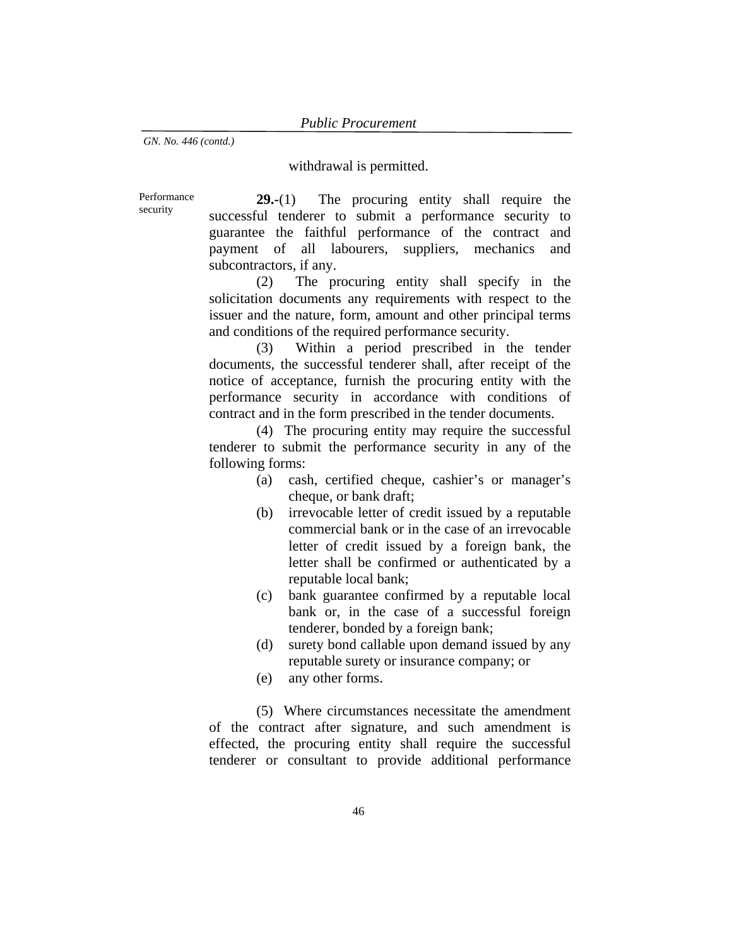## withdrawal is permitted.

Performance security

**29.-**(1) The procuring entity shall require the successful tenderer to submit a performance security to guarantee the faithful performance of the contract and payment of all labourers, suppliers, mechanics and subcontractors, if any.

(2) The procuring entity shall specify in the solicitation documents any requirements with respect to the issuer and the nature, form, amount and other principal terms and conditions of the required performance security.

(3) Within a period prescribed in the tender documents, the successful tenderer shall, after receipt of the notice of acceptance, furnish the procuring entity with the performance security in accordance with conditions of contract and in the form prescribed in the tender documents.

(4) The procuring entity may require the successful tenderer to submit the performance security in any of the following forms:

- (a) cash, certified cheque, cashier's or manager's cheque, or bank draft;
- (b) irrevocable letter of credit issued by a reputable commercial bank or in the case of an irrevocable letter of credit issued by a foreign bank, the letter shall be confirmed or authenticated by a reputable local bank;
- (c) bank guarantee confirmed by a reputable local bank or, in the case of a successful foreign tenderer, bonded by a foreign bank;
- (d) surety bond callable upon demand issued by any reputable surety or insurance company; or
- (e) any other forms.

(5) Where circumstances necessitate the amendment of the contract after signature, and such amendment is effected, the procuring entity shall require the successful tenderer or consultant to provide additional performance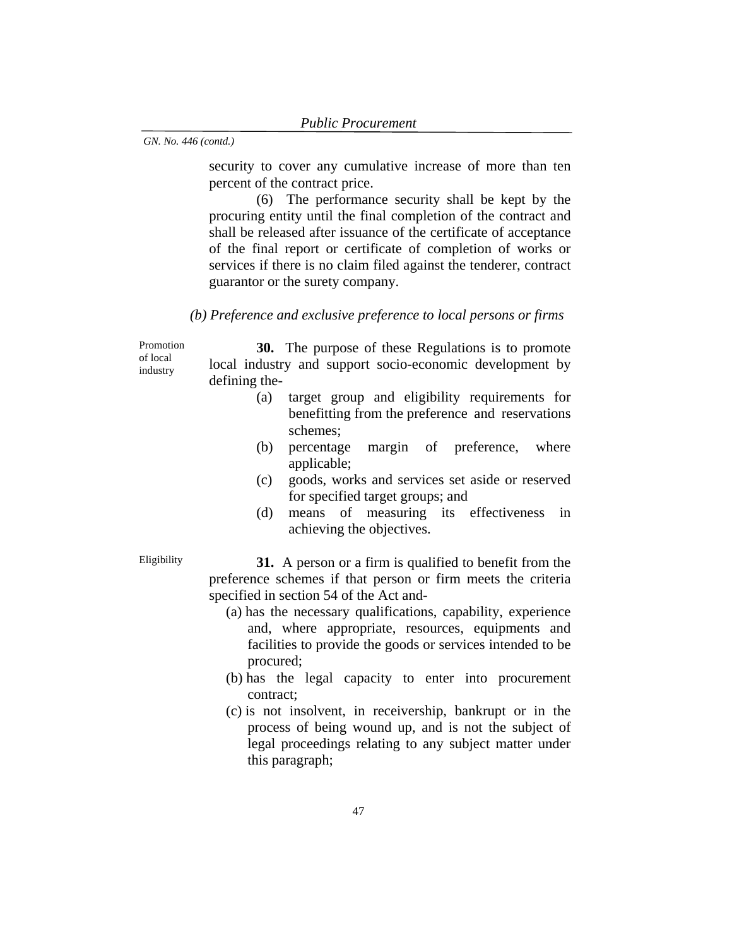security to cover any cumulative increase of more than ten percent of the contract price.

(6) The performance security shall be kept by the procuring entity until the final completion of the contract and shall be released after issuance of the certificate of acceptance of the final report or certificate of completion of works or services if there is no claim filed against the tenderer, contract guarantor or the surety company.

#### *(b) Preference and exclusive preference to local persons or firms*

Promotion of local industry

**30.** The purpose of these Regulations is to promote local industry and support socio-economic development by defining the-

- (a) target group and eligibility requirements for benefitting from the preference and reservations schemes;
- (b) percentage margin of preference, where applicable;
- (c) goods, works and services set aside or reserved for specified target groups; and
- (d) means of measuring its effectiveness in achieving the objectives.

Eligibility **31.** A person or a firm is qualified to benefit from the preference schemes if that person or firm meets the criteria specified in section 54 of the Act and-

- (a) has the necessary qualifications, capability, experience and, where appropriate, resources, equipments and facilities to provide the goods or services intended to be procured;
- (b) has the legal capacity to enter into procurement contract;
- (c) is not insolvent, in receivership, bankrupt or in the process of being wound up, and is not the subject of legal proceedings relating to any subject matter under this paragraph;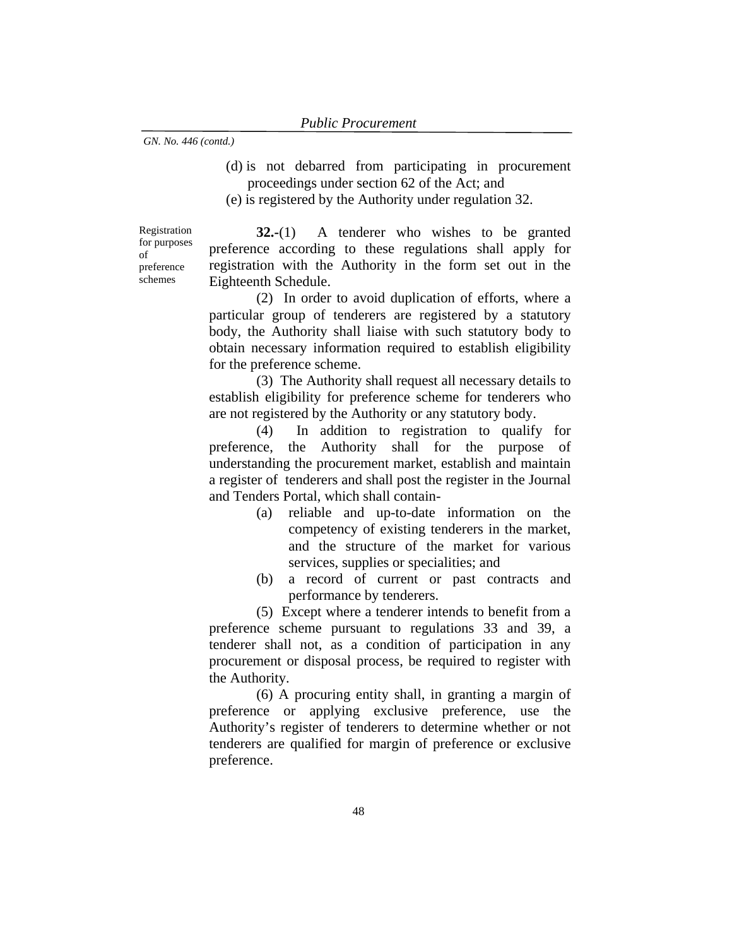- (d) is not debarred from participating in procurement proceedings under section 62 of the Act; and
- (e) is registered by the Authority under regulation 32.

Registration for purposes of preference schemes

**32.-**(1) A tenderer who wishes to be granted preference according to these regulations shall apply for registration with the Authority in the form set out in the Eighteenth Schedule.

(2) In order to avoid duplication of efforts, where a particular group of tenderers are registered by a statutory body, the Authority shall liaise with such statutory body to obtain necessary information required to establish eligibility for the preference scheme.

(3) The Authority shall request all necessary details to establish eligibility for preference scheme for tenderers who are not registered by the Authority or any statutory body.

(4) In addition to registration to qualify for preference, the Authority shall for the purpose of understanding the procurement market, establish and maintain a register of tenderers and shall post the register in the Journal and Tenders Portal, which shall contain-

- (a) reliable and up-to-date information on the competency of existing tenderers in the market, and the structure of the market for various services, supplies or specialities; and
- (b) a record of current or past contracts and performance by tenderers.

(5) Except where a tenderer intends to benefit from a preference scheme pursuant to regulations 33 and 39, a tenderer shall not, as a condition of participation in any procurement or disposal process, be required to register with the Authority.

(6) A procuring entity shall, in granting a margin of preference or applying exclusive preference, use the Authority's register of tenderers to determine whether or not tenderers are qualified for margin of preference or exclusive preference.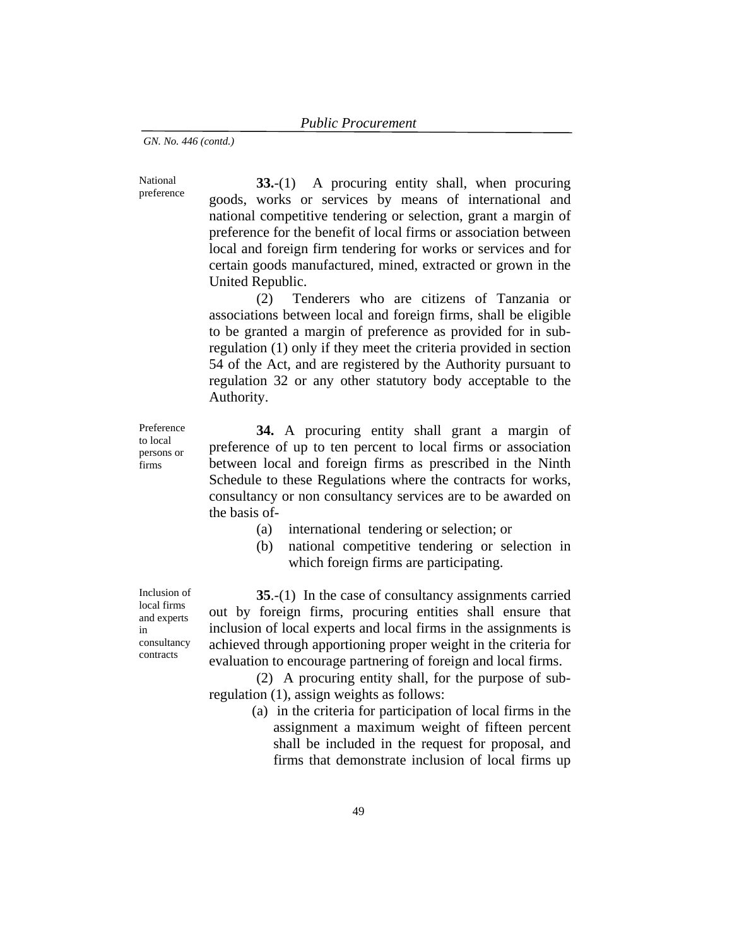National preference

**33.**-(1) A procuring entity shall, when procuring goods, works or services by means of international and national competitive tendering or selection, grant a margin of preference for the benefit of local firms or association between local and foreign firm tendering for works or services and for certain goods manufactured, mined, extracted or grown in the United Republic.

 (2) Tenderers who are citizens of Tanzania or associations between local and foreign firms, shall be eligible to be granted a margin of preference as provided for in subregulation (1) only if they meet the criteria provided in section 54 of the Act, and are registered by the Authority pursuant to regulation 32 or any other statutory body acceptable to the Authority.

**34.** A procuring entity shall grant a margin of preference of up to ten percent to local firms or association between local and foreign firms as prescribed in the Ninth Schedule to these Regulations where the contracts for works, consultancy or non consultancy services are to be awarded on the basis of-

- (a) international tendering or selection; or
- (b) national competitive tendering or selection in which foreign firms are participating.

**35**.-(1) In the case of consultancy assignments carried out by foreign firms, procuring entities shall ensure that inclusion of local experts and local firms in the assignments is achieved through apportioning proper weight in the criteria for evaluation to encourage partnering of foreign and local firms.

 (2) A procuring entity shall, for the purpose of subregulation (1), assign weights as follows:

> (a) in the criteria for participation of local firms in the assignment a maximum weight of fifteen percent shall be included in the request for proposal, and firms that demonstrate inclusion of local firms up

Inclusion of local firms and experts in consultancy contracts

Preference to local persons or firms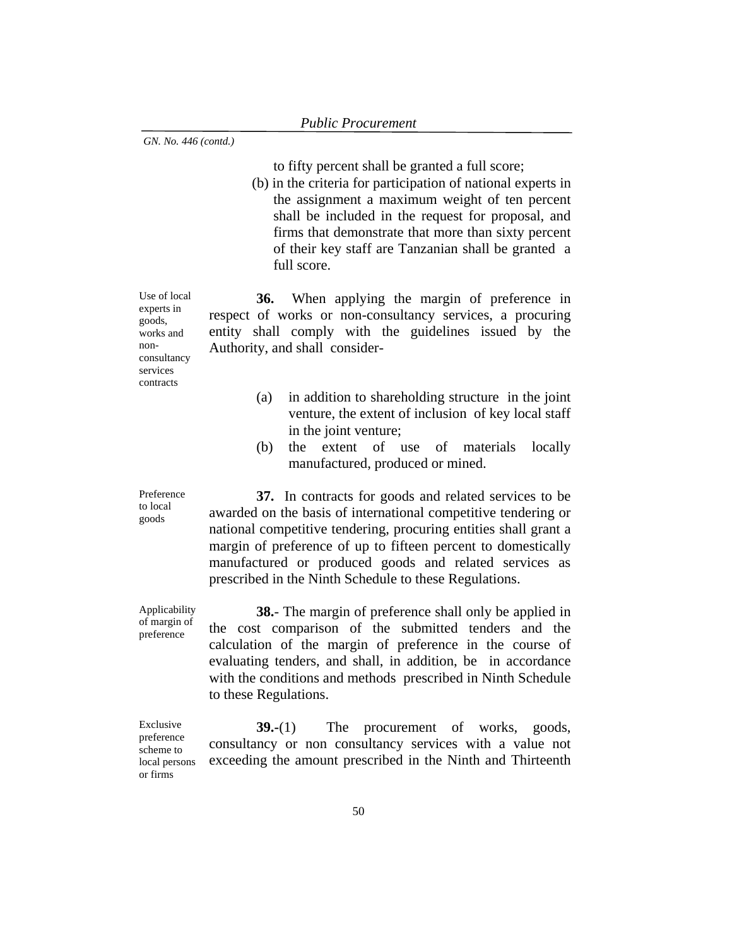to fifty percent shall be granted a full score;

(b) in the criteria for participation of national experts in the assignment a maximum weight of ten percent shall be included in the request for proposal, and firms that demonstrate that more than sixty percent of their key staff are Tanzanian shall be granted a full score.

**36.** When applying the margin of preference in respect of works or non-consultancy services, a procuring entity shall comply with the guidelines issued by the Authority, and shall consider-

- (a) in addition to shareholding structure in the joint venture, the extent of inclusion of key local staff in the joint venture;
- (b) the extent of use of materials locally manufactured, produced or mined.

Preference to local goods

Applicability of margin of preference

**37.** In contracts for goods and related services to be awarded on the basis of international competitive tendering or national competitive tendering, procuring entities shall grant a margin of preference of up to fifteen percent to domestically manufactured or produced goods and related services as prescribed in the Ninth Schedule to these Regulations.

**38.**- The margin of preference shall only be applied in the cost comparison of the submitted tenders and the calculation of the margin of preference in the course of evaluating tenders, and shall, in addition, be in accordance with the conditions and methods prescribed in Ninth Schedule to these Regulations.

Exclusive preference scheme to local persons or firms **39.-**(1)The procurement of works, goods, consultancy or non consultancy services with a value not exceeding the amount prescribed in the Ninth and Thirteenth

Use of local experts in goods, works and nonconsultancy services contracts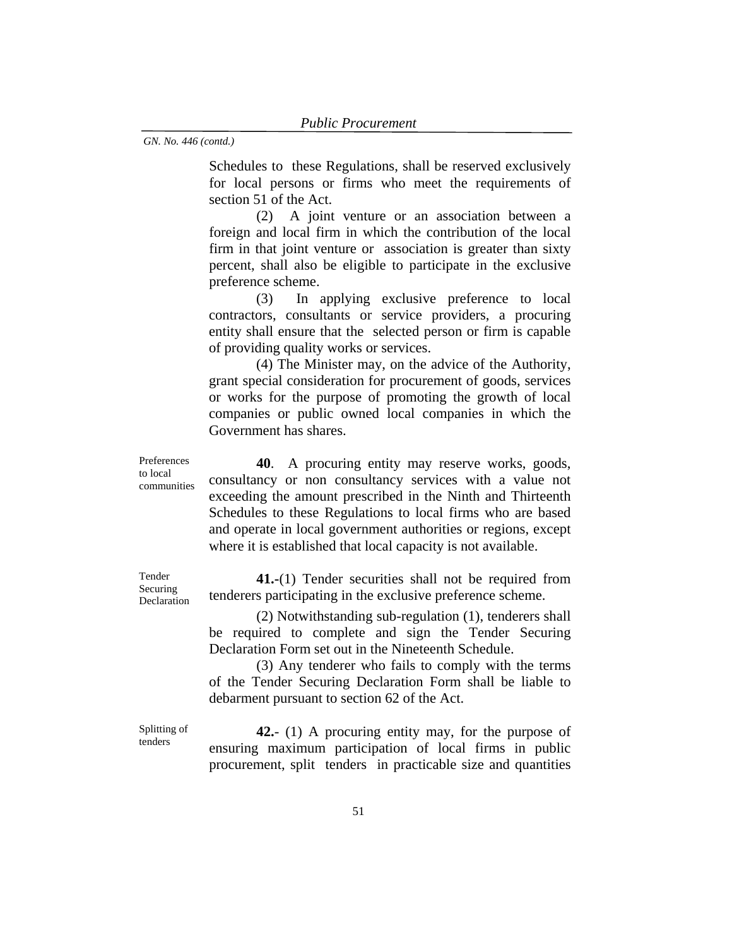Schedules to these Regulations, shall be reserved exclusively for local persons or firms who meet the requirements of section 51 of the Act.

 (2) A joint venture or an association between a foreign and local firm in which the contribution of the local firm in that joint venture or association is greater than sixty percent, shall also be eligible to participate in the exclusive preference scheme.

 (3) In applying exclusive preference to local contractors, consultants or service providers, a procuring entity shall ensure that the selected person or firm is capable of providing quality works or services.

 (4) The Minister may, on the advice of the Authority, grant special consideration for procurement of goods, services or works for the purpose of promoting the growth of local companies or public owned local companies in which the Government has shares.

**40**. A procuring entity may reserve works, goods, consultancy or non consultancy services with a value not exceeding the amount prescribed in the Ninth and Thirteenth Schedules to these Regulations to local firms who are based and operate in local government authorities or regions, except where it is established that local capacity is not available.

Tender Securing Declaration

Preferences to local communities

> **41.-**(1) Tender securities shall not be required from tenderers participating in the exclusive preference scheme.

> (2) Notwithstanding sub-regulation (1), tenderers shall be required to complete and sign the Tender Securing Declaration Form set out in the Nineteenth Schedule.

> (3) Any tenderer who fails to comply with the terms of the Tender Securing Declaration Form shall be liable to debarment pursuant to section 62 of the Act.

Splitting of tenders

**42.**- (1) A procuring entity may, for the purpose of ensuring maximum participation of local firms in public procurement, split tenders in practicable size and quantities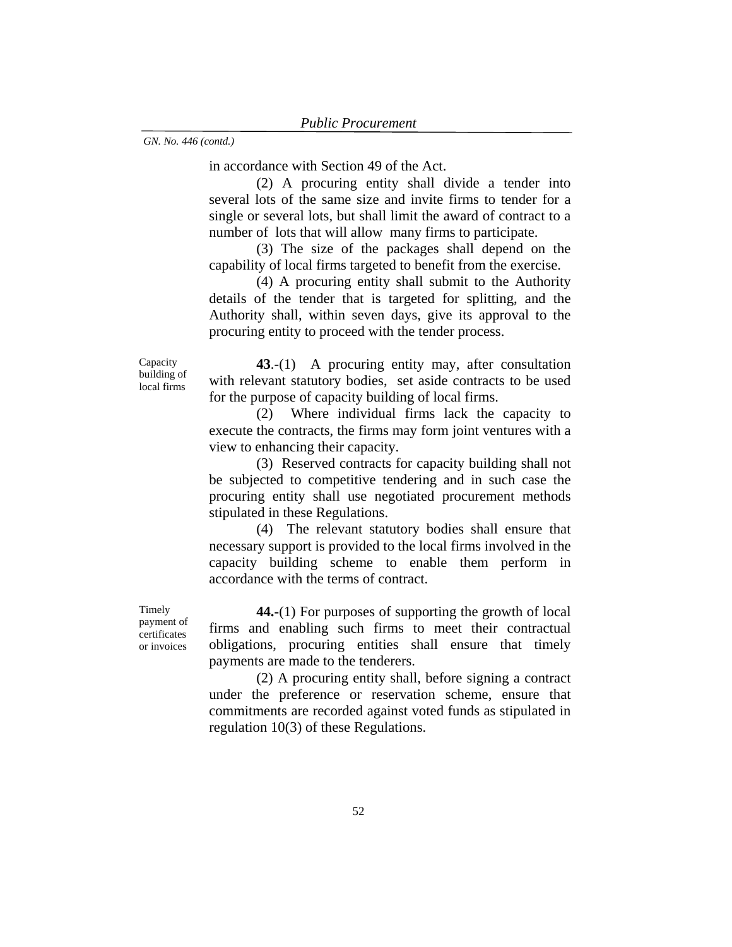in accordance with Section 49 of the Act.

(2) A procuring entity shall divide a tender into several lots of the same size and invite firms to tender for a single or several lots, but shall limit the award of contract to a number of lots that will allow many firms to participate.

(3) The size of the packages shall depend on the capability of local firms targeted to benefit from the exercise.

(4) A procuring entity shall submit to the Authority details of the tender that is targeted for splitting, and the Authority shall, within seven days, give its approval to the procuring entity to proceed with the tender process.

Capacity building of local firms

**43**.-(1) A procuring entity may, after consultation with relevant statutory bodies, set aside contracts to be used for the purpose of capacity building of local firms.

(2) Where individual firms lack the capacity to execute the contracts, the firms may form joint ventures with a view to enhancing their capacity.

(3) Reserved contracts for capacity building shall not be subjected to competitive tendering and in such case the procuring entity shall use negotiated procurement methods stipulated in these Regulations.

 (4) The relevant statutory bodies shall ensure that necessary support is provided to the local firms involved in the capacity building scheme to enable them perform in accordance with the terms of contract.

Timely payment of certificates or invoices

**44.-**(1) For purposes of supporting the growth of local firms and enabling such firms to meet their contractual obligations, procuring entities shall ensure that timely payments are made to the tenderers.

 (2) A procuring entity shall, before signing a contract under the preference or reservation scheme, ensure that commitments are recorded against voted funds as stipulated in regulation 10(3) of these Regulations.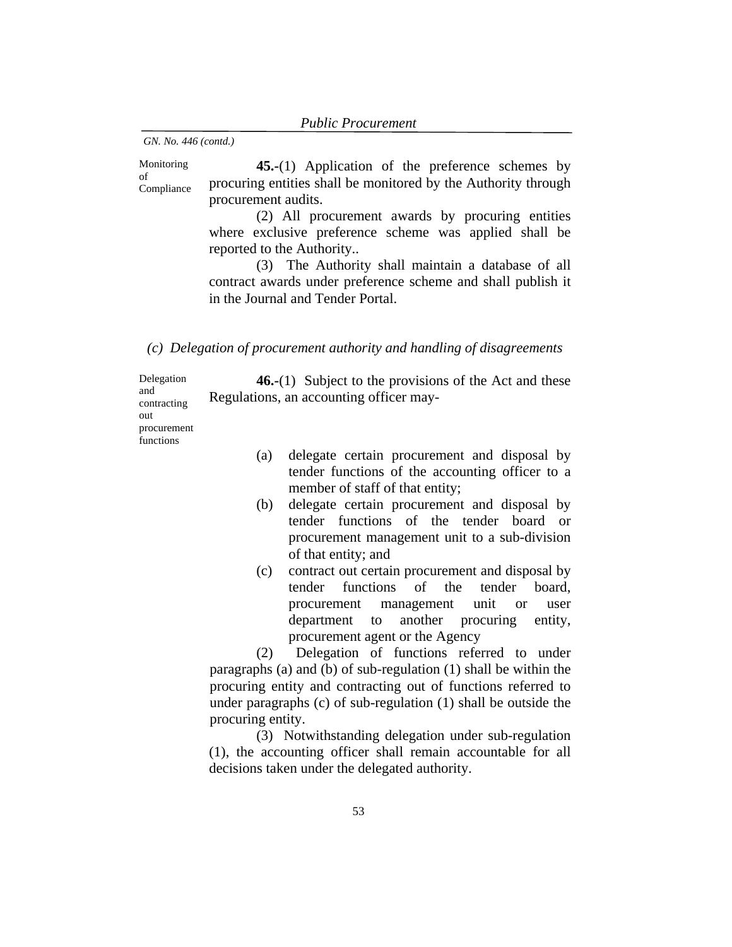of

Monitoring Compliance **45.-**(1) Application of the preference schemes by procuring entities shall be monitored by the Authority through procurement audits.

> (2) All procurement awards by procuring entities where exclusive preference scheme was applied shall be reported to the Authority..

> (3) The Authority shall maintain a database of all contract awards under preference scheme and shall publish it in the Journal and Tender Portal.

## *(c) Delegation of procurement authority and handling of disagreements*

**46.-**(1) Subject to the provisions of the Act and these Regulations, an accounting officer may-

and contracting out procurement functions

Delegation

- (a) delegate certain procurement and disposal by tender functions of the accounting officer to a member of staff of that entity;
- (b) delegate certain procurement and disposal by tender functions of the tender board or procurement management unit to a sub-division of that entity; and
- (c) contract out certain procurement and disposal by tender functions of the tender board, procurement management unit or user department to another procuring entity, procurement agent or the Agency

(2) Delegation of functions referred to under paragraphs (a) and (b) of sub-regulation (1) shall be within the procuring entity and contracting out of functions referred to under paragraphs (c) of sub-regulation (1) shall be outside the procuring entity.

(3) Notwithstanding delegation under sub-regulation (1), the accounting officer shall remain accountable for all decisions taken under the delegated authority.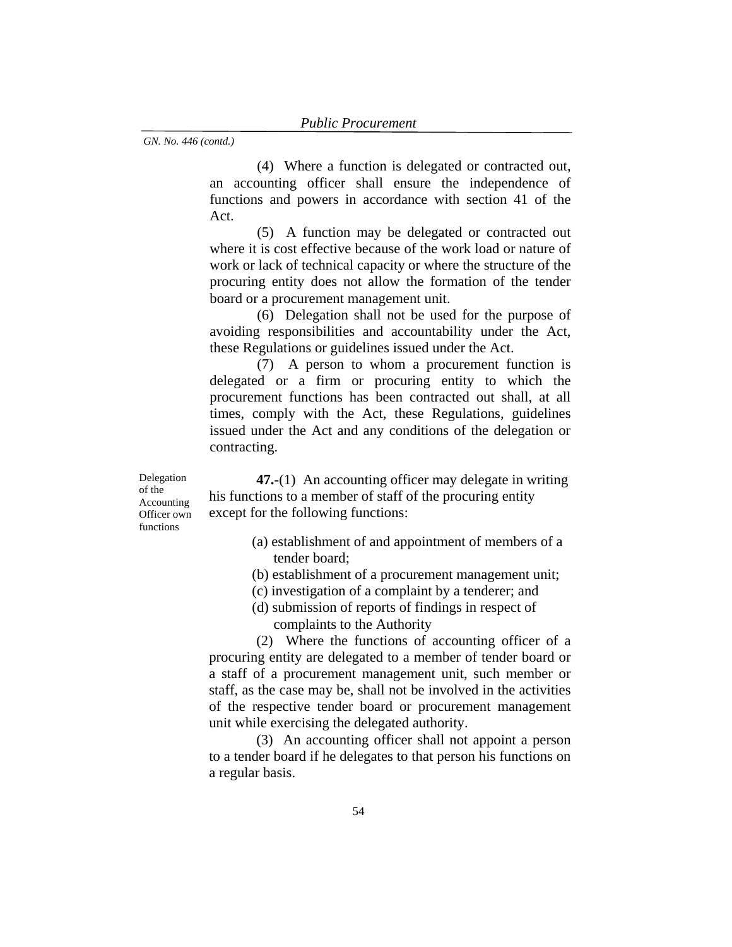(4) Where a function is delegated or contracted out, an accounting officer shall ensure the independence of functions and powers in accordance with section 41 of the Act.

(5) A function may be delegated or contracted out where it is cost effective because of the work load or nature of work or lack of technical capacity or where the structure of the procuring entity does not allow the formation of the tender board or a procurement management unit.

(6) Delegation shall not be used for the purpose of avoiding responsibilities and accountability under the Act, these Regulations or guidelines issued under the Act.

(7) A person to whom a procurement function is delegated or a firm or procuring entity to which the procurement functions has been contracted out shall, at all times, comply with the Act, these Regulations, guidelines issued under the Act and any conditions of the delegation or contracting.

Delegation of the Accounting Officer own functions

**47.-**(1) An accounting officer may delegate in writing his functions to a member of staff of the procuring entity except for the following functions:

- (a) establishment of and appointment of members of a tender board;
- (b) establishment of a procurement management unit;
- (c) investigation of a complaint by a tenderer; and
- (d) submission of reports of findings in respect of complaints to the Authority

(2) Where the functions of accounting officer of a procuring entity are delegated to a member of tender board or a staff of a procurement management unit, such member or staff, as the case may be, shall not be involved in the activities of the respective tender board or procurement management unit while exercising the delegated authority.

(3) An accounting officer shall not appoint a person to a tender board if he delegates to that person his functions on a regular basis.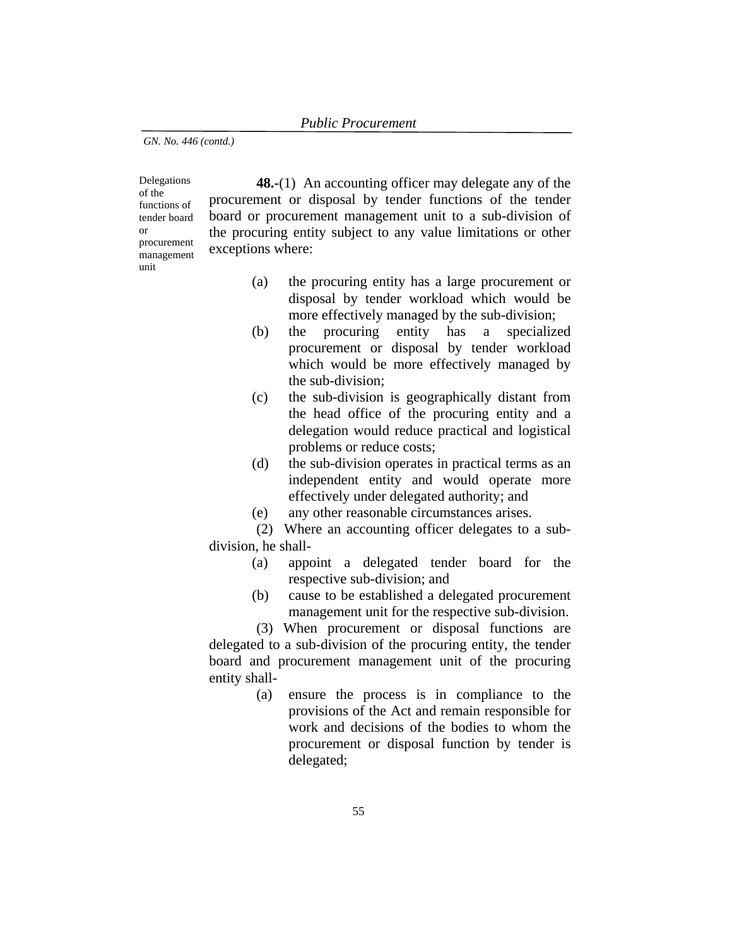**Delegations** of the functions of tender board or procurement management unit

**48.-**(1) An accounting officer may delegate any of the procurement or disposal by tender functions of the tender board or procurement management unit to a sub-division of the procuring entity subject to any value limitations or other exceptions where:

- (a) the procuring entity has a large procurement or disposal by tender workload which would be more effectively managed by the sub-division;
- (b) the procuring entity has a specialized procurement or disposal by tender workload which would be more effectively managed by the sub-division;
- (c) the sub-division is geographically distant from the head office of the procuring entity and a delegation would reduce practical and logistical problems or reduce costs;
- (d) the sub-division operates in practical terms as an independent entity and would operate more effectively under delegated authority; and
- (e) any other reasonable circumstances arises.

(2) Where an accounting officer delegates to a subdivision, he shall-

- (a) appoint a delegated tender board for the respective sub-division; and
- (b) cause to be established a delegated procurement management unit for the respective sub-division.

(3) When procurement or disposal functions are delegated to a sub-division of the procuring entity, the tender board and procurement management unit of the procuring entity shall-

> (a) ensure the process is in compliance to the provisions of the Act and remain responsible for work and decisions of the bodies to whom the procurement or disposal function by tender is delegated;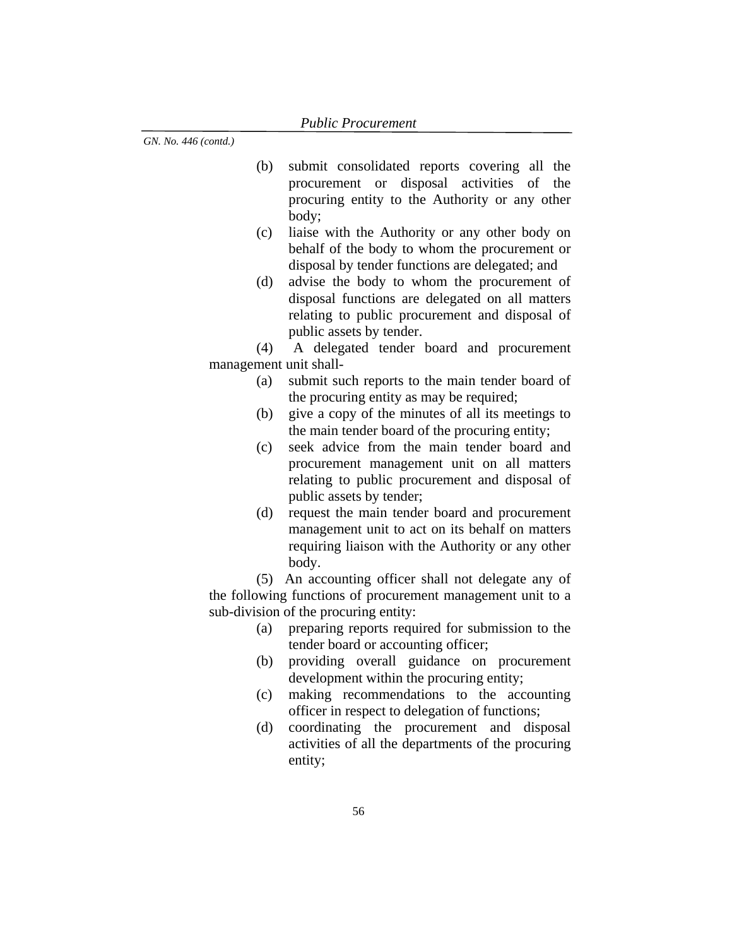- (b) submit consolidated reports covering all the procurement or disposal activities of the procuring entity to the Authority or any other body;
- (c) liaise with the Authority or any other body on behalf of the body to whom the procurement or disposal by tender functions are delegated; and
- (d) advise the body to whom the procurement of disposal functions are delegated on all matters relating to public procurement and disposal of public assets by tender.

(4) A delegated tender board and procurement management unit shall-

- (a) submit such reports to the main tender board of the procuring entity as may be required;
- (b) give a copy of the minutes of all its meetings to the main tender board of the procuring entity;
- (c) seek advice from the main tender board and procurement management unit on all matters relating to public procurement and disposal of public assets by tender;
- (d) request the main tender board and procurement management unit to act on its behalf on matters requiring liaison with the Authority or any other body.

(5) An accounting officer shall not delegate any of the following functions of procurement management unit to a sub-division of the procuring entity:

- (a) preparing reports required for submission to the tender board or accounting officer;
- (b) providing overall guidance on procurement development within the procuring entity;
- (c) making recommendations to the accounting officer in respect to delegation of functions;
- (d) coordinating the procurement and disposal activities of all the departments of the procuring entity;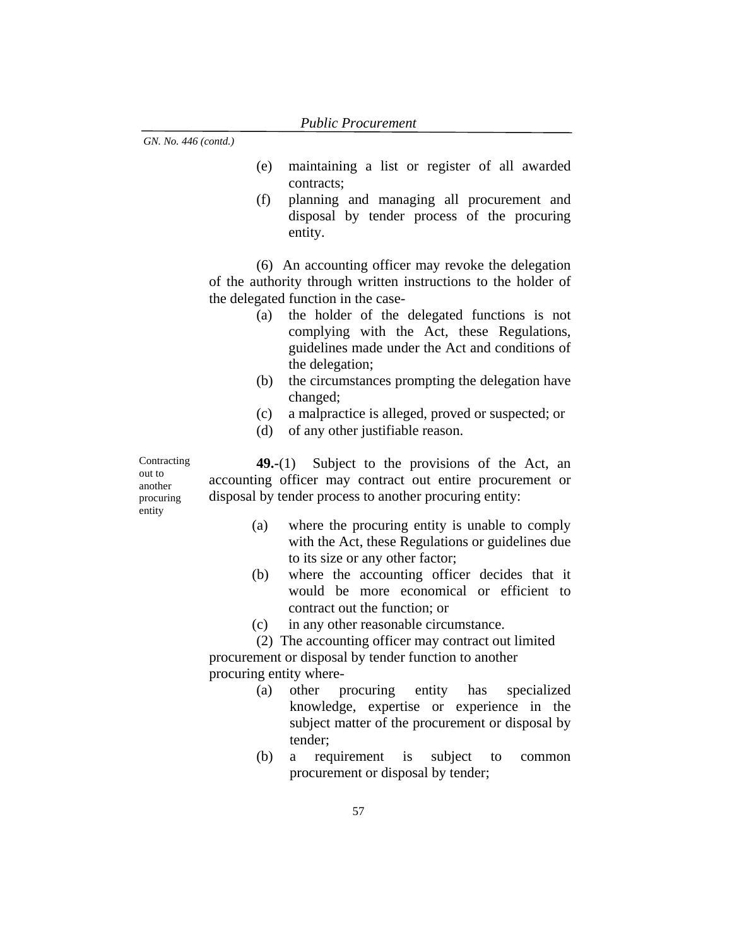- (e) maintaining a list or register of all awarded contracts;
- (f) planning and managing all procurement and disposal by tender process of the procuring entity.

(6) An accounting officer may revoke the delegation of the authority through written instructions to the holder of the delegated function in the case-

- (a) the holder of the delegated functions is not complying with the Act, these Regulations, guidelines made under the Act and conditions of the delegation;
- (b) the circumstances prompting the delegation have changed;
- (c) a malpractice is alleged, proved or suspected; or
- (d) of any other justifiable reason.

**Contracting** out to another procuring entity

**49.-**(1) Subject to the provisions of the Act, an accounting officer may contract out entire procurement or disposal by tender process to another procuring entity:

- (a) where the procuring entity is unable to comply with the Act, these Regulations or guidelines due to its size or any other factor;
- (b) where the accounting officer decides that it would be more economical or efficient to contract out the function; or
- (c) in any other reasonable circumstance.

(2) The accounting officer may contract out limited procurement or disposal by tender function to another procuring entity where-

- (a) other procuring entity has specialized knowledge, expertise or experience in the subject matter of the procurement or disposal by tender;
- (b) a requirement is subject to common procurement or disposal by tender;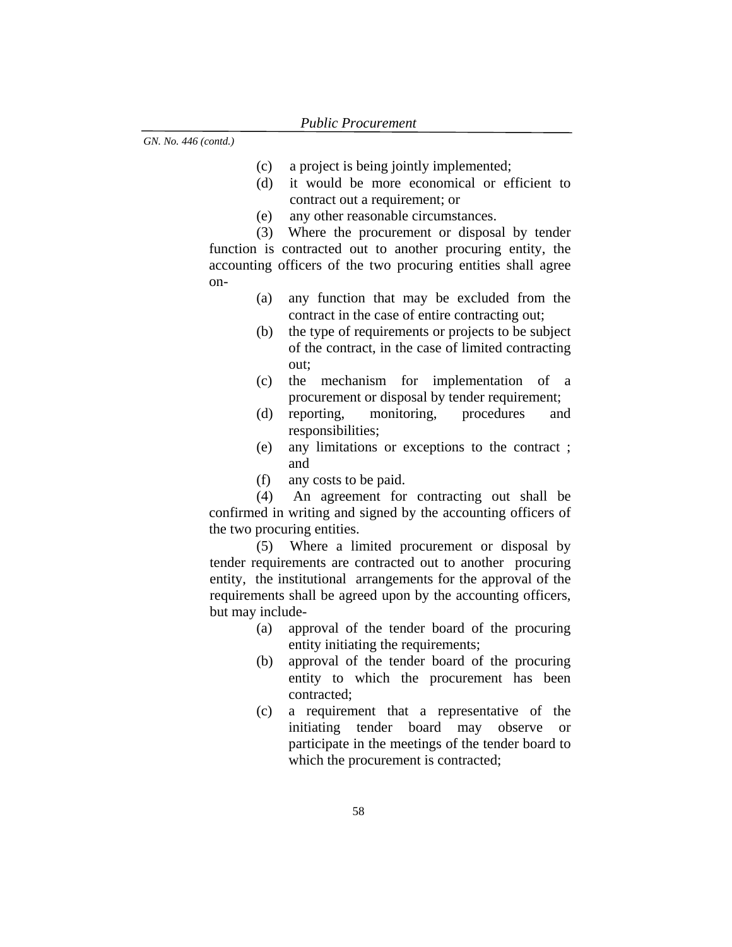- (c) a project is being jointly implemented;
- (d) it would be more economical or efficient to contract out a requirement; or
- (e) any other reasonable circumstances.

(3) Where the procurement or disposal by tender function is contracted out to another procuring entity, the accounting officers of the two procuring entities shall agree on-

- (a) any function that may be excluded from the contract in the case of entire contracting out;
- (b) the type of requirements or projects to be subject of the contract, in the case of limited contracting out;
- (c) the mechanism for implementation of a procurement or disposal by tender requirement;
- (d) reporting, monitoring, procedures and responsibilities;
- (e) any limitations or exceptions to the contract ; and
- (f) any costs to be paid.

(4) An agreement for contracting out shall be confirmed in writing and signed by the accounting officers of the two procuring entities.

(5) Where a limited procurement or disposal by tender requirements are contracted out to another procuring entity, the institutional arrangements for the approval of the requirements shall be agreed upon by the accounting officers, but may include-

- (a) approval of the tender board of the procuring entity initiating the requirements;
- (b) approval of the tender board of the procuring entity to which the procurement has been contracted;
- (c) a requirement that a representative of the initiating tender board may observe or participate in the meetings of the tender board to which the procurement is contracted;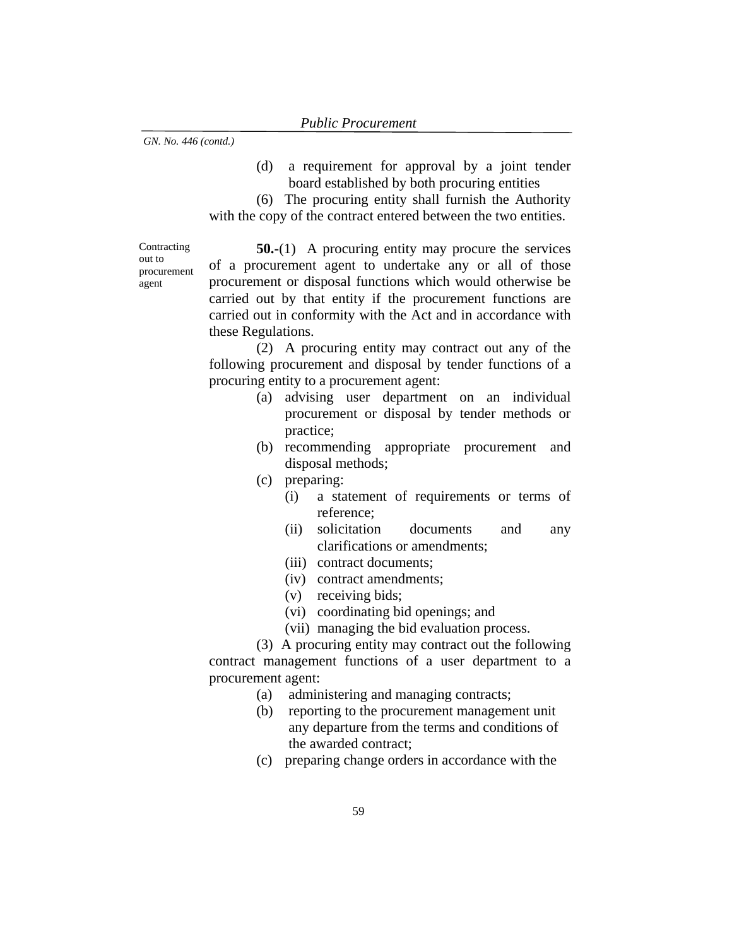(d) a requirement for approval by a joint tender board established by both procuring entities

(6) The procuring entity shall furnish the Authority with the copy of the contract entered between the two entities.

**Contracting** out to procurement agent

**50.-**(1) A procuring entity may procure the services of a procurement agent to undertake any or all of those procurement or disposal functions which would otherwise be carried out by that entity if the procurement functions are carried out in conformity with the Act and in accordance with these Regulations.

(2) A procuring entity may contract out any of the following procurement and disposal by tender functions of a procuring entity to a procurement agent:

- (a) advising user department on an individual procurement or disposal by tender methods or practice;
- (b) recommending appropriate procurement and disposal methods;
- (c) preparing:
	- (i) a statement of requirements or terms of reference;
	- (ii) solicitation documents and any clarifications or amendments;
	- (iii) contract documents;
	- (iv) contract amendments;
	- (v) receiving bids;
	- (vi) coordinating bid openings; and
	- (vii) managing the bid evaluation process.

(3) A procuring entity may contract out the following contract management functions of a user department to a procurement agent:

- (a) administering and managing contracts;
- (b) reporting to the procurement management unit any departure from the terms and conditions of the awarded contract;
- (c) preparing change orders in accordance with the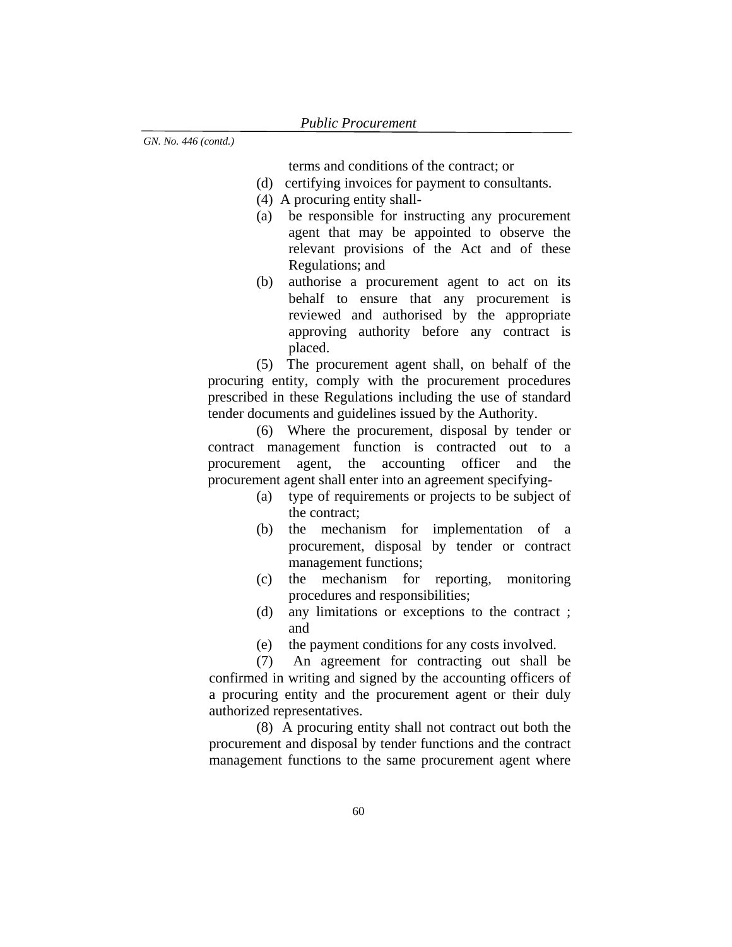terms and conditions of the contract; or

- (d) certifying invoices for payment to consultants.
- (4) A procuring entity shall-
- (a) be responsible for instructing any procurement agent that may be appointed to observe the relevant provisions of the Act and of these Regulations; and
- (b) authorise a procurement agent to act on its behalf to ensure that any procurement is reviewed and authorised by the appropriate approving authority before any contract is placed.

(5) The procurement agent shall, on behalf of the procuring entity, comply with the procurement procedures prescribed in these Regulations including the use of standard tender documents and guidelines issued by the Authority.

(6) Where the procurement, disposal by tender or contract management function is contracted out to a procurement agent, the accounting officer and the procurement agent shall enter into an agreement specifying-

- (a) type of requirements or projects to be subject of the contract;
- (b) the mechanism for implementation of a procurement, disposal by tender or contract management functions;
- (c) the mechanism for reporting, monitoring procedures and responsibilities;
- (d) any limitations or exceptions to the contract ; and
- (e) the payment conditions for any costs involved.

(7) An agreement for contracting out shall be confirmed in writing and signed by the accounting officers of a procuring entity and the procurement agent or their duly authorized representatives.

(8) A procuring entity shall not contract out both the procurement and disposal by tender functions and the contract management functions to the same procurement agent where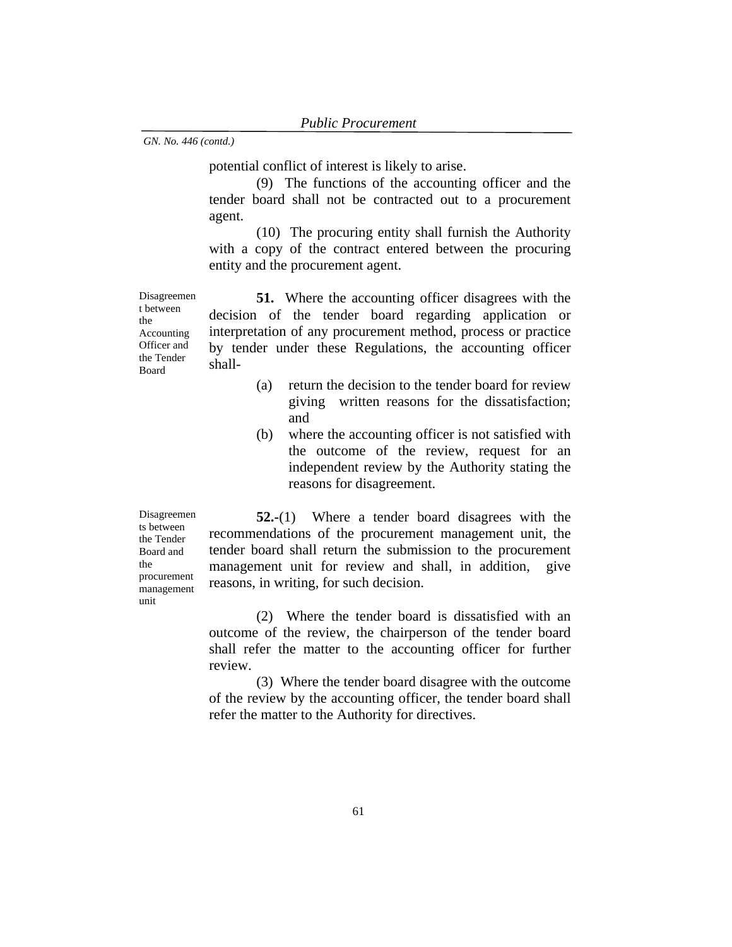potential conflict of interest is likely to arise.

(9) The functions of the accounting officer and the tender board shall not be contracted out to a procurement agent.

(10) The procuring entity shall furnish the Authority with a copy of the contract entered between the procuring entity and the procurement agent.

Disagreemen t between the Accounting Officer and the Tender Board

**51.** Where the accounting officer disagrees with the decision of the tender board regarding application or interpretation of any procurement method, process or practice by tender under these Regulations, the accounting officer shall-

- (a) return the decision to the tender board for review giving written reasons for the dissatisfaction; and
- (b) where the accounting officer is not satisfied with the outcome of the review, request for an independent review by the Authority stating the reasons for disagreement.

Disagreemen ts between the Tender Board and the procurement management unit

**52.-**(1) Where a tender board disagrees with the recommendations of the procurement management unit, the tender board shall return the submission to the procurement management unit for review and shall, in addition, give reasons, in writing, for such decision.

(2) Where the tender board is dissatisfied with an outcome of the review, the chairperson of the tender board shall refer the matter to the accounting officer for further review.

(3) Where the tender board disagree with the outcome of the review by the accounting officer, the tender board shall refer the matter to the Authority for directives.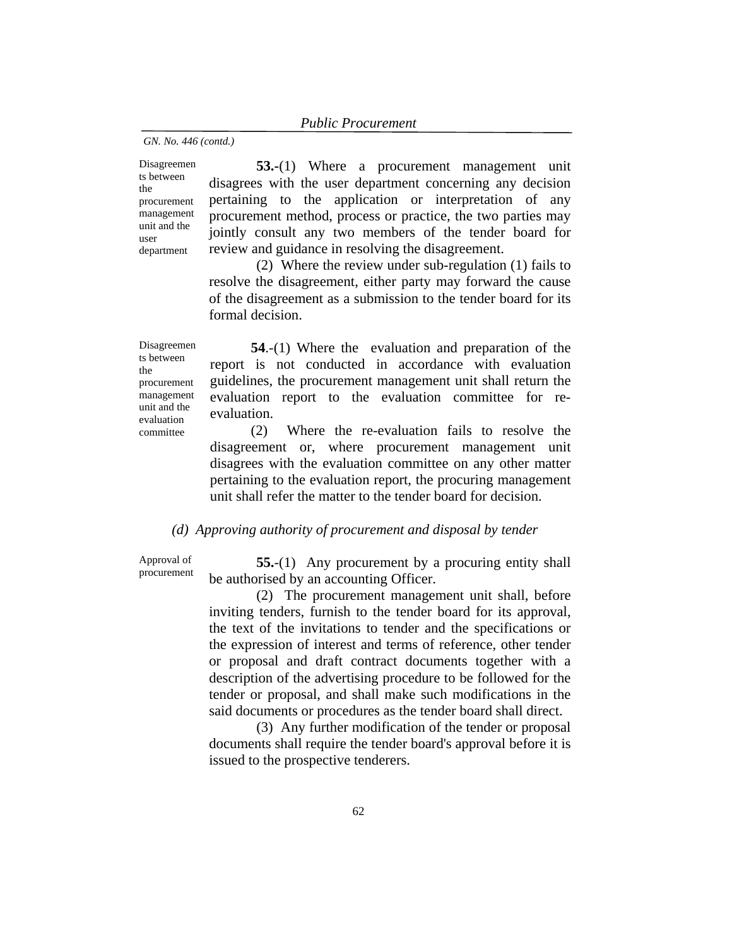Disagreemen ts between the procurement management unit and the user department

**53.-**(1) Where a procurement management unit disagrees with the user department concerning any decision pertaining to the application or interpretation of any procurement method, process or practice, the two parties may jointly consult any two members of the tender board for review and guidance in resolving the disagreement.

(2) Where the review under sub-regulation (1) fails to resolve the disagreement, either party may forward the cause of the disagreement as a submission to the tender board for its formal decision.

Disagreemen ts between the procurement management unit and the evaluation committee

**54**.-(1) Where the evaluation and preparation of the report is not conducted in accordance with evaluation guidelines, the procurement management unit shall return the evaluation report to the evaluation committee for reevaluation.

(2) Where the re-evaluation fails to resolve the disagreement or, where procurement management unit disagrees with the evaluation committee on any other matter pertaining to the evaluation report, the procuring management unit shall refer the matter to the tender board for decision.

#### *(d) Approving authority of procurement and disposal by tender*

Approval of procurement

**55.**-(1) Any procurement by a procuring entity shall be authorised by an accounting Officer.

(2) The procurement management unit shall, before inviting tenders, furnish to the tender board for its approval, the text of the invitations to tender and the specifications or the expression of interest and terms of reference, other tender or proposal and draft contract documents together with a description of the advertising procedure to be followed for the tender or proposal, and shall make such modifications in the said documents or procedures as the tender board shall direct.

(3) Any further modification of the tender or proposal documents shall require the tender board's approval before it is issued to the prospective tenderers.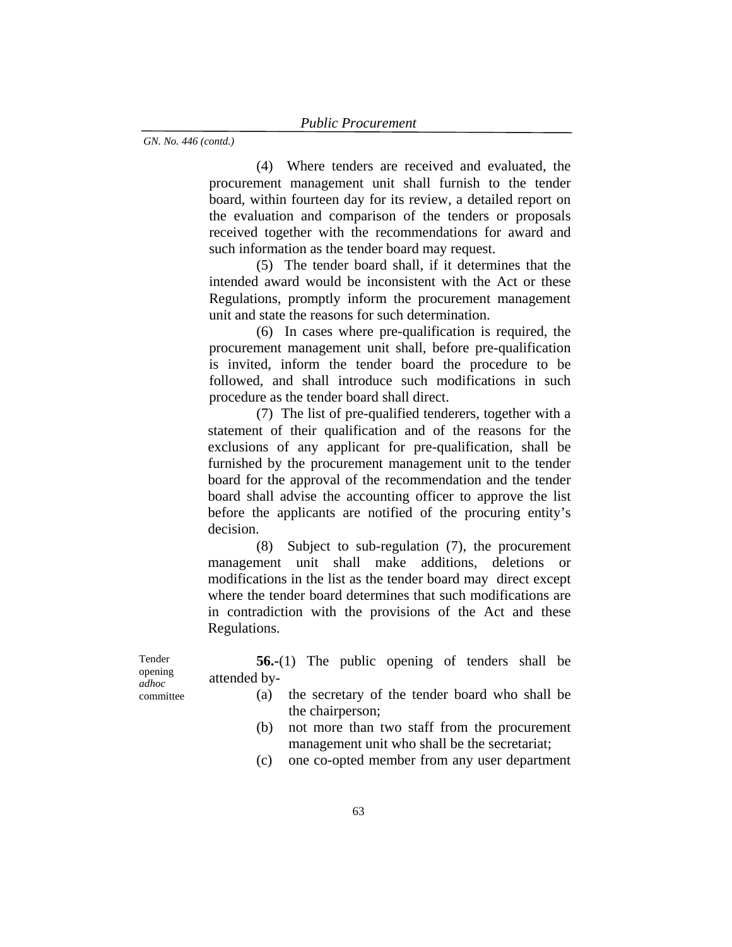(4) Where tenders are received and evaluated, the procurement management unit shall furnish to the tender board, within fourteen day for its review, a detailed report on the evaluation and comparison of the tenders or proposals received together with the recommendations for award and such information as the tender board may request.

(5) The tender board shall, if it determines that the intended award would be inconsistent with the Act or these Regulations, promptly inform the procurement management unit and state the reasons for such determination.

(6) In cases where pre-qualification is required, the procurement management unit shall, before pre-qualification is invited, inform the tender board the procedure to be followed, and shall introduce such modifications in such procedure as the tender board shall direct.

(7) The list of pre-qualified tenderers, together with a statement of their qualification and of the reasons for the exclusions of any applicant for pre-qualification, shall be furnished by the procurement management unit to the tender board for the approval of the recommendation and the tender board shall advise the accounting officer to approve the list before the applicants are notified of the procuring entity's decision.

(8) Subject to sub-regulation (7), the procurement management unit shall make additions, deletions or modifications in the list as the tender board may direct except where the tender board determines that such modifications are in contradiction with the provisions of the Act and these Regulations.

Tender opening *adhoc* committee

**56.-**(1) The public opening of tenders shall be attended by-

- (a) the secretary of the tender board who shall be the chairperson;
- (b) not more than two staff from the procurement management unit who shall be the secretariat;
- (c) one co-opted member from any user department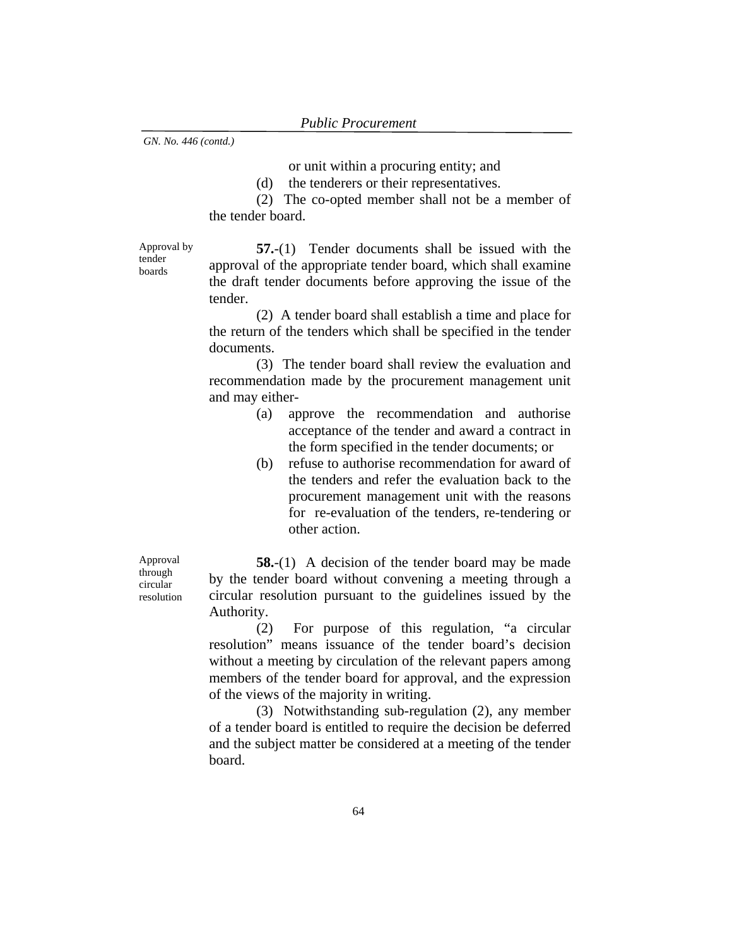or unit within a procuring entity; and

(d) the tenderers or their representatives.

(2) The co-opted member shall not be a member of the tender board.

Approval by tender boards

Approval through circular resolution

**57.**-(1) Tender documents shall be issued with the approval of the appropriate tender board, which shall examine the draft tender documents before approving the issue of the tender.

(2) A tender board shall establish a time and place for the return of the tenders which shall be specified in the tender documents.

(3) The tender board shall review the evaluation and recommendation made by the procurement management unit and may either-

- (a) approve the recommendation and authorise acceptance of the tender and award a contract in the form specified in the tender documents; or
- (b) refuse to authorise recommendation for award of the tenders and refer the evaluation back to the procurement management unit with the reasons for re-evaluation of the tenders, re-tendering or other action.

**58.**-(1) A decision of the tender board may be made by the tender board without convening a meeting through a circular resolution pursuant to the guidelines issued by the Authority.

(2) For purpose of this regulation, "a circular resolution" means issuance of the tender board's decision without a meeting by circulation of the relevant papers among members of the tender board for approval, and the expression of the views of the majority in writing.

(3) Notwithstanding sub-regulation (2), any member of a tender board is entitled to require the decision be deferred and the subject matter be considered at a meeting of the tender board.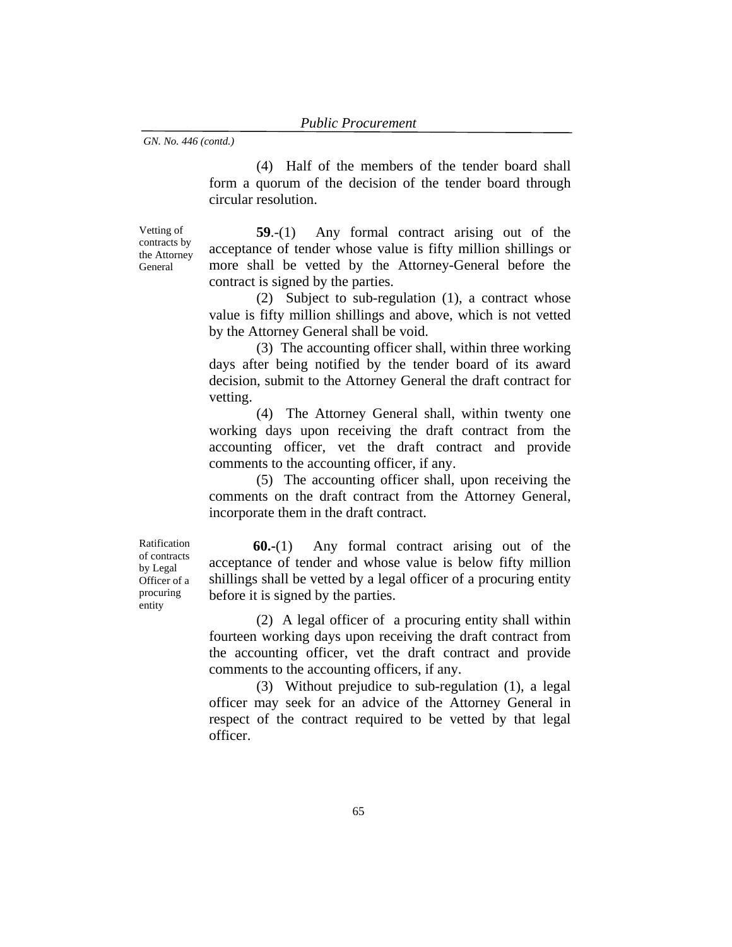(4) Half of the members of the tender board shall form a quorum of the decision of the tender board through circular resolution.

Vetting of contracts by the Attorney General

**59**.-(1) Any formal contract arising out of the acceptance of tender whose value is fifty million shillings or more shall be vetted by the Attorney-General before the contract is signed by the parties.

(2) Subject to sub-regulation (1), a contract whose value is fifty million shillings and above, which is not vetted by the Attorney General shall be void.

(3) The accounting officer shall, within three working days after being notified by the tender board of its award decision, submit to the Attorney General the draft contract for vetting.

(4) The Attorney General shall, within twenty one working days upon receiving the draft contract from the accounting officer, vet the draft contract and provide comments to the accounting officer, if any.

(5) The accounting officer shall, upon receiving the comments on the draft contract from the Attorney General, incorporate them in the draft contract.

Ratification of contracts by Legal Officer of a procuring entity

**60.-**(1) Any formal contract arising out of the acceptance of tender and whose value is below fifty million shillings shall be vetted by a legal officer of a procuring entity before it is signed by the parties.

(2) A legal officer of a procuring entity shall within fourteen working days upon receiving the draft contract from the accounting officer, vet the draft contract and provide comments to the accounting officers, if any.

(3) Without prejudice to sub-regulation (1), a legal officer may seek for an advice of the Attorney General in respect of the contract required to be vetted by that legal officer.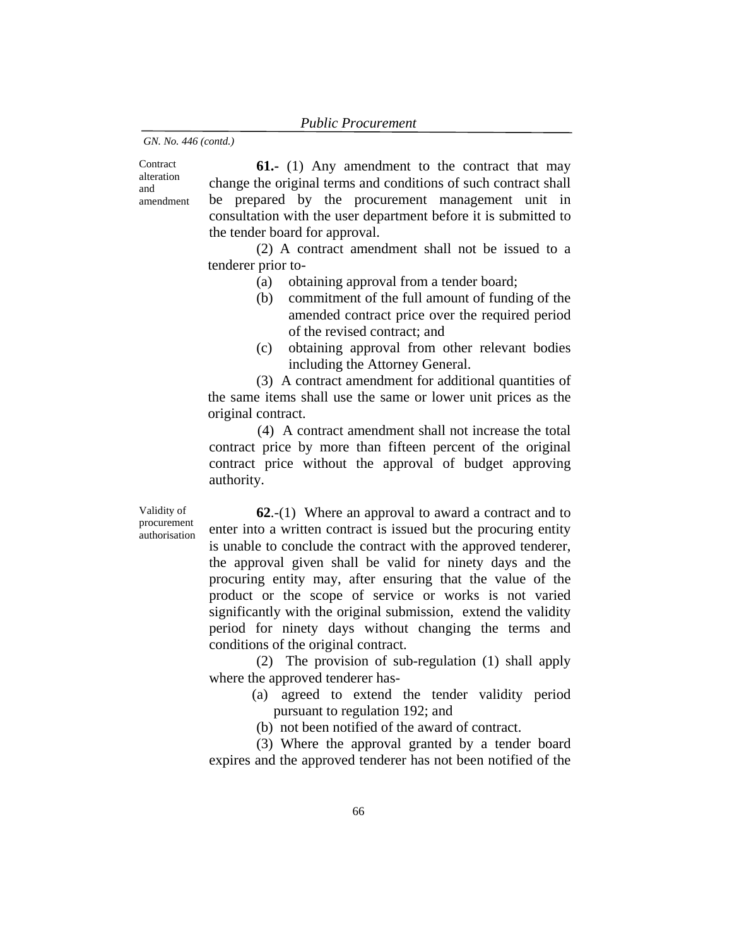alteration and amendment

**Contract** 

**61.-** (1) Any amendment to the contract that may change the original terms and conditions of such contract shall be prepared by the procurement management unit in consultation with the user department before it is submitted to the tender board for approval.

(2) A contract amendment shall not be issued to a tenderer prior to-

- (a) obtaining approval from a tender board;
- (b) commitment of the full amount of funding of the amended contract price over the required period of the revised contract; and
- (c) obtaining approval from other relevant bodies including the Attorney General.

(3) A contract amendment for additional quantities of the same items shall use the same or lower unit prices as the original contract.

(4) A contract amendment shall not increase the total contract price by more than fifteen percent of the original contract price without the approval of budget approving authority.

Validity of procurement authorisation

**62**.-(1)Where an approval to award a contract and to enter into a written contract is issued but the procuring entity is unable to conclude the contract with the approved tenderer, the approval given shall be valid for ninety days and the procuring entity may, after ensuring that the value of the product or the scope of service or works is not varied significantly with the original submission, extend the validity period for ninety days without changing the terms and conditions of the original contract.

(2) The provision of sub-regulation (1) shall apply where the approved tenderer has-

> (a) agreed to extend the tender validity period pursuant to regulation 192; and

(b) not been notified of the award of contract.

(3) Where the approval granted by a tender board expires and the approved tenderer has not been notified of the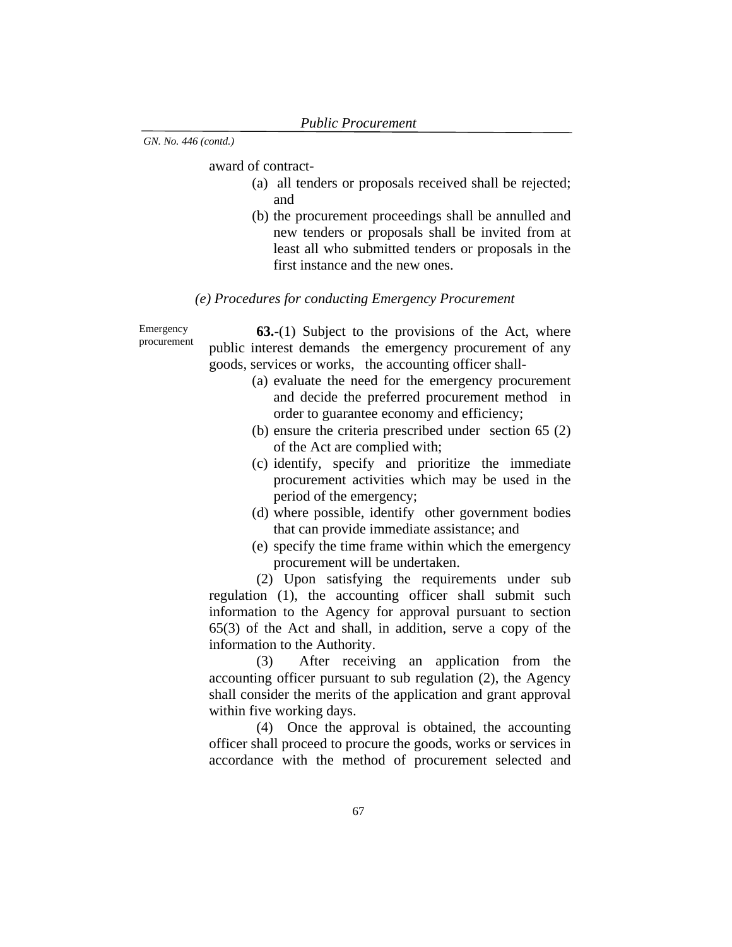award of contract-

- (a) all tenders or proposals received shall be rejected; and
- (b) the procurement proceedings shall be annulled and new tenders or proposals shall be invited from at least all who submitted tenders or proposals in the first instance and the new ones.

# *(e) Procedures for conducting Emergency Procurement*

Emergency procurement **63.**-(1) Subject to the provisions of the Act, where public interest demands the emergency procurement of any goods, services or works, the accounting officer shall-

- (a) evaluate the need for the emergency procurement and decide the preferred procurement method in order to guarantee economy and efficiency;
- (b) ensure the criteria prescribed under section 65 (2) of the Act are complied with;
- (c) identify, specify and prioritize the immediate procurement activities which may be used in the period of the emergency;
- (d) where possible, identify other government bodies that can provide immediate assistance; and
- (e) specify the time frame within which the emergency procurement will be undertaken.

(2) Upon satisfying the requirements under sub regulation (1), the accounting officer shall submit such information to the Agency for approval pursuant to section 65(3) of the Act and shall, in addition, serve a copy of the information to the Authority.

(3) After receiving an application from the accounting officer pursuant to sub regulation (2), the Agency shall consider the merits of the application and grant approval within five working days.

(4) Once the approval is obtained, the accounting officer shall proceed to procure the goods, works or services in accordance with the method of procurement selected and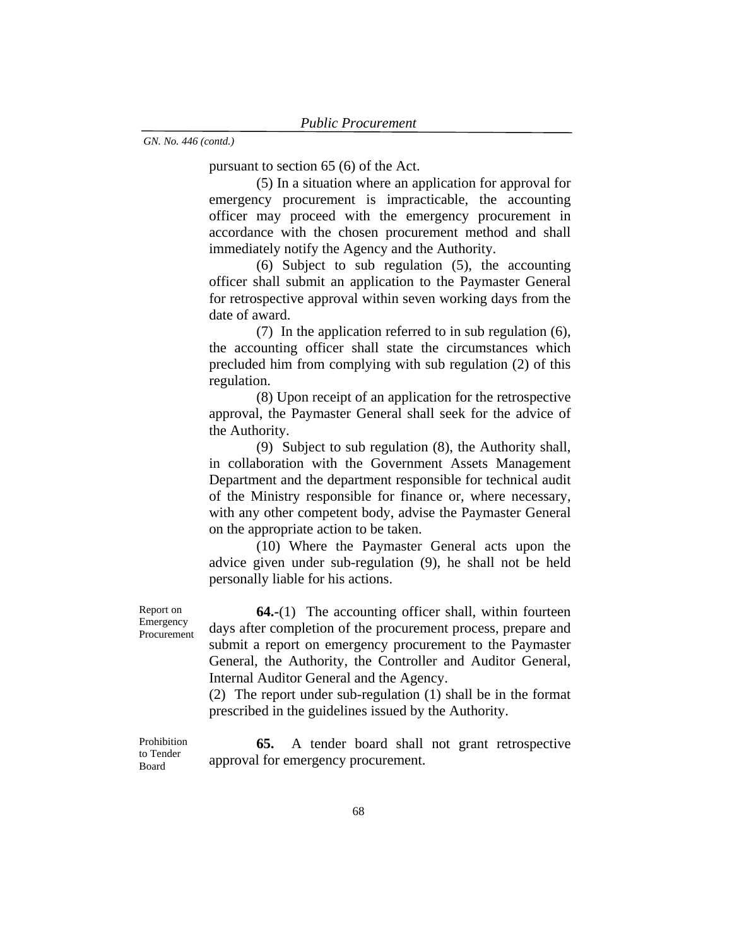pursuant to section 65 (6) of the Act.

(5) In a situation where an application for approval for emergency procurement is impracticable, the accounting officer may proceed with the emergency procurement in accordance with the chosen procurement method and shall immediately notify the Agency and the Authority.

(6) Subject to sub regulation (5), the accounting officer shall submit an application to the Paymaster General for retrospective approval within seven working days from the date of award.

(7) In the application referred to in sub regulation (6), the accounting officer shall state the circumstances which precluded him from complying with sub regulation (2) of this regulation.

(8) Upon receipt of an application for the retrospective approval, the Paymaster General shall seek for the advice of the Authority.

(9) Subject to sub regulation (8), the Authority shall, in collaboration with the Government Assets Management Department and the department responsible for technical audit of the Ministry responsible for finance or, where necessary, with any other competent body, advise the Paymaster General on the appropriate action to be taken.

(10) Where the Paymaster General acts upon the advice given under sub-regulation (9), he shall not be held personally liable for his actions.

Report on Emergency Procurement

**64.-**(1) The accounting officer shall, within fourteen days after completion of the procurement process, prepare and submit a report on emergency procurement to the Paymaster General, the Authority, the Controller and Auditor General, Internal Auditor General and the Agency.

(2) The report under sub-regulation (1) shall be in the format prescribed in the guidelines issued by the Authority.

Prohibition to Tender Board

**65.** A tender board shall not grant retrospective approval for emergency procurement.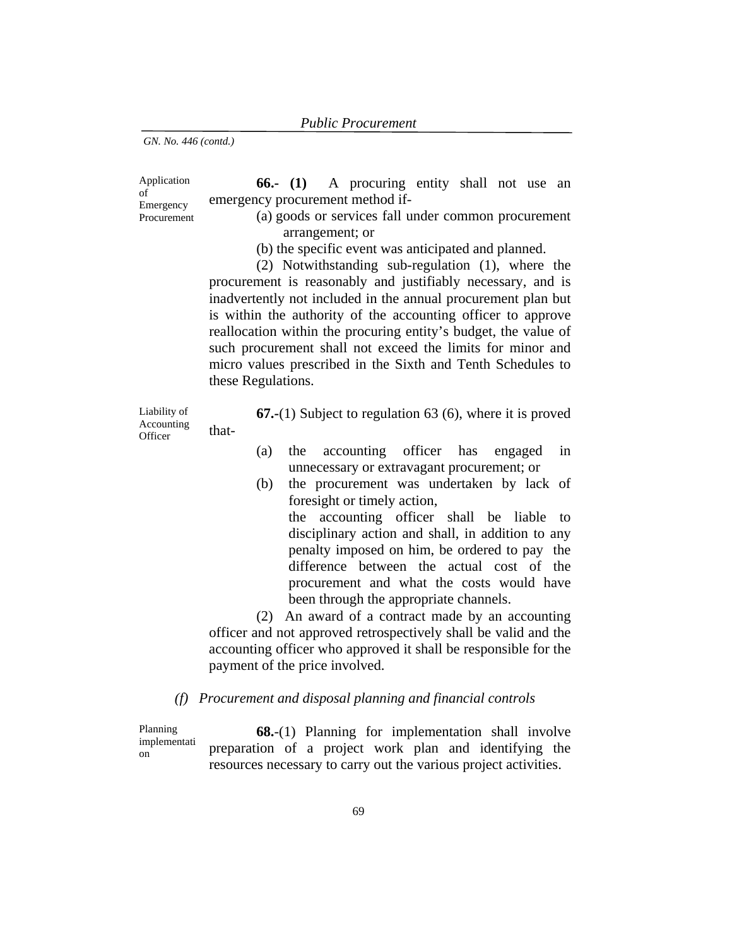Liability of Accounting **Officer** 

that-

Application of Emergency Procurement **66.- (1)** A procuring entity shall not use an emergency procurement method if-

- (a) goods or services fall under common procurement arrangement; or
	- (b) the specific event was anticipated and planned.

(2) Notwithstanding sub-regulation (1), where the procurement is reasonably and justifiably necessary, and is inadvertently not included in the annual procurement plan but is within the authority of the accounting officer to approve reallocation within the procuring entity's budget, the value of such procurement shall not exceed the limits for minor and micro values prescribed in the Sixth and Tenth Schedules to these Regulations.

**67.-**(1) Subject to regulation 63 (6), where it is proved

- (a) the accounting officer has engaged in unnecessary or extravagant procurement; or
- (b) the procurement was undertaken by lack of foresight or timely action,

the accounting officer shall be liable to disciplinary action and shall, in addition to any penalty imposed on him, be ordered to pay the difference between the actual cost of the procurement and what the costs would have been through the appropriate channels.

(2) An award of a contract made by an accounting officer and not approved retrospectively shall be valid and the accounting officer who approved it shall be responsible for the payment of the price involved.

*(f) Procurement and disposal planning and financial controls* 

Planning implementati on **68.**-(1) Planning for implementation shall involve preparation of a project work plan and identifying the resources necessary to carry out the various project activities.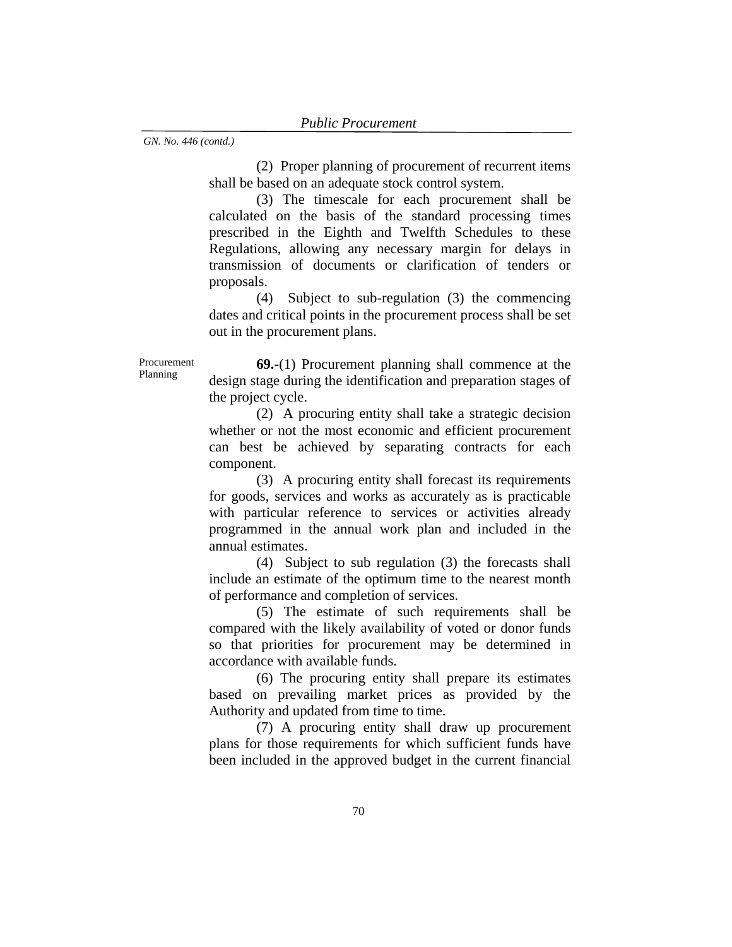(2) Proper planning of procurement of recurrent items shall be based on an adequate stock control system.

(3) The timescale for each procurement shall be calculated on the basis of the standard processing times prescribed in the Eighth and Twelfth Schedules to these Regulations, allowing any necessary margin for delays in transmission of documents or clarification of tenders or proposals.

(4) Subject to sub-regulation (3) the commencing dates and critical points in the procurement process shall be set out in the procurement plans.

Procurement Planning

**69.-**(1) Procurement planning shall commence at the design stage during the identification and preparation stages of the project cycle.

(2) A procuring entity shall take a strategic decision whether or not the most economic and efficient procurement can best be achieved by separating contracts for each component.

(3) A procuring entity shall forecast its requirements for goods, services and works as accurately as is practicable with particular reference to services or activities already programmed in the annual work plan and included in the annual estimates.

(4) Subject to sub regulation (3) the forecasts shall include an estimate of the optimum time to the nearest month of performance and completion of services.

(5) The estimate of such requirements shall be compared with the likely availability of voted or donor funds so that priorities for procurement may be determined in accordance with available funds.

(6) The procuring entity shall prepare its estimates based on prevailing market prices as provided by the Authority and updated from time to time.

(7) A procuring entity shall draw up procurement plans for those requirements for which sufficient funds have been included in the approved budget in the current financial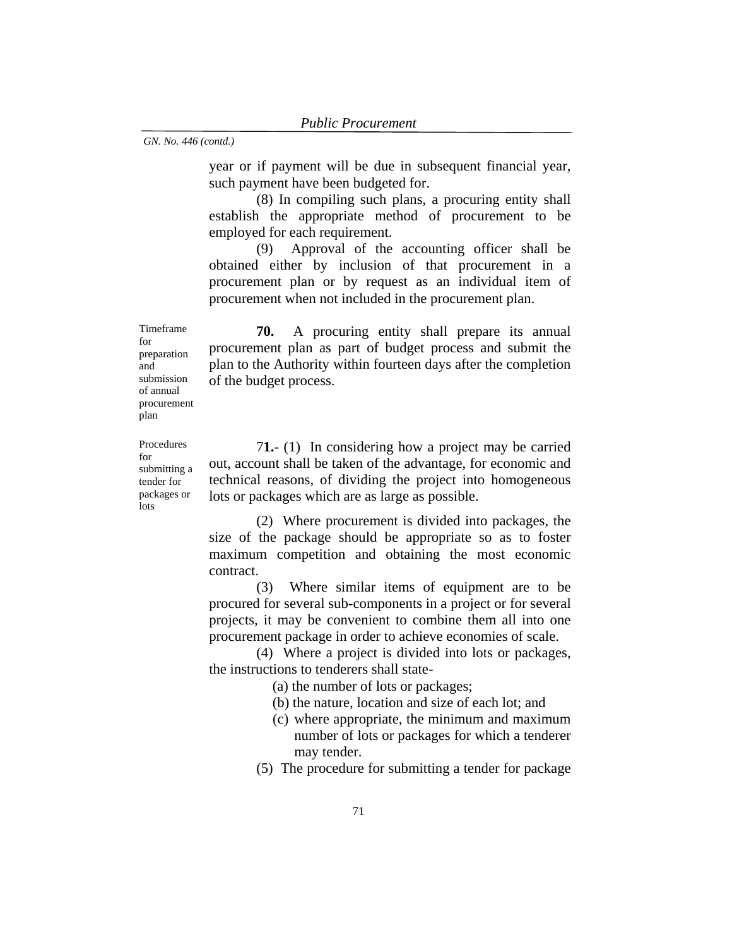year or if payment will be due in subsequent financial year, such payment have been budgeted for.

(8) In compiling such plans, a procuring entity shall establish the appropriate method of procurement to be employed for each requirement.

(9) Approval of the accounting officer shall be obtained either by inclusion of that procurement in a procurement plan or by request as an individual item of procurement when not included in the procurement plan.

**70.** A procuring entity shall prepare its annual procurement plan as part of budget process and submit the plan to the Authority within fourteen days after the completion of the budget process.

7**1.**- (1) In considering how a project may be carried out, account shall be taken of the advantage, for economic and technical reasons, of dividing the project into homogeneous lots or packages which are as large as possible.

(2) Where procurement is divided into packages, the size of the package should be appropriate so as to foster maximum competition and obtaining the most economic contract.

(3) Where similar items of equipment are to be procured for several sub-components in a project or for several projects, it may be convenient to combine them all into one procurement package in order to achieve economies of scale.

(4) Where a project is divided into lots or packages, the instructions to tenderers shall state-

(a) the number of lots or packages;

- (b) the nature, location and size of each lot; and
- (c) where appropriate, the minimum and maximum number of lots or packages for which a tenderer may tender.
- (5) The procedure for submitting a tender for package

Timeframe for preparation and submission of annual procurement plan

Procedures for submitting a tender for packages or lots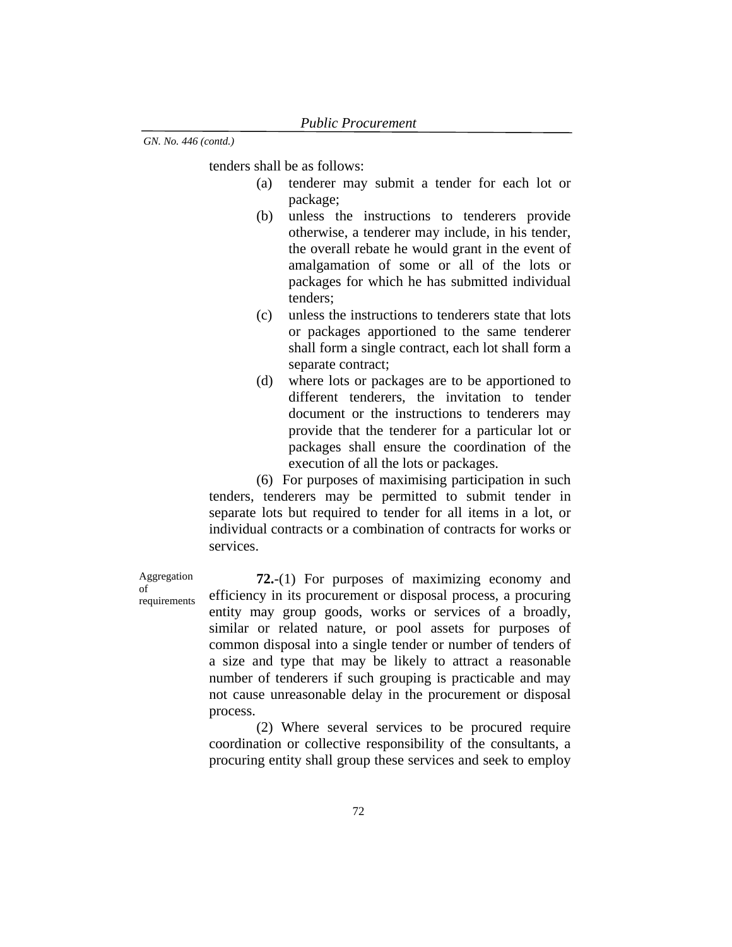tenders shall be as follows:

- (a) tenderer may submit a tender for each lot or package;
- (b) unless the instructions to tenderers provide otherwise, a tenderer may include, in his tender, the overall rebate he would grant in the event of amalgamation of some or all of the lots or packages for which he has submitted individual tenders;
- (c) unless the instructions to tenderers state that lots or packages apportioned to the same tenderer shall form a single contract, each lot shall form a separate contract;
- (d) where lots or packages are to be apportioned to different tenderers, the invitation to tender document or the instructions to tenderers may provide that the tenderer for a particular lot or packages shall ensure the coordination of the execution of all the lots or packages.

(6) For purposes of maximising participation in such tenders, tenderers may be permitted to submit tender in separate lots but required to tender for all items in a lot, or individual contracts or a combination of contracts for works or services.

Aggregation **72.**-(1) For purposes of maximizing economy and efficiency in its procurement or disposal process, a procuring entity may group goods, works or services of a broadly, similar or related nature, or pool assets for purposes of common disposal into a single tender or number of tenders of a size and type that may be likely to attract a reasonable number of tenderers if such grouping is practicable and may not cause unreasonable delay in the procurement or disposal

> (2) Where several services to be procured require coordination or collective responsibility of the consultants, a procuring entity shall group these services and seek to employ

of requirements

process.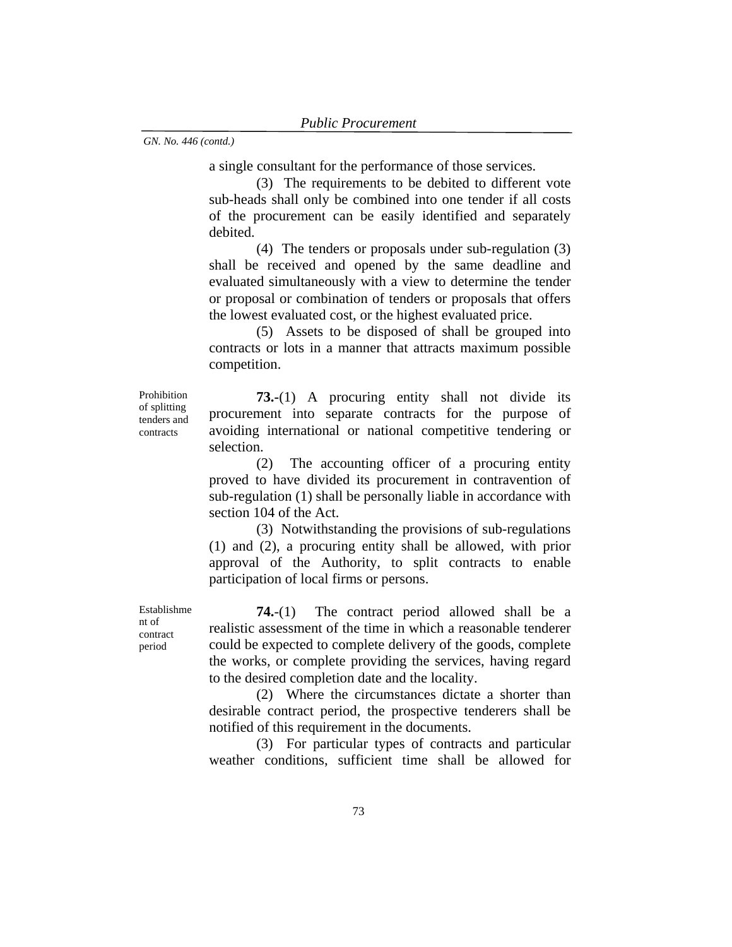a single consultant for the performance of those services.

(3)The requirements to be debited to different vote sub-heads shall only be combined into one tender if all costs of the procurement can be easily identified and separately debited.

(4) The tenders or proposals under sub-regulation (3) shall be received and opened by the same deadline and evaluated simultaneously with a view to determine the tender or proposal or combination of tenders or proposals that offers the lowest evaluated cost, or the highest evaluated price.

(5) Assets to be disposed of shall be grouped into contracts or lots in a manner that attracts maximum possible competition.

Prohibition of splitting tenders and contracts

**73.-**(1) A procuring entity shall not divide its procurement into separate contracts for the purpose of avoiding international or national competitive tendering or selection.

(2) The accounting officer of a procuring entity proved to have divided its procurement in contravention of sub-regulation (1) shall be personally liable in accordance with section 104 of the Act.

(3) Notwithstanding the provisions of sub-regulations (1) and (2), a procuring entity shall be allowed, with prior approval of the Authority, to split contracts to enable participation of local firms or persons.

Establishme nt of contract period

**74.**-(1) The contract period allowed shall be a realistic assessment of the time in which a reasonable tenderer could be expected to complete delivery of the goods, complete the works, or complete providing the services, having regard to the desired completion date and the locality.

(2) Where the circumstances dictate a shorter than desirable contract period, the prospective tenderers shall be notified of this requirement in the documents.

(3) For particular types of contracts and particular weather conditions, sufficient time shall be allowed for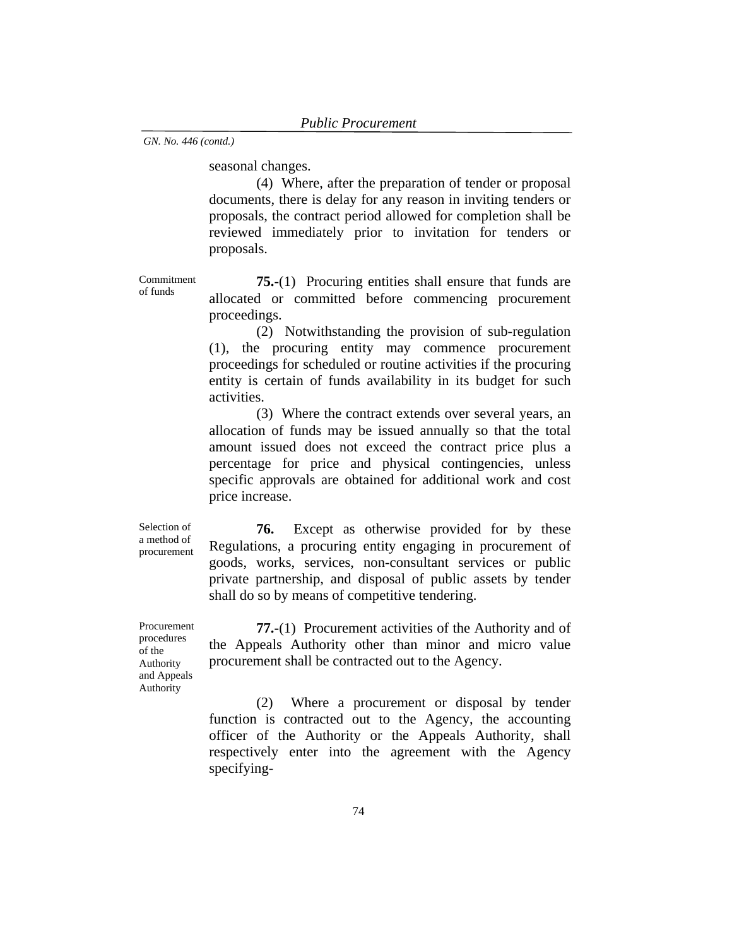seasonal changes.

(4) Where, after the preparation of tender or proposal documents, there is delay for any reason in inviting tenders or proposals, the contract period allowed for completion shall be reviewed immediately prior to invitation for tenders or proposals.

Commitment of funds

**75.**-(1) Procuring entities shall ensure that funds are allocated or committed before commencing procurement proceedings.

(2) Notwithstanding the provision of sub-regulation (1), the procuring entity may commence procurement proceedings for scheduled or routine activities if the procuring entity is certain of funds availability in its budget for such activities.

(3) Where the contract extends over several years, an allocation of funds may be issued annually so that the total amount issued does not exceed the contract price plus a percentage for price and physical contingencies, unless specific approvals are obtained for additional work and cost price increase.

Selection of a method of procurement

**76.** Except as otherwise provided for by these Regulations, a procuring entity engaging in procurement of goods, works, services, non-consultant services or public private partnership, and disposal of public assets by tender shall do so by means of competitive tendering.

Procurement procedures of the Authority and Appeals Authority

**77.-**(1) Procurement activities of the Authority and of the Appeals Authority other than minor and micro value procurement shall be contracted out to the Agency.

(2) Where a procurement or disposal by tender function is contracted out to the Agency, the accounting officer of the Authority or the Appeals Authority, shall respectively enter into the agreement with the Agency specifying-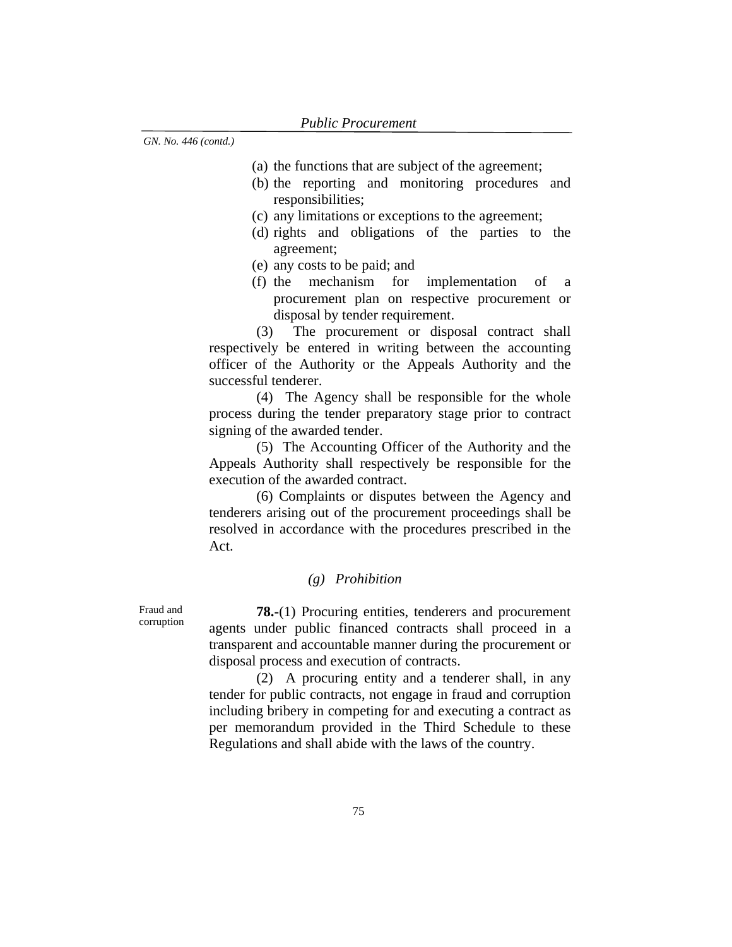- (a) the functions that are subject of the agreement;
- (b) the reporting and monitoring procedures and responsibilities;
- (c) any limitations or exceptions to the agreement;
- (d) rights and obligations of the parties to the agreement;
- (e) any costs to be paid; and
- (f) the mechanism for implementation of a procurement plan on respective procurement or disposal by tender requirement.

(3) The procurement or disposal contract shall respectively be entered in writing between the accounting officer of the Authority or the Appeals Authority and the successful tenderer.

(4) The Agency shall be responsible for the whole process during the tender preparatory stage prior to contract signing of the awarded tender.

(5) The Accounting Officer of the Authority and the Appeals Authority shall respectively be responsible for the execution of the awarded contract.

(6) Complaints or disputes between the Agency and tenderers arising out of the procurement proceedings shall be resolved in accordance with the procedures prescribed in the Act.

#### *(g) Prohibition*

**78.-**(1) Procuring entities, tenderers and procurement agents under public financed contracts shall proceed in a transparent and accountable manner during the procurement or disposal process and execution of contracts.

(2) A procuring entity and a tenderer shall, in any tender for public contracts, not engage in fraud and corruption including bribery in competing for and executing a contract as per memorandum provided in the Third Schedule to these Regulations and shall abide with the laws of the country.

Fraud and corruption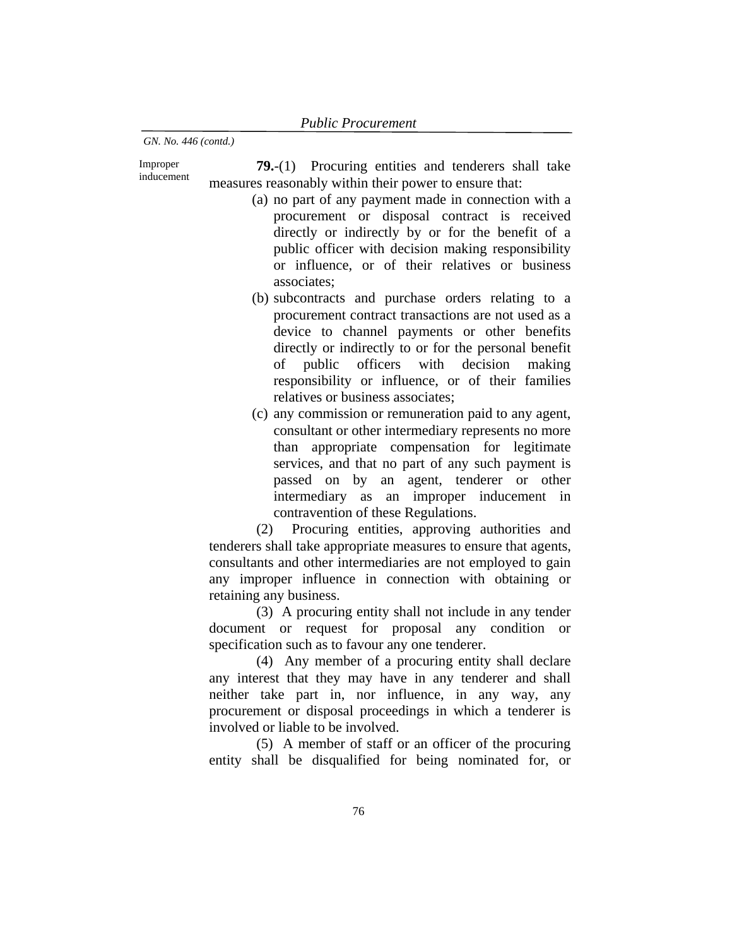Improper inducement **79.**-(1) Procuring entities and tenderers shall take measures reasonably within their power to ensure that:

- (a) no part of any payment made in connection with a procurement or disposal contract is received directly or indirectly by or for the benefit of a public officer with decision making responsibility or influence, or of their relatives or business associates;
- (b) subcontracts and purchase orders relating to a procurement contract transactions are not used as a device to channel payments or other benefits directly or indirectly to or for the personal benefit of public officers with decision making responsibility or influence, or of their families relatives or business associates;
- (c) any commission or remuneration paid to any agent, consultant or other intermediary represents no more than appropriate compensation for legitimate services, and that no part of any such payment is passed on by an agent, tenderer or other intermediary as an improper inducement in contravention of these Regulations.

(2) Procuring entities, approving authorities and tenderers shall take appropriate measures to ensure that agents, consultants and other intermediaries are not employed to gain any improper influence in connection with obtaining or retaining any business.

(3) A procuring entity shall not include in any tender document or request for proposal any condition or specification such as to favour any one tenderer.

(4) Any member of a procuring entity shall declare any interest that they may have in any tenderer and shall neither take part in, nor influence, in any way, any procurement or disposal proceedings in which a tenderer is involved or liable to be involved.

(5) A member of staff or an officer of the procuring entity shall be disqualified for being nominated for, or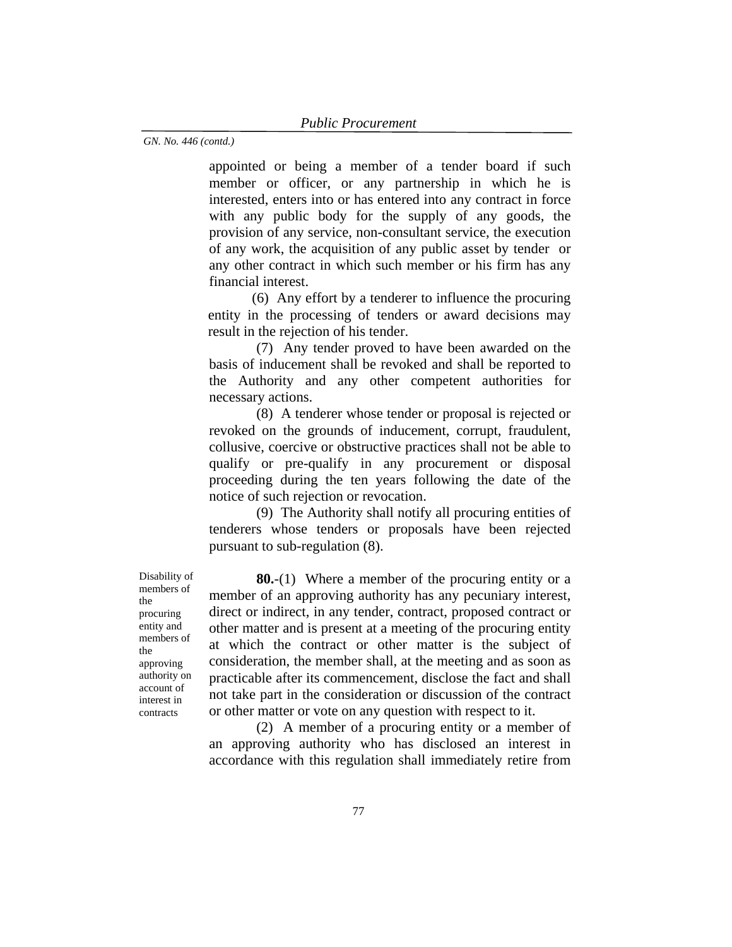appointed or being a member of a tender board if such member or officer, or any partnership in which he is interested, enters into or has entered into any contract in force with any public body for the supply of any goods, the provision of any service, non-consultant service, the execution of any work, the acquisition of any public asset by tender or any other contract in which such member or his firm has any financial interest.

(6) Any effort by a tenderer to influence the procuring entity in the processing of tenders or award decisions may result in the rejection of his tender.

(7) Any tender proved to have been awarded on the basis of inducement shall be revoked and shall be reported to the Authority and any other competent authorities for necessary actions.

(8) A tenderer whose tender or proposal is rejected or revoked on the grounds of inducement, corrupt, fraudulent, collusive, coercive or obstructive practices shall not be able to qualify or pre-qualify in any procurement or disposal proceeding during the ten years following the date of the notice of such rejection or revocation.

(9) The Authority shall notify all procuring entities of tenderers whose tenders or proposals have been rejected pursuant to sub-regulation (8).

Disability of members of the procuring entity and members of the approving authority on account of interest in contracts

**80.**-(1) Where a member of the procuring entity or a member of an approving authority has any pecuniary interest, direct or indirect, in any tender, contract, proposed contract or other matter and is present at a meeting of the procuring entity at which the contract or other matter is the subject of consideration, the member shall, at the meeting and as soon as practicable after its commencement, disclose the fact and shall not take part in the consideration or discussion of the contract or other matter or vote on any question with respect to it.

(2) A member of a procuring entity or a member of an approving authority who has disclosed an interest in accordance with this regulation shall immediately retire from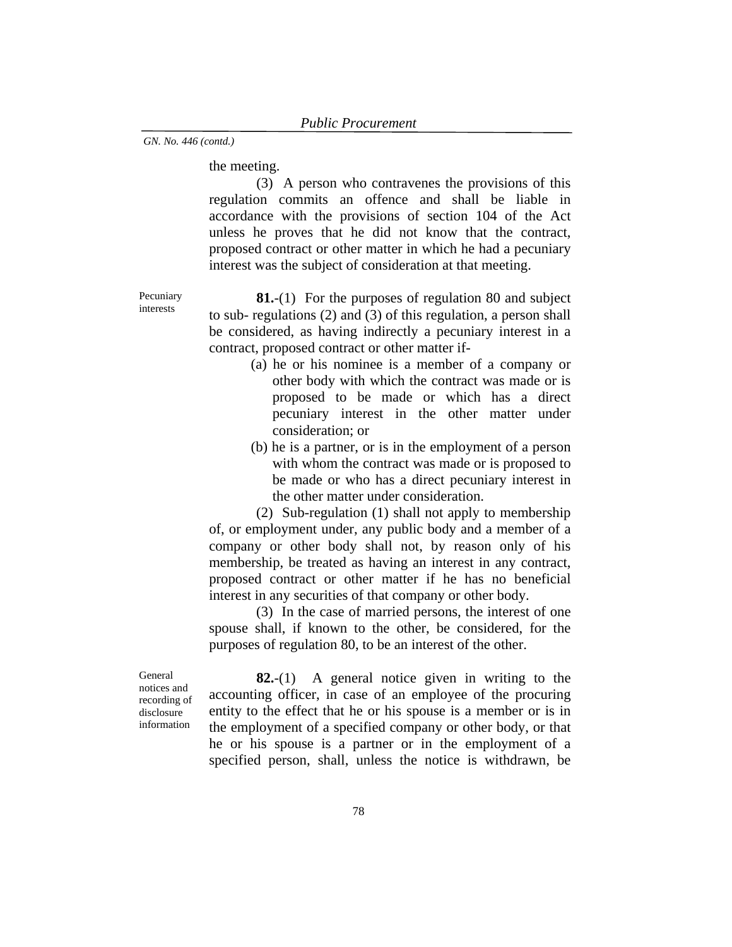the meeting.

(3) A person who contravenes the provisions of this regulation commits an offence and shall be liable in accordance with the provisions of section 104 of the Act unless he proves that he did not know that the contract, proposed contract or other matter in which he had a pecuniary interest was the subject of consideration at that meeting.

Pecuniary interests

**81.**-(1) For the purposes of regulation 80 and subject to sub- regulations (2) and (3) of this regulation, a person shall be considered, as having indirectly a pecuniary interest in a contract, proposed contract or other matter if-

- (a) he or his nominee is a member of a company or other body with which the contract was made or is proposed to be made or which has a direct pecuniary interest in the other matter under consideration; or
- (b) he is a partner, or is in the employment of a person with whom the contract was made or is proposed to be made or who has a direct pecuniary interest in the other matter under consideration.

 (2) Sub-regulation (1) shall not apply to membership of, or employment under, any public body and a member of a company or other body shall not, by reason only of his membership, be treated as having an interest in any contract, proposed contract or other matter if he has no beneficial interest in any securities of that company or other body.

 (3) In the case of married persons, the interest of one spouse shall, if known to the other, be considered, for the purposes of regulation 80, to be an interest of the other.

General notices and recording of disclosure information

**82.**-(1) A general notice given in writing to the accounting officer, in case of an employee of the procuring entity to the effect that he or his spouse is a member or is in the employment of a specified company or other body, or that he or his spouse is a partner or in the employment of a specified person, shall, unless the notice is withdrawn, be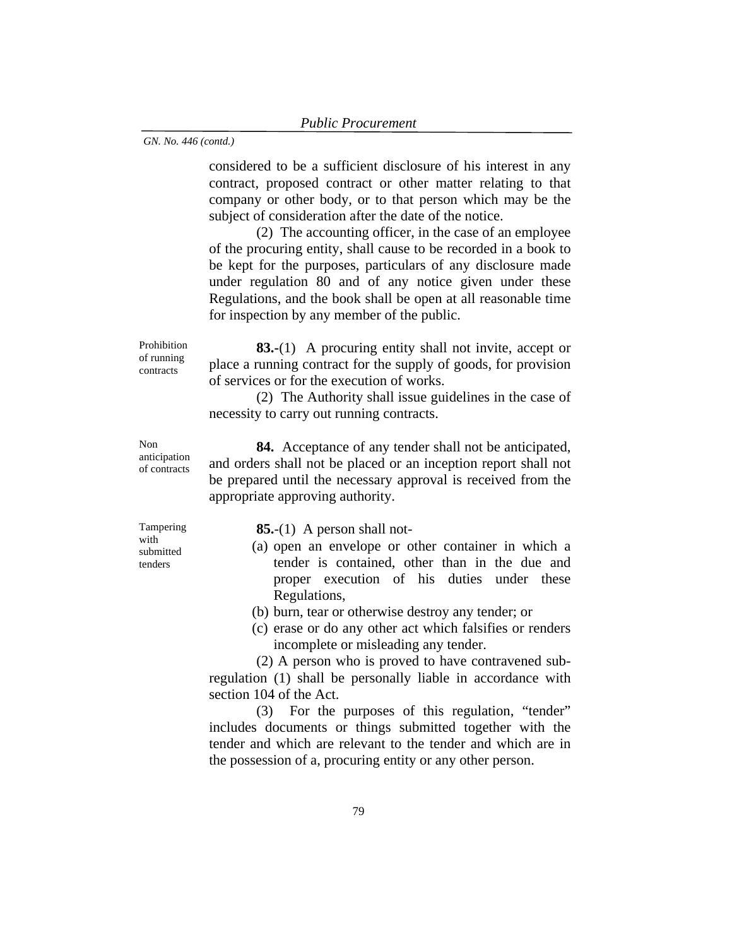considered to be a sufficient disclosure of his interest in any contract, proposed contract or other matter relating to that company or other body, or to that person which may be the subject of consideration after the date of the notice.

 (2) The accounting officer, in the case of an employee of the procuring entity, shall cause to be recorded in a book to be kept for the purposes, particulars of any disclosure made under regulation 80 and of any notice given under these Regulations, and the book shall be open at all reasonable time for inspection by any member of the public.

Prohibition of running contracts

**83.-**(1) A procuring entity shall not invite, accept or place a running contract for the supply of goods, for provision of services or for the execution of works.

(2) The Authority shall issue guidelines in the case of necessity to carry out running contracts.

Non anticipation of contracts

**84.** Acceptance of any tender shall not be anticipated, and orders shall not be placed or an inception report shall not be prepared until the necessary approval is received from the appropriate approving authority.

Tampering with submitted tenders

**85.**-(1) A person shall not-

- (a) open an envelope or other container in which a tender is contained, other than in the due and proper execution of his duties under these Regulations,
- (b) burn, tear or otherwise destroy any tender; or
- (c) erase or do any other act which falsifies or renders incomplete or misleading any tender.

(2) A person who is proved to have contravened subregulation (1) shall be personally liable in accordance with section 104 of the Act.

(3) For the purposes of this regulation, "tender" includes documents or things submitted together with the tender and which are relevant to the tender and which are in the possession of a, procuring entity or any other person.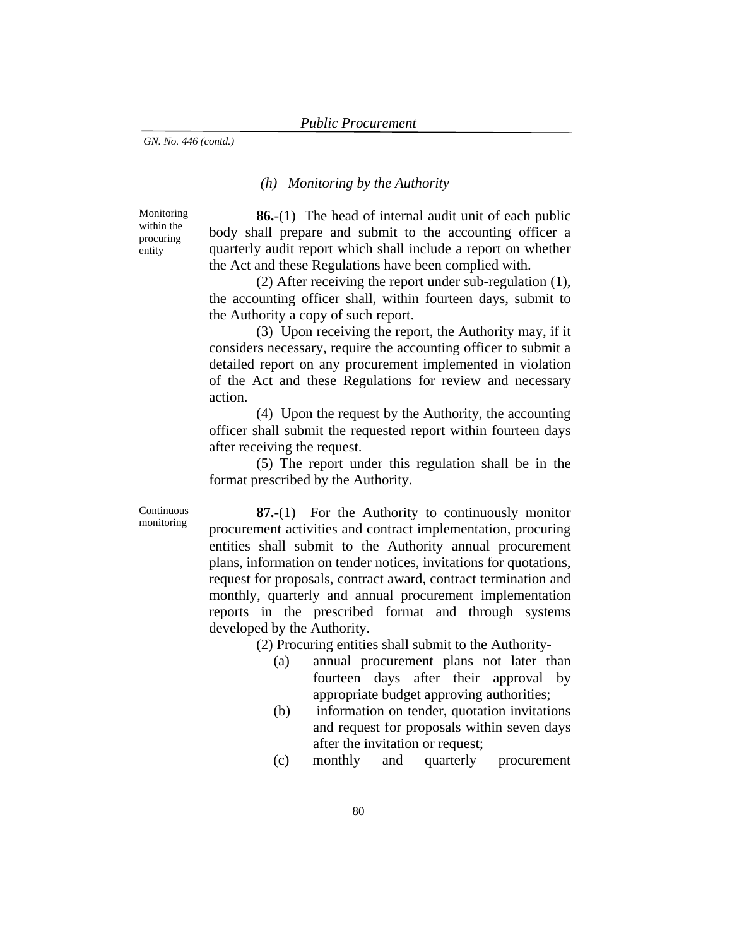#### *(h) Monitoring by the Authority*

**Monitoring** within the procuring entity

**86.**-(1) The head of internal audit unit of each public body shall prepare and submit to the accounting officer a quarterly audit report which shall include a report on whether the Act and these Regulations have been complied with.

(2) After receiving the report under sub-regulation (1), the accounting officer shall, within fourteen days, submit to the Authority a copy of such report.

(3) Upon receiving the report, the Authority may, if it considers necessary, require the accounting officer to submit a detailed report on any procurement implemented in violation of the Act and these Regulations for review and necessary action.

(4) Upon the request by the Authority, the accounting officer shall submit the requested report within fourteen days after receiving the request.

(5) The report under this regulation shall be in the format prescribed by the Authority.

Continuous monitoring

**87.**-(1) For the Authority to continuously monitor procurement activities and contract implementation, procuring entities shall submit to the Authority annual procurement plans, information on tender notices, invitations for quotations, request for proposals, contract award, contract termination and monthly, quarterly and annual procurement implementation reports in the prescribed format and through systems developed by the Authority.

(2) Procuring entities shall submit to the Authority-

- (a) annual procurement plans not later than fourteen days after their approval by appropriate budget approving authorities;
- (b) information on tender, quotation invitations and request for proposals within seven days after the invitation or request;
- (c) monthly and quarterly procurement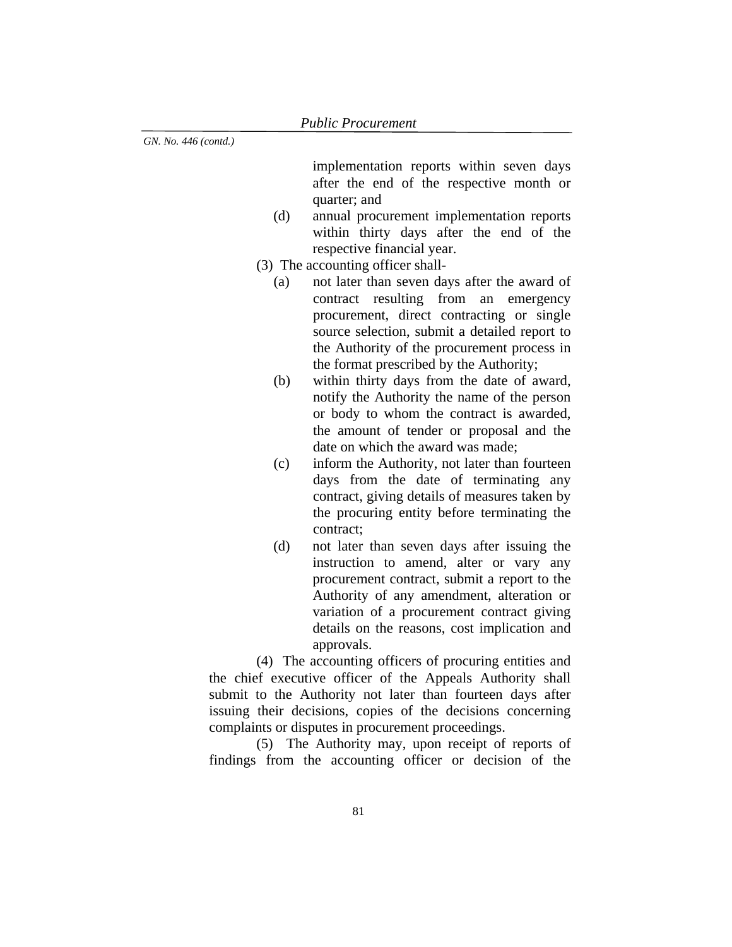implementation reports within seven days after the end of the respective month or quarter; and

- (d) annual procurement implementation reports within thirty days after the end of the respective financial year.
- (3) The accounting officer shall-
	- (a) not later than seven days after the award of contract resulting from an emergency procurement, direct contracting or single source selection, submit a detailed report to the Authority of the procurement process in the format prescribed by the Authority;
	- (b) within thirty days from the date of award, notify the Authority the name of the person or body to whom the contract is awarded, the amount of tender or proposal and the date on which the award was made;
	- (c) inform the Authority, not later than fourteen days from the date of terminating any contract, giving details of measures taken by the procuring entity before terminating the contract;
	- (d) not later than seven days after issuing the instruction to amend, alter or vary any procurement contract, submit a report to the Authority of any amendment, alteration or variation of a procurement contract giving details on the reasons, cost implication and approvals.

(4) The accounting officers of procuring entities and the chief executive officer of the Appeals Authority shall submit to the Authority not later than fourteen days after issuing their decisions, copies of the decisions concerning complaints or disputes in procurement proceedings.

(5) The Authority may, upon receipt of reports of findings from the accounting officer or decision of the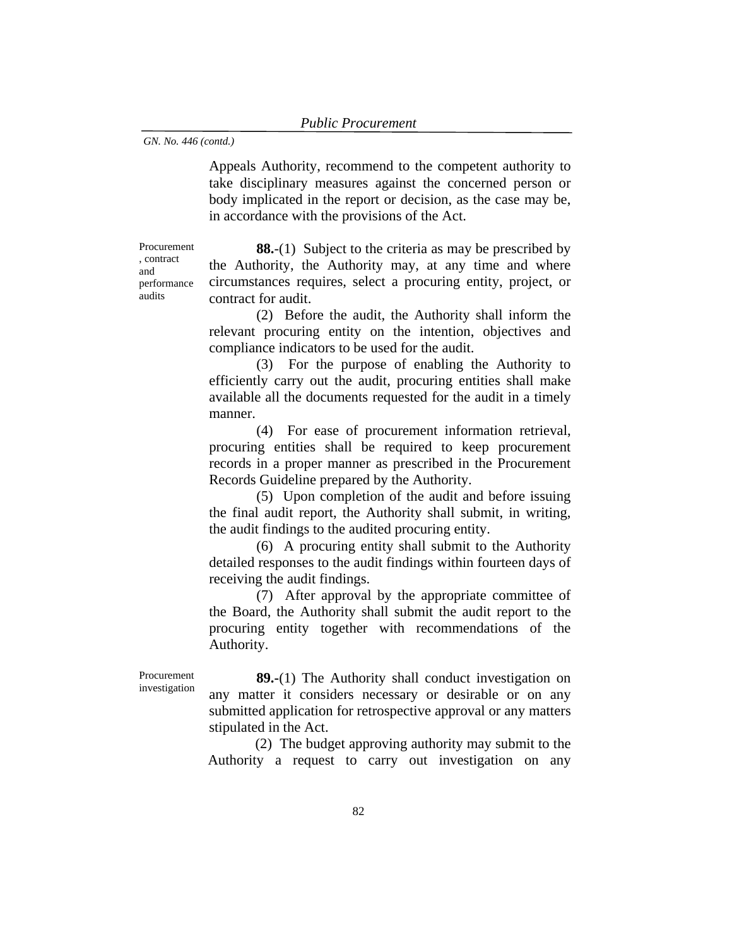Appeals Authority, recommend to the competent authority to take disciplinary measures against the concerned person or body implicated in the report or decision, as the case may be, in accordance with the provisions of the Act.

Procurement , contract and performance audits

**88.**-(1) Subject to the criteria as may be prescribed by the Authority, the Authority may, at any time and where circumstances requires, select a procuring entity, project, or contract for audit.

(2) Before the audit, the Authority shall inform the relevant procuring entity on the intention, objectives and compliance indicators to be used for the audit.

(3) For the purpose of enabling the Authority to efficiently carry out the audit, procuring entities shall make available all the documents requested for the audit in a timely manner.

(4) For ease of procurement information retrieval, procuring entities shall be required to keep procurement records in a proper manner as prescribed in the Procurement Records Guideline prepared by the Authority.

(5) Upon completion of the audit and before issuing the final audit report, the Authority shall submit, in writing, the audit findings to the audited procuring entity.

(6) A procuring entity shall submit to the Authority detailed responses to the audit findings within fourteen days of receiving the audit findings.

(7) After approval by the appropriate committee of the Board, the Authority shall submit the audit report to the procuring entity together with recommendations of the Authority.

Procurement investigation

**89.-**(1) The Authority shall conduct investigation on any matter it considers necessary or desirable or on any submitted application for retrospective approval or any matters stipulated in the Act.

(2) The budget approving authority may submit to the Authority a request to carry out investigation on any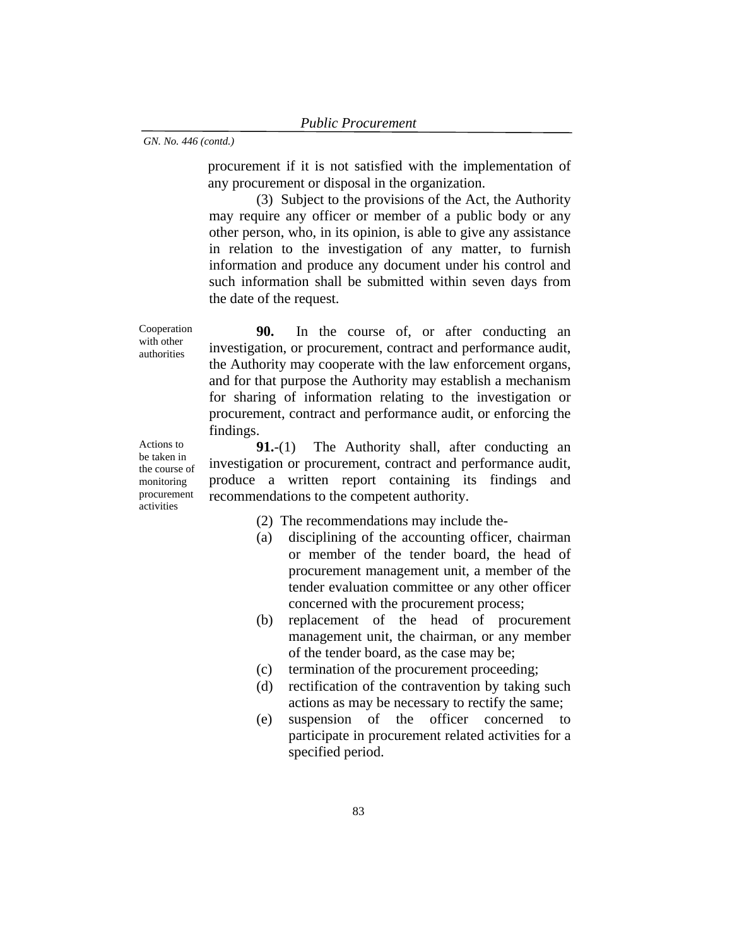procurement if it is not satisfied with the implementation of any procurement or disposal in the organization.

(3) Subject to the provisions of the Act, the Authority may require any officer or member of a public body or any other person, who, in its opinion, is able to give any assistance in relation to the investigation of any matter, to furnish information and produce any document under his control and such information shall be submitted within seven days from the date of the request.

Cooperation with other authorities

**90.** In the course of, or after conducting an investigation, or procurement, contract and performance audit, the Authority may cooperate with the law enforcement organs, and for that purpose the Authority may establish a mechanism for sharing of information relating to the investigation or procurement, contract and performance audit, or enforcing the findings.

Actions to be taken in the course of monitoring procurement activities

**91.**-(1) The Authority shall, after conducting an investigation or procurement, contract and performance audit, produce a written report containing its findings and recommendations to the competent authority.

- (2) The recommendations may include the-
- (a) disciplining of the accounting officer, chairman or member of the tender board, the head of procurement management unit, a member of the tender evaluation committee or any other officer concerned with the procurement process;
- (b) replacement of the head of procurement management unit, the chairman, or any member of the tender board, as the case may be;
- (c) termination of the procurement proceeding;
- (d) rectification of the contravention by taking such actions as may be necessary to rectify the same;
- (e) suspension of the officer concerned to participate in procurement related activities for a specified period.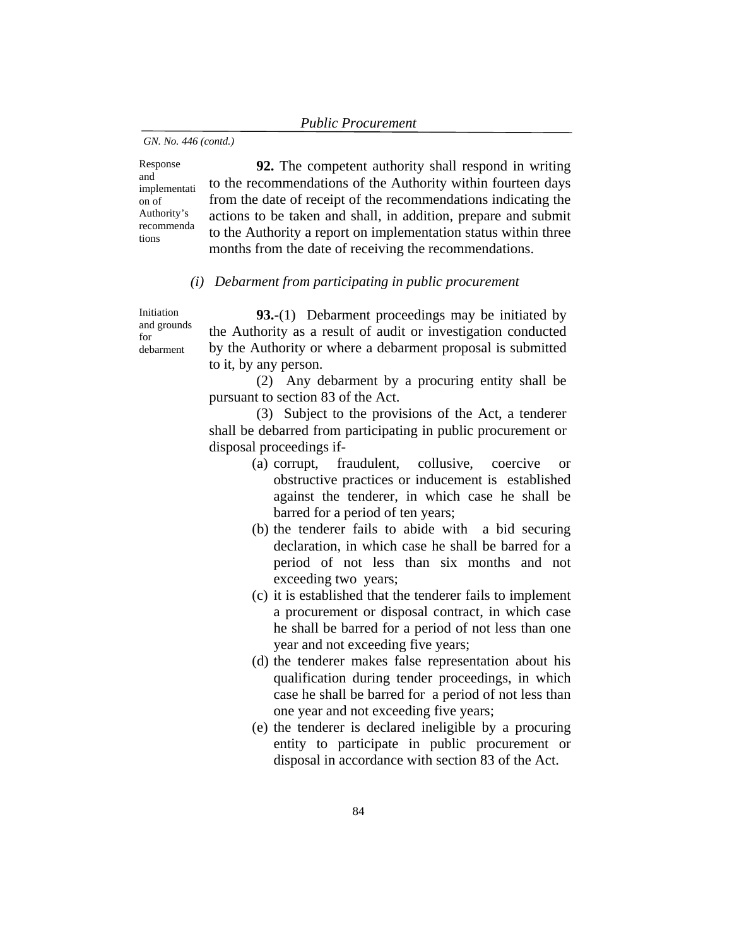Response and implementati on of Authority's recommenda tions

**92.** The competent authority shall respond in writing to the recommendations of the Authority within fourteen days from the date of receipt of the recommendations indicating the actions to be taken and shall, in addition, prepare and submit to the Authority a report on implementation status within three months from the date of receiving the recommendations.

## *(i) Debarment from participating in public procurement*

Initiation and grounds for debarment

**93.-**(1) Debarment proceedings may be initiated by the Authority as a result of audit or investigation conducted by the Authority or where a debarment proposal is submitted to it, by any person.

(2) Any debarment by a procuring entity shall be pursuant to section 83 of the Act.

(3) Subject to the provisions of the Act, a tenderer shall be debarred from participating in public procurement or disposal proceedings if-

- (a) corrupt, fraudulent, collusive, coercive or obstructive practices or inducement is established against the tenderer, in which case he shall be barred for a period of ten years;
- (b) the tenderer fails to abide with a bid securing declaration, in which case he shall be barred for a period of not less than six months and not exceeding two years;
- (c) it is established that the tenderer fails to implement a procurement or disposal contract, in which case he shall be barred for a period of not less than one year and not exceeding five years;
- (d) the tenderer makes false representation about his qualification during tender proceedings, in which case he shall be barred for a period of not less than one year and not exceeding five years;
- (e) the tenderer is declared ineligible by a procuring entity to participate in public procurement or disposal in accordance with section 83 of the Act.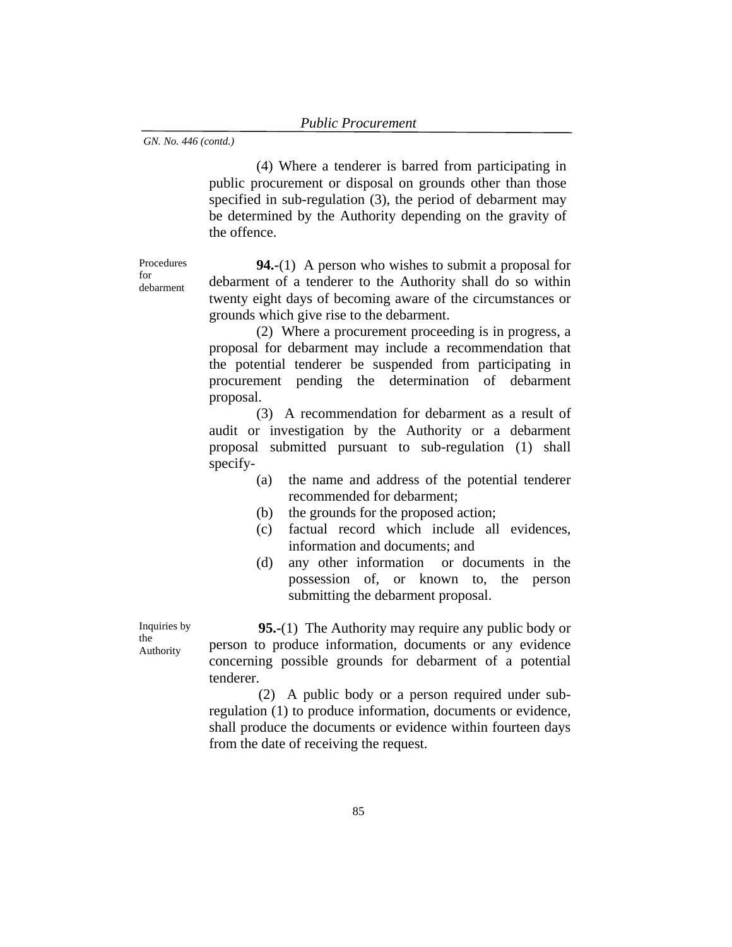(4) Where a tenderer is barred from participating in public procurement or disposal on grounds other than those specified in sub-regulation (3), the period of debarment may be determined by the Authority depending on the gravity of the offence.

Procedures for debarment

**94.-**(1) A person who wishes to submit a proposal for debarment of a tenderer to the Authority shall do so within twenty eight days of becoming aware of the circumstances or grounds which give rise to the debarment.

(2) Where a procurement proceeding is in progress, a proposal for debarment may include a recommendation that the potential tenderer be suspended from participating in procurement pending the determination of debarment proposal.

(3) A recommendation for debarment as a result of audit or investigation by the Authority or a debarment proposal submitted pursuant to sub-regulation (1) shall specify-

- (a) the name and address of the potential tenderer recommended for debarment;
- (b) the grounds for the proposed action;
- (c) factual record which include all evidences, information and documents; and
- (d) any other information or documents in the possession of, or known to, the person submitting the debarment proposal.

Inquiries by the Authority

**95.-**(1) The Authority may require any public body or person to produce information, documents or any evidence concerning possible grounds for debarment of a potential tenderer.

(2) A public body or a person required under subregulation (1) to produce information, documents or evidence, shall produce the documents or evidence within fourteen days from the date of receiving the request.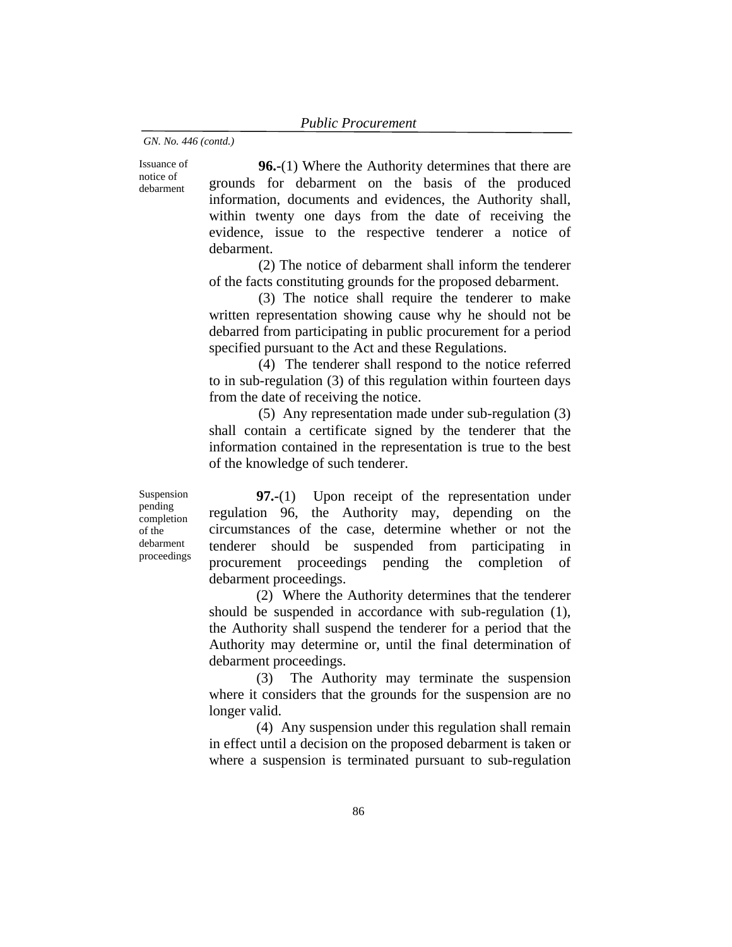Issuance of notice of debarment

**96.-**(1) Where the Authority determines that there are grounds for debarment on the basis of the produced information, documents and evidences, the Authority shall, within twenty one days from the date of receiving the evidence, issue to the respective tenderer a notice of debarment.

(2) The notice of debarment shall inform the tenderer of the facts constituting grounds for the proposed debarment.

(3) The notice shall require the tenderer to make written representation showing cause why he should not be debarred from participating in public procurement for a period specified pursuant to the Act and these Regulations.

(4) The tenderer shall respond to the notice referred to in sub-regulation (3) of this regulation within fourteen days from the date of receiving the notice.

(5) Any representation made under sub-regulation (3) shall contain a certificate signed by the tenderer that the information contained in the representation is true to the best of the knowledge of such tenderer.

Suspension pending completion of the debarment proceedings

**97.-**(1) Upon receipt of the representation under regulation 96, the Authority may, depending on the circumstances of the case, determine whether or not the tenderer should be suspended from participating in procurement proceedings pending the completion of debarment proceedings.

(2) Where the Authority determines that the tenderer should be suspended in accordance with sub-regulation (1), the Authority shall suspend the tenderer for a period that the Authority may determine or, until the final determination of debarment proceedings.

(3) The Authority may terminate the suspension where it considers that the grounds for the suspension are no longer valid.

(4) Any suspension under this regulation shall remain in effect until a decision on the proposed debarment is taken or where a suspension is terminated pursuant to sub-regulation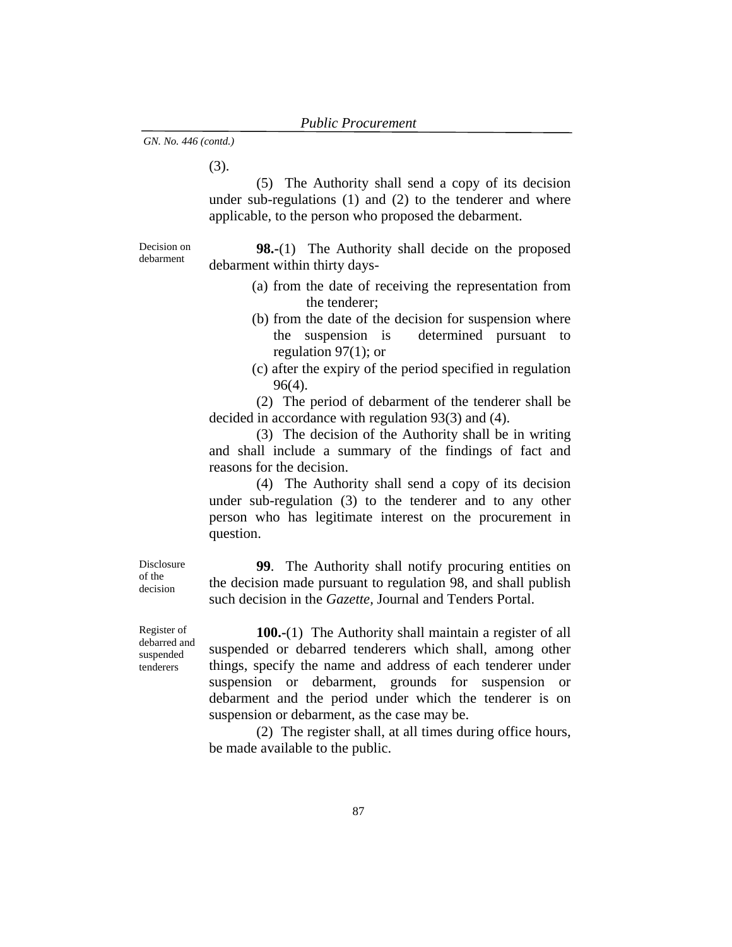(3).

(5) The Authority shall send a copy of its decision under sub-regulations (1) and (2) to the tenderer and where applicable, to the person who proposed the debarment.

Decision on debarment

**98.-**(1) The Authority shall decide on the proposed debarment within thirty days-

- (a) from the date of receiving the representation from the tenderer;
- (b) from the date of the decision for suspension where the suspension is determined pursuant to regulation 97(1); or
- (c) after the expiry of the period specified in regulation 96(4).

(2) The period of debarment of the tenderer shall be decided in accordance with regulation 93(3) and (4).

(3) The decision of the Authority shall be in writing and shall include a summary of the findings of fact and reasons for the decision.

(4) The Authority shall send a copy of its decision under sub-regulation (3) to the tenderer and to any other person who has legitimate interest on the procurement in question.

Disclosure of the decision

**99**. The Authority shall notify procuring entities on the decision made pursuant to regulation 98, and shall publish such decision in the *Gazette,* Journal and Tenders Portal.

Register of debarred and suspended tenderers

**100.-**(1) The Authority shall maintain a register of all suspended or debarred tenderers which shall, among other things, specify the name and address of each tenderer under suspension or debarment, grounds for suspension or debarment and the period under which the tenderer is on suspension or debarment, as the case may be.

(2) The register shall, at all times during office hours, be made available to the public.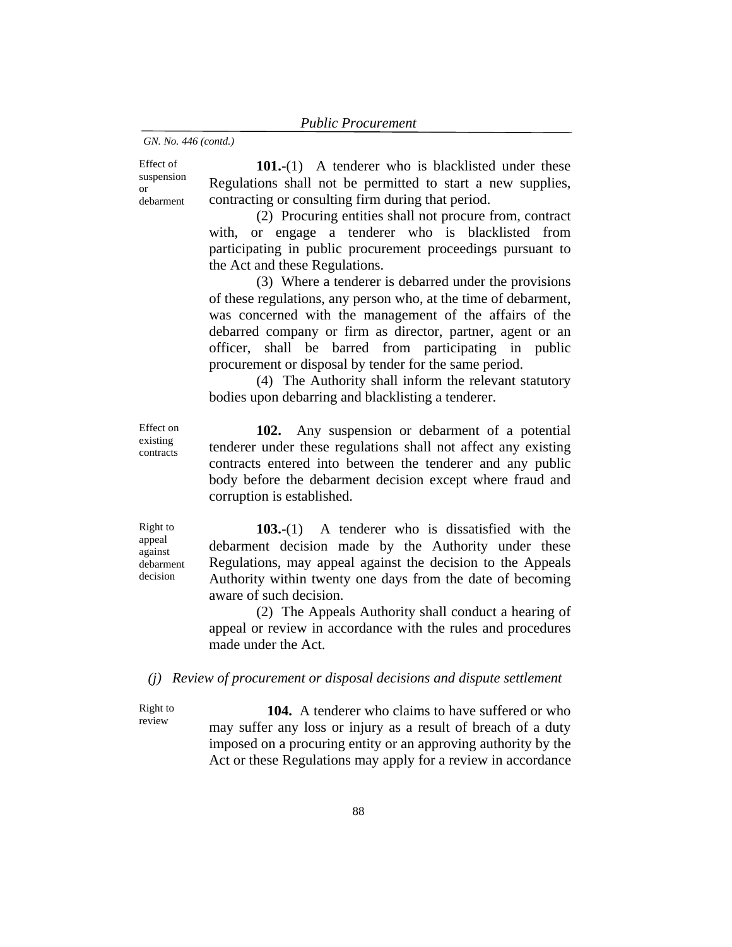Effect of suspension or debarment

**101.-**(1) A tenderer who is blacklisted under these Regulations shall not be permitted to start a new supplies, contracting or consulting firm during that period.

(2) Procuring entities shall not procure from, contract with, or engage a tenderer who is blacklisted from participating in public procurement proceedings pursuant to the Act and these Regulations.

(3) Where a tenderer is debarred under the provisions of these regulations, any person who, at the time of debarment, was concerned with the management of the affairs of the debarred company or firm as director, partner, agent or an officer, shall be barred from participating in public procurement or disposal by tender for the same period.

(4) The Authority shall inform the relevant statutory bodies upon debarring and blacklisting a tenderer.

**102.** Any suspension or debarment of a potential tenderer under these regulations shall not affect any existing contracts entered into between the tenderer and any public body before the debarment decision except where fraud and corruption is established.

Right to appeal against debarment decision

Right to review

Effect on existing contracts

> **103.-**(1) A tenderer who is dissatisfied with the debarment decision made by the Authority under these Regulations, may appeal against the decision to the Appeals Authority within twenty one days from the date of becoming aware of such decision.

> (2) The Appeals Authority shall conduct a hearing of appeal or review in accordance with the rules and procedures made under the Act.

## *(j) Review of procurement or disposal decisions and dispute settlement*

**104.** A tenderer who claims to have suffered or who may suffer any loss or injury as a result of breach of a duty imposed on a procuring entity or an approving authority by the Act or these Regulations may apply for a review in accordance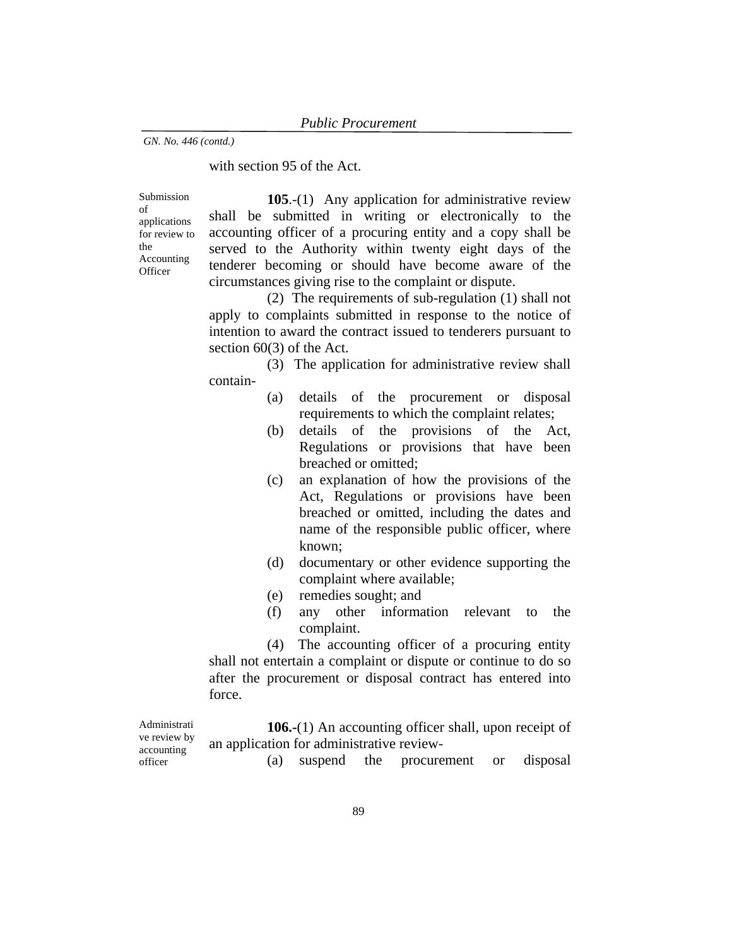## with section 95 of the Act.

Submission of applications for review to the Accounting **Officer** 

**105.**-(1) Any application for administrative review shall be submitted in writing or electronically to the accounting officer of a procuring entity and a copy shall be served to the Authority within twenty eight days of the tenderer becoming or should have become aware of the circumstances giving rise to the complaint or dispute.

(2) The requirements of sub-regulation (1) shall not apply to complaints submitted in response to the notice of intention to award the contract issued to tenderers pursuant to section 60(3) of the Act.

(3) The application for administrative review shall contain-

- (a) details of the procurement or disposal requirements to which the complaint relates;
- (b) details of the provisions of the Act, Regulations or provisions that have been breached or omitted;
- (c) an explanation of how the provisions of the Act, Regulations or provisions have been breached or omitted, including the dates and name of the responsible public officer, where known;
- (d) documentary or other evidence supporting the complaint where available;
- (e) remedies sought; and
- (f) any other information relevant to the complaint.

(4) The accounting officer of a procuring entity shall not entertain a complaint or dispute or continue to do so after the procurement or disposal contract has entered into force.

Administrati ve review by accounting officer

**106.-**(1) An accounting officer shall, upon receipt of an application for administrative review-

(a) suspend the procurement or disposal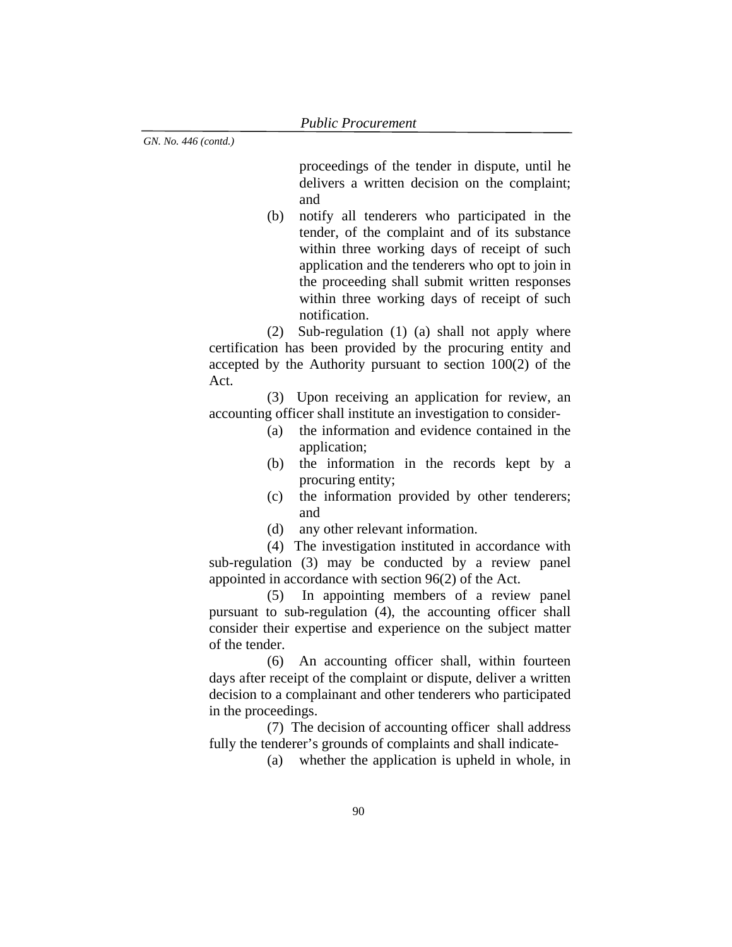proceedings of the tender in dispute, until he delivers a written decision on the complaint; and

(b) notify all tenderers who participated in the tender, of the complaint and of its substance within three working days of receipt of such application and the tenderers who opt to join in the proceeding shall submit written responses within three working days of receipt of such notification.

(2) Sub-regulation (1) (a) shall not apply where certification has been provided by the procuring entity and accepted by the Authority pursuant to section 100(2) of the Act.

(3) Upon receiving an application for review, an accounting officer shall institute an investigation to consider-

- (a) the information and evidence contained in the application;
- (b) the information in the records kept by a procuring entity;
- (c) the information provided by other tenderers; and
- (d) any other relevant information.

(4) The investigation instituted in accordance with sub-regulation (3) may be conducted by a review panel appointed in accordance with section 96(2) of the Act.

(5) In appointing members of a review panel pursuant to sub-regulation (4), the accounting officer shall consider their expertise and experience on the subject matter of the tender.

(6) An accounting officer shall, within fourteen days after receipt of the complaint or dispute, deliver a written decision to a complainant and other tenderers who participated in the proceedings.

(7) The decision of accounting officer shall address fully the tenderer's grounds of complaints and shall indicate-

(a) whether the application is upheld in whole, in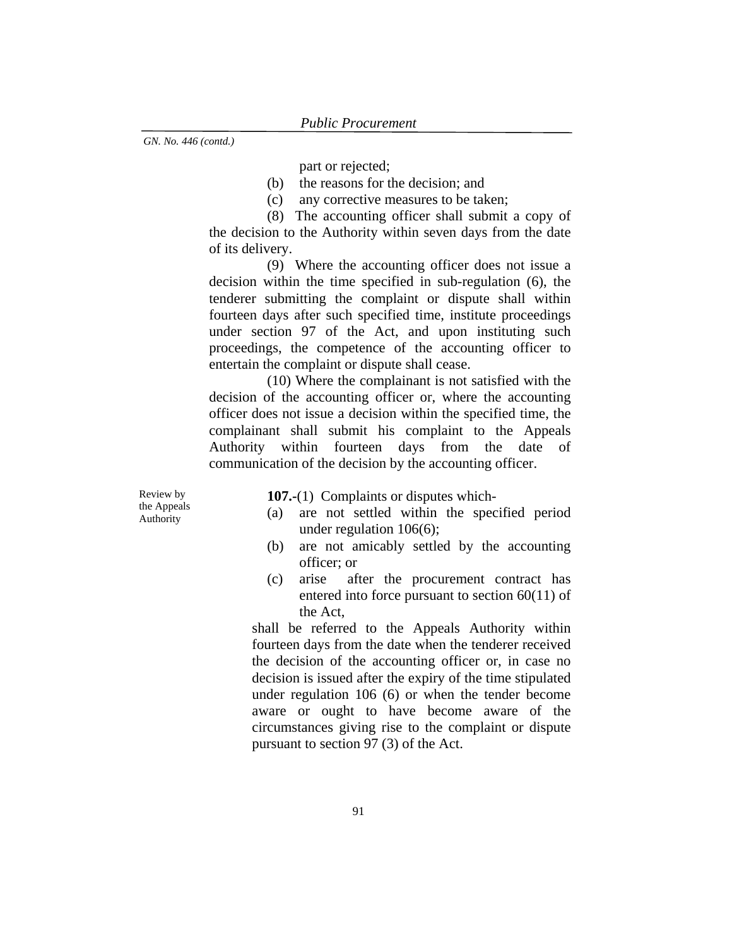part or rejected;

- (b) the reasons for the decision; and
- (c) any corrective measures to be taken;

(8) The accounting officer shall submit a copy of the decision to the Authority within seven days from the date of its delivery.

(9) Where the accounting officer does not issue a decision within the time specified in sub-regulation (6), the tenderer submitting the complaint or dispute shall within fourteen days after such specified time, institute proceedings under section 97 of the Act, and upon instituting such proceedings, the competence of the accounting officer to entertain the complaint or dispute shall cease.

(10) Where the complainant is not satisfied with the decision of the accounting officer or, where the accounting officer does not issue a decision within the specified time, the complainant shall submit his complaint to the Appeals Authority within fourteen days from the date of communication of the decision by the accounting officer.

Review by the Appeals Authority

**107.-**(1) Complaints or disputes which-

- (a) are not settled within the specified period under regulation 106(6);
- (b) are not amicably settled by the accounting officer; or
- (c) arise after the procurement contract has entered into force pursuant to section 60(11) of the Act,

 shall be referred to the Appeals Authority within fourteen days from the date when the tenderer received the decision of the accounting officer or, in case no decision is issued after the expiry of the time stipulated under regulation 106 (6) or when the tender become aware or ought to have become aware of the circumstances giving rise to the complaint or dispute pursuant to section 97 (3) of the Act.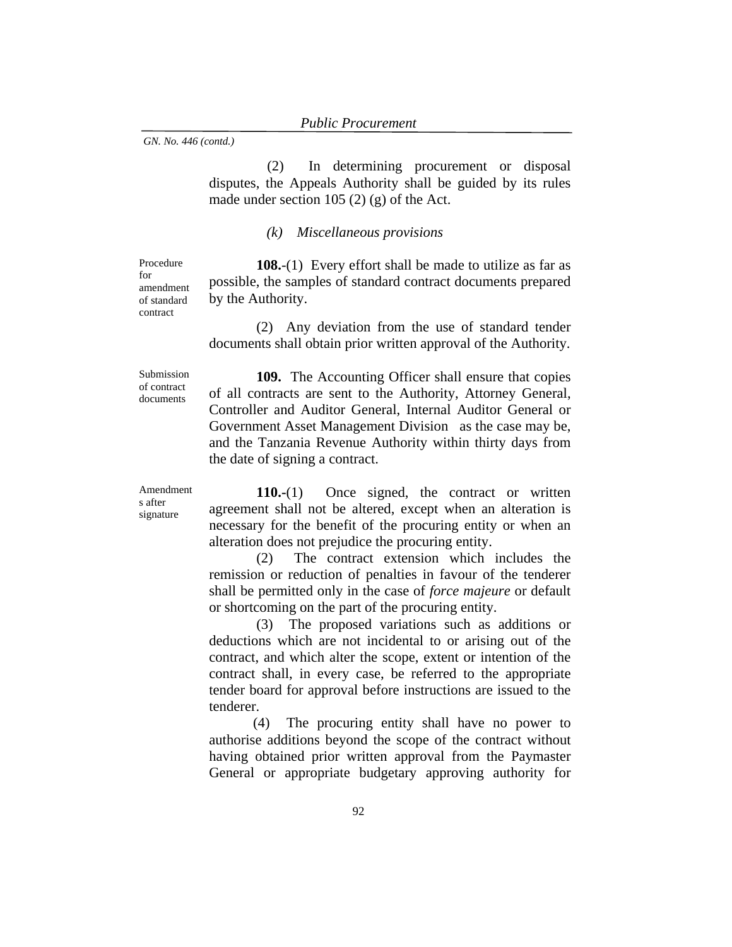(2) In determining procurement or disposal disputes, the Appeals Authority shall be guided by its rules made under section 105 (2) (g) of the Act.

## *(k) Miscellaneous provisions*

**108.**-(1) Every effort shall be made to utilize as far as possible, the samples of standard contract documents prepared by the Authority.

(2) Any deviation from the use of standard tender documents shall obtain prior written approval of the Authority.

Submission of contract documents

 Procedure for amendment of standard contract

> **109.** The Accounting Officer shall ensure that copies of all contracts are sent to the Authority, Attorney General, Controller and Auditor General, Internal Auditor General or Government Asset Management Division as the case may be, and the Tanzania Revenue Authority within thirty days from the date of signing a contract.

Amendment s after signature

**110.-**(1) Once signed, the contract or written agreement shall not be altered, except when an alteration is necessary for the benefit of the procuring entity or when an alteration does not prejudice the procuring entity.

(2) The contract extension which includes the remission or reduction of penalties in favour of the tenderer shall be permitted only in the case of *force majeure* or default or shortcoming on the part of the procuring entity.

(3) The proposed variations such as additions or deductions which are not incidental to or arising out of the contract, and which alter the scope, extent or intention of the contract shall, in every case, be referred to the appropriate tender board for approval before instructions are issued to the tenderer.

(4) The procuring entity shall have no power to authorise additions beyond the scope of the contract without having obtained prior written approval from the Paymaster General or appropriate budgetary approving authority for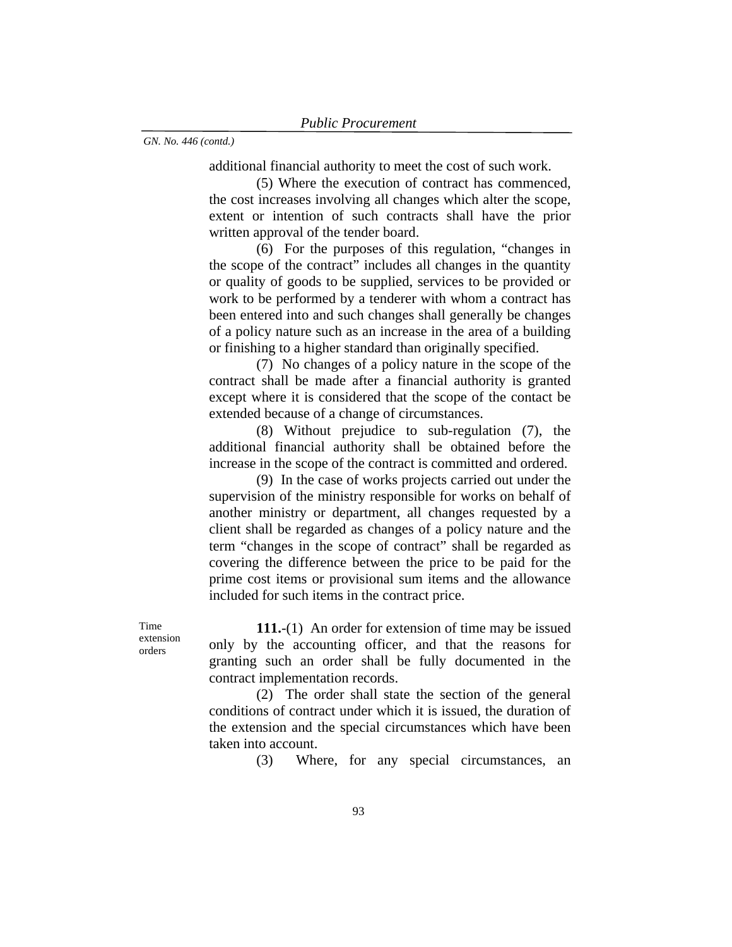additional financial authority to meet the cost of such work.

(5) Where the execution of contract has commenced, the cost increases involving all changes which alter the scope, extent or intention of such contracts shall have the prior written approval of the tender board.

(6) For the purposes of this regulation, "changes in the scope of the contract" includes all changes in the quantity or quality of goods to be supplied, services to be provided or work to be performed by a tenderer with whom a contract has been entered into and such changes shall generally be changes of a policy nature such as an increase in the area of a building or finishing to a higher standard than originally specified.

(7) No changes of a policy nature in the scope of the contract shall be made after a financial authority is granted except where it is considered that the scope of the contact be extended because of a change of circumstances.

(8) Without prejudice to sub-regulation (7), the additional financial authority shall be obtained before the increase in the scope of the contract is committed and ordered.

(9) In the case of works projects carried out under the supervision of the ministry responsible for works on behalf of another ministry or department, all changes requested by a client shall be regarded as changes of a policy nature and the term "changes in the scope of contract" shall be regarded as covering the difference between the price to be paid for the prime cost items or provisional sum items and the allowance included for such items in the contract price.

**111.**-(1) An order for extension of time may be issued only by the accounting officer, and that the reasons for granting such an order shall be fully documented in the contract implementation records.

(2) The order shall state the section of the general conditions of contract under which it is issued, the duration of the extension and the special circumstances which have been taken into account.

(3) Where, for any special circumstances, an

Time extension orders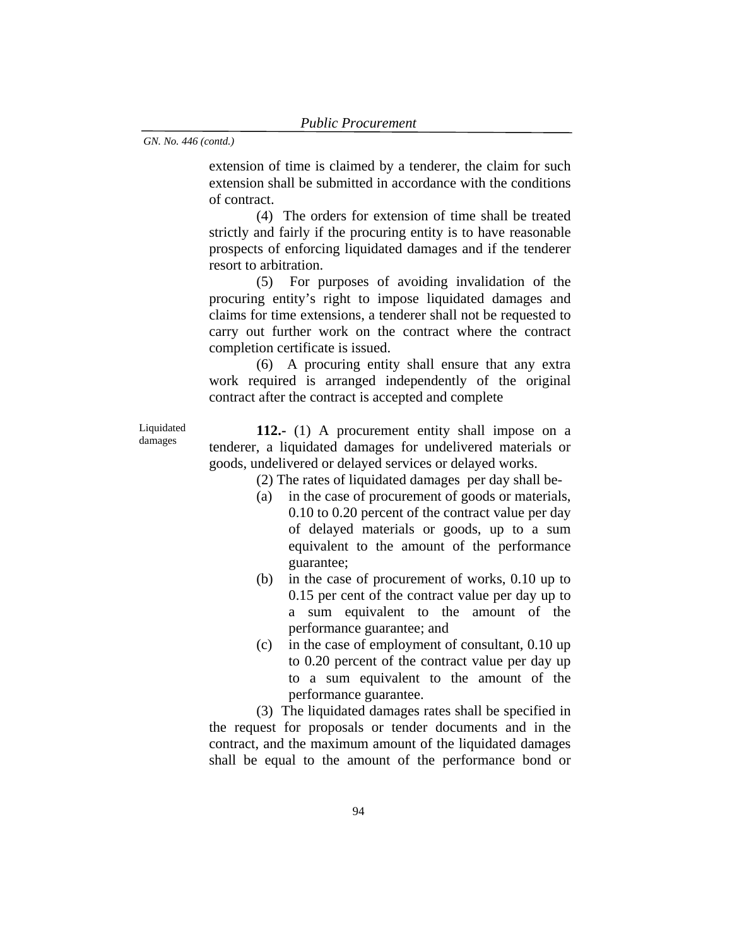extension of time is claimed by a tenderer, the claim for such extension shall be submitted in accordance with the conditions of contract.

(4) The orders for extension of time shall be treated strictly and fairly if the procuring entity is to have reasonable prospects of enforcing liquidated damages and if the tenderer resort to arbitration.

(5) For purposes of avoiding invalidation of the procuring entity's right to impose liquidated damages and claims for time extensions, a tenderer shall not be requested to carry out further work on the contract where the contract completion certificate is issued.

(6) A procuring entity shall ensure that any extra work required is arranged independently of the original contract after the contract is accepted and complete

Liquidated damages

**112.-** (1) A procurement entity shall impose on a tenderer, a liquidated damages for undelivered materials or goods, undelivered or delayed services or delayed works.

(2) The rates of liquidated damages per day shall be-

- (a) in the case of procurement of goods or materials, 0.10 to 0.20 percent of the contract value per day of delayed materials or goods, up to a sum equivalent to the amount of the performance guarantee;
- (b) in the case of procurement of works, 0.10 up to 0.15 per cent of the contract value per day up to a sum equivalent to the amount of the performance guarantee; and
- (c) in the case of employment of consultant, 0.10 up to 0.20 percent of the contract value per day up to a sum equivalent to the amount of the performance guarantee.

 (3) The liquidated damages rates shall be specified in the request for proposals or tender documents and in the contract, and the maximum amount of the liquidated damages shall be equal to the amount of the performance bond or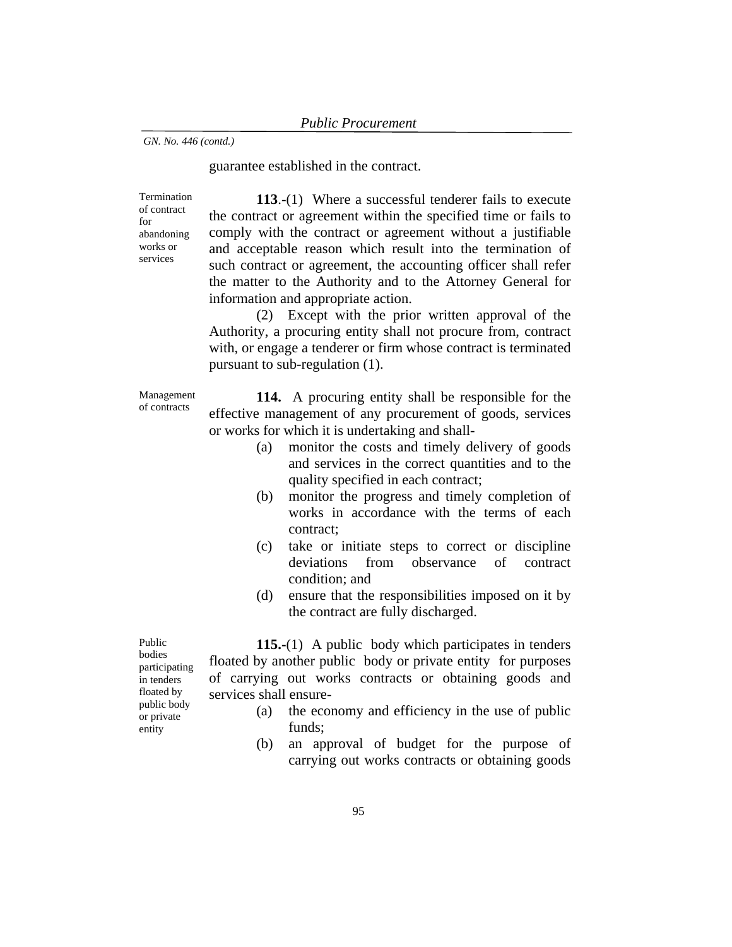guarantee established in the contract.

Termination of contract for abandoning works or services

**113**.-(1) Where a successful tenderer fails to execute the contract or agreement within the specified time or fails to comply with the contract or agreement without a justifiable and acceptable reason which result into the termination of such contract or agreement, the accounting officer shall refer the matter to the Authority and to the Attorney General for information and appropriate action.

(2) Except with the prior written approval of the Authority, a procuring entity shall not procure from, contract with, or engage a tenderer or firm whose contract is terminated pursuant to sub-regulation (1).

Management of contracts

**114.** A procuring entity shall be responsible for the effective management of any procurement of goods, services or works for which it is undertaking and shall-

- (a) monitor the costs and timely delivery of goods and services in the correct quantities and to the quality specified in each contract;
- (b) monitor the progress and timely completion of works in accordance with the terms of each contract;
- (c) take or initiate steps to correct or discipline deviations from observance of contract condition; and
- (d) ensure that the responsibilities imposed on it by the contract are fully discharged.

**115.-**(1) A public body which participates in tenders floated by another public body or private entity for purposes of carrying out works contracts or obtaining goods and services shall ensure-

- (a) the economy and efficiency in the use of public funds;
- (b) an approval of budget for the purpose of carrying out works contracts or obtaining goods

Public bodies participating in tenders floated by public body or private entity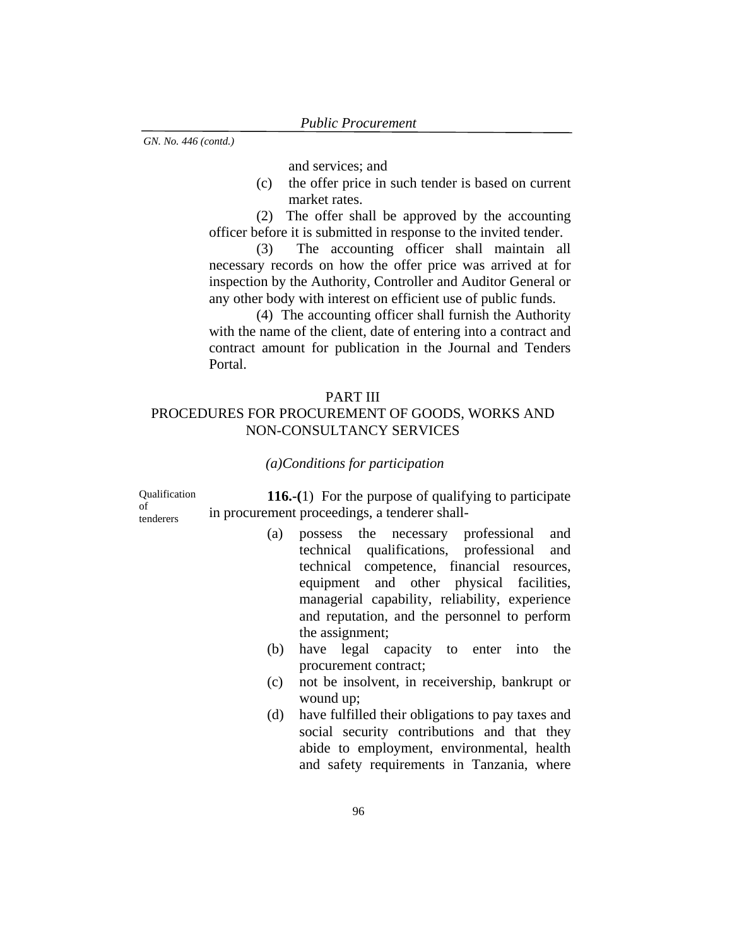and services; and

(c) the offer price in such tender is based on current market rates.

(2) The offer shall be approved by the accounting officer before it is submitted in response to the invited tender.

(3) The accounting officer shall maintain all necessary records on how the offer price was arrived at for inspection by the Authority, Controller and Auditor General or any other body with interest on efficient use of public funds.

(4) The accounting officer shall furnish the Authority with the name of the client, date of entering into a contract and contract amount for publication in the Journal and Tenders Portal.

## PART III

# PROCEDURES FOR PROCUREMENT OF GOODS, WORKS AND NON-CONSULTANCY SERVICES

#### *(a)Conditions for participation*

Qualification of tenderers **116.-(**1) For the purpose of qualifying to participate in procurement proceedings, a tenderer shall-

- (a) possess the necessary professional and technical qualifications, professional and technical competence, financial resources, equipment and other physical facilities, managerial capability, reliability, experience and reputation, and the personnel to perform the assignment;
- (b) have legal capacity to enter into the procurement contract;
- (c) not be insolvent, in receivership, bankrupt or wound up;
- (d) have fulfilled their obligations to pay taxes and social security contributions and that they abide to employment, environmental, health and safety requirements in Tanzania, where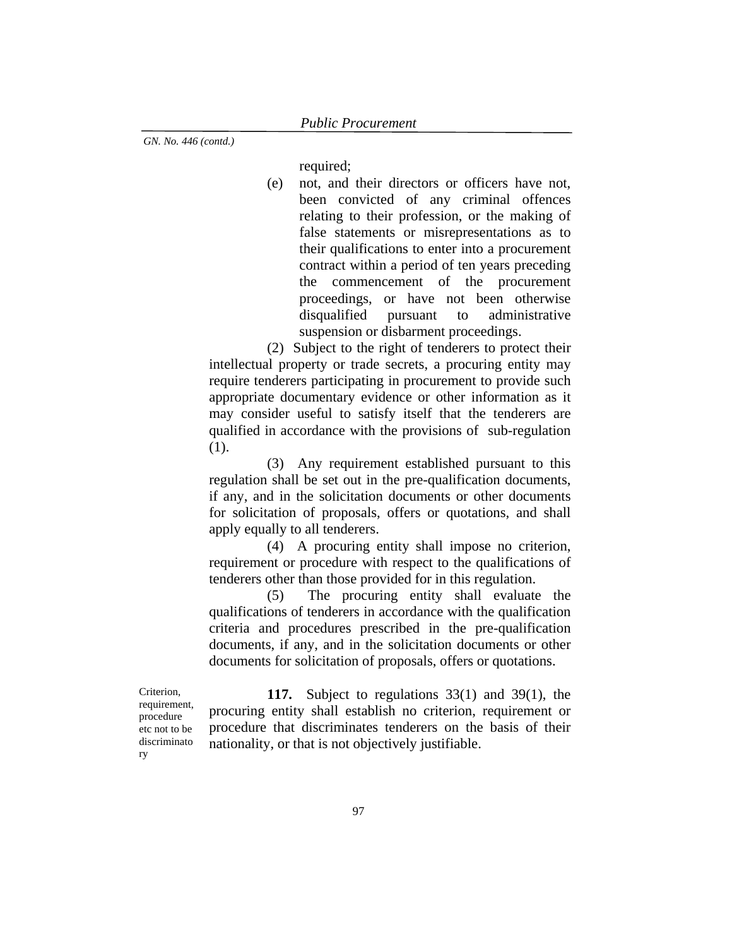required;

 (e) not, and their directors or officers have not, been convicted of any criminal offences relating to their profession, or the making of false statements or misrepresentations as to their qualifications to enter into a procurement contract within a period of ten years preceding the commencement of the procurement proceedings, or have not been otherwise disqualified pursuant to administrative suspension or disbarment proceedings.

 (2) Subject to the right of tenderers to protect their intellectual property or trade secrets, a procuring entity may require tenderers participating in procurement to provide such appropriate documentary evidence or other information as it may consider useful to satisfy itself that the tenderers are qualified in accordance with the provisions of sub-regulation (1).

 (3) Any requirement established pursuant to this regulation shall be set out in the pre-qualification documents, if any, and in the solicitation documents or other documents for solicitation of proposals, offers or quotations, and shall apply equally to all tenderers.

 (4) A procuring entity shall impose no criterion, requirement or procedure with respect to the qualifications of tenderers other than those provided for in this regulation.

 (5) The procuring entity shall evaluate the qualifications of tenderers in accordance with the qualification criteria and procedures prescribed in the pre-qualification documents, if any, and in the solicitation documents or other documents for solicitation of proposals, offers or quotations.

Criterion, requirement, procedure etc not to be discriminato ry

**117.** Subject to regulations 33(1) and 39(1), the procuring entity shall establish no criterion, requirement or procedure that discriminates tenderers on the basis of their nationality, or that is not objectively justifiable.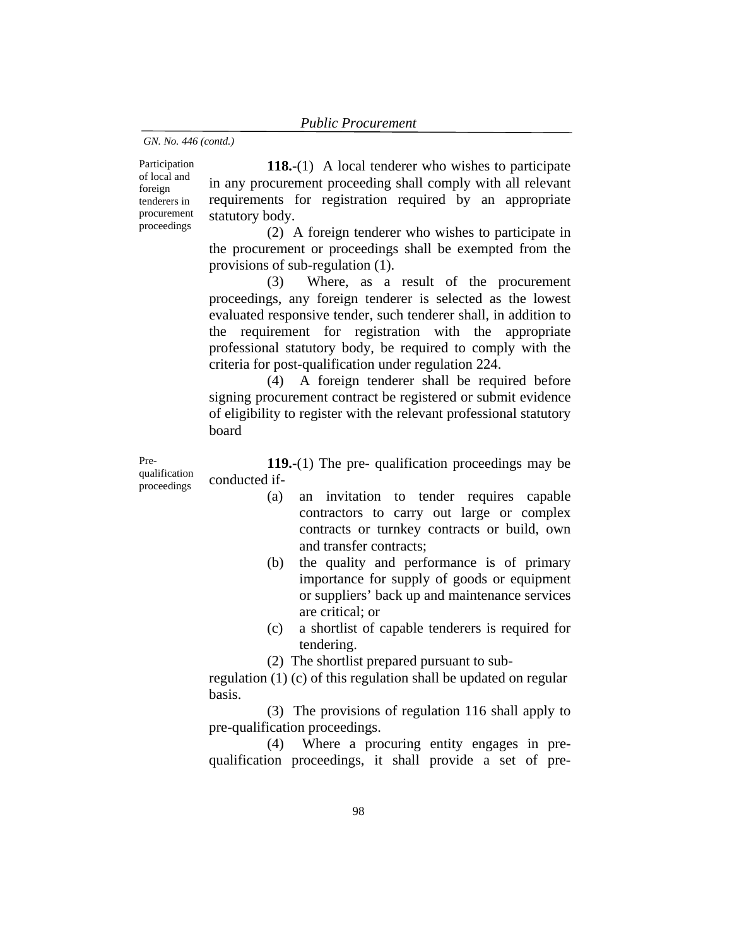Participation of local and foreign tenderers in procurement proceedings

**118.-**(1) A local tenderer who wishes to participate in any procurement proceeding shall comply with all relevant requirements for registration required by an appropriate statutory body.

(2) A foreign tenderer who wishes to participate in the procurement or proceedings shall be exempted from the provisions of sub-regulation (1).

 (3) Where, as a result of the procurement proceedings, any foreign tenderer is selected as the lowest evaluated responsive tender, such tenderer shall, in addition to the requirement for registration with the appropriate professional statutory body, be required to comply with the criteria for post-qualification under regulation 224.

 (4) A foreign tenderer shall be required before signing procurement contract be registered or submit evidence of eligibility to register with the relevant professional statutory board

Prequalification proceedings

**119.-**(1) The pre- qualification proceedings may be conducted if-

- (a) an invitation to tender requires capable contractors to carry out large or complex contracts or turnkey contracts or build, own and transfer contracts;
- (b) the quality and performance is of primary importance for supply of goods or equipment or suppliers' back up and maintenance services are critical; or
- (c) a shortlist of capable tenderers is required for tendering.
- (2) The shortlist prepared pursuant to sub-

regulation (1) (c) of this regulation shall be updated on regular basis.

 (3) The provisions of regulation 116 shall apply to pre-qualification proceedings.

 (4) Where a procuring entity engages in prequalification proceedings, it shall provide a set of pre-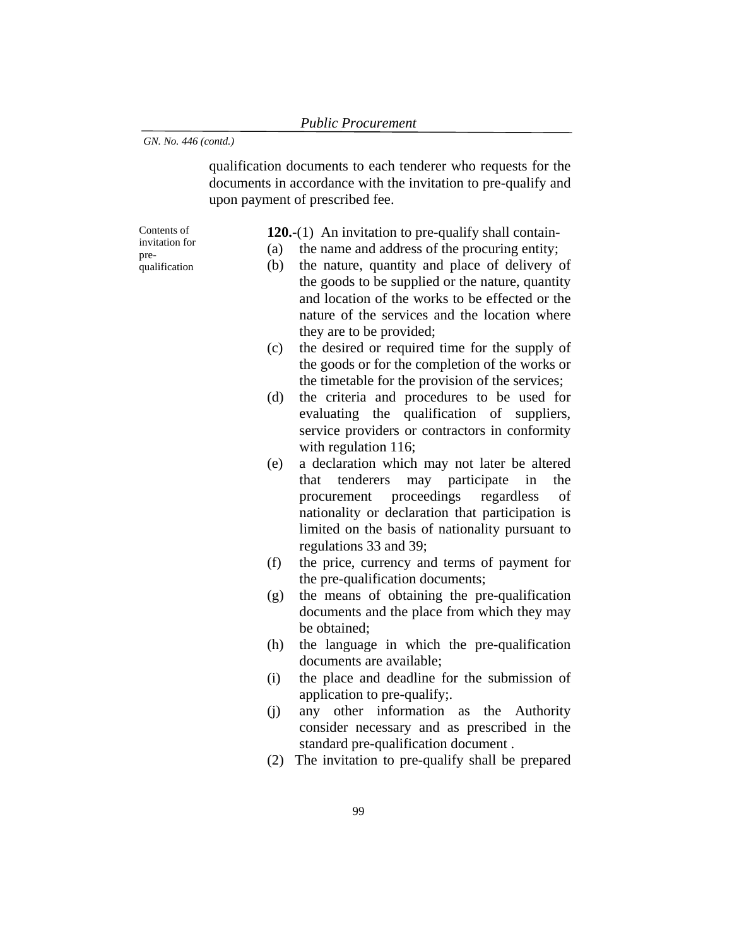qualification documents to each tenderer who requests for the documents in accordance with the invitation to pre-qualify and upon payment of prescribed fee.

Contents of invitation for prequalification

- **120.-**(1) An invitation to pre-qualify shall contain-
- (a) the name and address of the procuring entity;
- (b) the nature, quantity and place of delivery of the goods to be supplied or the nature, quantity and location of the works to be effected or the nature of the services and the location where they are to be provided;
- (c) the desired or required time for the supply of the goods or for the completion of the works or the timetable for the provision of the services;
- (d) the criteria and procedures to be used for evaluating the qualification of suppliers, service providers or contractors in conformity with regulation 116;
- (e) a declaration which may not later be altered that tenderers may participate in the procurement proceedings regardless of nationality or declaration that participation is limited on the basis of nationality pursuant to regulations 33 and 39;
- (f) the price, currency and terms of payment for the pre-qualification documents;
- (g) the means of obtaining the pre-qualification documents and the place from which they may be obtained;
- (h) the language in which the pre-qualification documents are available;
- (i) the place and deadline for the submission of application to pre-qualify;.
- (j) any other information as the Authority consider necessary and as prescribed in the standard pre-qualification document .
- (2) The invitation to pre-qualify shall be prepared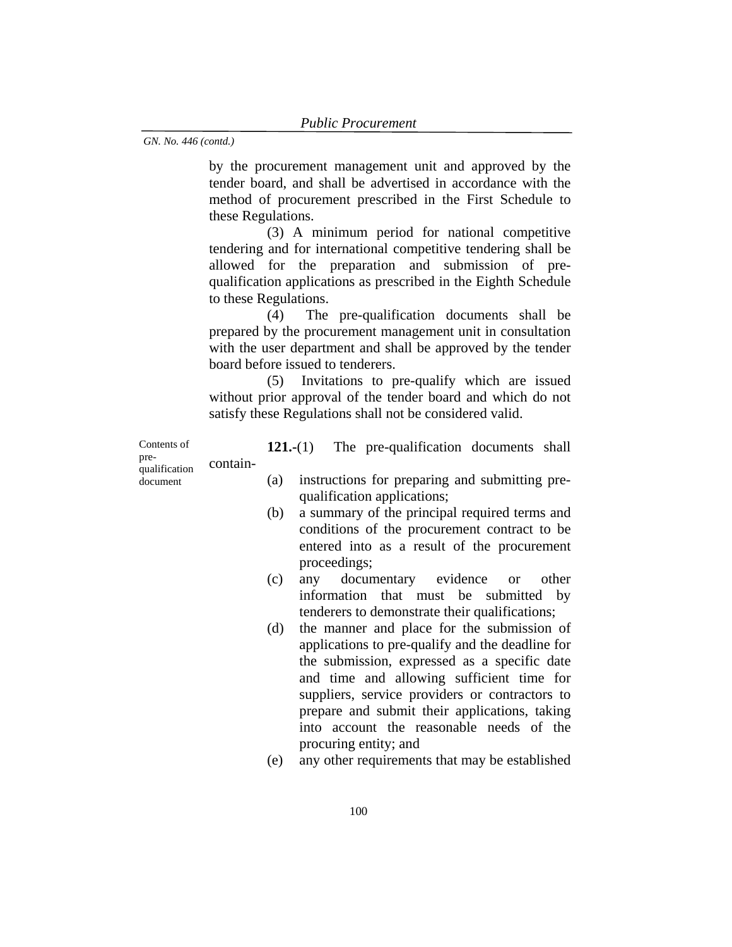by the procurement management unit and approved by the tender board, and shall be advertised in accordance with the method of procurement prescribed in the First Schedule to these Regulations.

(3) A minimum period for national competitive tendering and for international competitive tendering shall be allowed for the preparation and submission of prequalification applications as prescribed in the Eighth Schedule to these Regulations.

(4) The pre-qualification documents shall be prepared by the procurement management unit in consultation with the user department and shall be approved by the tender board before issued to tenderers.

(5) Invitations to pre-qualify which are issued without prior approval of the tender board and which do not satisfy these Regulations shall not be considered valid.

Contents of prequalification document **121.-**(1) The pre-qualification documents shall contain-

- (a) instructions for preparing and submitting prequalification applications;
- (b) a summary of the principal required terms and conditions of the procurement contract to be entered into as a result of the procurement proceedings;
- (c) any documentary evidence or other information that must be submitted by tenderers to demonstrate their qualifications;
- (d) the manner and place for the submission of applications to pre-qualify and the deadline for the submission, expressed as a specific date and time and allowing sufficient time for suppliers, service providers or contractors to prepare and submit their applications, taking into account the reasonable needs of the procuring entity; and
- (e) any other requirements that may be established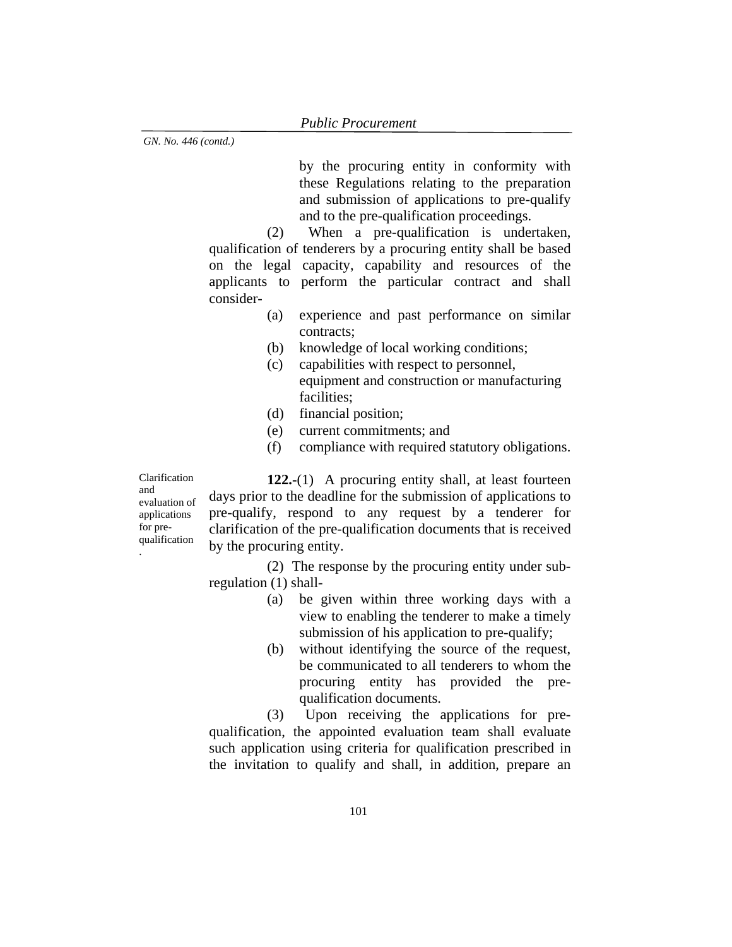by the procuring entity in conformity with these Regulations relating to the preparation and submission of applications to pre-qualify and to the pre-qualification proceedings.

(2) When a pre-qualification is undertaken, qualification of tenderers by a procuring entity shall be based on the legal capacity, capability and resources of the applicants to perform the particular contract and shall consider-

- (a) experience and past performance on similar contracts;
- (b) knowledge of local working conditions;
- (c) capabilities with respect to personnel, equipment and construction or manufacturing facilities;
- (d) financial position;
- (e) current commitments; and
- (f) compliance with required statutory obligations.

Clarification and evaluation of applications for prequalification .

**122.-**(1) A procuring entity shall, at least fourteen days prior to the deadline for the submission of applications to pre-qualify, respond to any request by a tenderer for clarification of the pre-qualification documents that is received by the procuring entity.

(2) The response by the procuring entity under subregulation (1) shall-

- (a) be given within three working days with a view to enabling the tenderer to make a timely submission of his application to pre-qualify;
- (b) without identifying the source of the request, be communicated to all tenderers to whom the procuring entity has provided the prequalification documents.

(3) Upon receiving the applications for prequalification, the appointed evaluation team shall evaluate such application using criteria for qualification prescribed in the invitation to qualify and shall, in addition, prepare an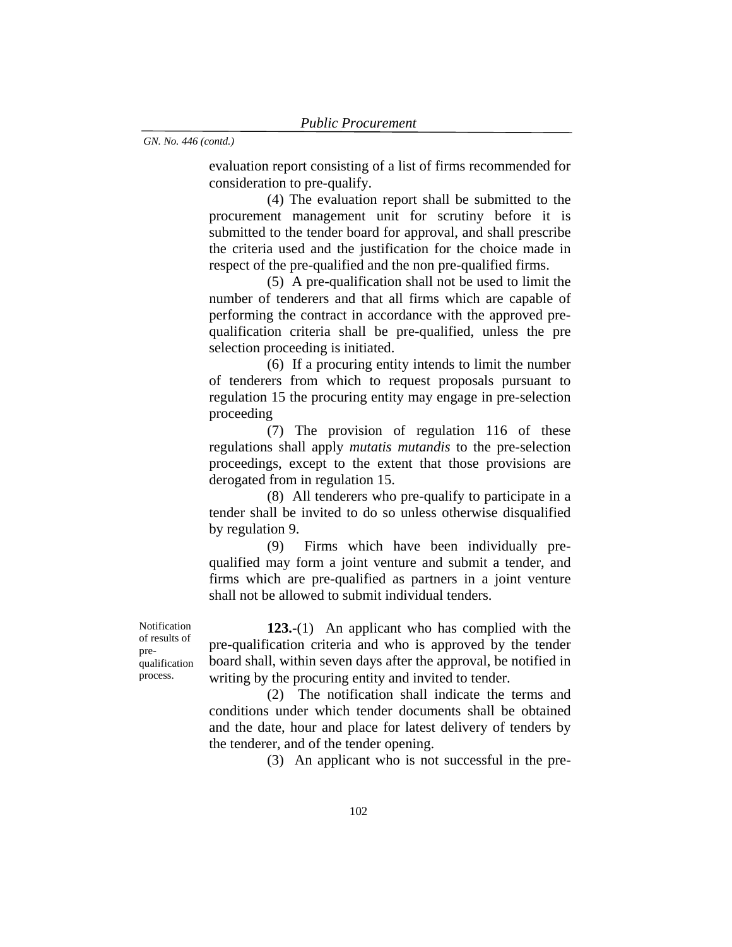evaluation report consisting of a list of firms recommended for consideration to pre-qualify.

(4) The evaluation report shall be submitted to the procurement management unit for scrutiny before it is submitted to the tender board for approval, and shall prescribe the criteria used and the justification for the choice made in respect of the pre-qualified and the non pre-qualified firms.

(5) A pre-qualification shall not be used to limit the number of tenderers and that all firms which are capable of performing the contract in accordance with the approved prequalification criteria shall be pre-qualified, unless the pre selection proceeding is initiated.

(6) If a procuring entity intends to limit the number of tenderers from which to request proposals pursuant to regulation 15 the procuring entity may engage in pre-selection proceeding

(7) The provision of regulation 116 of these regulations shall apply *mutatis mutandis* to the pre-selection proceedings, except to the extent that those provisions are derogated from in regulation 15.

(8) All tenderers who pre-qualify to participate in a tender shall be invited to do so unless otherwise disqualified by regulation 9.

(9) Firms which have been individually prequalified may form a joint venture and submit a tender, and firms which are pre-qualified as partners in a joint venture shall not be allowed to submit individual tenders.

Notification of results of prequalification process.

**123.-**(1) An applicant who has complied with the pre-qualification criteria and who is approved by the tender board shall, within seven days after the approval, be notified in writing by the procuring entity and invited to tender.

(2) The notification shall indicate the terms and conditions under which tender documents shall be obtained and the date, hour and place for latest delivery of tenders by the tenderer, and of the tender opening.

(3) An applicant who is not successful in the pre-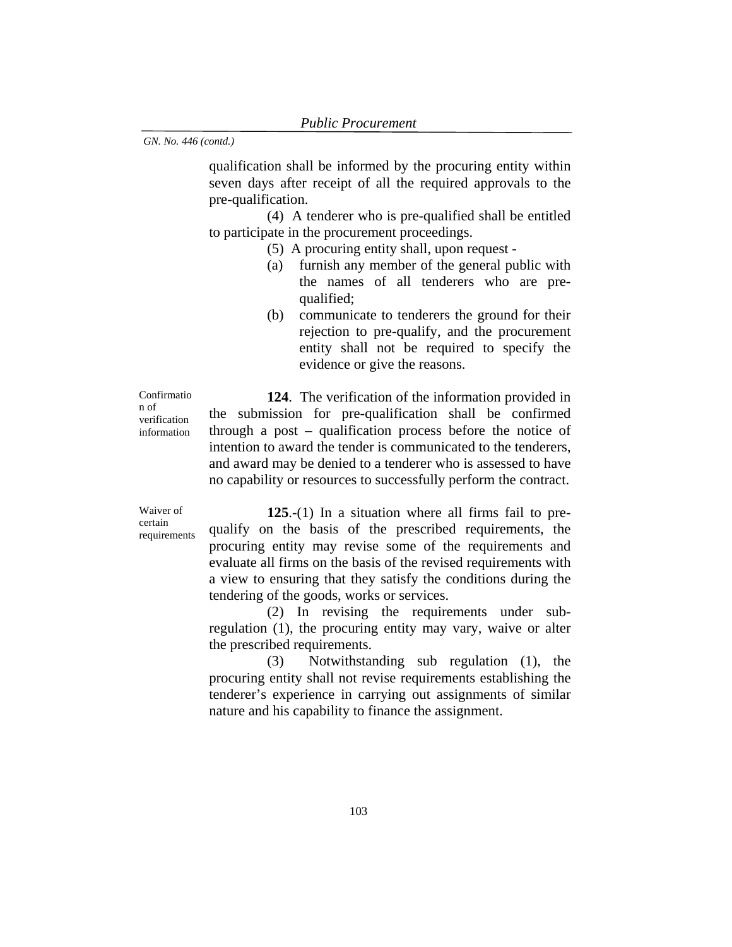qualification shall be informed by the procuring entity within seven days after receipt of all the required approvals to the pre-qualification.

(4) A tenderer who is pre-qualified shall be entitled to participate in the procurement proceedings.

- (5) A procuring entity shall, upon request -
- (a) furnish any member of the general public with the names of all tenderers who are prequalified;
- (b) communicate to tenderers the ground for their rejection to pre-qualify, and the procurement entity shall not be required to specify the evidence or give the reasons.

Confirmatio n of verification information

**124**. The verification of the information provided in the submission for pre-qualification shall be confirmed through a post – qualification process before the notice of intention to award the tender is communicated to the tenderers, and award may be denied to a tenderer who is assessed to have no capability or resources to successfully perform the contract.

Waiver of certain requirements

**125**.-(1) In a situation where all firms fail to prequalify on the basis of the prescribed requirements, the procuring entity may revise some of the requirements and evaluate all firms on the basis of the revised requirements with a view to ensuring that they satisfy the conditions during the tendering of the goods, works or services.

(2) In revising the requirements under subregulation (1), the procuring entity may vary, waive or alter the prescribed requirements.

(3) Notwithstanding sub regulation (1), the procuring entity shall not revise requirements establishing the tenderer's experience in carrying out assignments of similar nature and his capability to finance the assignment.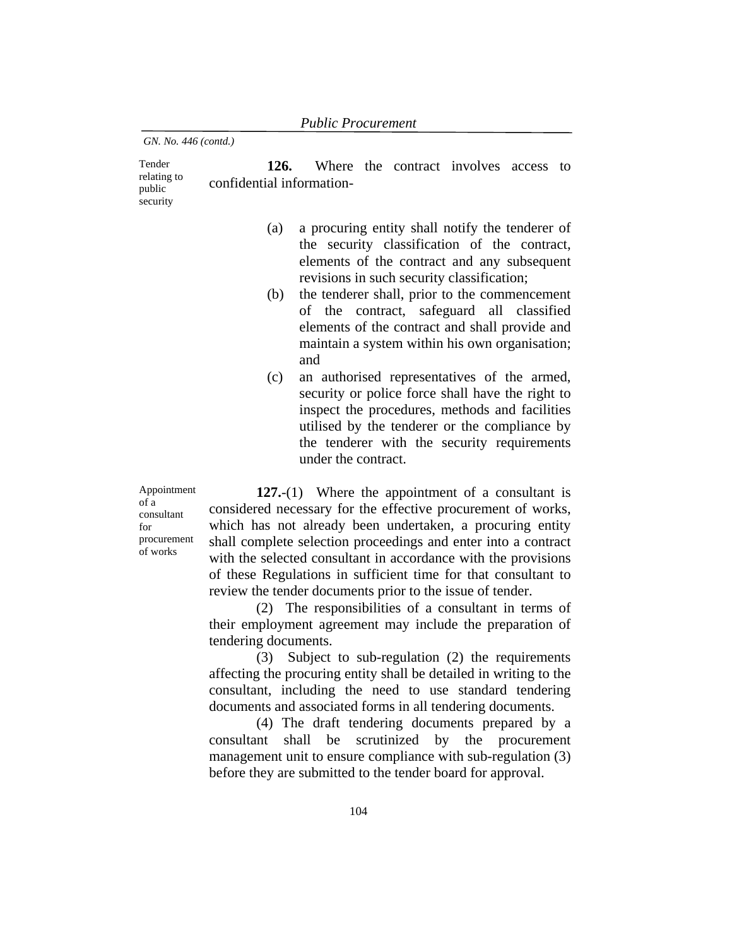security

Tender relating to public **126.** Where the contract involves access to confidential information-

- (a) a procuring entity shall notify the tenderer of the security classification of the contract, elements of the contract and any subsequent revisions in such security classification;
- (b) the tenderer shall, prior to the commencement of the contract, safeguard all classified elements of the contract and shall provide and maintain a system within his own organisation; and
- (c) an authorised representatives of the armed, security or police force shall have the right to inspect the procedures, methods and facilities utilised by the tenderer or the compliance by the tenderer with the security requirements under the contract.

Appointment of a consultant for procurement of works

**127.**-(1) Where the appointment of a consultant is considered necessary for the effective procurement of works, which has not already been undertaken, a procuring entity shall complete selection proceedings and enter into a contract with the selected consultant in accordance with the provisions of these Regulations in sufficient time for that consultant to review the tender documents prior to the issue of tender.

(2) The responsibilities of a consultant in terms of their employment agreement may include the preparation of tendering documents.

(3) Subject to sub-regulation (2) the requirements affecting the procuring entity shall be detailed in writing to the consultant, including the need to use standard tendering documents and associated forms in all tendering documents.

(4) The draft tendering documents prepared by a consultant shall be scrutinized by the procurement management unit to ensure compliance with sub-regulation (3) before they are submitted to the tender board for approval.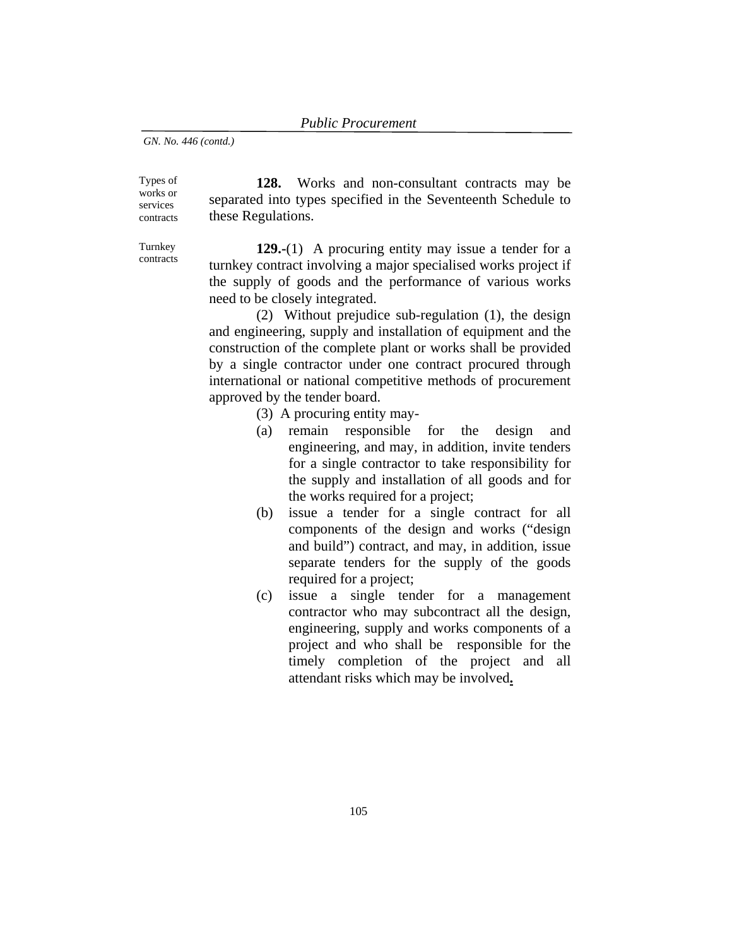Types of works or services contracts

**128.** Works and non-consultant contracts may be separated into types specified in the Seventeenth Schedule to these Regulations.

Turnkey contracts

**129.-**(1) A procuring entity may issue a tender for a turnkey contract involving a major specialised works project if the supply of goods and the performance of various works need to be closely integrated.

(2) Without prejudice sub-regulation (1), the design and engineering, supply and installation of equipment and the construction of the complete plant or works shall be provided by a single contractor under one contract procured through international or national competitive methods of procurement approved by the tender board.

- (3) A procuring entity may-
- (a) remain responsible for the design and engineering, and may, in addition, invite tenders for a single contractor to take responsibility for the supply and installation of all goods and for the works required for a project;
- (b) issue a tender for a single contract for all components of the design and works ("design and build") contract, and may, in addition, issue separate tenders for the supply of the goods required for a project;
- (c) issue a single tender for a management contractor who may subcontract all the design, engineering, supply and works components of a project and who shall be responsible for the timely completion of the project and all attendant risks which may be involved**.**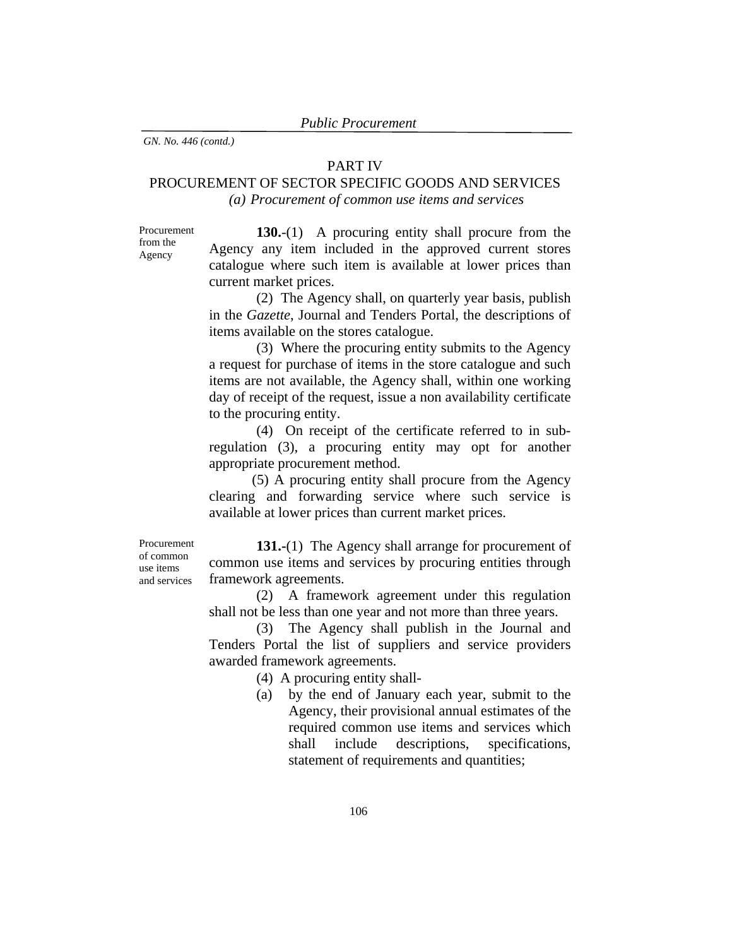## PART IV

# PROCUREMENT OF SECTOR SPECIFIC GOODS AND SERVICES *(a) Procurement of common use items and services*

Procurement from the

Agency

**130.**-(1) A procuring entity shall procure from the Agency any item included in the approved current stores catalogue where such item is available at lower prices than current market prices.

(2) The Agency shall, on quarterly year basis, publish in the *Gazette*, Journal and Tenders Portal, the descriptions of items available on the stores catalogue.

(3) Where the procuring entity submits to the Agency a request for purchase of items in the store catalogue and such items are not available, the Agency shall, within one working day of receipt of the request, issue a non availability certificate to the procuring entity.

(4) On receipt of the certificate referred to in subregulation (3), a procuring entity may opt for another appropriate procurement method.

(5) A procuring entity shall procure from the Agency clearing and forwarding service where such service is available at lower prices than current market prices.

Procurement of common use items and services

**131.-**(1) The Agency shall arrange for procurement of common use items and services by procuring entities through framework agreements.

(2) A framework agreement under this regulation shall not be less than one year and not more than three years.

(3) The Agency shall publish in the Journal and Tenders Portal the list of suppliers and service providers awarded framework agreements.

(4) A procuring entity shall-

(a) by the end of January each year, submit to the Agency, their provisional annual estimates of the required common use items and services which shall include descriptions, specifications, statement of requirements and quantities;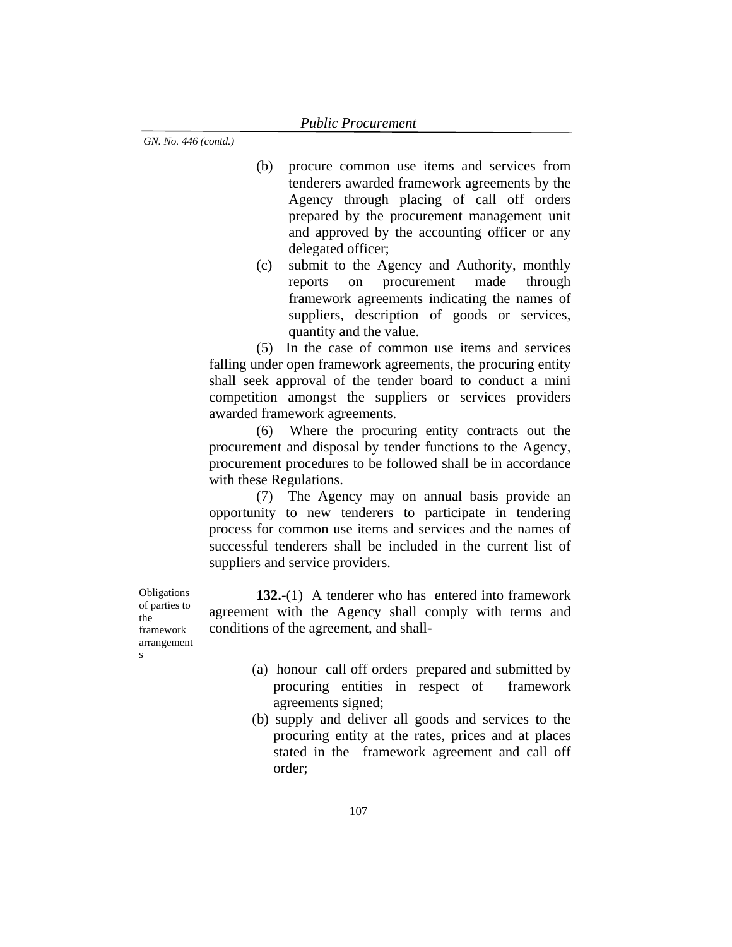- (b) procure common use items and services from tenderers awarded framework agreements by the Agency through placing of call off orders prepared by the procurement management unit and approved by the accounting officer or any delegated officer;
- (c) submit to the Agency and Authority, monthly reports on procurement made through framework agreements indicating the names of suppliers, description of goods or services, quantity and the value.

(5) In the case of common use items and services falling under open framework agreements, the procuring entity shall seek approval of the tender board to conduct a mini competition amongst the suppliers or services providers awarded framework agreements.

 (6) Where the procuring entity contracts out the procurement and disposal by tender functions to the Agency, procurement procedures to be followed shall be in accordance with these Regulations.

 (7) The Agency may on annual basis provide an opportunity to new tenderers to participate in tendering process for common use items and services and the names of successful tenderers shall be included in the current list of suppliers and service providers.

**132.-**(1) A tenderer who has entered into framework agreement with the Agency shall comply with terms and conditions of the agreement, and shall-

- Obligations of parties to the framework arrangement s
- (a) honour call off orders prepared and submitted by procuring entities in respect of framework agreements signed;
- (b) supply and deliver all goods and services to the procuring entity at the rates, prices and at places stated in the framework agreement and call off order;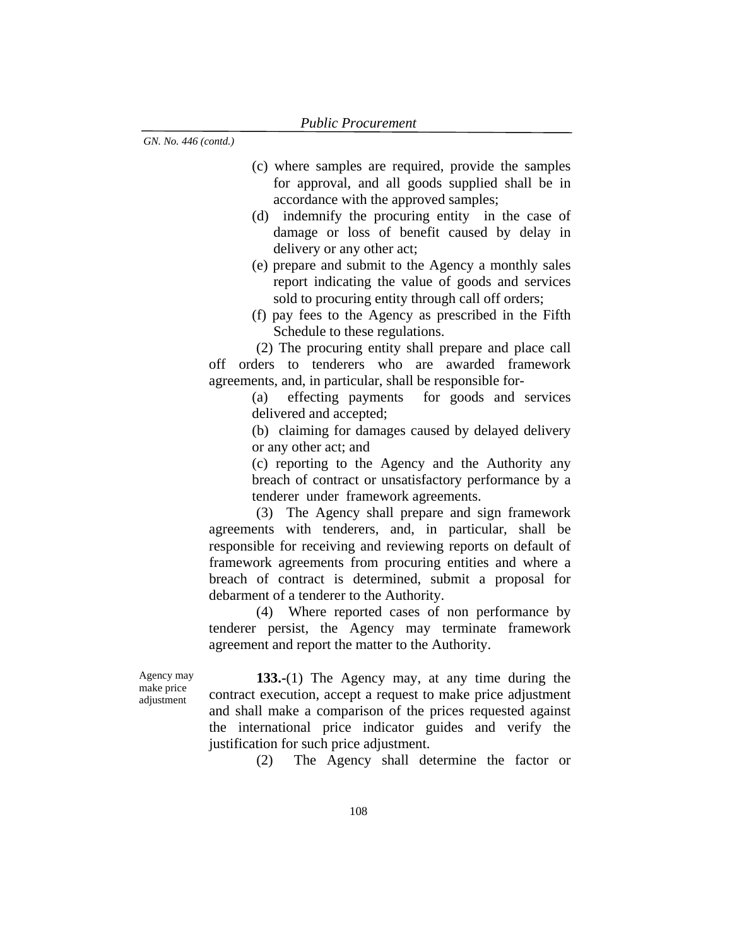- (c) where samples are required, provide the samples for approval, and all goods supplied shall be in accordance with the approved samples;
- (d) indemnify the procuring entity in the case of damage or loss of benefit caused by delay in delivery or any other act;
- (e) prepare and submit to the Agency a monthly sales report indicating the value of goods and services sold to procuring entity through call off orders;
- (f) pay fees to the Agency as prescribed in the Fifth Schedule to these regulations.

 (2) The procuring entity shall prepare and place call off orders to tenderers who are awarded framework agreements, and, in particular, shall be responsible for-

> (a) effecting payments for goods and services delivered and accepted;

> (b) claiming for damages caused by delayed delivery or any other act; and

> (c) reporting to the Agency and the Authority any breach of contract or unsatisfactory performance by a tenderer under framework agreements.

 (3)The Agency shall prepare and sign framework agreements with tenderers, and, in particular, shall be responsible for receiving and reviewing reports on default of framework agreements from procuring entities and where a breach of contract is determined, submit a proposal for debarment of a tenderer to the Authority.

 (4) Where reported cases of non performance by tenderer persist, the Agency may terminate framework agreement and report the matter to the Authority.

Agency may make price adjustment

**133.-**(1) The Agency may, at any time during the contract execution, accept a request to make price adjustment and shall make a comparison of the prices requested against the international price indicator guides and verify the justification for such price adjustment.

(2) The Agency shall determine the factor or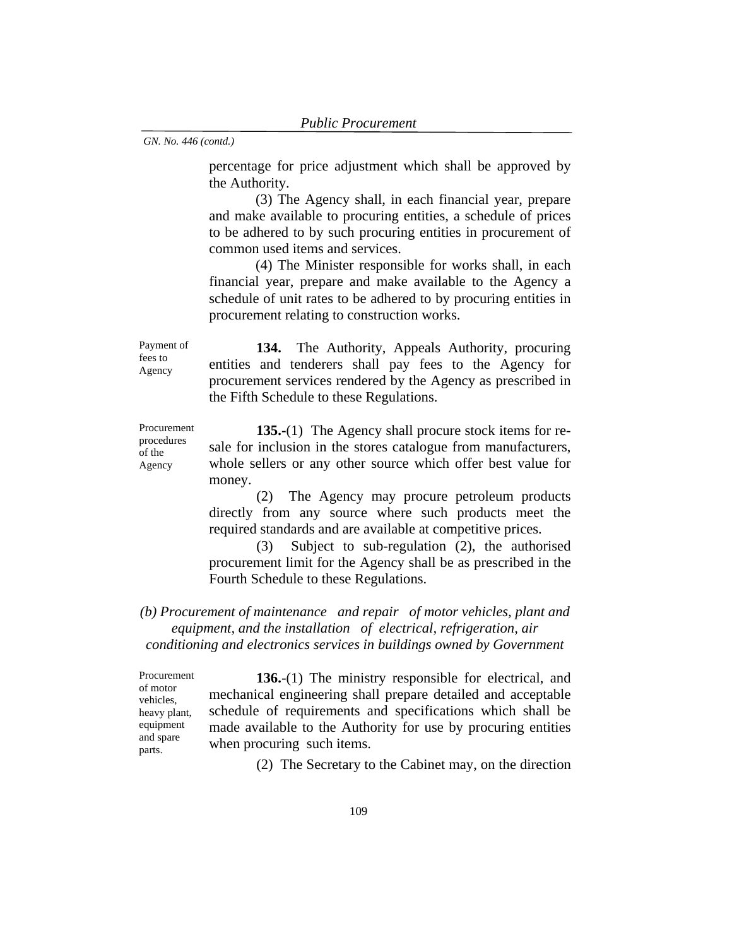percentage for price adjustment which shall be approved by the Authority.

 (3) The Agency shall, in each financial year, prepare and make available to procuring entities, a schedule of prices to be adhered to by such procuring entities in procurement of common used items and services.

 (4) The Minister responsible for works shall, in each financial year, prepare and make available to the Agency a schedule of unit rates to be adhered to by procuring entities in procurement relating to construction works.

Payment of fees to Agency **134.** The Authority, Appeals Authority, procuring entities and tenderers shall pay fees to the Agency for procurement services rendered by the Agency as prescribed in the Fifth Schedule to these Regulations.

> **135.-**(1) The Agency shall procure stock items for resale for inclusion in the stores catalogue from manufacturers, whole sellers or any other source which offer best value for money.

(2) The Agency may procure petroleum products directly from any source where such products meet the required standards and are available at competitive prices.

(3) Subject to sub-regulation (2), the authorised procurement limit for the Agency shall be as prescribed in the Fourth Schedule to these Regulations.

*(b) Procurement of maintenance and repair of motor vehicles, plant and equipment, and the installation of electrical, refrigeration, air conditioning and electronics services in buildings owned by Government* 

Procurement of motor vehicles, heavy plant, equipment and spare parts.

Procurement procedures of the Agency

> **136.**-(1) The ministry responsible for electrical, and mechanical engineering shall prepare detailed and acceptable schedule of requirements and specifications which shall be made available to the Authority for use by procuring entities when procuring such items.

> > (2) The Secretary to the Cabinet may, on the direction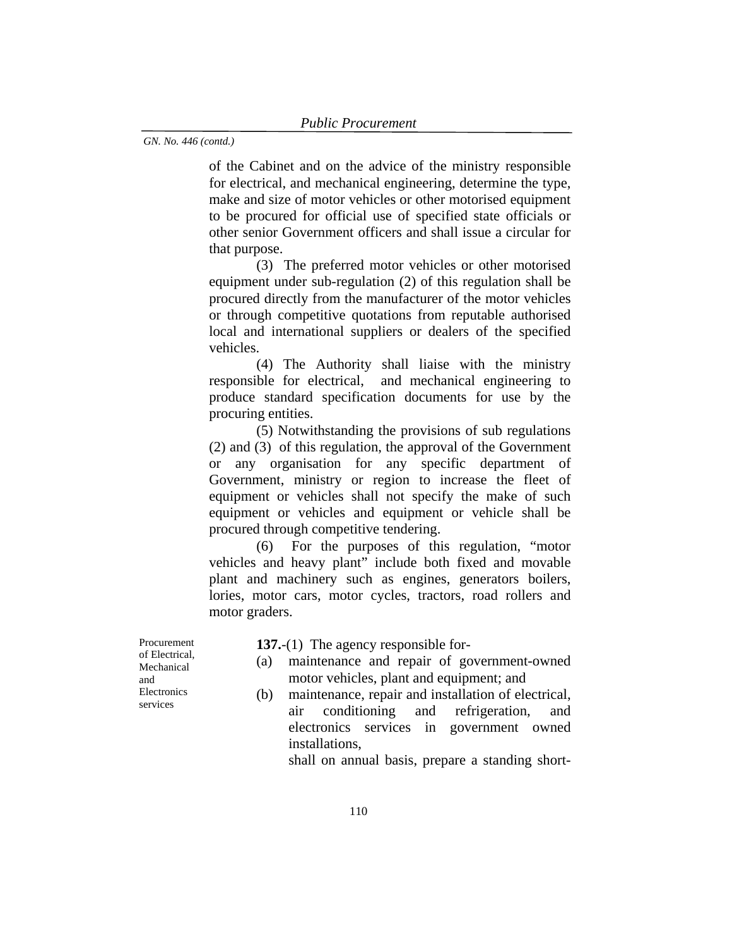of the Cabinet and on the advice of the ministry responsible for electrical, and mechanical engineering, determine the type, make and size of motor vehicles or other motorised equipment to be procured for official use of specified state officials or other senior Government officers and shall issue a circular for that purpose.

(3) The preferred motor vehicles or other motorised equipment under sub-regulation (2) of this regulation shall be procured directly from the manufacturer of the motor vehicles or through competitive quotations from reputable authorised local and international suppliers or dealers of the specified vehicles.

(4) The Authority shall liaise with the ministry responsible for electrical, and mechanical engineering to produce standard specification documents for use by the procuring entities.

(5) Notwithstanding the provisions of sub regulations (2) and (3) of this regulation, the approval of the Government or any organisation for any specific department of Government, ministry or region to increase the fleet of equipment or vehicles shall not specify the make of such equipment or vehicles and equipment or vehicle shall be procured through competitive tendering.

(6) For the purposes of this regulation, "motor vehicles and heavy plant" include both fixed and movable plant and machinery such as engines, generators boilers, lories, motor cars, motor cycles, tractors, road rollers and motor graders.

**137.**-(1) The agency responsible for-

- (a) maintenance and repair of government-owned motor vehicles, plant and equipment; and
- (b) maintenance, repair and installation of electrical, air conditioning and refrigeration, and electronics services in government owned installations,

shall on annual basis, prepare a standing short-

**Procurement** of Electrical, Mechanical and Electronics services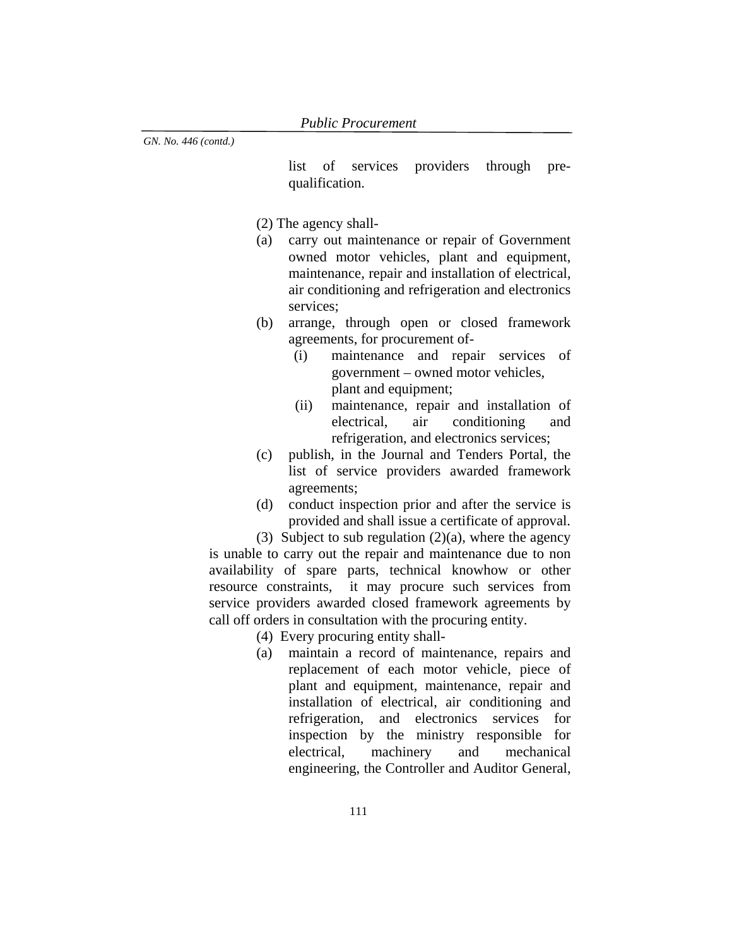list of services providers through prequalification.

(2) The agency shall-

- (a) carry out maintenance or repair of Government owned motor vehicles, plant and equipment, maintenance, repair and installation of electrical, air conditioning and refrigeration and electronics services;
- (b) arrange, through open or closed framework agreements, for procurement of-
	- (i) maintenance and repair services of government – owned motor vehicles, plant and equipment;
	- (ii) maintenance, repair and installation of electrical, air conditioning and refrigeration, and electronics services;
- (c) publish, in the Journal and Tenders Portal, the list of service providers awarded framework agreements;
- (d) conduct inspection prior and after the service is provided and shall issue a certificate of approval.

(3) Subject to sub regulation  $(2)(a)$ , where the agency is unable to carry out the repair and maintenance due to non availability of spare parts, technical knowhow or other resource constraints, it may procure such services from service providers awarded closed framework agreements by call off orders in consultation with the procuring entity.

- (4) Every procuring entity shall-
- (a) maintain a record of maintenance, repairs and replacement of each motor vehicle, piece of plant and equipment, maintenance, repair and installation of electrical, air conditioning and refrigeration, and electronics services for inspection by the ministry responsible for electrical, machinery and mechanical engineering, the Controller and Auditor General,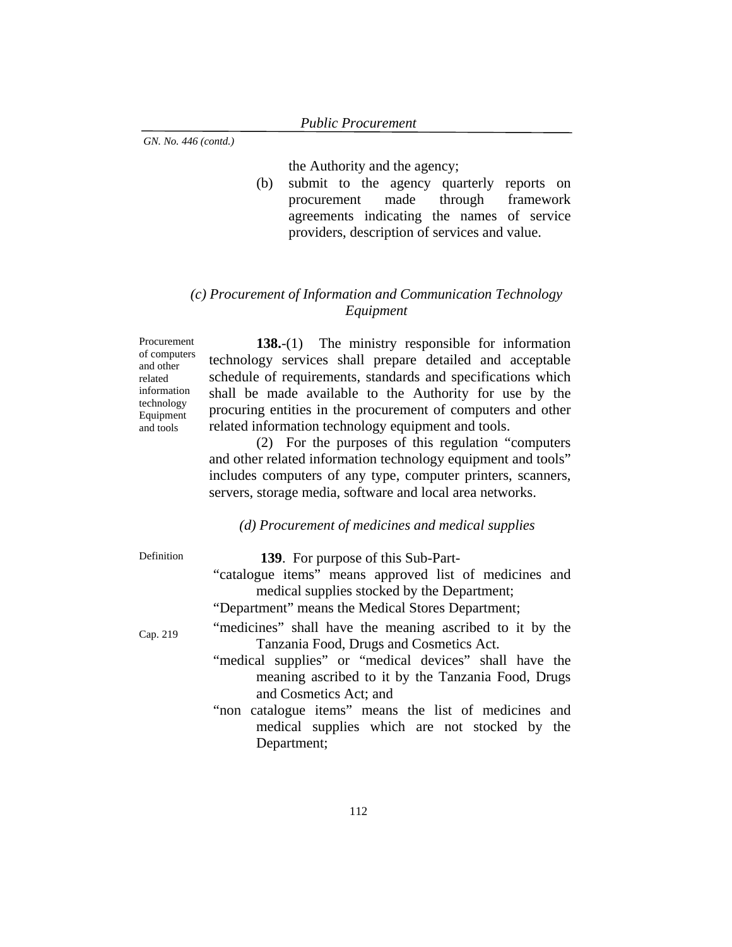the Authority and the agency;

(b) submit to the agency quarterly reports on procurement made through framework agreements indicating the names of service providers, description of services and value.

# *(c) Procurement of Information and Communication Technology Equipment*

Procurement of computers and other related information technology Equipment and tools

**138.**-(1) The ministry responsible for information technology services shall prepare detailed and acceptable schedule of requirements, standards and specifications which shall be made available to the Authority for use by the procuring entities in the procurement of computers and other related information technology equipment and tools.

(2) For the purposes of this regulation "computers and other related information technology equipment and tools" includes computers of any type, computer printers, scanners, servers, storage media, software and local area networks.

## *(d) Procurement of medicines and medical supplies*

| Definition | 139. For purpose of this Sub-Part-<br>"catalogue items" means approved list of medicines and<br>medical supplies stocked by the Department;<br>"Department" means the Medical Stores Department;                    |
|------------|---------------------------------------------------------------------------------------------------------------------------------------------------------------------------------------------------------------------|
| Cap. 219   | "medicines" shall have the meaning ascribed to it by the<br>Tanzania Food, Drugs and Cosmetics Act.<br>"medical supplies" or "medical devices" shall have the<br>meaning ascribed to it by the Tanzania Food, Drugs |
|            | and Cosmetics Act; and<br>"non catalogue items" means the list of medicines and<br>medical supplies which are not stocked by the<br>Department;                                                                     |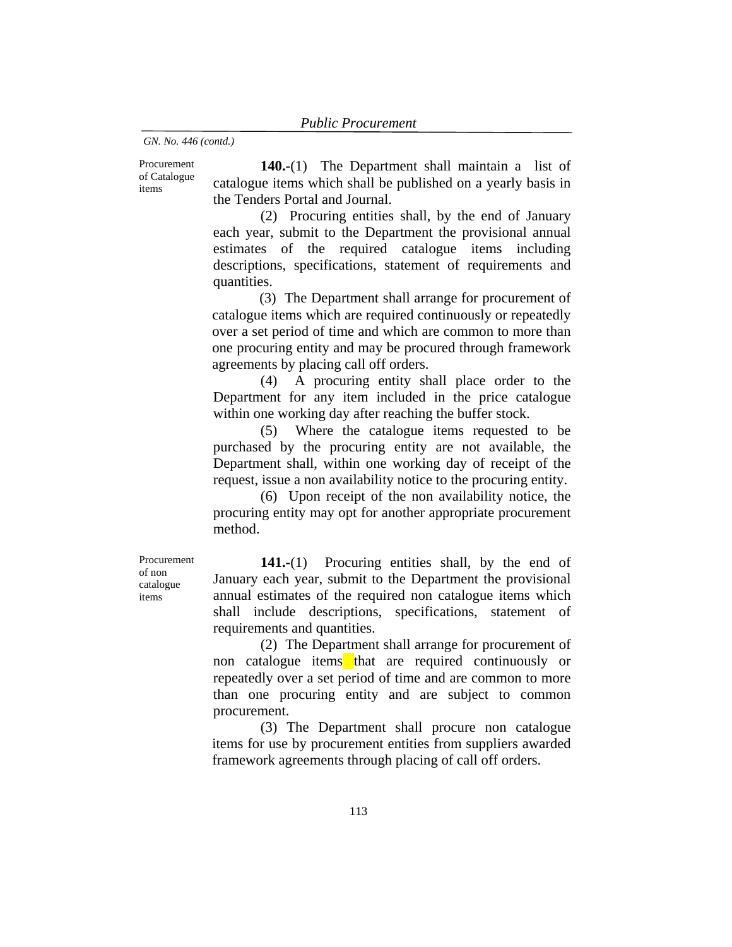Procurement of Catalogue items

**140.-**(1)The Department shall maintain a list of catalogue items which shall be published on a yearly basis in the Tenders Portal and Journal.

(2) Procuring entities shall, by the end of January each year, submit to the Department the provisional annual estimates of the required catalogue items including descriptions, specifications, statement of requirements and quantities.

(3) The Department shall arrange for procurement of catalogue items which are required continuously or repeatedly over a set period of time and which are common to more than one procuring entity and may be procured through framework agreements by placing call off orders.

(4) A procuring entity shall place order to the Department for any item included in the price catalogue within one working day after reaching the buffer stock.

(5) Where the catalogue items requested to be purchased by the procuring entity are not available, the Department shall, within one working day of receipt of the request, issue a non availability notice to the procuring entity.

(6) Upon receipt of the non availability notice, the procuring entity may opt for another appropriate procurement method.

Procurement of non catalogue items

**141.-**(1)Procuring entities shall, by the end of January each year, submit to the Department the provisional annual estimates of the required non catalogue items which shall include descriptions, specifications, statement of requirements and quantities.

(2) The Department shall arrange for procurement of non catalogue items that are required continuously or repeatedly over a set period of time and are common to more than one procuring entity and are subject to common procurement.

(3) The Department shall procure non catalogue items for use by procurement entities from suppliers awarded framework agreements through placing of call off orders.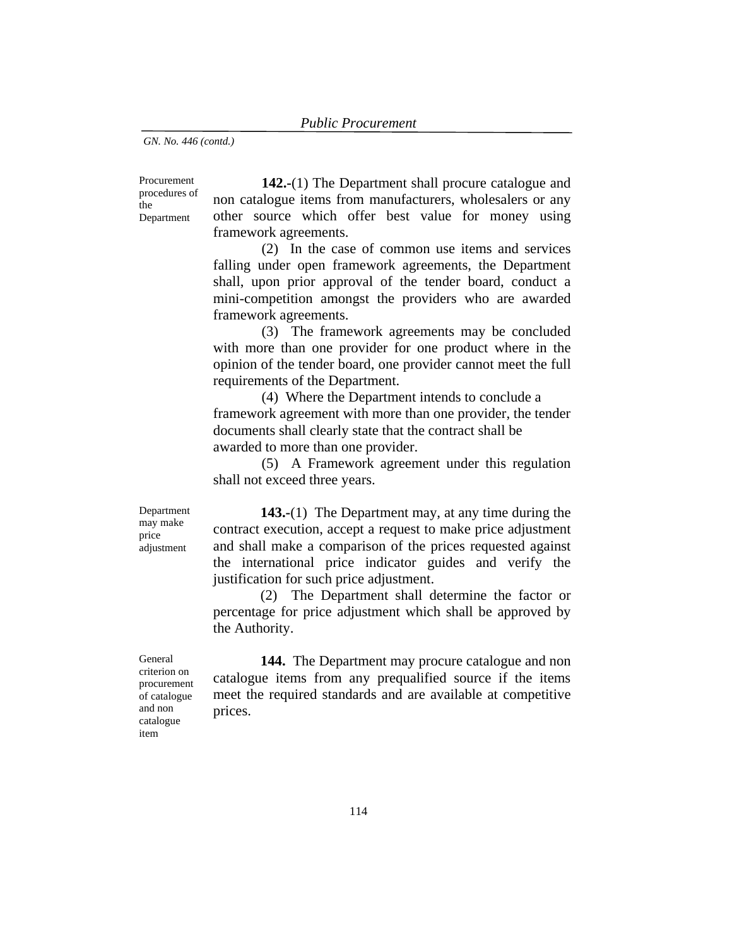Procurement procedures of the Department

**142.-**(1) The Department shall procure catalogue and non catalogue items from manufacturers, wholesalers or any other source which offer best value for money using framework agreements.

(2) In the case of common use items and services falling under open framework agreements, the Department shall, upon prior approval of the tender board, conduct a mini-competition amongst the providers who are awarded framework agreements.

(3) The framework agreements may be concluded with more than one provider for one product where in the opinion of the tender board, one provider cannot meet the full requirements of the Department.

 (4) Where the Department intends to conclude a framework agreement with more than one provider, the tender documents shall clearly state that the contract shall be awarded to more than one provider.

(5) A Framework agreement under this regulation shall not exceed three years.

Department may make price adjustment

**143.-**(1) The Department may, at any time during the contract execution, accept a request to make price adjustment and shall make a comparison of the prices requested against the international price indicator guides and verify the justification for such price adjustment.

(2) The Department shall determine the factor or percentage for price adjustment which shall be approved by the Authority.

General criterion on procurement of catalogue and non catalogue item

**144.** The Department may procure catalogue and non catalogue items from any prequalified source if the items meet the required standards and are available at competitive prices.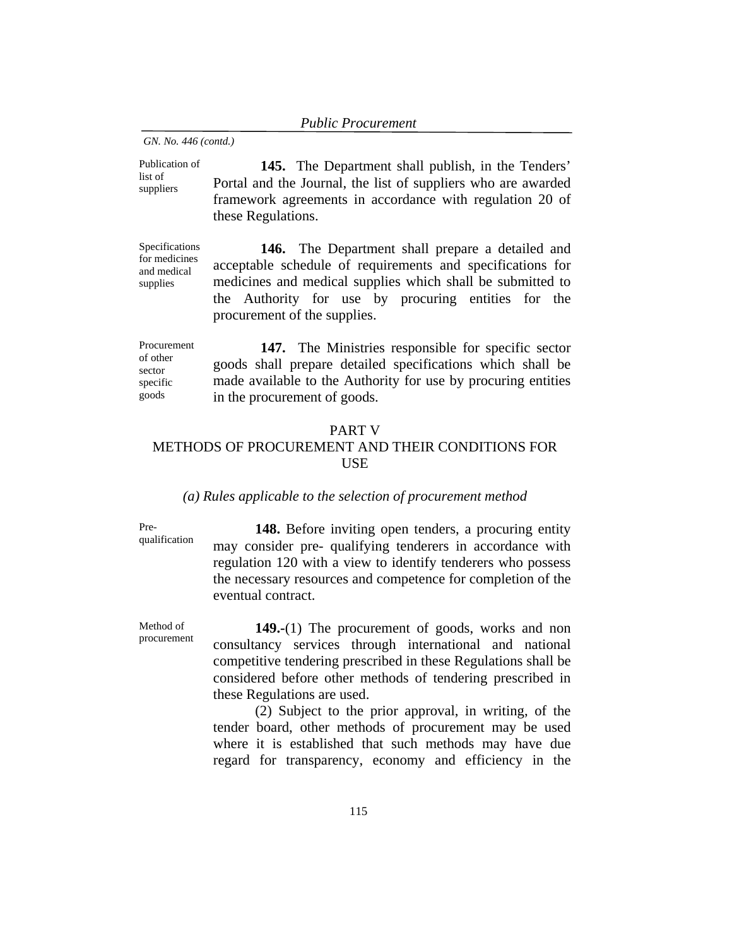Publication of list of suppliers **145.** The Department shall publish, in the Tenders' Portal and the Journal, the list of suppliers who are awarded framework agreements in accordance with regulation 20 of these Regulations.

Specifications for medicines and medical **146.** The Department shall prepare a detailed and acceptable schedule of requirements and specifications for medicines and medical supplies which shall be submitted to the Authority for use by procuring entities for the procurement of the supplies.

Procurement of other specific **147.** The Ministries responsible for specific sector goods shall prepare detailed specifications which shall be made available to the Authority for use by procuring entities in the procurement of goods.

#### PART V

# METHODS OF PROCUREMENT AND THEIR CONDITIONS FOR USE

#### *(a) Rules applicable to the selection of procurement method*

Prequalification

supplies

sector

goods

**148.** Before inviting open tenders, a procuring entity may consider pre- qualifying tenderers in accordance with regulation 120 with a view to identify tenderers who possess the necessary resources and competence for completion of the eventual contract.

Method of procurement

**149.-**(1) The procurement of goods, works and non consultancy services through international and national competitive tendering prescribed in these Regulations shall be considered before other methods of tendering prescribed in these Regulations are used.

(2) Subject to the prior approval, in writing, of the tender board, other methods of procurement may be used where it is established that such methods may have due regard for transparency, economy and efficiency in the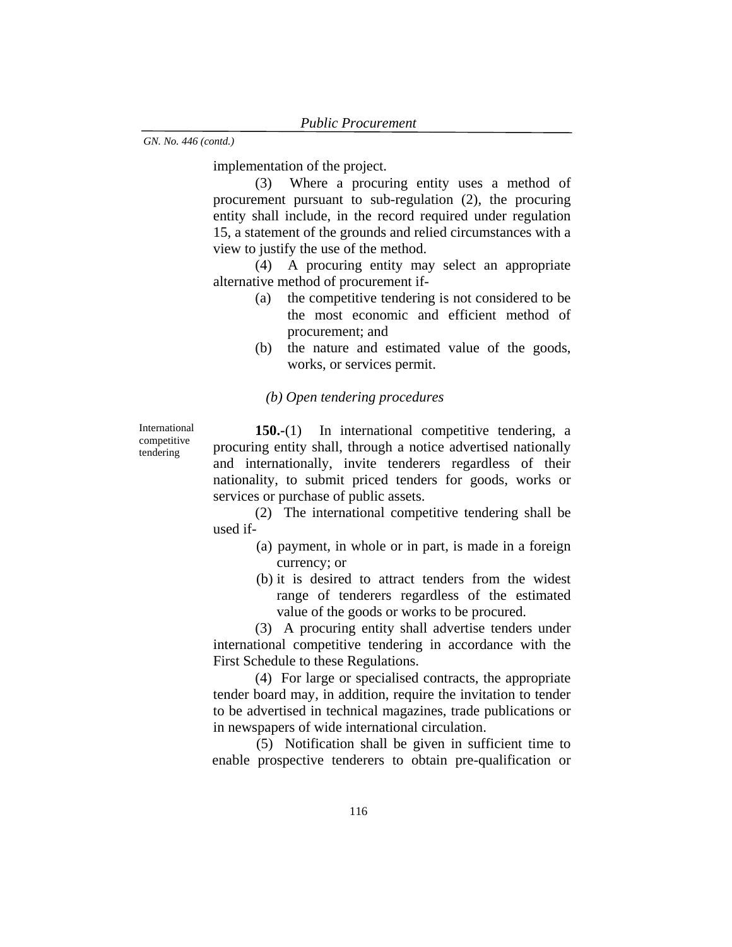implementation of the project.

(3) Where a procuring entity uses a method of procurement pursuant to sub-regulation (2), the procuring entity shall include, in the record required under regulation 15, a statement of the grounds and relied circumstances with a view to justify the use of the method.

(4) A procuring entity may select an appropriate alternative method of procurement if-

- (a) the competitive tendering is not considered to be the most economic and efficient method of procurement; and
- (b) the nature and estimated value of the goods, works, or services permit.

### *(b) Open tendering procedures*

International competitive tendering

**150.-**(1) In international competitive tendering, a procuring entity shall, through a notice advertised nationally and internationally, invite tenderers regardless of their nationality, to submit priced tenders for goods, works or services or purchase of public assets.

(2) The international competitive tendering shall be used if-

- (a) payment, in whole or in part, is made in a foreign currency; or
- (b) it is desired to attract tenders from the widest range of tenderers regardless of the estimated value of the goods or works to be procured.

(3) A procuring entity shall advertise tenders under international competitive tendering in accordance with the First Schedule to these Regulations.

(4) For large or specialised contracts, the appropriate tender board may, in addition, require the invitation to tender to be advertised in technical magazines, trade publications or in newspapers of wide international circulation.

(5) Notification shall be given in sufficient time to enable prospective tenderers to obtain pre-qualification or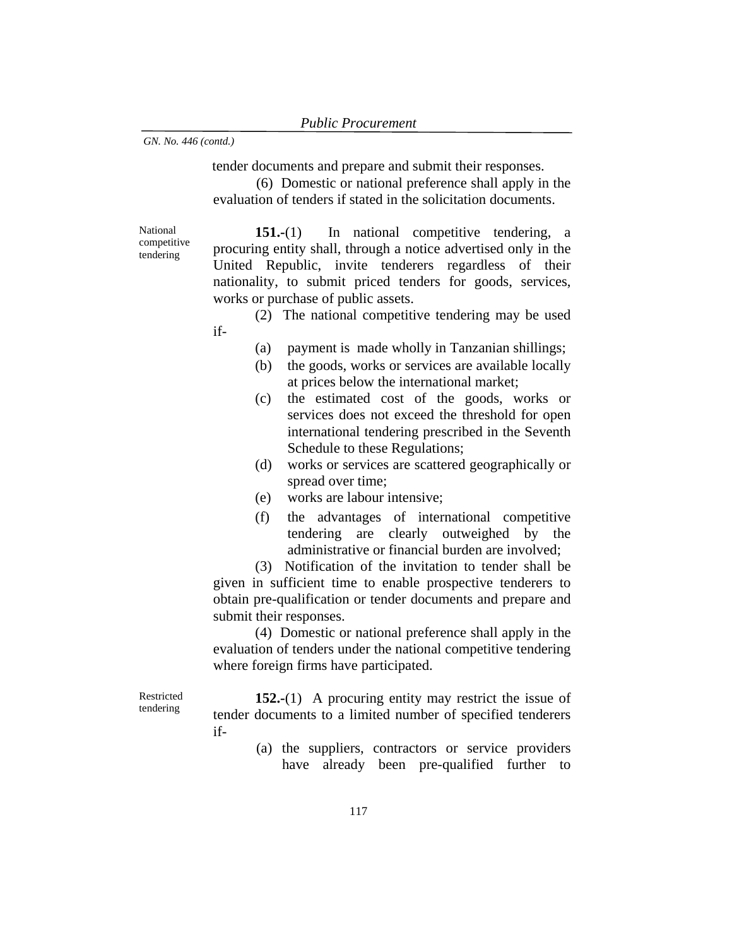tender documents and prepare and submit their responses.

(6) Domestic or national preference shall apply in the evaluation of tenders if stated in the solicitation documents.

National competitive tendering

**151.-**(1) In national competitive tendering, a procuring entity shall, through a notice advertised only in the United Republic, invite tenderers regardless of their nationality, to submit priced tenders for goods, services, works or purchase of public assets.

(2) The national competitive tendering may be used if-

- (a) payment is made wholly in Tanzanian shillings;
- (b) the goods, works or services are available locally at prices below the international market;
- (c) the estimated cost of the goods, works or services does not exceed the threshold for open international tendering prescribed in the Seventh Schedule to these Regulations;
- (d) works or services are scattered geographically or spread over time;
- (e) works are labour intensive;
- (f) the advantages of international competitive tendering are clearly outweighed by the administrative or financial burden are involved;

 (3) Notification of the invitation to tender shall be given in sufficient time to enable prospective tenderers to obtain pre-qualification or tender documents and prepare and submit their responses.

 (4) Domestic or national preference shall apply in the evaluation of tenders under the national competitive tendering where foreign firms have participated.

Restricted tendering

**152.-**(1) A procuring entity may restrict the issue of tender documents to a limited number of specified tenderers if-

> (a) the suppliers, contractors or service providers have already been pre-qualified further to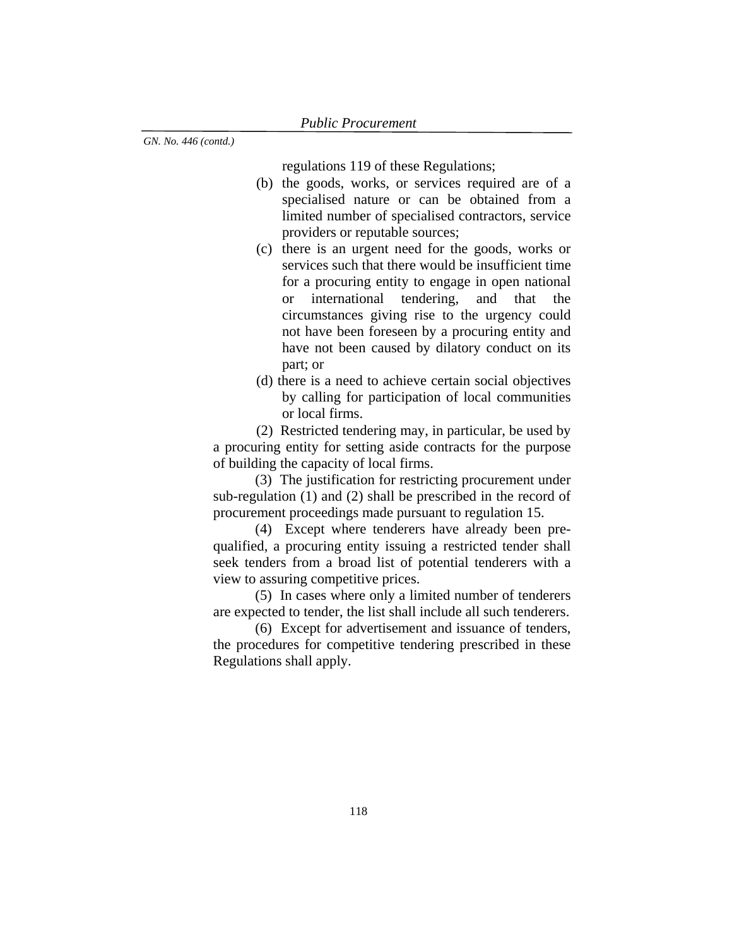regulations 119 of these Regulations;

- (b) the goods, works, or services required are of a specialised nature or can be obtained from a limited number of specialised contractors, service providers or reputable sources;
- (c) there is an urgent need for the goods, works or services such that there would be insufficient time for a procuring entity to engage in open national or international tendering, and that the circumstances giving rise to the urgency could not have been foreseen by a procuring entity and have not been caused by dilatory conduct on its part; or
- (d) there is a need to achieve certain social objectives by calling for participation of local communities or local firms.

(2) Restricted tendering may, in particular, be used by a procuring entity for setting aside contracts for the purpose of building the capacity of local firms.

(3) The justification for restricting procurement under sub-regulation (1) and (2) shall be prescribed in the record of procurement proceedings made pursuant to regulation 15.

(4) Except where tenderers have already been prequalified, a procuring entity issuing a restricted tender shall seek tenders from a broad list of potential tenderers with a view to assuring competitive prices.

(5) In cases where only a limited number of tenderers are expected to tender, the list shall include all such tenderers.

(6) Except for advertisement and issuance of tenders, the procedures for competitive tendering prescribed in these Regulations shall apply.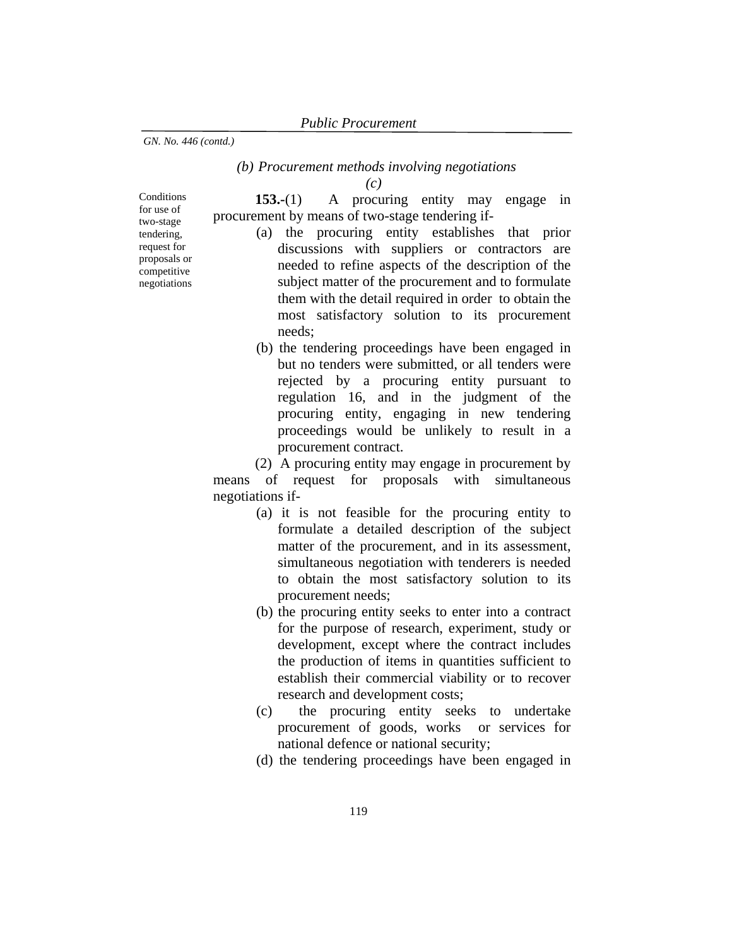## *(b) Procurement methods involving negotiations*

*(c)*

**153.-**(1) A procuring entity may engage in procurement by means of two-stage tendering if-

- (a) the procuring entity establishes that prior discussions with suppliers or contractors are needed to refine aspects of the description of the subject matter of the procurement and to formulate them with the detail required in order to obtain the most satisfactory solution to its procurement needs;
- (b) the tendering proceedings have been engaged in but no tenders were submitted, or all tenders were rejected by a procuring entity pursuant to regulation 16, and in the judgment of the procuring entity, engaging in new tendering proceedings would be unlikely to result in a procurement contract.

(2) A procuring entity may engage in procurement by means of request for proposals with simultaneous negotiations if-

- (a) it is not feasible for the procuring entity to formulate a detailed description of the subject matter of the procurement, and in its assessment, simultaneous negotiation with tenderers is needed to obtain the most satisfactory solution to its procurement needs;
- (b) the procuring entity seeks to enter into a contract for the purpose of research, experiment, study or development, except where the contract includes the production of items in quantities sufficient to establish their commercial viability or to recover research and development costs;
- (c) the procuring entity seeks to undertake procurement of goods, works or services for national defence or national security;
- (d) the tendering proceedings have been engaged in

**Conditions** for use of two-stage tendering, request for proposals or competitive negotiations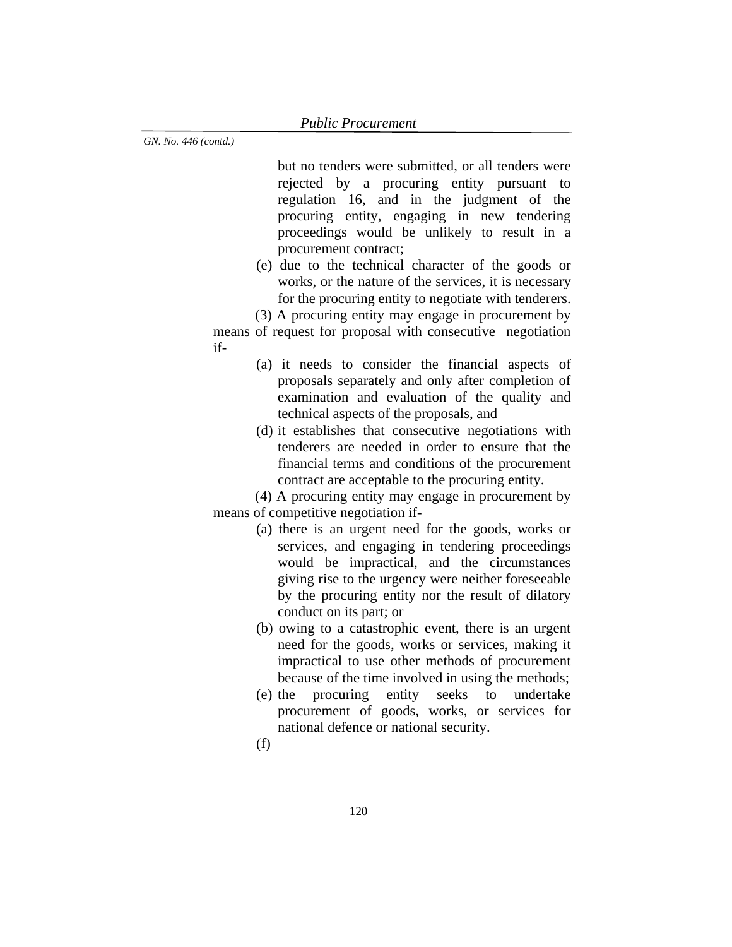but no tenders were submitted, or all tenders were rejected by a procuring entity pursuant to regulation 16, and in the judgment of the procuring entity, engaging in new tendering proceedings would be unlikely to result in a procurement contract;

(e) due to the technical character of the goods or works, or the nature of the services, it is necessary for the procuring entity to negotiate with tenderers.

(3) A procuring entity may engage in procurement by means of request for proposal with consecutive negotiation if-

- (a) it needs to consider the financial aspects of proposals separately and only after completion of examination and evaluation of the quality and technical aspects of the proposals, and
- (d) it establishes that consecutive negotiations with tenderers are needed in order to ensure that the financial terms and conditions of the procurement contract are acceptable to the procuring entity.

(4) A procuring entity may engage in procurement by means of competitive negotiation if-

- (a) there is an urgent need for the goods, works or services, and engaging in tendering proceedings would be impractical, and the circumstances giving rise to the urgency were neither foreseeable by the procuring entity nor the result of dilatory conduct on its part; or
- (b) owing to a catastrophic event, there is an urgent need for the goods, works or services, making it impractical to use other methods of procurement because of the time involved in using the methods;
- (e) the procuring entity seeks to undertake procurement of goods, works, or services for national defence or national security.
- (f)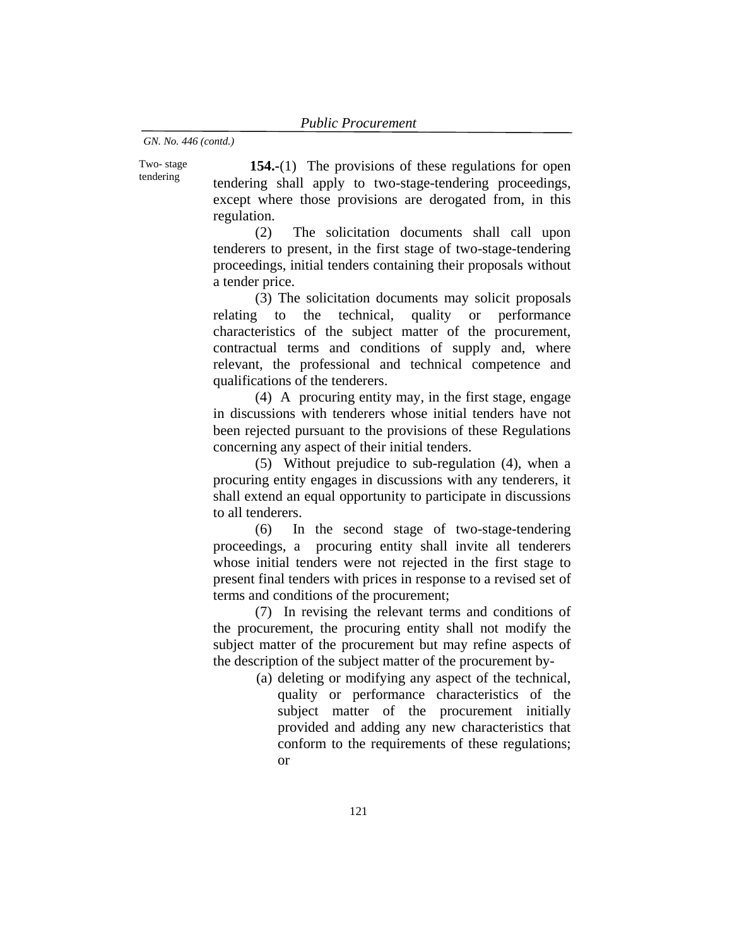Two- stage tendering

**154.-**(1)The provisions of these regulations for open tendering shall apply to two-stage-tendering proceedings, except where those provisions are derogated from, in this regulation.

(2) The solicitation documents shall call upon tenderers to present, in the first stage of two-stage-tendering proceedings, initial tenders containing their proposals without a tender price.

(3) The solicitation documents may solicit proposals relating to the technical, quality or performance characteristics of the subject matter of the procurement, contractual terms and conditions of supply and, where relevant, the professional and technical competence and qualifications of the tenderers.

(4) A procuring entity may, in the first stage, engage in discussions with tenderers whose initial tenders have not been rejected pursuant to the provisions of these Regulations concerning any aspect of their initial tenders.

(5) Without prejudice to sub-regulation (4), when a procuring entity engages in discussions with any tenderers, it shall extend an equal opportunity to participate in discussions to all tenderers.

(6) In the second stage of two-stage-tendering proceedings, a procuring entity shall invite all tenderers whose initial tenders were not rejected in the first stage to present final tenders with prices in response to a revised set of terms and conditions of the procurement;

(7) In revising the relevant terms and conditions of the procurement, the procuring entity shall not modify the subject matter of the procurement but may refine aspects of the description of the subject matter of the procurement by-

> (a) deleting or modifying any aspect of the technical, quality or performance characteristics of the subject matter of the procurement initially provided and adding any new characteristics that conform to the requirements of these regulations; or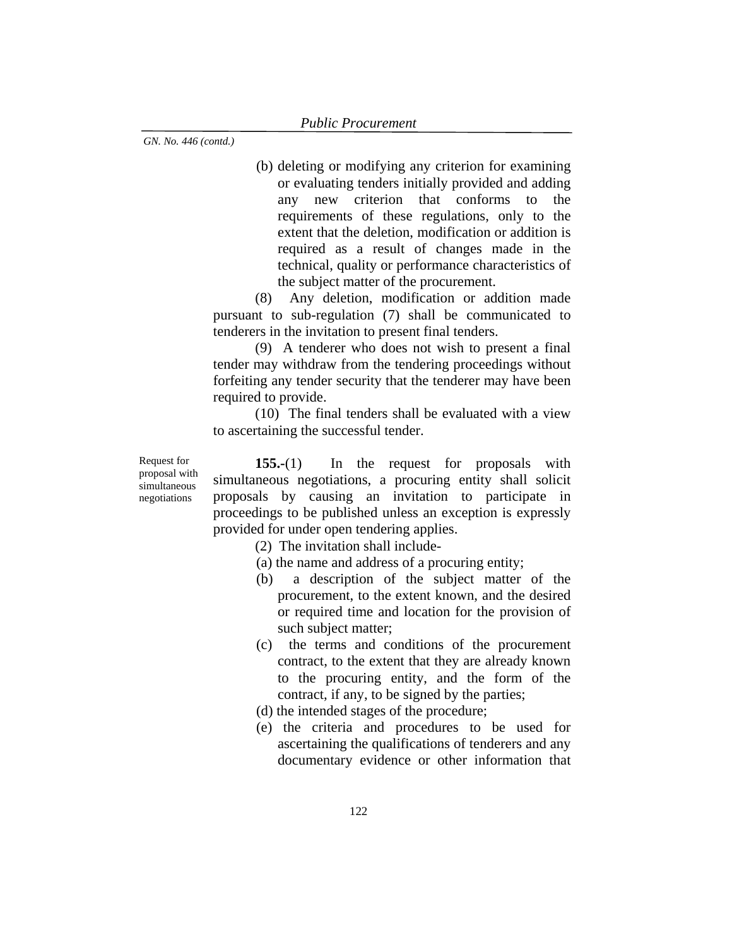(b) deleting or modifying any criterion for examining or evaluating tenders initially provided and adding any new criterion that conforms to the requirements of these regulations, only to the extent that the deletion, modification or addition is required as a result of changes made in the technical, quality or performance characteristics of the subject matter of the procurement.

(8)Any deletion, modification or addition made pursuant to sub-regulation (7) shall be communicated to tenderers in the invitation to present final tenders.

(9)A tenderer who does not wish to present a final tender may withdraw from the tendering proceedings without forfeiting any tender security that the tenderer may have been required to provide.

(10)The final tenders shall be evaluated with a view to ascertaining the successful tender.

Request for proposal with simultaneous negotiations

**155.-**(1) In the request for proposals with simultaneous negotiations, a procuring entity shall solicit proposals by causing an invitation to participate in proceedings to be published unless an exception is expressly provided for under open tendering applies.

(2) The invitation shall include-

- (a) the name and address of a procuring entity;
- (b) a description of the subject matter of the procurement, to the extent known, and the desired or required time and location for the provision of such subject matter;
- (c) the terms and conditions of the procurement contract, to the extent that they are already known to the procuring entity, and the form of the contract, if any, to be signed by the parties;
- (d) the intended stages of the procedure;
- (e) the criteria and procedures to be used for ascertaining the qualifications of tenderers and any documentary evidence or other information that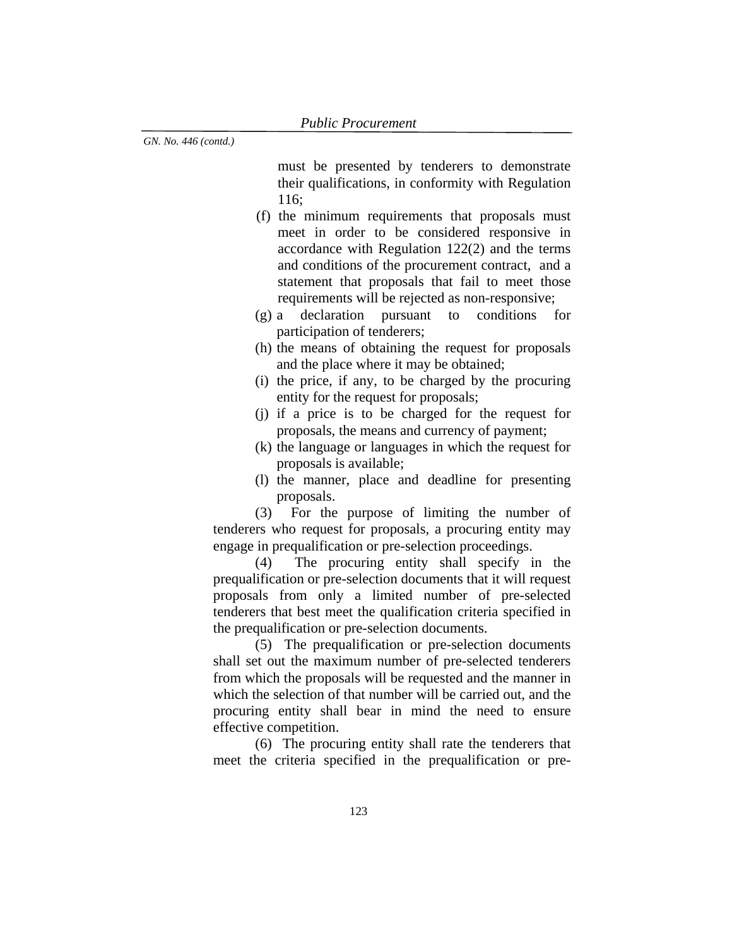must be presented by tenderers to demonstrate their qualifications, in conformity with Regulation 116;

- (f) the minimum requirements that proposals must meet in order to be considered responsive in accordance with Regulation 122(2) and the terms and conditions of the procurement contract, and a statement that proposals that fail to meet those requirements will be rejected as non-responsive;
- (g) a declaration pursuant to conditions for participation of tenderers;
- (h) the means of obtaining the request for proposals and the place where it may be obtained;
- (i) the price, if any, to be charged by the procuring entity for the request for proposals;
- (j) if a price is to be charged for the request for proposals, the means and currency of payment;
- (k) the language or languages in which the request for proposals is available;
- (l) the manner, place and deadline for presenting proposals.

(3) For the purpose of limiting the number of tenderers who request for proposals, a procuring entity may engage in prequalification or pre-selection proceedings.

(4) The procuring entity shall specify in the prequalification or pre-selection documents that it will request proposals from only a limited number of pre-selected tenderers that best meet the qualification criteria specified in the prequalification or pre-selection documents.

(5) The prequalification or pre-selection documents shall set out the maximum number of pre-selected tenderers from which the proposals will be requested and the manner in which the selection of that number will be carried out, and the procuring entity shall bear in mind the need to ensure effective competition.

(6) The procuring entity shall rate the tenderers that meet the criteria specified in the prequalification or pre-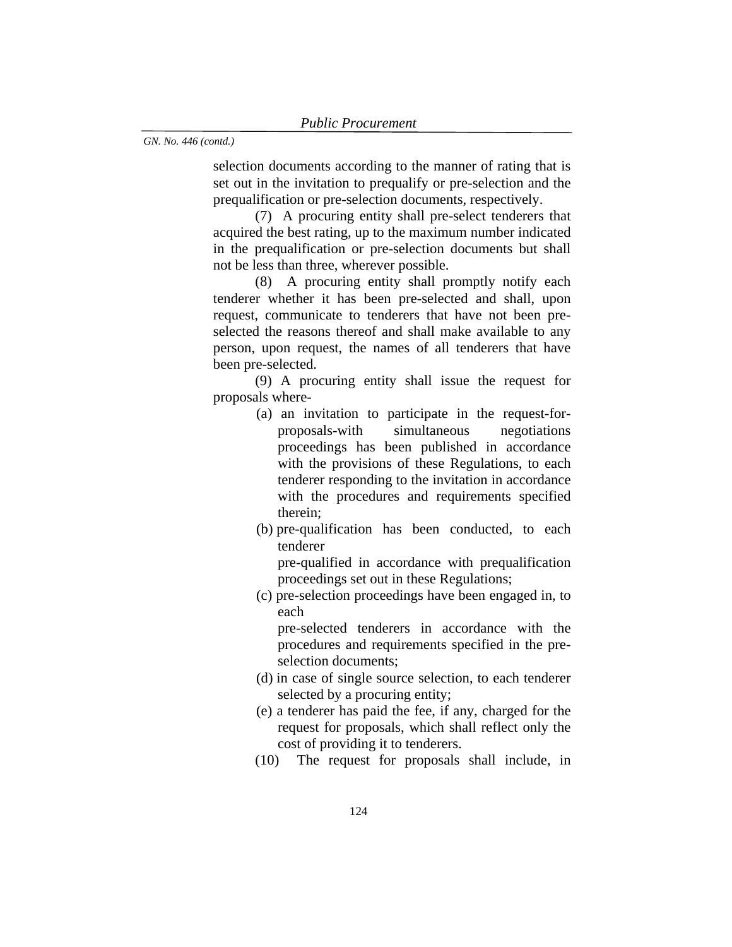selection documents according to the manner of rating that is set out in the invitation to prequalify or pre-selection and the prequalification or pre-selection documents, respectively.

(7) A procuring entity shall pre-select tenderers that acquired the best rating, up to the maximum number indicated in the prequalification or pre-selection documents but shall not be less than three, wherever possible.

(8) A procuring entity shall promptly notify each tenderer whether it has been pre-selected and shall, upon request, communicate to tenderers that have not been preselected the reasons thereof and shall make available to any person, upon request, the names of all tenderers that have been pre-selected.

(9) A procuring entity shall issue the request for proposals where-

- (a) an invitation to participate in the request-forproposals-with simultaneous negotiations proceedings has been published in accordance with the provisions of these Regulations, to each tenderer responding to the invitation in accordance with the procedures and requirements specified therein;
- (b) pre-qualification has been conducted, to each tenderer

pre-qualified in accordance with prequalification proceedings set out in these Regulations;

(c) pre-selection proceedings have been engaged in, to each

pre-selected tenderers in accordance with the procedures and requirements specified in the preselection documents;

- (d) in case of single source selection, to each tenderer selected by a procuring entity;
- (e) a tenderer has paid the fee, if any, charged for the request for proposals, which shall reflect only the cost of providing it to tenderers.
- (10) The request for proposals shall include, in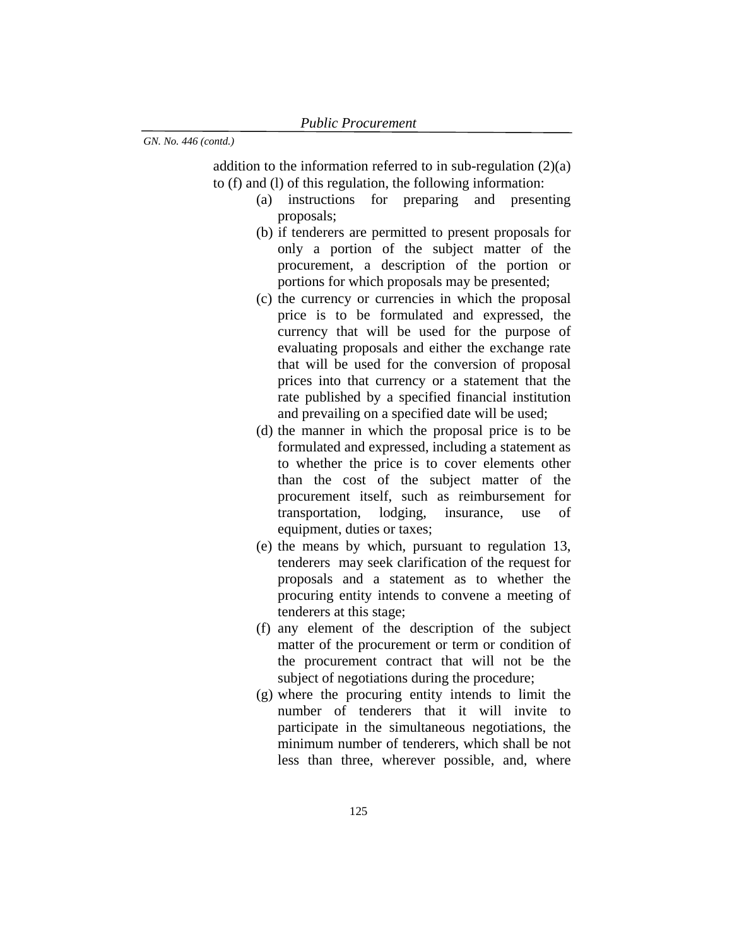addition to the information referred to in sub-regulation  $(2)(a)$ to (f) and (l) of this regulation, the following information:

- (a) instructions for preparing and presenting proposals;
- (b) if tenderers are permitted to present proposals for only a portion of the subject matter of the procurement, a description of the portion or portions for which proposals may be presented;
- (c) the currency or currencies in which the proposal price is to be formulated and expressed, the currency that will be used for the purpose of evaluating proposals and either the exchange rate that will be used for the conversion of proposal prices into that currency or a statement that the rate published by a specified financial institution and prevailing on a specified date will be used;
- (d) the manner in which the proposal price is to be formulated and expressed, including a statement as to whether the price is to cover elements other than the cost of the subject matter of the procurement itself, such as reimbursement for transportation, lodging, insurance, use of equipment, duties or taxes;
- (e) the means by which, pursuant to regulation 13, tenderers may seek clarification of the request for proposals and a statement as to whether the procuring entity intends to convene a meeting of tenderers at this stage;
- (f) any element of the description of the subject matter of the procurement or term or condition of the procurement contract that will not be the subject of negotiations during the procedure;
- (g) where the procuring entity intends to limit the number of tenderers that it will invite to participate in the simultaneous negotiations, the minimum number of tenderers, which shall be not less than three, wherever possible, and, where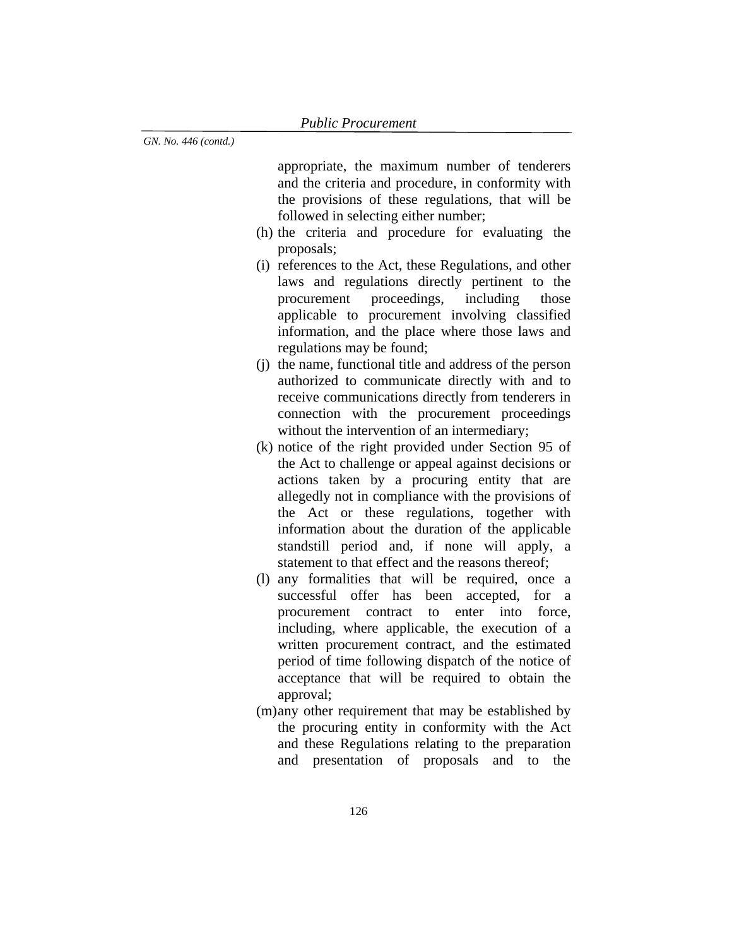appropriate, the maximum number of tenderers and the criteria and procedure, in conformity with the provisions of these regulations, that will be followed in selecting either number;

- (h) the criteria and procedure for evaluating the proposals;
- (i) references to the Act, these Regulations, and other laws and regulations directly pertinent to the procurement proceedings, including those applicable to procurement involving classified information, and the place where those laws and regulations may be found;
- (j) the name, functional title and address of the person authorized to communicate directly with and to receive communications directly from tenderers in connection with the procurement proceedings without the intervention of an intermediary;
- (k) notice of the right provided under Section 95 of the Act to challenge or appeal against decisions or actions taken by a procuring entity that are allegedly not in compliance with the provisions of the Act or these regulations, together with information about the duration of the applicable standstill period and, if none will apply, a statement to that effect and the reasons thereof;
- (l) any formalities that will be required, once a successful offer has been accepted, for a procurement contract to enter into force, including, where applicable, the execution of a written procurement contract, and the estimated period of time following dispatch of the notice of acceptance that will be required to obtain the approval;
- (m)any other requirement that may be established by the procuring entity in conformity with the Act and these Regulations relating to the preparation and presentation of proposals and to the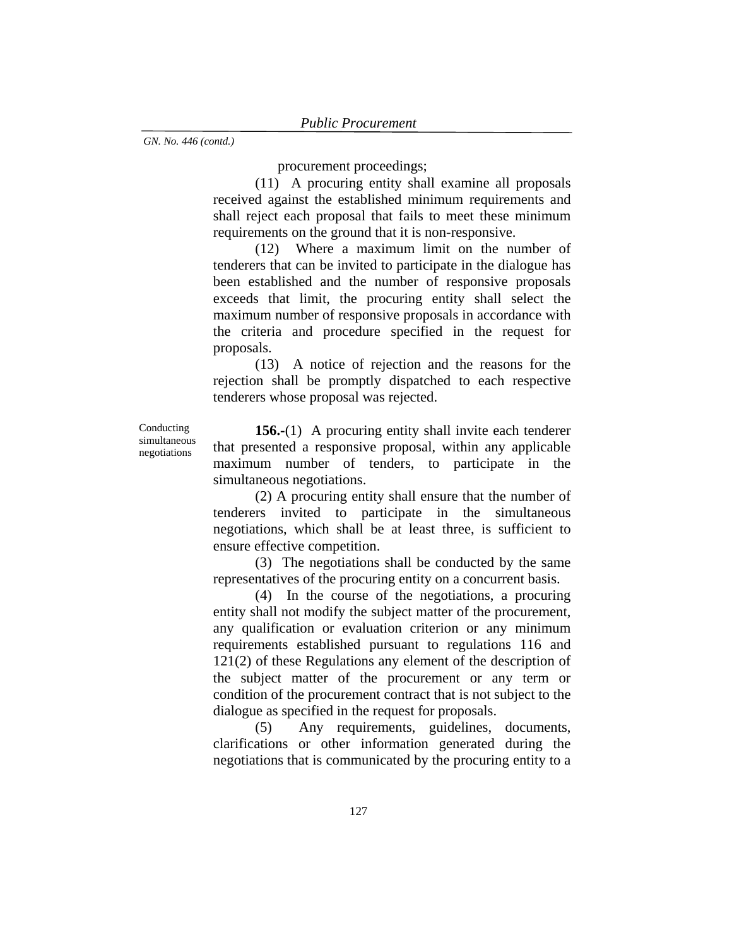procurement proceedings;

(11) A procuring entity shall examine all proposals received against the established minimum requirements and shall reject each proposal that fails to meet these minimum requirements on the ground that it is non-responsive.

(12) Where a maximum limit on the number of tenderers that can be invited to participate in the dialogue has been established and the number of responsive proposals exceeds that limit, the procuring entity shall select the maximum number of responsive proposals in accordance with the criteria and procedure specified in the request for proposals.

(13) A notice of rejection and the reasons for the rejection shall be promptly dispatched to each respective tenderers whose proposal was rejected.

Conducting simultaneous negotiations

**156.-**(1) A procuring entity shall invite each tenderer that presented a responsive proposal, within any applicable maximum number of tenders, to participate in the simultaneous negotiations.

(2) A procuring entity shall ensure that the number of tenderers invited to participate in the simultaneous negotiations, which shall be at least three, is sufficient to ensure effective competition.

(3) The negotiations shall be conducted by the same representatives of the procuring entity on a concurrent basis.

(4) In the course of the negotiations, a procuring entity shall not modify the subject matter of the procurement, any qualification or evaluation criterion or any minimum requirements established pursuant to regulations 116 and 121(2) of these Regulations any element of the description of the subject matter of the procurement or any term or condition of the procurement contract that is not subject to the dialogue as specified in the request for proposals.

(5) Any requirements, guidelines, documents, clarifications or other information generated during the negotiations that is communicated by the procuring entity to a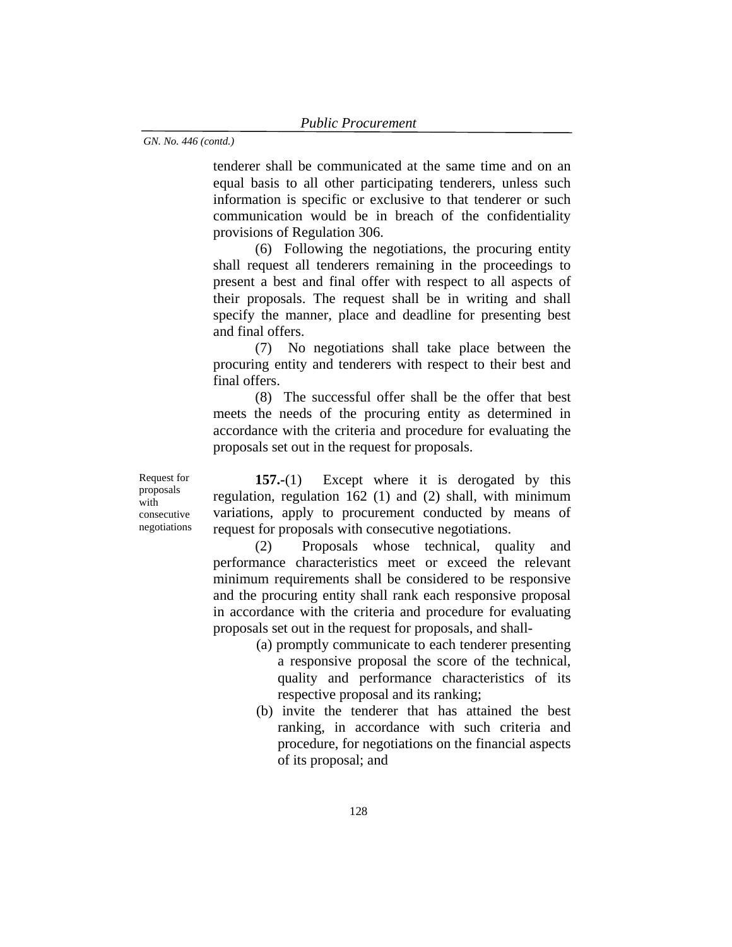tenderer shall be communicated at the same time and on an equal basis to all other participating tenderers, unless such information is specific or exclusive to that tenderer or such communication would be in breach of the confidentiality provisions of Regulation 306.

(6) Following the negotiations, the procuring entity shall request all tenderers remaining in the proceedings to present a best and final offer with respect to all aspects of their proposals. The request shall be in writing and shall specify the manner, place and deadline for presenting best and final offers.

(7) No negotiations shall take place between the procuring entity and tenderers with respect to their best and final offers.

(8) The successful offer shall be the offer that best meets the needs of the procuring entity as determined in accordance with the criteria and procedure for evaluating the proposals set out in the request for proposals.

Request for proposals with consecutive negotiations

**157.-**(1) Except where it is derogated by this regulation, regulation 162 (1) and (2) shall, with minimum variations, apply to procurement conducted by means of request for proposals with consecutive negotiations.

(2) Proposals whose technical, quality and performance characteristics meet or exceed the relevant minimum requirements shall be considered to be responsive and the procuring entity shall rank each responsive proposal in accordance with the criteria and procedure for evaluating proposals set out in the request for proposals, and shall-

- (a) promptly communicate to each tenderer presenting a responsive proposal the score of the technical, quality and performance characteristics of its respective proposal and its ranking;
- (b) invite the tenderer that has attained the best ranking, in accordance with such criteria and procedure, for negotiations on the financial aspects of its proposal; and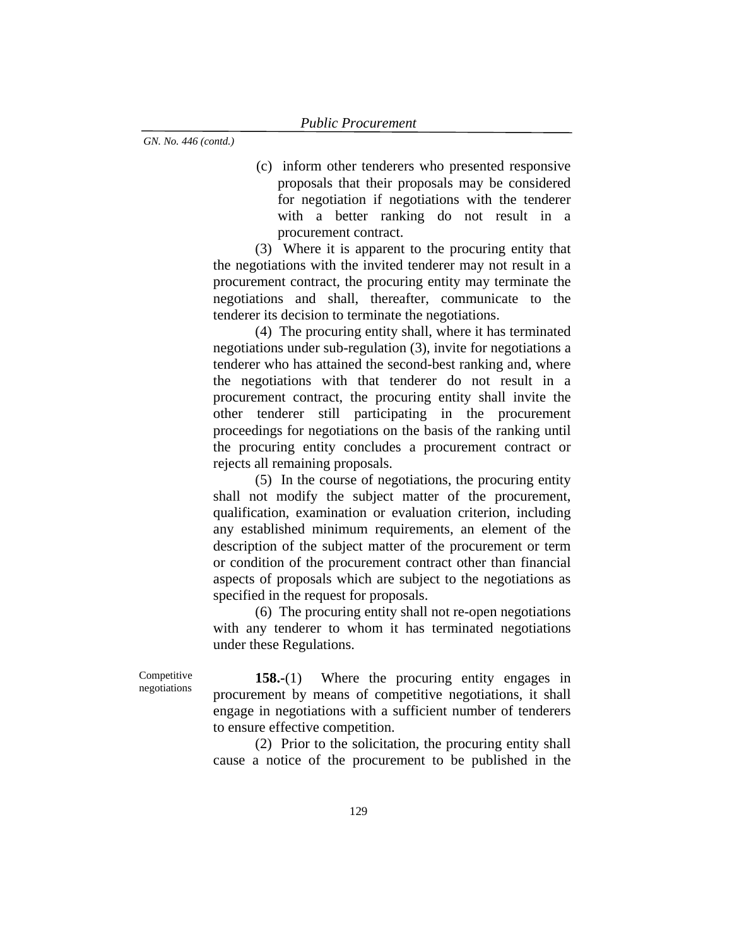(c) inform other tenderers who presented responsive proposals that their proposals may be considered for negotiation if negotiations with the tenderer with a better ranking do not result in a procurement contract.

(3) Where it is apparent to the procuring entity that the negotiations with the invited tenderer may not result in a procurement contract, the procuring entity may terminate the negotiations and shall, thereafter, communicate to the tenderer its decision to terminate the negotiations.

(4) The procuring entity shall, where it has terminated negotiations under sub-regulation (3), invite for negotiations a tenderer who has attained the second-best ranking and, where the negotiations with that tenderer do not result in a procurement contract, the procuring entity shall invite the other tenderer still participating in the procurement proceedings for negotiations on the basis of the ranking until the procuring entity concludes a procurement contract or rejects all remaining proposals.

(5) In the course of negotiations, the procuring entity shall not modify the subject matter of the procurement, qualification, examination or evaluation criterion, including any established minimum requirements, an element of the description of the subject matter of the procurement or term or condition of the procurement contract other than financial aspects of proposals which are subject to the negotiations as specified in the request for proposals.

(6) The procuring entity shall not re-open negotiations with any tenderer to whom it has terminated negotiations under these Regulations.

Competitive negotiations

**158.-**(1) Where the procuring entity engages in procurement by means of competitive negotiations, it shall engage in negotiations with a sufficient number of tenderers to ensure effective competition.

(2) Prior to the solicitation, the procuring entity shall cause a notice of the procurement to be published in the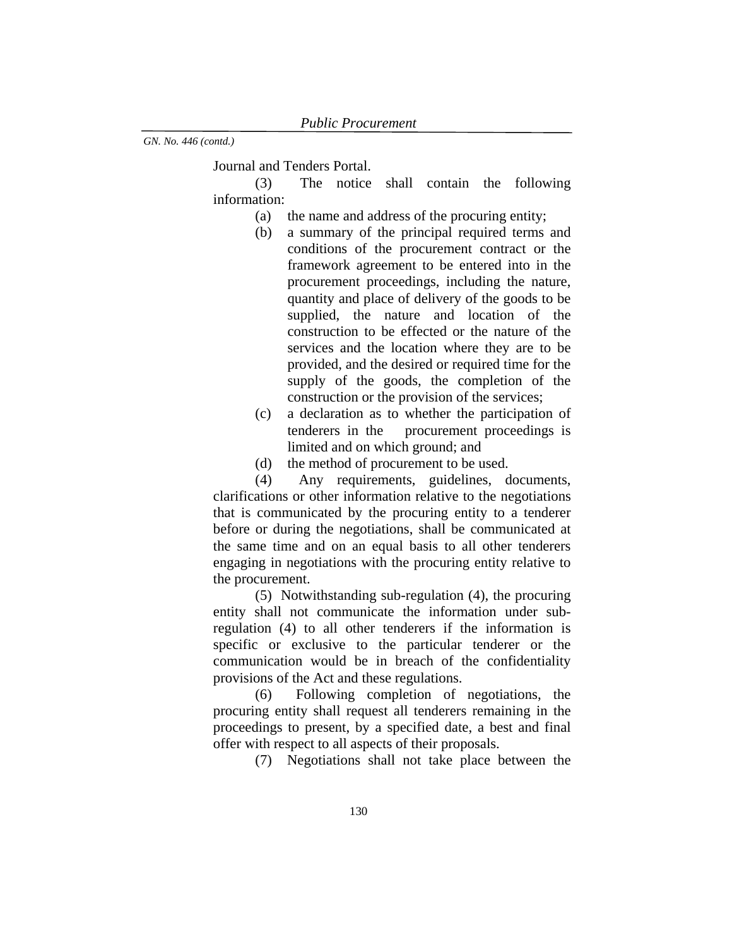Journal and Tenders Portal.

(3) The notice shall contain the following information:

- (a) the name and address of the procuring entity;
- (b) a summary of the principal required terms and conditions of the procurement contract or the framework agreement to be entered into in the procurement proceedings, including the nature, quantity and place of delivery of the goods to be supplied, the nature and location of the construction to be effected or the nature of the services and the location where they are to be provided, and the desired or required time for the supply of the goods, the completion of the construction or the provision of the services;
- (c) a declaration as to whether the participation of tenderers in the procurement proceedings is limited and on which ground; and
- (d) the method of procurement to be used.

(4) Any requirements, guidelines, documents, clarifications or other information relative to the negotiations that is communicated by the procuring entity to a tenderer before or during the negotiations, shall be communicated at the same time and on an equal basis to all other tenderers engaging in negotiations with the procuring entity relative to the procurement.

(5) Notwithstanding sub-regulation (4), the procuring entity shall not communicate the information under subregulation (4) to all other tenderers if the information is specific or exclusive to the particular tenderer or the communication would be in breach of the confidentiality provisions of the Act and these regulations.

(6) Following completion of negotiations, the procuring entity shall request all tenderers remaining in the proceedings to present, by a specified date, a best and final offer with respect to all aspects of their proposals.

(7) Negotiations shall not take place between the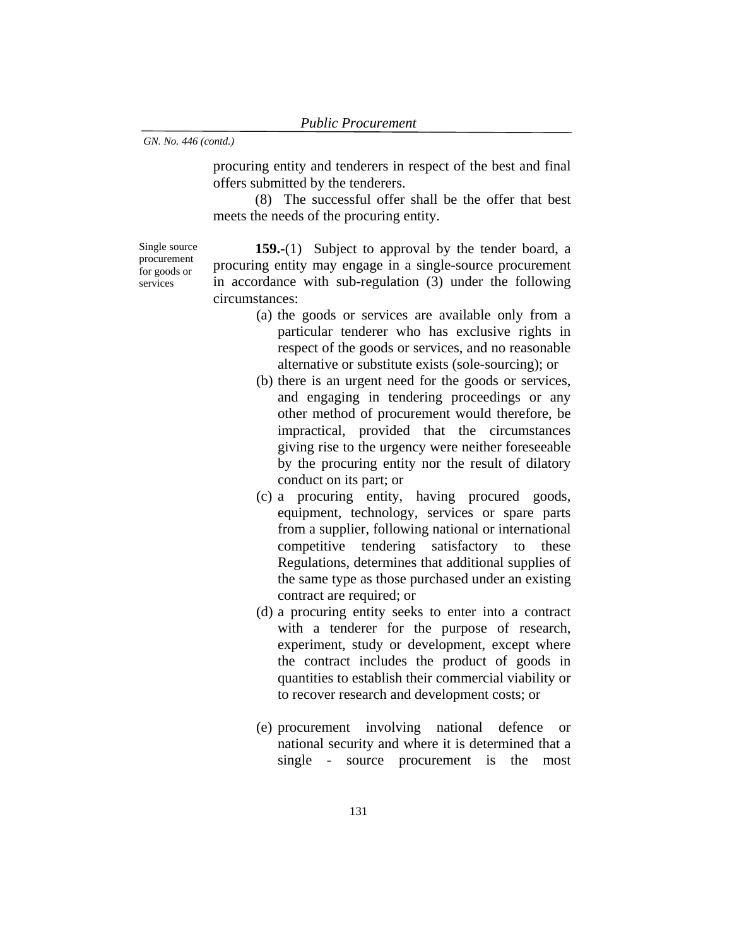procuring entity and tenderers in respect of the best and final offers submitted by the tenderers.

(8) The successful offer shall be the offer that best meets the needs of the procuring entity.

Single source procurement for goods or services

**159.-**(1) Subject to approval by the tender board, a procuring entity may engage in a single-source procurement in accordance with sub-regulation (3) under the following circumstances:

- (a) the goods or services are available only from a particular tenderer who has exclusive rights in respect of the goods or services, and no reasonable alternative or substitute exists (sole-sourcing); or
- (b) there is an urgent need for the goods or services, and engaging in tendering proceedings or any other method of procurement would therefore, be impractical, provided that the circumstances giving rise to the urgency were neither foreseeable by the procuring entity nor the result of dilatory conduct on its part; or
- (c) a procuring entity, having procured goods, equipment, technology, services or spare parts from a supplier, following national or international competitive tendering satisfactory to these Regulations, determines that additional supplies of the same type as those purchased under an existing contract are required; or
- (d) a procuring entity seeks to enter into a contract with a tenderer for the purpose of research, experiment, study or development, except where the contract includes the product of goods in quantities to establish their commercial viability or to recover research and development costs; or
- (e) procurement involving national defence or national security and where it is determined that a single - source procurement is the most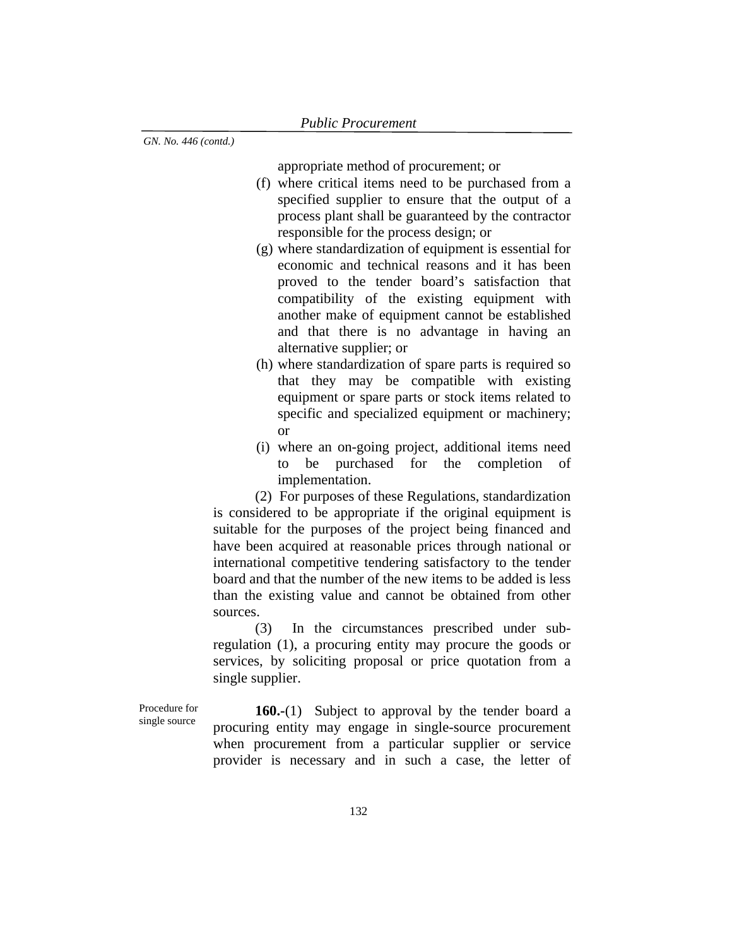appropriate method of procurement; or

- (f) where critical items need to be purchased from a specified supplier to ensure that the output of a process plant shall be guaranteed by the contractor responsible for the process design; or
- (g) where standardization of equipment is essential for economic and technical reasons and it has been proved to the tender board's satisfaction that compatibility of the existing equipment with another make of equipment cannot be established and that there is no advantage in having an alternative supplier; or
- (h) where standardization of spare parts is required so that they may be compatible with existing equipment or spare parts or stock items related to specific and specialized equipment or machinery; or
- (i) where an on-going project, additional items need to be purchased for the completion of implementation.

(2) For purposes of these Regulations, standardization is considered to be appropriate if the original equipment is suitable for the purposes of the project being financed and have been acquired at reasonable prices through national or international competitive tendering satisfactory to the tender board and that the number of the new items to be added is less than the existing value and cannot be obtained from other sources.

(3) In the circumstances prescribed under subregulation (1), a procuring entity may procure the goods or services, by soliciting proposal or price quotation from a single supplier.

Procedure for single source

**160.-**(1) Subject to approval by the tender board a procuring entity may engage in single-source procurement when procurement from a particular supplier or service provider is necessary and in such a case, the letter of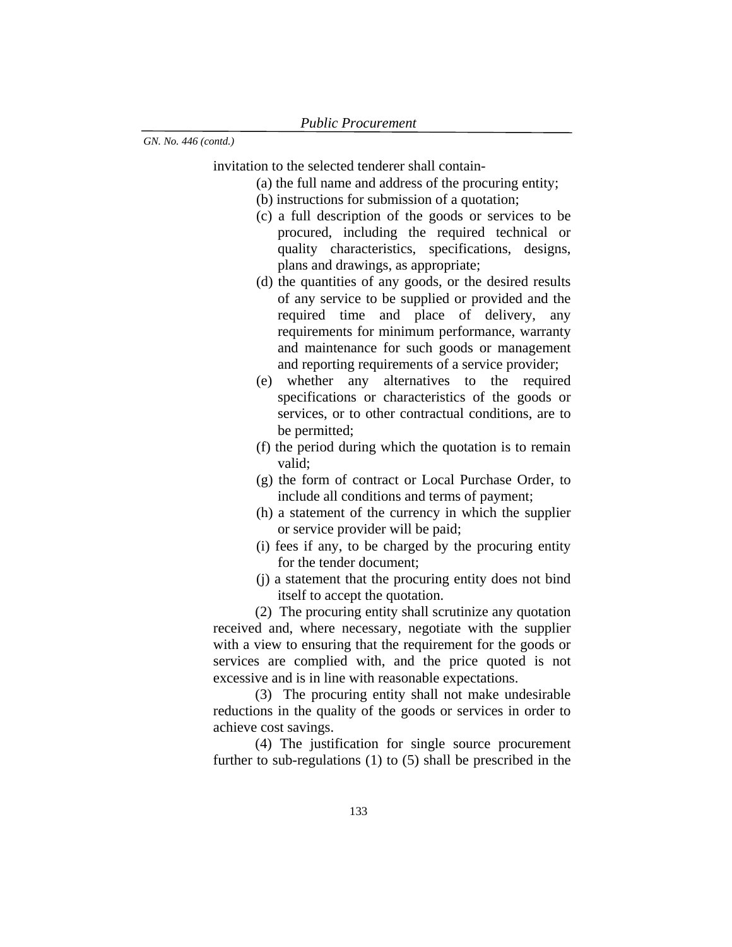invitation to the selected tenderer shall contain-

(a) the full name and address of the procuring entity;

- (b) instructions for submission of a quotation;
- (c) a full description of the goods or services to be procured, including the required technical or quality characteristics, specifications, designs, plans and drawings, as appropriate;
- (d) the quantities of any goods, or the desired results of any service to be supplied or provided and the required time and place of delivery, any requirements for minimum performance, warranty and maintenance for such goods or management and reporting requirements of a service provider;
- (e) whether any alternatives to the required specifications or characteristics of the goods or services, or to other contractual conditions, are to be permitted;
- (f) the period during which the quotation is to remain valid;
- (g) the form of contract or Local Purchase Order, to include all conditions and terms of payment;
- (h) a statement of the currency in which the supplier or service provider will be paid;
- (i) fees if any, to be charged by the procuring entity for the tender document;
- (j) a statement that the procuring entity does not bind itself to accept the quotation.

(2) The procuring entity shall scrutinize any quotation received and, where necessary, negotiate with the supplier with a view to ensuring that the requirement for the goods or services are complied with, and the price quoted is not excessive and is in line with reasonable expectations.

(3) The procuring entity shall not make undesirable reductions in the quality of the goods or services in order to achieve cost savings.

(4) The justification for single source procurement further to sub-regulations (1) to (5) shall be prescribed in the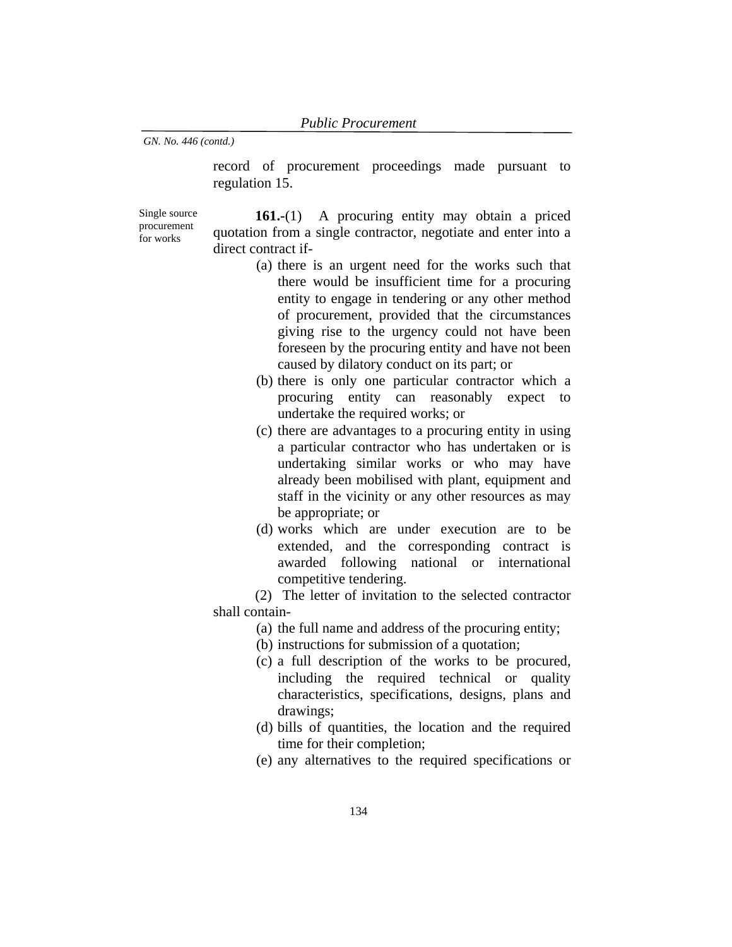record of procurement proceedings made pursuant to regulation 15.

Single source procurement for works

**161.-**(1) A procuring entity may obtain a priced quotation from a single contractor, negotiate and enter into a direct contract if-

- (a) there is an urgent need for the works such that there would be insufficient time for a procuring entity to engage in tendering or any other method of procurement, provided that the circumstances giving rise to the urgency could not have been foreseen by the procuring entity and have not been caused by dilatory conduct on its part; or
- (b) there is only one particular contractor which a procuring entity can reasonably expect to undertake the required works; or
- (c) there are advantages to a procuring entity in using a particular contractor who has undertaken or is undertaking similar works or who may have already been mobilised with plant, equipment and staff in the vicinity or any other resources as may be appropriate; or
- (d) works which are under execution are to be extended, and the corresponding contract is awarded following national or international competitive tendering.

(2) The letter of invitation to the selected contractor shall contain-

- (a) the full name and address of the procuring entity;
- (b) instructions for submission of a quotation;
- (c) a full description of the works to be procured, including the required technical or quality characteristics, specifications, designs, plans and drawings;
- (d) bills of quantities, the location and the required time for their completion;
- (e) any alternatives to the required specifications or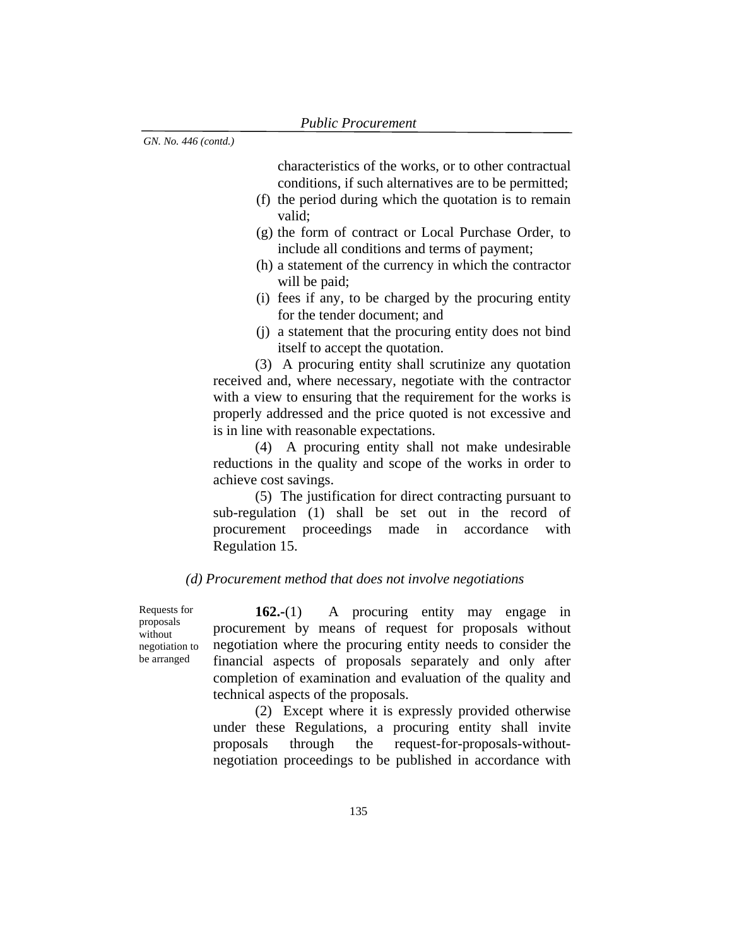characteristics of the works, or to other contractual conditions, if such alternatives are to be permitted;

- (f) the period during which the quotation is to remain valid;
- (g) the form of contract or Local Purchase Order, to include all conditions and terms of payment;
- (h) a statement of the currency in which the contractor will be paid;
- (i) fees if any, to be charged by the procuring entity for the tender document; and
- (j) a statement that the procuring entity does not bind itself to accept the quotation.

(3) A procuring entity shall scrutinize any quotation received and, where necessary, negotiate with the contractor with a view to ensuring that the requirement for the works is properly addressed and the price quoted is not excessive and is in line with reasonable expectations.

(4) A procuring entity shall not make undesirable reductions in the quality and scope of the works in order to achieve cost savings.

(5) The justification for direct contracting pursuant to sub-regulation (1) shall be set out in the record of procurement proceedings made in accordance with Regulation 15.

## *(d) Procurement method that does not involve negotiations*

Requests for proposals without negotiation to be arranged

**162.-**(1) A procuring entity may engage in procurement by means of request for proposals without negotiation where the procuring entity needs to consider the financial aspects of proposals separately and only after completion of examination and evaluation of the quality and technical aspects of the proposals.

(2) Except where it is expressly provided otherwise under these Regulations, a procuring entity shall invite proposals through the request-for-proposals-withoutnegotiation proceedings to be published in accordance with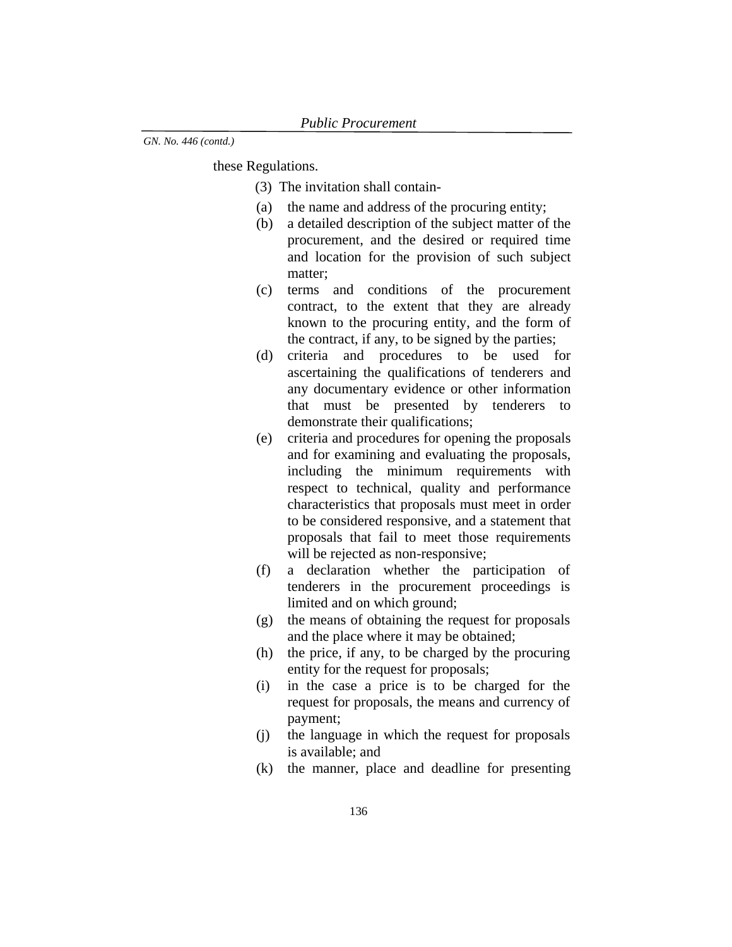these Regulations.

- (3) The invitation shall contain-
- (a) the name and address of the procuring entity;
- (b) a detailed description of the subject matter of the procurement, and the desired or required time and location for the provision of such subject matter;
- (c) terms and conditions of the procurement contract, to the extent that they are already known to the procuring entity, and the form of the contract, if any, to be signed by the parties;
- (d) criteria and procedures to be used for ascertaining the qualifications of tenderers and any documentary evidence or other information that must be presented by tenderers to demonstrate their qualifications;
- (e) criteria and procedures for opening the proposals and for examining and evaluating the proposals, including the minimum requirements with respect to technical, quality and performance characteristics that proposals must meet in order to be considered responsive, and a statement that proposals that fail to meet those requirements will be rejected as non-responsive;
- (f) a declaration whether the participation of tenderers in the procurement proceedings is limited and on which ground;
- (g) the means of obtaining the request for proposals and the place where it may be obtained;
- (h) the price, if any, to be charged by the procuring entity for the request for proposals;
- (i) in the case a price is to be charged for the request for proposals, the means and currency of payment;
- (j) the language in which the request for proposals is available; and
- (k) the manner, place and deadline for presenting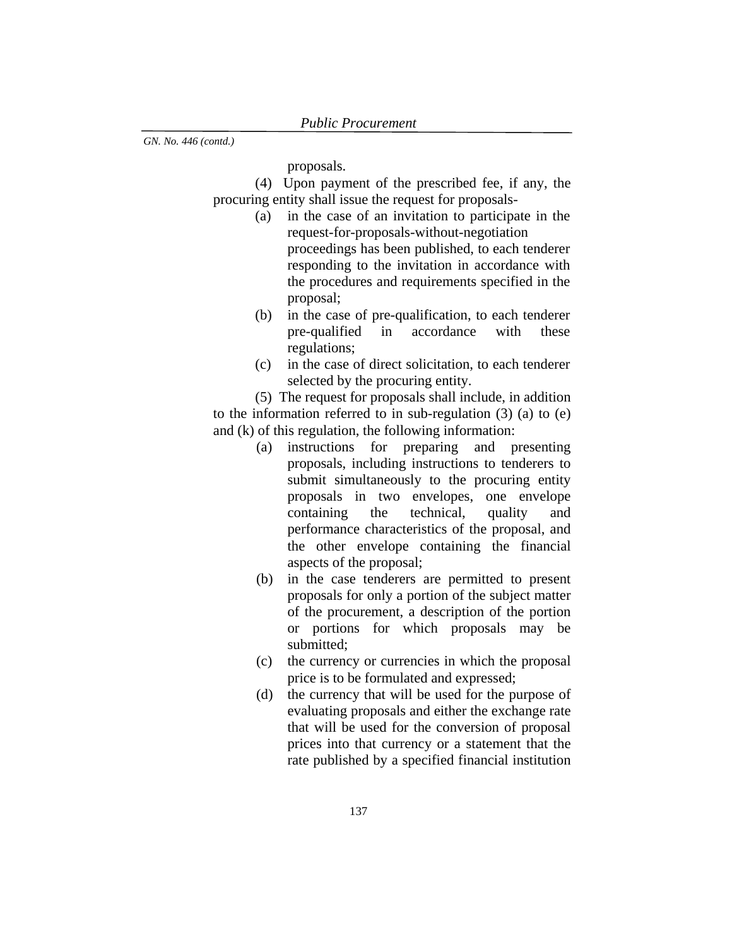proposals.

(4) Upon payment of the prescribed fee, if any, the procuring entity shall issue the request for proposals-

- (a) in the case of an invitation to participate in the request-for-proposals-without-negotiation proceedings has been published, to each tenderer responding to the invitation in accordance with the procedures and requirements specified in the proposal;
- (b) in the case of pre-qualification, to each tenderer pre-qualified in accordance with these regulations;
- (c) in the case of direct solicitation, to each tenderer selected by the procuring entity.

(5) The request for proposals shall include, in addition to the information referred to in sub-regulation (3) (a) to (e) and (k) of this regulation, the following information:

- (a) instructions for preparing and presenting proposals, including instructions to tenderers to submit simultaneously to the procuring entity proposals in two envelopes, one envelope containing the technical, quality and performance characteristics of the proposal, and the other envelope containing the financial aspects of the proposal;
- (b) in the case tenderers are permitted to present proposals for only a portion of the subject matter of the procurement, a description of the portion or portions for which proposals may be submitted;
- (c) the currency or currencies in which the proposal price is to be formulated and expressed;
- (d) the currency that will be used for the purpose of evaluating proposals and either the exchange rate that will be used for the conversion of proposal prices into that currency or a statement that the rate published by a specified financial institution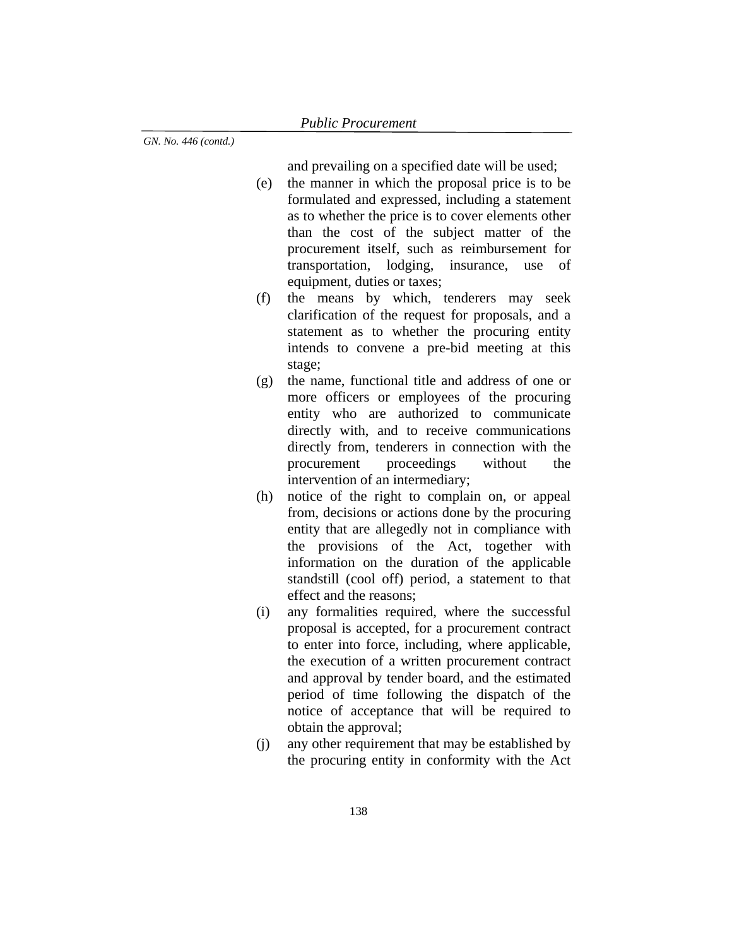and prevailing on a specified date will be used;

- (e) the manner in which the proposal price is to be formulated and expressed, including a statement as to whether the price is to cover elements other than the cost of the subject matter of the procurement itself, such as reimbursement for transportation, lodging, insurance, use of equipment, duties or taxes;
- (f) the means by which, tenderers may seek clarification of the request for proposals, and a statement as to whether the procuring entity intends to convene a pre-bid meeting at this stage;
- (g) the name, functional title and address of one or more officers or employees of the procuring entity who are authorized to communicate directly with, and to receive communications directly from, tenderers in connection with the procurement proceedings without the intervention of an intermediary;
- (h) notice of the right to complain on, or appeal from, decisions or actions done by the procuring entity that are allegedly not in compliance with the provisions of the Act, together with information on the duration of the applicable standstill (cool off) period, a statement to that effect and the reasons;
- (i) any formalities required, where the successful proposal is accepted, for a procurement contract to enter into force, including, where applicable, the execution of a written procurement contract and approval by tender board, and the estimated period of time following the dispatch of the notice of acceptance that will be required to obtain the approval;
- (j) any other requirement that may be established by the procuring entity in conformity with the Act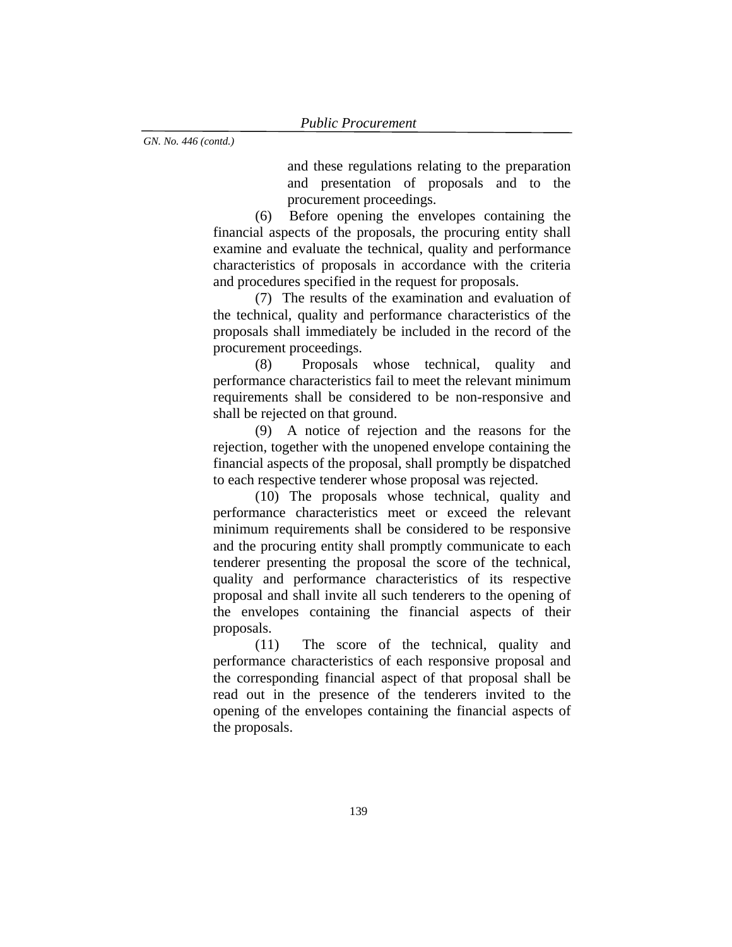and these regulations relating to the preparation and presentation of proposals and to the procurement proceedings.

(6) Before opening the envelopes containing the financial aspects of the proposals, the procuring entity shall examine and evaluate the technical, quality and performance characteristics of proposals in accordance with the criteria and procedures specified in the request for proposals.

(7) The results of the examination and evaluation of the technical, quality and performance characteristics of the proposals shall immediately be included in the record of the procurement proceedings.

(8) Proposals whose technical, quality and performance characteristics fail to meet the relevant minimum requirements shall be considered to be non-responsive and shall be rejected on that ground.

(9) A notice of rejection and the reasons for the rejection, together with the unopened envelope containing the financial aspects of the proposal, shall promptly be dispatched to each respective tenderer whose proposal was rejected.

 (10) The proposals whose technical, quality and performance characteristics meet or exceed the relevant minimum requirements shall be considered to be responsive and the procuring entity shall promptly communicate to each tenderer presenting the proposal the score of the technical, quality and performance characteristics of its respective proposal and shall invite all such tenderers to the opening of the envelopes containing the financial aspects of their proposals.

 (11) The score of the technical, quality and performance characteristics of each responsive proposal and the corresponding financial aspect of that proposal shall be read out in the presence of the tenderers invited to the opening of the envelopes containing the financial aspects of the proposals.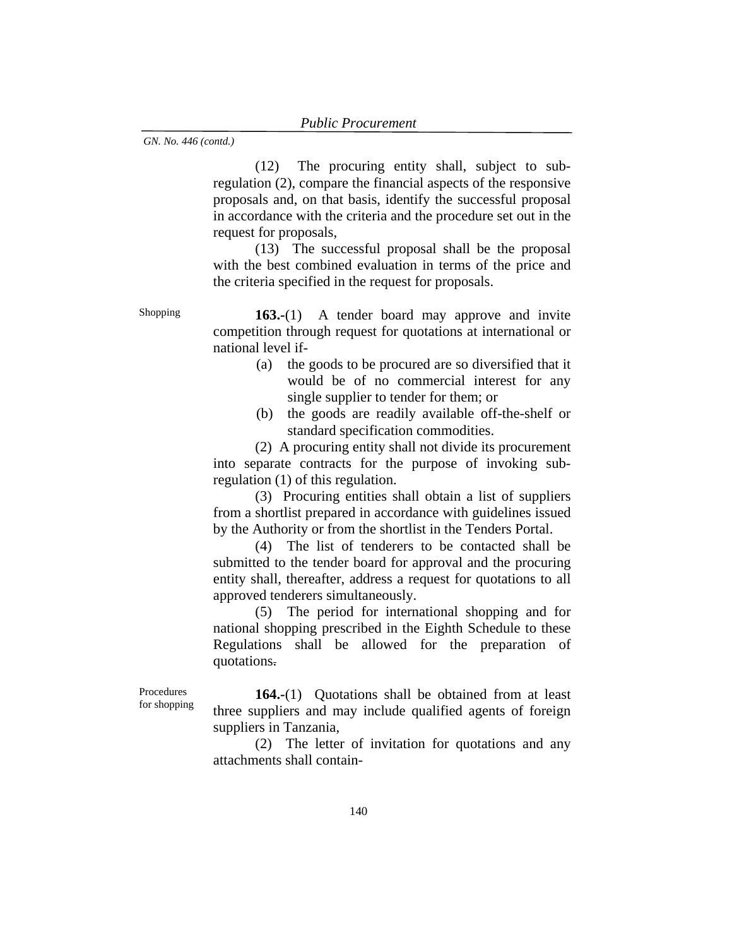(12) The procuring entity shall, subject to subregulation (2), compare the financial aspects of the responsive proposals and, on that basis, identify the successful proposal in accordance with the criteria and the procedure set out in the request for proposals,

 (13) The successful proposal shall be the proposal with the best combined evaluation in terms of the price and the criteria specified in the request for proposals.

Shopping **163.-**(1) A tender board may approve and invite competition through request for quotations at international or national level if-

- (a) the goods to be procured are so diversified that it would be of no commercial interest for any single supplier to tender for them; or
- (b) the goods are readily available off-the-shelf or standard specification commodities.

 (2) A procuring entity shall not divide its procurement into separate contracts for the purpose of invoking subregulation (1) of this regulation.

 (3) Procuring entities shall obtain a list of suppliers from a shortlist prepared in accordance with guidelines issued by the Authority or from the shortlist in the Tenders Portal.

 (4) The list of tenderers to be contacted shall be submitted to the tender board for approval and the procuring entity shall, thereafter, address a request for quotations to all approved tenderers simultaneously.

 (5) The period for international shopping and for national shopping prescribed in the Eighth Schedule to these Regulations shall be allowed for the preparation of quotations.

Procedures for shopping

**164.-**(1) Quotations shall be obtained from at least three suppliers and may include qualified agents of foreign suppliers in Tanzania,

 (2) The letter of invitation for quotations and any attachments shall contain-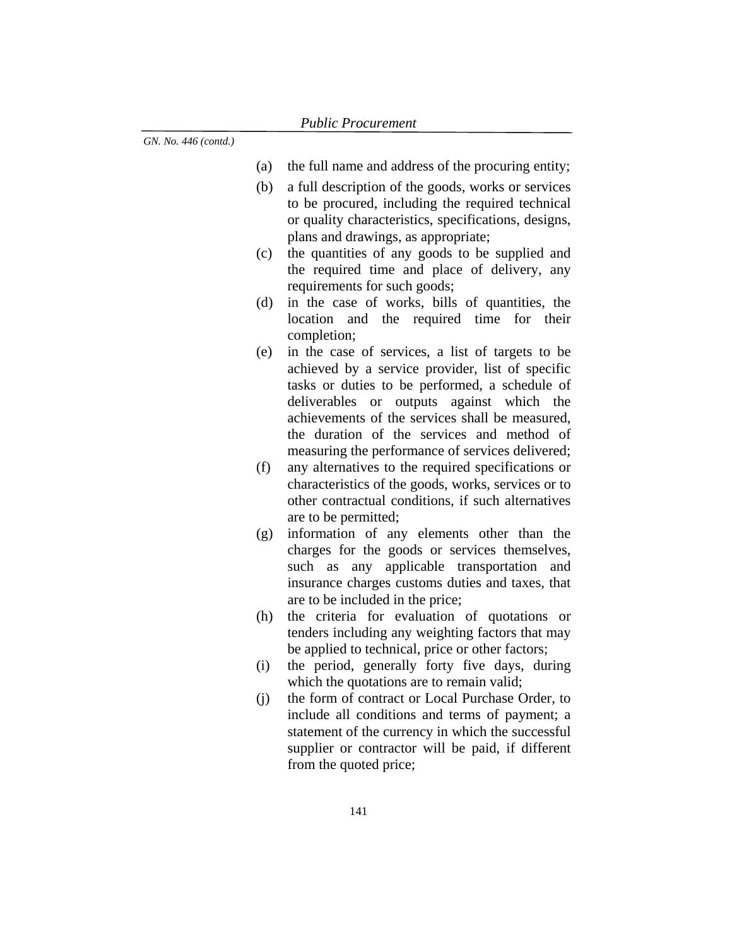- (a) the full name and address of the procuring entity;
- (b) a full description of the goods, works or services to be procured, including the required technical or quality characteristics, specifications, designs, plans and drawings, as appropriate;
- (c) the quantities of any goods to be supplied and the required time and place of delivery, any requirements for such goods;
- (d) in the case of works, bills of quantities, the location and the required time for their completion;
- (e) in the case of services, a list of targets to be achieved by a service provider, list of specific tasks or duties to be performed, a schedule of deliverables or outputs against which the achievements of the services shall be measured, the duration of the services and method of measuring the performance of services delivered;
- (f) any alternatives to the required specifications or characteristics of the goods, works, services or to other contractual conditions, if such alternatives are to be permitted;
- (g) information of any elements other than the charges for the goods or services themselves, such as any applicable transportation and insurance charges customs duties and taxes, that are to be included in the price;
- (h) the criteria for evaluation of quotations or tenders including any weighting factors that may be applied to technical, price or other factors;
- (i) the period, generally forty five days, during which the quotations are to remain valid;
- (j) the form of contract or Local Purchase Order, to include all conditions and terms of payment; a statement of the currency in which the successful supplier or contractor will be paid, if different from the quoted price;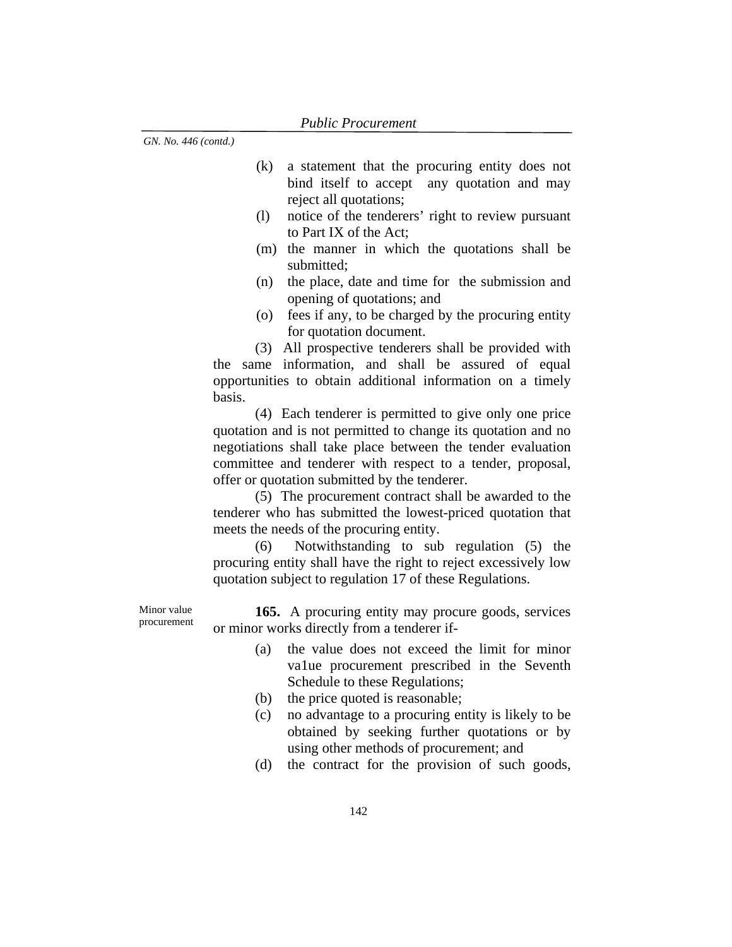- (k) a statement that the procuring entity does not bind itself to accept any quotation and may reject all quotations;
- (l) notice of the tenderers' right to review pursuant to Part IX of the Act;
- (m) the manner in which the quotations shall be submitted;
- (n) the place, date and time for the submission and opening of quotations; and
- (o) fees if any, to be charged by the procuring entity for quotation document.

(3) All prospective tenderers shall be provided with the same information, and shall be assured of equal opportunities to obtain additional information on a timely basis.

(4) Each tenderer is permitted to give only one price quotation and is not permitted to change its quotation and no negotiations shall take place between the tender evaluation committee and tenderer with respect to a tender, proposal, offer or quotation submitted by the tenderer.

(5) The procurement contract shall be awarded to the tenderer who has submitted the lowest-priced quotation that meets the needs of the procuring entity.

(6) Notwithstanding to sub regulation (5) the procuring entity shall have the right to reject excessively low quotation subject to regulation 17 of these Regulations.

Minor value procurement

**165.** A procuring entity may procure goods, services or minor works directly from a tenderer if-

- (a) the value does not exceed the limit for minor va1ue procurement prescribed in the Seventh Schedule to these Regulations;
- (b) the price quoted is reasonable;
- (c) no advantage to a procuring entity is likely to be obtained by seeking further quotations or by using other methods of procurement; and
- (d) the contract for the provision of such goods,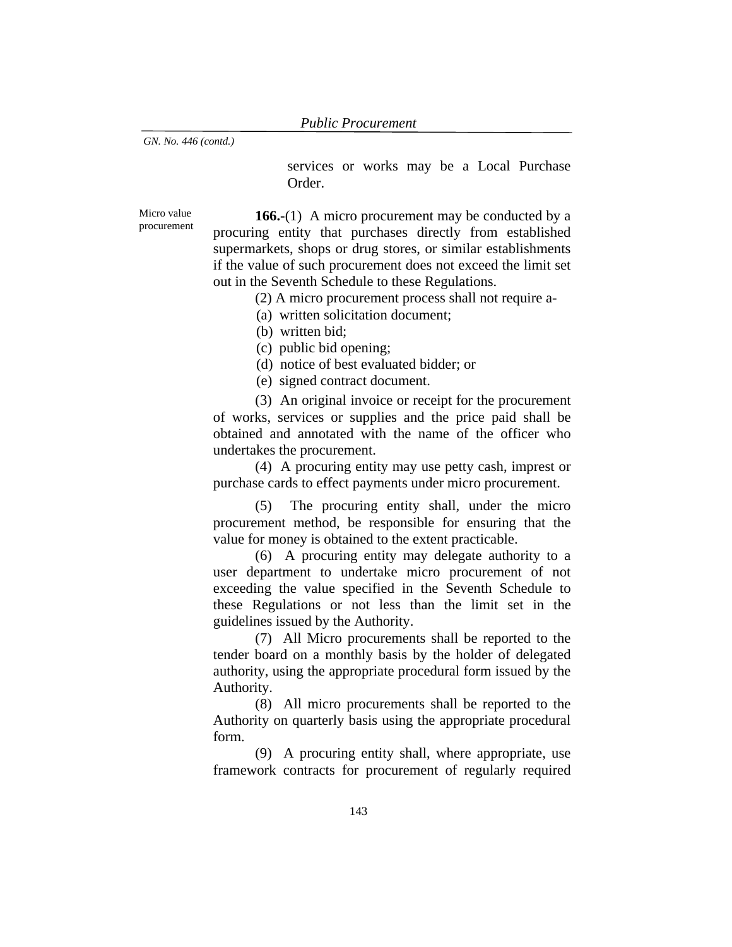services or works may be a Local Purchase Order.

Micro value procurement

**166.-**(1) A micro procurement may be conducted by a procuring entity that purchases directly from established supermarkets, shops or drug stores, or similar establishments if the value of such procurement does not exceed the limit set out in the Seventh Schedule to these Regulations.

(2) A micro procurement process shall not require a-

(a) written solicitation document;

(b) written bid;

(c) public bid opening;

(d) notice of best evaluated bidder; or

(e) signed contract document.

(3) An original invoice or receipt for the procurement of works, services or supplies and the price paid shall be obtained and annotated with the name of the officer who undertakes the procurement.

(4) A procuring entity may use petty cash, imprest or purchase cards to effect payments under micro procurement.

(5) The procuring entity shall, under the micro procurement method, be responsible for ensuring that the value for money is obtained to the extent practicable.

(6) A procuring entity may delegate authority to a user department to undertake micro procurement of not exceeding the value specified in the Seventh Schedule to these Regulations or not less than the limit set in the guidelines issued by the Authority.

(7) All Micro procurements shall be reported to the tender board on a monthly basis by the holder of delegated authority, using the appropriate procedural form issued by the Authority.

(8) All micro procurements shall be reported to the Authority on quarterly basis using the appropriate procedural form.

(9) A procuring entity shall, where appropriate, use framework contracts for procurement of regularly required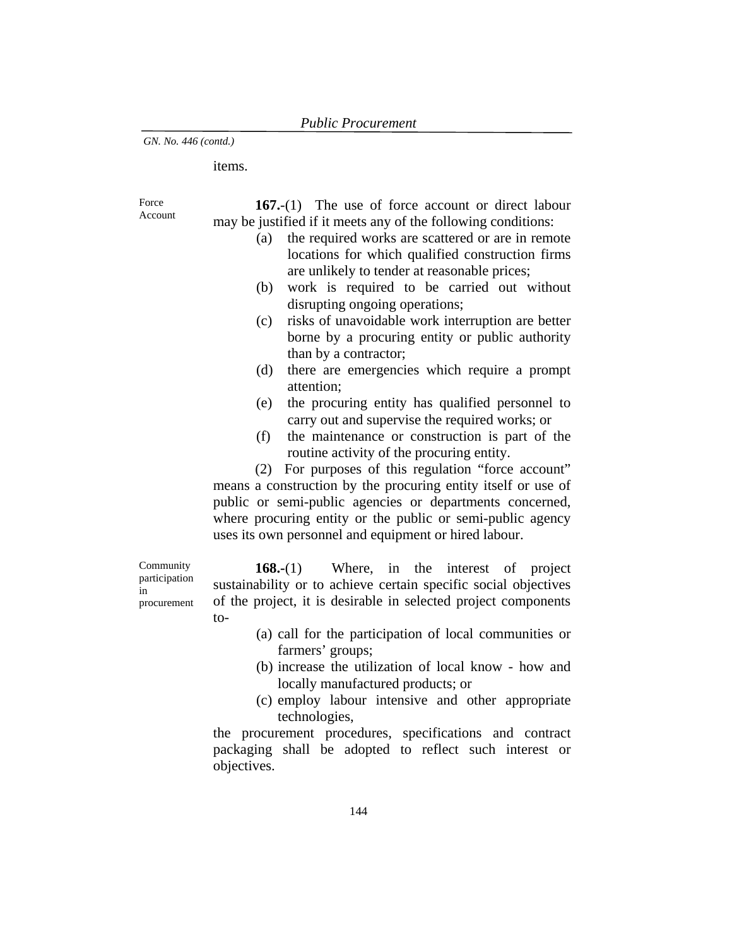items.

Force Account

**167.**-(1) The use of force account or direct labour may be justified if it meets any of the following conditions:

- (a) the required works are scattered or are in remote locations for which qualified construction firms are unlikely to tender at reasonable prices;
- (b) work is required to be carried out without disrupting ongoing operations;
- (c) risks of unavoidable work interruption are better borne by a procuring entity or public authority than by a contractor;
- (d) there are emergencies which require a prompt attention;
- (e) the procuring entity has qualified personnel to carry out and supervise the required works; or
- (f) the maintenance or construction is part of the routine activity of the procuring entity.

 (2) For purposes of this regulation "force account" means a construction by the procuring entity itself or use of public or semi-public agencies or departments concerned, where procuring entity or the public or semi-public agency uses its own personnel and equipment or hired labour.

Community participation in procurement

**168.-**(1) Where, in the interest of project sustainability or to achieve certain specific social objectives of the project, it is desirable in selected project components to-

- (a) call for the participation of local communities or farmers' groups;
- (b) increase the utilization of local know how and locally manufactured products; or
- (c) employ labour intensive and other appropriate technologies,

the procurement procedures, specifications and contract packaging shall be adopted to reflect such interest or objectives.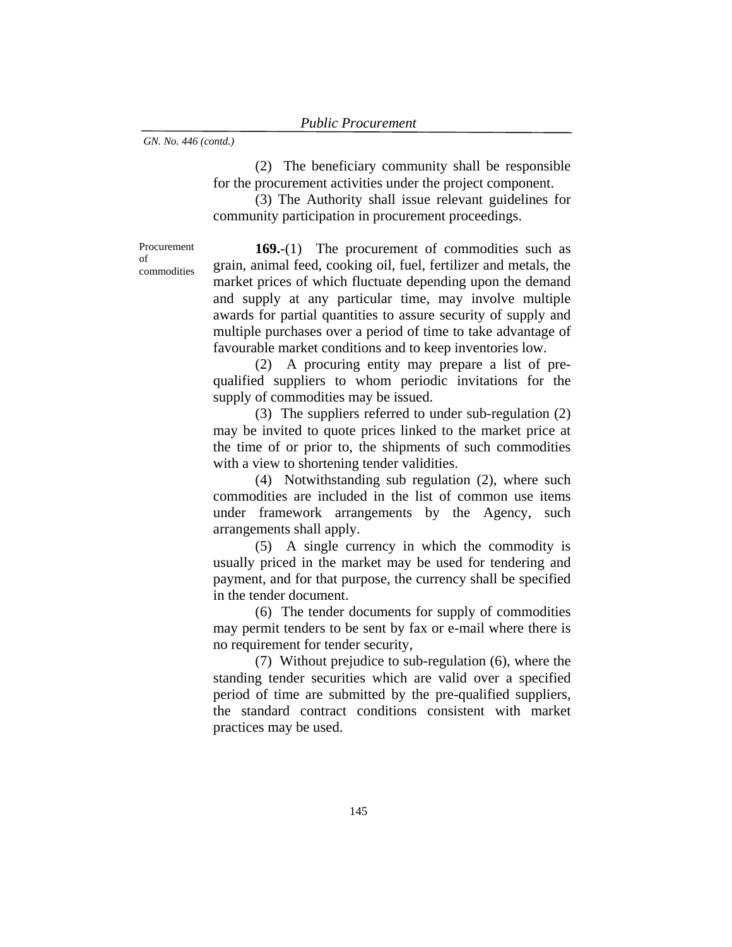(2) The beneficiary community shall be responsible for the procurement activities under the project component.

(3) The Authority shall issue relevant guidelines for community participation in procurement proceedings.

Procurement of commodities

**169.**-(1) The procurement of commodities such as grain, animal feed, cooking oil, fuel, fertilizer and metals, the market prices of which fluctuate depending upon the demand and supply at any particular time, may involve multiple awards for partial quantities to assure security of supply and multiple purchases over a period of time to take advantage of favourable market conditions and to keep inventories low.

(2) A procuring entity may prepare a list of prequalified suppliers to whom periodic invitations for the supply of commodities may be issued.

(3) The suppliers referred to under sub-regulation (2) may be invited to quote prices linked to the market price at the time of or prior to, the shipments of such commodities with a view to shortening tender validities.

(4) Notwithstanding sub regulation (2), where such commodities are included in the list of common use items under framework arrangements by the Agency, such arrangements shall apply.

(5) A single currency in which the commodity is usually priced in the market may be used for tendering and payment, and for that purpose, the currency shall be specified in the tender document.

(6) The tender documents for supply of commodities may permit tenders to be sent by fax or e-mail where there is no requirement for tender security,

(7) Without prejudice to sub-regulation (6), where the standing tender securities which are valid over a specified period of time are submitted by the pre-qualified suppliers, the standard contract conditions consistent with market practices may be used.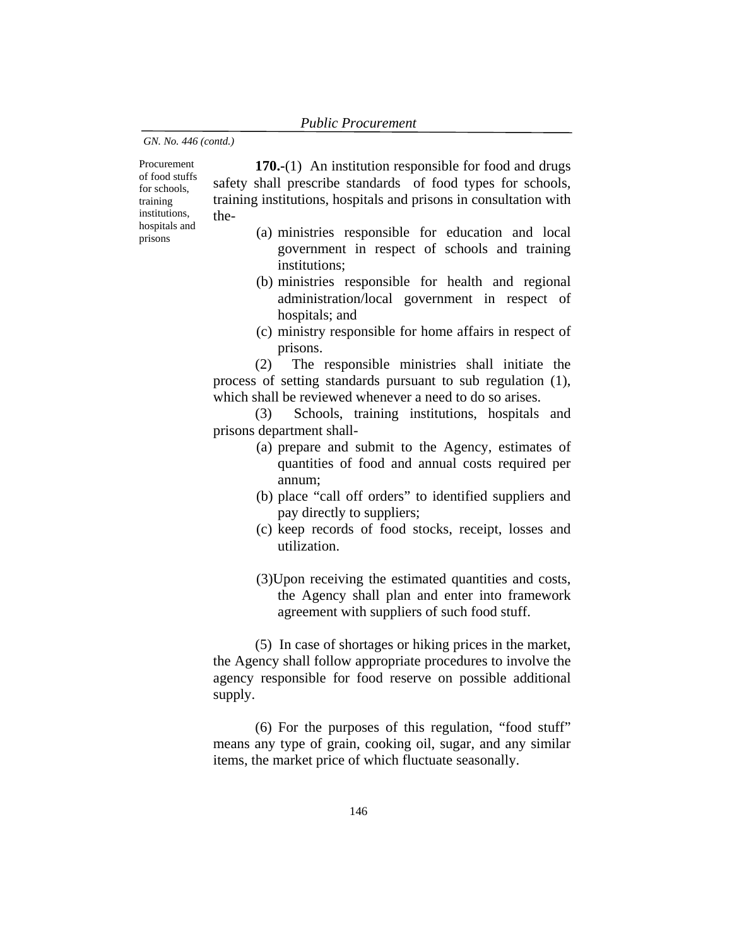Procurement of food stuffs for schools, training institutions, hospitals and prisons

**170.-**(1) An institution responsible for food and drugs safety shall prescribe standards of food types for schools, training institutions, hospitals and prisons in consultation with the-

- (a) ministries responsible for education and local government in respect of schools and training institutions;
- (b) ministries responsible for health and regional administration/local government in respect of hospitals; and
- (c) ministry responsible for home affairs in respect of prisons.

(2) The responsible ministries shall initiate the process of setting standards pursuant to sub regulation (1), which shall be reviewed whenever a need to do so arises.

(3) Schools, training institutions, hospitals and prisons department shall-

- (a) prepare and submit to the Agency, estimates of quantities of food and annual costs required per annum;
- (b) place "call off orders" to identified suppliers and pay directly to suppliers;
- (c) keep records of food stocks, receipt, losses and utilization.
- (3)Upon receiving the estimated quantities and costs, the Agency shall plan and enter into framework agreement with suppliers of such food stuff.

(5) In case of shortages or hiking prices in the market, the Agency shall follow appropriate procedures to involve the agency responsible for food reserve on possible additional supply.

(6) For the purposes of this regulation, "food stuff" means any type of grain, cooking oil, sugar, and any similar items, the market price of which fluctuate seasonally.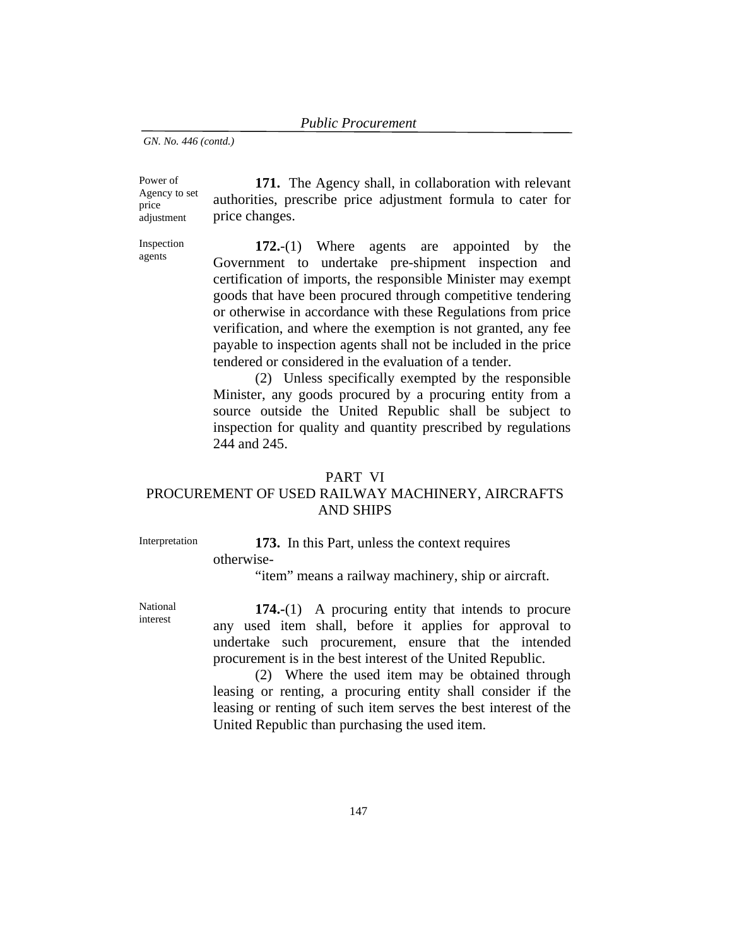Power of Agency to set price adjustment

**171.** The Agency shall, in collaboration with relevant authorities, prescribe price adjustment formula to cater for price changes.

Inspection agents

**172.**-(1) Where agents are appointed by the Government to undertake pre-shipment inspection and certification of imports, the responsible Minister may exempt goods that have been procured through competitive tendering or otherwise in accordance with these Regulations from price verification, and where the exemption is not granted, any fee payable to inspection agents shall not be included in the price tendered or considered in the evaluation of a tender.

(2) Unless specifically exempted by the responsible Minister, any goods procured by a procuring entity from a source outside the United Republic shall be subject to inspection for quality and quantity prescribed by regulations 244 and 245.

## PART VI

## PROCUREMENT OF USED RAILWAY MACHINERY, AIRCRAFTS AND SHIPS

Interpretation **173.** In this Part, unless the context requires otherwise-

"item" means a railway machinery, ship or aircraft.

**174.-**(1) A procuring entity that intends to procure any used item shall, before it applies for approval to undertake such procurement, ensure that the intended procurement is in the best interest of the United Republic.

(2) Where the used item may be obtained through leasing or renting, a procuring entity shall consider if the leasing or renting of such item serves the best interest of the United Republic than purchasing the used item.

National interest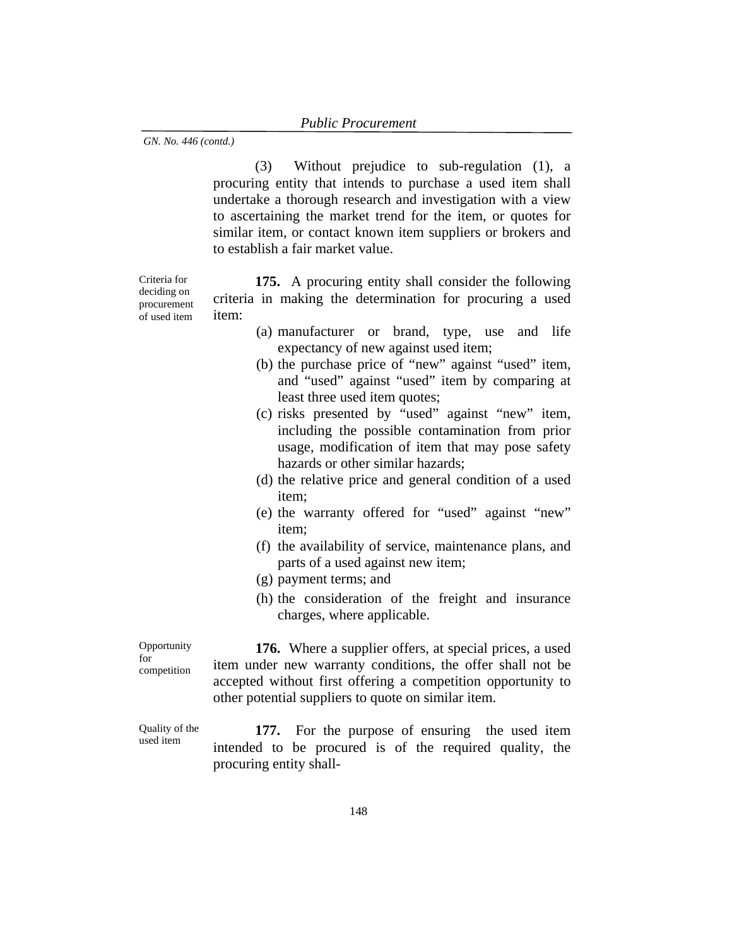(3) Without prejudice to sub-regulation (1), a procuring entity that intends to purchase a used item shall undertake a thorough research and investigation with a view to ascertaining the market trend for the item, or quotes for similar item, or contact known item suppliers or brokers and to establish a fair market value.

Criteria for deciding on procurement of used item

**175.** A procuring entity shall consider the following criteria in making the determination for procuring a used item:

- (a) manufacturer or brand, type, use and life expectancy of new against used item;
- (b) the purchase price of "new" against "used" item, and "used" against "used" item by comparing at least three used item quotes;
- (c) risks presented by "used" against "new" item, including the possible contamination from prior usage, modification of item that may pose safety hazards or other similar hazards;
- (d) the relative price and general condition of a used item;
- (e) the warranty offered for "used" against "new" item;
- (f) the availability of service, maintenance plans, and parts of a used against new item;
- (g) payment terms; and
- (h) the consideration of the freight and insurance charges, where applicable.

Opportunity for competition

**176.** Where a supplier offers, at special prices, a used item under new warranty conditions, the offer shall not be accepted without first offering a competition opportunity to other potential suppliers to quote on similar item.

Quality of the used item

**177.** For the purpose of ensuring the used item intended to be procured is of the required quality, the procuring entity shall-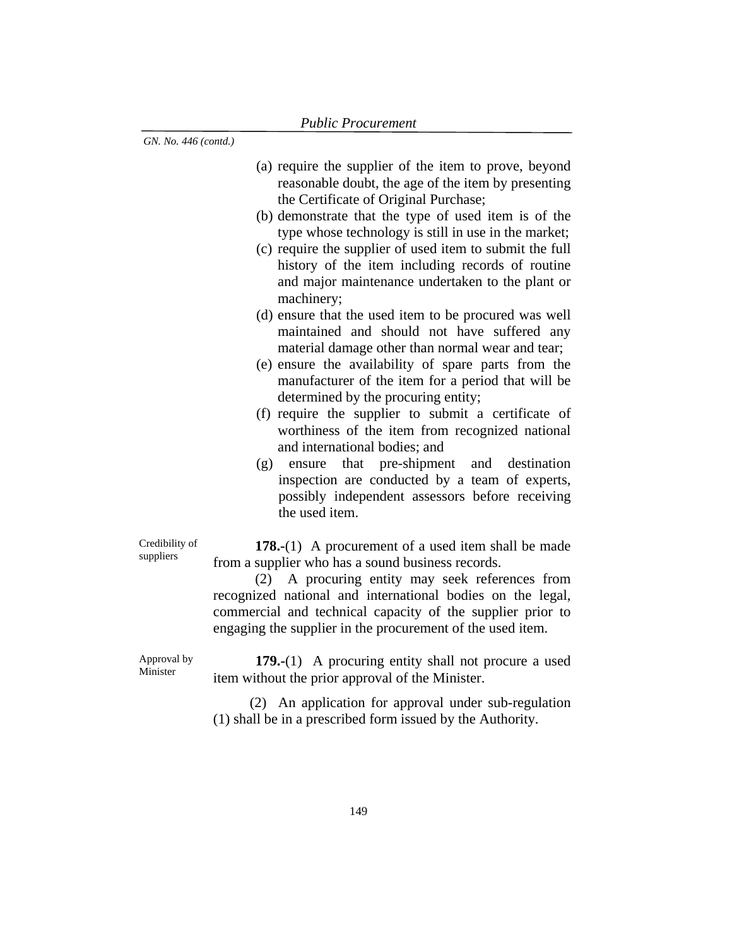| (a) require the supplier of the item to prove, beyond |
|-------------------------------------------------------|
| reasonable doubt, the age of the item by presenting   |
| the Certificate of Original Purchase;                 |

- (b) demonstrate that the type of used item is of the type whose technology is still in use in the market;
- (c) require the supplier of used item to submit the full history of the item including records of routine and major maintenance undertaken to the plant or machinery;
- (d) ensure that the used item to be procured was well maintained and should not have suffered any material damage other than normal wear and tear;
- (e) ensure the availability of spare parts from the manufacturer of the item for a period that will be determined by the procuring entity;
- (f) require the supplier to submit a certificate of worthiness of the item from recognized national and international bodies; and
- (g) ensure that pre-shipment and destination inspection are conducted by a team of experts, possibly independent assessors before receiving the used item.

Credibility of suppliers

**178.-**(1) A procurement of a used item shall be made from a supplier who has a sound business records.

(2) A procuring entity may seek references from recognized national and international bodies on the legal, commercial and technical capacity of the supplier prior to engaging the supplier in the procurement of the used item.

Approval by Minister

**179.-**(1) A procuring entity shall not procure a used item without the prior approval of the Minister.

(2) An application for approval under sub-regulation (1) shall be in a prescribed form issued by the Authority.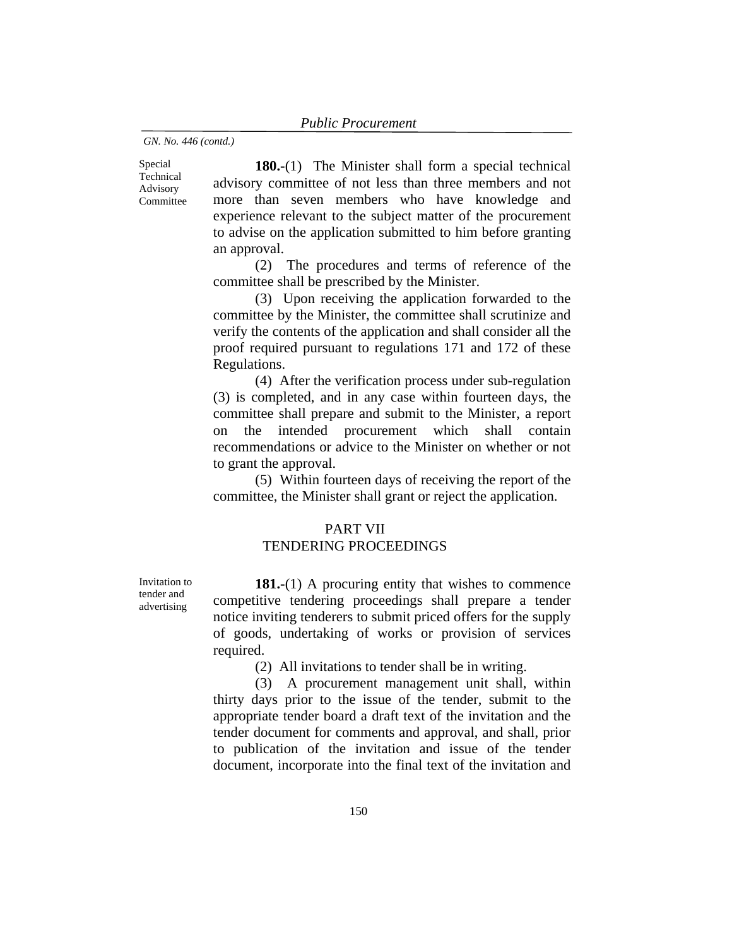Special Technical Advisory Committee

**180.-**(1) The Minister shall form a special technical advisory committee of not less than three members and not more than seven members who have knowledge and experience relevant to the subject matter of the procurement to advise on the application submitted to him before granting an approval.

(2) The procedures and terms of reference of the committee shall be prescribed by the Minister.

(3) Upon receiving the application forwarded to the committee by the Minister, the committee shall scrutinize and verify the contents of the application and shall consider all the proof required pursuant to regulations 171 and 172 of these Regulations.

(4) After the verification process under sub-regulation (3) is completed, and in any case within fourteen days, the committee shall prepare and submit to the Minister, a report on the intended procurement which shall contain recommendations or advice to the Minister on whether or not to grant the approval.

 (5) Within fourteen days of receiving the report of the committee, the Minister shall grant or reject the application.

## PART VII TENDERING PROCEEDINGS

Invitation to tender and advertising

**181.-**(1) A procuring entity that wishes to commence competitive tendering proceedings shall prepare a tender notice inviting tenderers to submit priced offers for the supply of goods, undertaking of works or provision of services required.

(2) All invitations to tender shall be in writing.

(3) A procurement management unit shall, within thirty days prior to the issue of the tender, submit to the appropriate tender board a draft text of the invitation and the tender document for comments and approval, and shall, prior to publication of the invitation and issue of the tender document, incorporate into the final text of the invitation and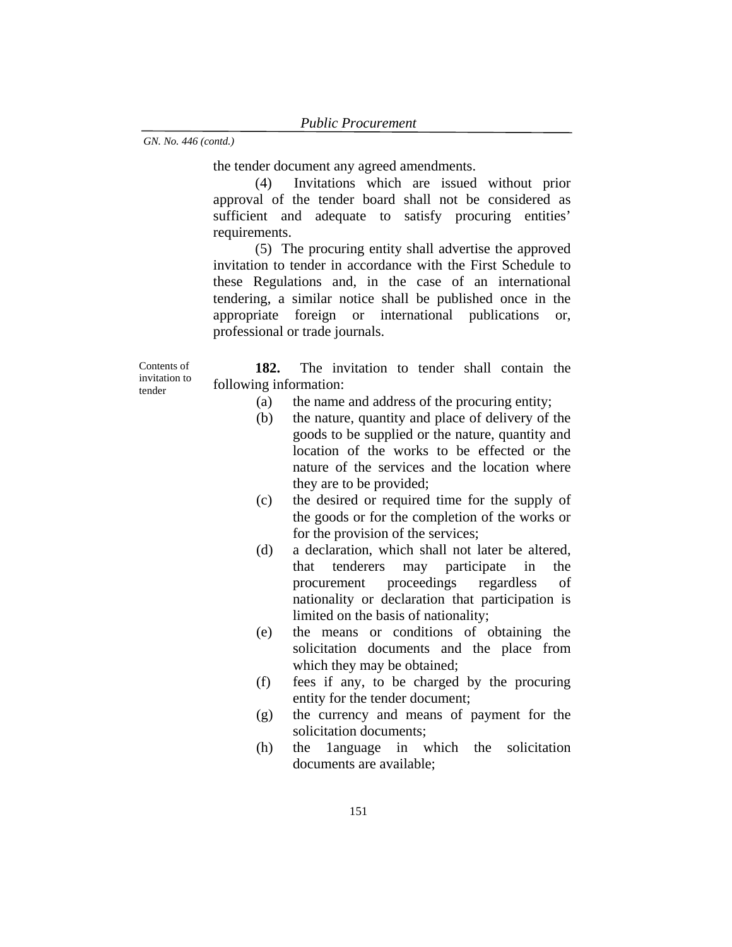the tender document any agreed amendments.

(4) Invitations which are issued without prior approval of the tender board shall not be considered as sufficient and adequate to satisfy procuring entities' requirements.

(5) The procuring entity shall advertise the approved invitation to tender in accordance with the First Schedule to these Regulations and, in the case of an international tendering, a similar notice shall be published once in the appropriate foreign or international publications or, professional or trade journals.

Contents of invitation to tender

**182.** The invitation to tender shall contain the following information:

- (a) the name and address of the procuring entity;
- (b) the nature, quantity and place of delivery of the goods to be supplied or the nature, quantity and location of the works to be effected or the nature of the services and the location where they are to be provided;
- (c) the desired or required time for the supply of the goods or for the completion of the works or for the provision of the services;
- (d) a declaration, which shall not later be altered, that tenderers may participate in the procurement proceedings regardless of nationality or declaration that participation is limited on the basis of nationality;
- (e) the means or conditions of obtaining the solicitation documents and the place from which they may be obtained;
- (f) fees if any, to be charged by the procuring entity for the tender document;
- (g) the currency and means of payment for the solicitation documents;
- (h) the 1anguage in which the solicitation documents are available;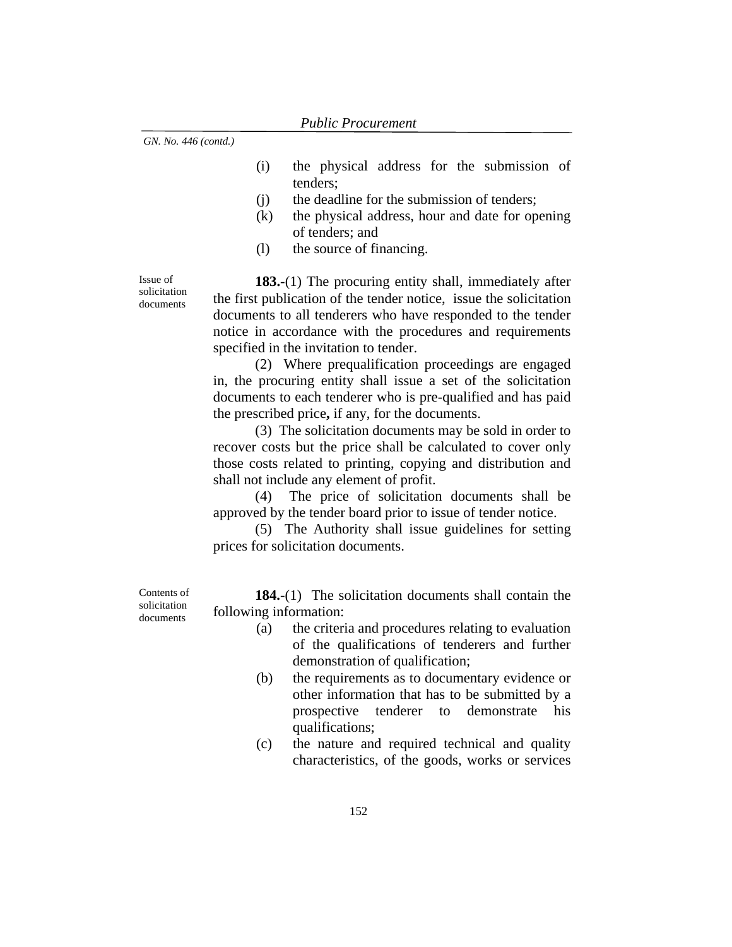- (i) the physical address for the submission of tenders;
- (j) the deadline for the submission of tenders;
- (k) the physical address, hour and date for opening of tenders; and
- (l) the source of financing.

Issue of solicitation documents

**183.**-(1) The procuring entity shall, immediately after the first publication of the tender notice, issue the solicitation documents to all tenderers who have responded to the tender notice in accordance with the procedures and requirements specified in the invitation to tender.

(2) Where prequalification proceedings are engaged in, the procuring entity shall issue a set of the solicitation documents to each tenderer who is pre-qualified and has paid the prescribed price**,** if any, for the documents.

(3) The solicitation documents may be sold in order to recover costs but the price shall be calculated to cover only those costs related to printing, copying and distribution and shall not include any element of profit.

(4) The price of solicitation documents shall be approved by the tender board prior to issue of tender notice.

(5) The Authority shall issue guidelines for setting prices for solicitation documents.

Contents of solicitation documents

**184.**-(1) The solicitation documents shall contain the following information:

- (a) the criteria and procedures relating to evaluation of the qualifications of tenderers and further demonstration of qualification;
- (b) the requirements as to documentary evidence or other information that has to be submitted by a prospective tenderer to demonstrate his qualifications;
- (c) the nature and required technical and quality characteristics, of the goods, works or services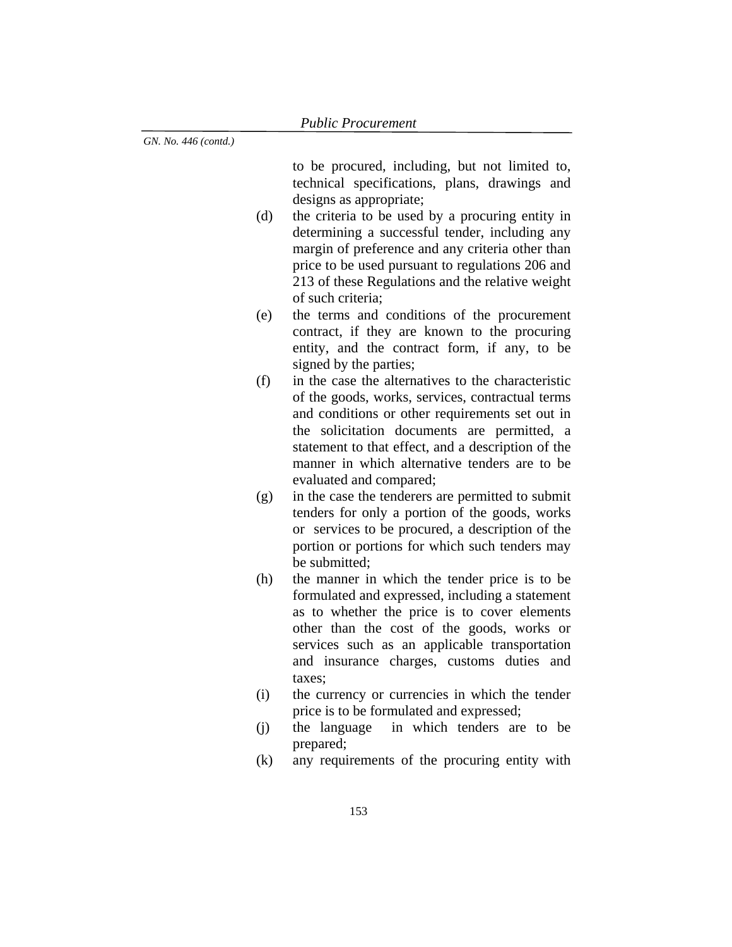to be procured, including, but not limited to, technical specifications, plans, drawings and designs as appropriate;

- (d) the criteria to be used by a procuring entity in determining a successful tender, including any margin of preference and any criteria other than price to be used pursuant to regulations 206 and 213 of these Regulations and the relative weight of such criteria;
- (e) the terms and conditions of the procurement contract, if they are known to the procuring entity, and the contract form, if any, to be signed by the parties;
- (f) in the case the alternatives to the characteristic of the goods, works, services, contractual terms and conditions or other requirements set out in the solicitation documents are permitted, a statement to that effect, and a description of the manner in which alternative tenders are to be evaluated and compared;
- (g) in the case the tenderers are permitted to submit tenders for only a portion of the goods, works or services to be procured, a description of the portion or portions for which such tenders may be submitted:
- (h) the manner in which the tender price is to be formulated and expressed, including a statement as to whether the price is to cover elements other than the cost of the goods, works or services such as an applicable transportation and insurance charges, customs duties and taxes;
- (i) the currency or currencies in which the tender price is to be formulated and expressed;
- (j) the language in which tenders are to be prepared;
- (k) any requirements of the procuring entity with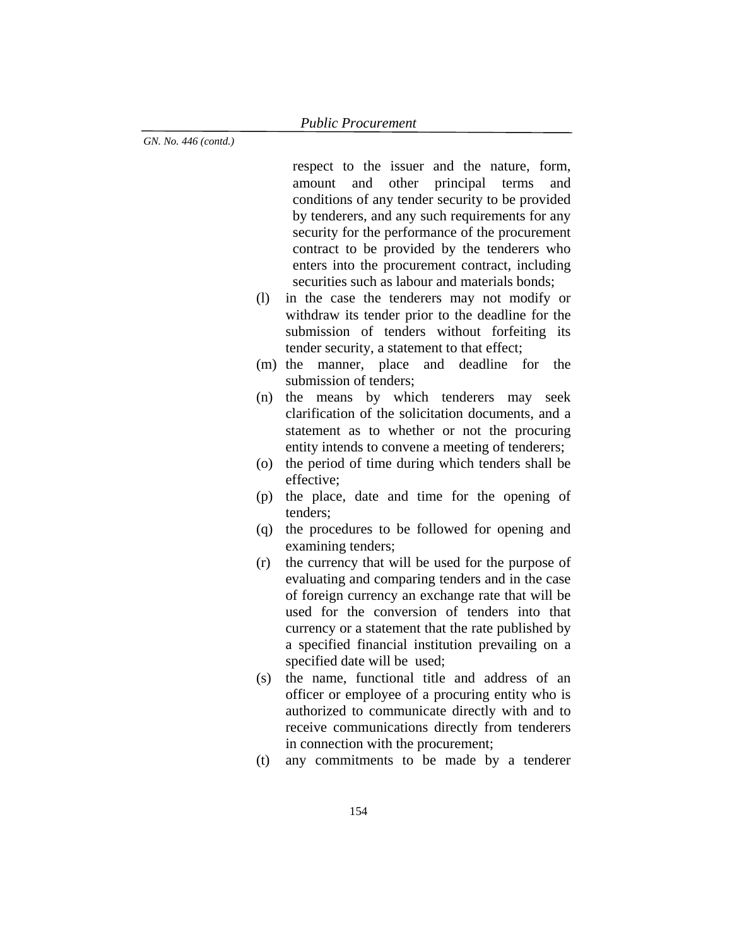respect to the issuer and the nature, form, amount and other principal terms and conditions of any tender security to be provided by tenderers, and any such requirements for any security for the performance of the procurement contract to be provided by the tenderers who enters into the procurement contract, including securities such as labour and materials bonds;

- (l) in the case the tenderers may not modify or withdraw its tender prior to the deadline for the submission of tenders without forfeiting its tender security, a statement to that effect;
- (m) the manner, place and deadline for the submission of tenders;
- (n) the means by which tenderers may seek clarification of the solicitation documents, and a statement as to whether or not the procuring entity intends to convene a meeting of tenderers;
- (o) the period of time during which tenders shall be effective;
- (p) the place, date and time for the opening of tenders;
- (q) the procedures to be followed for opening and examining tenders;
- (r) the currency that will be used for the purpose of evaluating and comparing tenders and in the case of foreign currency an exchange rate that will be used for the conversion of tenders into that currency or a statement that the rate published by a specified financial institution prevailing on a specified date will be used;
- (s) the name, functional title and address of an officer or employee of a procuring entity who is authorized to communicate directly with and to receive communications directly from tenderers in connection with the procurement;
- (t) any commitments to be made by a tenderer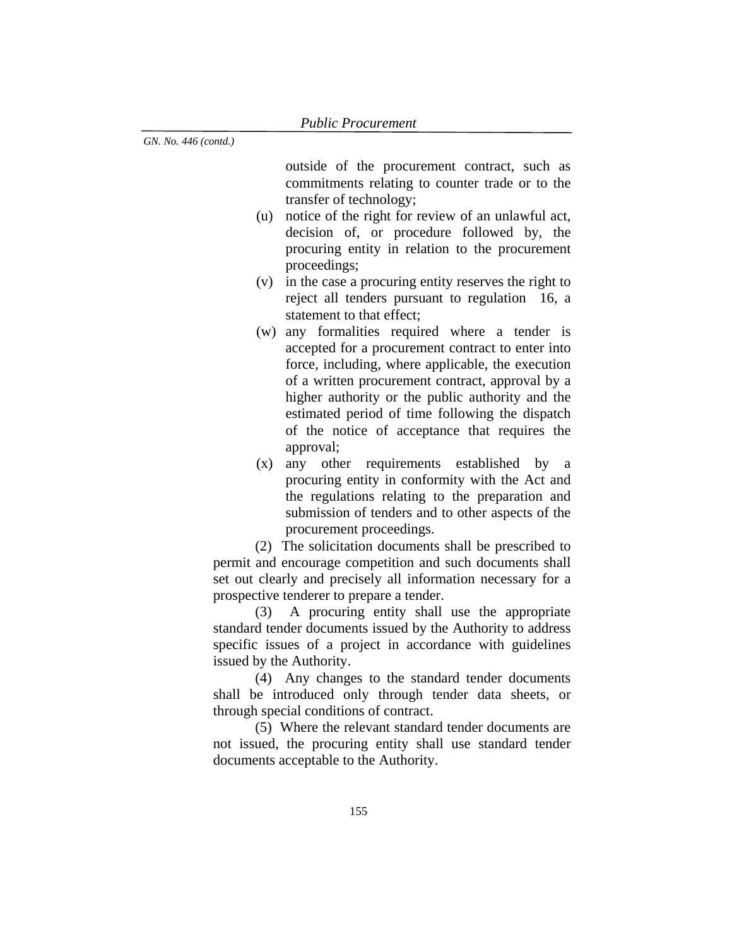outside of the procurement contract, such as commitments relating to counter trade or to the transfer of technology;

- (u) notice of the right for review of an unlawful act, decision of, or procedure followed by, the procuring entity in relation to the procurement proceedings;
- (v) in the case a procuring entity reserves the right to reject all tenders pursuant to regulation 16, a statement to that effect;
- (w) any formalities required where a tender is accepted for a procurement contract to enter into force, including, where applicable, the execution of a written procurement contract, approval by a higher authority or the public authority and the estimated period of time following the dispatch of the notice of acceptance that requires the approval;
- (x) any other requirements established by a procuring entity in conformity with the Act and the regulations relating to the preparation and submission of tenders and to other aspects of the procurement proceedings.

 (2) The solicitation documents shall be prescribed to permit and encourage competition and such documents shall set out clearly and precisely all information necessary for a prospective tenderer to prepare a tender.

 (3) A procuring entity shall use the appropriate standard tender documents issued by the Authority to address specific issues of a project in accordance with guidelines issued by the Authority.

 (4) Any changes to the standard tender documents shall be introduced only through tender data sheets, or through special conditions of contract.

 (5) Where the relevant standard tender documents are not issued, the procuring entity shall use standard tender documents acceptable to the Authority.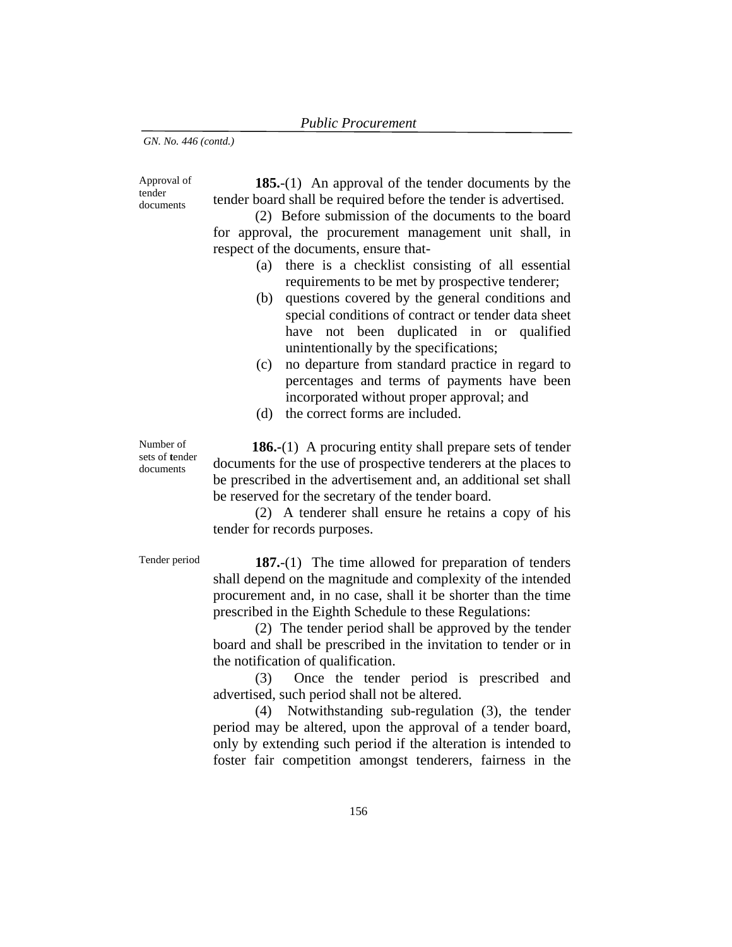Approval of tender documents

**185.**-(1) An approval of the tender documents by the tender board shall be required before the tender is advertised.

(2) Before submission of the documents to the board for approval, the procurement management unit shall, in respect of the documents, ensure that-

- (a) there is a checklist consisting of all essential requirements to be met by prospective tenderer;
- (b) questions covered by the general conditions and special conditions of contract or tender data sheet have not been duplicated in or qualified unintentionally by the specifications;
- (c) no departure from standard practice in regard to percentages and terms of payments have been incorporated without proper approval; and
- (d) the correct forms are included.

Number of sets of **t**ender documents

**186.-**(1) A procuring entity shall prepare sets of tender documents for the use of prospective tenderers at the places to be prescribed in the advertisement and, an additional set shall be reserved for the secretary of the tender board.

(2) A tenderer shall ensure he retains a copy of his tender for records purposes.

Tender period **187.**-(1) The time allowed for preparation of tenders shall depend on the magnitude and complexity of the intended procurement and, in no case, shall it be shorter than the time prescribed in the Eighth Schedule to these Regulations:

> (2) The tender period shall be approved by the tender board and shall be prescribed in the invitation to tender or in the notification of qualification.

> (3) Once the tender period is prescribed and advertised, such period shall not be altered.

> (4) Notwithstanding sub-regulation (3), the tender period may be altered, upon the approval of a tender board, only by extending such period if the alteration is intended to foster fair competition amongst tenderers, fairness in the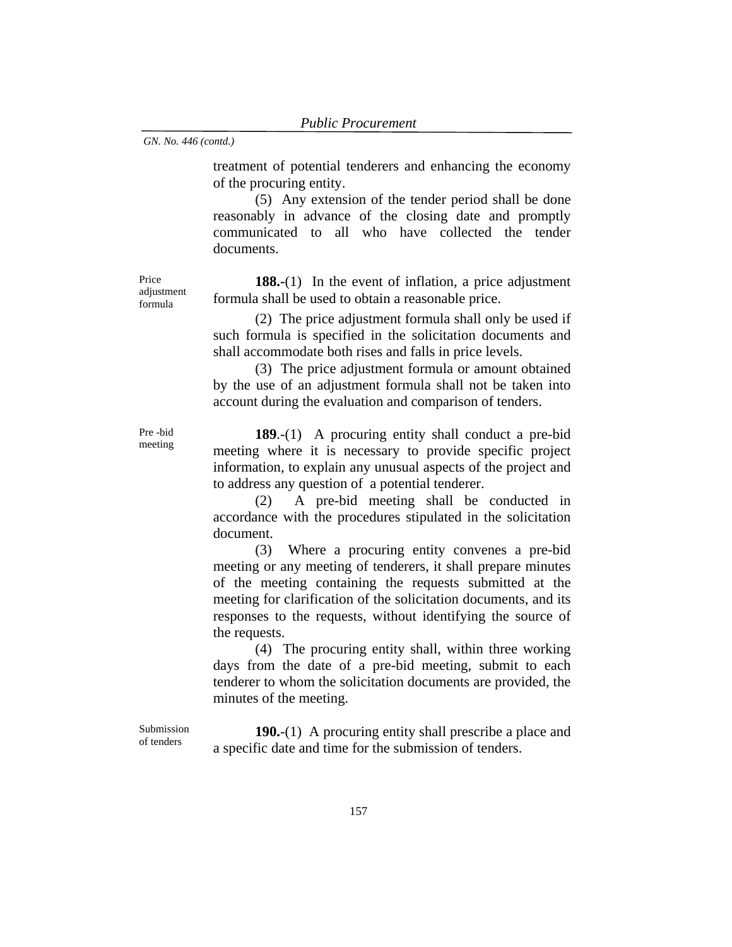treatment of potential tenderers and enhancing the economy of the procuring entity.

(5) Any extension of the tender period shall be done reasonably in advance of the closing date and promptly communicated to all who have collected the tender documents.

Price adjustment formula

**188.-**(1) In the event of inflation, a price adjustment formula shall be used to obtain a reasonable price.

(2) The price adjustment formula shall only be used if such formula is specified in the solicitation documents and shall accommodate both rises and falls in price levels.

(3) The price adjustment formula or amount obtained by the use of an adjustment formula shall not be taken into account during the evaluation and comparison of tenders.

Pre -bid meeting

**189**.-(1) A procuring entity shall conduct a pre-bid meeting where it is necessary to provide specific project information, to explain any unusual aspects of the project and to address any question of a potential tenderer.

(2) A pre-bid meeting shall be conducted in accordance with the procedures stipulated in the solicitation document.

(3) Where a procuring entity convenes a pre-bid meeting or any meeting of tenderers, it shall prepare minutes of the meeting containing the requests submitted at the meeting for clarification of the solicitation documents, and its responses to the requests, without identifying the source of the requests.

(4) The procuring entity shall, within three working days from the date of a pre-bid meeting, submit to each tenderer to whom the solicitation documents are provided, the minutes of the meeting.

Submission of tenders

**190.**-(1) A procuring entity shall prescribe a place and a specific date and time for the submission of tenders.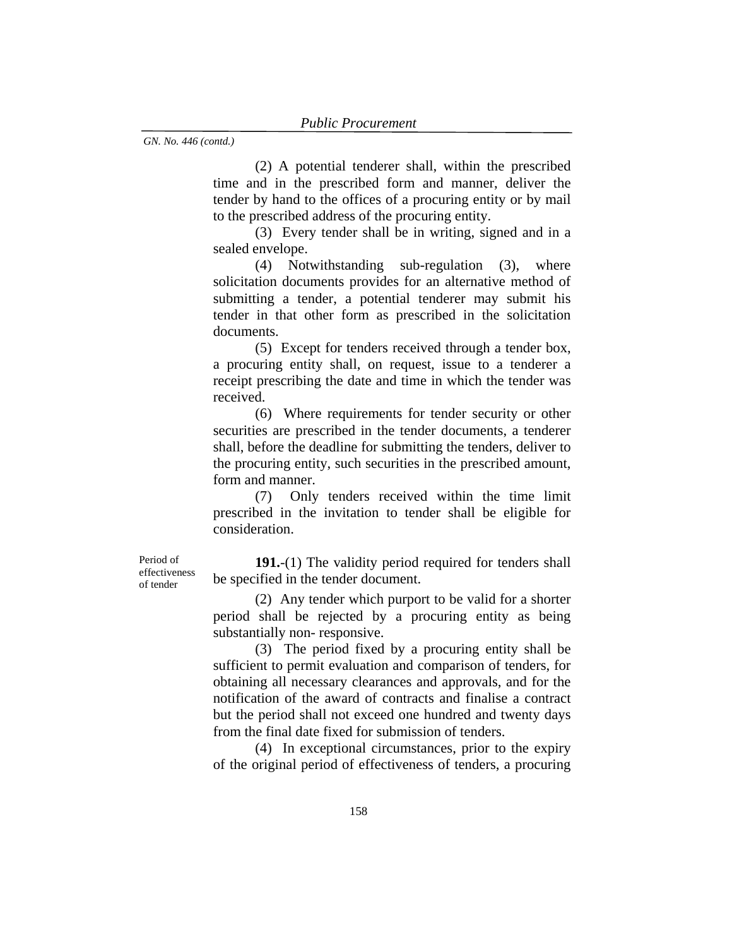(2) A potential tenderer shall, within the prescribed time and in the prescribed form and manner, deliver the tender by hand to the offices of a procuring entity or by mail to the prescribed address of the procuring entity.

(3) Every tender shall be in writing, signed and in a sealed envelope.

(4) Notwithstanding sub-regulation (3), where solicitation documents provides for an alternative method of submitting a tender, a potential tenderer may submit his tender in that other form as prescribed in the solicitation documents.

(5) Except for tenders received through a tender box, a procuring entity shall, on request, issue to a tenderer a receipt prescribing the date and time in which the tender was received.

 (6) Where requirements for tender security or other securities are prescribed in the tender documents, a tenderer shall, before the deadline for submitting the tenders, deliver to the procuring entity, such securities in the prescribed amount, form and manner.

 (7) Only tenders received within the time limit prescribed in the invitation to tender shall be eligible for consideration.

Period of effectiveness of tender

**191.**-(1) The validity period required for tenders shall be specified in the tender document.

(2) Any tender which purport to be valid for a shorter period shall be rejected by a procuring entity as being substantially non- responsive.

(3) The period fixed by a procuring entity shall be sufficient to permit evaluation and comparison of tenders, for obtaining all necessary clearances and approvals, and for the notification of the award of contracts and finalise a contract but the period shall not exceed one hundred and twenty days from the final date fixed for submission of tenders.

(4) In exceptional circumstances, prior to the expiry of the original period of effectiveness of tenders, a procuring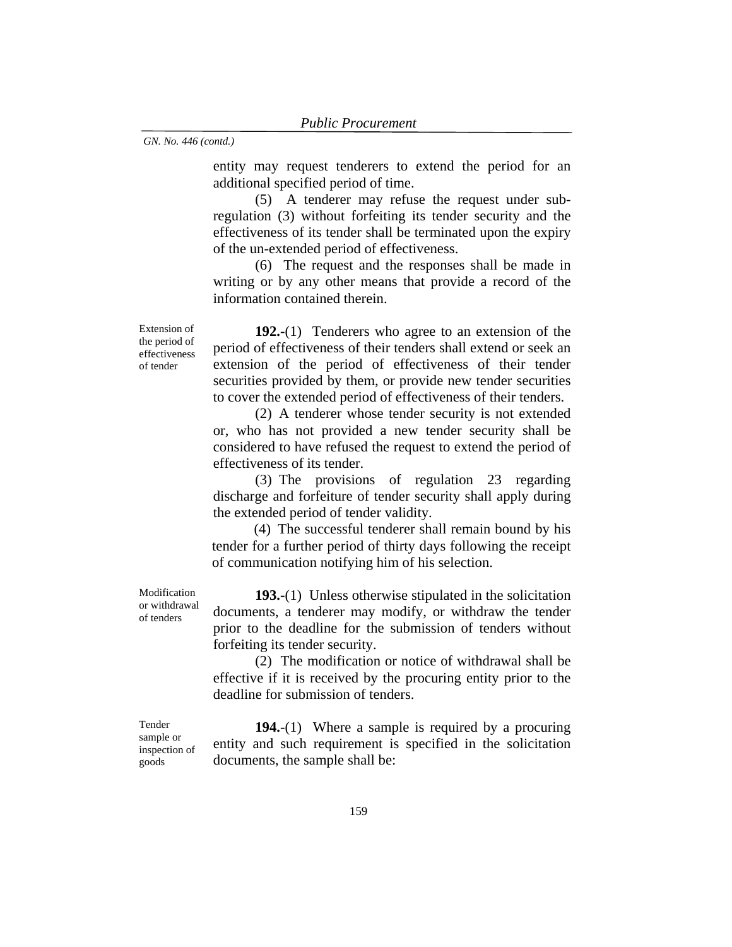entity may request tenderers to extend the period for an additional specified period of time.

(5) A tenderer may refuse the request under subregulation (3) without forfeiting its tender security and the effectiveness of its tender shall be terminated upon the expiry of the un-extended period of effectiveness.

(6) The request and the responses shall be made in writing or by any other means that provide a record of the information contained therein.

Extension of the period of effectiveness of tender

**192.-**(1) Tenderers who agree to an extension of the period of effectiveness of their tenders shall extend or seek an extension of the period of effectiveness of their tender securities provided by them, or provide new tender securities to cover the extended period of effectiveness of their tenders.

(2) A tenderer whose tender security is not extended or, who has not provided a new tender security shall be considered to have refused the request to extend the period of effectiveness of its tender.

(3) The provisions of regulation 23 regarding discharge and forfeiture of tender security shall apply during the extended period of tender validity.

(4) The successful tenderer shall remain bound by his tender for a further period of thirty days following the receipt of communication notifying him of his selection.

Modification or withdrawal of tenders

**193.-**(1) Unless otherwise stipulated in the solicitation documents, a tenderer may modify, or withdraw the tender prior to the deadline for the submission of tenders without forfeiting its tender security.

(2) The modification or notice of withdrawal shall be effective if it is received by the procuring entity prior to the deadline for submission of tenders.

Tender sample or inspection of goods

**194.**-(1) Where a sample is required by a procuring entity and such requirement is specified in the solicitation documents, the sample shall be: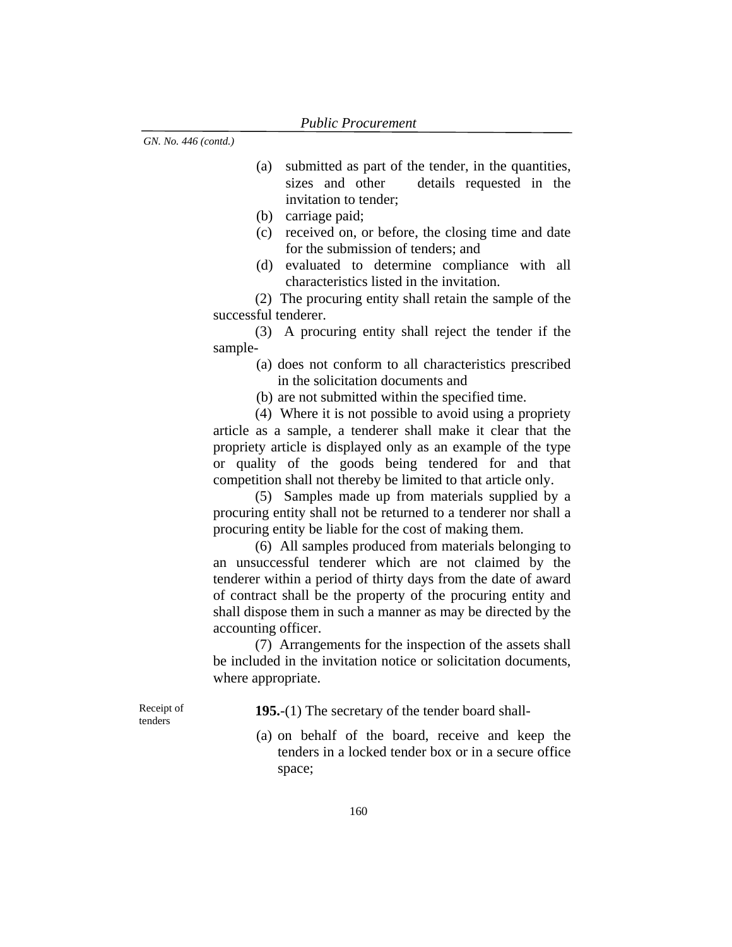- (a) submitted as part of the tender, in the quantities, sizes and other details requested in the invitation to tender;
- (b) carriage paid;
- (c) received on, or before, the closing time and date for the submission of tenders; and
- (d) evaluated to determine compliance with all characteristics listed in the invitation.

 (2) The procuring entity shall retain the sample of the successful tenderer.

 (3) A procuring entity shall reject the tender if the sample-

> (a) does not conform to all characteristics prescribed in the solicitation documents and

(b) are not submitted within the specified time.

 (4) Where it is not possible to avoid using a propriety article as a sample, a tenderer shall make it clear that the propriety article is displayed only as an example of the type or quality of the goods being tendered for and that competition shall not thereby be limited to that article only.

 (5) Samples made up from materials supplied by a procuring entity shall not be returned to a tenderer nor shall a procuring entity be liable for the cost of making them.

 (6) All samples produced from materials belonging to an unsuccessful tenderer which are not claimed by the tenderer within a period of thirty days from the date of award of contract shall be the property of the procuring entity and shall dispose them in such a manner as may be directed by the accounting officer.

 (7) Arrangements for the inspection of the assets shall be included in the invitation notice or solicitation documents, where appropriate.

Receipt of tenders

**195.**-(1) The secretary of the tender board shall-

(a) on behalf of the board, receive and keep the tenders in a locked tender box or in a secure office space;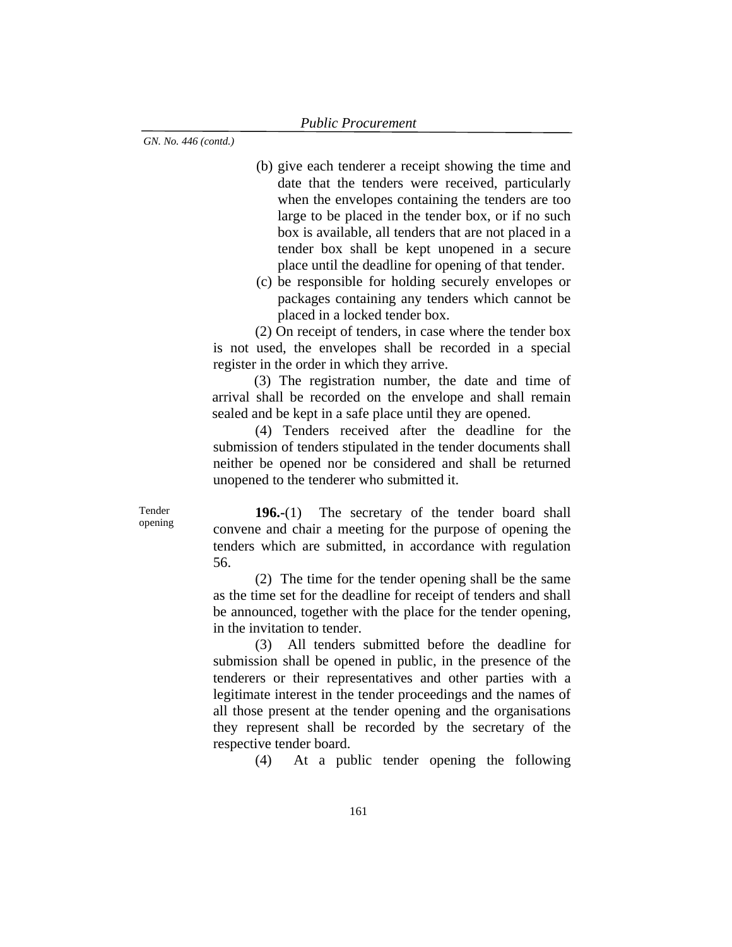- (b) give each tenderer a receipt showing the time and date that the tenders were received, particularly when the envelopes containing the tenders are too large to be placed in the tender box, or if no such box is available, all tenders that are not placed in a tender box shall be kept unopened in a secure place until the deadline for opening of that tender.
- (c) be responsible for holding securely envelopes or packages containing any tenders which cannot be placed in a locked tender box.

(2) On receipt of tenders, in case where the tender box is not used, the envelopes shall be recorded in a special register in the order in which they arrive.

(3) The registration number, the date and time of arrival shall be recorded on the envelope and shall remain sealed and be kept in a safe place until they are opened.

(4) Tenders received after the deadline for the submission of tenders stipulated in the tender documents shall neither be opened nor be considered and shall be returned unopened to the tenderer who submitted it.

Tender opening

**196.-**(1) The secretary of the tender board shall convene and chair a meeting for the purpose of opening the tenders which are submitted, in accordance with regulation 56.

(2) The time for the tender opening shall be the same as the time set for the deadline for receipt of tenders and shall be announced, together with the place for the tender opening, in the invitation to tender.

(3) All tenders submitted before the deadline for submission shall be opened in public, in the presence of the tenderers or their representatives and other parties with a legitimate interest in the tender proceedings and the names of all those present at the tender opening and the organisations they represent shall be recorded by the secretary of the respective tender board.

(4) At a public tender opening the following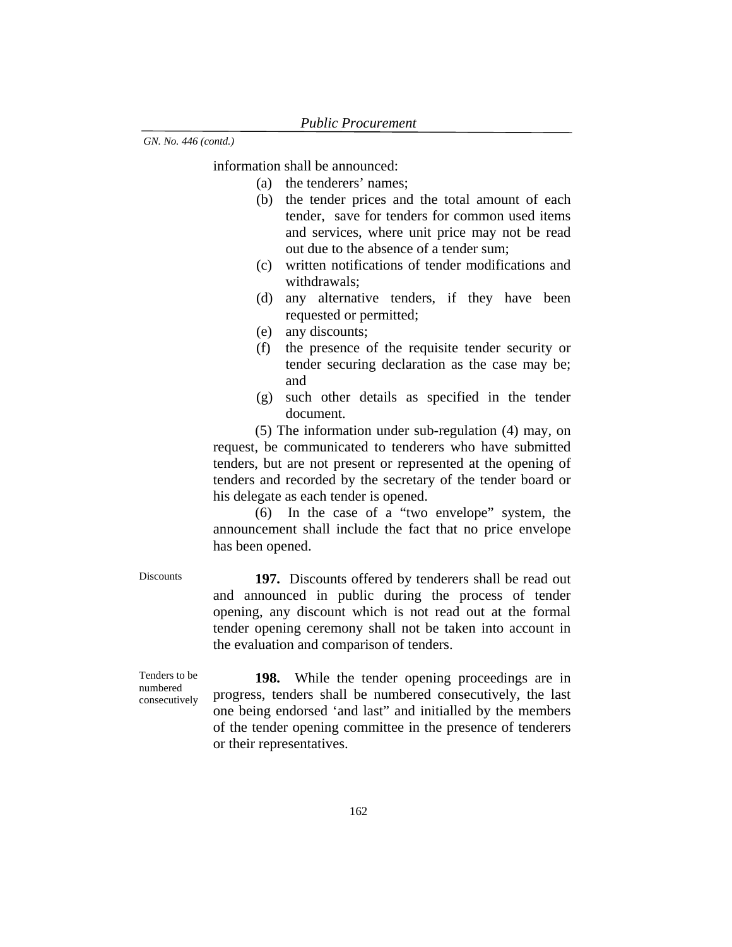information shall be announced:

- (a) the tenderers' names;
- (b) the tender prices and the total amount of each tender, save for tenders for common used items and services, where unit price may not be read out due to the absence of a tender sum;
- (c) written notifications of tender modifications and withdrawals;
- (d) any alternative tenders, if they have been requested or permitted;
- (e) any discounts;
- (f) the presence of the requisite tender security or tender securing declaration as the case may be; and
- (g) such other details as specified in the tender document.

(5) The information under sub-regulation (4) may, on request, be communicated to tenderers who have submitted tenders, but are not present or represented at the opening of tenders and recorded by the secretary of the tender board or his delegate as each tender is opened.

(6) In the case of a "two envelope" system, the announcement shall include the fact that no price envelope has been opened.

Discounts **197.** Discounts offered by tenderers shall be read out and announced in public during the process of tender opening, any discount which is not read out at the formal tender opening ceremony shall not be taken into account in the evaluation and comparison of tenders.

Tenders to be numbered consecutively

**198.** While the tender opening proceedings are in progress, tenders shall be numbered consecutively, the last one being endorsed 'and last" and initialled by the members of the tender opening committee in the presence of tenderers or their representatives.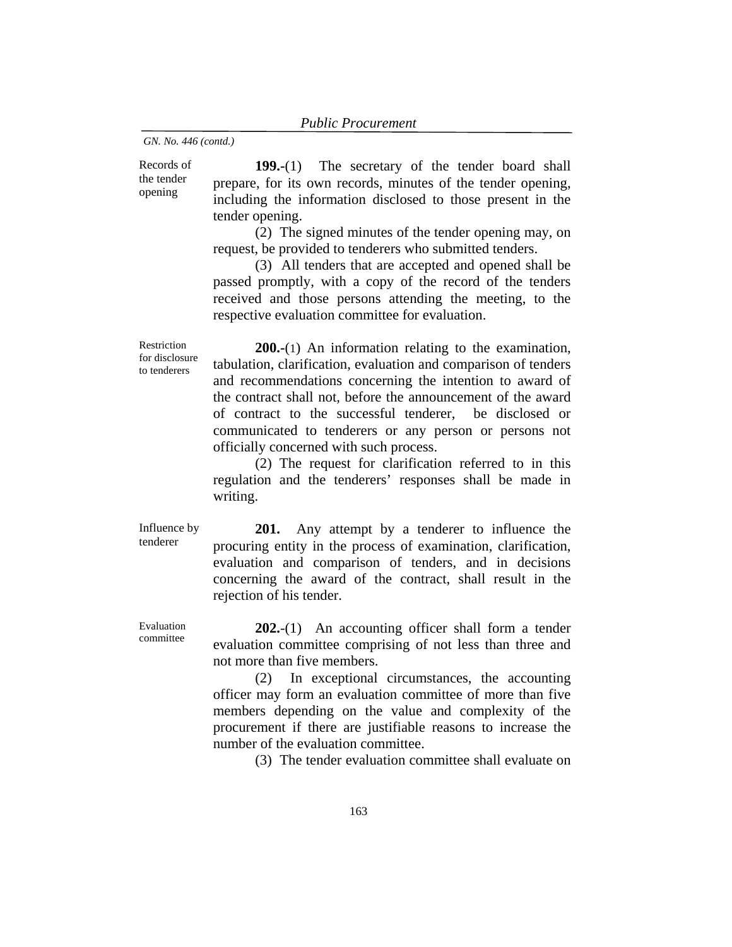Records of the tender opening

**199.-**(1) The secretary of the tender board shall prepare, for its own records, minutes of the tender opening, including the information disclosed to those present in the tender opening.

(2) The signed minutes of the tender opening may, on request, be provided to tenderers who submitted tenders.

(3) All tenders that are accepted and opened shall be passed promptly, with a copy of the record of the tenders received and those persons attending the meeting, to the respective evaluation committee for evaluation.

Restriction for disclosure to tenderers

**200.-**(1) An information relating to the examination, tabulation, clarification, evaluation and comparison of tenders and recommendations concerning the intention to award of the contract shall not, before the announcement of the award of contract to the successful tenderer, be disclosed or communicated to tenderers or any person or persons not officially concerned with such process.

(2) The request for clarification referred to in this regulation and the tenderers' responses shall be made in writing.

Influence by tenderer

**201.** Any attempt by a tenderer to influence the procuring entity in the process of examination, clarification, evaluation and comparison of tenders, and in decisions concerning the award of the contract, shall result in the rejection of his tender.

committee

 Evaluation **202.**-(1) An accounting officer shall form a tender evaluation committee comprising of not less than three and not more than five members.

> (2) In exceptional circumstances, the accounting officer may form an evaluation committee of more than five members depending on the value and complexity of the procurement if there are justifiable reasons to increase the number of the evaluation committee.

> > (3) The tender evaluation committee shall evaluate on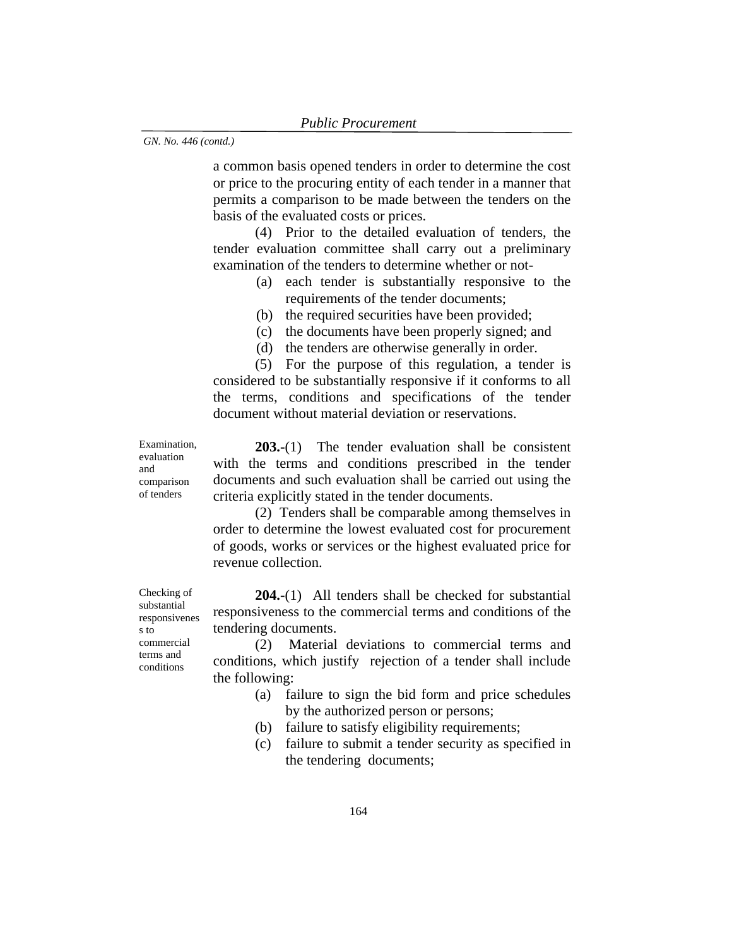a common basis opened tenders in order to determine the cost or price to the procuring entity of each tender in a manner that permits a comparison to be made between the tenders on the basis of the evaluated costs or prices.

(4) Prior to the detailed evaluation of tenders, the tender evaluation committee shall carry out a preliminary examination of the tenders to determine whether or not-

- (a) each tender is substantially responsive to the requirements of the tender documents;
- (b) the required securities have been provided;
- (c) the documents have been properly signed; and
- (d) the tenders are otherwise generally in order. (5) For the purpose of this regulation, a tender is

considered to be substantially responsive if it conforms to all the terms, conditions and specifications of the tender document without material deviation or reservations.

Examination, evaluation and comparison of tenders

**203.-**(1) The tender evaluation shall be consistent with the terms and conditions prescribed in the tender documents and such evaluation shall be carried out using the criteria explicitly stated in the tender documents.

 (2) Tenders shall be comparable among themselves in order to determine the lowest evaluated cost for procurement of goods, works or services or the highest evaluated price for revenue collection.

**204.-**(1) All tenders shall be checked for substantial responsiveness to the commercial terms and conditions of the tendering documents.

(2) Material deviations to commercial terms and conditions, which justify rejection of a tender shall include the following:

- (a) failure to sign the bid form and price schedules by the authorized person or persons;
- (b) failure to satisfy eligibility requirements;
- (c) failure to submit a tender security as specified in the tendering documents;

Checking of substantial responsivenes s to commercial terms and conditions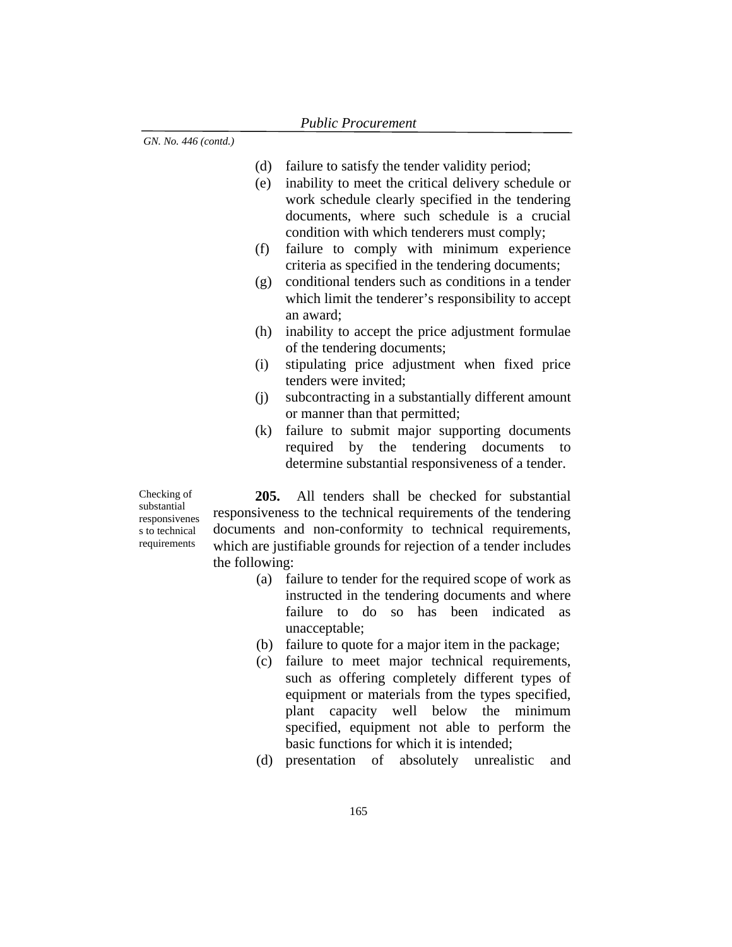- (d) failure to satisfy the tender validity period;
- (e) inability to meet the critical delivery schedule or work schedule clearly specified in the tendering documents, where such schedule is a crucial condition with which tenderers must comply;
- (f) failure to comply with minimum experience criteria as specified in the tendering documents;
- (g) conditional tenders such as conditions in a tender which limit the tenderer's responsibility to accept an award;
- (h) inability to accept the price adjustment formulae of the tendering documents;
- (i) stipulating price adjustment when fixed price tenders were invited;
- (j) subcontracting in a substantially different amount or manner than that permitted;
- (k) failure to submit major supporting documents required by the tendering documents to determine substantial responsiveness of a tender.

Checking of substantial responsivenes s to technical requirements

**205.** All tenders shall be checked for substantial responsiveness to the technical requirements of the tendering documents and non-conformity to technical requirements, which are justifiable grounds for rejection of a tender includes the following:

- (a) failure to tender for the required scope of work as instructed in the tendering documents and where failure to do so has been indicated as unacceptable;
- (b) failure to quote for a major item in the package;
- (c) failure to meet major technical requirements, such as offering completely different types of equipment or materials from the types specified, plant capacity well below the minimum specified, equipment not able to perform the basic functions for which it is intended;
- (d) presentation of absolutely unrealistic and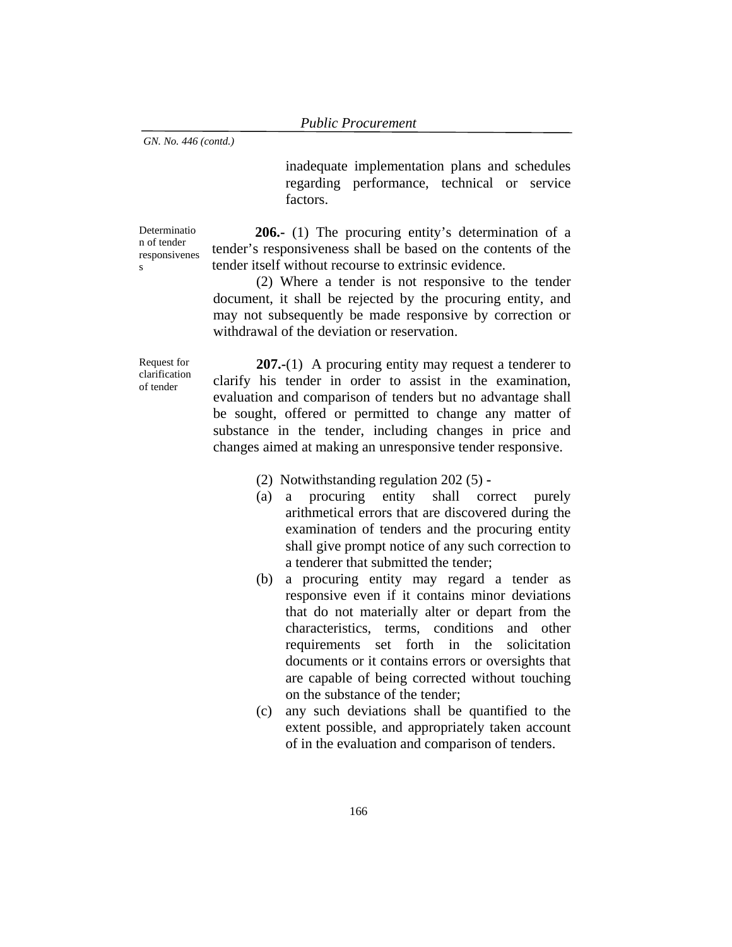inadequate implementation plans and schedules regarding performance, technical or service factors.

**Determinatio** n of tender responsivenes s

**206.-** (1) The procuring entity's determination of a tender's responsiveness shall be based on the contents of the tender itself without recourse to extrinsic evidence.

 (2) Where a tender is not responsive to the tender document, it shall be rejected by the procuring entity, and may not subsequently be made responsive by correction or withdrawal of the deviation or reservation.

Request for clarification of tender

**207.-**(1) A procuring entity may request a tenderer to clarify his tender in order to assist in the examination, evaluation and comparison of tenders but no advantage shall be sought, offered or permitted to change any matter of substance in the tender, including changes in price and changes aimed at making an unresponsive tender responsive.

- (2) Notwithstanding regulation 202 (5)
- (a) a procuring entity shall correct purely arithmetical errors that are discovered during the examination of tenders and the procuring entity shall give prompt notice of any such correction to a tenderer that submitted the tender;
- (b) a procuring entity may regard a tender as responsive even if it contains minor deviations that do not materially alter or depart from the characteristics, terms, conditions and other requirements set forth in the solicitation documents or it contains errors or oversights that are capable of being corrected without touching on the substance of the tender;
- (c) any such deviations shall be quantified to the extent possible, and appropriately taken account of in the evaluation and comparison of tenders.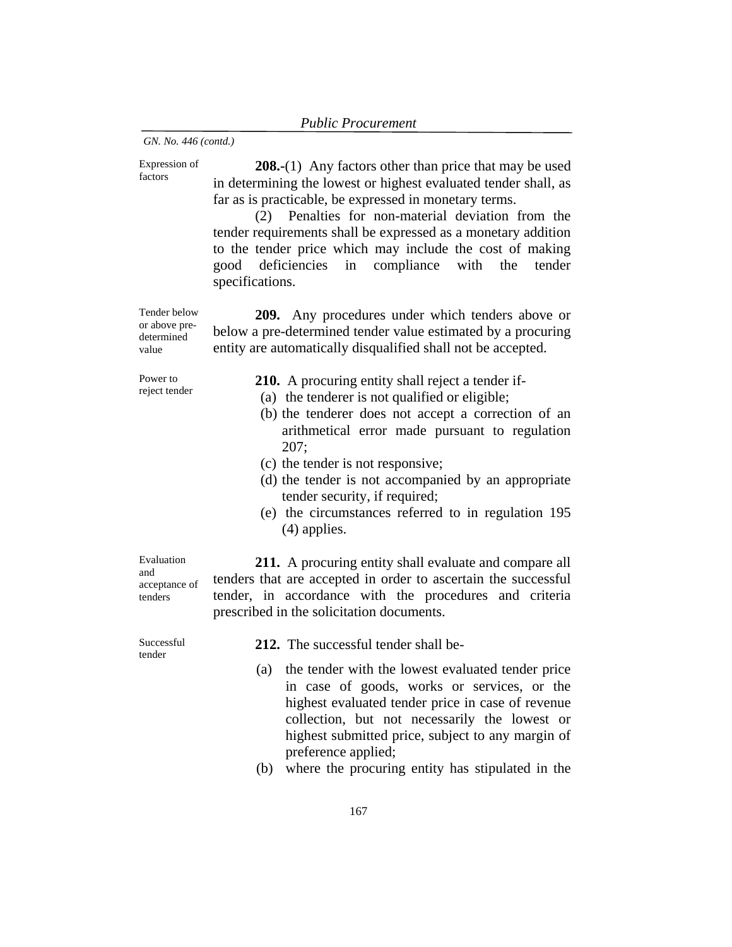Expression of factors

**208.-**(1) Any factors other than price that may be used in determining the lowest or highest evaluated tender shall, as far as is practicable, be expressed in monetary terms.

 (2) Penalties for non-material deviation from the tender requirements shall be expressed as a monetary addition to the tender price which may include the cost of making good deficiencies in compliance with the tender specifications.

**209.** Any procedures under which tenders above or below a pre-determined tender value estimated by a procuring entity are automatically disqualified shall not be accepted.

Power to reject tender

Tender below or above predetermined value

**210.** A procuring entity shall reject a tender if-

- (a) the tenderer is not qualified or eligible;
- (b) the tenderer does not accept a correction of an arithmetical error made pursuant to regulation 207;
- (c) the tender is not responsive;
- (d) the tender is not accompanied by an appropriate tender security, if required;
- (e) the circumstances referred to in regulation 195 (4) applies.

Evaluation and acceptance of tenders

Successful tender

**211.** A procuring entity shall evaluate and compare all tenders that are accepted in order to ascertain the successful tender, in accordance with the procedures and criteria prescribed in the solicitation documents.

**212.** The successful tender shall be-

- (a) the tender with the lowest evaluated tender price in case of goods, works or services, or the highest evaluated tender price in case of revenue collection, but not necessarily the lowest or highest submitted price, subject to any margin of preference applied;
- (b) where the procuring entity has stipulated in the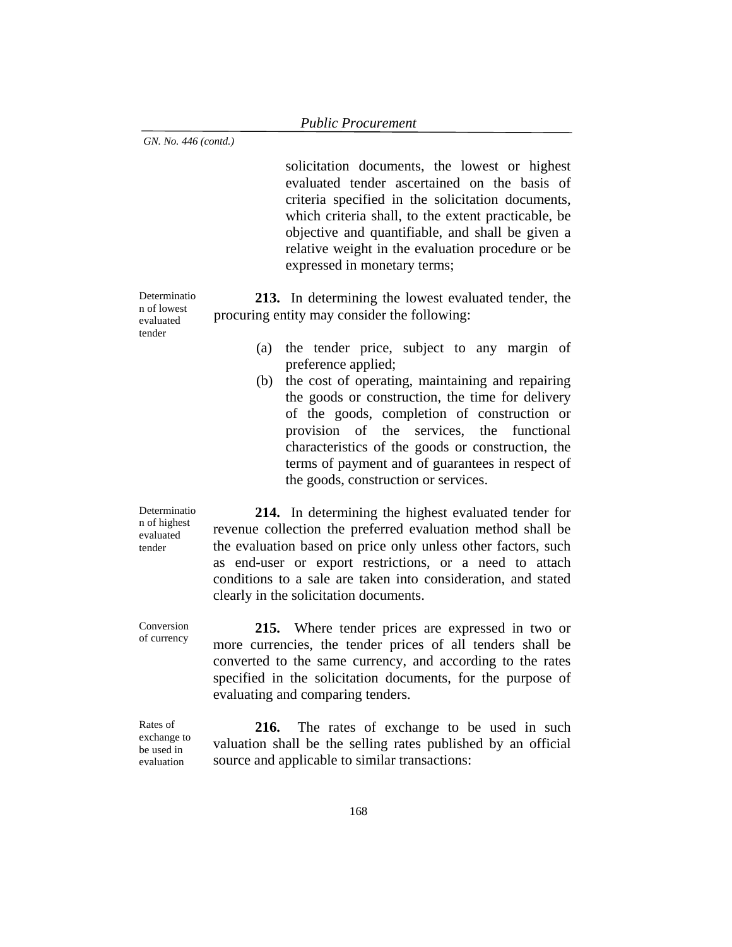solicitation documents, the lowest or highest evaluated tender ascertained on the basis of criteria specified in the solicitation documents, which criteria shall, to the extent practicable, be objective and quantifiable, and shall be given a relative weight in the evaluation procedure or be expressed in monetary terms;

**213.** In determining the lowest evaluated tender, the procuring entity may consider the following:

- (a) the tender price, subject to any margin of preference applied;
- (b) the cost of operating, maintaining and repairing the goods or construction, the time for delivery of the goods, completion of construction or provision of the services, the functional characteristics of the goods or construction, the terms of payment and of guarantees in respect of the goods, construction or services.

**214.** In determining the highest evaluated tender for revenue collection the preferred evaluation method shall be the evaluation based on price only unless other factors, such as end-user or export restrictions, or a need to attach conditions to a sale are taken into consideration, and stated clearly in the solicitation documents.

**215.** Where tender prices are expressed in two or more currencies, the tender prices of all tenders shall be converted to the same currency, and according to the rates specified in the solicitation documents, for the purpose of evaluating and comparing tenders.

Rates of exchange to be used in evaluation

**216.** The rates of exchange to be used in such valuation shall be the selling rates published by an official source and applicable to similar transactions:

Determinatio n of lowest evaluated tender

**Determinatio** n of highest evaluated tender

Conversion of currency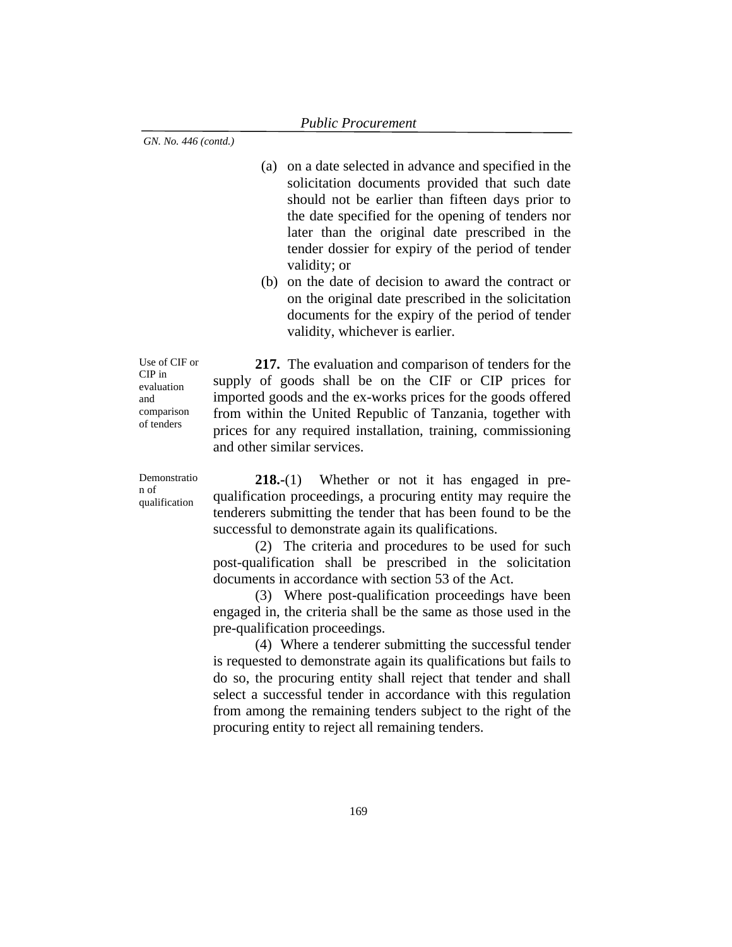- (a) on a date selected in advance and specified in the solicitation documents provided that such date should not be earlier than fifteen days prior to the date specified for the opening of tenders nor later than the original date prescribed in the tender dossier for expiry of the period of tender validity; or
- (b) on the date of decision to award the contract or on the original date prescribed in the solicitation documents for the expiry of the period of tender validity, whichever is earlier.

Use of CIF or CIP in evaluation and comparison of tenders

**217.** The evaluation and comparison of tenders for the supply of goods shall be on the CIF or CIP prices for imported goods and the ex-works prices for the goods offered from within the United Republic of Tanzania, together with prices for any required installation, training, commissioning and other similar services.

Demonstratio n of qualification

**218.-**(1) Whether or not it has engaged in prequalification proceedings, a procuring entity may require the tenderers submitting the tender that has been found to be the successful to demonstrate again its qualifications.

 (2) The criteria and procedures to be used for such post-qualification shall be prescribed in the solicitation documents in accordance with section 53 of the Act.

 (3) Where post-qualification proceedings have been engaged in, the criteria shall be the same as those used in the pre-qualification proceedings.

 (4) Where a tenderer submitting the successful tender is requested to demonstrate again its qualifications but fails to do so, the procuring entity shall reject that tender and shall select a successful tender in accordance with this regulation from among the remaining tenders subject to the right of the procuring entity to reject all remaining tenders.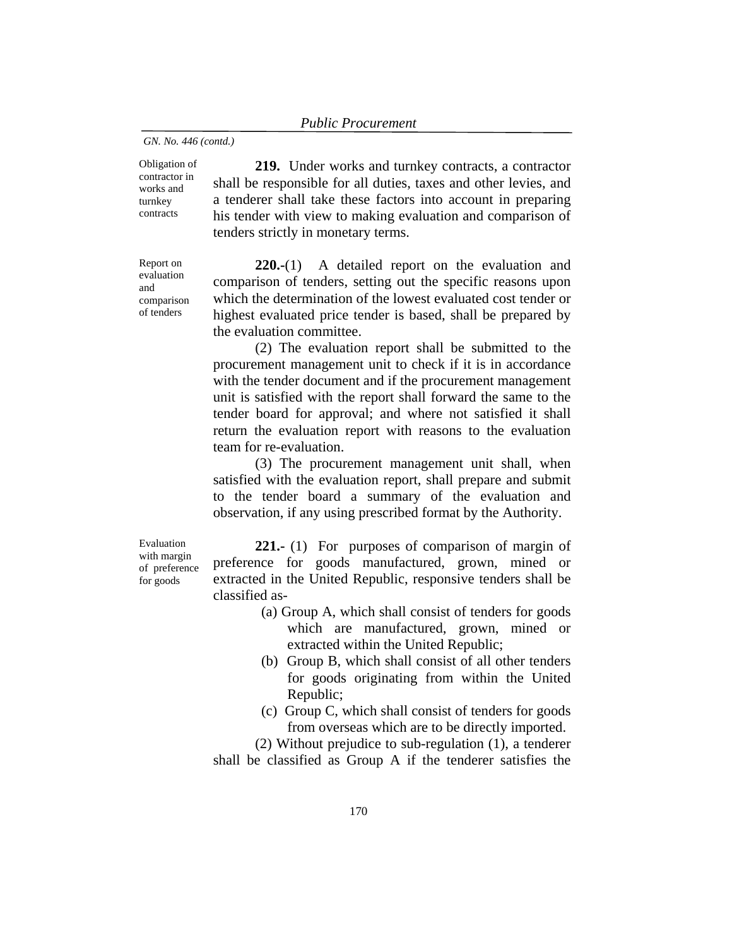Obligation of contractor in works and turnkey contracts

**219.** Under works and turnkey contracts, a contractor shall be responsible for all duties, taxes and other levies, and a tenderer shall take these factors into account in preparing his tender with view to making evaluation and comparison of tenders strictly in monetary terms.

**220.-**(1) A detailed report on the evaluation and comparison of tenders, setting out the specific reasons upon which the determination of the lowest evaluated cost tender or highest evaluated price tender is based, shall be prepared by the evaluation committee.

 (2) The evaluation report shall be submitted to the procurement management unit to check if it is in accordance with the tender document and if the procurement management unit is satisfied with the report shall forward the same to the tender board for approval; and where not satisfied it shall return the evaluation report with reasons to the evaluation team for re-evaluation.

 (3) The procurement management unit shall, when satisfied with the evaluation report, shall prepare and submit to the tender board a summary of the evaluation and observation, if any using prescribed format by the Authority.

Evaluation with margin of preference for goods

**221.-** (1) For purposes of comparison of margin of preference for goods manufactured, grown, mined or extracted in the United Republic, responsive tenders shall be classified as-

- (a) Group A, which shall consist of tenders for goods which are manufactured, grown, mined or extracted within the United Republic;
- (b)Group B, which shall consist of all other tenders for goods originating from within the United Republic;
- (c)Group C, which shall consist of tenders for goods from overseas which are to be directly imported.

 (2) Without prejudice to sub-regulation (1), a tenderer shall be classified as Group A if the tenderer satisfies the

Report on evaluation and comparison of tenders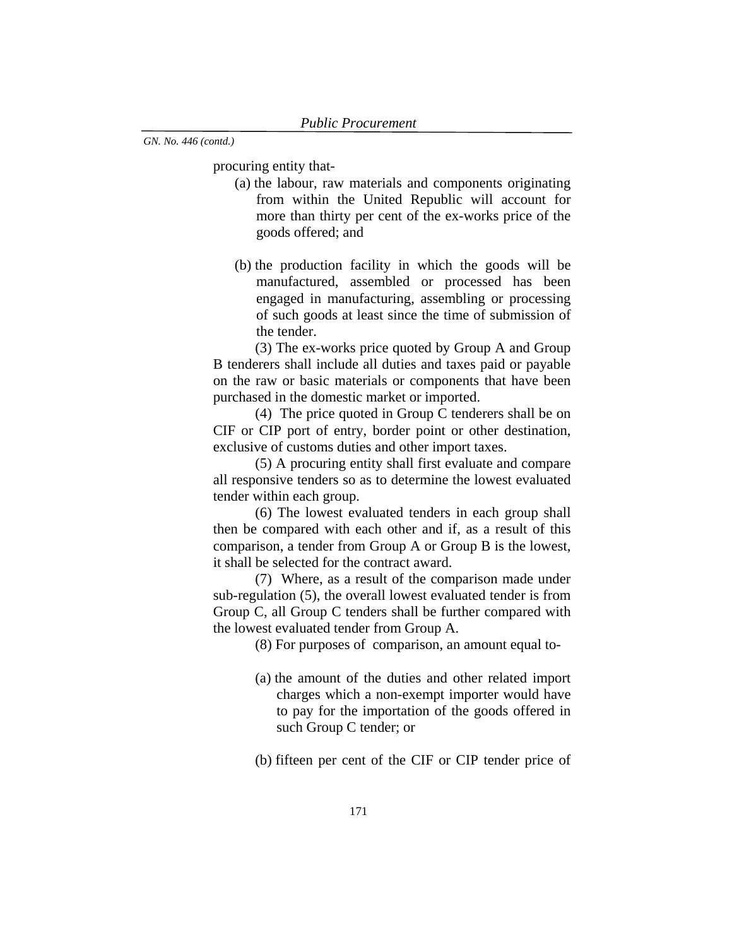procuring entity that-

- (a) the labour, raw materials and components originating from within the United Republic will account for more than thirty per cent of the ex-works price of the goods offered; and
- (b) the production facility in which the goods will be manufactured, assembled or processed has been engaged in manufacturing, assembling or processing of such goods at least since the time of submission of the tender.

 (3) The ex-works price quoted by Group A and Group B tenderers shall include all duties and taxes paid or payable on the raw or basic materials or components that have been purchased in the domestic market or imported.

 (4) The price quoted in Group C tenderers shall be on CIF or CIP port of entry, border point or other destination, exclusive of customs duties and other import taxes.

 (5) A procuring entity shall first evaluate and compare all responsive tenders so as to determine the lowest evaluated tender within each group.

 (6) The lowest evaluated tenders in each group shall then be compared with each other and if, as a result of this comparison, a tender from Group A or Group B is the lowest, it shall be selected for the contract award.

 (7) Where, as a result of the comparison made under sub-regulation (5), the overall lowest evaluated tender is from Group C, all Group C tenders shall be further compared with the lowest evaluated tender from Group A.

(8) For purposes of comparison, an amount equal to-

- (a) the amount of the duties and other related import charges which a non-exempt importer would have to pay for the importation of the goods offered in such Group C tender; or
- (b) fifteen per cent of the CIF or CIP tender price of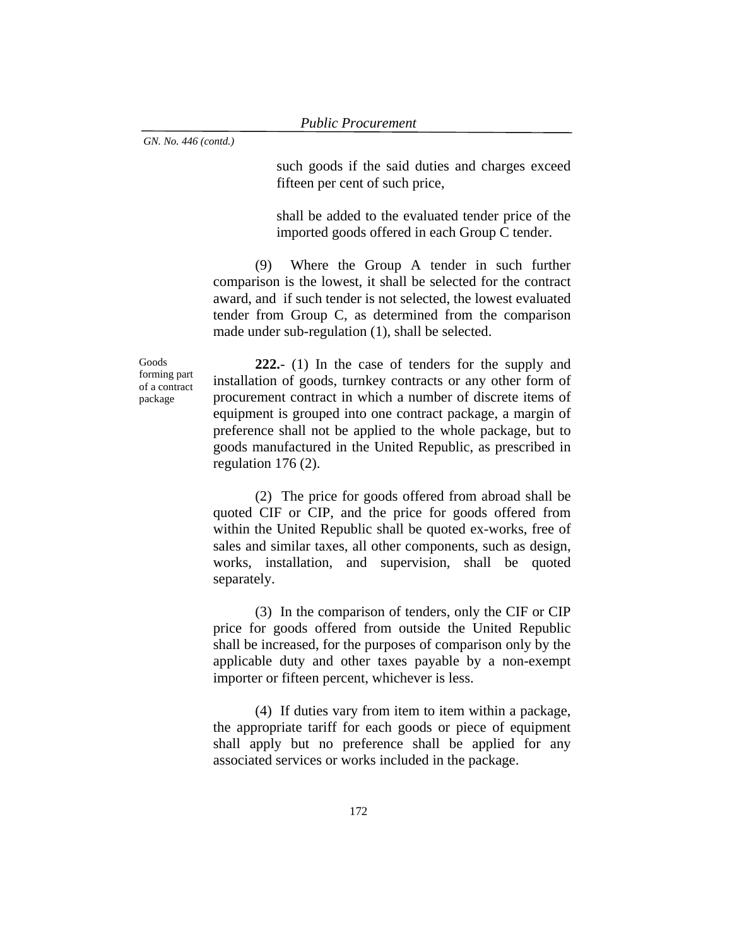such goods if the said duties and charges exceed fifteen per cent of such price,

shall be added to the evaluated tender price of the imported goods offered in each Group C tender.

 (9) Where the Group A tender in such further comparison is the lowest, it shall be selected for the contract award, and if such tender is not selected, the lowest evaluated tender from Group C, as determined from the comparison made under sub-regulation (1), shall be selected.

Goods forming part of a contract package

**222.**- (1) In the case of tenders for the supply and installation of goods, turnkey contracts or any other form of procurement contract in which a number of discrete items of equipment is grouped into one contract package, a margin of preference shall not be applied to the whole package, but to goods manufactured in the United Republic, as prescribed in regulation 176 (2).

 (2) The price for goods offered from abroad shall be quoted CIF or CIP, and the price for goods offered from within the United Republic shall be quoted ex-works, free of sales and similar taxes, all other components, such as design, works, installation, and supervision, shall be quoted separately.

 (3) In the comparison of tenders, only the CIF or CIP price for goods offered from outside the United Republic shall be increased, for the purposes of comparison only by the applicable duty and other taxes payable by a non-exempt importer or fifteen percent, whichever is less.

 (4) If duties vary from item to item within a package, the appropriate tariff for each goods or piece of equipment shall apply but no preference shall be applied for any associated services or works included in the package.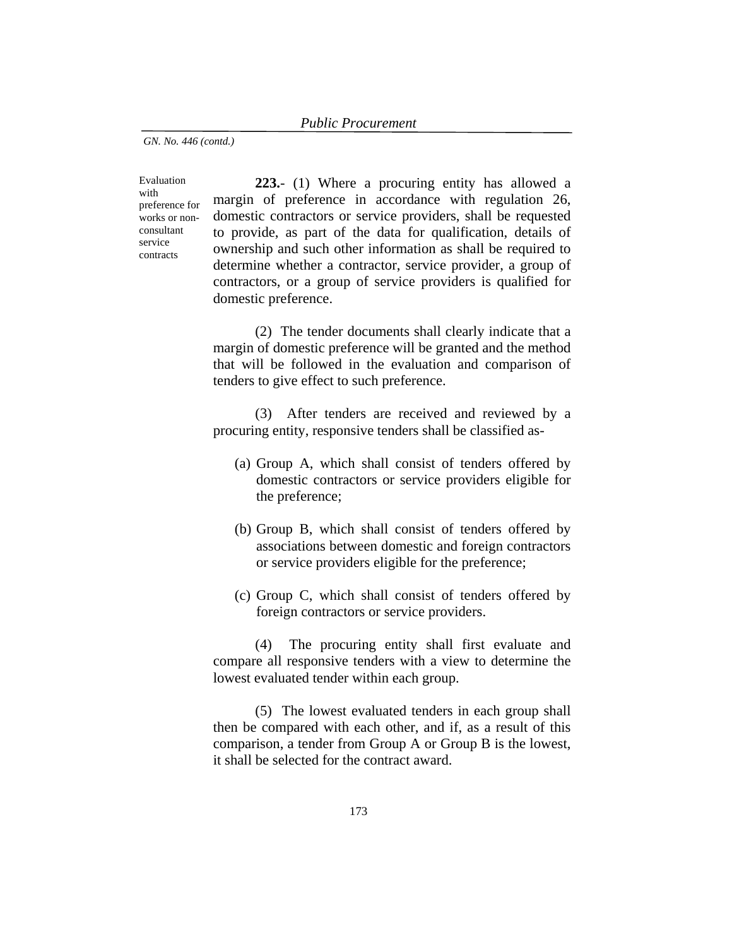Evaluation with preference for works or nonconsultant service contracts

**223.**- (1) Where a procuring entity has allowed a margin of preference in accordance with regulation 26, domestic contractors or service providers, shall be requested to provide, as part of the data for qualification, details of ownership and such other information as shall be required to determine whether a contractor, service provider, a group of contractors, or a group of service providers is qualified for domestic preference.

 (2) The tender documents shall clearly indicate that a margin of domestic preference will be granted and the method that will be followed in the evaluation and comparison of tenders to give effect to such preference.

 (3) After tenders are received and reviewed by a procuring entity, responsive tenders shall be classified as-

- (a) Group A, which shall consist of tenders offered by domestic contractors or service providers eligible for the preference;
- (b) Group B, which shall consist of tenders offered by associations between domestic and foreign contractors or service providers eligible for the preference;
- (c) Group C, which shall consist of tenders offered by foreign contractors or service providers.

 (4) The procuring entity shall first evaluate and compare all responsive tenders with a view to determine the lowest evaluated tender within each group.

 (5) The lowest evaluated tenders in each group shall then be compared with each other, and if, as a result of this comparison, a tender from Group A or Group B is the lowest, it shall be selected for the contract award.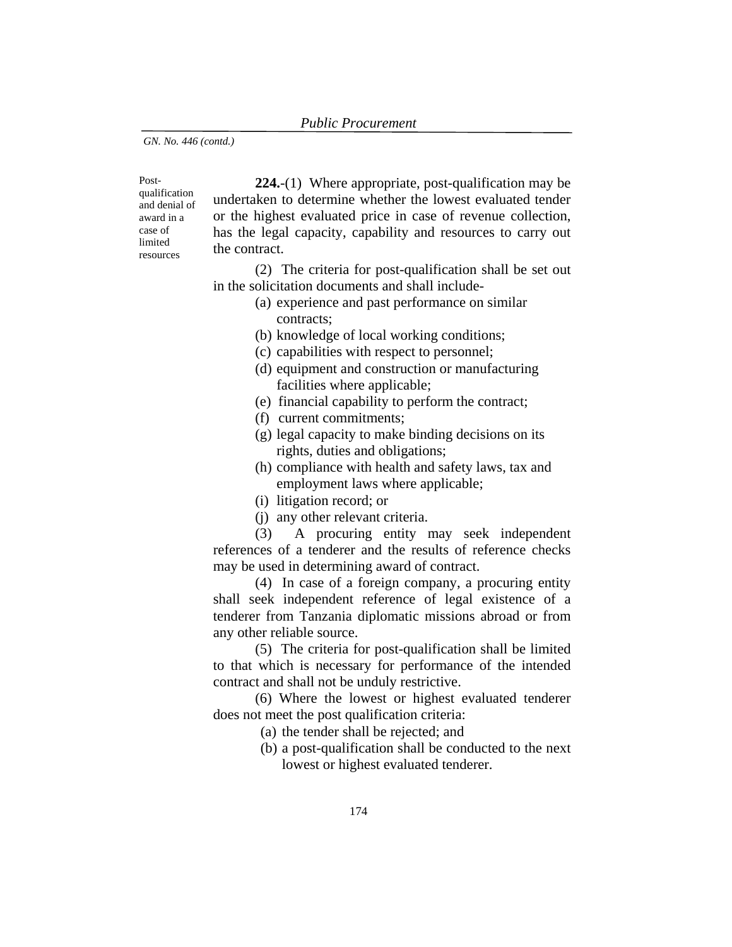Post-

qualification and denial of award in a case of limited resources

**224.**-(1) Where appropriate, post-qualification may be undertaken to determine whether the lowest evaluated tender or the highest evaluated price in case of revenue collection, has the legal capacity, capability and resources to carry out the contract.

(2) The criteria for post-qualification shall be set out in the solicitation documents and shall include-

- (a) experience and past performance on similar contracts;
- (b) knowledge of local working conditions;
- (c) capabilities with respect to personnel;
- (d) equipment and construction or manufacturing facilities where applicable;
- (e) financial capability to perform the contract;
- (f) current commitments;
- (g) legal capacity to make binding decisions on its rights, duties and obligations;
- (h) compliance with health and safety laws, tax and employment laws where applicable;
- (i) litigation record; or
- (j) any other relevant criteria.

(3) A procuring entity may seek independent references of a tenderer and the results of reference checks may be used in determining award of contract.

(4) In case of a foreign company, a procuring entity shall seek independent reference of legal existence of a tenderer from Tanzania diplomatic missions abroad or from any other reliable source.

(5) The criteria for post-qualification shall be limited to that which is necessary for performance of the intended contract and shall not be unduly restrictive.

(6) Where the lowest or highest evaluated tenderer does not meet the post qualification criteria:

- (a) the tender shall be rejected; and
- (b) a post-qualification shall be conducted to the next lowest or highest evaluated tenderer.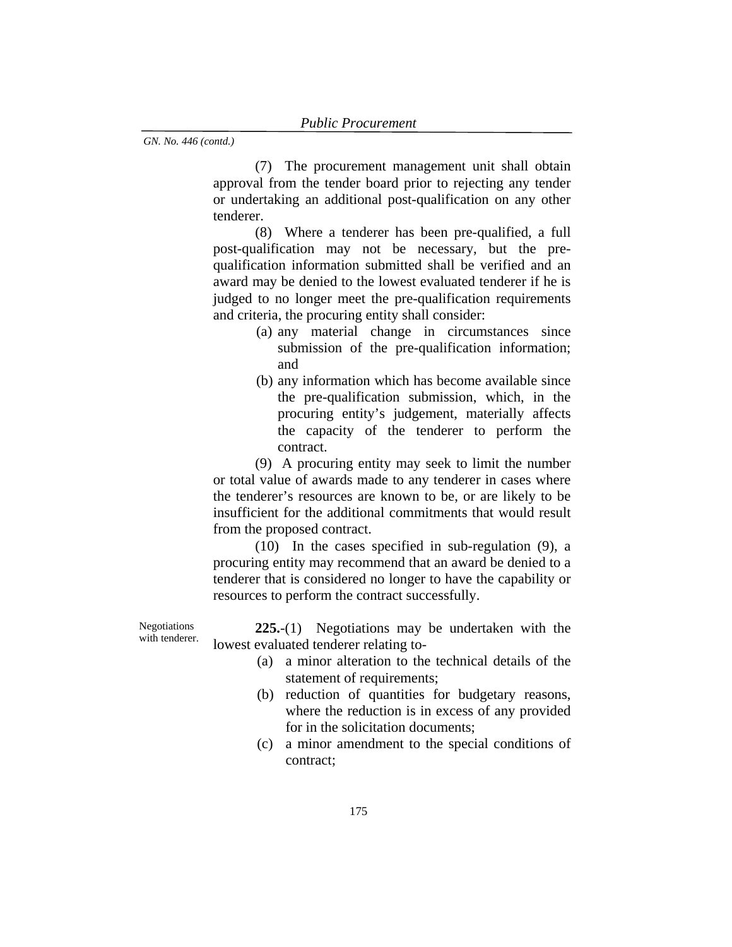(7) The procurement management unit shall obtain approval from the tender board prior to rejecting any tender or undertaking an additional post-qualification on any other tenderer.

(8) Where a tenderer has been pre-qualified, a full post-qualification may not be necessary, but the prequalification information submitted shall be verified and an award may be denied to the lowest evaluated tenderer if he is judged to no longer meet the pre-qualification requirements and criteria, the procuring entity shall consider:

- (a) any material change in circumstances since submission of the pre-qualification information; and
- (b) any information which has become available since the pre-qualification submission, which, in the procuring entity's judgement, materially affects the capacity of the tenderer to perform the contract.

(9) A procuring entity may seek to limit the number or total value of awards made to any tenderer in cases where the tenderer's resources are known to be, or are likely to be insufficient for the additional commitments that would result from the proposed contract.

(10) In the cases specified in sub-regulation (9), a procuring entity may recommend that an award be denied to a tenderer that is considered no longer to have the capability or resources to perform the contract successfully.

Negotiations with tenderer.

**225.**-(1) Negotiations may be undertaken with the lowest evaluated tenderer relating to-

- (a) a minor alteration to the technical details of the statement of requirements;
- (b) reduction of quantities for budgetary reasons, where the reduction is in excess of any provided for in the solicitation documents;
- (c) a minor amendment to the special conditions of contract;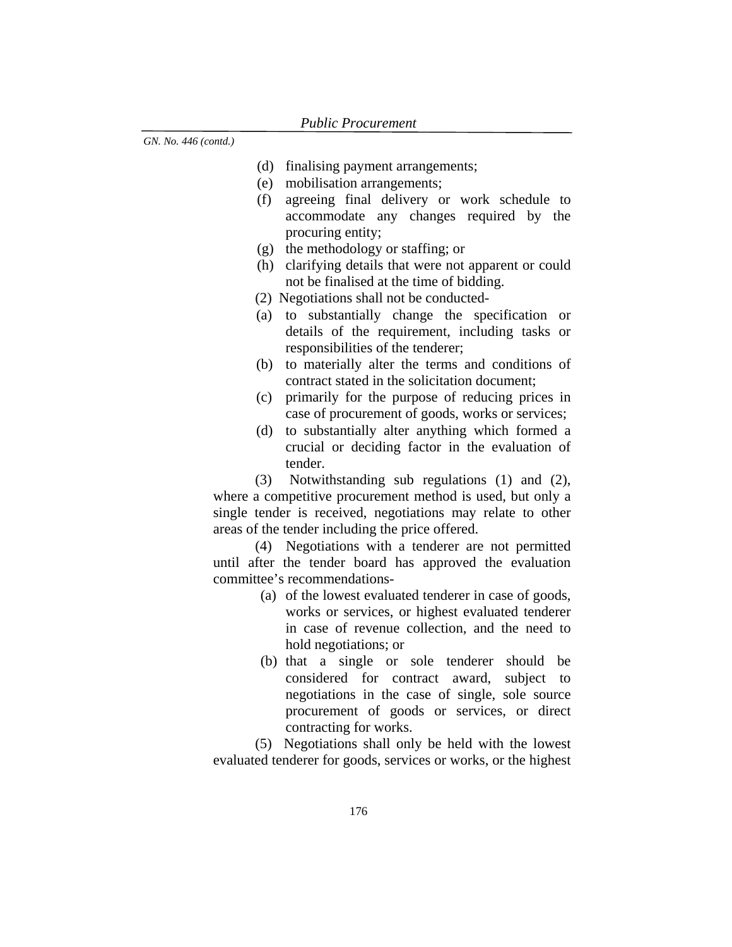- (d) finalising payment arrangements;
- (e) mobilisation arrangements;
- (f) agreeing final delivery or work schedule to accommodate any changes required by the procuring entity;
- (g) the methodology or staffing; or
- (h) clarifying details that were not apparent or could not be finalised at the time of bidding.
- (2) Negotiations shall not be conducted-
- (a) to substantially change the specification or details of the requirement, including tasks or responsibilities of the tenderer;
- (b) to materially alter the terms and conditions of contract stated in the solicitation document;
- (c) primarily for the purpose of reducing prices in case of procurement of goods, works or services;
- (d) to substantially alter anything which formed a crucial or deciding factor in the evaluation of tender.

(3) Notwithstanding sub regulations (1) and (2), where a competitive procurement method is used, but only a single tender is received, negotiations may relate to other areas of the tender including the price offered.

(4) Negotiations with a tenderer are not permitted until after the tender board has approved the evaluation committee's recommendations-

- (a) of the lowest evaluated tenderer in case of goods, works or services, or highest evaluated tenderer in case of revenue collection, and the need to hold negotiations; or
- (b) that a single or sole tenderer should be considered for contract award, subject to negotiations in the case of single, sole source procurement of goods or services, or direct contracting for works.

(5) Negotiations shall only be held with the lowest evaluated tenderer for goods, services or works, or the highest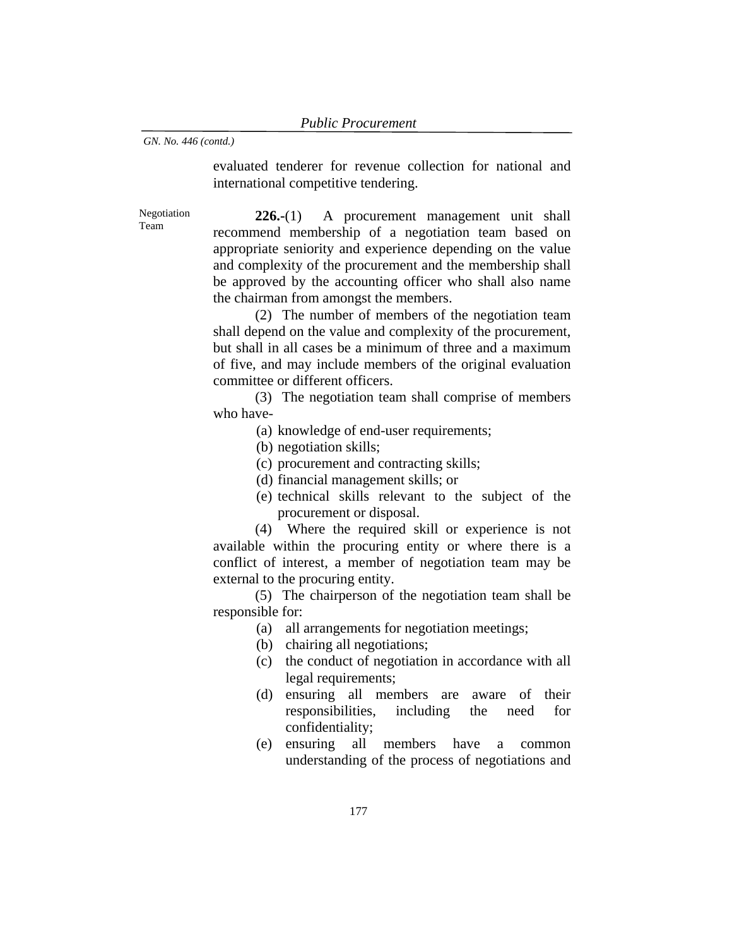Team

evaluated tenderer for revenue collection for national and international competitive tendering.

Negotiation **226.-**(1) A procurement management unit shall recommend membership of a negotiation team based on appropriate seniority and experience depending on the value and complexity of the procurement and the membership shall be approved by the accounting officer who shall also name the chairman from amongst the members.

> (2) The number of members of the negotiation team shall depend on the value and complexity of the procurement, but shall in all cases be a minimum of three and a maximum of five, and may include members of the original evaluation committee or different officers.

> (3) The negotiation team shall comprise of members who have-

(a) knowledge of end-user requirements;

(b) negotiation skills;

(c) procurement and contracting skills;

- (d) financial management skills; or
- (e) technical skills relevant to the subject of the procurement or disposal.

(4) Where the required skill or experience is not available within the procuring entity or where there is a conflict of interest, a member of negotiation team may be external to the procuring entity.

(5) The chairperson of the negotiation team shall be responsible for:

- (a) all arrangements for negotiation meetings;
- (b) chairing all negotiations;
- (c) the conduct of negotiation in accordance with all legal requirements;
- (d) ensuring all members are aware of their responsibilities, including the need for confidentiality;
- (e) ensuring all members have a common understanding of the process of negotiations and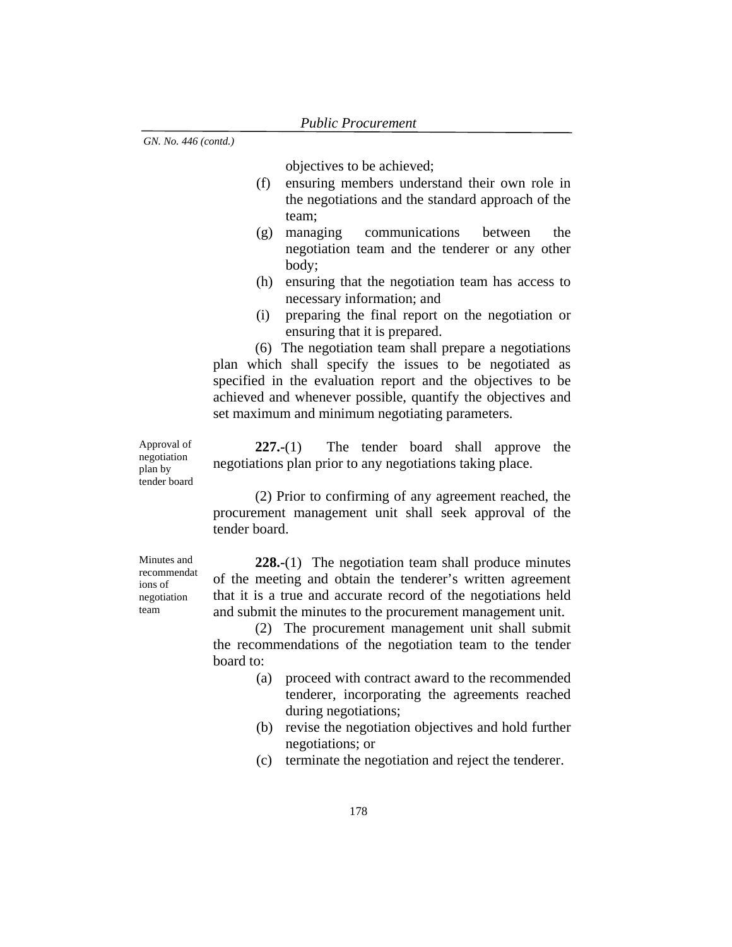objectives to be achieved;

- (f) ensuring members understand their own role in the negotiations and the standard approach of the team;
- (g) managing communications between the negotiation team and the tenderer or any other body;
- (h) ensuring that the negotiation team has access to necessary information; and
- (i) preparing the final report on the negotiation or ensuring that it is prepared.

(6) The negotiation team shall prepare a negotiations plan which shall specify the issues to be negotiated as specified in the evaluation report and the objectives to be achieved and whenever possible, quantify the objectives and set maximum and minimum negotiating parameters.

Approval of negotiation plan by tender board

**227.-**(1) The tender board shall approve the negotiations plan prior to any negotiations taking place.

(2) Prior to confirming of any agreement reached, the procurement management unit shall seek approval of the tender board.

Minutes and recommendat ions of negotiation team

**228.-**(1) The negotiation team shall produce minutes of the meeting and obtain the tenderer's written agreement that it is a true and accurate record of the negotiations held and submit the minutes to the procurement management unit.

(2) The procurement management unit shall submit the recommendations of the negotiation team to the tender board to:

- (a) proceed with contract award to the recommended tenderer, incorporating the agreements reached during negotiations;
- (b) revise the negotiation objectives and hold further negotiations; or
- (c) terminate the negotiation and reject the tenderer.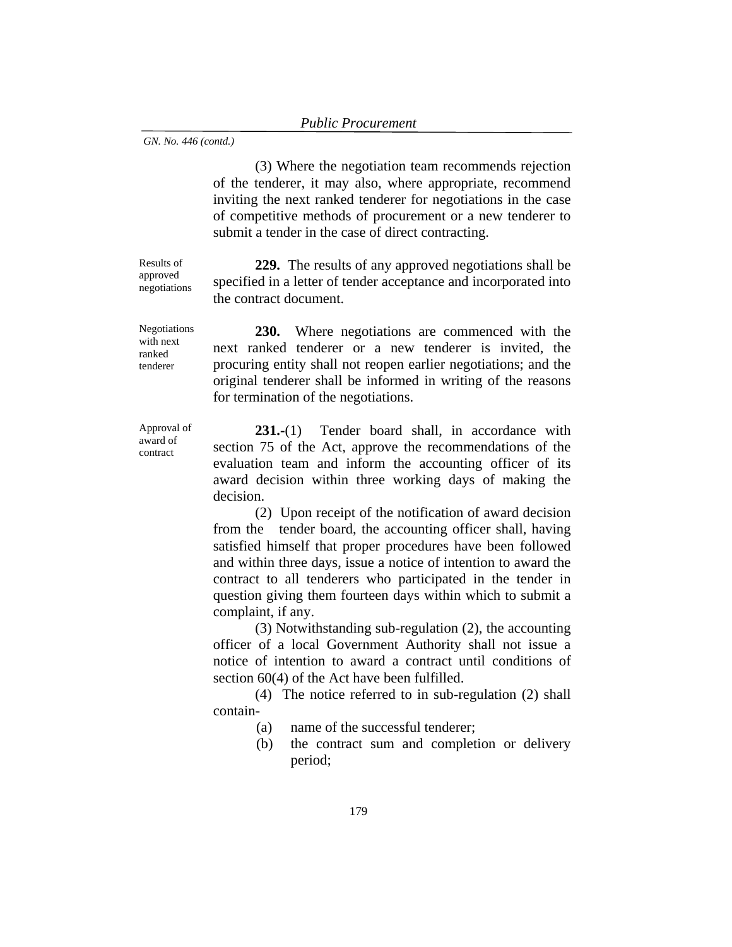(3) Where the negotiation team recommends rejection of the tenderer, it may also, where appropriate, recommend inviting the next ranked tenderer for negotiations in the case of competitive methods of procurement or a new tenderer to submit a tender in the case of direct contracting.

**229.** The results of any approved negotiations shall be specified in a letter of tender acceptance and incorporated into the contract document.

Results of approved negotiations

> **230.** Where negotiations are commenced with the next ranked tenderer or a new tenderer is invited, the procuring entity shall not reopen earlier negotiations; and the original tenderer shall be informed in writing of the reasons for termination of the negotiations.

> **231.-**(1) Tender board shall, in accordance with section 75 of the Act, approve the recommendations of the evaluation team and inform the accounting officer of its award decision within three working days of making the decision.

> (2) Upon receipt of the notification of award decision from the tender board, the accounting officer shall, having satisfied himself that proper procedures have been followed and within three days, issue a notice of intention to award the contract to all tenderers who participated in the tender in question giving them fourteen days within which to submit a complaint, if any.

> (3) Notwithstanding sub-regulation (2), the accounting officer of a local Government Authority shall not issue a notice of intention to award a contract until conditions of section 60(4) of the Act have been fulfilled.

> (4) The notice referred to in sub-regulation (2) shall contain-

- (a) name of the successful tenderer;
- (b) the contract sum and completion or delivery period;

with next ranked tenderer

Negotiations

Approval of award of contract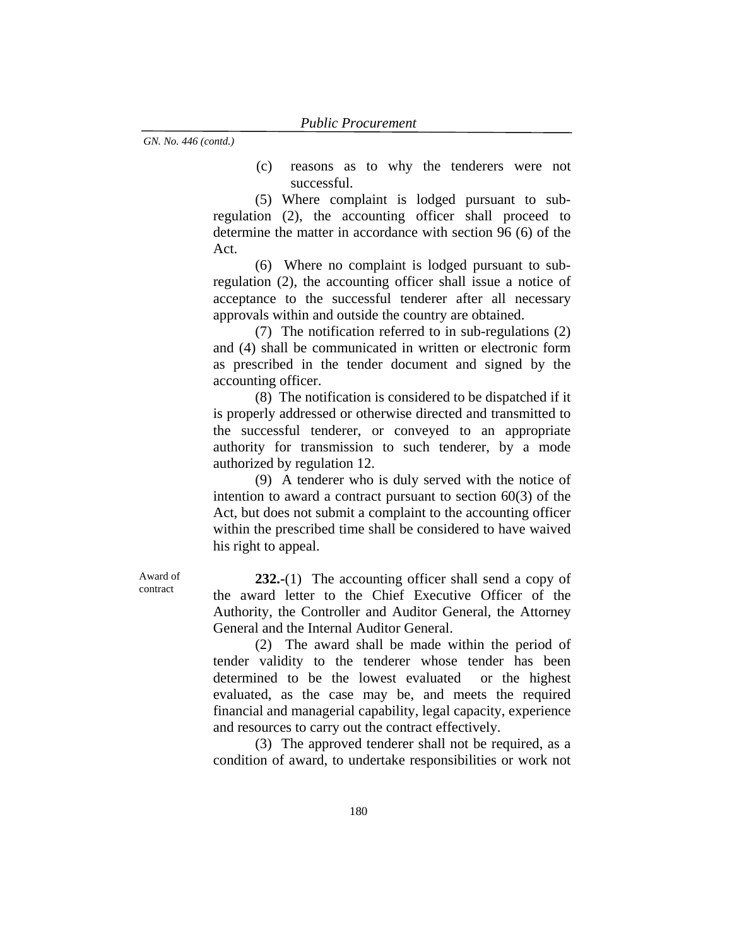(c) reasons as to why the tenderers were not successful.

(5) Where complaint is lodged pursuant to subregulation (2), the accounting officer shall proceed to determine the matter in accordance with section 96 (6) of the Act.

(6) Where no complaint is lodged pursuant to subregulation (2), the accounting officer shall issue a notice of acceptance to the successful tenderer after all necessary approvals within and outside the country are obtained.

(7) The notification referred to in sub-regulations (2) and (4) shall be communicated in written or electronic form as prescribed in the tender document and signed by the accounting officer.

(8) The notification is considered to be dispatched if it is properly addressed or otherwise directed and transmitted to the successful tenderer, or conveyed to an appropriate authority for transmission to such tenderer, by a mode authorized by regulation 12.

(9) A tenderer who is duly served with the notice of intention to award a contract pursuant to section 60(3) of the Act, but does not submit a complaint to the accounting officer within the prescribed time shall be considered to have waived his right to appeal.

**232.-**(1) The accounting officer shall send a copy of the award letter to the Chief Executive Officer of the Authority, the Controller and Auditor General, the Attorney General and the Internal Auditor General.

(2) The award shall be made within the period of tender validity to the tenderer whose tender has been determined to be the lowest evaluated or the highest evaluated, as the case may be, and meets the required financial and managerial capability, legal capacity, experience and resources to carry out the contract effectively.

(3) The approved tenderer shall not be required, as a condition of award, to undertake responsibilities or work not

Award of contract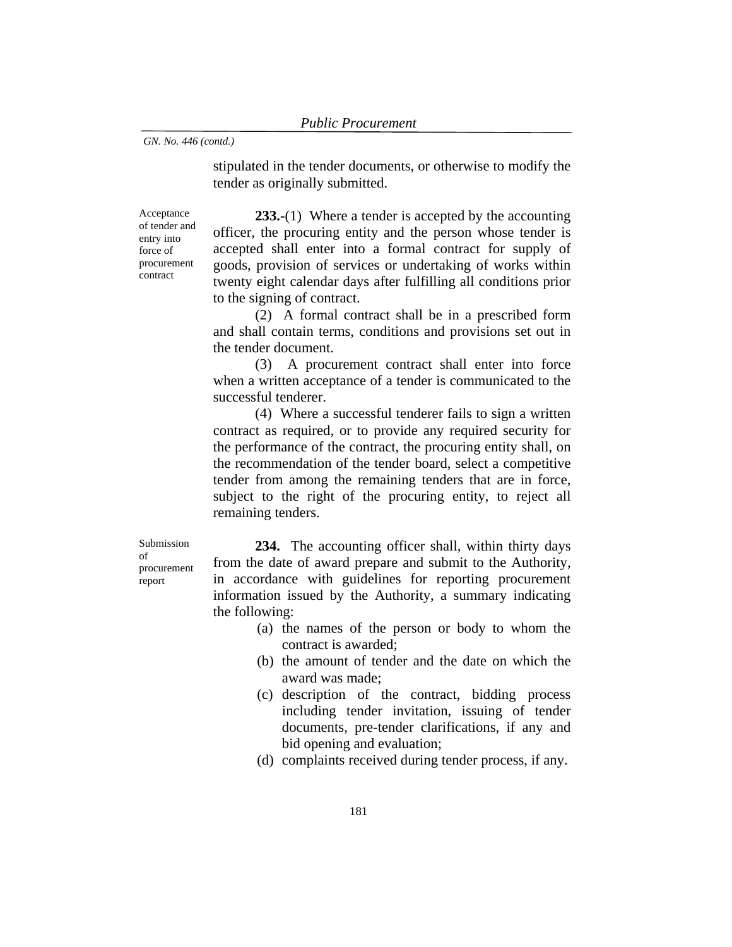stipulated in the tender documents, or otherwise to modify the tender as originally submitted.

Acceptance of tender and entry into force of procurement contract

**233.-**(1) Where a tender is accepted by the accounting officer, the procuring entity and the person whose tender is accepted shall enter into a formal contract for supply of goods, provision of services or undertaking of works within twenty eight calendar days after fulfilling all conditions prior to the signing of contract.

(2) A formal contract shall be in a prescribed form and shall contain terms, conditions and provisions set out in the tender document.

(3) A procurement contract shall enter into force when a written acceptance of a tender is communicated to the successful tenderer.

(4) Where a successful tenderer fails to sign a written contract as required, or to provide any required security for the performance of the contract, the procuring entity shall, on the recommendation of the tender board, select a competitive tender from among the remaining tenders that are in force, subject to the right of the procuring entity, to reject all remaining tenders.

Submission of procurement report

**234.** The accounting officer shall, within thirty days from the date of award prepare and submit to the Authority, in accordance with guidelines for reporting procurement information issued by the Authority, a summary indicating the following:

- (a) the names of the person or body to whom the contract is awarded;
- (b) the amount of tender and the date on which the award was made;
- (c) description of the contract, bidding process including tender invitation, issuing of tender documents, pre-tender clarifications, if any and bid opening and evaluation;
- (d) complaints received during tender process, if any.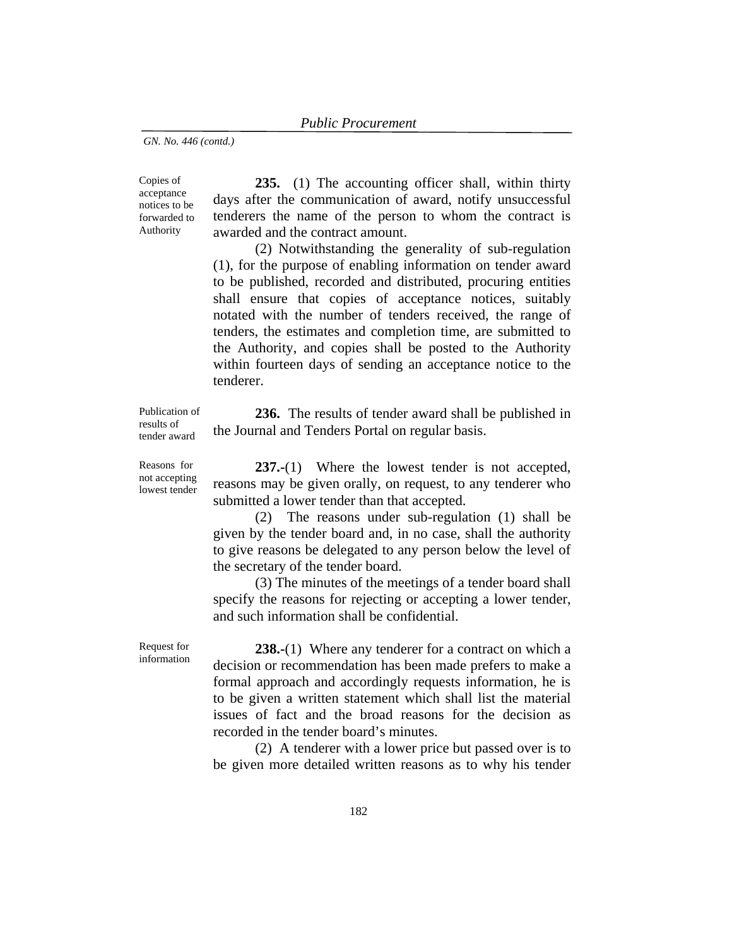Copies of acceptance notices to be forwarded to Authority

**235.** (1) The accounting officer shall, within thirty days after the communication of award, notify unsuccessful tenderers the name of the person to whom the contract is awarded and the contract amount.

(2) Notwithstanding the generality of sub-regulation (1), for the purpose of enabling information on tender award to be published, recorded and distributed, procuring entities shall ensure that copies of acceptance notices, suitably notated with the number of tenders received, the range of tenders, the estimates and completion time, are submitted to the Authority, and copies shall be posted to the Authority within fourteen days of sending an acceptance notice to the tenderer.

Publication of results of tender award

**236.** The results of tender award shall be published in the Journal and Tenders Portal on regular basis.

Reasons for not accepting lowest tender

**237.-**(1) Where the lowest tender is not accepted, reasons may be given orally, on request, to any tenderer who submitted a lower tender than that accepted.

(2) The reasons under sub-regulation (1) shall be given by the tender board and, in no case, shall the authority to give reasons be delegated to any person below the level of the secretary of the tender board.

(3) The minutes of the meetings of a tender board shall specify the reasons for rejecting or accepting a lower tender, and such information shall be confidential.

Request for information

**238.-**(1) Where any tenderer for a contract on which a decision or recommendation has been made prefers to make a formal approach and accordingly requests information, he is to be given a written statement which shall list the material issues of fact and the broad reasons for the decision as recorded in the tender board's minutes.

(2) A tenderer with a lower price but passed over is to be given more detailed written reasons as to why his tender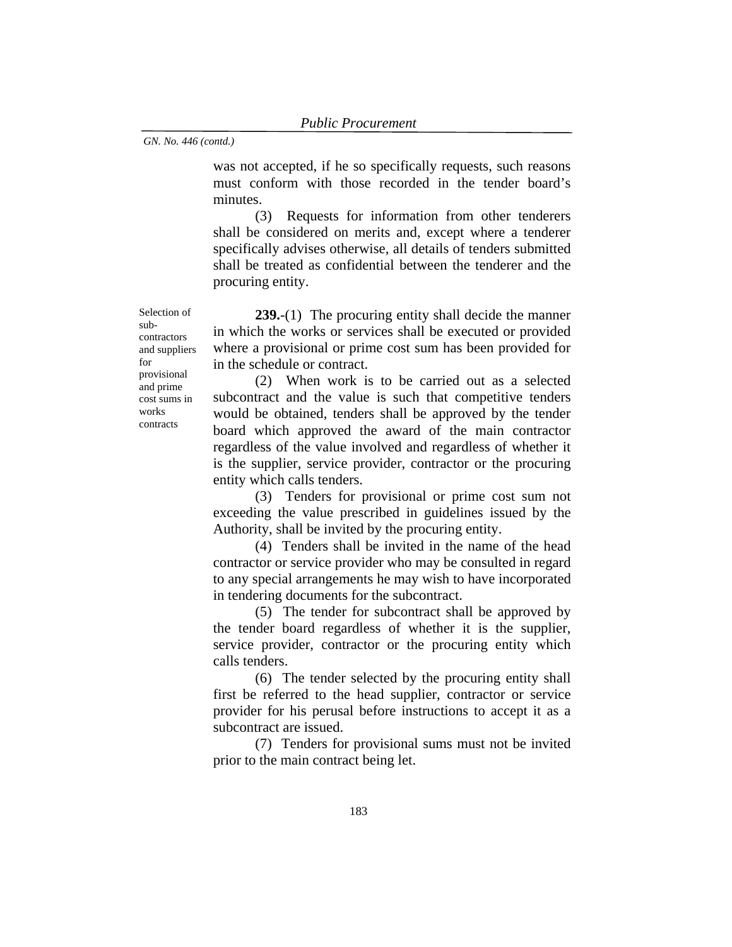was not accepted, if he so specifically requests, such reasons must conform with those recorded in the tender board's minutes.

(3) Requests for information from other tenderers shall be considered on merits and, except where a tenderer specifically advises otherwise, all details of tenders submitted shall be treated as confidential between the tenderer and the procuring entity.

**239.**-(1) The procuring entity shall decide the manner in which the works or services shall be executed or provided where a provisional or prime cost sum has been provided for in the schedule or contract.

(2) When work is to be carried out as a selected subcontract and the value is such that competitive tenders would be obtained, tenders shall be approved by the tender board which approved the award of the main contractor regardless of the value involved and regardless of whether it is the supplier, service provider, contractor or the procuring entity which calls tenders.

(3) Tenders for provisional or prime cost sum not exceeding the value prescribed in guidelines issued by the Authority, shall be invited by the procuring entity.

(4) Tenders shall be invited in the name of the head contractor or service provider who may be consulted in regard to any special arrangements he may wish to have incorporated in tendering documents for the subcontract.

(5) The tender for subcontract shall be approved by the tender board regardless of whether it is the supplier, service provider, contractor or the procuring entity which calls tenders.

(6) The tender selected by the procuring entity shall first be referred to the head supplier, contractor or service provider for his perusal before instructions to accept it as a subcontract are issued.

(7) Tenders for provisional sums must not be invited prior to the main contract being let.

Selection of subcontractors and suppliers for provisional and prime cost sums in works contracts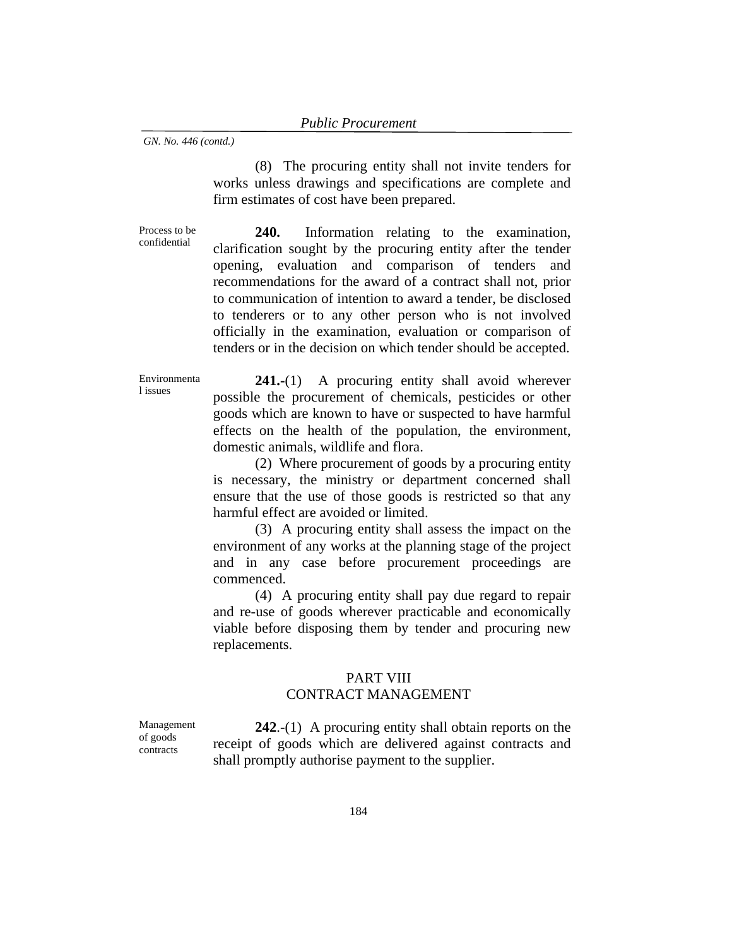(8) The procuring entity shall not invite tenders for works unless drawings and specifications are complete and firm estimates of cost have been prepared.

Process to be confidential

**240.** Information relating to the examination, clarification sought by the procuring entity after the tender opening, evaluation and comparison of tenders and recommendations for the award of a contract shall not, prior to communication of intention to award a tender, be disclosed to tenderers or to any other person who is not involved officially in the examination, evaluation or comparison of tenders or in the decision on which tender should be accepted.

Environmenta l issues

**241.-**(1) A procuring entity shall avoid wherever possible the procurement of chemicals, pesticides or other goods which are known to have or suspected to have harmful effects on the health of the population, the environment, domestic animals, wildlife and flora.

(2) Where procurement of goods by a procuring entity is necessary, the ministry or department concerned shall ensure that the use of those goods is restricted so that any harmful effect are avoided or limited.

(3) A procuring entity shall assess the impact on the environment of any works at the planning stage of the project and in any case before procurement proceedings are commenced.

(4) A procuring entity shall pay due regard to repair and re-use of goods wherever practicable and economically viable before disposing them by tender and procuring new replacements.

## PART VIII CONTRACT MANAGEMENT

Management of goods contracts

**242**.-(1) A procuring entity shall obtain reports on the receipt of goods which are delivered against contracts and shall promptly authorise payment to the supplier.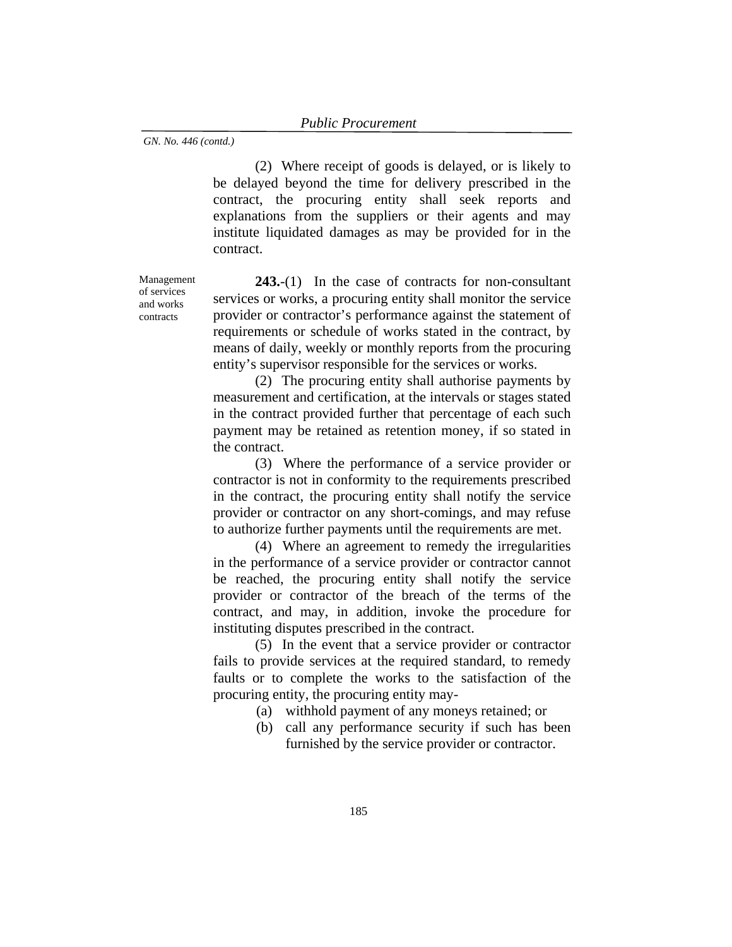(2) Where receipt of goods is delayed, or is likely to be delayed beyond the time for delivery prescribed in the contract, the procuring entity shall seek reports and explanations from the suppliers or their agents and may institute liquidated damages as may be provided for in the contract.

Management of services and works contracts

**243.**-(1) In the case of contracts for non-consultant services or works, a procuring entity shall monitor the service provider or contractor's performance against the statement of requirements or schedule of works stated in the contract, by means of daily, weekly or monthly reports from the procuring entity's supervisor responsible for the services or works.

(2) The procuring entity shall authorise payments by measurement and certification, at the intervals or stages stated in the contract provided further that percentage of each such payment may be retained as retention money, if so stated in the contract.

(3) Where the performance of a service provider or contractor is not in conformity to the requirements prescribed in the contract, the procuring entity shall notify the service provider or contractor on any short-comings, and may refuse to authorize further payments until the requirements are met.

(4) Where an agreement to remedy the irregularities in the performance of a service provider or contractor cannot be reached, the procuring entity shall notify the service provider or contractor of the breach of the terms of the contract, and may, in addition, invoke the procedure for instituting disputes prescribed in the contract.

(5) In the event that a service provider or contractor fails to provide services at the required standard, to remedy faults or to complete the works to the satisfaction of the procuring entity, the procuring entity may-

- (a) withhold payment of any moneys retained; or
- (b) call any performance security if such has been furnished by the service provider or contractor.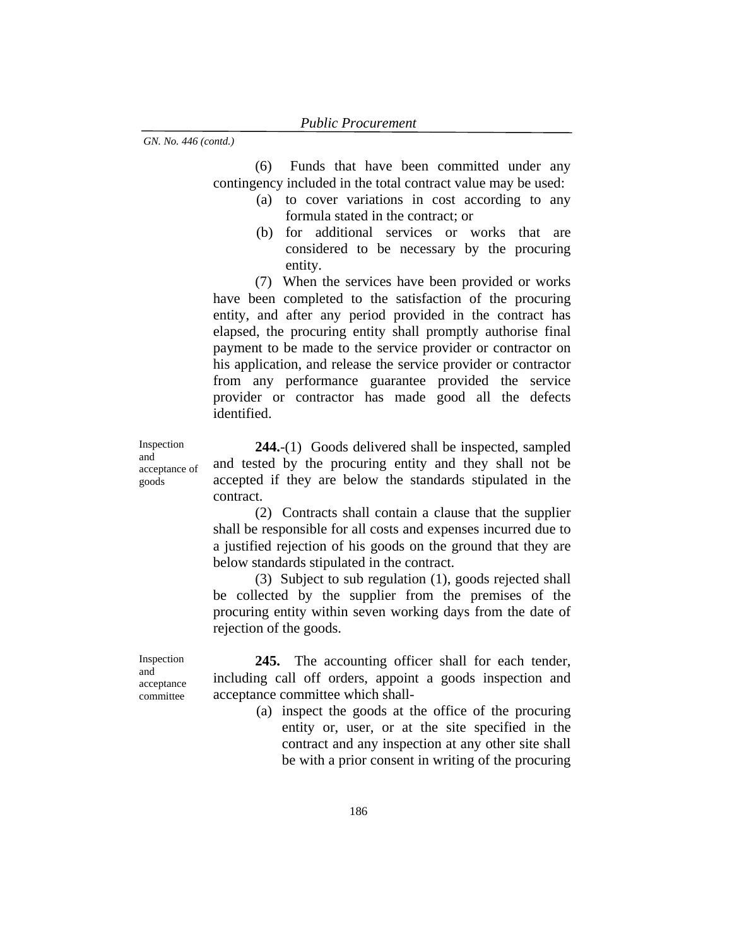(6) Funds that have been committed under any contingency included in the total contract value may be used:

- (a) to cover variations in cost according to any formula stated in the contract; or
- (b) for additional services or works that are considered to be necessary by the procuring entity.

(7) When the services have been provided or works have been completed to the satisfaction of the procuring entity, and after any period provided in the contract has elapsed, the procuring entity shall promptly authorise final payment to be made to the service provider or contractor on his application, and release the service provider or contractor from any performance guarantee provided the service provider or contractor has made good all the defects identified.

Inspection and acceptance of goods

**244.**-(1) Goods delivered shall be inspected, sampled and tested by the procuring entity and they shall not be accepted if they are below the standards stipulated in the contract.

(2) Contracts shall contain a clause that the supplier shall be responsible for all costs and expenses incurred due to a justified rejection of his goods on the ground that they are below standards stipulated in the contract.

(3) Subject to sub regulation (1), goods rejected shall be collected by the supplier from the premises of the procuring entity within seven working days from the date of rejection of the goods.

Inspection and acceptance committee

**245.** The accounting officer shall for each tender, including call off orders, appoint a goods inspection and acceptance committee which shall-

> (a) inspect the goods at the office of the procuring entity or, user, or at the site specified in the contract and any inspection at any other site shall be with a prior consent in writing of the procuring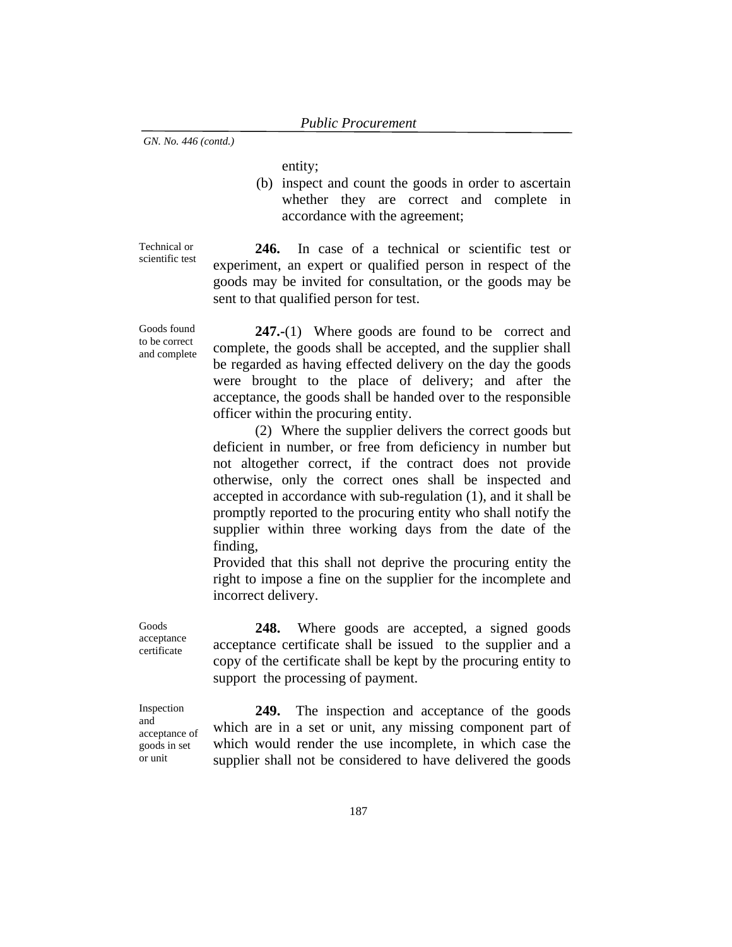entity;

(b) inspect and count the goods in order to ascertain whether they are correct and complete in accordance with the agreement;

Technical or scientific test

**246.** In case of a technical or scientific test or experiment, an expert or qualified person in respect of the goods may be invited for consultation, or the goods may be sent to that qualified person for test.

Goods found to be correct and complete

**247.-**(1) Where goods are found to be correct and complete, the goods shall be accepted, and the supplier shall be regarded as having effected delivery on the day the goods were brought to the place of delivery; and after the acceptance, the goods shall be handed over to the responsible officer within the procuring entity.

(2) Where the supplier delivers the correct goods but deficient in number, or free from deficiency in number but not altogether correct, if the contract does not provide otherwise, only the correct ones shall be inspected and accepted in accordance with sub-regulation (1), and it shall be promptly reported to the procuring entity who shall notify the supplier within three working days from the date of the finding,

Provided that this shall not deprive the procuring entity the right to impose a fine on the supplier for the incomplete and incorrect delivery.

**248.** Where goods are accepted, a signed goods acceptance certificate shall be issued to the supplier and a copy of the certificate shall be kept by the procuring entity to support the processing of payment.

Inspection and acceptance of goods in set or unit

Goods acceptance certificate

> **249.** The inspection and acceptance of the goods which are in a set or unit, any missing component part of which would render the use incomplete, in which case the supplier shall not be considered to have delivered the goods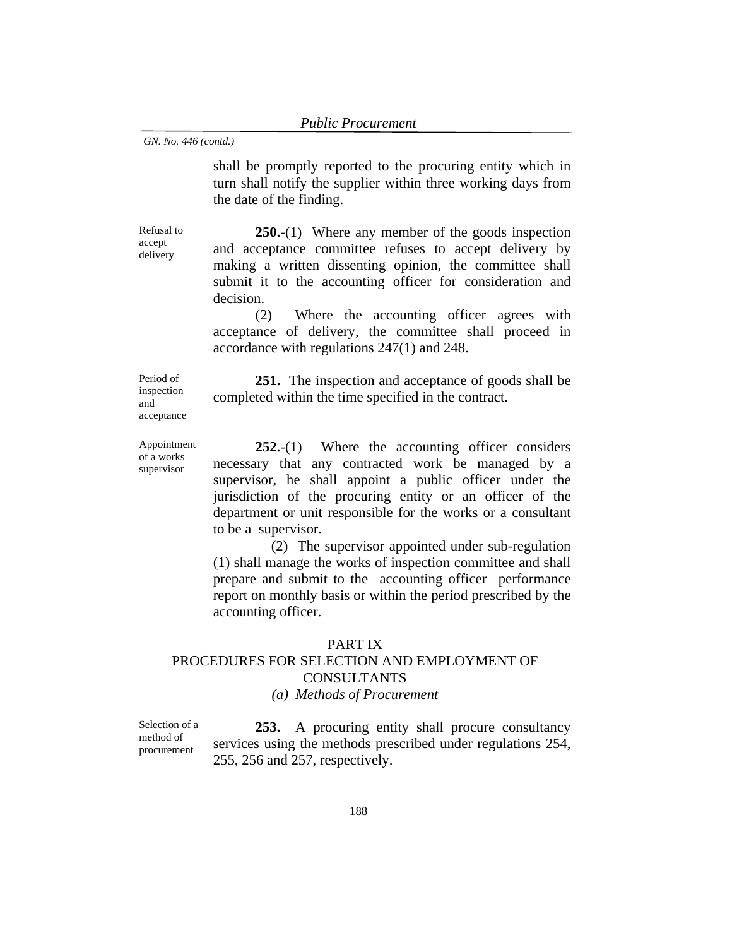shall be promptly reported to the procuring entity which in turn shall notify the supplier within three working days from the date of the finding.

Refusal to accept delivery

**250.-**(1) Where any member of the goods inspection and acceptance committee refuses to accept delivery by making a written dissenting opinion, the committee shall submit it to the accounting officer for consideration and decision.

(2) Where the accounting officer agrees with acceptance of delivery, the committee shall proceed in accordance with regulations 247(1) and 248.

Period of inspection and acceptance

Appointment of a works supervisor

**251.** The inspection and acceptance of goods shall be completed within the time specified in the contract.

**252.**-(1)Where the accounting officer considers necessary that any contracted work be managed by a supervisor, he shall appoint a public officer under the jurisdiction of the procuring entity or an officer of the department or unit responsible for the works or a consultant to be a supervisor.

(2) The supervisor appointed under sub-regulation (1) shall manage the works of inspection committee and shall prepare and submit to the accounting officer performance report on monthly basis or within the period prescribed by the accounting officer.

### PART IX

# PROCEDURES FOR SELECTION AND EMPLOYMENT OF **CONSULTANTS**

*(a) Methods of Procurement* 

Selection of a method of procurement

**253.** A procuring entity shall procure consultancy services using the methods prescribed under regulations 254, 255, 256 and 257, respectively.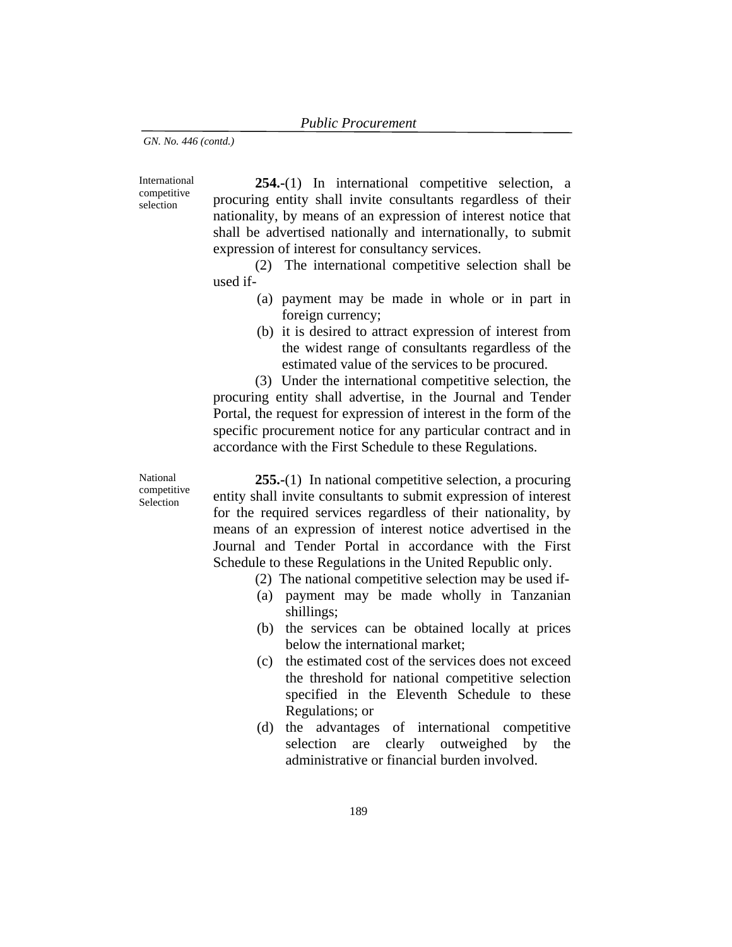International competitive selection

**254.-**(1) In international competitive selection, a procuring entity shall invite consultants regardless of their nationality, by means of an expression of interest notice that shall be advertised nationally and internationally, to submit expression of interest for consultancy services.

(2) The international competitive selection shall be used if-

- (a) payment may be made in whole or in part in foreign currency;
- (b) it is desired to attract expression of interest from the widest range of consultants regardless of the estimated value of the services to be procured.

(3) Under the international competitive selection, the procuring entity shall advertise, in the Journal and Tender Portal, the request for expression of interest in the form of the specific procurement notice for any particular contract and in accordance with the First Schedule to these Regulations.

National competitive Selection

**255.-**(1) In national competitive selection, a procuring entity shall invite consultants to submit expression of interest for the required services regardless of their nationality, by means of an expression of interest notice advertised in the Journal and Tender Portal in accordance with the First Schedule to these Regulations in the United Republic only.

- (2) The national competitive selection may be used if-
- (a) payment may be made wholly in Tanzanian shillings;
- (b) the services can be obtained locally at prices below the international market;
- (c) the estimated cost of the services does not exceed the threshold for national competitive selection specified in the Eleventh Schedule to these Regulations; or
- (d) the advantages of international competitive selection are clearly outweighed by the administrative or financial burden involved.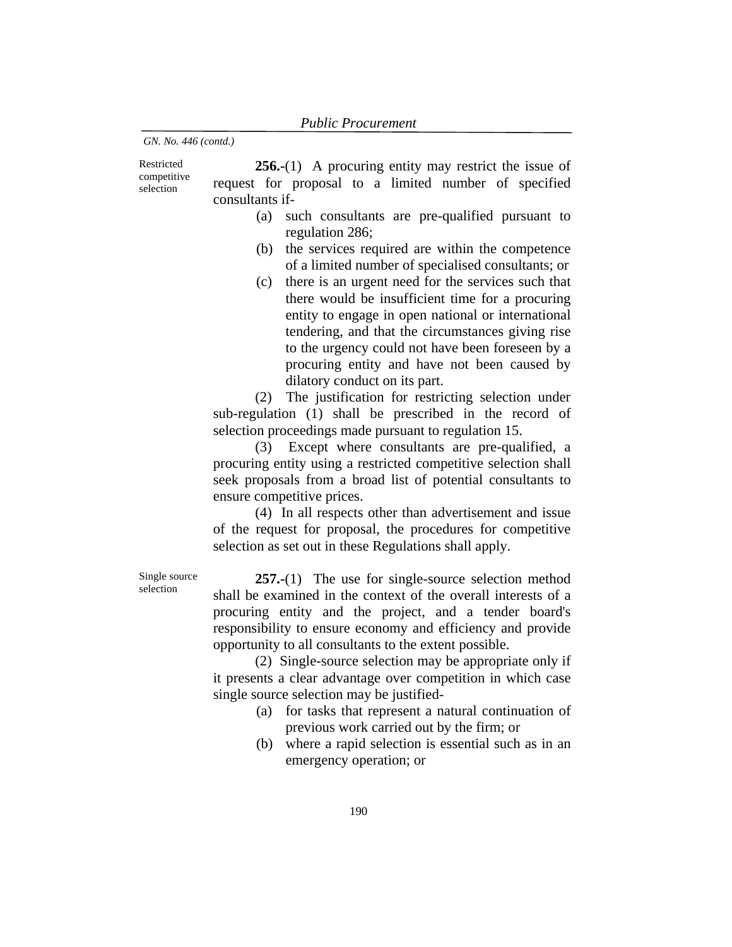Restricted competitive selection

**256.-**(1) A procuring entity may restrict the issue of request for proposal to a limited number of specified consultants if-

- (a) such consultants are pre-qualified pursuant to regulation 286;
- (b) the services required are within the competence of a limited number of specialised consultants; or
- (c) there is an urgent need for the services such that there would be insufficient time for a procuring entity to engage in open national or international tendering, and that the circumstances giving rise to the urgency could not have been foreseen by a procuring entity and have not been caused by dilatory conduct on its part.

(2) The justification for restricting selection under sub-regulation (1) shall be prescribed in the record of selection proceedings made pursuant to regulation 15.

(3) Except where consultants are pre-qualified, a procuring entity using a restricted competitive selection shall seek proposals from a broad list of potential consultants to ensure competitive prices.

(4) In all respects other than advertisement and issue of the request for proposal, the procedures for competitive selection as set out in these Regulations shall apply.

Single source selection

**257.-**(1) The use for single-source selection method shall be examined in the context of the overall interests of a procuring entity and the project, and a tender board's responsibility to ensure economy and efficiency and provide opportunity to all consultants to the extent possible.

(2) Single-source selection may be appropriate only if it presents a clear advantage over competition in which case single source selection may be justified-

- (a) for tasks that represent a natural continuation of previous work carried out by the firm; or
- (b) where a rapid selection is essential such as in an emergency operation; or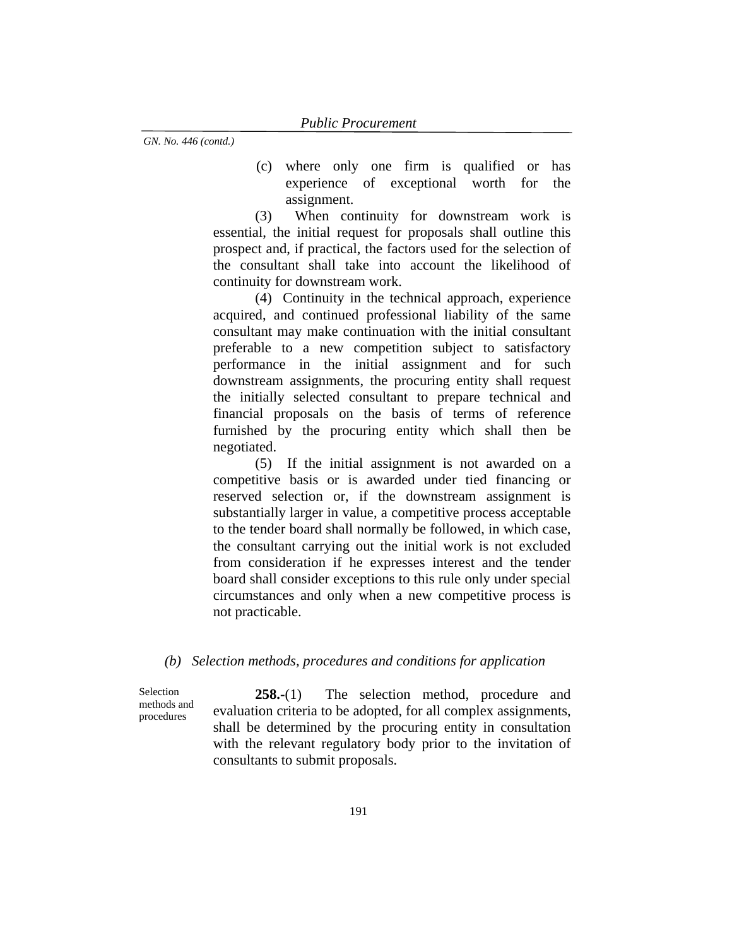(c) where only one firm is qualified or has experience of exceptional worth for the assignment.

(3) When continuity for downstream work is essential, the initial request for proposals shall outline this prospect and, if practical, the factors used for the selection of the consultant shall take into account the likelihood of continuity for downstream work.

(4) Continuity in the technical approach, experience acquired, and continued professional liability of the same consultant may make continuation with the initial consultant preferable to a new competition subject to satisfactory performance in the initial assignment and for such downstream assignments, the procuring entity shall request the initially selected consultant to prepare technical and financial proposals on the basis of terms of reference furnished by the procuring entity which shall then be negotiated.

(5) If the initial assignment is not awarded on a competitive basis or is awarded under tied financing or reserved selection or, if the downstream assignment is substantially larger in value, a competitive process acceptable to the tender board shall normally be followed, in which case, the consultant carrying out the initial work is not excluded from consideration if he expresses interest and the tender board shall consider exceptions to this rule only under special circumstances and only when a new competitive process is not practicable.

#### *(b) Selection methods, procedures and conditions for application*

Selection methods and procedures

**258.-**(1) The selection method, procedure and evaluation criteria to be adopted, for all complex assignments, shall be determined by the procuring entity in consultation with the relevant regulatory body prior to the invitation of consultants to submit proposals.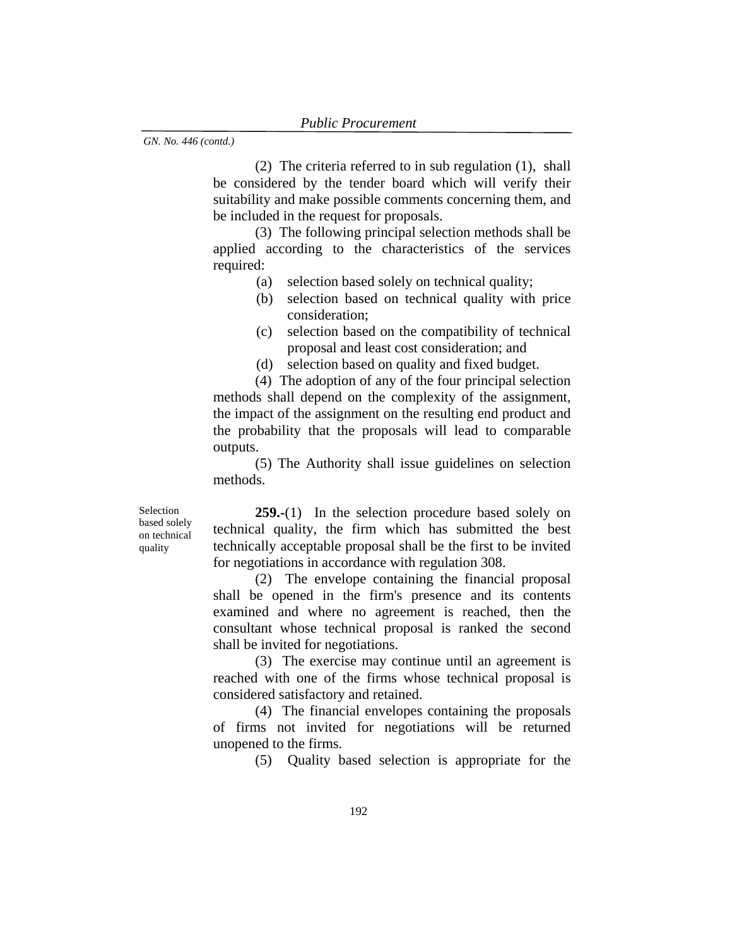(2) The criteria referred to in sub regulation (1), shall be considered by the tender board which will verify their suitability and make possible comments concerning them, and be included in the request for proposals.

(3) The following principal selection methods shall be applied according to the characteristics of the services required:

- (a) selection based solely on technical quality;
- (b) selection based on technical quality with price consideration;
- (c) selection based on the compatibility of technical proposal and least cost consideration; and
- (d) selection based on quality and fixed budget.

(4) The adoption of any of the four principal selection methods shall depend on the complexity of the assignment, the impact of the assignment on the resulting end product and the probability that the proposals will lead to comparable outputs.

(5) The Authority shall issue guidelines on selection methods.

Selection based solely on technical quality

**259.-**(1) In the selection procedure based solely on technical quality, the firm which has submitted the best technically acceptable proposal shall be the first to be invited for negotiations in accordance with regulation 308.

(2) The envelope containing the financial proposal shall be opened in the firm's presence and its contents examined and where no agreement is reached, then the consultant whose technical proposal is ranked the second shall be invited for negotiations.

(3) The exercise may continue until an agreement is reached with one of the firms whose technical proposal is considered satisfactory and retained.

(4) The financial envelopes containing the proposals of firms not invited for negotiations will be returned unopened to the firms.

(5) Quality based selection is appropriate for the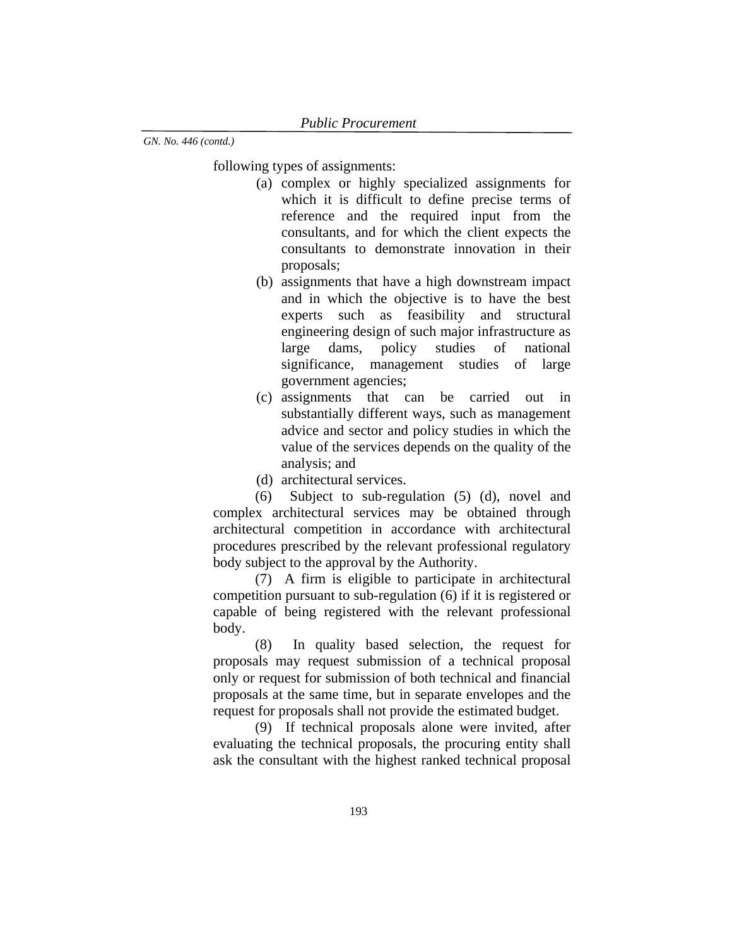following types of assignments:

- (a) complex or highly specialized assignments for which it is difficult to define precise terms of reference and the required input from the consultants, and for which the client expects the consultants to demonstrate innovation in their proposals;
- (b) assignments that have a high downstream impact and in which the objective is to have the best experts such as feasibility and structural engineering design of such major infrastructure as large dams, policy studies of national significance, management studies of large government agencies;
- (c) assignments that can be carried out in substantially different ways, such as management advice and sector and policy studies in which the value of the services depends on the quality of the analysis; and
- (d) architectural services.

(6) Subject to sub-regulation (5) (d), novel and complex architectural services may be obtained through architectural competition in accordance with architectural procedures prescribed by the relevant professional regulatory body subject to the approval by the Authority.

(7) A firm is eligible to participate in architectural competition pursuant to sub-regulation (6) if it is registered or capable of being registered with the relevant professional body.

(8) In quality based selection, the request for proposals may request submission of a technical proposal only or request for submission of both technical and financial proposals at the same time, but in separate envelopes and the request for proposals shall not provide the estimated budget.

(9) If technical proposals alone were invited, after evaluating the technical proposals, the procuring entity shall ask the consultant with the highest ranked technical proposal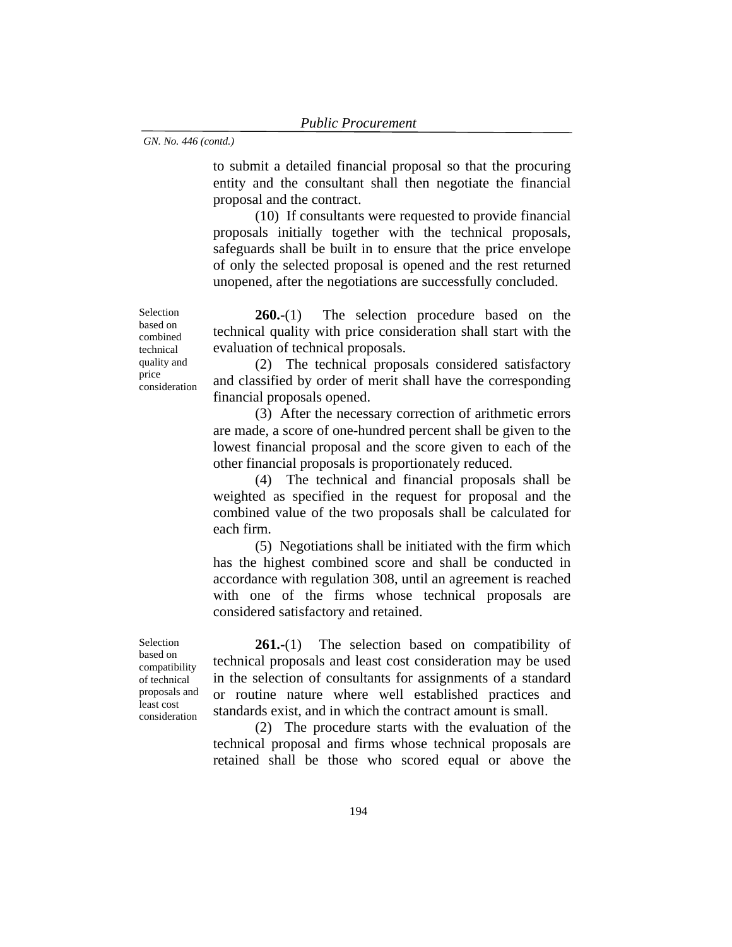to submit a detailed financial proposal so that the procuring entity and the consultant shall then negotiate the financial proposal and the contract.

(10) If consultants were requested to provide financial proposals initially together with the technical proposals, safeguards shall be built in to ensure that the price envelope of only the selected proposal is opened and the rest returned unopened, after the negotiations are successfully concluded.

**260.-**(1) The selection procedure based on the technical quality with price consideration shall start with the evaluation of technical proposals.

(2) The technical proposals considered satisfactory and classified by order of merit shall have the corresponding financial proposals opened.

(3) After the necessary correction of arithmetic errors are made, a score of one-hundred percent shall be given to the lowest financial proposal and the score given to each of the other financial proposals is proportionately reduced.

(4) The technical and financial proposals shall be weighted as specified in the request for proposal and the combined value of the two proposals shall be calculated for each firm.

(5) Negotiations shall be initiated with the firm which has the highest combined score and shall be conducted in accordance with regulation 308, until an agreement is reached with one of the firms whose technical proposals are considered satisfactory and retained.

Selection based on compatibility of technical proposals and least cost consideration

**261.-**(1) The selection based on compatibility of technical proposals and least cost consideration may be used in the selection of consultants for assignments of a standard or routine nature where well established practices and standards exist, and in which the contract amount is small.

(2) The procedure starts with the evaluation of the technical proposal and firms whose technical proposals are retained shall be those who scored equal or above the

Selection based on combined technical quality and price consideration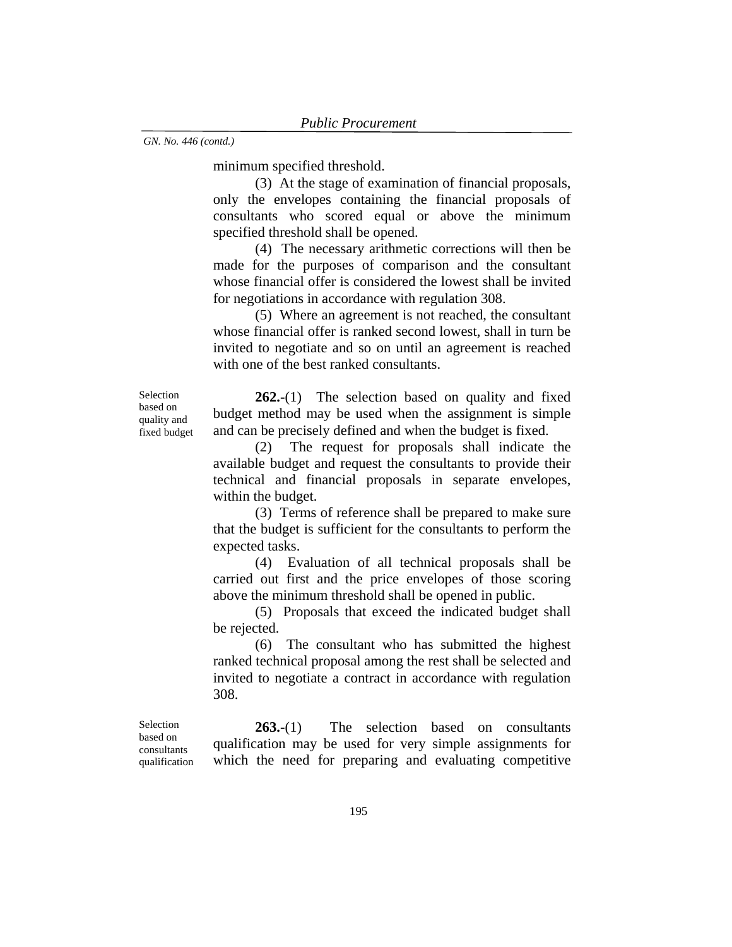minimum specified threshold.

(3) At the stage of examination of financial proposals, only the envelopes containing the financial proposals of consultants who scored equal or above the minimum specified threshold shall be opened.

(4) The necessary arithmetic corrections will then be made for the purposes of comparison and the consultant whose financial offer is considered the lowest shall be invited for negotiations in accordance with regulation 308.

(5) Where an agreement is not reached, the consultant whose financial offer is ranked second lowest, shall in turn be invited to negotiate and so on until an agreement is reached with one of the best ranked consultants.

**262.-**(1) The selection based on quality and fixed budget method may be used when the assignment is simple and can be precisely defined and when the budget is fixed.

(2) The request for proposals shall indicate the available budget and request the consultants to provide their technical and financial proposals in separate envelopes, within the budget.

(3) Terms of reference shall be prepared to make sure that the budget is sufficient for the consultants to perform the expected tasks.

(4) Evaluation of all technical proposals shall be carried out first and the price envelopes of those scoring above the minimum threshold shall be opened in public.

(5) Proposals that exceed the indicated budget shall be rejected.

(6) The consultant who has submitted the highest ranked technical proposal among the rest shall be selected and invited to negotiate a contract in accordance with regulation 308.

**263.-**(1) The selection based on consultants qualification may be used for very simple assignments for which the need for preparing and evaluating competitive

Selection based on quality and fixed budget

Selection based on consultants qualification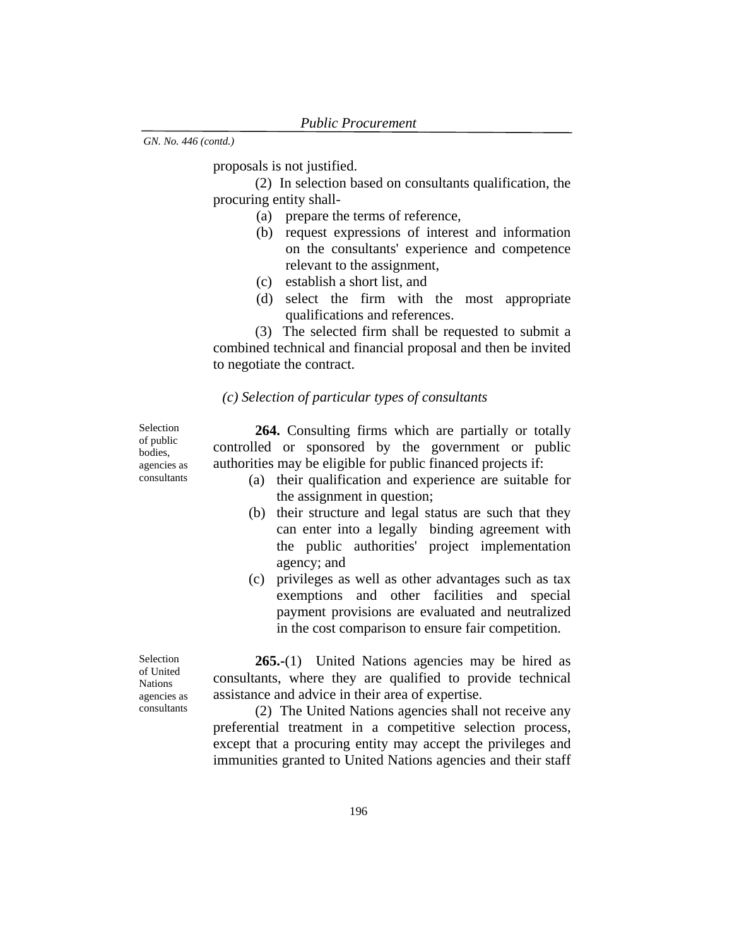proposals is not justified.

(2) In selection based on consultants qualification, the procuring entity shall-

- (a) prepare the terms of reference,
- (b) request expressions of interest and information on the consultants' experience and competence relevant to the assignment,
- (c) establish a short list, and
- (d) select the firm with the most appropriate qualifications and references.

(3) The selected firm shall be requested to submit a combined technical and financial proposal and then be invited to negotiate the contract.

#### *(c) Selection of particular types of consultants*

Selection of public bodies, agencies as consultants

**264.** Consulting firms which are partially or totally controlled or sponsored by the government or public authorities may be eligible for public financed projects if:

- (a) their qualification and experience are suitable for the assignment in question;
- (b) their structure and legal status are such that they can enter into a legally binding agreement with the public authorities' project implementation agency; and
- (c) privileges as well as other advantages such as tax exemptions and other facilities and special payment provisions are evaluated and neutralized in the cost comparison to ensure fair competition.

Selection of United **Nations** agencies as consultants

**265.**-(1) United Nations agencies may be hired as consultants, where they are qualified to provide technical assistance and advice in their area of expertise.

(2) The United Nations agencies shall not receive any preferential treatment in a competitive selection process, except that a procuring entity may accept the privileges and immunities granted to United Nations agencies and their staff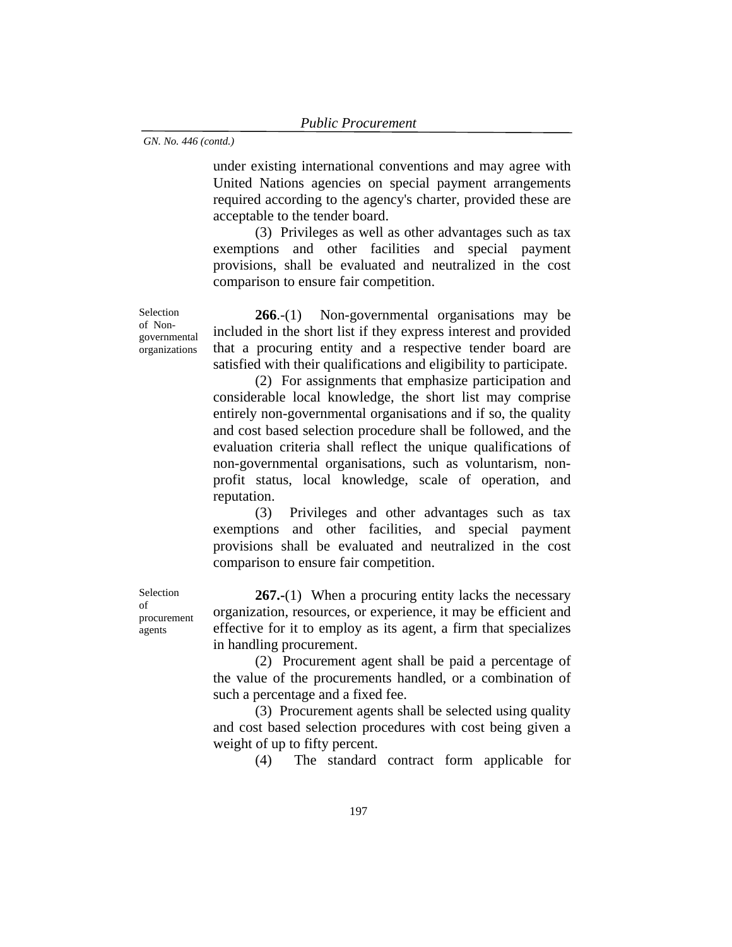under existing international conventions and may agree with United Nations agencies on special payment arrangements required according to the agency's charter, provided these are acceptable to the tender board. (3) Privileges as well as other advantages such as tax

exemptions and other facilities and special payment provisions, shall be evaluated and neutralized in the cost comparison to ensure fair competition.

Selection of Nongovernmental organizations

**266**.-(1)Non-governmental organisations may be included in the short list if they express interest and provided that a procuring entity and a respective tender board are satisfied with their qualifications and eligibility to participate.

(2) For assignments that emphasize participation and considerable local knowledge, the short list may comprise entirely non-governmental organisations and if so, the quality and cost based selection procedure shall be followed, and the evaluation criteria shall reflect the unique qualifications of non-governmental organisations, such as voluntarism, nonprofit status, local knowledge, scale of operation, and reputation.

(3) Privileges and other advantages such as tax exemptions and other facilities, and special payment provisions shall be evaluated and neutralized in the cost comparison to ensure fair competition.

**267.-**(1) When a procuring entity lacks the necessary organization, resources, or experience, it may be efficient and effective for it to employ as its agent, a firm that specializes in handling procurement.

(2) Procurement agent shall be paid a percentage of the value of the procurements handled, or a combination of such a percentage and a fixed fee.

(3) Procurement agents shall be selected using quality and cost based selection procedures with cost being given a weight of up to fifty percent.

(4) The standard contract form applicable for

Selection of procurement

agents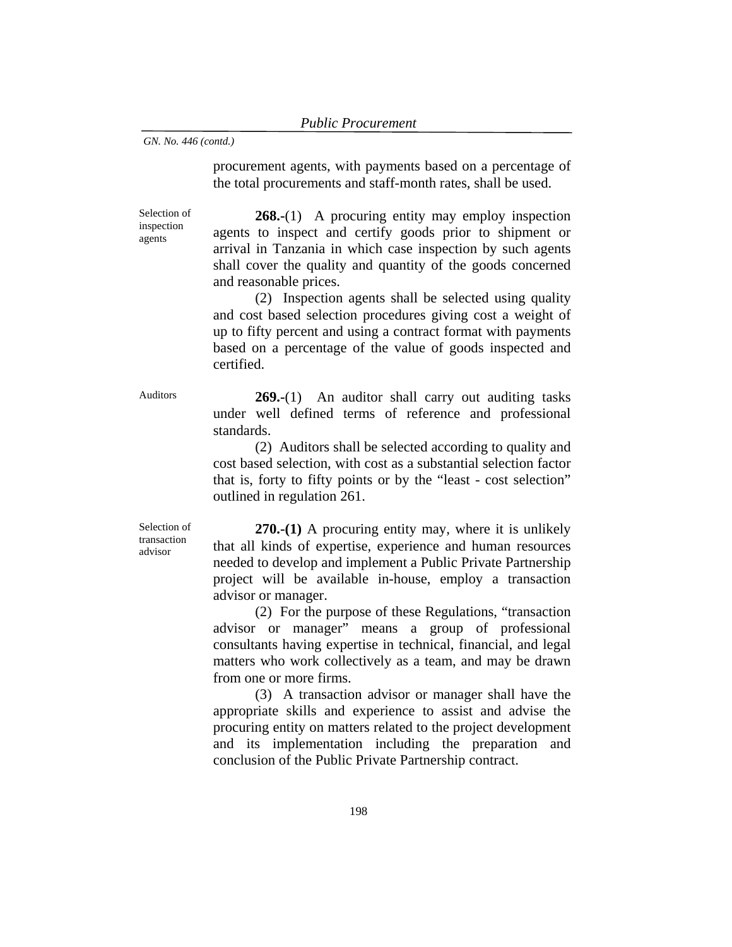procurement agents, with payments based on a percentage of the total procurements and staff-month rates, shall be used.

Selection of inspection agents

**268.-**(1) A procuring entity may employ inspection agents to inspect and certify goods prior to shipment or arrival in Tanzania in which case inspection by such agents shall cover the quality and quantity of the goods concerned and reasonable prices.

(2) Inspection agents shall be selected using quality and cost based selection procedures giving cost a weight of up to fifty percent and using a contract format with payments based on a percentage of the value of goods inspected and certified.

Auditors **269.-**(1) An auditor shall carry out auditing tasks under well defined terms of reference and professional standards.

> (2) Auditors shall be selected according to quality and cost based selection, with cost as a substantial selection factor that is, forty to fifty points or by the "least - cost selection" outlined in regulation 261.

Selection of transaction advisor

**270.-(1)** A procuring entity may, where it is unlikely that all kinds of expertise, experience and human resources needed to develop and implement a Public Private Partnership project will be available in-house, employ a transaction advisor or manager.

(2) For the purpose of these Regulations, "transaction advisor or manager" means a group of professional consultants having expertise in technical, financial, and legal matters who work collectively as a team, and may be drawn from one or more firms.

(3) A transaction advisor or manager shall have the appropriate skills and experience to assist and advise the procuring entity on matters related to the project development and its implementation including the preparation and conclusion of the Public Private Partnership contract.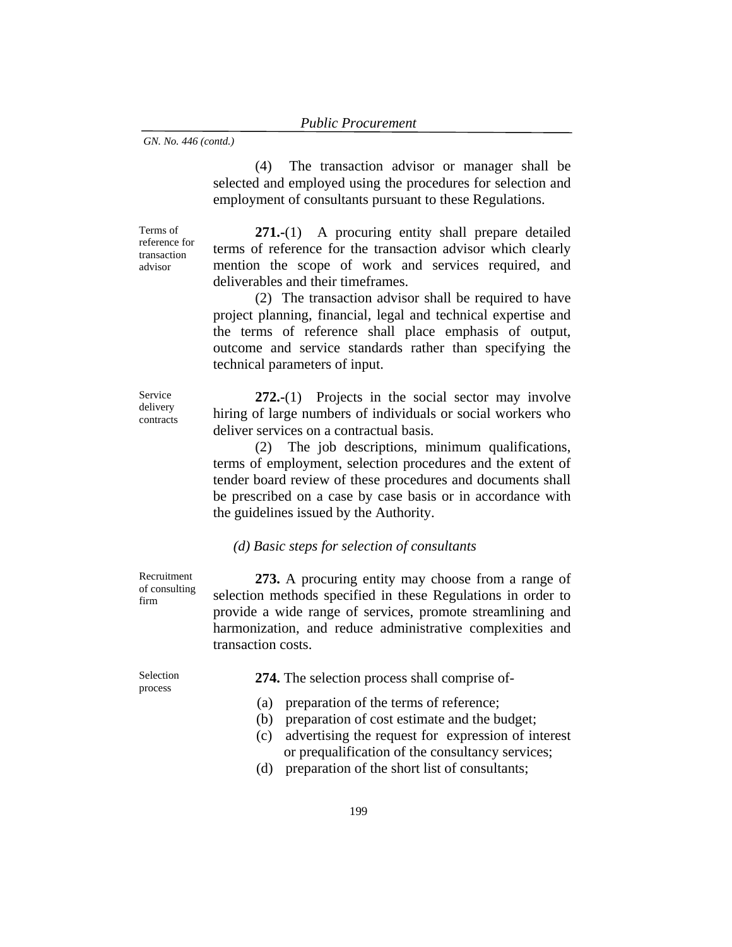(4) The transaction advisor or manager shall be selected and employed using the procedures for selection and employment of consultants pursuant to these Regulations.

Terms of reference for transaction advisor

**271.-**(1) A procuring entity shall prepare detailed terms of reference for the transaction advisor which clearly mention the scope of work and services required, and deliverables and their timeframes.

(2) The transaction advisor shall be required to have project planning, financial, legal and technical expertise and the terms of reference shall place emphasis of output, outcome and service standards rather than specifying the technical parameters of input.

Service delivery contracts

**272.-**(1) Projects in the social sector may involve hiring of large numbers of individuals or social workers who deliver services on a contractual basis.

(2) The job descriptions, minimum qualifications, terms of employment, selection procedures and the extent of tender board review of these procedures and documents shall be prescribed on a case by case basis or in accordance with the guidelines issued by the Authority.

#### *(d) Basic steps for selection of consultants*

Recruitment of consulting firm

**273.** A procuring entity may choose from a range of selection methods specified in these Regulations in order to provide a wide range of services, promote streamlining and harmonization, and reduce administrative complexities and transaction costs.

Selection process

**274.** The selection process shall comprise of-

- (a) preparation of the terms of reference;
- (b) preparation of cost estimate and the budget;
- (c) advertising the request for expression of interest or prequalification of the consultancy services;
- (d) preparation of the short list of consultants;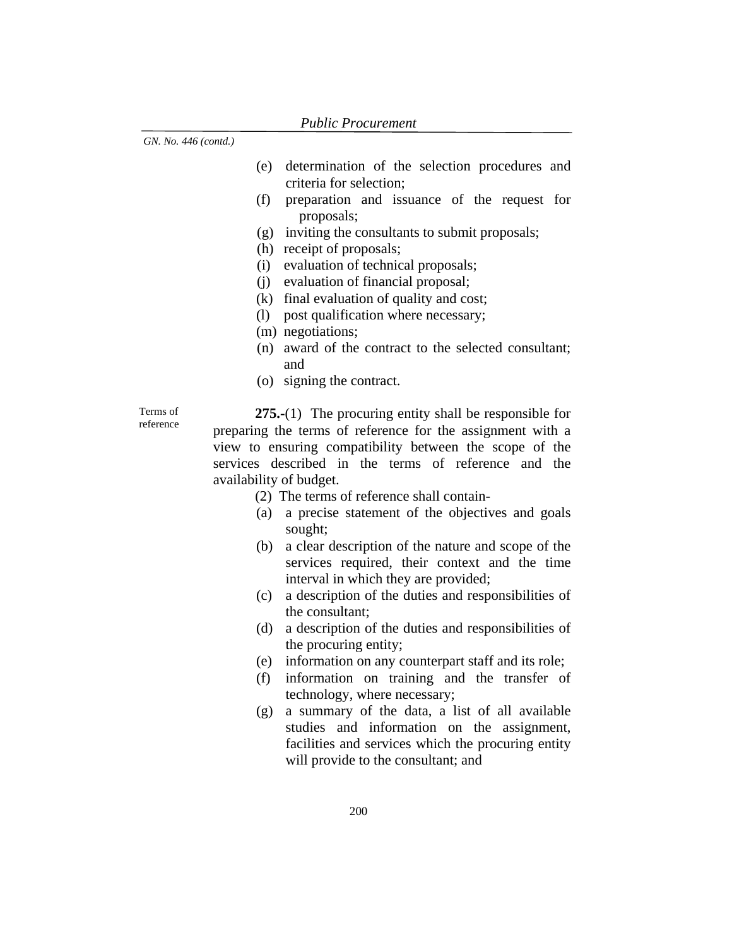- (e) determination of the selection procedures and criteria for selection;
- (f) preparation and issuance of the request for proposals;
- (g) inviting the consultants to submit proposals;
- (h) receipt of proposals;
- (i) evaluation of technical proposals;
- (j) evaluation of financial proposal;
- (k) final evaluation of quality and cost;
- (l) post qualification where necessary;
- (m) negotiations;
- (n) award of the contract to the selected consultant; and
- (o) signing the contract.

Terms of reference

**275.-**(1) The procuring entity shall be responsible for preparing the terms of reference for the assignment with a view to ensuring compatibility between the scope of the services described in the terms of reference and the availability of budget.

- (2) The terms of reference shall contain-
- (a) a precise statement of the objectives and goals sought;
- (b) a clear description of the nature and scope of the services required, their context and the time interval in which they are provided;
- (c) a description of the duties and responsibilities of the consultant;
- (d) a description of the duties and responsibilities of the procuring entity;
- (e) information on any counterpart staff and its role;
- (f) information on training and the transfer of technology, where necessary;
- (g) a summary of the data, a list of all available studies and information on the assignment, facilities and services which the procuring entity will provide to the consultant; and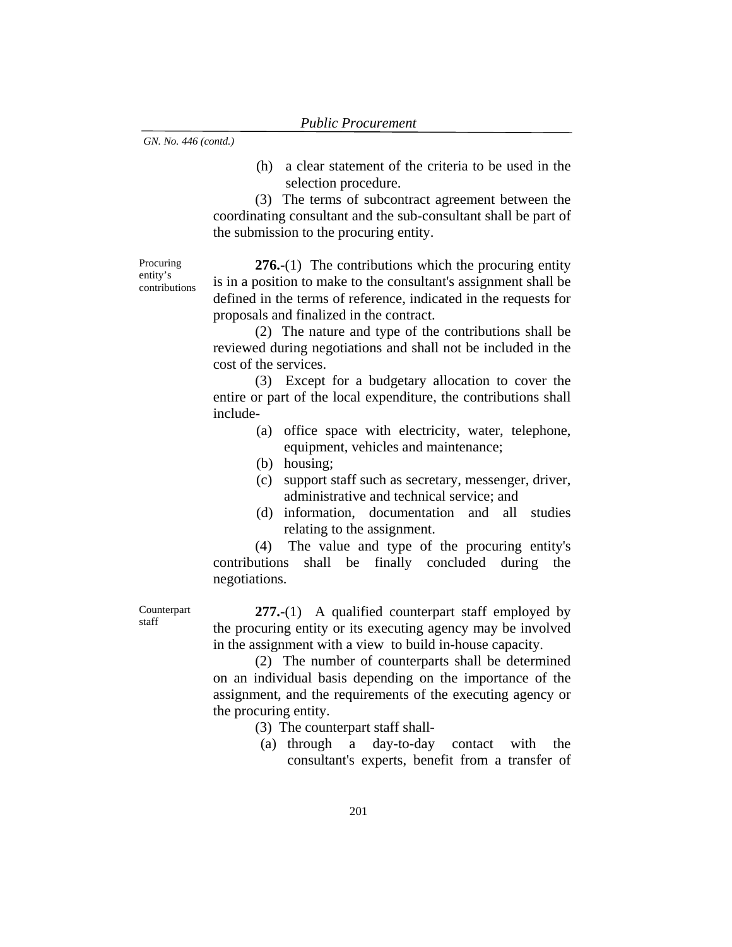(h) a clear statement of the criteria to be used in the selection procedure.

(3) The terms of subcontract agreement between the coordinating consultant and the sub-consultant shall be part of the submission to the procuring entity.

Procuring entity's contributions

**276.-**(1) The contributions which the procuring entity is in a position to make to the consultant's assignment shall be defined in the terms of reference, indicated in the requests for proposals and finalized in the contract.

(2) The nature and type of the contributions shall be reviewed during negotiations and shall not be included in the cost of the services.

(3) Except for a budgetary allocation to cover the entire or part of the local expenditure, the contributions shall include-

- (a) office space with electricity, water, telephone, equipment, vehicles and maintenance;
- (b) housing;
- (c) support staff such as secretary, messenger, driver, administrative and technical service; and
- (d) information, documentation and all studies relating to the assignment.

(4) The value and type of the procuring entity's contributions shall be finally concluded during the negotiations.

Counterpart staff

**277.**-(1) A qualified counterpart staff employed by the procuring entity or its executing agency may be involved in the assignment with a view to build in-house capacity.

(2) The number of counterparts shall be determined on an individual basis depending on the importance of the assignment, and the requirements of the executing agency or the procuring entity.

- (3) The counterpart staff shall-
- (a) through a day-to-day contact with the consultant's experts, benefit from a transfer of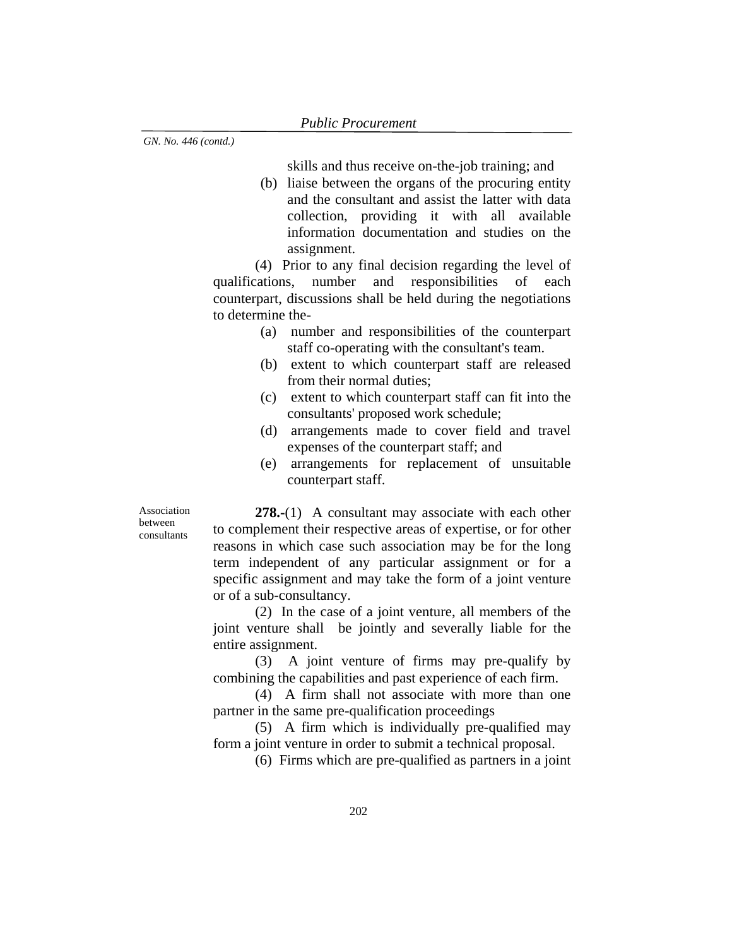skills and thus receive on-the-job training; and

(b) liaise between the organs of the procuring entity and the consultant and assist the latter with data collection, providing it with all available information documentation and studies on the assignment.

(4) Prior to any final decision regarding the level of qualifications, number and responsibilities of each counterpart, discussions shall be held during the negotiations to determine the-

- (a) number and responsibilities of the counterpart staff co-operating with the consultant's team.
- (b) extent to which counterpart staff are released from their normal duties;
- (c) extent to which counterpart staff can fit into the consultants' proposed work schedule;
- (d) arrangements made to cover field and travel expenses of the counterpart staff; and
- (e) arrangements for replacement of unsuitable counterpart staff.

Association between consultants

**278.-**(1) A consultant may associate with each other to complement their respective areas of expertise, or for other reasons in which case such association may be for the long term independent of any particular assignment or for a specific assignment and may take the form of a joint venture or of a sub-consultancy.

(2) In the case of a joint venture, all members of the joint venture shall be jointly and severally liable for the entire assignment.

(3) A joint venture of firms may pre-qualify by combining the capabilities and past experience of each firm.

(4) A firm shall not associate with more than one partner in the same pre-qualification proceedings

(5) A firm which is individually pre-qualified may form a joint venture in order to submit a technical proposal.

(6) Firms which are pre-qualified as partners in a joint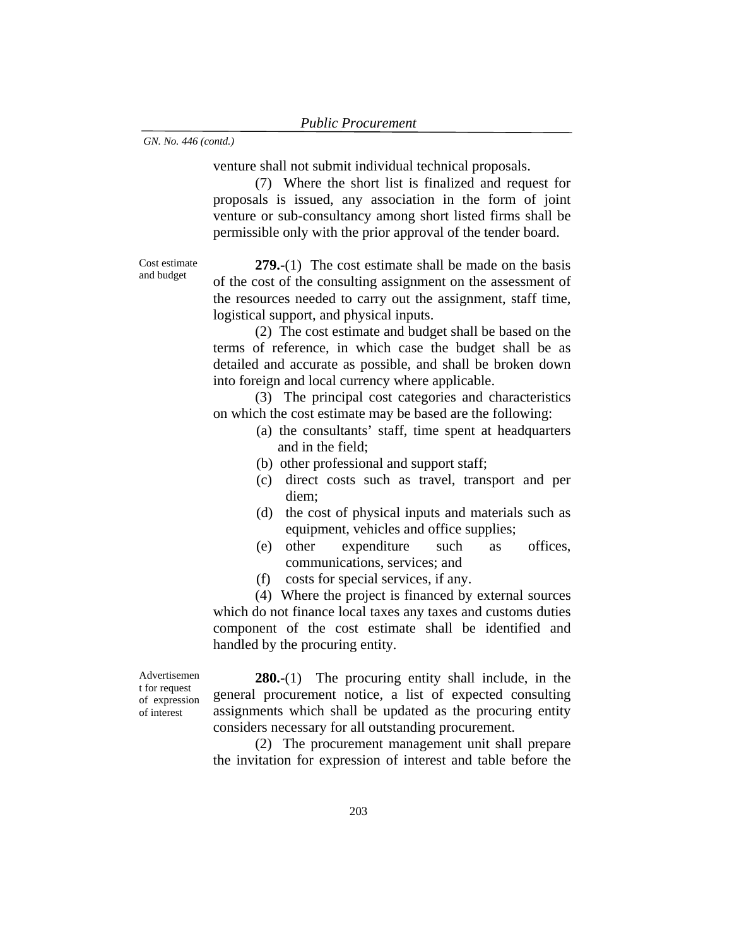venture shall not submit individual technical proposals.

(7) Where the short list is finalized and request for proposals is issued, any association in the form of joint venture or sub-consultancy among short listed firms shall be permissible only with the prior approval of the tender board.

Cost estimate and budget

**279.-**(1) The cost estimate shall be made on the basis of the cost of the consulting assignment on the assessment of the resources needed to carry out the assignment, staff time, logistical support, and physical inputs.

(2) The cost estimate and budget shall be based on the terms of reference, in which case the budget shall be as detailed and accurate as possible, and shall be broken down into foreign and local currency where applicable.

(3) The principal cost categories and characteristics on which the cost estimate may be based are the following:

- (a) the consultants' staff, time spent at headquarters and in the field;
- (b) other professional and support staff;
- (c) direct costs such as travel, transport and per diem;
- (d) the cost of physical inputs and materials such as equipment, vehicles and office supplies;
- (e) other expenditure such as offices, communications, services; and
- (f) costs for special services, if any.

(4) Where the project is financed by external sources which do not finance local taxes any taxes and customs duties component of the cost estimate shall be identified and handled by the procuring entity.

Advertisemen t for request of expression of interest

**280.-**(1) The procuring entity shall include, in the general procurement notice, a list of expected consulting assignments which shall be updated as the procuring entity considers necessary for all outstanding procurement.

(2) The procurement management unit shall prepare the invitation for expression of interest and table before the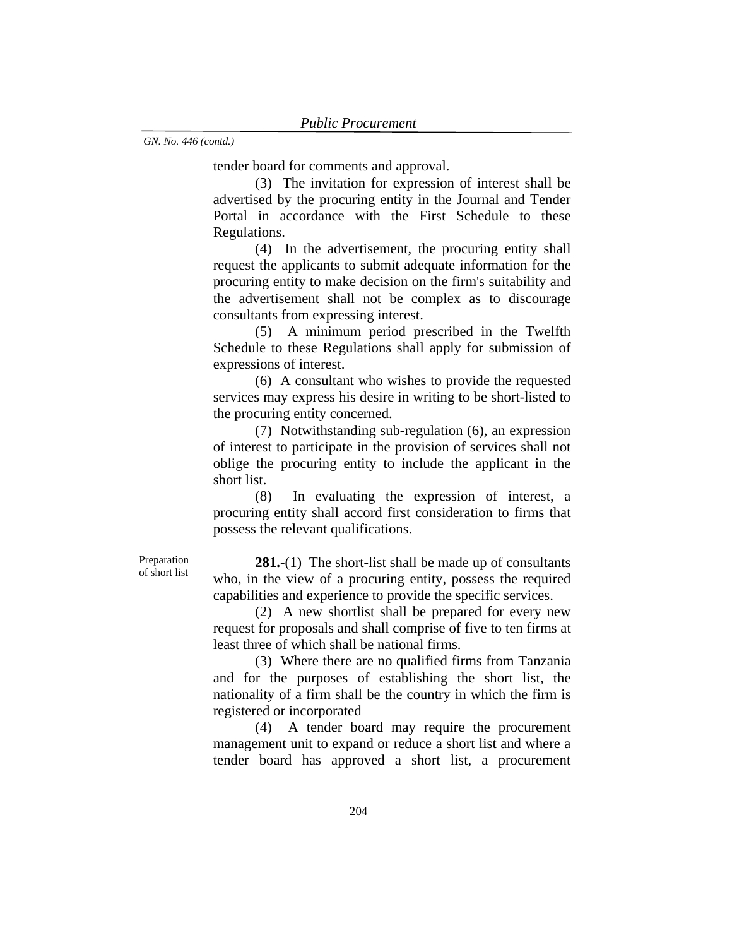tender board for comments and approval.

(3) The invitation for expression of interest shall be advertised by the procuring entity in the Journal and Tender Portal in accordance with the First Schedule to these Regulations.

(4) In the advertisement, the procuring entity shall request the applicants to submit adequate information for the procuring entity to make decision on the firm's suitability and the advertisement shall not be complex as to discourage consultants from expressing interest.

(5) A minimum period prescribed in the Twelfth Schedule to these Regulations shall apply for submission of expressions of interest.

(6) A consultant who wishes to provide the requested services may express his desire in writing to be short-listed to the procuring entity concerned.

(7) Notwithstanding sub-regulation (6), an expression of interest to participate in the provision of services shall not oblige the procuring entity to include the applicant in the short list.

(8) In evaluating the expression of interest, a procuring entity shall accord first consideration to firms that possess the relevant qualifications.

Preparation of short list

**281.-**(1) The short-list shall be made up of consultants who, in the view of a procuring entity, possess the required capabilities and experience to provide the specific services.

(2) A new shortlist shall be prepared for every new request for proposals and shall comprise of five to ten firms at least three of which shall be national firms.

(3) Where there are no qualified firms from Tanzania and for the purposes of establishing the short list, the nationality of a firm shall be the country in which the firm is registered or incorporated

(4) A tender board may require the procurement management unit to expand or reduce a short list and where a tender board has approved a short list, a procurement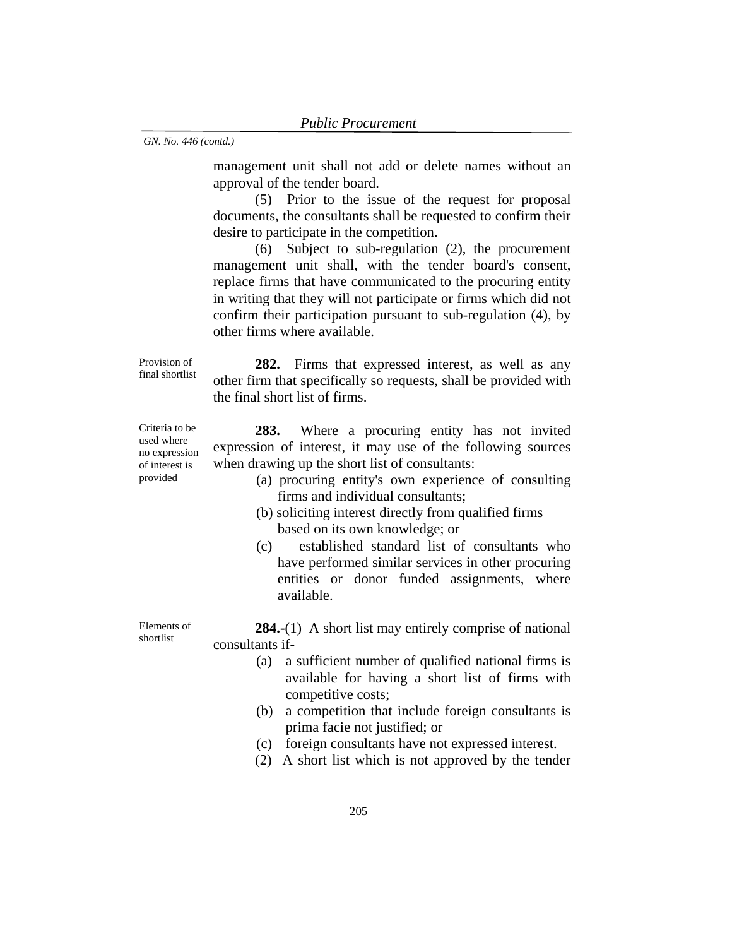management unit shall not add or delete names without an approval of the tender board.

(5) Prior to the issue of the request for proposal documents, the consultants shall be requested to confirm their desire to participate in the competition.

(6) Subject to sub-regulation (2), the procurement management unit shall, with the tender board's consent, replace firms that have communicated to the procuring entity in writing that they will not participate or firms which did not confirm their participation pursuant to sub-regulation (4), by other firms where available.

Provision of final shortlist

Criteria to be used where no expression of interest is provided

**282.** Firms that expressed interest, as well as any other firm that specifically so requests, shall be provided with the final short list of firms.

**283.** Where a procuring entity has not invited expression of interest, it may use of the following sources when drawing up the short list of consultants:

- (a) procuring entity's own experience of consulting firms and individual consultants;
- (b) soliciting interest directly from qualified firms based on its own knowledge; or
- (c) established standard list of consultants who have performed similar services in other procuring entities or donor funded assignments, where available.

**284.-**(1) A short list may entirely comprise of national consultants if-

- (a) a sufficient number of qualified national firms is available for having a short list of firms with competitive costs;
- (b) a competition that include foreign consultants is prima facie not justified; or
- (c) foreign consultants have not expressed interest.
- (2) A short list which is not approved by the tender

Elements of shortlist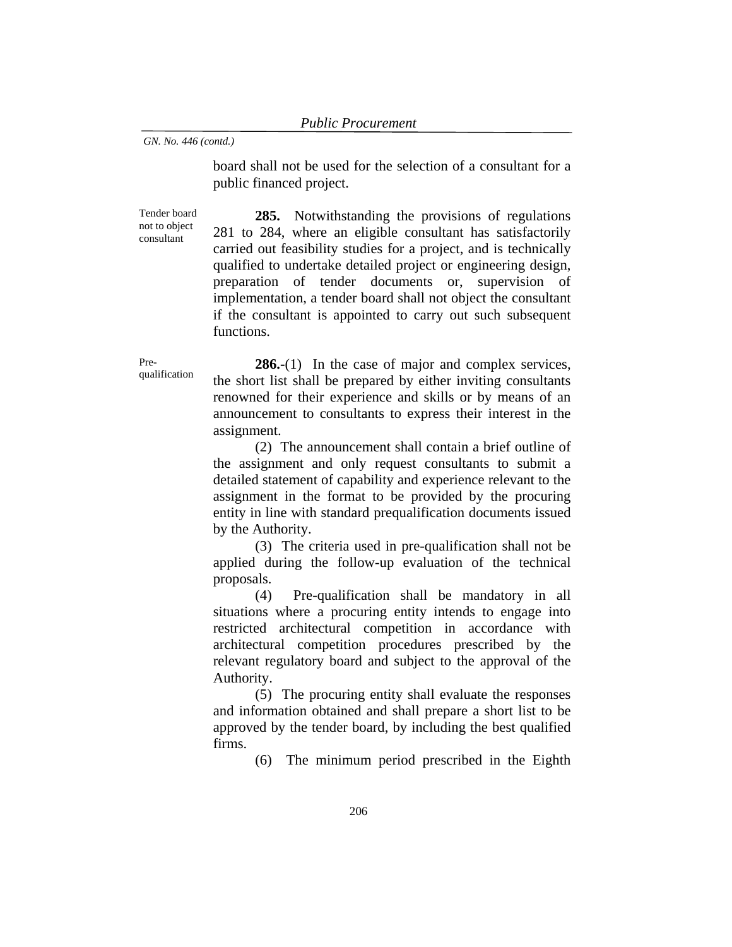board shall not be used for the selection of a consultant for a public financed project.

Tender board not to object consultant

**285.** Notwithstanding the provisions of regulations 281 to 284, where an eligible consultant has satisfactorily carried out feasibility studies for a project, and is technically qualified to undertake detailed project or engineering design, preparation of tender documents or, supervision of implementation, a tender board shall not object the consultant if the consultant is appointed to carry out such subsequent functions.

Prequalification

**286.-**(1) In the case of major and complex services, the short list shall be prepared by either inviting consultants renowned for their experience and skills or by means of an announcement to consultants to express their interest in the assignment.

(2) The announcement shall contain a brief outline of the assignment and only request consultants to submit a detailed statement of capability and experience relevant to the assignment in the format to be provided by the procuring entity in line with standard prequalification documents issued by the Authority.

(3) The criteria used in pre-qualification shall not be applied during the follow-up evaluation of the technical proposals.

(4) Pre-qualification shall be mandatory in all situations where a procuring entity intends to engage into restricted architectural competition in accordance with architectural competition procedures prescribed by the relevant regulatory board and subject to the approval of the Authority.

(5) The procuring entity shall evaluate the responses and information obtained and shall prepare a short list to be approved by the tender board, by including the best qualified firms.

(6) The minimum period prescribed in the Eighth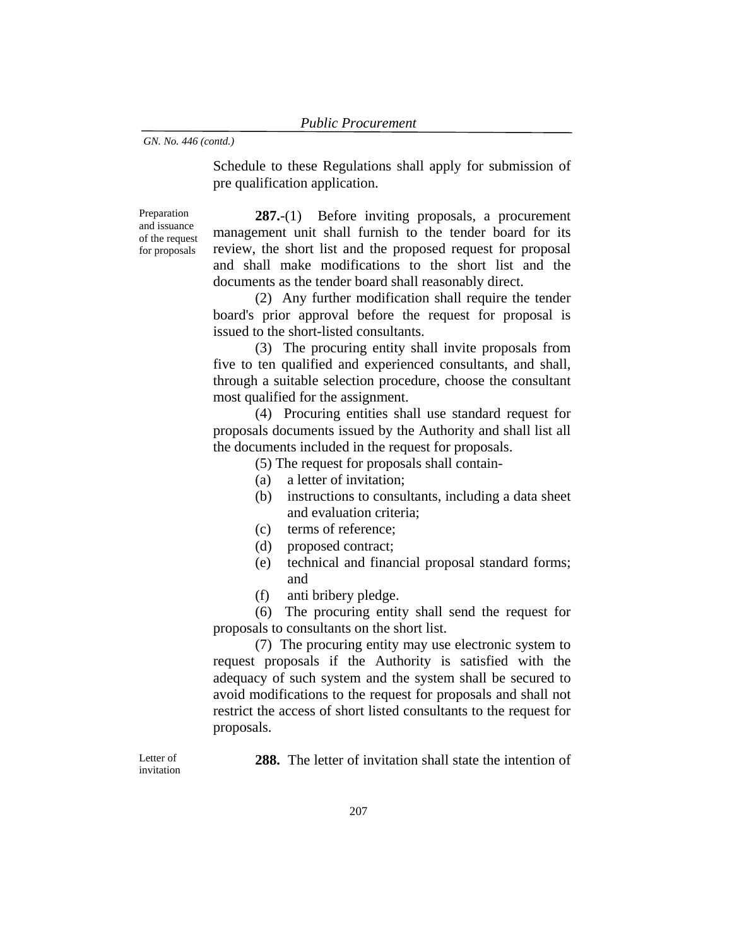Schedule to these Regulations shall apply for submission of pre qualification application.

Preparation and issuance of the request for proposals

**287.**-(1) Before inviting proposals, a procurement management unit shall furnish to the tender board for its review, the short list and the proposed request for proposal and shall make modifications to the short list and the documents as the tender board shall reasonably direct.

(2) Any further modification shall require the tender board's prior approval before the request for proposal is issued to the short-listed consultants.

(3) The procuring entity shall invite proposals from five to ten qualified and experienced consultants, and shall, through a suitable selection procedure, choose the consultant most qualified for the assignment.

(4) Procuring entities shall use standard request for proposals documents issued by the Authority and shall list all the documents included in the request for proposals.

(5) The request for proposals shall contain-

- (a) a letter of invitation;
- (b) instructions to consultants, including a data sheet and evaluation criteria;
- (c) terms of reference;
- (d) proposed contract;
- (e) technical and financial proposal standard forms; and
- (f) anti bribery pledge.

(6) The procuring entity shall send the request for proposals to consultants on the short list.

(7) The procuring entity may use electronic system to request proposals if the Authority is satisfied with the adequacy of such system and the system shall be secured to avoid modifications to the request for proposals and shall not restrict the access of short listed consultants to the request for proposals.

Letter of invitation

**288.** The letter of invitation shall state the intention of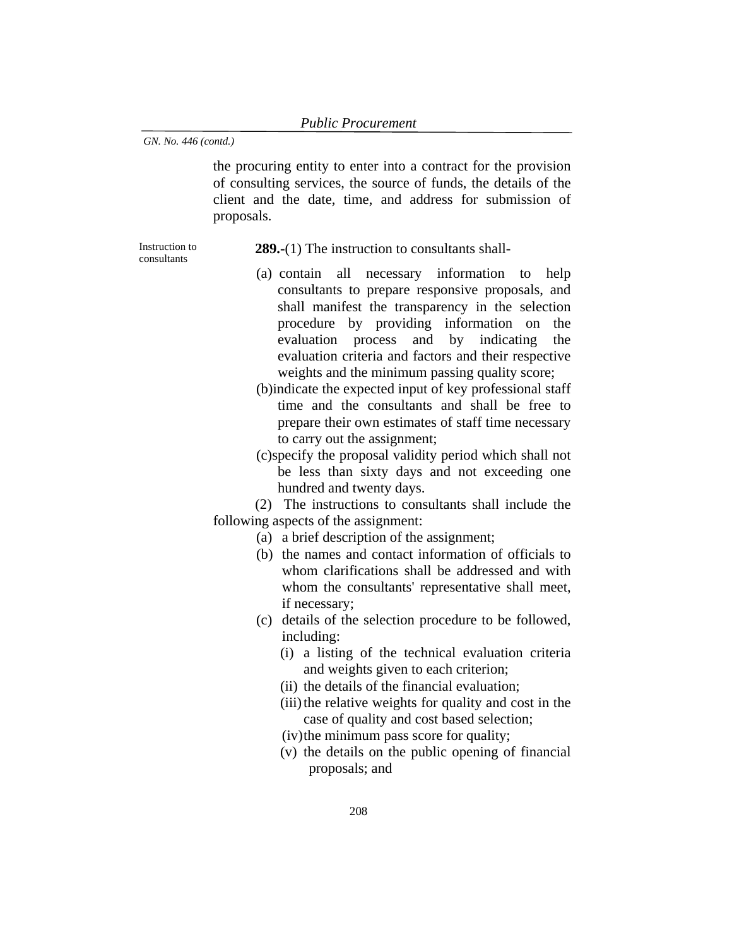the procuring entity to enter into a contract for the provision of consulting services, the source of funds, the details of the client and the date, time, and address for submission of proposals.

Instruction to consultants

**289.-**(1) The instruction to consultants shall-

- (a) contain all necessary information to help consultants to prepare responsive proposals, and shall manifest the transparency in the selection procedure by providing information on the evaluation process and by indicating the evaluation criteria and factors and their respective weights and the minimum passing quality score;
- (b)indicate the expected input of key professional staff time and the consultants and shall be free to prepare their own estimates of staff time necessary to carry out the assignment;
- (c)specify the proposal validity period which shall not be less than sixty days and not exceeding one hundred and twenty days.

 (2) The instructions to consultants shall include the following aspects of the assignment:

- (a) a brief description of the assignment;
- (b) the names and contact information of officials to whom clarifications shall be addressed and with whom the consultants' representative shall meet, if necessary;
- (c) details of the selection procedure to be followed, including:
	- (i) a listing of the technical evaluation criteria and weights given to each criterion;
	- (ii) the details of the financial evaluation;
	- (iii) the relative weights for quality and cost in the case of quality and cost based selection;
	- (iv)the minimum pass score for quality;
	- (v) the details on the public opening of financial proposals; and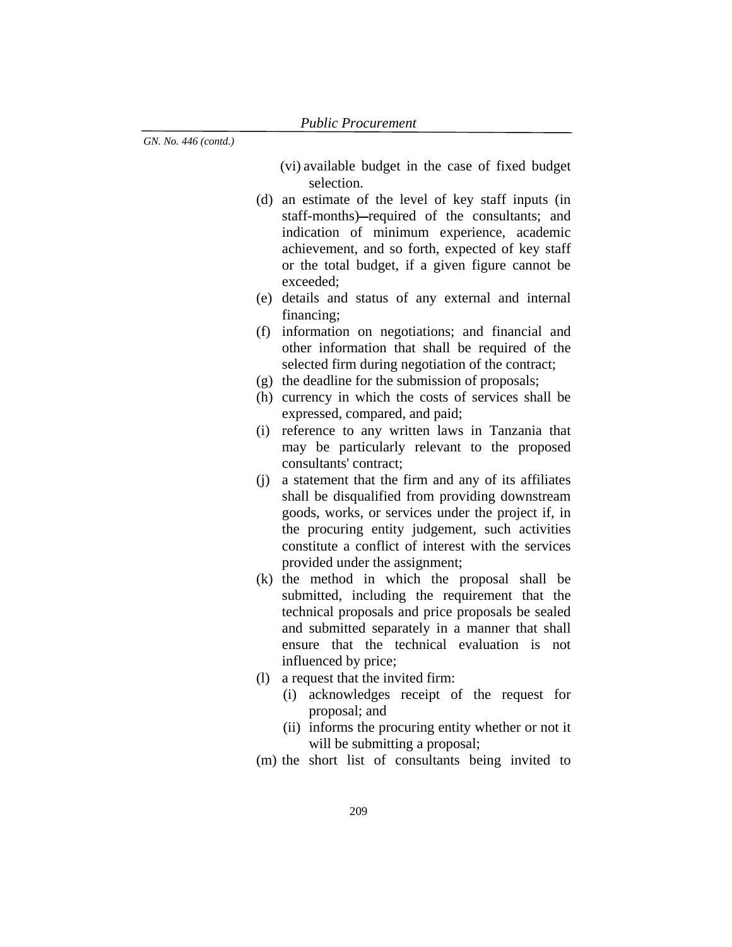(vi) available budget in the case of fixed budget selection.

- (d) an estimate of the level of key staff inputs (in staff-months)-required of the consultants; and indication of minimum experience, academic achievement, and so forth, expected of key staff or the total budget, if a given figure cannot be exceeded;
- (e) details and status of any external and internal financing;
- (f) information on negotiations; and financial and other information that shall be required of the selected firm during negotiation of the contract;
- (g) the deadline for the submission of proposals;
- (h) currency in which the costs of services shall be expressed, compared, and paid;
- (i) reference to any written laws in Tanzania that may be particularly relevant to the proposed consultants' contract;
- (j) a statement that the firm and any of its affiliates shall be disqualified from providing downstream goods, works, or services under the project if, in the procuring entity judgement, such activities constitute a conflict of interest with the services provided under the assignment;
- (k) the method in which the proposal shall be submitted, including the requirement that the technical proposals and price proposals be sealed and submitted separately in a manner that shall ensure that the technical evaluation is not influenced by price;
- (l) a request that the invited firm:
	- (i) acknowledges receipt of the request for proposal; and
	- (ii) informs the procuring entity whether or not it will be submitting a proposal;
- (m) the short list of consultants being invited to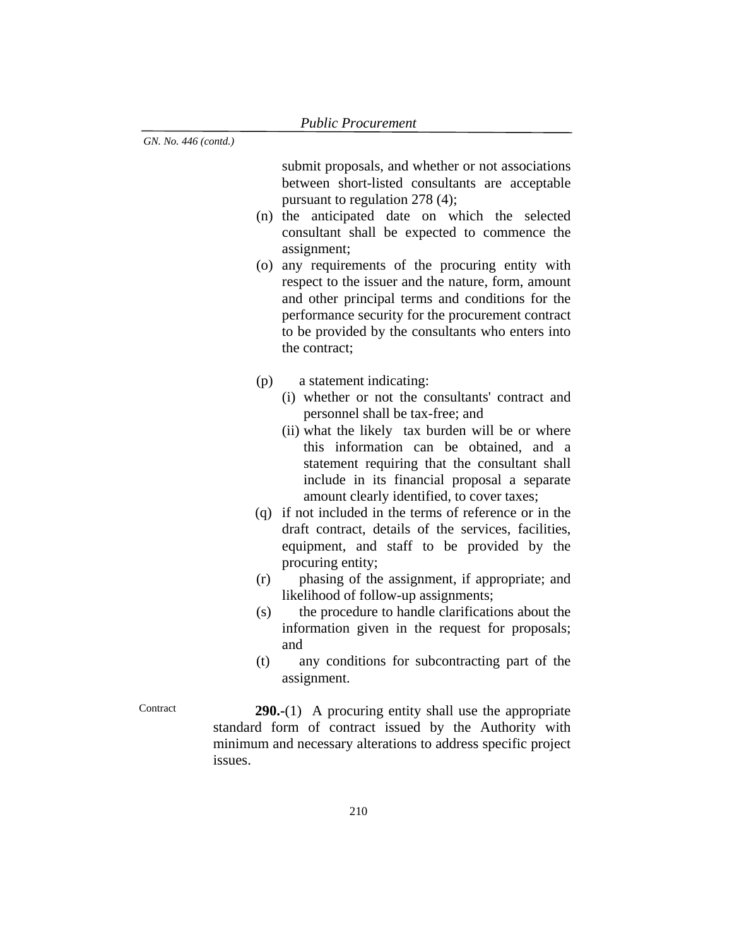submit proposals, and whether or not associations between short-listed consultants are acceptable pursuant to regulation 278 (4);

- (n) the anticipated date on which the selected consultant shall be expected to commence the assignment;
- (o) any requirements of the procuring entity with respect to the issuer and the nature, form, amount and other principal terms and conditions for the performance security for the procurement contract to be provided by the consultants who enters into the contract;
- (p) a statement indicating:
	- (i) whether or not the consultants' contract and personnel shall be tax-free; and
	- (ii) what the likely tax burden will be or where this information can be obtained, and a statement requiring that the consultant shall include in its financial proposal a separate amount clearly identified, to cover taxes;
- (q) if not included in the terms of reference or in the draft contract, details of the services, facilities, equipment, and staff to be provided by the procuring entity;
- (r) phasing of the assignment, if appropriate; and likelihood of follow-up assignments;
- (s) the procedure to handle clarifications about the information given in the request for proposals; and
- (t) any conditions for subcontracting part of the assignment.

Contract **290.-**(1) A procuring entity shall use the appropriate standard form of contract issued by the Authority with minimum and necessary alterations to address specific project issues.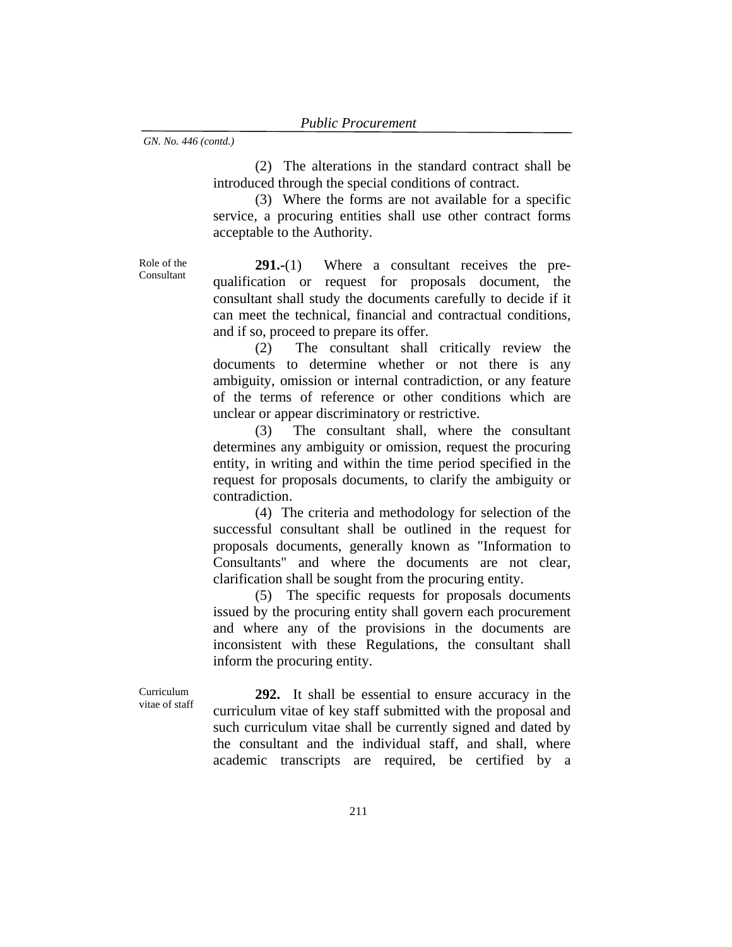(2) The alterations in the standard contract shall be introduced through the special conditions of contract.

(3) Where the forms are not available for a specific service, a procuring entities shall use other contract forms acceptable to the Authority.

Role of the Consultant

**291.-**(1) Where a consultant receives the prequalification or request for proposals document, the consultant shall study the documents carefully to decide if it can meet the technical, financial and contractual conditions, and if so, proceed to prepare its offer.

(2) The consultant shall critically review the documents to determine whether or not there is any ambiguity, omission or internal contradiction, or any feature of the terms of reference or other conditions which are unclear or appear discriminatory or restrictive.

(3) The consultant shall, where the consultant determines any ambiguity or omission, request the procuring entity, in writing and within the time period specified in the request for proposals documents, to clarify the ambiguity or contradiction.

(4) The criteria and methodology for selection of the successful consultant shall be outlined in the request for proposals documents, generally known as "Information to Consultants" and where the documents are not clear, clarification shall be sought from the procuring entity.

(5) The specific requests for proposals documents issued by the procuring entity shall govern each procurement and where any of the provisions in the documents are inconsistent with these Regulations, the consultant shall inform the procuring entity.

Curriculum vitae of staff

**292.** It shall be essential to ensure accuracy in the curriculum vitae of key staff submitted with the proposal and such curriculum vitae shall be currently signed and dated by the consultant and the individual staff, and shall, where academic transcripts are required, be certified by a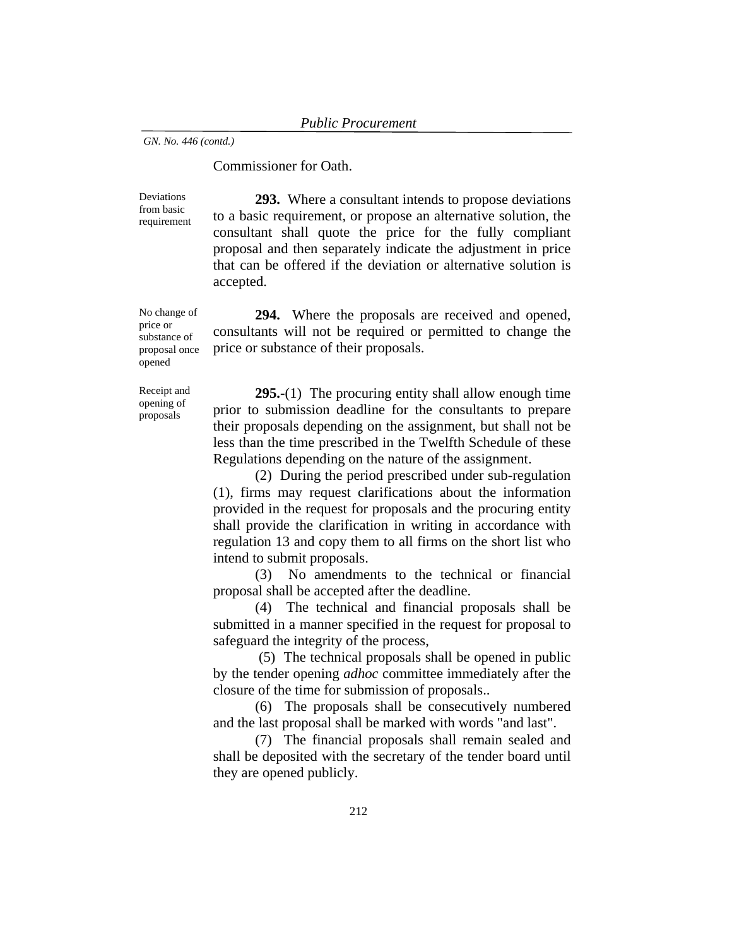## Commissioner for Oath.

Deviations from basic requirement

**293.** Where a consultant intends to propose deviations to a basic requirement, or propose an alternative solution, the consultant shall quote the price for the fully compliant proposal and then separately indicate the adjustment in price that can be offered if the deviation or alternative solution is accepted.

No change of price or substance of proposal once opened

**294.** Where the proposals are received and opened, consultants will not be required or permitted to change the price or substance of their proposals.

Receipt and opening of proposals

**295.-**(1) The procuring entity shall allow enough time prior to submission deadline for the consultants to prepare their proposals depending on the assignment, but shall not be less than the time prescribed in the Twelfth Schedule of these Regulations depending on the nature of the assignment.

(2) During the period prescribed under sub-regulation (1), firms may request clarifications about the information provided in the request for proposals and the procuring entity shall provide the clarification in writing in accordance with regulation 13 and copy them to all firms on the short list who intend to submit proposals.

(3) No amendments to the technical or financial proposal shall be accepted after the deadline.

(4) The technical and financial proposals shall be submitted in a manner specified in the request for proposal to safeguard the integrity of the process,

 (5) The technical proposals shall be opened in public by the tender opening *adhoc* committee immediately after the closure of the time for submission of proposals..

(6) The proposals shall be consecutively numbered and the last proposal shall be marked with words "and last".

(7) The financial proposals shall remain sealed and shall be deposited with the secretary of the tender board until they are opened publicly.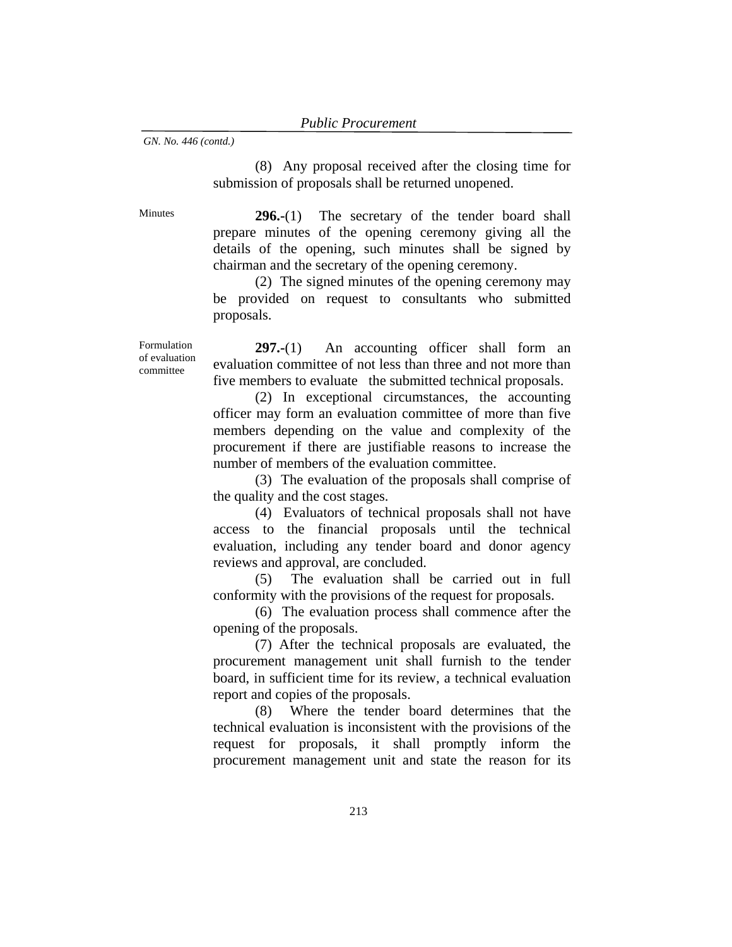(8) Any proposal received after the closing time for submission of proposals shall be returned unopened.

Minutes **296.-**(1) The secretary of the tender board shall prepare minutes of the opening ceremony giving all the details of the opening, such minutes shall be signed by chairman and the secretary of the opening ceremony.

> (2) The signed minutes of the opening ceremony may be provided on request to consultants who submitted proposals.

Formulation of evaluation committee

**297.-**(1) An accounting officer shall form an evaluation committee of not less than three and not more than five members to evaluate the submitted technical proposals.

(2) In exceptional circumstances, the accounting officer may form an evaluation committee of more than five members depending on the value and complexity of the procurement if there are justifiable reasons to increase the number of members of the evaluation committee.

(3) The evaluation of the proposals shall comprise of the quality and the cost stages.

(4) Evaluators of technical proposals shall not have access to the financial proposals until the technical evaluation, including any tender board and donor agency reviews and approval, are concluded.

(5) The evaluation shall be carried out in full conformity with the provisions of the request for proposals.

(6) The evaluation process shall commence after the opening of the proposals.

(7) After the technical proposals are evaluated, the procurement management unit shall furnish to the tender board, in sufficient time for its review, a technical evaluation report and copies of the proposals.

(8) Where the tender board determines that the technical evaluation is inconsistent with the provisions of the request for proposals, it shall promptly inform the procurement management unit and state the reason for its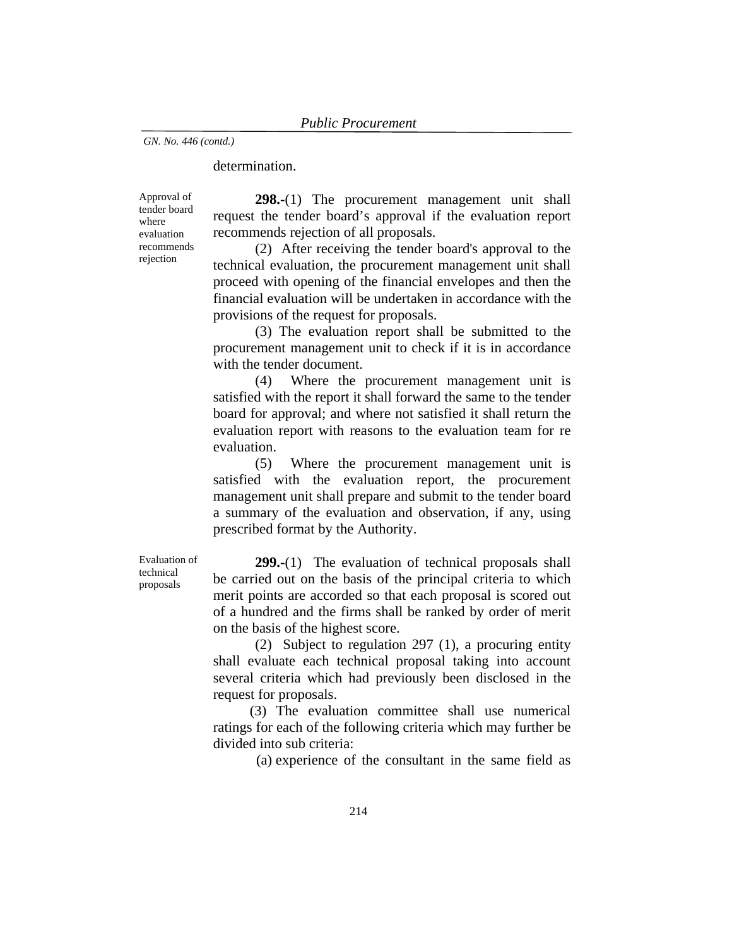## determination.

Approval of tender board where evaluation recommends rejection

**298.-**(1) The procurement management unit shall request the tender board's approval if the evaluation report recommends rejection of all proposals.

(2) After receiving the tender board's approval to the technical evaluation, the procurement management unit shall proceed with opening of the financial envelopes and then the financial evaluation will be undertaken in accordance with the provisions of the request for proposals.

(3) The evaluation report shall be submitted to the procurement management unit to check if it is in accordance with the tender document.

(4) Where the procurement management unit is satisfied with the report it shall forward the same to the tender board for approval; and where not satisfied it shall return the evaluation report with reasons to the evaluation team for re evaluation.

(5) Where the procurement management unit is satisfied with the evaluation report, the procurement management unit shall prepare and submit to the tender board a summary of the evaluation and observation, if any, using prescribed format by the Authority.

Evaluation of technical proposals

**299.-**(1) The evaluation of technical proposals shall be carried out on the basis of the principal criteria to which merit points are accorded so that each proposal is scored out of a hundred and the firms shall be ranked by order of merit on the basis of the highest score.

(2) Subject to regulation 297 (1), a procuring entity shall evaluate each technical proposal taking into account several criteria which had previously been disclosed in the request for proposals.

 (3) The evaluation committee shall use numerical ratings for each of the following criteria which may further be divided into sub criteria:

(a) experience of the consultant in the same field as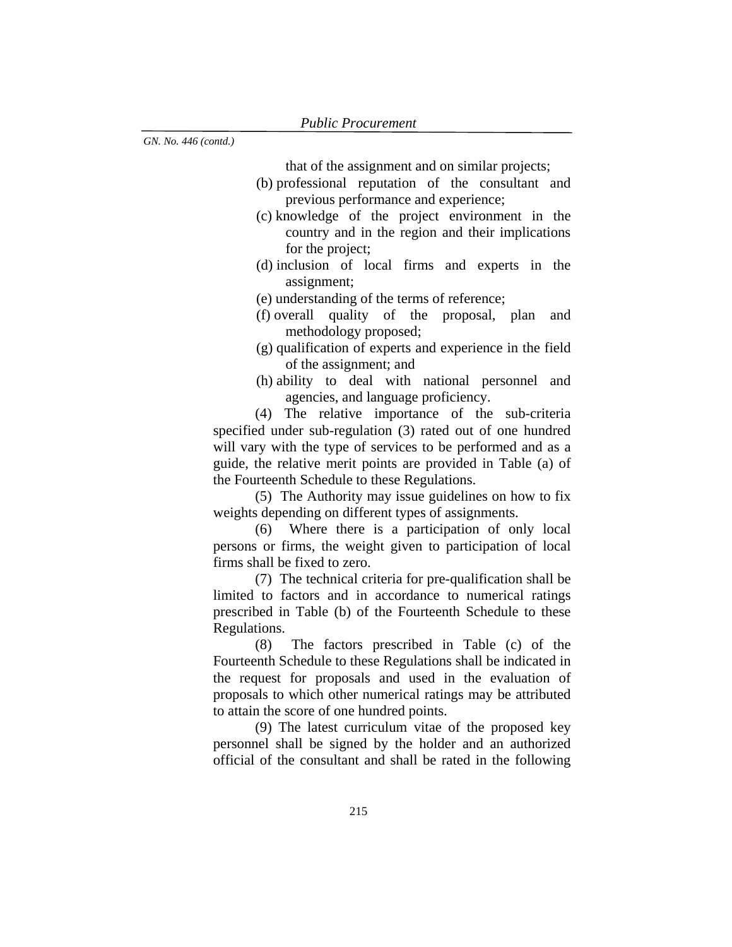that of the assignment and on similar projects;

- (b) professional reputation of the consultant and previous performance and experience;
- (c) knowledge of the project environment in the country and in the region and their implications for the project;
- (d) inclusion of local firms and experts in the assignment;
- (e) understanding of the terms of reference;
- (f) overall quality of the proposal, plan and methodology proposed;
- (g) qualification of experts and experience in the field of the assignment; and
- (h) ability to deal with national personnel and agencies, and language proficiency.

(4) The relative importance of the sub-criteria specified under sub-regulation (3) rated out of one hundred will vary with the type of services to be performed and as a guide, the relative merit points are provided in Table (a) of the Fourteenth Schedule to these Regulations.

(5) The Authority may issue guidelines on how to fix weights depending on different types of assignments.

(6) Where there is a participation of only local persons or firms, the weight given to participation of local firms shall be fixed to zero.

(7) The technical criteria for pre-qualification shall be limited to factors and in accordance to numerical ratings prescribed in Table (b) of the Fourteenth Schedule to these Regulations.

(8) The factors prescribed in Table (c) of the Fourteenth Schedule to these Regulations shall be indicated in the request for proposals and used in the evaluation of proposals to which other numerical ratings may be attributed to attain the score of one hundred points.

(9) The latest curriculum vitae of the proposed key personnel shall be signed by the holder and an authorized official of the consultant and shall be rated in the following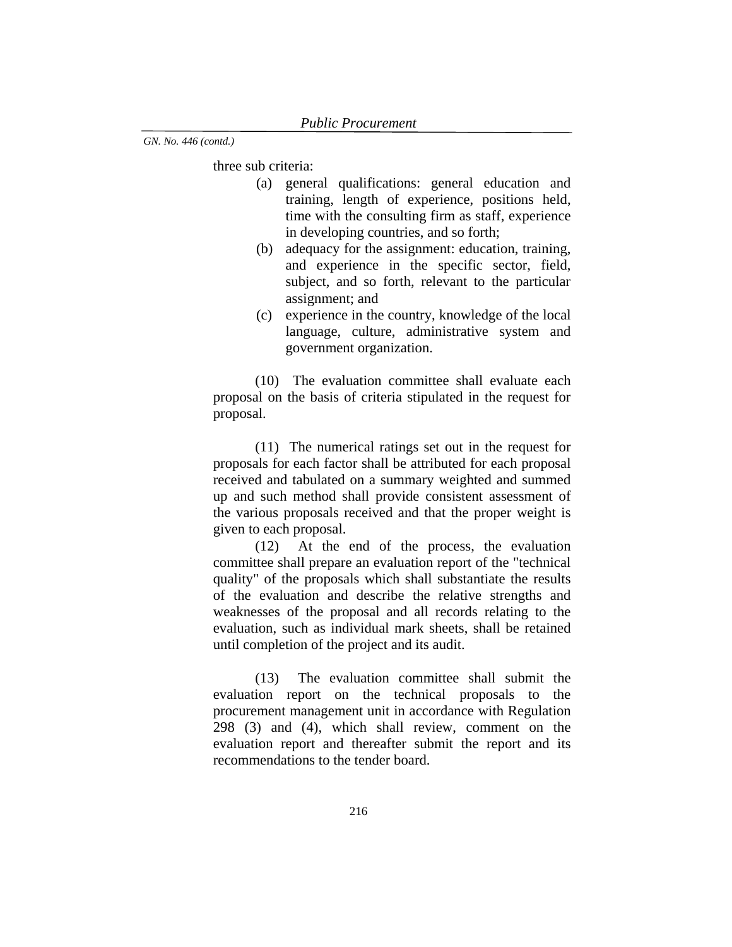three sub criteria:

- (a) general qualifications: general education and training, length of experience, positions held, time with the consulting firm as staff, experience in developing countries, and so forth;
- (b) adequacy for the assignment: education, training, and experience in the specific sector, field, subject, and so forth, relevant to the particular assignment; and
- (c) experience in the country, knowledge of the local language, culture, administrative system and government organization.

(10) The evaluation committee shall evaluate each proposal on the basis of criteria stipulated in the request for proposal.

(11) The numerical ratings set out in the request for proposals for each factor shall be attributed for each proposal received and tabulated on a summary weighted and summed up and such method shall provide consistent assessment of the various proposals received and that the proper weight is given to each proposal.

(12) At the end of the process, the evaluation committee shall prepare an evaluation report of the "technical quality" of the proposals which shall substantiate the results of the evaluation and describe the relative strengths and weaknesses of the proposal and all records relating to the evaluation, such as individual mark sheets, shall be retained until completion of the project and its audit.

(13) The evaluation committee shall submit the evaluation report on the technical proposals to the procurement management unit in accordance with Regulation 298 (3) and (4), which shall review, comment on the evaluation report and thereafter submit the report and its recommendations to the tender board.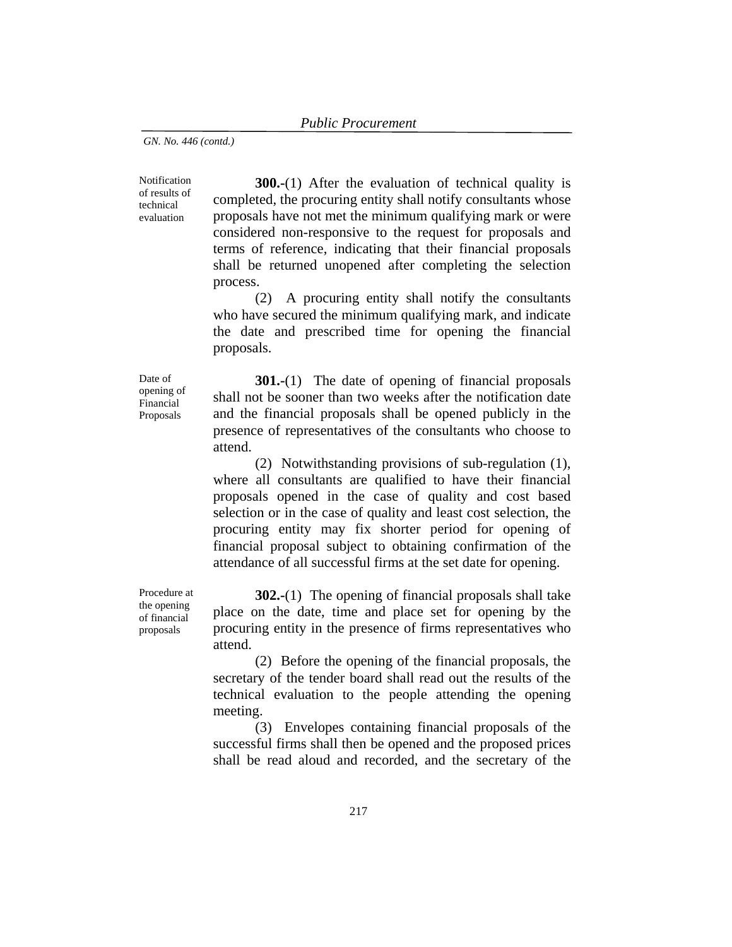Notification of results of technical evaluation

**300.-**(1) After the evaluation of technical quality is completed, the procuring entity shall notify consultants whose proposals have not met the minimum qualifying mark or were considered non-responsive to the request for proposals and terms of reference, indicating that their financial proposals shall be returned unopened after completing the selection process.

(2) A procuring entity shall notify the consultants who have secured the minimum qualifying mark, and indicate the date and prescribed time for opening the financial proposals.

Date of opening of Financial Proposals

**301.-**(1) The date of opening of financial proposals shall not be sooner than two weeks after the notification date and the financial proposals shall be opened publicly in the presence of representatives of the consultants who choose to attend.

(2) Notwithstanding provisions of sub-regulation (1), where all consultants are qualified to have their financial proposals opened in the case of quality and cost based selection or in the case of quality and least cost selection, the procuring entity may fix shorter period for opening of financial proposal subject to obtaining confirmation of the attendance of all successful firms at the set date for opening.

**302.-**(1) The opening of financial proposals shall take place on the date, time and place set for opening by the procuring entity in the presence of firms representatives who attend.

(2) Before the opening of the financial proposals, the secretary of the tender board shall read out the results of the technical evaluation to the people attending the opening meeting.

 (3) Envelopes containing financial proposals of the successful firms shall then be opened and the proposed prices shall be read aloud and recorded, and the secretary of the

Procedure at the opening of financial proposals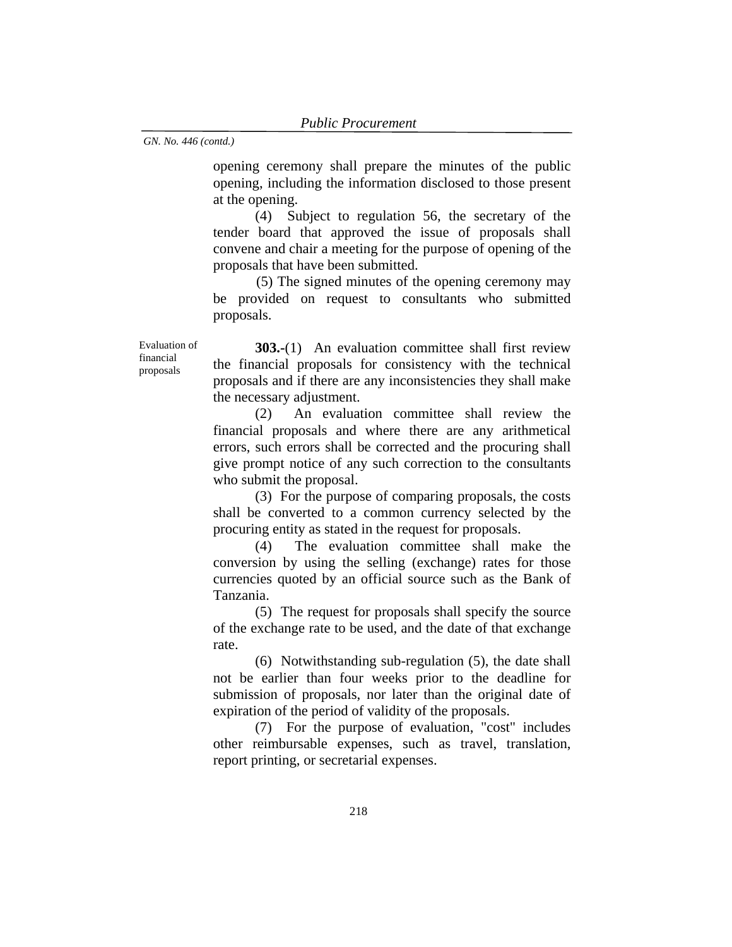opening ceremony shall prepare the minutes of the public opening, including the information disclosed to those present at the opening.

 (4) Subject to regulation 56, the secretary of the tender board that approved the issue of proposals shall convene and chair a meeting for the purpose of opening of the proposals that have been submitted.

 (5) The signed minutes of the opening ceremony may be provided on request to consultants who submitted proposals.

Evaluation of financial proposals

**303.-**(1) An evaluation committee shall first review the financial proposals for consistency with the technical proposals and if there are any inconsistencies they shall make the necessary adjustment.

(2) An evaluation committee shall review the financial proposals and where there are any arithmetical errors, such errors shall be corrected and the procuring shall give prompt notice of any such correction to the consultants who submit the proposal.

(3) For the purpose of comparing proposals, the costs shall be converted to a common currency selected by the procuring entity as stated in the request for proposals.

(4) The evaluation committee shall make the conversion by using the selling (exchange) rates for those currencies quoted by an official source such as the Bank of Tanzania.

(5) The request for proposals shall specify the source of the exchange rate to be used, and the date of that exchange rate.

(6) Notwithstanding sub-regulation (5), the date shall not be earlier than four weeks prior to the deadline for submission of proposals, nor later than the original date of expiration of the period of validity of the proposals.

(7) For the purpose of evaluation, "cost" includes other reimbursable expenses, such as travel, translation, report printing, or secretarial expenses.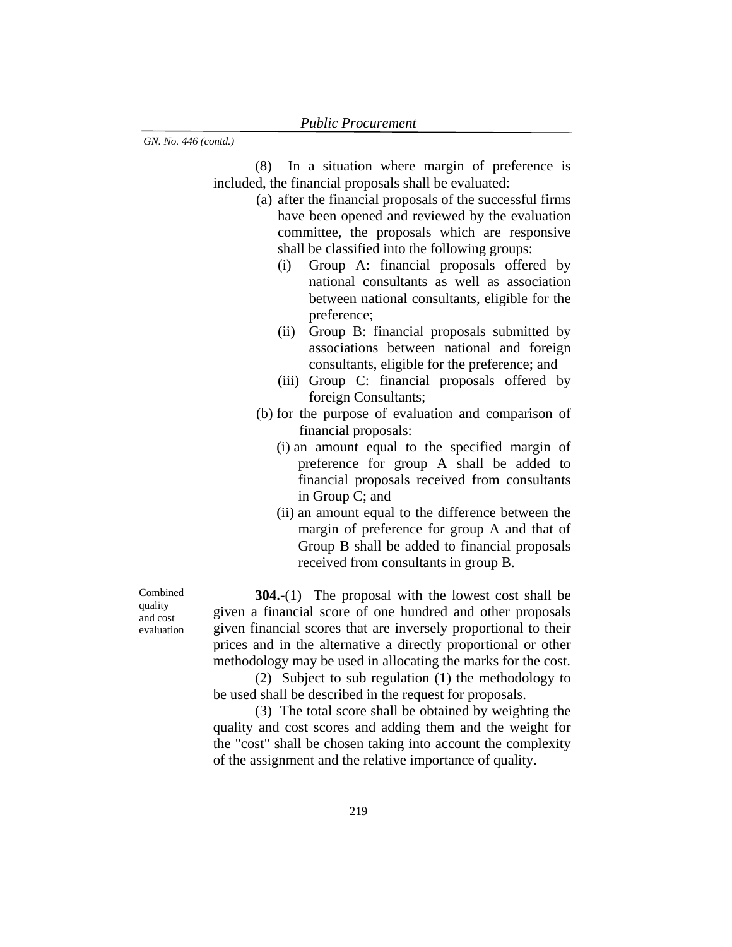(8) In a situation where margin of preference is included, the financial proposals shall be evaluated:

- (a) after the financial proposals of the successful firms have been opened and reviewed by the evaluation committee, the proposals which are responsive shall be classified into the following groups:
	- (i) Group A: financial proposals offered by national consultants as well as association between national consultants, eligible for the preference;
	- (ii) Group B: financial proposals submitted by associations between national and foreign consultants, eligible for the preference; and
	- (iii) Group C: financial proposals offered by foreign Consultants;
- (b) for the purpose of evaluation and comparison of financial proposals:
	- (i) an amount equal to the specified margin of preference for group A shall be added to financial proposals received from consultants in Group C; and
	- (ii) an amount equal to the difference between the margin of preference for group A and that of Group B shall be added to financial proposals received from consultants in group B.

Combined quality and cost evaluation

**304.-**(1) The proposal with the lowest cost shall be given a financial score of one hundred and other proposals given financial scores that are inversely proportional to their prices and in the alternative a directly proportional or other methodology may be used in allocating the marks for the cost.

(2) Subject to sub regulation (1) the methodology to be used shall be described in the request for proposals.

(3) The total score shall be obtained by weighting the quality and cost scores and adding them and the weight for the "cost" shall be chosen taking into account the complexity of the assignment and the relative importance of quality.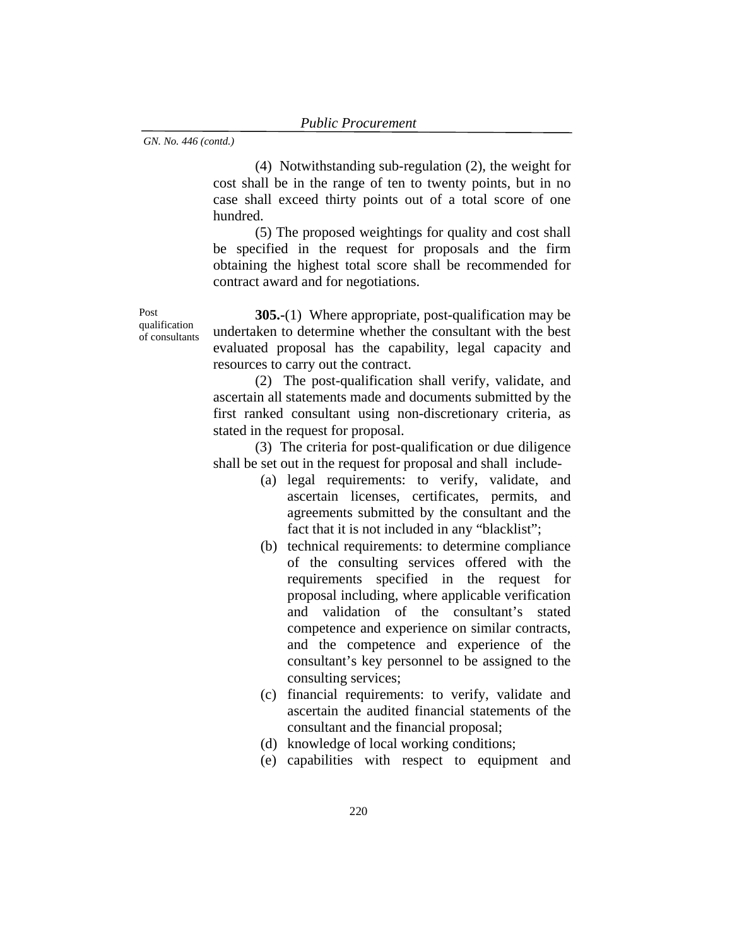(4) Notwithstanding sub-regulation (2), the weight for cost shall be in the range of ten to twenty points, but in no case shall exceed thirty points out of a total score of one hundred.

 (5) The proposed weightings for quality and cost shall be specified in the request for proposals and the firm obtaining the highest total score shall be recommended for contract award and for negotiations.

Post

qualification of consultants

**305.-**(1) Where appropriate, post-qualification may be undertaken to determine whether the consultant with the best evaluated proposal has the capability, legal capacity and resources to carry out the contract.

(2) The post-qualification shall verify, validate, and ascertain all statements made and documents submitted by the first ranked consultant using non-discretionary criteria, as stated in the request for proposal.

(3) The criteria for post-qualification or due diligence shall be set out in the request for proposal and shall include-

- (a) legal requirements: to verify, validate, and ascertain licenses, certificates, permits, and agreements submitted by the consultant and the fact that it is not included in any "blacklist";
- (b) technical requirements: to determine compliance of the consulting services offered with the requirements specified in the request for proposal including, where applicable verification and validation of the consultant's stated competence and experience on similar contracts, and the competence and experience of the consultant's key personnel to be assigned to the consulting services;
- (c) financial requirements: to verify, validate and ascertain the audited financial statements of the consultant and the financial proposal;
- (d) knowledge of local working conditions;
- (e) capabilities with respect to equipment and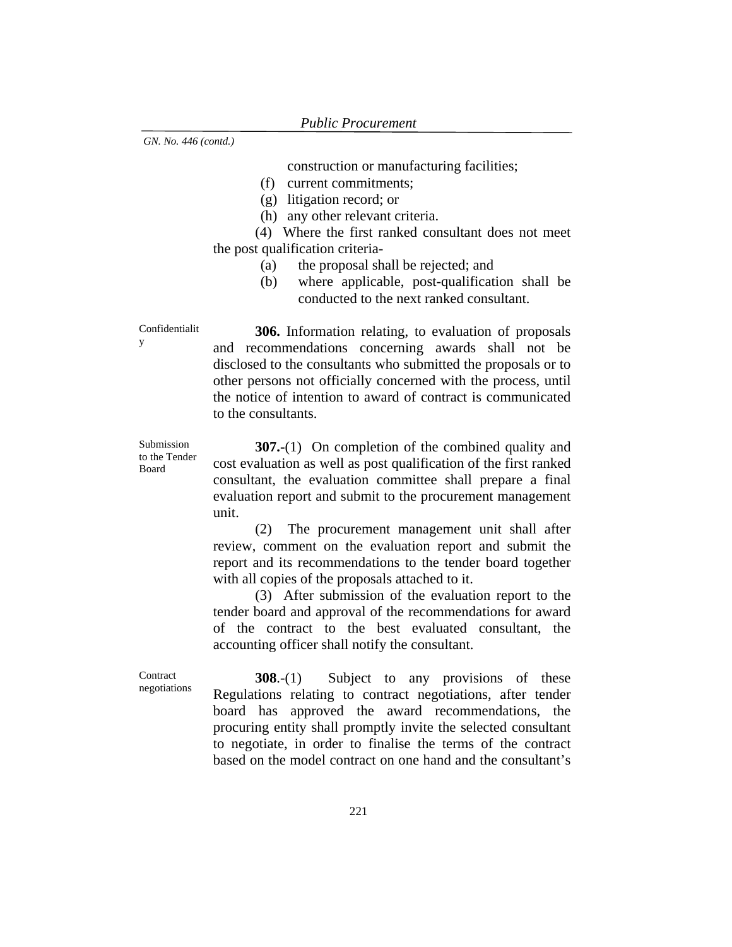construction or manufacturing facilities;

- (f) current commitments;
- (g) litigation record; or
- (h) any other relevant criteria.

(4) Where the first ranked consultant does not meet the post qualification criteria-

- (a) the proposal shall be rejected; and
- (b) where applicable, post-qualification shall be conducted to the next ranked consultant.

Confidentialit y

**306.** Information relating, to evaluation of proposals and recommendations concerning awards shall not be disclosed to the consultants who submitted the proposals or to other persons not officially concerned with the process, until the notice of intention to award of contract is communicated to the consultants.

Submission to the Tender Board

**307.-**(1)On completion of the combined quality and cost evaluation as well as post qualification of the first ranked consultant, the evaluation committee shall prepare a final evaluation report and submit to the procurement management unit.

(2) The procurement management unit shall after review, comment on the evaluation report and submit the report and its recommendations to the tender board together with all copies of the proposals attached to it.

(3) After submission of the evaluation report to the tender board and approval of the recommendations for award of the contract to the best evaluated consultant, the accounting officer shall notify the consultant.

**Contract** negotiations

**308**.-(1) Subject to any provisions of these Regulations relating to contract negotiations, after tender board has approved the award recommendations, the procuring entity shall promptly invite the selected consultant to negotiate, in order to finalise the terms of the contract based on the model contract on one hand and the consultant's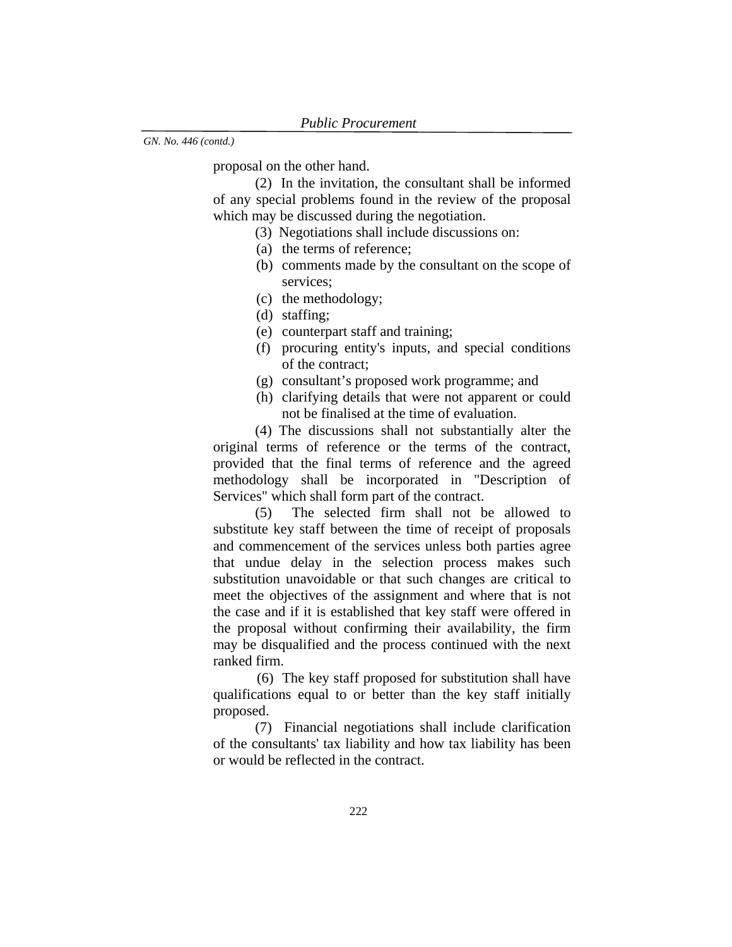proposal on the other hand.

(2) In the invitation, the consultant shall be informed of any special problems found in the review of the proposal which may be discussed during the negotiation.

- (3) Negotiations shall include discussions on:
- (a) the terms of reference;
- (b) comments made by the consultant on the scope of services;
- (c) the methodology;
- (d) staffing;
- (e) counterpart staff and training;
- (f) procuring entity's inputs, and special conditions of the contract;
- (g) consultant's proposed work programme; and
- (h) clarifying details that were not apparent or could not be finalised at the time of evaluation.

(4) The discussions shall not substantially alter the original terms of reference or the terms of the contract, provided that the final terms of reference and the agreed methodology shall be incorporated in "Description of Services" which shall form part of the contract.

(5) The selected firm shall not be allowed to substitute key staff between the time of receipt of proposals and commencement of the services unless both parties agree that undue delay in the selection process makes such substitution unavoidable or that such changes are critical to meet the objectives of the assignment and where that is not the case and if it is established that key staff were offered in the proposal without confirming their availability, the firm may be disqualified and the process continued with the next ranked firm.

(6) The key staff proposed for substitution shall have qualifications equal to or better than the key staff initially proposed.

(7) Financial negotiations shall include clarification of the consultants' tax liability and how tax liability has been or would be reflected in the contract.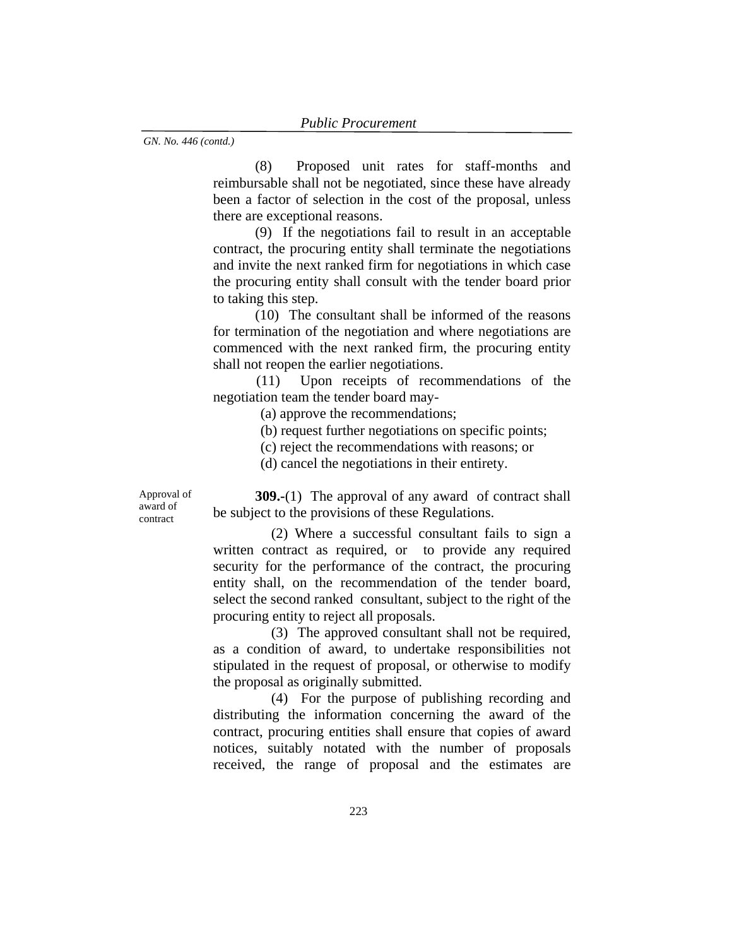(8) Proposed unit rates for staff-months and reimbursable shall not be negotiated, since these have already been a factor of selection in the cost of the proposal, unless there are exceptional reasons.

(9) If the negotiations fail to result in an acceptable contract, the procuring entity shall terminate the negotiations and invite the next ranked firm for negotiations in which case the procuring entity shall consult with the tender board prior to taking this step.

(10) The consultant shall be informed of the reasons for termination of the negotiation and where negotiations are commenced with the next ranked firm, the procuring entity shall not reopen the earlier negotiations.

(11) Upon receipts of recommendations of the negotiation team the tender board may-

(a) approve the recommendations;

(b) request further negotiations on specific points;

(c) reject the recommendations with reasons; or

(d) cancel the negotiations in their entirety.

Approval of award of contract

**309.-**(1) The approval of any award of contract shall be subject to the provisions of these Regulations.

(2) Where a successful consultant fails to sign a written contract as required, or to provide any required security for the performance of the contract, the procuring entity shall, on the recommendation of the tender board, select the second ranked consultant, subject to the right of the procuring entity to reject all proposals.

 (3) The approved consultant shall not be required, as a condition of award, to undertake responsibilities not stipulated in the request of proposal, or otherwise to modify the proposal as originally submitted.

 (4) For the purpose of publishing recording and distributing the information concerning the award of the contract, procuring entities shall ensure that copies of award notices, suitably notated with the number of proposals received, the range of proposal and the estimates are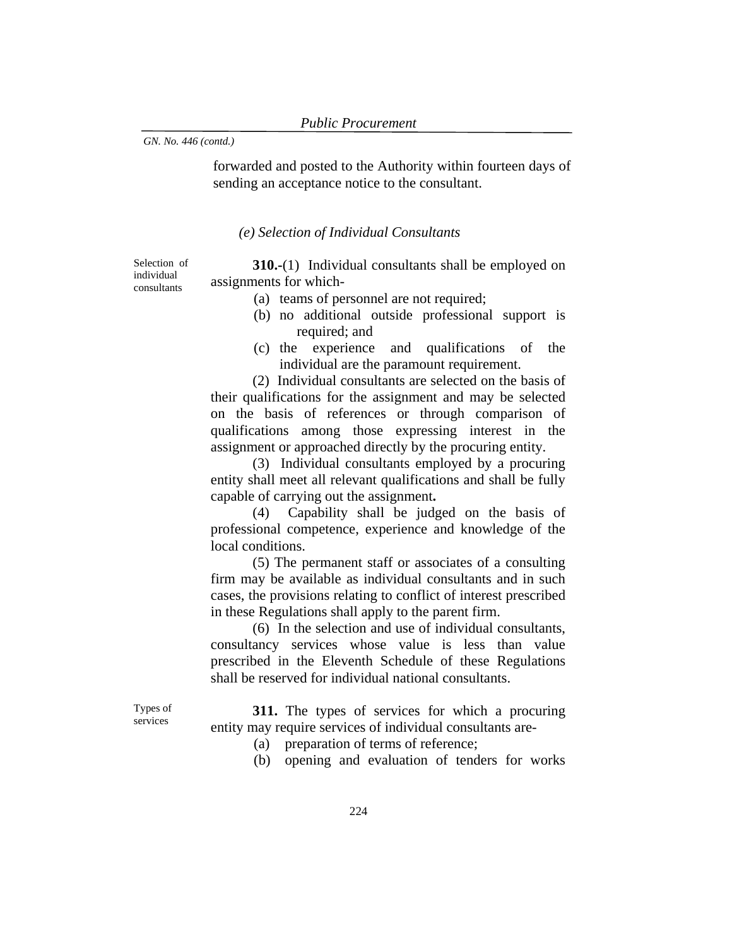forwarded and posted to the Authority within fourteen days of sending an acceptance notice to the consultant.

### *(e) Selection of Individual Consultants*

Selection of individual consultants

**310.-**(1)Individual consultants shall be employed on assignments for which-

- (a) teams of personnel are not required;
- (b) no additional outside professional support is required; and
- (c) the experience and qualifications of the individual are the paramount requirement.

(2) Individual consultants are selected on the basis of their qualifications for the assignment and may be selected on the basis of references or through comparison of qualifications among those expressing interest in the assignment or approached directly by the procuring entity.

(3) Individual consultants employed by a procuring entity shall meet all relevant qualifications and shall be fully capable of carrying out the assignment**.**

(4) Capability shall be judged on the basis of professional competence, experience and knowledge of the local conditions.

(5) The permanent staff or associates of a consulting firm may be available as individual consultants and in such cases, the provisions relating to conflict of interest prescribed in these Regulations shall apply to the parent firm.

(6) In the selection and use of individual consultants, consultancy services whose value is less than value prescribed in the Eleventh Schedule of these Regulations shall be reserved for individual national consultants.

Types of services

**311.** The types of services for which a procuring entity may require services of individual consultants are-

- (a) preparation of terms of reference;
- (b) opening and evaluation of tenders for works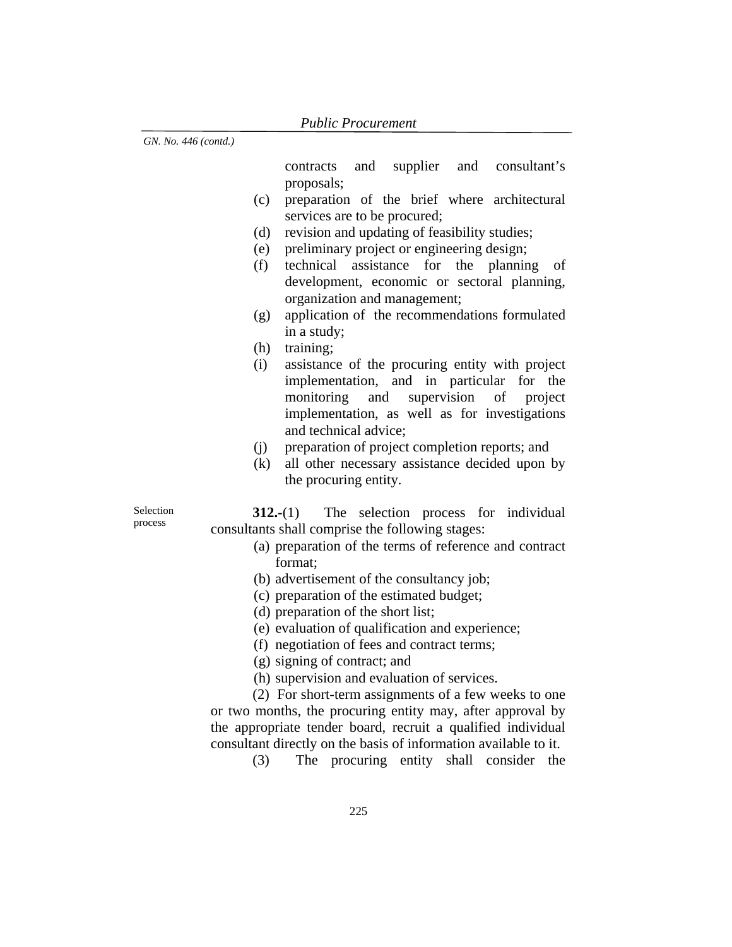contracts and supplier and consultant's proposals;

- (c) preparation of the brief where architectural services are to be procured;
- (d) revision and updating of feasibility studies;
- (e) preliminary project or engineering design;
- (f) technical assistance for the planning of development, economic or sectoral planning, organization and management;
- (g) application of the recommendations formulated in a study;
- (h) training;
- (i) assistance of the procuring entity with project implementation, and in particular for the monitoring and supervision of project implementation, as well as for investigations and technical advice;
- (j) preparation of project completion reports; and
- (k) all other necessary assistance decided upon by the procuring entity.

Selection process

**312.-**(1) The selection process for individual consultants shall comprise the following stages:

- (a) preparation of the terms of reference and contract format;
- (b) advertisement of the consultancy job;
- (c) preparation of the estimated budget;
- (d) preparation of the short list;
- (e) evaluation of qualification and experience;
- (f) negotiation of fees and contract terms;
- (g) signing of contract; and
- (h) supervision and evaluation of services.

(2) For short-term assignments of a few weeks to one or two months, the procuring entity may, after approval by the appropriate tender board, recruit a qualified individual consultant directly on the basis of information available to it.

<sup>(3)</sup> The procuring entity shall consider the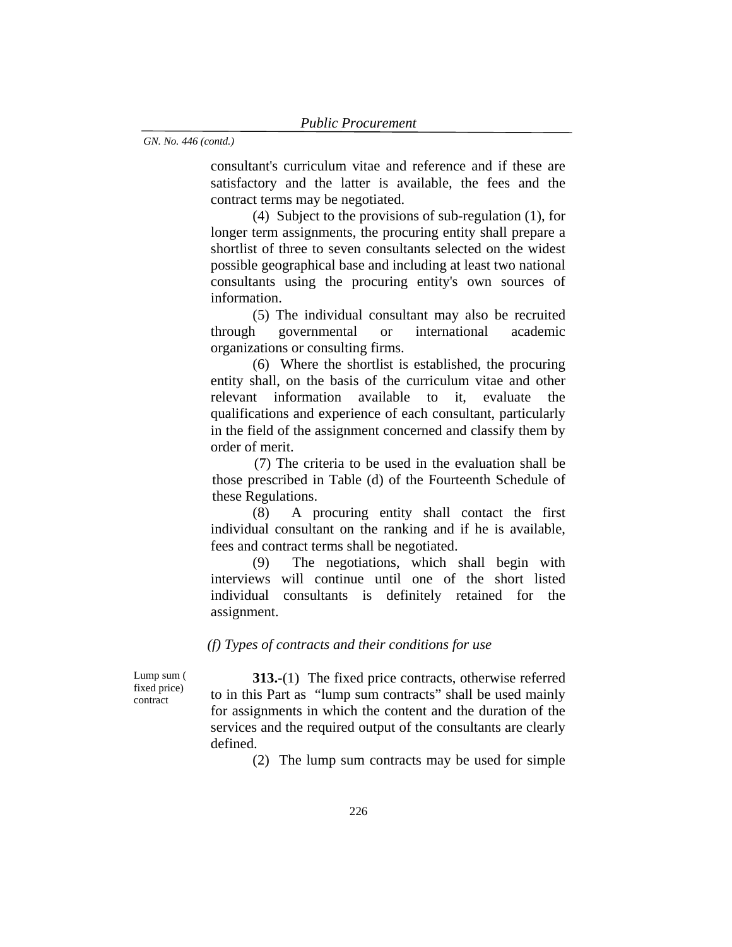consultant's curriculum vitae and reference and if these are satisfactory and the latter is available, the fees and the contract terms may be negotiated.

(4) Subject to the provisions of sub-regulation (1), for longer term assignments, the procuring entity shall prepare a shortlist of three to seven consultants selected on the widest possible geographical base and including at least two national consultants using the procuring entity's own sources of information.

(5) The individual consultant may also be recruited through governmental or international academic organizations or consulting firms.

(6) Where the shortlist is established, the procuring entity shall, on the basis of the curriculum vitae and other relevant information available to it, evaluate the qualifications and experience of each consultant, particularly in the field of the assignment concerned and classify them by order of merit.

(7) The criteria to be used in the evaluation shall be those prescribed in Table (d) of the Fourteenth Schedule of these Regulations.

(8) A procuring entity shall contact the first individual consultant on the ranking and if he is available, fees and contract terms shall be negotiated.

(9) The negotiations, which shall begin with interviews will continue until one of the short listed individual consultants is definitely retained for the assignment.

## *(f) Types of contracts and their conditions for use*

Lump sum ( fixed price) contract

**313.-**(1) The fixed price contracts, otherwise referred to in this Part as "lump sum contracts" shall be used mainly for assignments in which the content and the duration of the services and the required output of the consultants are clearly defined.

(2) The lump sum contracts may be used for simple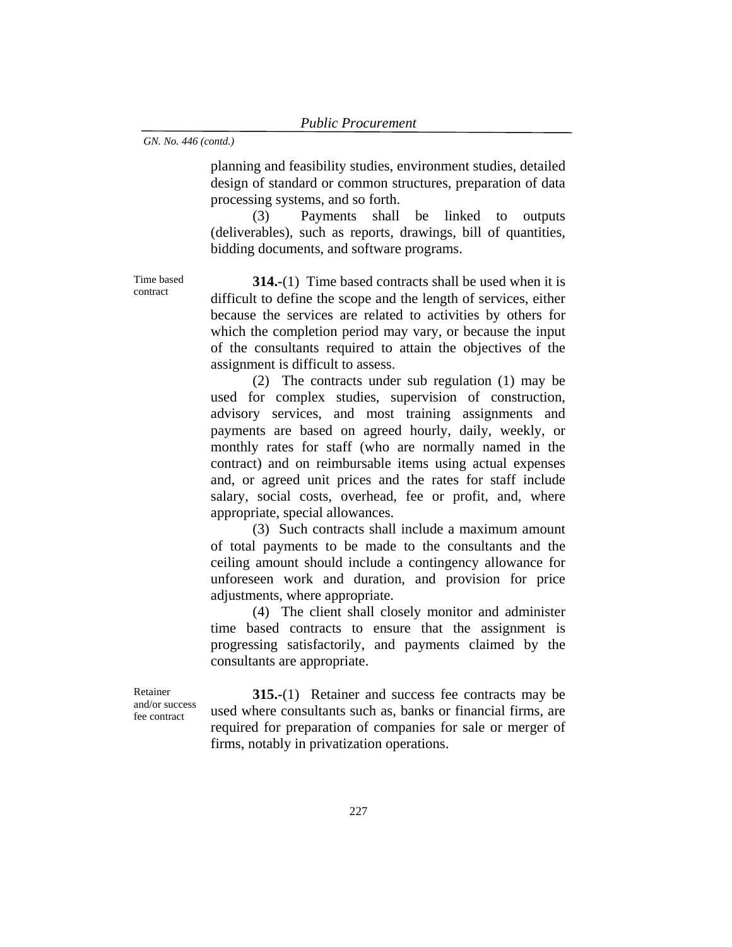planning and feasibility studies, environment studies, detailed design of standard or common structures, preparation of data processing systems, and so forth.

(3) Payments shall be linked to outputs (deliverables), such as reports, drawings, bill of quantities, bidding documents, and software programs.

**314.-**(1) Time based contracts shall be used when it is difficult to define the scope and the length of services, either because the services are related to activities by others for which the completion period may vary, or because the input of the consultants required to attain the objectives of the assignment is difficult to assess.

(2) The contracts under sub regulation (1) may be used for complex studies, supervision of construction, advisory services, and most training assignments and payments are based on agreed hourly, daily, weekly, or monthly rates for staff (who are normally named in the contract) and on reimbursable items using actual expenses and, or agreed unit prices and the rates for staff include salary, social costs, overhead, fee or profit, and, where appropriate, special allowances.

(3) Such contracts shall include a maximum amount of total payments to be made to the consultants and the ceiling amount should include a contingency allowance for unforeseen work and duration, and provision for price adjustments, where appropriate.

(4) The client shall closely monitor and administer time based contracts to ensure that the assignment is progressing satisfactorily, and payments claimed by the consultants are appropriate.

Retainer and/or success fee contract

**315.-**(1) Retainer and success fee contracts may be used where consultants such as, banks or financial firms, are required for preparation of companies for sale or merger of firms, notably in privatization operations.

Time based contract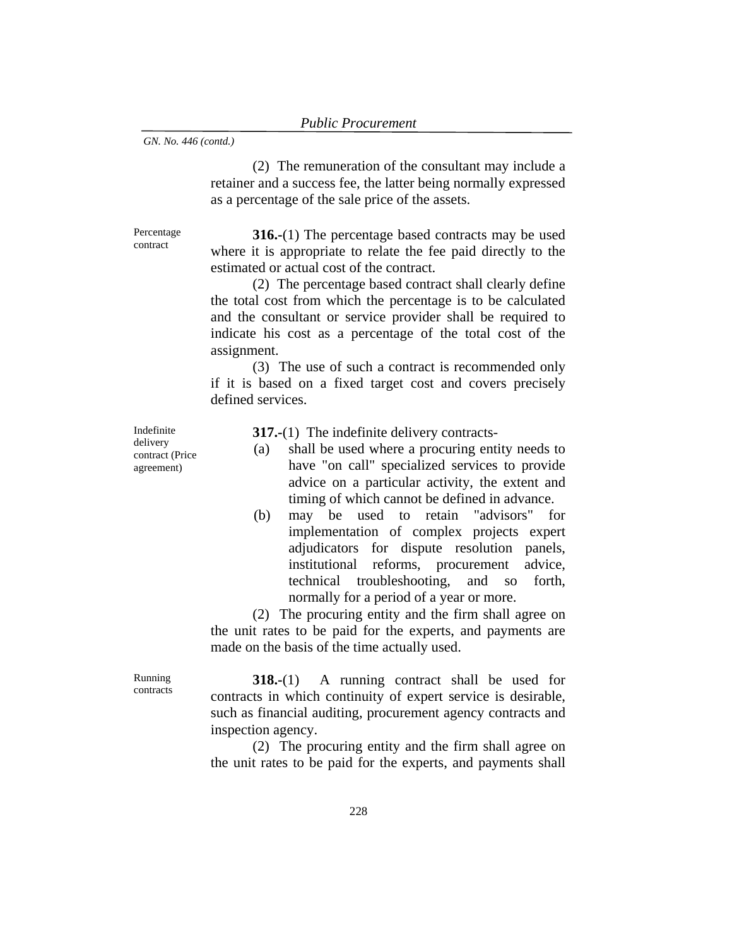(2) The remuneration of the consultant may include a retainer and a success fee, the latter being normally expressed as a percentage of the sale price of the assets.

Percentage contract

**316.-**(1) The percentage based contracts may be used where it is appropriate to relate the fee paid directly to the estimated or actual cost of the contract.

(2) The percentage based contract shall clearly define the total cost from which the percentage is to be calculated and the consultant or service provider shall be required to indicate his cost as a percentage of the total cost of the assignment.

(3) The use of such a contract is recommended only if it is based on a fixed target cost and covers precisely defined services.

Indefinite delivery contract (Price agreement)

**317.-**(1) The indefinite delivery contracts-

- (a) shall be used where a procuring entity needs to have "on call" specialized services to provide advice on a particular activity, the extent and timing of which cannot be defined in advance.
- (b) may be used to retain "advisors" for implementation of complex projects expert adjudicators for dispute resolution panels, institutional reforms, procurement advice, technical troubleshooting, and so forth, normally for a period of a year or more.

(2) The procuring entity and the firm shall agree on the unit rates to be paid for the experts, and payments are made on the basis of the time actually used.

Running contracts

**318.-**(1) A running contract shall be used for contracts in which continuity of expert service is desirable, such as financial auditing, procurement agency contracts and inspection agency.

(2) The procuring entity and the firm shall agree on the unit rates to be paid for the experts, and payments shall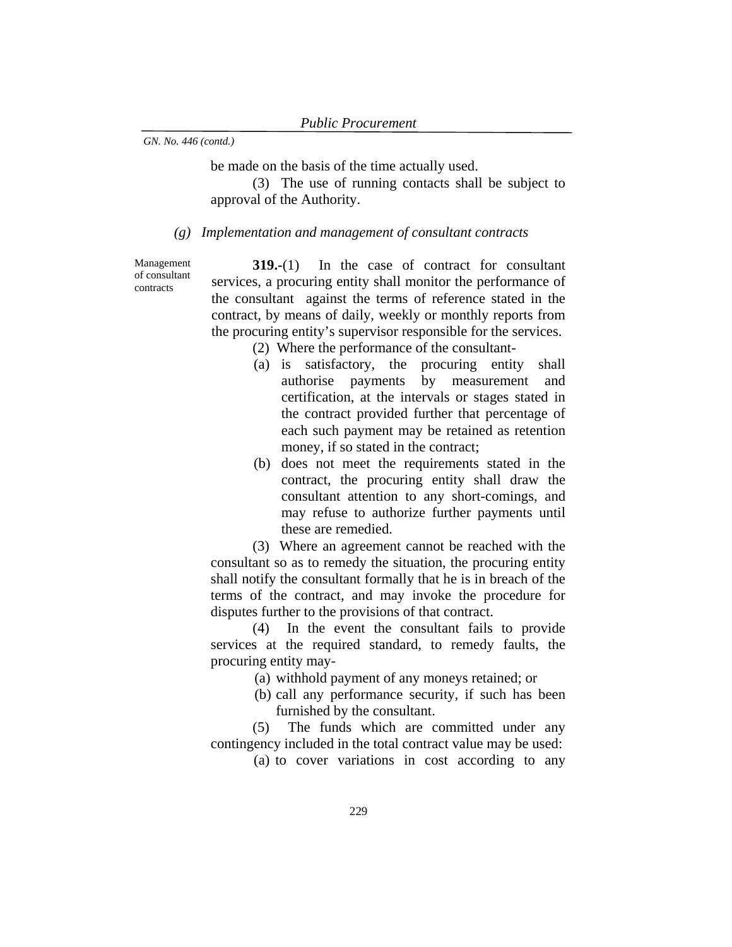be made on the basis of the time actually used.

(3) The use of running contacts shall be subject to approval of the Authority.

### *(g) Implementation and management of consultant contracts*

Management of consultant contracts

**319.-**(1) In the case of contract for consultant services, a procuring entity shall monitor the performance of the consultant against the terms of reference stated in the contract, by means of daily, weekly or monthly reports from the procuring entity's supervisor responsible for the services.

(2) Where the performance of the consultant-

- (a) is satisfactory, the procuring entity shall authorise payments by measurement and certification, at the intervals or stages stated in the contract provided further that percentage of each such payment may be retained as retention money, if so stated in the contract;
- (b) does not meet the requirements stated in the contract, the procuring entity shall draw the consultant attention to any short-comings, and may refuse to authorize further payments until these are remedied.

(3) Where an agreement cannot be reached with the consultant so as to remedy the situation, the procuring entity shall notify the consultant formally that he is in breach of the terms of the contract, and may invoke the procedure for disputes further to the provisions of that contract.

(4) In the event the consultant fails to provide services at the required standard, to remedy faults, the procuring entity may-

- (a) withhold payment of any moneys retained; or
- (b) call any performance security, if such has been furnished by the consultant.

(5) The funds which are committed under any contingency included in the total contract value may be used:

(a) to cover variations in cost according to any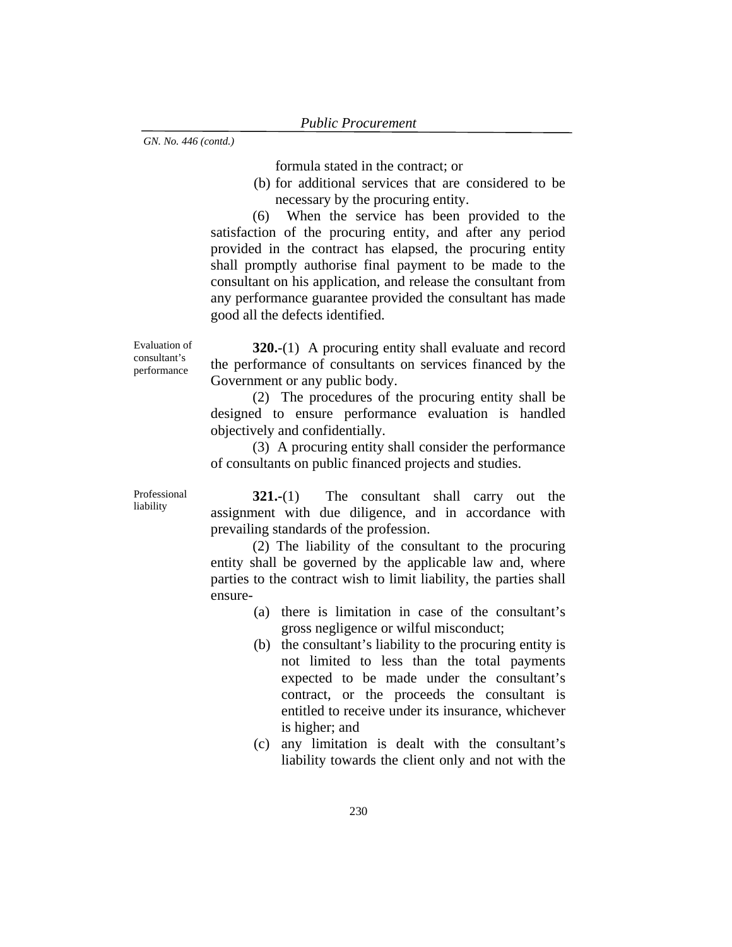formula stated in the contract; or

(b) for additional services that are considered to be necessary by the procuring entity.

(6) When the service has been provided to the satisfaction of the procuring entity, and after any period provided in the contract has elapsed, the procuring entity shall promptly authorise final payment to be made to the consultant on his application, and release the consultant from any performance guarantee provided the consultant has made good all the defects identified.

Evaluation of consultant's performance

**320.**-(1) A procuring entity shall evaluate and record the performance of consultants on services financed by the Government or any public body.

(2) The procedures of the procuring entity shall be designed to ensure performance evaluation is handled objectively and confidentially.

(3) A procuring entity shall consider the performance of consultants on public financed projects and studies.

Professional liability

**321.-**(1) The consultant shall carry out the assignment with due diligence, and in accordance with prevailing standards of the profession.

(2) The liability of the consultant to the procuring entity shall be governed by the applicable law and, where parties to the contract wish to limit liability, the parties shall ensure-

- (a) there is limitation in case of the consultant's gross negligence or wilful misconduct;
- (b) the consultant's liability to the procuring entity is not limited to less than the total payments expected to be made under the consultant's contract, or the proceeds the consultant is entitled to receive under its insurance, whichever is higher; and
- (c) any limitation is dealt with the consultant's liability towards the client only and not with the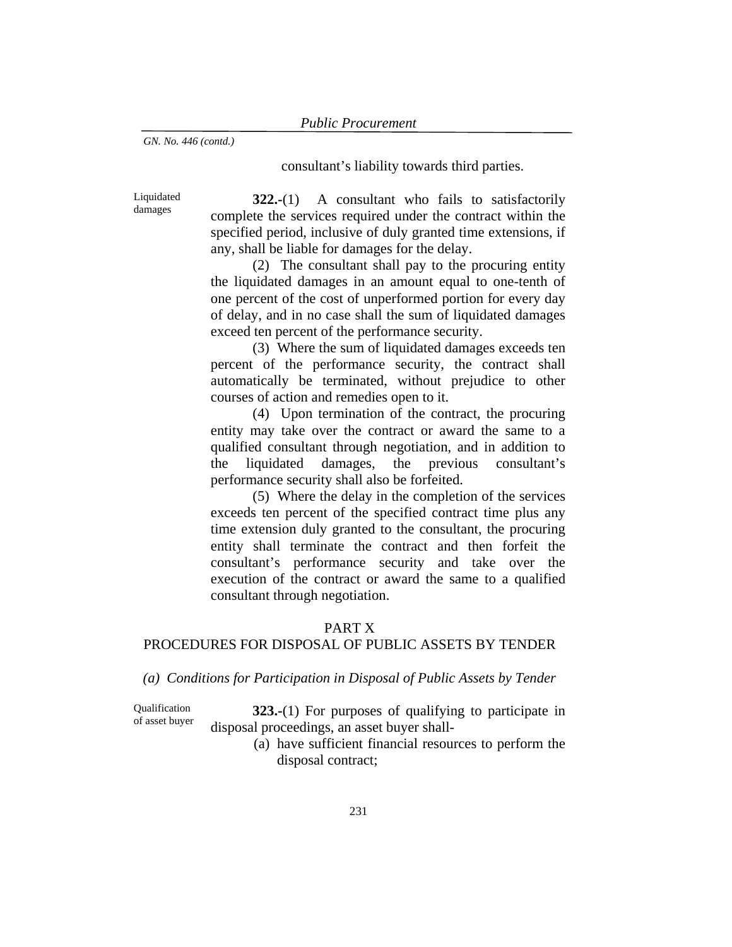consultant's liability towards third parties.

Liquidated damages

**322.-**(1) A consultant who fails to satisfactorily complete the services required under the contract within the specified period, inclusive of duly granted time extensions, if any, shall be liable for damages for the delay.

(2) The consultant shall pay to the procuring entity the liquidated damages in an amount equal to one-tenth of one percent of the cost of unperformed portion for every day of delay, and in no case shall the sum of liquidated damages exceed ten percent of the performance security.

(3) Where the sum of liquidated damages exceeds ten percent of the performance security, the contract shall automatically be terminated, without prejudice to other courses of action and remedies open to it.

(4) Upon termination of the contract, the procuring entity may take over the contract or award the same to a qualified consultant through negotiation, and in addition to the liquidated damages, the previous consultant's performance security shall also be forfeited.

(5) Where the delay in the completion of the services exceeds ten percent of the specified contract time plus any time extension duly granted to the consultant, the procuring entity shall terminate the contract and then forfeit the consultant's performance security and take over the execution of the contract or award the same to a qualified consultant through negotiation.

#### PART X

# PROCEDURES FOR DISPOSAL OF PUBLIC ASSETS BY TENDER

*(a) Conditions for Participation in Disposal of Public Assets by Tender* 

Qualification of asset buyer

**323.-**(1) For purposes of qualifying to participate in disposal proceedings, an asset buyer shall-

> (a) have sufficient financial resources to perform the disposal contract;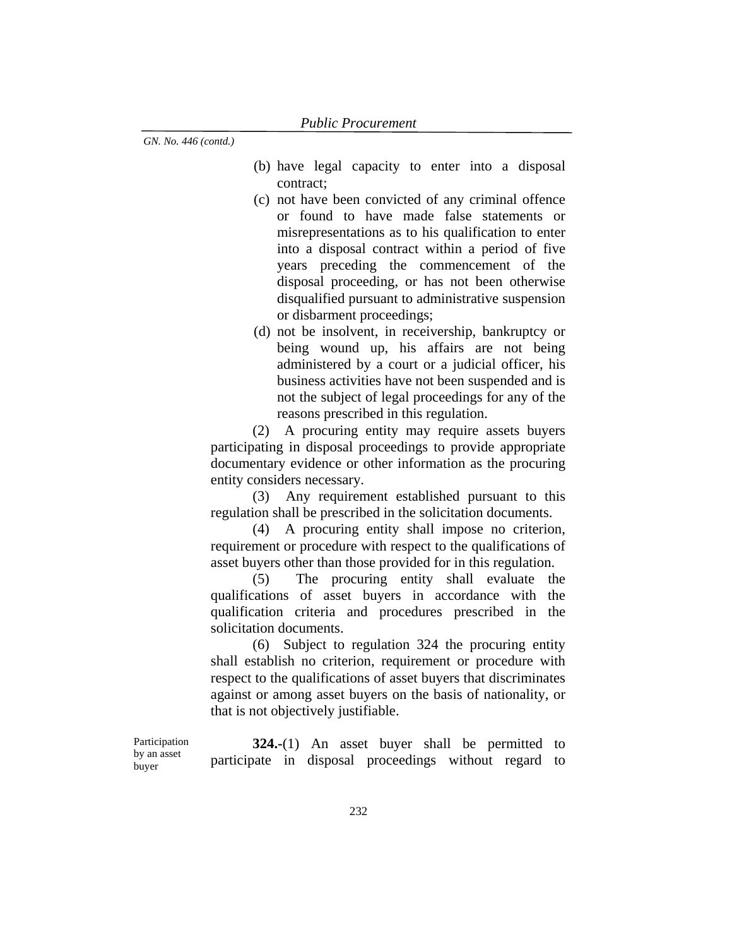- (b) have legal capacity to enter into a disposal contract;
- (c) not have been convicted of any criminal offence or found to have made false statements or misrepresentations as to his qualification to enter into a disposal contract within a period of five years preceding the commencement of the disposal proceeding, or has not been otherwise disqualified pursuant to administrative suspension or disbarment proceedings;
- (d) not be insolvent, in receivership, bankruptcy or being wound up, his affairs are not being administered by a court or a judicial officer, his business activities have not been suspended and is not the subject of legal proceedings for any of the reasons prescribed in this regulation.

 (2) A procuring entity may require assets buyers participating in disposal proceedings to provide appropriate documentary evidence or other information as the procuring entity considers necessary.

 (3) Any requirement established pursuant to this regulation shall be prescribed in the solicitation documents.

 (4) A procuring entity shall impose no criterion, requirement or procedure with respect to the qualifications of asset buyers other than those provided for in this regulation.

 (5) The procuring entity shall evaluate the qualifications of asset buyers in accordance with the qualification criteria and procedures prescribed in the solicitation documents.

 (6) Subject to regulation 324 the procuring entity shall establish no criterion, requirement or procedure with respect to the qualifications of asset buyers that discriminates against or among asset buyers on the basis of nationality, or that is not objectively justifiable.

Participation by an asset buyer

**324.-**(1) An asset buyer shall be permitted to participate in disposal proceedings without regard to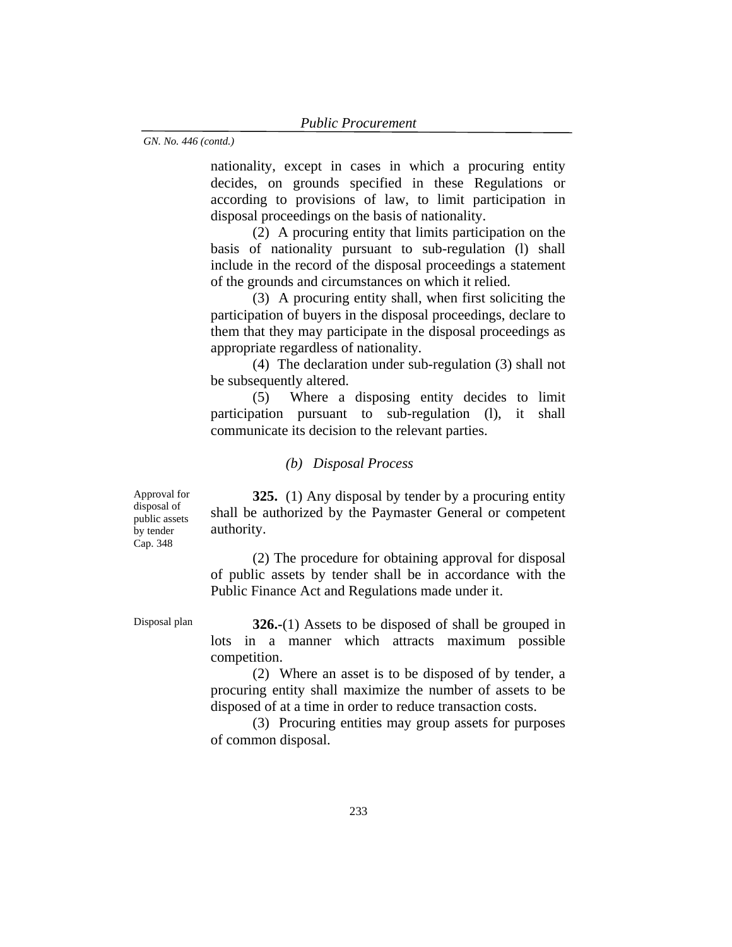nationality, except in cases in which a procuring entity decides, on grounds specified in these Regulations or according to provisions of law, to limit participation in disposal proceedings on the basis of nationality.

(2) A procuring entity that limits participation on the basis of nationality pursuant to sub-regulation (l) shall include in the record of the disposal proceedings a statement of the grounds and circumstances on which it relied.

(3) A procuring entity shall, when first soliciting the participation of buyers in the disposal proceedings, declare to them that they may participate in the disposal proceedings as appropriate regardless of nationality.

(4) The declaration under sub-regulation (3) shall not be subsequently altered.

(5) Where a disposing entity decides to limit participation pursuant to sub-regulation (l), it shall communicate its decision to the relevant parties.

### *(b) Disposal Process*

Approval for disposal of public assets by tender Cap. 348

**325.** (1) Any disposal by tender by a procuring entity shall be authorized by the Paymaster General or competent authority.

 (2) The procedure for obtaining approval for disposal of public assets by tender shall be in accordance with the Public Finance Act and Regulations made under it.

 Disposal plan **326.-**(1) Assets to be disposed of shall be grouped in lots in a manner which attracts maximum possible competition.

> (2) Where an asset is to be disposed of by tender, a procuring entity shall maximize the number of assets to be disposed of at a time in order to reduce transaction costs.

> (3) Procuring entities may group assets for purposes of common disposal.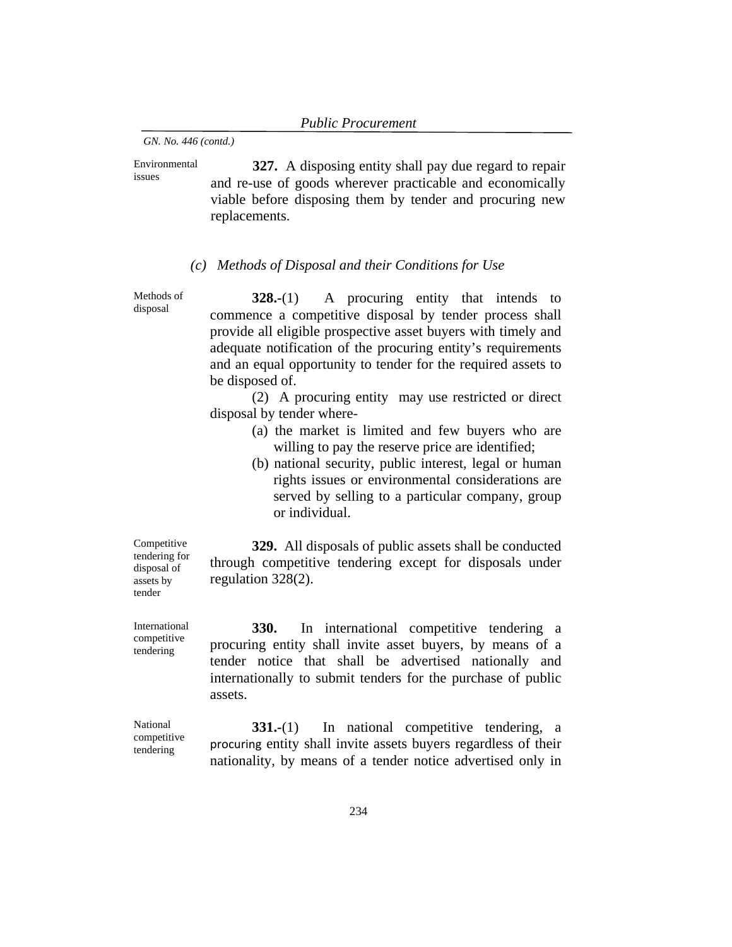Environmental issues **327.** A disposing entity shall pay due regard to repair and re-use of goods wherever practicable and economically viable before disposing them by tender and procuring new replacements.

#### *(c) Methods of Disposal and their Conditions for Use*

Methods of disposal **328.-**(1) A procuring entity that intends to commence a competitive disposal by tender process shall provide all eligible prospective asset buyers with timely and adequate notification of the procuring entity's requirements and an equal opportunity to tender for the required assets to be disposed of.

> (2) A procuring entity may use restricted or direct disposal by tender where-

- (a) the market is limited and few buyers who are willing to pay the reserve price are identified;
- (b) national security, public interest, legal or human rights issues or environmental considerations are served by selling to a particular company, group or individual.

**329.** All disposals of public assets shall be conducted through competitive tendering except for disposals under regulation 328(2).

Competitive tendering for disposal of assets by tender

International competitive tendering

**330.** In international competitive tendering a procuring entity shall invite asset buyers, by means of a tender notice that shall be advertised nationally and internationally to submit tenders for the purchase of public assets.

National competitive tendering

**331.-**(1) In national competitive tendering, a procuring entity shall invite assets buyers regardless of their nationality, by means of a tender notice advertised only in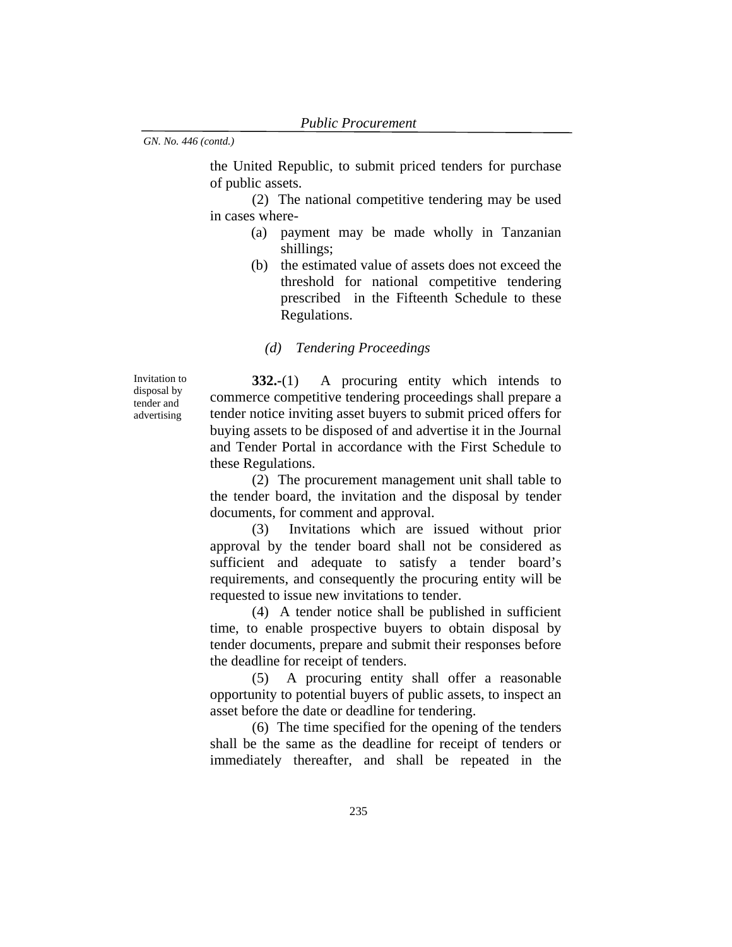the United Republic, to submit priced tenders for purchase of public assets.

(2) The national competitive tendering may be used in cases where-

- (a) payment may be made wholly in Tanzanian shillings;
- (b) the estimated value of assets does not exceed the threshold for national competitive tendering prescribed in the Fifteenth Schedule to these Regulations.

### *(d) Tendering Proceedings*

Invitation to disposal by tender and advertising

**332.-**(1)A procuring entity which intends to commerce competitive tendering proceedings shall prepare a tender notice inviting asset buyers to submit priced offers for buying assets to be disposed of and advertise it in the Journal and Tender Portal in accordance with the First Schedule to these Regulations.

 (2) The procurement management unit shall table to the tender board, the invitation and the disposal by tender documents, for comment and approval.

 (3) Invitations which are issued without prior approval by the tender board shall not be considered as sufficient and adequate to satisfy a tender board's requirements, and consequently the procuring entity will be requested to issue new invitations to tender.

 (4) A tender notice shall be published in sufficient time, to enable prospective buyers to obtain disposal by tender documents, prepare and submit their responses before the deadline for receipt of tenders.

 (5) A procuring entity shall offer a reasonable opportunity to potential buyers of public assets, to inspect an asset before the date or deadline for tendering.

 (6) The time specified for the opening of the tenders shall be the same as the deadline for receipt of tenders or immediately thereafter, and shall be repeated in the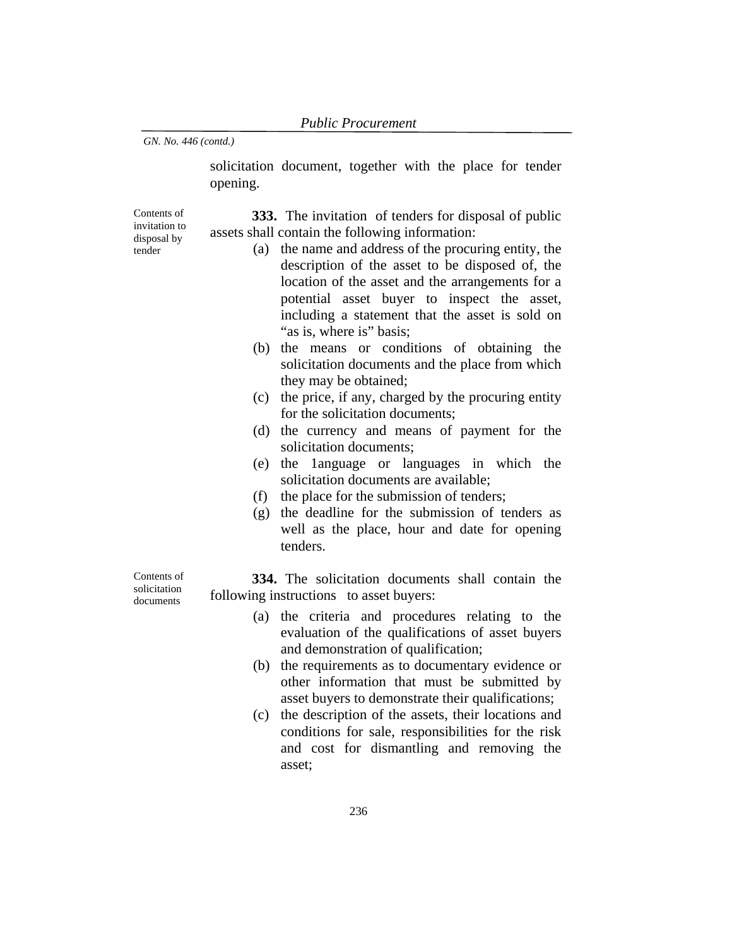solicitation document, together with the place for tender opening.

Contents of invitation to disposal by tender

**333.** The invitation of tenders for disposal of public assets shall contain the following information:

- (a) the name and address of the procuring entity, the description of the asset to be disposed of, the location of the asset and the arrangements for a potential asset buyer to inspect the asset, including a statement that the asset is sold on "as is, where is" basis;
- (b) the means or conditions of obtaining the solicitation documents and the place from which they may be obtained;
- (c) the price, if any, charged by the procuring entity for the solicitation documents;
- (d) the currency and means of payment for the solicitation documents;
- (e) the 1anguage or languages in which the solicitation documents are available;
- (f) the place for the submission of tenders;
- (g) the deadline for the submission of tenders as well as the place, hour and date for opening tenders.

Contents of solicitation documents

**334.** The solicitation documents shall contain the following instructions to asset buyers:

- (a) the criteria and procedures relating to the evaluation of the qualifications of asset buyers and demonstration of qualification;
- (b) the requirements as to documentary evidence or other information that must be submitted by asset buyers to demonstrate their qualifications;
- (c) the description of the assets, their locations and conditions for sale, responsibilities for the risk and cost for dismantling and removing the asset;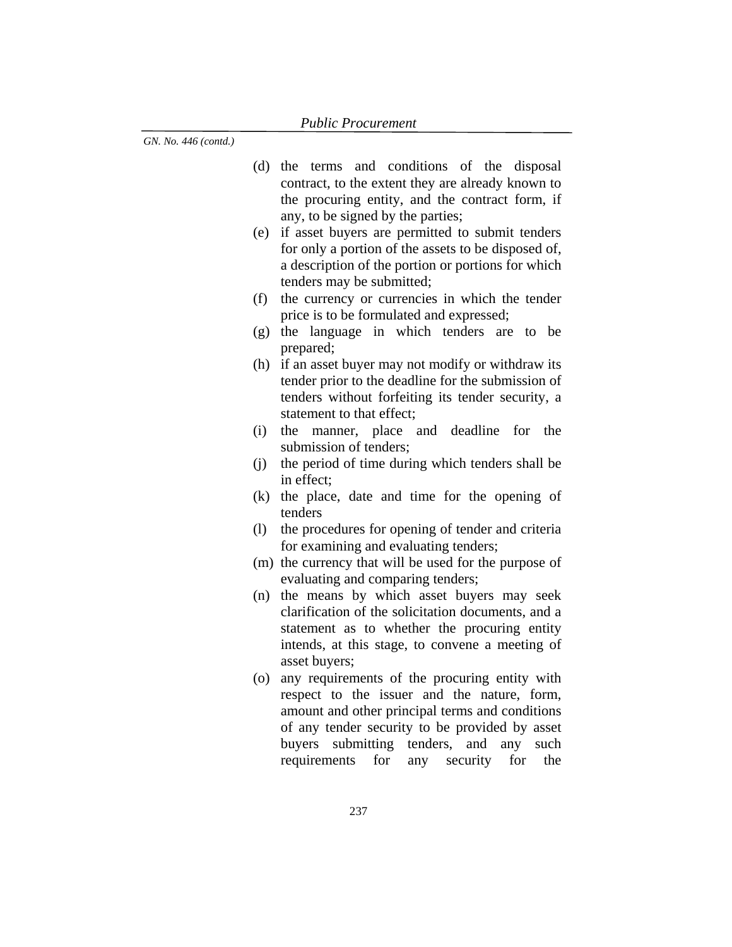- (d) the terms and conditions of the disposal contract, to the extent they are already known to the procuring entity, and the contract form, if any, to be signed by the parties;
- (e) if asset buyers are permitted to submit tenders for only a portion of the assets to be disposed of, a description of the portion or portions for which tenders may be submitted;
- (f) the currency or currencies in which the tender price is to be formulated and expressed;
- (g) the language in which tenders are to be prepared;
- (h) if an asset buyer may not modify or withdraw its tender prior to the deadline for the submission of tenders without forfeiting its tender security, a statement to that effect;
- (i) the manner, place and deadline for the submission of tenders;
- (j) the period of time during which tenders shall be in effect;
- (k) the place, date and time for the opening of tenders
- (l) the procedures for opening of tender and criteria for examining and evaluating tenders;
- (m) the currency that will be used for the purpose of evaluating and comparing tenders;
- (n) the means by which asset buyers may seek clarification of the solicitation documents, and a statement as to whether the procuring entity intends, at this stage, to convene a meeting of asset buyers;
- (o) any requirements of the procuring entity with respect to the issuer and the nature, form, amount and other principal terms and conditions of any tender security to be provided by asset buyers submitting tenders, and any such requirements for any security for the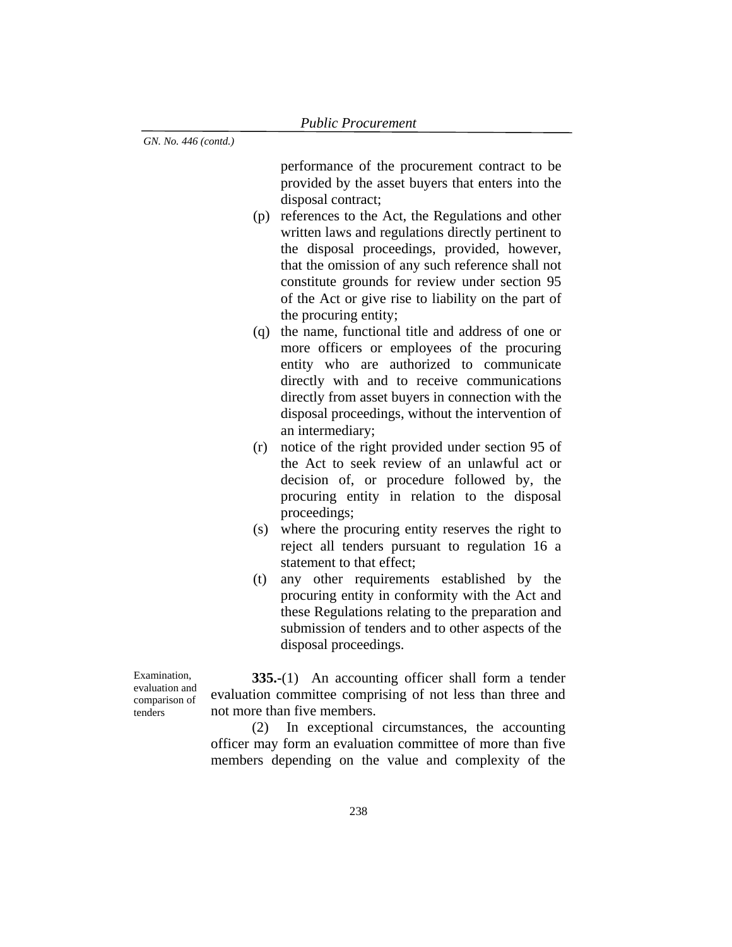performance of the procurement contract to be provided by the asset buyers that enters into the disposal contract;

- (p) references to the Act, the Regulations and other written laws and regulations directly pertinent to the disposal proceedings, provided, however, that the omission of any such reference shall not constitute grounds for review under section 95 of the Act or give rise to liability on the part of the procuring entity;
- (q) the name, functional title and address of one or more officers or employees of the procuring entity who are authorized to communicate directly with and to receive communications directly from asset buyers in connection with the disposal proceedings, without the intervention of an intermediary;
- (r) notice of the right provided under section 95 of the Act to seek review of an unlawful act or decision of, or procedure followed by, the procuring entity in relation to the disposal proceedings;
- (s) where the procuring entity reserves the right to reject all tenders pursuant to regulation 16 a statement to that effect;
- (t) any other requirements established by the procuring entity in conformity with the Act and these Regulations relating to the preparation and submission of tenders and to other aspects of the disposal proceedings.

Examination, evaluation and comparison of tenders

**335.-**(1) An accounting officer shall form a tender evaluation committee comprising of not less than three and not more than five members.

(2) In exceptional circumstances, the accounting officer may form an evaluation committee of more than five members depending on the value and complexity of the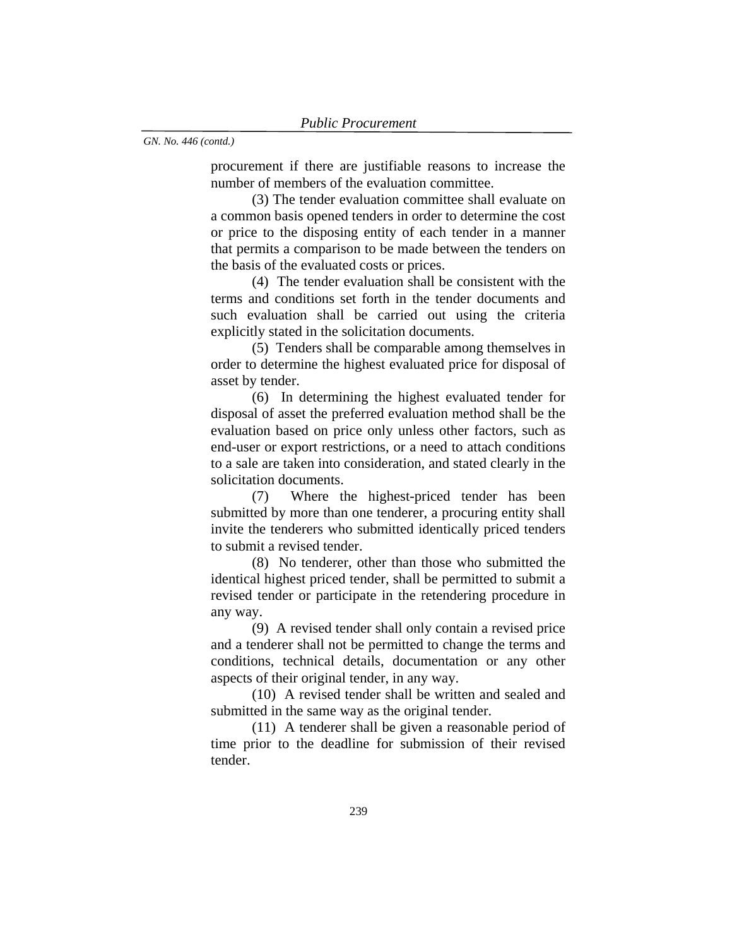procurement if there are justifiable reasons to increase the number of members of the evaluation committee.

(3) The tender evaluation committee shall evaluate on a common basis opened tenders in order to determine the cost or price to the disposing entity of each tender in a manner that permits a comparison to be made between the tenders on the basis of the evaluated costs or prices.

(4) The tender evaluation shall be consistent with the terms and conditions set forth in the tender documents and such evaluation shall be carried out using the criteria explicitly stated in the solicitation documents.

(5) Tenders shall be comparable among themselves in order to determine the highest evaluated price for disposal of asset by tender.

(6) In determining the highest evaluated tender for disposal of asset the preferred evaluation method shall be the evaluation based on price only unless other factors, such as end-user or export restrictions, or a need to attach conditions to a sale are taken into consideration, and stated clearly in the solicitation documents.

(7) Where the highest-priced tender has been submitted by more than one tenderer, a procuring entity shall invite the tenderers who submitted identically priced tenders to submit a revised tender.

(8) No tenderer, other than those who submitted the identical highest priced tender, shall be permitted to submit a revised tender or participate in the retendering procedure in any way.

(9) A revised tender shall only contain a revised price and a tenderer shall not be permitted to change the terms and conditions, technical details, documentation or any other aspects of their original tender, in any way.

(10) A revised tender shall be written and sealed and submitted in the same way as the original tender.

(11) A tenderer shall be given a reasonable period of time prior to the deadline for submission of their revised tender.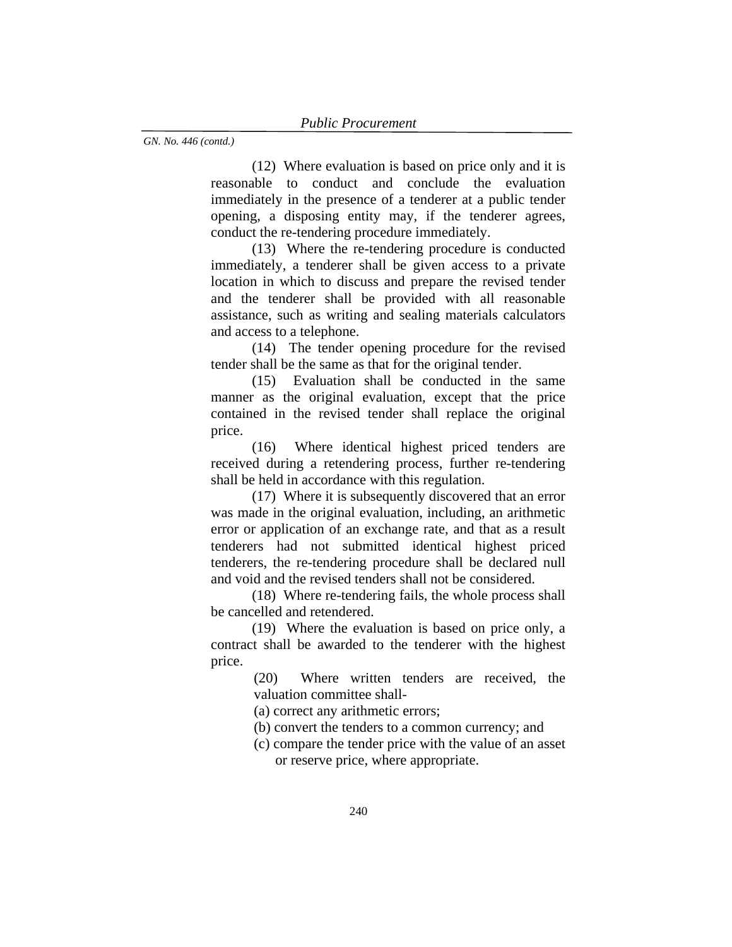(12) Where evaluation is based on price only and it is reasonable to conduct and conclude the evaluation immediately in the presence of a tenderer at a public tender opening, a disposing entity may, if the tenderer agrees, conduct the re-tendering procedure immediately.

(13) Where the re-tendering procedure is conducted immediately, a tenderer shall be given access to a private location in which to discuss and prepare the revised tender and the tenderer shall be provided with all reasonable assistance, such as writing and sealing materials calculators and access to a telephone.

(14) The tender opening procedure for the revised tender shall be the same as that for the original tender.

(15) Evaluation shall be conducted in the same manner as the original evaluation, except that the price contained in the revised tender shall replace the original price.

(16) Where identical highest priced tenders are received during a retendering process, further re-tendering shall be held in accordance with this regulation.

(17) Where it is subsequently discovered that an error was made in the original evaluation, including, an arithmetic error or application of an exchange rate, and that as a result tenderers had not submitted identical highest priced tenderers, the re-tendering procedure shall be declared null and void and the revised tenders shall not be considered.

(18) Where re-tendering fails, the whole process shall be cancelled and retendered.

(19) Where the evaluation is based on price only, a contract shall be awarded to the tenderer with the highest price.

> (20) Where written tenders are received, the valuation committee shall-

(a) correct any arithmetic errors;

(b) convert the tenders to a common currency; and

(c) compare the tender price with the value of an asset or reserve price, where appropriate.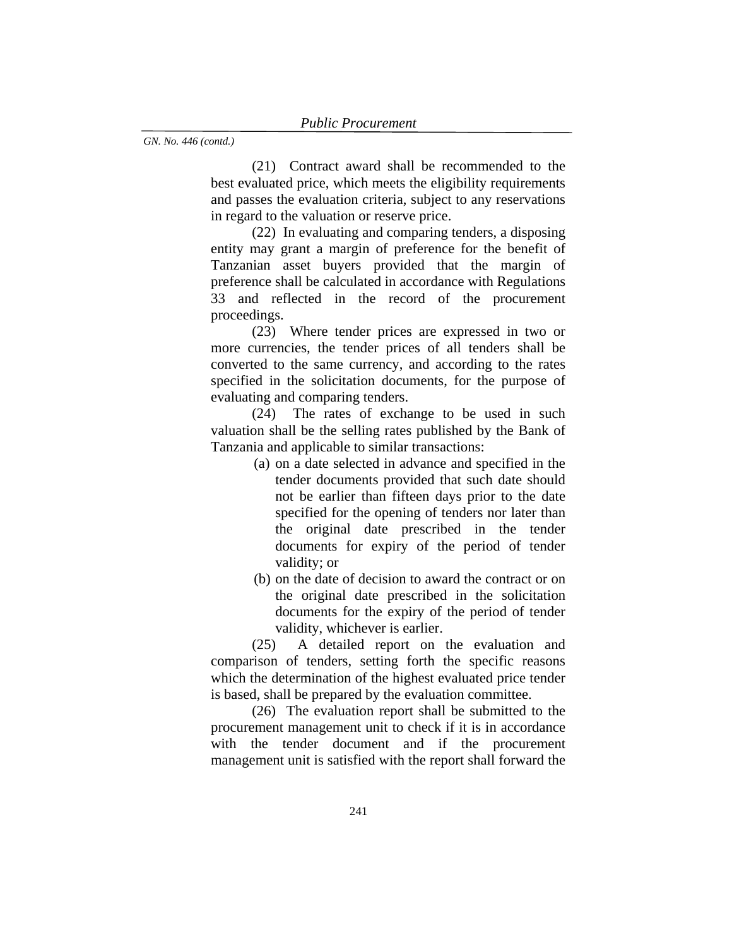(21) Contract award shall be recommended to the best evaluated price, which meets the eligibility requirements and passes the evaluation criteria, subject to any reservations in regard to the valuation or reserve price.

(22) In evaluating and comparing tenders, a disposing entity may grant a margin of preference for the benefit of Tanzanian asset buyers provided that the margin of preference shall be calculated in accordance with Regulations 33 and reflected in the record of the procurement proceedings.

(23) Where tender prices are expressed in two or more currencies, the tender prices of all tenders shall be converted to the same currency, and according to the rates specified in the solicitation documents, for the purpose of evaluating and comparing tenders.

(24) The rates of exchange to be used in such valuation shall be the selling rates published by the Bank of Tanzania and applicable to similar transactions:

- (a) on a date selected in advance and specified in the tender documents provided that such date should not be earlier than fifteen days prior to the date specified for the opening of tenders nor later than the original date prescribed in the tender documents for expiry of the period of tender validity; or
- (b) on the date of decision to award the contract or on the original date prescribed in the solicitation documents for the expiry of the period of tender validity, whichever is earlier.

(25) A detailed report on the evaluation and comparison of tenders, setting forth the specific reasons which the determination of the highest evaluated price tender is based, shall be prepared by the evaluation committee.

(26) The evaluation report shall be submitted to the procurement management unit to check if it is in accordance with the tender document and if the procurement management unit is satisfied with the report shall forward the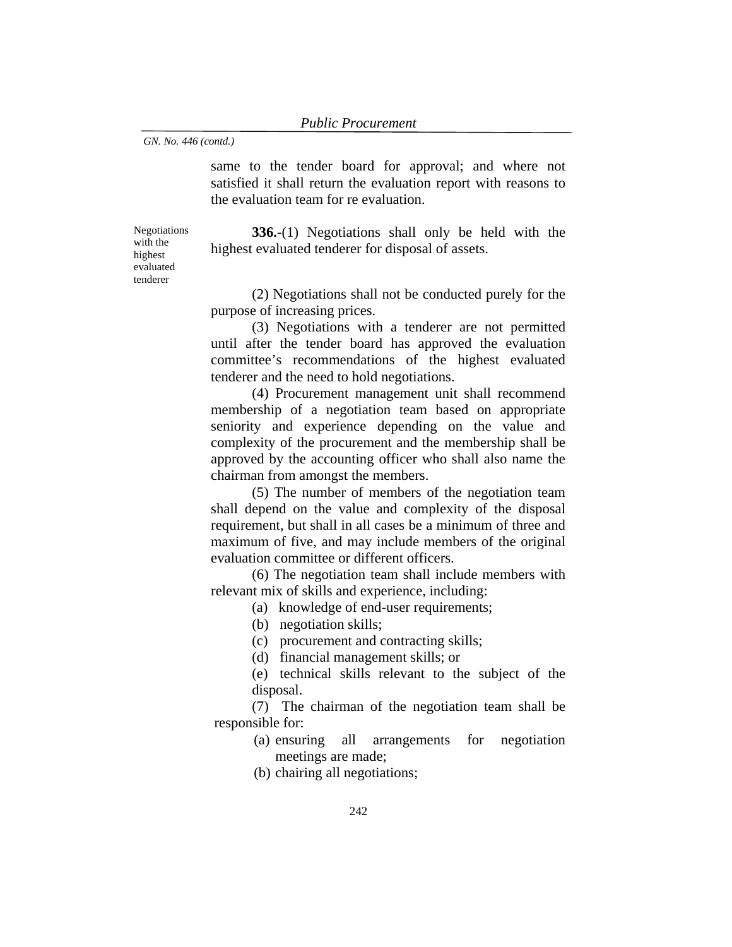tenderer

same to the tender board for approval; and where not satisfied it shall return the evaluation report with reasons to the evaluation team for re evaluation.

Negotiations with the highest evaluated **336.-**(1) Negotiations shall only be held with the highest evaluated tenderer for disposal of assets.

> (2) Negotiations shall not be conducted purely for the purpose of increasing prices.

> (3) Negotiations with a tenderer are not permitted until after the tender board has approved the evaluation committee's recommendations of the highest evaluated tenderer and the need to hold negotiations.

> (4) Procurement management unit shall recommend membership of a negotiation team based on appropriate seniority and experience depending on the value and complexity of the procurement and the membership shall be approved by the accounting officer who shall also name the chairman from amongst the members.

> (5) The number of members of the negotiation team shall depend on the value and complexity of the disposal requirement, but shall in all cases be a minimum of three and maximum of five, and may include members of the original evaluation committee or different officers.

> (6) The negotiation team shall include members with relevant mix of skills and experience, including:

> > (a) knowledge of end-user requirements;

(b) negotiation skills;

(c) procurement and contracting skills;

(d) financial management skills; or

(e) technical skills relevant to the subject of the disposal.

(7) The chairman of the negotiation team shall be responsible for:

> (a) ensuring all arrangements for negotiation meetings are made;

(b) chairing all negotiations;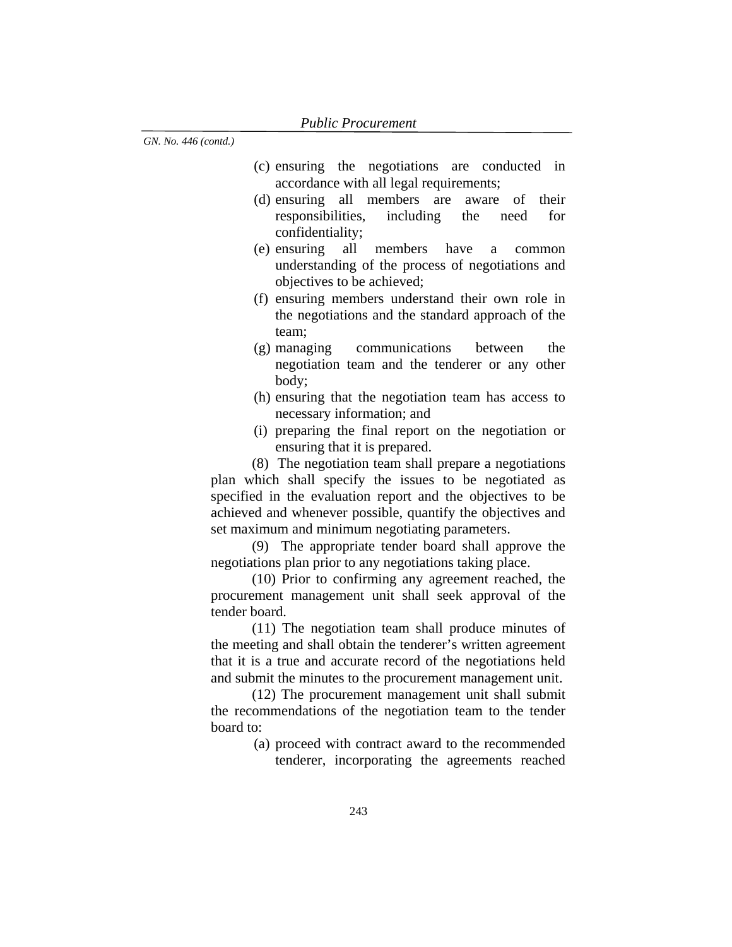- (c) ensuring the negotiations are conducted in accordance with all legal requirements;
- (d) ensuring all members are aware of their responsibilities, including the need for confidentiality;
- (e) ensuring all members have a common understanding of the process of negotiations and objectives to be achieved;
- (f) ensuring members understand their own role in the negotiations and the standard approach of the team;
- (g) managing communications between the negotiation team and the tenderer or any other body;
- (h) ensuring that the negotiation team has access to necessary information; and
- (i) preparing the final report on the negotiation or ensuring that it is prepared.

(8) The negotiation team shall prepare a negotiations plan which shall specify the issues to be negotiated as specified in the evaluation report and the objectives to be achieved and whenever possible, quantify the objectives and set maximum and minimum negotiating parameters.

(9) The appropriate tender board shall approve the negotiations plan prior to any negotiations taking place.

(10) Prior to confirming any agreement reached, the procurement management unit shall seek approval of the tender board.

(11) The negotiation team shall produce minutes of the meeting and shall obtain the tenderer's written agreement that it is a true and accurate record of the negotiations held and submit the minutes to the procurement management unit.

(12) The procurement management unit shall submit the recommendations of the negotiation team to the tender board to:

> (a) proceed with contract award to the recommended tenderer, incorporating the agreements reached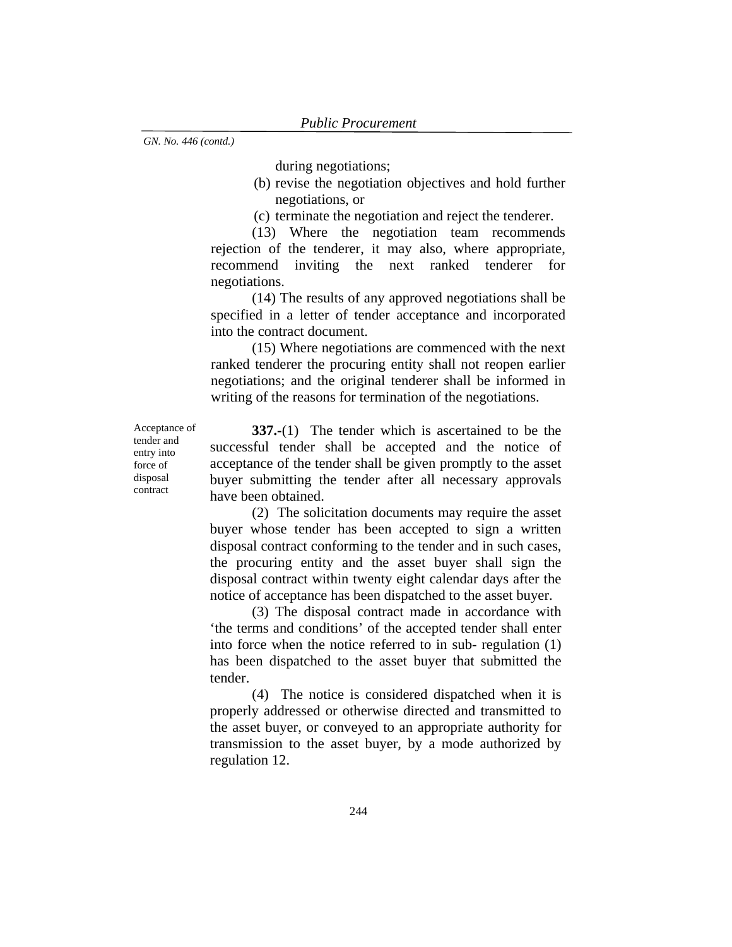during negotiations;

- (b) revise the negotiation objectives and hold further negotiations, or
- (c) terminate the negotiation and reject the tenderer.

(13) Where the negotiation team recommends rejection of the tenderer, it may also, where appropriate, recommend inviting the next ranked tenderer for negotiations.

(14) The results of any approved negotiations shall be specified in a letter of tender acceptance and incorporated into the contract document.

 (15) Where negotiations are commenced with the next ranked tenderer the procuring entity shall not reopen earlier negotiations; and the original tenderer shall be informed in writing of the reasons for termination of the negotiations.

Acceptance of tender and entry into force of disposal contract

**337.-**(1) The tender which is ascertained to be the successful tender shall be accepted and the notice of acceptance of the tender shall be given promptly to the asset buyer submitting the tender after all necessary approvals have been obtained.

 (2) The solicitation documents may require the asset buyer whose tender has been accepted to sign a written disposal contract conforming to the tender and in such cases, the procuring entity and the asset buyer shall sign the disposal contract within twenty eight calendar days after the notice of acceptance has been dispatched to the asset buyer.

 (3) The disposal contract made in accordance with 'the terms and conditions' of the accepted tender shall enter into force when the notice referred to in sub- regulation (1) has been dispatched to the asset buyer that submitted the tender.

 (4) The notice is considered dispatched when it is properly addressed or otherwise directed and transmitted to the asset buyer, or conveyed to an appropriate authority for transmission to the asset buyer, by a mode authorized by regulation 12.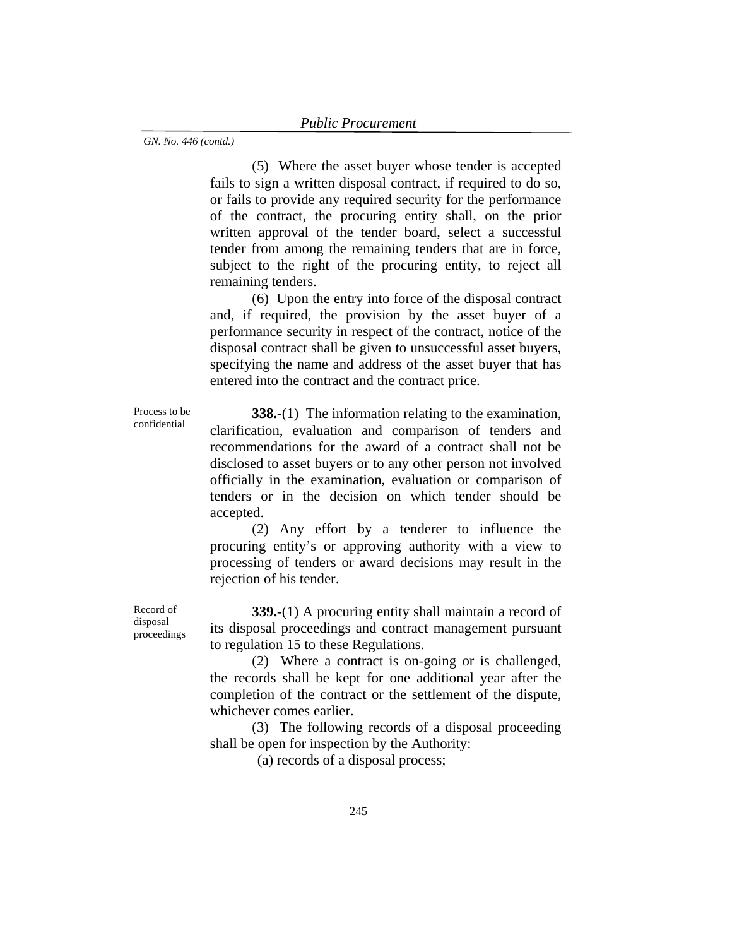(5) Where the asset buyer whose tender is accepted fails to sign a written disposal contract, if required to do so, or fails to provide any required security for the performance of the contract, the procuring entity shall, on the prior written approval of the tender board, select a successful tender from among the remaining tenders that are in force, subject to the right of the procuring entity, to reject all remaining tenders.

 (6) Upon the entry into force of the disposal contract and, if required, the provision by the asset buyer of a performance security in respect of the contract, notice of the disposal contract shall be given to unsuccessful asset buyers, specifying the name and address of the asset buyer that has entered into the contract and the contract price.

Process to be confidential

**338.-**(1) The information relating to the examination, clarification, evaluation and comparison of tenders and recommendations for the award of a contract shall not be disclosed to asset buyers or to any other person not involved officially in the examination, evaluation or comparison of tenders or in the decision on which tender should be accepted.

(2) Any effort by a tenderer to influence the procuring entity's or approving authority with a view to processing of tenders or award decisions may result in the rejection of his tender.

**339.-**(1) A procuring entity shall maintain a record of its disposal proceedings and contract management pursuant to regulation 15 to these Regulations.

(2) Where a contract is on-going or is challenged, the records shall be kept for one additional year after the completion of the contract or the settlement of the dispute, whichever comes earlier.

(3) The following records of a disposal proceeding shall be open for inspection by the Authority:

(a) records of a disposal process;

Record of disposal proceedings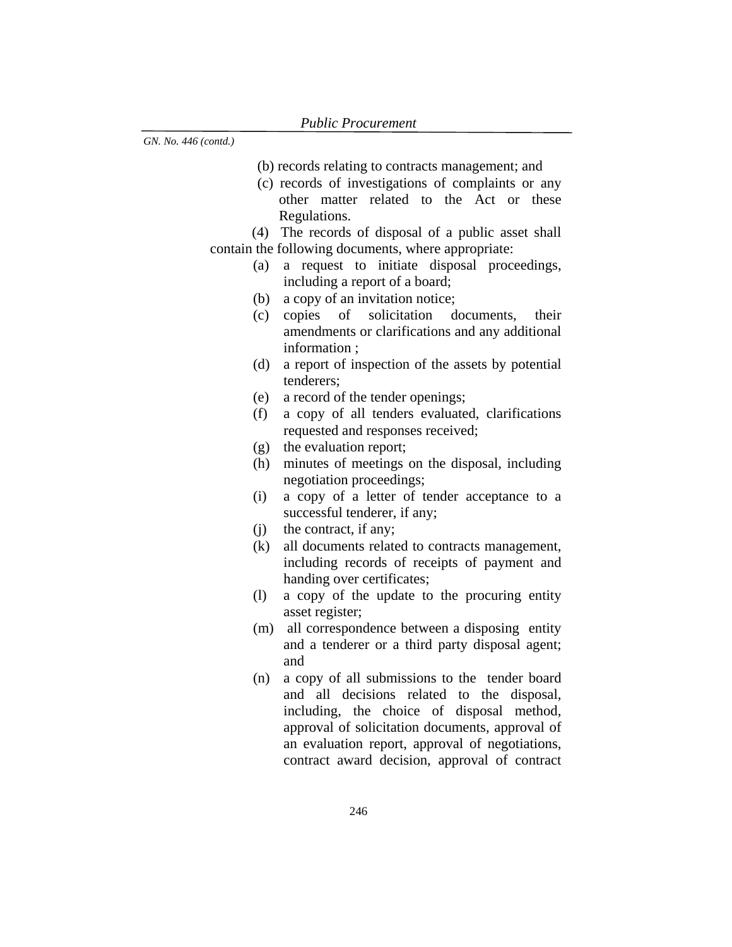- (b) records relating to contracts management; and
- (c) records of investigations of complaints or any other matter related to the Act or these Regulations.
- (4) The records of disposal of a public asset shall contain the following documents, where appropriate:
	- (a) a request to initiate disposal proceedings, including a report of a board;
	- (b) a copy of an invitation notice;
	- (c) copies of solicitation documents, their amendments or clarifications and any additional information ;
	- (d) a report of inspection of the assets by potential tenderers;
	- (e) a record of the tender openings;
	- (f) a copy of all tenders evaluated, clarifications requested and responses received;
	- (g) the evaluation report;
	- (h) minutes of meetings on the disposal, including negotiation proceedings;
	- (i) a copy of a letter of tender acceptance to a successful tenderer, if any;
	- (j) the contract, if any;
	- (k) all documents related to contracts management, including records of receipts of payment and handing over certificates;
	- (l) a copy of the update to the procuring entity asset register;
	- (m) all correspondence between a disposing entity and a tenderer or a third party disposal agent; and
	- (n) a copy of all submissions to the tender board and all decisions related to the disposal, including, the choice of disposal method, approval of solicitation documents, approval of an evaluation report, approval of negotiations, contract award decision, approval of contract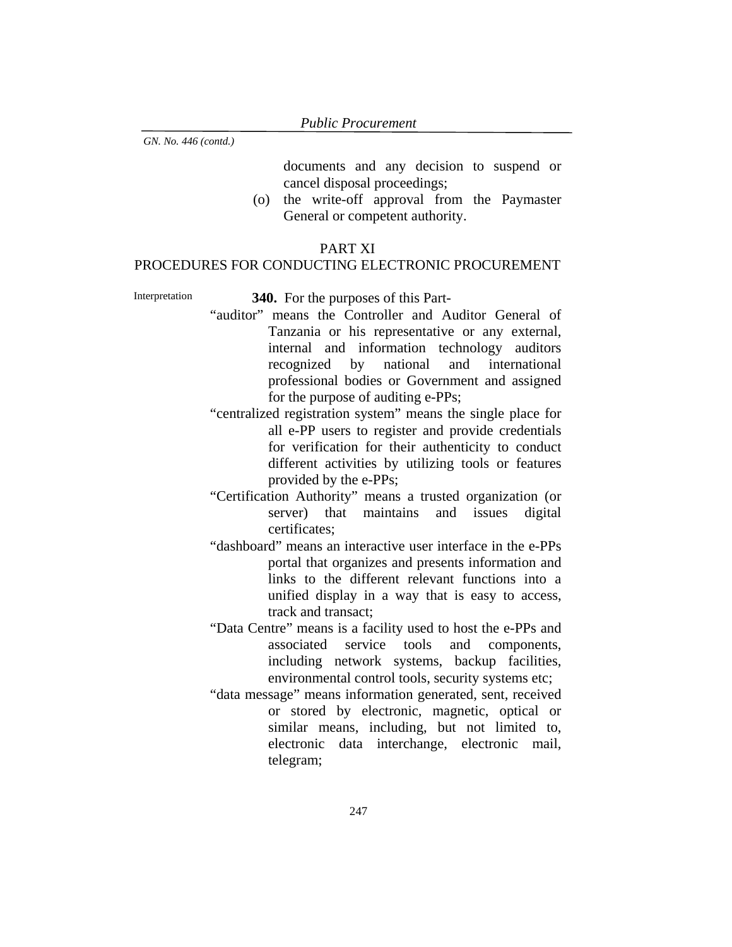documents and any decision to suspend or cancel disposal proceedings;

(o) the write-off approval from the Paymaster General or competent authority.

## PART XI

# PROCEDURES FOR CONDUCTING ELECTRONIC PROCUREMENT

- Interpretation **340.** For the purposes of this Part-
	- "auditor" means the Controller and Auditor General of Tanzania or his representative or any external, internal and information technology auditors recognized by national and international professional bodies or Government and assigned for the purpose of auditing e-PPs;
	- "centralized registration system" means the single place for all e-PP users to register and provide credentials for verification for their authenticity to conduct different activities by utilizing tools or features provided by the e-PPs;
	- "Certification Authority" means a trusted organization (or server) that maintains and issues digital certificates;
	- "dashboard" means an interactive user interface in the e-PPs portal that organizes and presents information and links to the different relevant functions into a unified display in a way that is easy to access, track and transact;
	- "Data Centre" means is a facility used to host the e-PPs and associated service tools and components, including network systems, backup facilities, environmental control tools, security systems etc;
	- "data message" means information generated, sent, received or stored by electronic, magnetic, optical or similar means, including, but not limited to, electronic data interchange, electronic mail, telegram;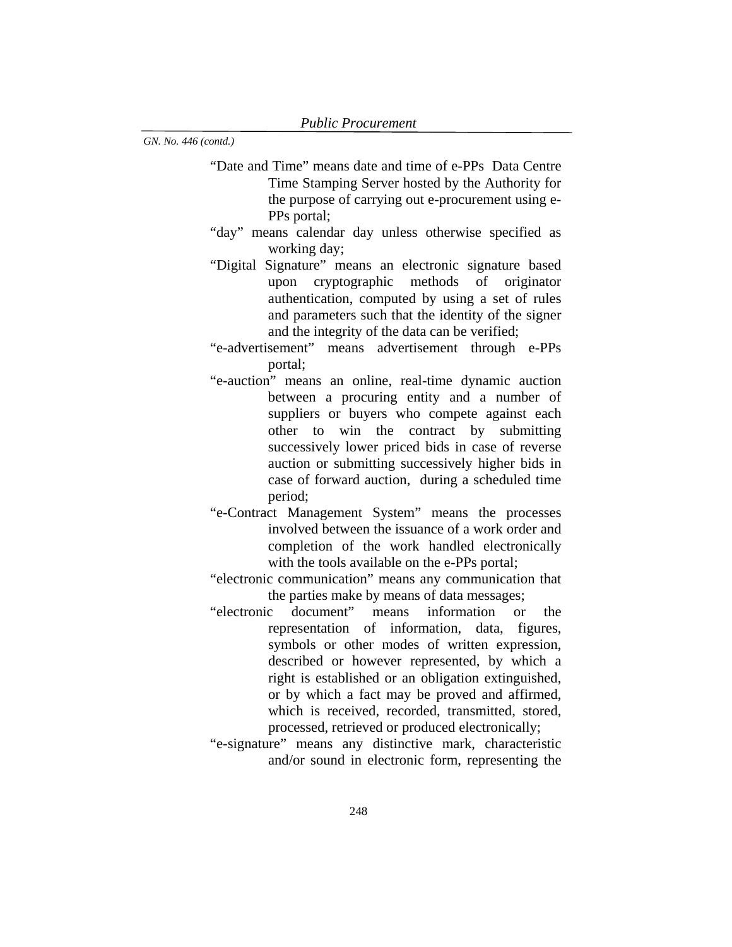- "Date and Time" means date and time of e-PPs Data Centre Time Stamping Server hosted by the Authority for the purpose of carrying out e-procurement using e-PPs portal;
- "day" means calendar day unless otherwise specified as working day;
- "Digital Signature" means an electronic signature based upon cryptographic methods of originator authentication, computed by using a set of rules and parameters such that the identity of the signer and the integrity of the data can be verified;
- "e-advertisement" means advertisement through e-PPs portal;
- "e-auction" means an online, real-time dynamic auction between a procuring entity and a number of suppliers or buyers who compete against each other to win the contract by submitting successively lower priced bids in case of reverse auction or submitting successively higher bids in case of forward auction, during a scheduled time period;
- "e-Contract Management System" means the processes involved between the issuance of a work order and completion of the work handled electronically with the tools available on the e-PPs portal;
- "electronic communication" means any communication that the parties make by means of data messages;
- "electronic document" means information or the representation of information, data, figures, symbols or other modes of written expression, described or however represented, by which a right is established or an obligation extinguished, or by which a fact may be proved and affirmed, which is received, recorded, transmitted, stored, processed, retrieved or produced electronically;
- "e-signature" means any distinctive mark, characteristic and/or sound in electronic form, representing the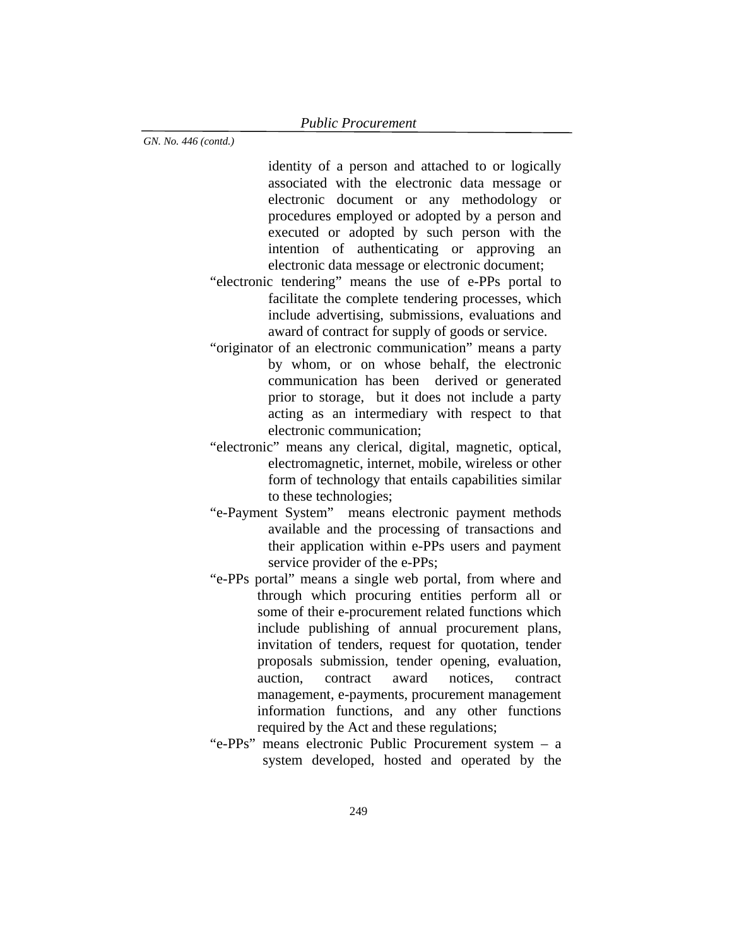identity of a person and attached to or logically associated with the electronic data message or electronic document or any methodology or procedures employed or adopted by a person and executed or adopted by such person with the intention of authenticating or approving an electronic data message or electronic document;

- "electronic tendering" means the use of e-PPs portal to facilitate the complete tendering processes, which include advertising, submissions, evaluations and award of contract for supply of goods or service.
- "originator of an electronic communication" means a party by whom, or on whose behalf, the electronic communication has been derived or generated prior to storage, but it does not include a party acting as an intermediary with respect to that electronic communication;
- "electronic" means any clerical, digital, magnetic, optical, electromagnetic, internet, mobile, wireless or other form of technology that entails capabilities similar to these technologies;
- "e-Payment System" means electronic payment methods available and the processing of transactions and their application within e-PPs users and payment service provider of the e-PPs;
- "e-PPs portal" means a single web portal, from where and through which procuring entities perform all or some of their e-procurement related functions which include publishing of annual procurement plans, invitation of tenders, request for quotation, tender proposals submission, tender opening, evaluation, auction, contract award notices, contract management, e-payments, procurement management information functions, and any other functions required by the Act and these regulations;
- "e-PPs" means electronic Public Procurement system a system developed, hosted and operated by the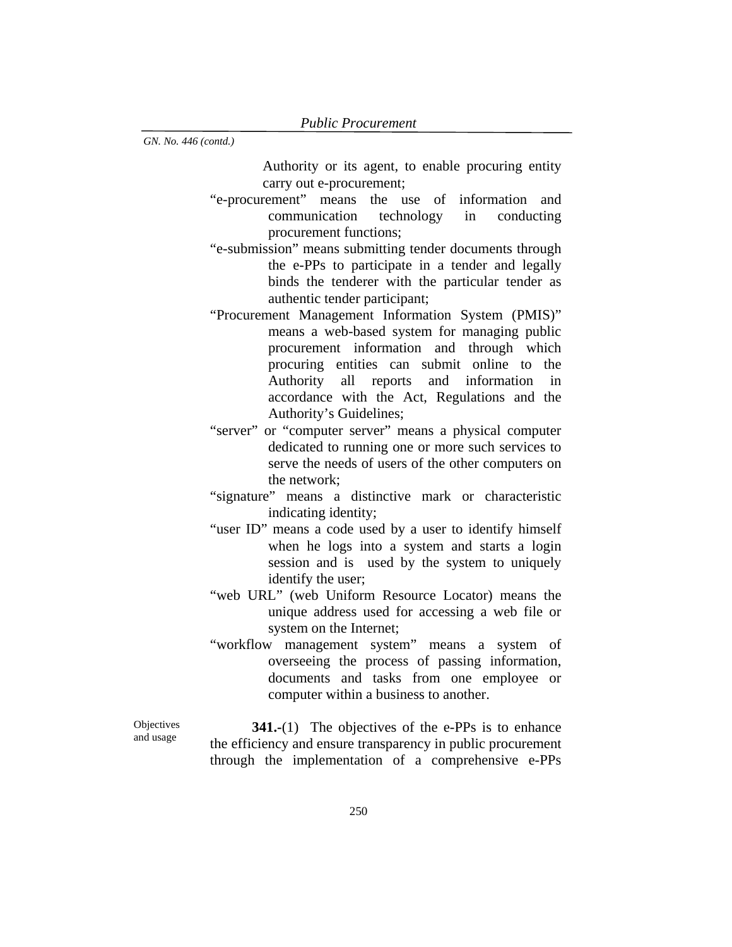Authority or its agent, to enable procuring entity carry out e-procurement;

- "e-procurement" means the use of information and communication technology in conducting procurement functions;
- "e-submission" means submitting tender documents through the e-PPs to participate in a tender and legally binds the tenderer with the particular tender as authentic tender participant;
- "Procurement Management Information System (PMIS)" means a web-based system for managing public procurement information and through which procuring entities can submit online to the Authority all reports and information in accordance with the Act, Regulations and the Authority's Guidelines;
- "server" or "computer server" means a physical computer dedicated to running one or more such services to serve the needs of users of the other computers on the network;
- "signature" means a distinctive mark or characteristic indicating identity;
- "user ID" means a code used by a user to identify himself when he logs into a system and starts a login session and is used by the system to uniquely identify the user;
- "web URL" (web Uniform Resource Locator) means the unique address used for accessing a web file or system on the Internet;
- "workflow management system" means a system of overseeing the process of passing information, documents and tasks from one employee or computer within a business to another.

**Objectives** and usage

**341.-**(1) The objectives of the e-PPs is to enhance the efficiency and ensure transparency in public procurement through the implementation of a comprehensive e-PPs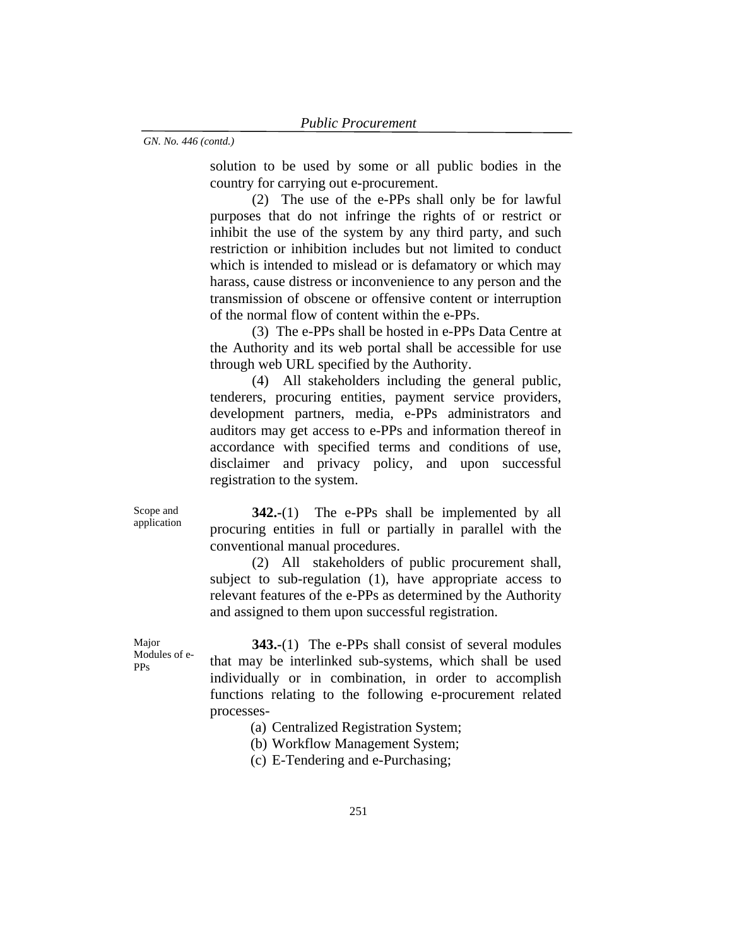solution to be used by some or all public bodies in the country for carrying out e-procurement.

 (2) The use of the e-PPs shall only be for lawful purposes that do not infringe the rights of or restrict or inhibit the use of the system by any third party, and such restriction or inhibition includes but not limited to conduct which is intended to mislead or is defamatory or which may harass, cause distress or inconvenience to any person and the transmission of obscene or offensive content or interruption of the normal flow of content within the e-PPs.

 (3) The e-PPs shall be hosted in e-PPs Data Centre at the Authority and its web portal shall be accessible for use through web URL specified by the Authority.

 (4) All stakeholders including the general public, tenderers, procuring entities, payment service providers, development partners, media, e-PPs administrators and auditors may get access to e-PPs and information thereof in accordance with specified terms and conditions of use, disclaimer and privacy policy, and upon successful registration to the system.

Scope and application

**342.-**(1) The e-PPs shall be implemented by all procuring entities in full or partially in parallel with the conventional manual procedures.

(2) All stakeholders of public procurement shall, subject to sub-regulation (1), have appropriate access to relevant features of the e-PPs as determined by the Authority and assigned to them upon successful registration.

Major Modules of e-PPs

**343.-**(1) The e-PPs shall consist of several modules that may be interlinked sub-systems, which shall be used individually or in combination, in order to accomplish functions relating to the following e-procurement related processes-

(a) Centralized Registration System;

(b) Workflow Management System;

(c) E-Tendering and e-Purchasing;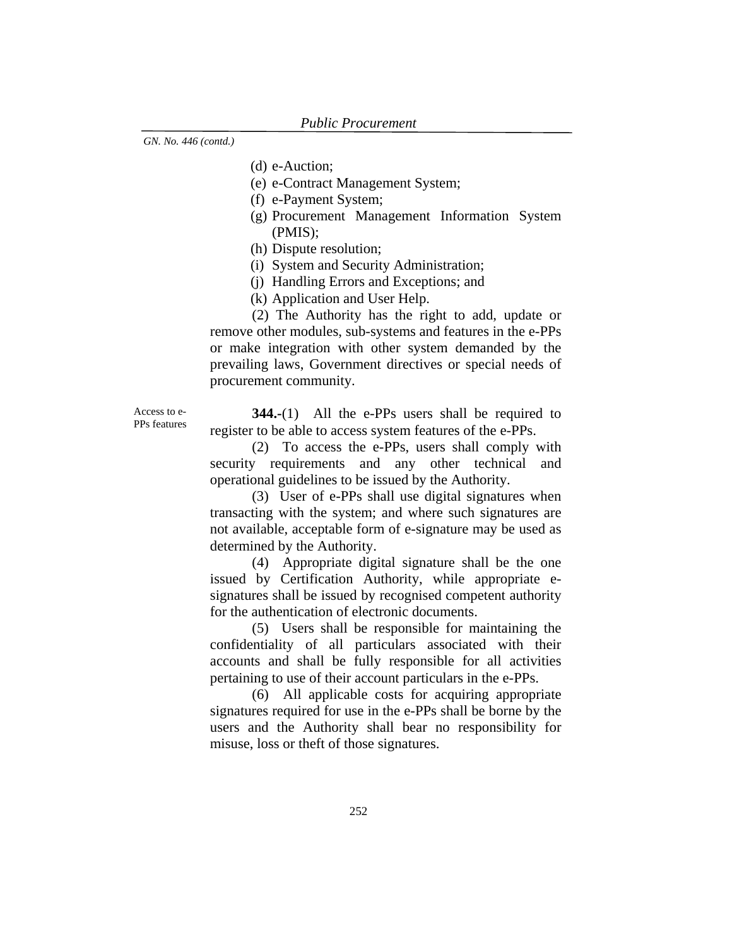- (d) e-Auction;
- (e) e-Contract Management System;
- (f) e-Payment System;
- (g) Procurement Management Information System (PMIS);
- (h) Dispute resolution;
- (i) System and Security Administration;
- (j) Handling Errors and Exceptions; and
- (k) Application and User Help.

(2) The Authority has the right to add, update or remove other modules, sub-systems and features in the e-PPs or make integration with other system demanded by the prevailing laws, Government directives or special needs of procurement community.

Access to e-PPs features

**344.**-(1) All the e-PPs users shall be required to register to be able to access system features of the e-PPs.

(2) To access the e-PPs, users shall comply with security requirements and any other technical and operational guidelines to be issued by the Authority.

(3) User of e-PPs shall use digital signatures when transacting with the system; and where such signatures are not available, acceptable form of e-signature may be used as determined by the Authority.

(4) Appropriate digital signature shall be the one issued by Certification Authority, while appropriate esignatures shall be issued by recognised competent authority for the authentication of electronic documents.

(5) Users shall be responsible for maintaining the confidentiality of all particulars associated with their accounts and shall be fully responsible for all activities pertaining to use of their account particulars in the e-PPs.

(6) All applicable costs for acquiring appropriate signatures required for use in the e-PPs shall be borne by the users and the Authority shall bear no responsibility for misuse, loss or theft of those signatures.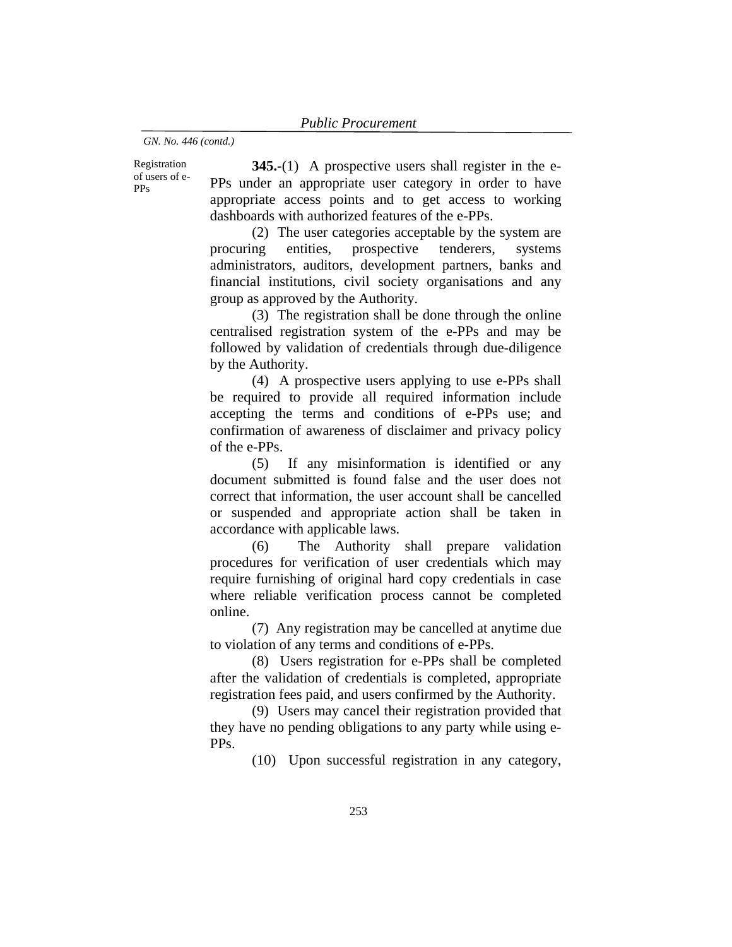Registration of users of e-PPs

**345.-**(1) A prospective users shall register in the e-PPs under an appropriate user category in order to have appropriate access points and to get access to working dashboards with authorized features of the e-PPs.

(2) The user categories acceptable by the system are procuring entities, prospective tenderers, systems administrators, auditors, development partners, banks and financial institutions, civil society organisations and any group as approved by the Authority.

(3) The registration shall be done through the online centralised registration system of the e-PPs and may be followed by validation of credentials through due-diligence by the Authority.

(4) A prospective users applying to use e-PPs shall be required to provide all required information include accepting the terms and conditions of e-PPs use; and confirmation of awareness of disclaimer and privacy policy of the e-PPs.

(5) If any misinformation is identified or any document submitted is found false and the user does not correct that information, the user account shall be cancelled or suspended and appropriate action shall be taken in accordance with applicable laws.

(6) The Authority shall prepare validation procedures for verification of user credentials which may require furnishing of original hard copy credentials in case where reliable verification process cannot be completed online.

(7) Any registration may be cancelled at anytime due to violation of any terms and conditions of e-PPs.

(8) Users registration for e-PPs shall be completed after the validation of credentials is completed, appropriate registration fees paid, and users confirmed by the Authority.

(9) Users may cancel their registration provided that they have no pending obligations to any party while using e-PPs.

(10) Upon successful registration in any category,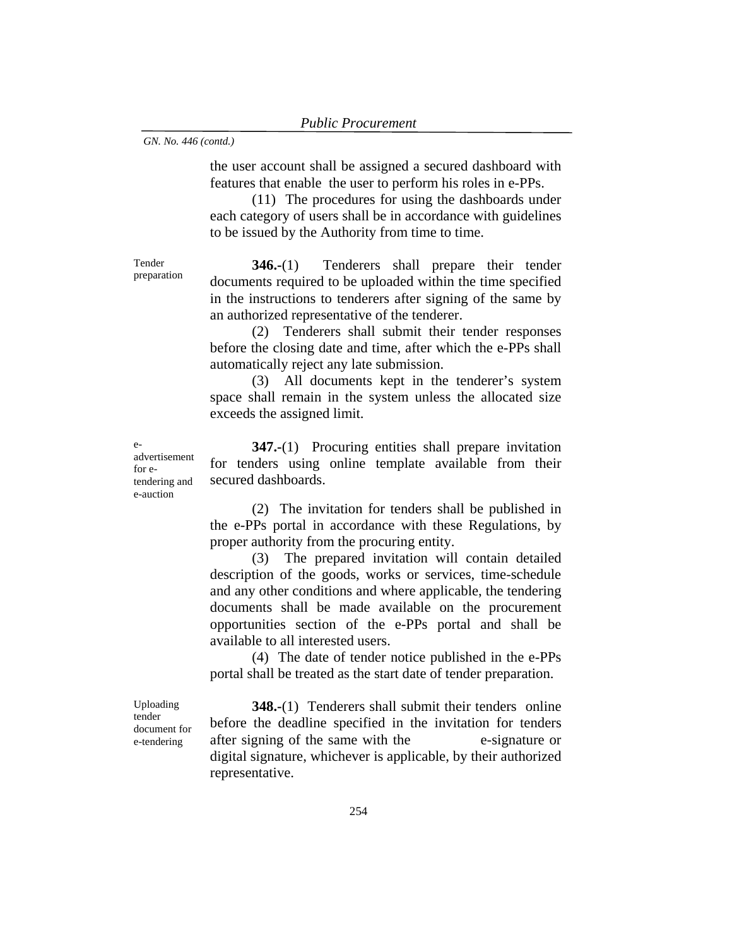the user account shall be assigned a secured dashboard with features that enable the user to perform his roles in e-PPs.

(11) The procedures for using the dashboards under each category of users shall be in accordance with guidelines to be issued by the Authority from time to time.

**346.-**(1) Tenderers shall prepare their tender documents required to be uploaded within the time specified in the instructions to tenderers after signing of the same by an authorized representative of the tenderer.

(2) Tenderers shall submit their tender responses before the closing date and time, after which the e-PPs shall automatically reject any late submission.

(3) All documents kept in the tenderer's system space shall remain in the system unless the allocated size exceeds the assigned limit.

**347.-**(1) Procuring entities shall prepare invitation for tenders using online template available from their secured dashboards.

(2) The invitation for tenders shall be published in the e-PPs portal in accordance with these Regulations, by proper authority from the procuring entity.

(3) The prepared invitation will contain detailed description of the goods, works or services, time-schedule and any other conditions and where applicable, the tendering documents shall be made available on the procurement opportunities section of the e-PPs portal and shall be available to all interested users.

(4) The date of tender notice published in the e-PPs portal shall be treated as the start date of tender preparation.

Uploading tender document for e-tendering

**348.-**(1) Tenderers shall submit their tenders online before the deadline specified in the invitation for tenders after signing of the same with the e-signature or digital signature, whichever is applicable, by their authorized representative.

eadvertisement for etendering and e-auction

Tender preparation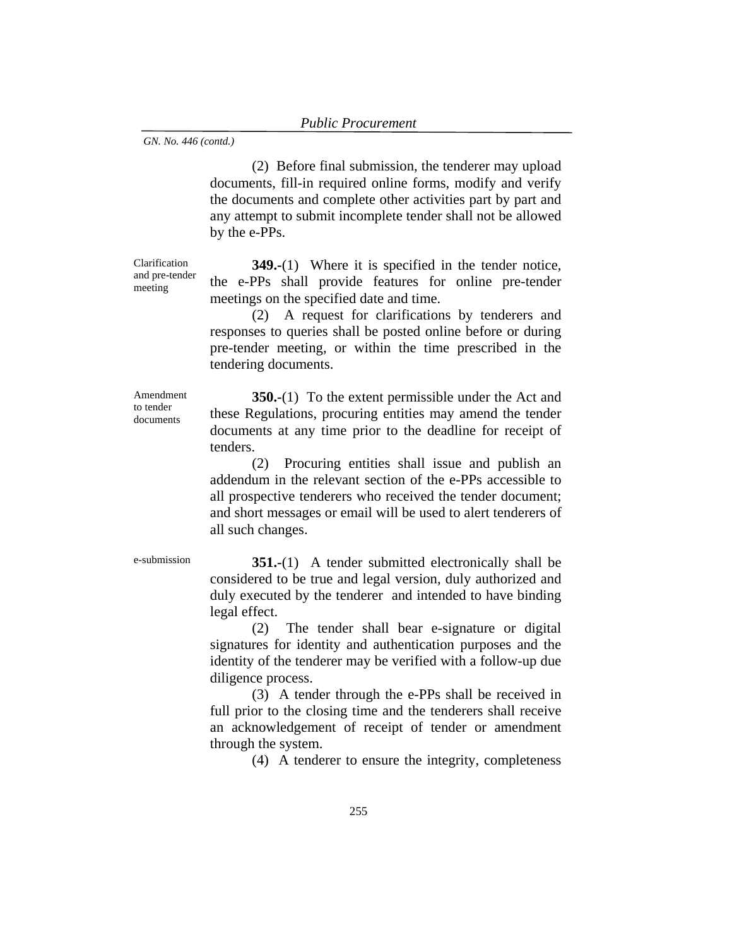(2) Before final submission, the tenderer may upload documents, fill-in required online forms, modify and verify the documents and complete other activities part by part and any attempt to submit incomplete tender shall not be allowed by the e-PPs.

Clarification and pre-tender meeting

**349.-**(1) Where it is specified in the tender notice, the e-PPs shall provide features for online pre-tender meetings on the specified date and time.

(2) A request for clarifications by tenderers and responses to queries shall be posted online before or during pre-tender meeting, or within the time prescribed in the tendering documents.

Amendment to tender documents

**350.-**(1) To the extent permissible under the Act and these Regulations, procuring entities may amend the tender documents at any time prior to the deadline for receipt of tenders.

(2) Procuring entities shall issue and publish an addendum in the relevant section of the e-PPs accessible to all prospective tenderers who received the tender document; and short messages or email will be used to alert tenderers of all such changes.

e-submission **351.-**(1) A tender submitted electronically shall be considered to be true and legal version, duly authorized and duly executed by the tenderer and intended to have binding legal effect.

> (2) The tender shall bear e-signature or digital signatures for identity and authentication purposes and the identity of the tenderer may be verified with a follow-up due diligence process.

> (3) A tender through the e-PPs shall be received in full prior to the closing time and the tenderers shall receive an acknowledgement of receipt of tender or amendment through the system.

> > (4) A tenderer to ensure the integrity, completeness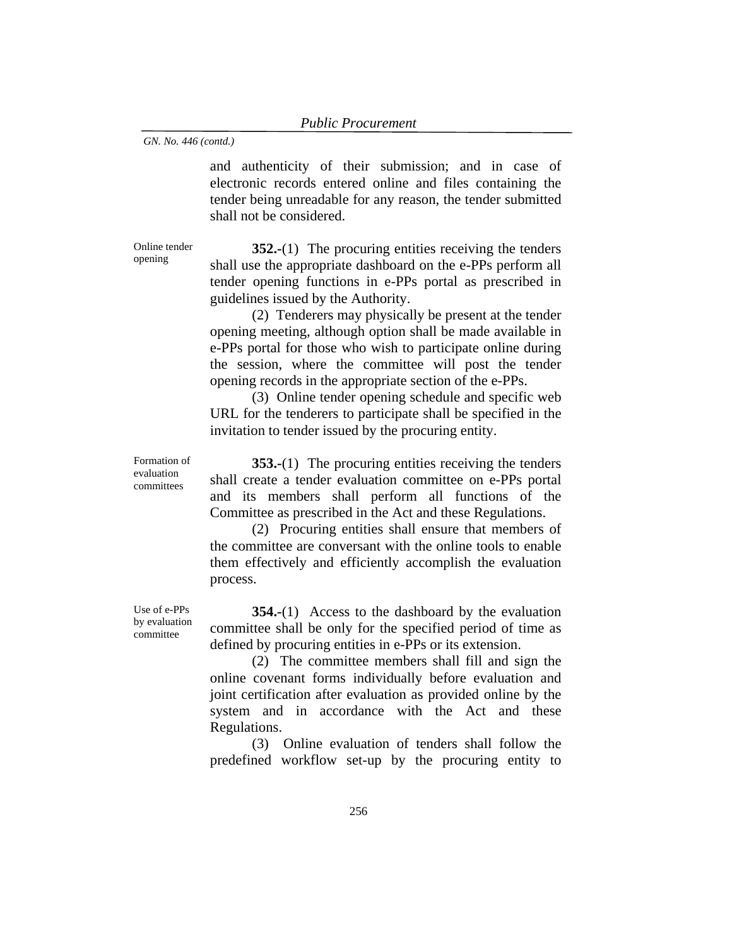and authenticity of their submission; and in case of electronic records entered online and files containing the tender being unreadable for any reason, the tender submitted shall not be considered.

**352.-**(1) The procuring entities receiving the tenders shall use the appropriate dashboard on the e-PPs perform all tender opening functions in e-PPs portal as prescribed in guidelines issued by the Authority.

(2) Tenderers may physically be present at the tender opening meeting, although option shall be made available in e-PPs portal for those who wish to participate online during the session, where the committee will post the tender opening records in the appropriate section of the e-PPs.

(3) Online tender opening schedule and specific web URL for the tenderers to participate shall be specified in the invitation to tender issued by the procuring entity.

Formation of evaluation committees

Online tender opening

> **353.-**(1) The procuring entities receiving the tenders shall create a tender evaluation committee on e-PPs portal and its members shall perform all functions of the Committee as prescribed in the Act and these Regulations.

> (2) Procuring entities shall ensure that members of the committee are conversant with the online tools to enable them effectively and efficiently accomplish the evaluation process.

Use of e-PPs by evaluation committee

**354.-**(1) Access to the dashboard by the evaluation committee shall be only for the specified period of time as defined by procuring entities in e-PPs or its extension.

(2) The committee members shall fill and sign the online covenant forms individually before evaluation and joint certification after evaluation as provided online by the system and in accordance with the Act and these Regulations.

(3) Online evaluation of tenders shall follow the predefined workflow set-up by the procuring entity to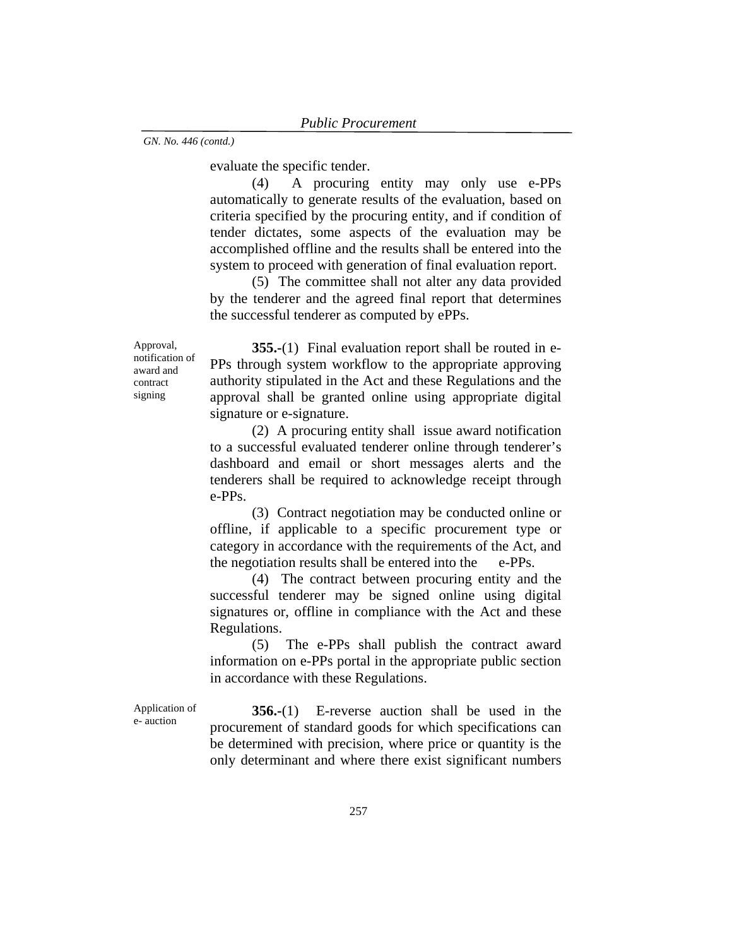evaluate the specific tender.

(4) A procuring entity may only use e-PPs automatically to generate results of the evaluation, based on criteria specified by the procuring entity, and if condition of tender dictates, some aspects of the evaluation may be accomplished offline and the results shall be entered into the system to proceed with generation of final evaluation report.

(5) The committee shall not alter any data provided by the tenderer and the agreed final report that determines the successful tenderer as computed by ePPs.

Approval, notification of award and contract signing

**355.-**(1) Final evaluation report shall be routed in e-PPs through system workflow to the appropriate approving authority stipulated in the Act and these Regulations and the approval shall be granted online using appropriate digital signature or e-signature.

(2) A procuring entity shall issue award notification to a successful evaluated tenderer online through tenderer's dashboard and email or short messages alerts and the tenderers shall be required to acknowledge receipt through e-PPs.

(3) Contract negotiation may be conducted online or offline, if applicable to a specific procurement type or category in accordance with the requirements of the Act, and the negotiation results shall be entered into the e-PPs.

(4) The contract between procuring entity and the successful tenderer may be signed online using digital signatures or, offline in compliance with the Act and these Regulations.

(5) The e-PPs shall publish the contract award information on e-PPs portal in the appropriate public section in accordance with these Regulations.

Application of e- auction

**356.-**(1) E-reverse auction shall be used in the procurement of standard goods for which specifications can be determined with precision, where price or quantity is the only determinant and where there exist significant numbers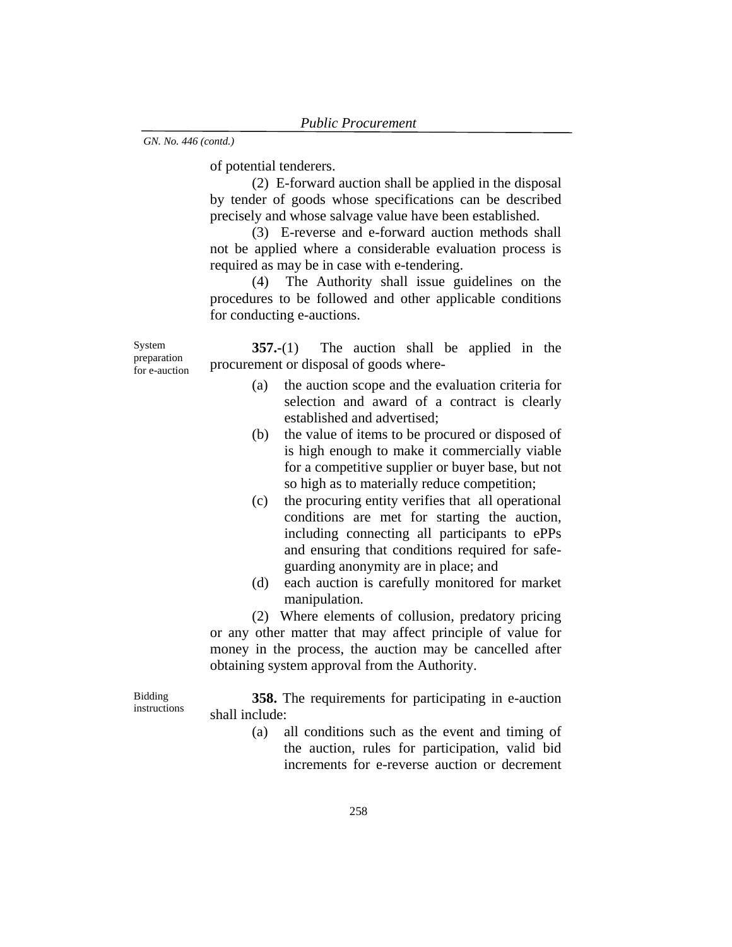of potential tenderers.

(2) E-forward auction shall be applied in the disposal by tender of goods whose specifications can be described precisely and whose salvage value have been established.

(3) E-reverse and e-forward auction methods shall not be applied where a considerable evaluation process is required as may be in case with e-tendering.

(4) The Authority shall issue guidelines on the procedures to be followed and other applicable conditions for conducting e-auctions.

System preparation for e-auction **357.-**(1) The auction shall be applied in the procurement or disposal of goods where-

- (a) the auction scope and the evaluation criteria for selection and award of a contract is clearly established and advertised;
- (b) the value of items to be procured or disposed of is high enough to make it commercially viable for a competitive supplier or buyer base, but not so high as to materially reduce competition;
- (c) the procuring entity verifies that all operational conditions are met for starting the auction, including connecting all participants to ePPs and ensuring that conditions required for safeguarding anonymity are in place; and
- (d) each auction is carefully monitored for market manipulation.

(2) Where elements of collusion, predatory pricing or any other matter that may affect principle of value for money in the process, the auction may be cancelled after obtaining system approval from the Authority.

Bidding instructions

**358.** The requirements for participating in e-auction shall include:

> (a) all conditions such as the event and timing of the auction, rules for participation, valid bid increments for e-reverse auction or decrement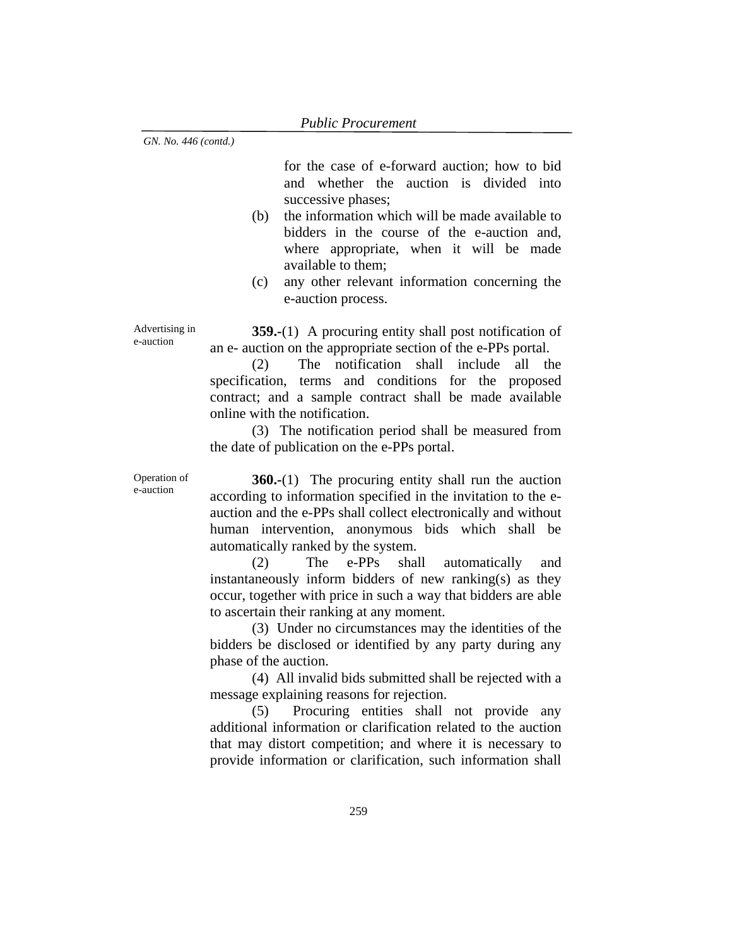for the case of e-forward auction; how to bid and whether the auction is divided into successive phases;

- (b) the information which will be made available to bidders in the course of the e-auction and, where appropriate, when it will be made available to them;
- (c) any other relevant information concerning the e-auction process.

Advertising in e-auction

**359.-**(1) A procuring entity shall post notification of an e- auction on the appropriate section of the e-PPs portal.

(2) The notification shall include all the specification, terms and conditions for the proposed contract; and a sample contract shall be made available online with the notification.

(3) The notification period shall be measured from the date of publication on the e-PPs portal.

Operation of e-auction

**360.-**(1) The procuring entity shall run the auction according to information specified in the invitation to the eauction and the e-PPs shall collect electronically and without human intervention, anonymous bids which shall be automatically ranked by the system.

(2) The e-PPs shall automatically and instantaneously inform bidders of new ranking(s) as they occur, together with price in such a way that bidders are able to ascertain their ranking at any moment.

(3) Under no circumstances may the identities of the bidders be disclosed or identified by any party during any phase of the auction.

(4) All invalid bids submitted shall be rejected with a message explaining reasons for rejection.

(5) Procuring entities shall not provide any additional information or clarification related to the auction that may distort competition; and where it is necessary to provide information or clarification, such information shall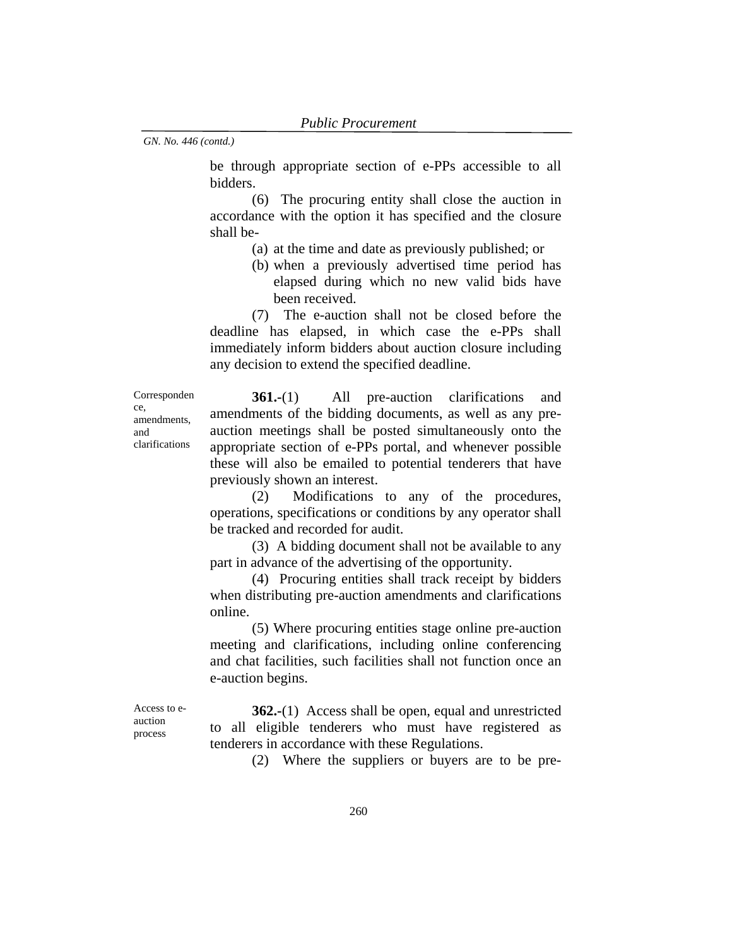be through appropriate section of e-PPs accessible to all bidders.

(6) The procuring entity shall close the auction in accordance with the option it has specified and the closure shall be-

- (a) at the time and date as previously published; or
- (b) when a previously advertised time period has elapsed during which no new valid bids have been received.

(7) The e-auction shall not be closed before the deadline has elapsed, in which case the e-PPs shall immediately inform bidders about auction closure including any decision to extend the specified deadline.

Corresponden ce, amendments, and clarifications

**361.-**(1) All pre-auction clarifications and amendments of the bidding documents, as well as any preauction meetings shall be posted simultaneously onto the appropriate section of e-PPs portal, and whenever possible these will also be emailed to potential tenderers that have previously shown an interest.

(2) Modifications to any of the procedures, operations, specifications or conditions by any operator shall be tracked and recorded for audit.

(3) A bidding document shall not be available to any part in advance of the advertising of the opportunity.

(4) Procuring entities shall track receipt by bidders when distributing pre-auction amendments and clarifications online.

(5) Where procuring entities stage online pre-auction meeting and clarifications, including online conferencing and chat facilities, such facilities shall not function once an e-auction begins.

Access to eauction process

**362.-**(1) Access shall be open, equal and unrestricted to all eligible tenderers who must have registered as tenderers in accordance with these Regulations.

(2) Where the suppliers or buyers are to be pre-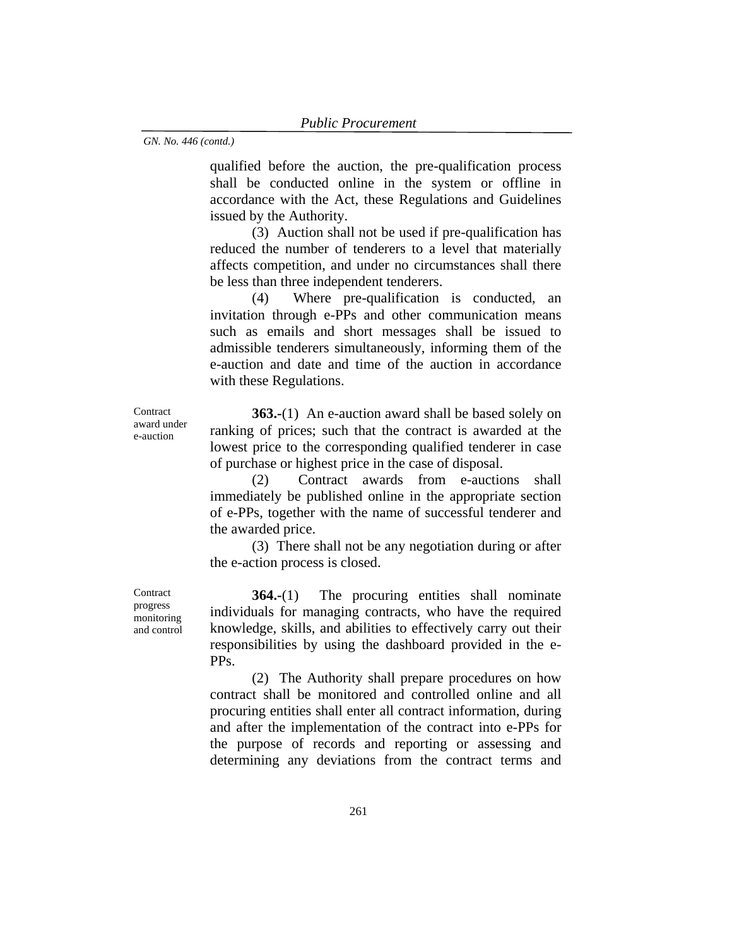qualified before the auction, the pre-qualification process shall be conducted online in the system or offline in accordance with the Act, these Regulations and Guidelines issued by the Authority.

(3) Auction shall not be used if pre-qualification has reduced the number of tenderers to a level that materially affects competition, and under no circumstances shall there be less than three independent tenderers.

(4) Where pre-qualification is conducted, an invitation through e-PPs and other communication means such as emails and short messages shall be issued to admissible tenderers simultaneously, informing them of the e-auction and date and time of the auction in accordance with these Regulations.

**Contract** award under e-auction

**Contract** progress monitoring and control

**363.-**(1) An e-auction award shall be based solely on ranking of prices; such that the contract is awarded at the lowest price to the corresponding qualified tenderer in case of purchase or highest price in the case of disposal.

(2) Contract awards from e-auctions shall immediately be published online in the appropriate section of e-PPs, together with the name of successful tenderer and the awarded price.

(3) There shall not be any negotiation during or after the e-action process is closed.

**364.-**(1) The procuring entities shall nominate individuals for managing contracts, who have the required knowledge, skills, and abilities to effectively carry out their responsibilities by using the dashboard provided in the e-PPs.

(2) The Authority shall prepare procedures on how contract shall be monitored and controlled online and all procuring entities shall enter all contract information, during and after the implementation of the contract into e-PPs for the purpose of records and reporting or assessing and determining any deviations from the contract terms and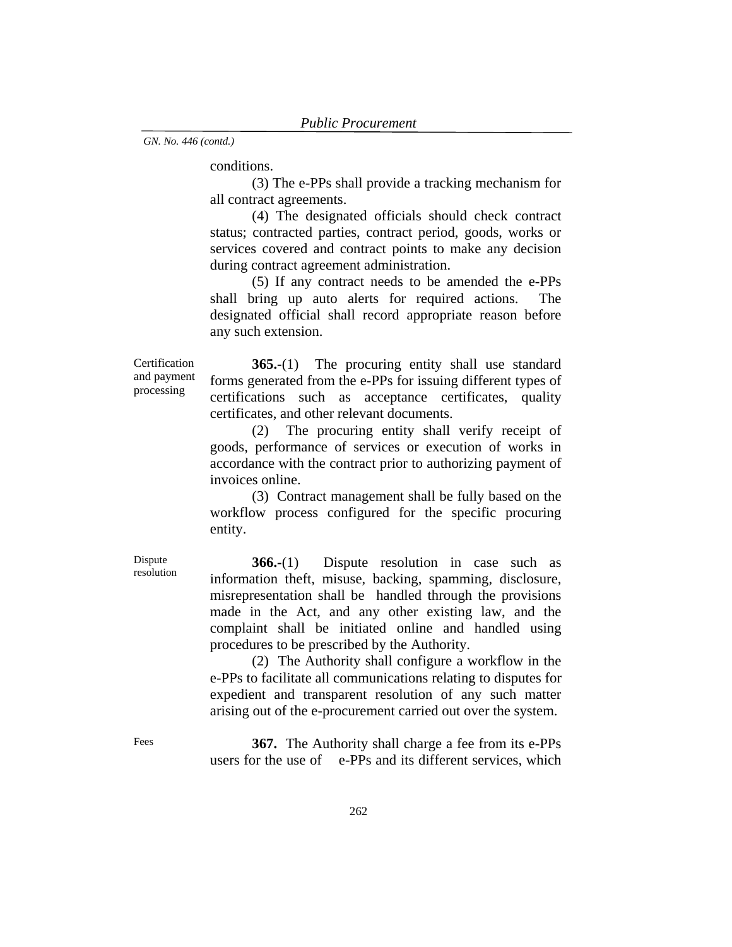conditions.

(3) The e-PPs shall provide a tracking mechanism for all contract agreements.

(4) The designated officials should check contract status; contracted parties, contract period, goods, works or services covered and contract points to make any decision during contract agreement administration.

(5) If any contract needs to be amended the e-PPs shall bring up auto alerts for required actions. The designated official shall record appropriate reason before any such extension.

Certification and payment processing

**365.-**(1) The procuring entity shall use standard forms generated from the e-PPs for issuing different types of certifications such as acceptance certificates, quality certificates, and other relevant documents.

(2) The procuring entity shall verify receipt of goods, performance of services or execution of works in accordance with the contract prior to authorizing payment of invoices online.

(3) Contract management shall be fully based on the workflow process configured for the specific procuring entity.

**366.-**(1) Dispute resolution in case such as information theft, misuse, backing, spamming, disclosure, misrepresentation shall be handled through the provisions made in the Act, and any other existing law, and the complaint shall be initiated online and handled using procedures to be prescribed by the Authority.

(2) The Authority shall configure a workflow in the e-PPs to facilitate all communications relating to disputes for expedient and transparent resolution of any such matter arising out of the e-procurement carried out over the system.

Fees **367.** The Authority shall charge a fee from its e-PPs users for the use of e-PPs and its different services, which

Dispute resolution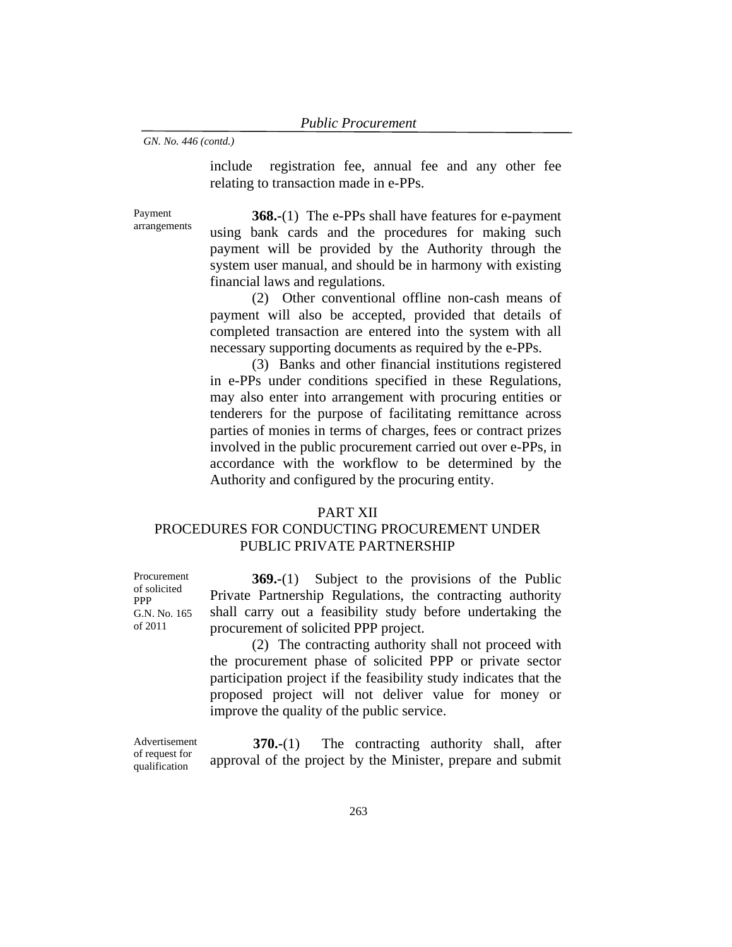include registration fee, annual fee and any other fee relating to transaction made in e-PPs.

Payment arrangements

**368.-**(1) The e-PPs shall have features for e-payment using bank cards and the procedures for making such payment will be provided by the Authority through the system user manual, and should be in harmony with existing financial laws and regulations.

(2) Other conventional offline non-cash means of payment will also be accepted, provided that details of completed transaction are entered into the system with all necessary supporting documents as required by the e-PPs.

(3) Banks and other financial institutions registered in e-PPs under conditions specified in these Regulations, may also enter into arrangement with procuring entities or tenderers for the purpose of facilitating remittance across parties of monies in terms of charges, fees or contract prizes involved in the public procurement carried out over e-PPs, in accordance with the workflow to be determined by the Authority and configured by the procuring entity.

# PART XII

# PROCEDURES FOR CONDUCTING PROCUREMENT UNDER PUBLIC PRIVATE PARTNERSHIP

Procurement of solicited PPP G.N. No. 165 of 2011

**369.-**(1) Subject to the provisions of the Public Private Partnership Regulations, the contracting authority shall carry out a feasibility study before undertaking the procurement of solicited PPP project.

 (2) The contracting authority shall not proceed with the procurement phase of solicited PPP or private sector participation project if the feasibility study indicates that the proposed project will not deliver value for money or improve the quality of the public service.

 Advertisement of request for qualification

**370.-**(1) The contracting authority shall, after approval of the project by the Minister, prepare and submit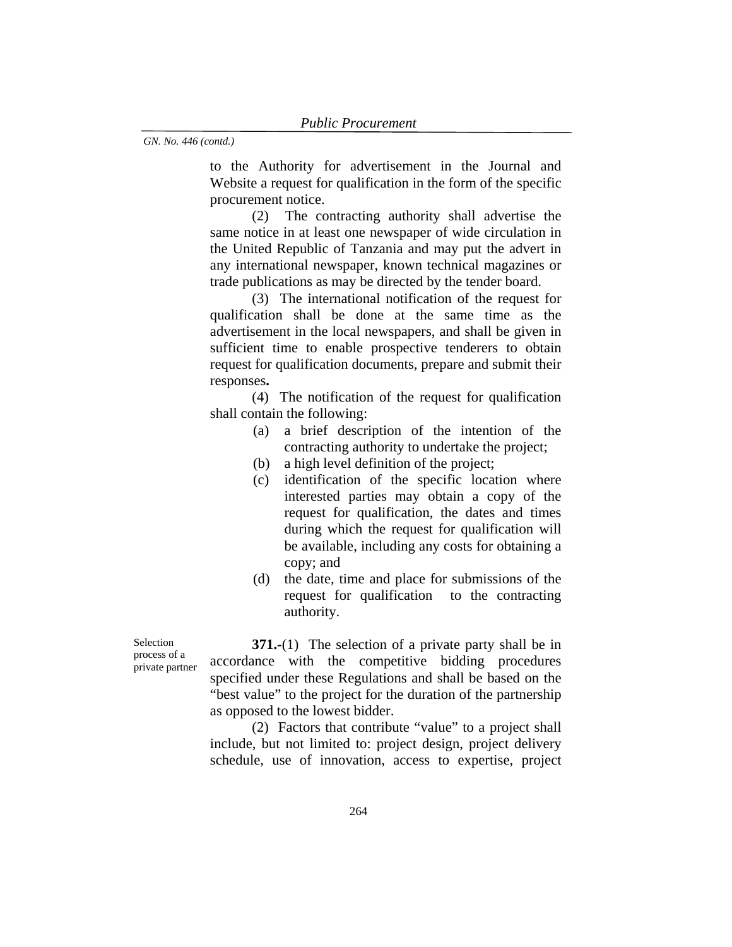to the Authority for advertisement in the Journal and Website a request for qualification in the form of the specific procurement notice.

 (2) The contracting authority shall advertise the same notice in at least one newspaper of wide circulation in the United Republic of Tanzania and may put the advert in any international newspaper, known technical magazines or trade publications as may be directed by the tender board.

 (3) The international notification of the request for qualification shall be done at the same time as the advertisement in the local newspapers, and shall be given in sufficient time to enable prospective tenderers to obtain request for qualification documents, prepare and submit their responses**.**

 (4) The notification of the request for qualification shall contain the following:

- (a) a brief description of the intention of the contracting authority to undertake the project;
- (b) a high level definition of the project;
- (c) identification of the specific location where interested parties may obtain a copy of the request for qualification, the dates and times during which the request for qualification will be available, including any costs for obtaining a copy; and
- (d) the date, time and place for submissions of the request for qualification to the contracting authority.

Selection process of a private partner

**371.-**(1) The selection of a private party shall be in accordance with the competitive bidding procedures specified under these Regulations and shall be based on the "best value" to the project for the duration of the partnership as opposed to the lowest bidder.

 (2) Factors that contribute "value" to a project shall include, but not limited to: project design, project delivery schedule, use of innovation, access to expertise, project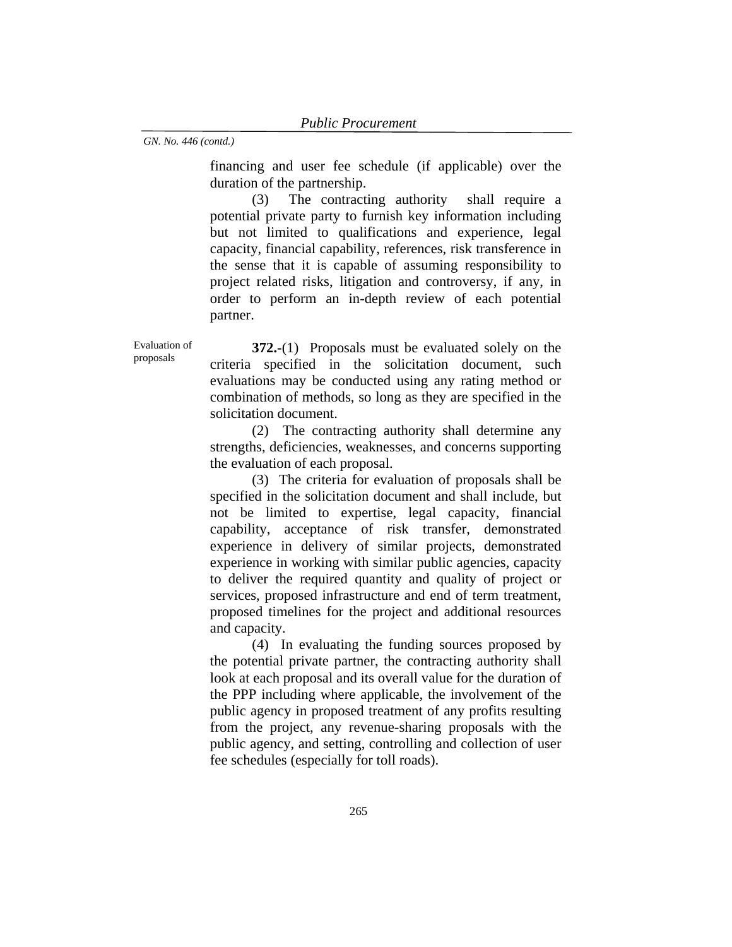financing and user fee schedule (if applicable) over the duration of the partnership.

 (3) The contracting authority shall require a potential private party to furnish key information including but not limited to qualifications and experience, legal capacity, financial capability, references, risk transference in the sense that it is capable of assuming responsibility to project related risks, litigation and controversy, if any, in order to perform an in-depth review of each potential partner.

Evaluation of proposals

**372.-**(1) Proposals must be evaluated solely on the criteria specified in the solicitation document, such evaluations may be conducted using any rating method or combination of methods, so long as they are specified in the solicitation document.

 (2) The contracting authority shall determine any strengths, deficiencies, weaknesses, and concerns supporting the evaluation of each proposal.

 (3) The criteria for evaluation of proposals shall be specified in the solicitation document and shall include, but not be limited to expertise, legal capacity, financial capability, acceptance of risk transfer, demonstrated experience in delivery of similar projects, demonstrated experience in working with similar public agencies, capacity to deliver the required quantity and quality of project or services, proposed infrastructure and end of term treatment, proposed timelines for the project and additional resources and capacity.

 (4) In evaluating the funding sources proposed by the potential private partner, the contracting authority shall look at each proposal and its overall value for the duration of the PPP including where applicable, the involvement of the public agency in proposed treatment of any profits resulting from the project, any revenue-sharing proposals with the public agency, and setting, controlling and collection of user fee schedules (especially for toll roads).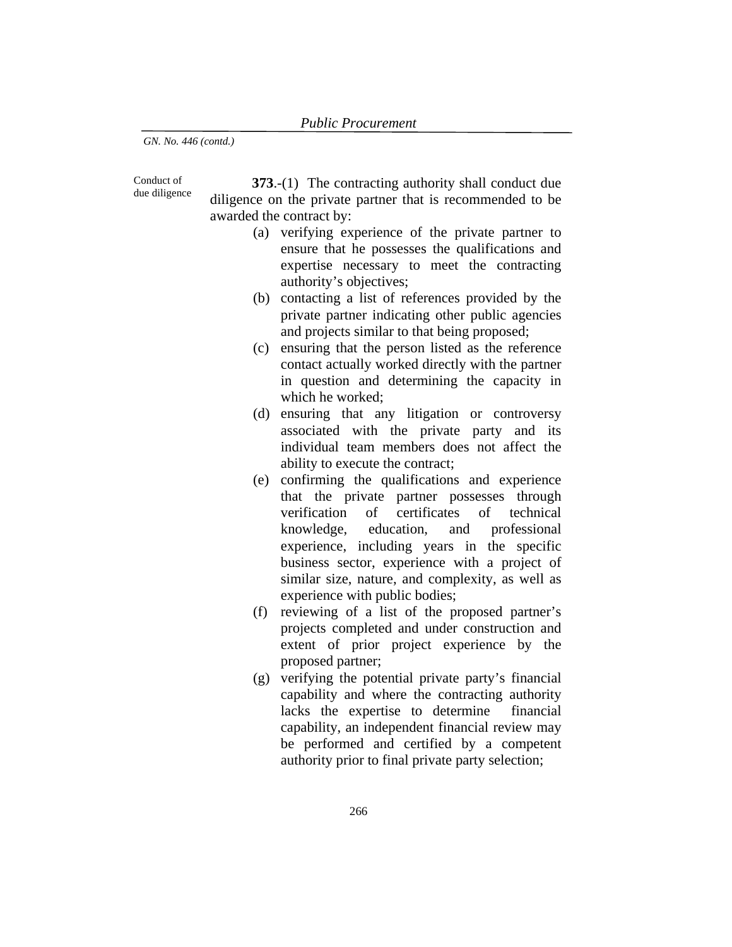Conduct of due diligence

**373**.-(1) The contracting authority shall conduct due diligence on the private partner that is recommended to be awarded the contract by:

- (a) verifying experience of the private partner to ensure that he possesses the qualifications and expertise necessary to meet the contracting authority's objectives;
- (b) contacting a list of references provided by the private partner indicating other public agencies and projects similar to that being proposed;
- (c) ensuring that the person listed as the reference contact actually worked directly with the partner in question and determining the capacity in which he worked;
- (d) ensuring that any litigation or controversy associated with the private party and its individual team members does not affect the ability to execute the contract;
- (e) confirming the qualifications and experience that the private partner possesses through verification of certificates of technical knowledge, education, and professional experience, including years in the specific business sector, experience with a project of similar size, nature, and complexity, as well as experience with public bodies;
- (f) reviewing of a list of the proposed partner's projects completed and under construction and extent of prior project experience by the proposed partner;
- (g) verifying the potential private party's financial capability and where the contracting authority lacks the expertise to determine financial capability, an independent financial review may be performed and certified by a competent authority prior to final private party selection;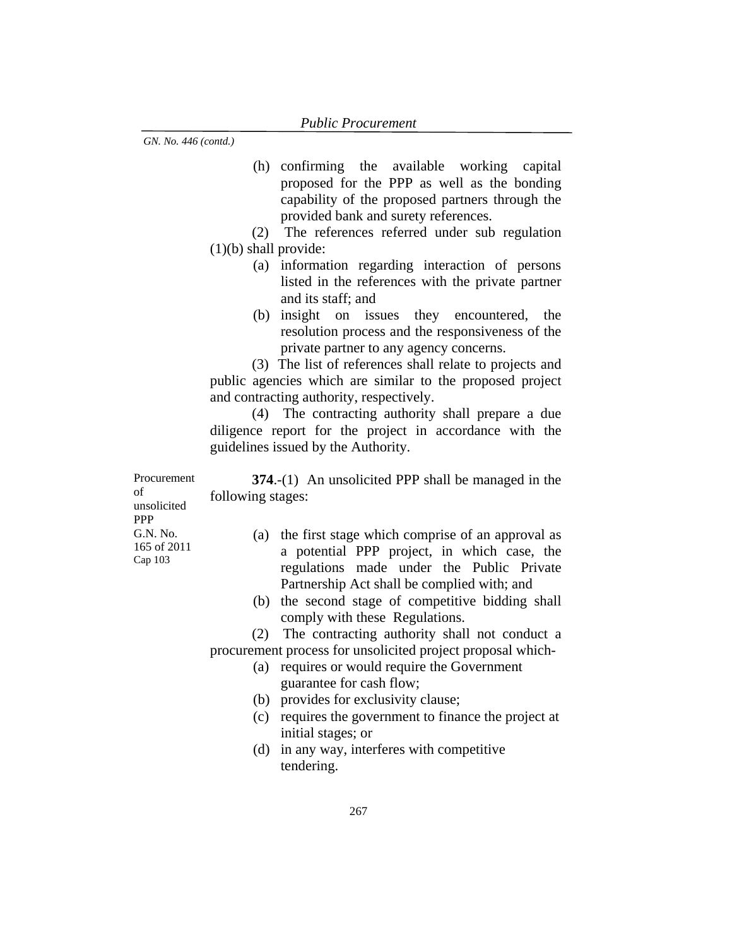- (h) confirming the available working capital proposed for the PPP as well as the bonding capability of the proposed partners through the provided bank and surety references.
- (2) The references referred under sub regulation (1)(b) shall provide:
	- (a) information regarding interaction of persons listed in the references with the private partner and its staff; and
	- (b) insight on issues they encountered, the resolution process and the responsiveness of the private partner to any agency concerns.

 (3) The list of references shall relate to projects and public agencies which are similar to the proposed project and contracting authority, respectively.

 (4) The contracting authority shall prepare a due diligence report for the project in accordance with the guidelines issued by the Authority.

**374**.-(1) An unsolicited PPP shall be managed in the following stages:

of unsolicited PPP G.N. No. 165 of 2011 Cap 103

Procurement

- (a) the first stage which comprise of an approval as a potential PPP project, in which case, the regulations made under the Public Private Partnership Act shall be complied with; and
- (b) the second stage of competitive bidding shall comply with these Regulations.

(2) The contracting authority shall not conduct a procurement process for unsolicited project proposal which-

- (a) requires or would require the Government guarantee for cash flow;
- (b) provides for exclusivity clause;
- (c) requires the government to finance the project at initial stages; or
- (d) in any way, interferes with competitive tendering.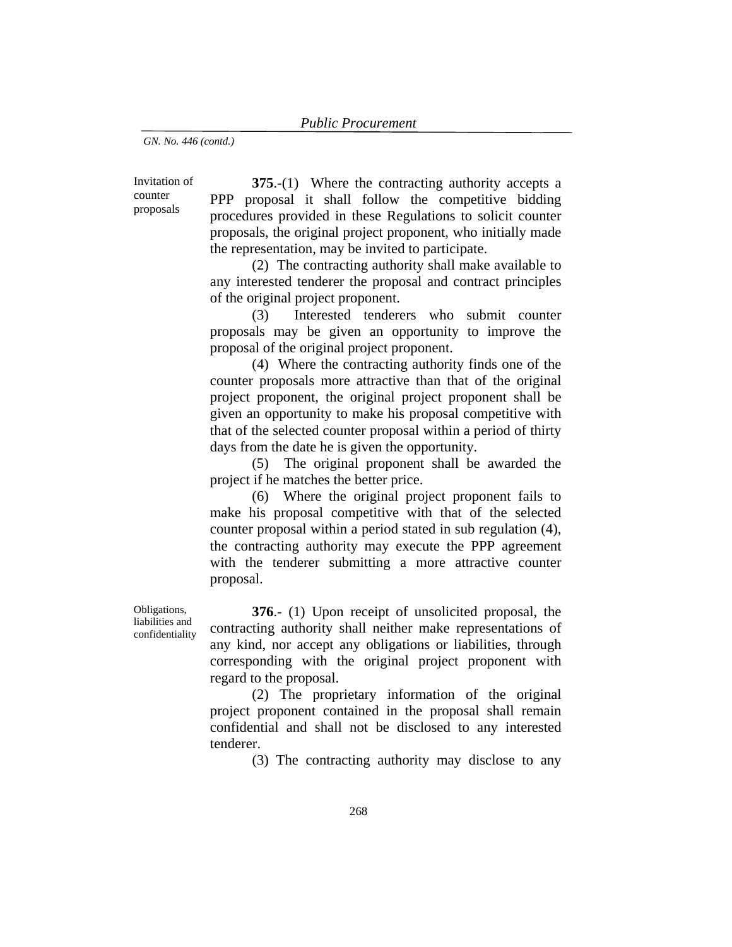Invitation of counter proposals

**375.**-(1) Where the contracting authority accepts a PPP proposal it shall follow the competitive bidding procedures provided in these Regulations to solicit counter proposals, the original project proponent, who initially made the representation, may be invited to participate.

 (2) The contracting authority shall make available to any interested tenderer the proposal and contract principles of the original project proponent.

 (3) Interested tenderers who submit counter proposals may be given an opportunity to improve the proposal of the original project proponent.

 (4) Where the contracting authority finds one of the counter proposals more attractive than that of the original project proponent, the original project proponent shall be given an opportunity to make his proposal competitive with that of the selected counter proposal within a period of thirty days from the date he is given the opportunity.

 (5) The original proponent shall be awarded the project if he matches the better price.

(6) Where the original project proponent fails to make his proposal competitive with that of the selected counter proposal within a period stated in sub regulation (4), the contracting authority may execute the PPP agreement with the tenderer submitting a more attractive counter proposal.

 Obligations, liabilities and confidentiality

**376**.- (1) Upon receipt of unsolicited proposal, the contracting authority shall neither make representations of any kind, nor accept any obligations or liabilities, through corresponding with the original project proponent with regard to the proposal.

(2) The proprietary information of the original project proponent contained in the proposal shall remain confidential and shall not be disclosed to any interested tenderer.

(3) The contracting authority may disclose to any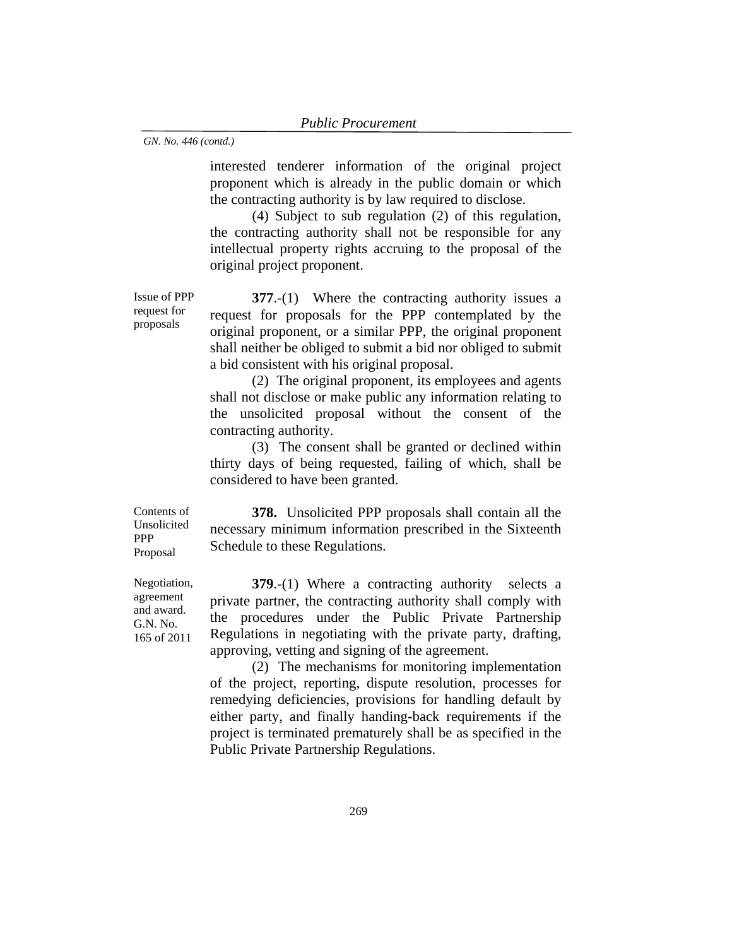interested tenderer information of the original project proponent which is already in the public domain or which the contracting authority is by law required to disclose.

(4) Subject to sub regulation (2) of this regulation, the contracting authority shall not be responsible for any intellectual property rights accruing to the proposal of the original project proponent.

Issue of PPP request for proposals

**377.**-(1) Where the contracting authority issues a request for proposals for the PPP contemplated by the original proponent, or a similar PPP, the original proponent shall neither be obliged to submit a bid nor obliged to submit a bid consistent with his original proposal.

(2) The original proponent, its employees and agents shall not disclose or make public any information relating to the unsolicited proposal without the consent of the contracting authority.

(3) The consent shall be granted or declined within thirty days of being requested, failing of which, shall be considered to have been granted.

Contents of Unsolicited PPP Proposal

**378.** Unsolicited PPP proposals shall contain all the necessary minimum information prescribed in the Sixteenth Schedule to these Regulations.

Negotiation, agreement and award. G.N. No. 165 of 2011

**379.**-(1) Where a contracting authority selects a private partner, the contracting authority shall comply with the procedures under the Public Private Partnership Regulations in negotiating with the private party, drafting, approving, vetting and signing of the agreement.

(2) The mechanisms for monitoring implementation of the project, reporting, dispute resolution, processes for remedying deficiencies, provisions for handling default by either party, and finally handing-back requirements if the project is terminated prematurely shall be as specified in the Public Private Partnership Regulations.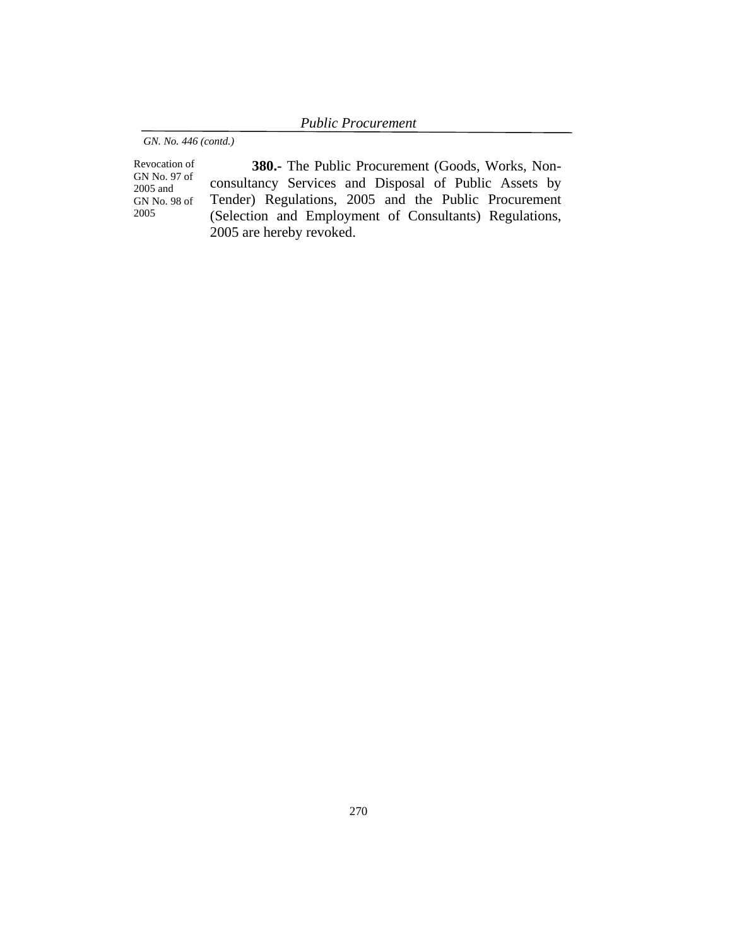*GN. No. 446 (contd.)* 

Revocation of GN No. 97 of 2005 and GN No. 98 of 2005

**380.-** The Public Procurement (Goods, Works, Nonconsultancy Services and Disposal of Public Assets by Tender) Regulations, 2005 and the Public Procurement (Selection and Employment of Consultants) Regulations, 2005 are hereby revoked.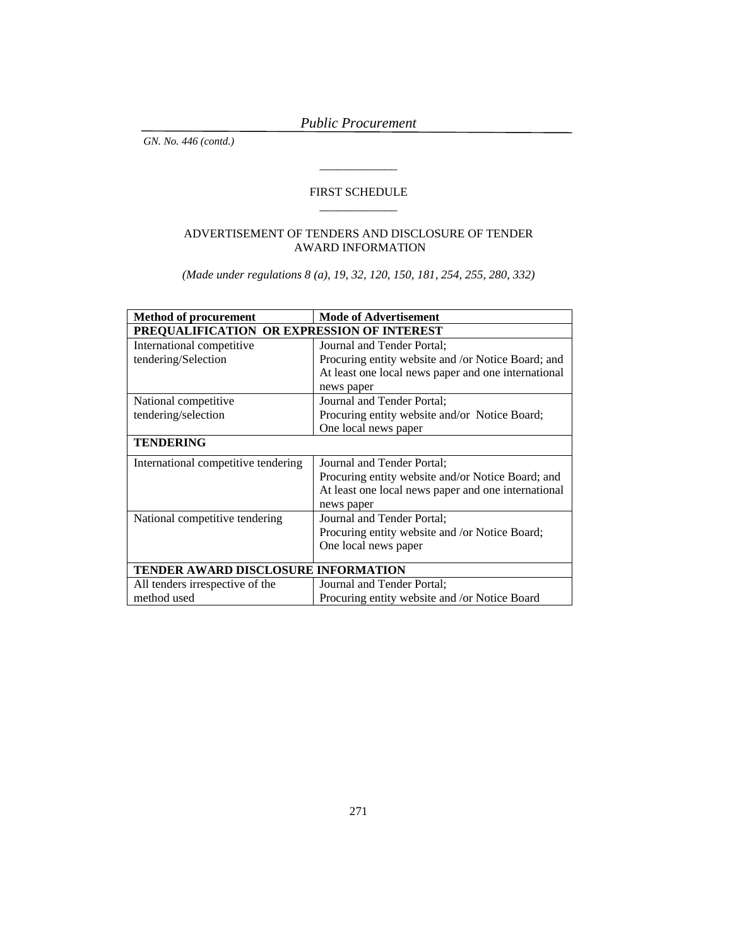*GN. No. 446 (contd.)* 

## FIRST SCHEDULE \_\_\_\_\_\_\_\_\_\_\_\_\_

\_\_\_\_\_\_\_\_\_\_\_\_\_

## ADVERTISEMENT OF TENDERS AND DISCLOSURE OF TENDER AWARD INFORMATION

*(Made under regulations 8 (a), 19, 32, 120, 150, 181, 254, 255, 280, 332)* 

| <b>Method of procurement</b>               | <b>Mode of Advertisement</b>                        |  |  |  |
|--------------------------------------------|-----------------------------------------------------|--|--|--|
| PREQUALIFICATION OR EXPRESSION OF INTEREST |                                                     |  |  |  |
| International competitive                  | Journal and Tender Portal;                          |  |  |  |
| tendering/Selection                        | Procuring entity website and /or Notice Board; and  |  |  |  |
|                                            | At least one local news paper and one international |  |  |  |
|                                            | news paper                                          |  |  |  |
| National competitive                       | Journal and Tender Portal;                          |  |  |  |
| tendering/selection                        | Procuring entity website and/or Notice Board;       |  |  |  |
|                                            | One local news paper                                |  |  |  |
| <b>TENDERING</b>                           |                                                     |  |  |  |
| International competitive tendering        | Journal and Tender Portal;                          |  |  |  |
|                                            | Procuring entity website and/or Notice Board; and   |  |  |  |
|                                            | At least one local news paper and one international |  |  |  |
|                                            | news paper                                          |  |  |  |
| National competitive tendering             | Journal and Tender Portal;                          |  |  |  |
|                                            | Procuring entity website and /or Notice Board;      |  |  |  |
|                                            | One local news paper                                |  |  |  |
|                                            |                                                     |  |  |  |
| TENDER AWARD DISCLOSURE INFORMATION        |                                                     |  |  |  |
| All tenders irrespective of the            | Journal and Tender Portal;                          |  |  |  |
| method used                                | Procuring entity website and /or Notice Board       |  |  |  |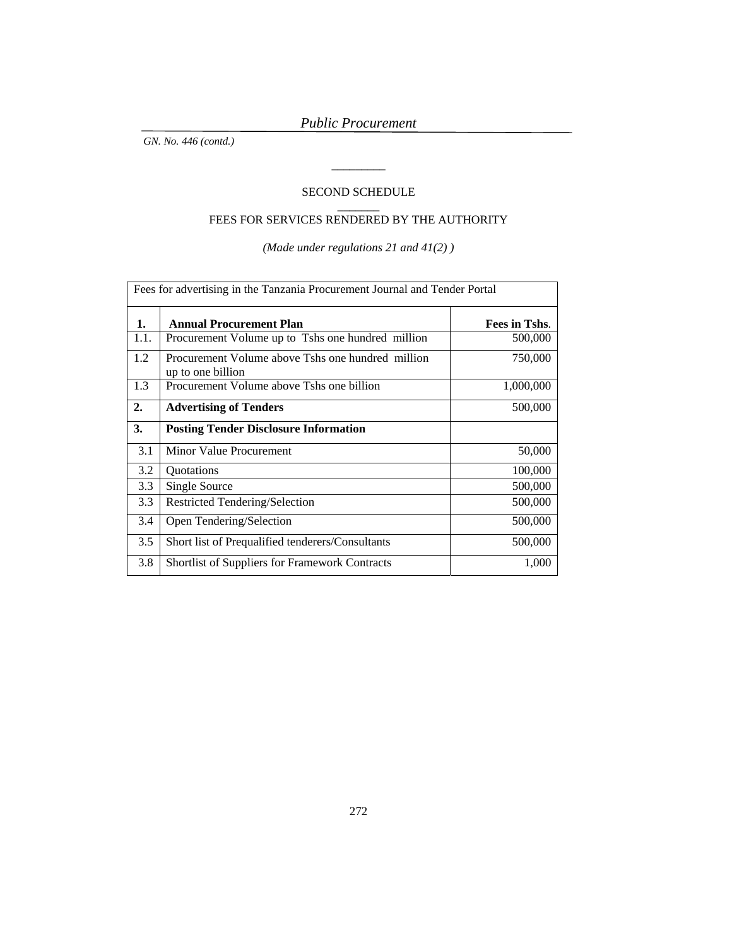*GN. No. 446 (contd.)* 

# SECOND SCHEDULE  $\overline{\phantom{a}}$

\_\_\_\_\_\_\_\_\_

# FEES FOR SERVICES RENDERED BY THE AUTHORITY

*(Made under regulations 21 and 41(2) )* 

|      | Fees for advertising in the Tanzania Procurement Journal and Tender Portal |               |  |  |
|------|----------------------------------------------------------------------------|---------------|--|--|
| 1.   | <b>Annual Procurement Plan</b>                                             | Fees in Tshs. |  |  |
| 1.1. | Procurement Volume up to Tshs one hundred million                          | 500,000       |  |  |
| 1.2  | Procurement Volume above Tshs one hundred million<br>up to one billion     | 750,000       |  |  |
| 1.3  | Procurement Volume above Tshs one billion                                  | 1,000,000     |  |  |
| 2.   | <b>Advertising of Tenders</b>                                              | 500,000       |  |  |
| 3.   | <b>Posting Tender Disclosure Information</b>                               |               |  |  |
| 3.1  | Minor Value Procurement                                                    | 50,000        |  |  |
| 3.2  | Quotations                                                                 | 100,000       |  |  |
| 3.3  | Single Source                                                              | 500,000       |  |  |
| 3.3  | Restricted Tendering/Selection                                             | 500,000       |  |  |
| 3.4  | Open Tendering/Selection                                                   | 500,000       |  |  |
| 3.5  | Short list of Prequalified tenderers/Consultants                           | 500,000       |  |  |
| 3.8  | Shortlist of Suppliers for Framework Contracts                             | 1,000         |  |  |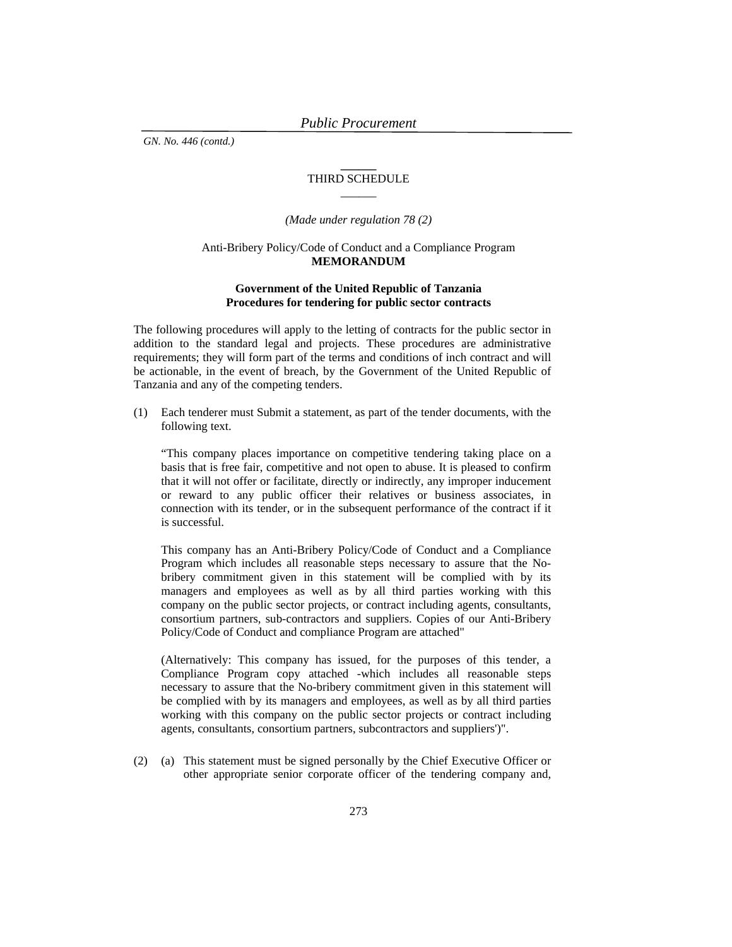#### **\_\_\_\_\_\_**  THIRD SCHEDULE  $\overline{\phantom{a}}$

*(Made under regulation 78 (2)* 

#### Anti-Bribery Policy/Code of Conduct and a Compliance Program **MEMORANDUM**

## **Government of the United Republic of Tanzania Procedures for tendering for public sector contracts**

The following procedures will apply to the letting of contracts for the public sector in addition to the standard legal and projects. These procedures are administrative requirements; they will form part of the terms and conditions of inch contract and will be actionable, in the event of breach, by the Government of the United Republic of Tanzania and any of the competing tenders.

(1) Each tenderer must Submit a statement, as part of the tender documents, with the following text.

 "This company places importance on competitive tendering taking place on a basis that is free fair, competitive and not open to abuse. It is pleased to confirm that it will not offer or facilitate, directly or indirectly, any improper inducement or reward to any public officer their relatives or business associates, in connection with its tender, or in the subsequent performance of the contract if it is successful.

 This company has an Anti-Bribery Policy/Code of Conduct and a Compliance Program which includes all reasonable steps necessary to assure that the Nobribery commitment given in this statement will be complied with by its managers and employees as well as by all third parties working with this company on the public sector projects, or contract including agents, consultants, consortium partners, sub-contractors and suppliers. Copies of our Anti-Bribery Policy/Code of Conduct and compliance Program are attached"

 (Alternatively: This company has issued, for the purposes of this tender, a Compliance Program copy attached -which includes all reasonable steps necessary to assure that the No-bribery commitment given in this statement will be complied with by its managers and employees, as well as by all third parties working with this company on the public sector projects or contract including agents, consultants, consortium partners, subcontractors and suppliers')".

(2) (a) This statement must be signed personally by the Chief Executive Officer or other appropriate senior corporate officer of the tendering company and,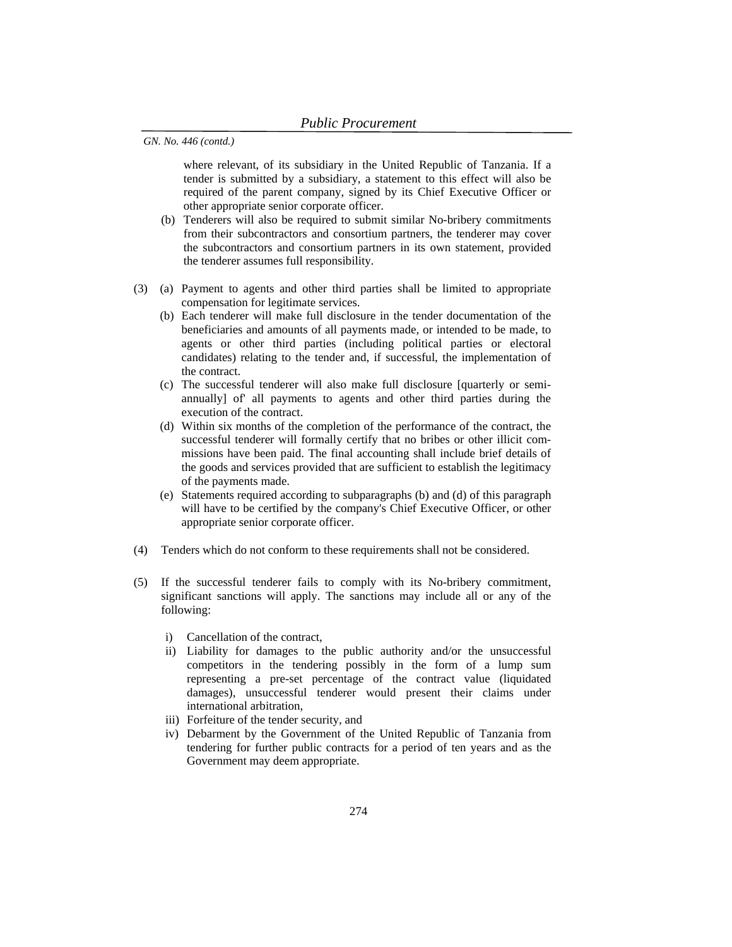where relevant, of its subsidiary in the United Republic of Tanzania. If a tender is submitted by a subsidiary, a statement to this effect will also be required of the parent company, signed by its Chief Executive Officer or other appropriate senior corporate officer.

- (b) Tenderers will also be required to submit similar No-bribery commitments from their subcontractors and consortium partners, the tenderer may cover the subcontractors and consortium partners in its own statement, provided the tenderer assumes full responsibility.
- (3) (a) Payment to agents and other third parties shall be limited to appropriate compensation for legitimate services.
	- (b) Each tenderer will make full disclosure in the tender documentation of the beneficiaries and amounts of all payments made, or intended to be made, to agents or other third parties (including political parties or electoral candidates) relating to the tender and, if successful, the implementation of the contract.
	- (c) The successful tenderer will also make full disclosure [quarterly or semiannually] of' all payments to agents and other third parties during the execution of the contract.
	- (d) Within six months of the completion of the performance of the contract, the successful tenderer will formally certify that no bribes or other illicit commissions have been paid. The final accounting shall include brief details of the goods and services provided that are sufficient to establish the legitimacy of the payments made.
	- (e) Statements required according to subparagraphs (b) and (d) of this paragraph will have to be certified by the company's Chief Executive Officer, or other appropriate senior corporate officer.
- (4) Tenders which do not conform to these requirements shall not be considered.
- (5) If the successful tenderer fails to comply with its No-bribery commitment, significant sanctions will apply. The sanctions may include all or any of the following:
	- i) Cancellation of the contract,
	- ii) Liability for damages to the public authority and/or the unsuccessful competitors in the tendering possibly in the form of a lump sum representing a pre-set percentage of the contract value (liquidated damages), unsuccessful tenderer would present their claims under international arbitration,
	- iii) Forfeiture of the tender security, and
	- iv) Debarment by the Government of the United Republic of Tanzania from tendering for further public contracts for a period of ten years and as the Government may deem appropriate.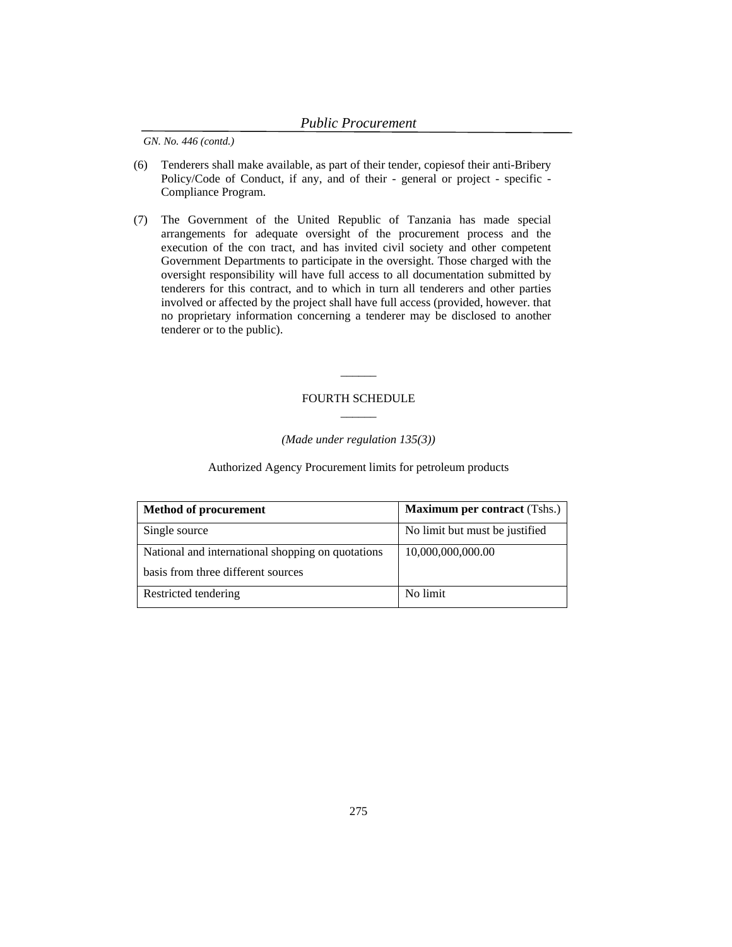- (6) Tenderers shall make available, as part of their tender, copiesof their anti-Bribery Policy/Code of Conduct, if any, and of their - general or project - specific - Compliance Program.
- (7) The Government of the United Republic of Tanzania has made special arrangements for adequate oversight of the procurement process and the execution of the con tract, and has invited civil society and other competent Government Departments to participate in the oversight. Those charged with the oversight responsibility will have full access to all documentation submitted by tenderers for this contract, and to which in turn all tenderers and other parties involved or affected by the project shall have full access (provided, however. that no proprietary information concerning a tenderer may be disclosed to another tenderer or to the public).

#### FOURTH SCHEDULE  $\overline{\phantom{a}}$

 $\overline{\phantom{a}}$ 

## *(Made under regulation 135(3))*

Authorized Agency Procurement limits for petroleum products

| <b>Method of procurement</b>                      | <b>Maximum per contract (Tshs.)</b> |
|---------------------------------------------------|-------------------------------------|
| Single source                                     | No limit but must be justified      |
| National and international shopping on quotations | 10,000,000,000.00                   |
| basis from three different sources                |                                     |
| Restricted tendering                              | No limit                            |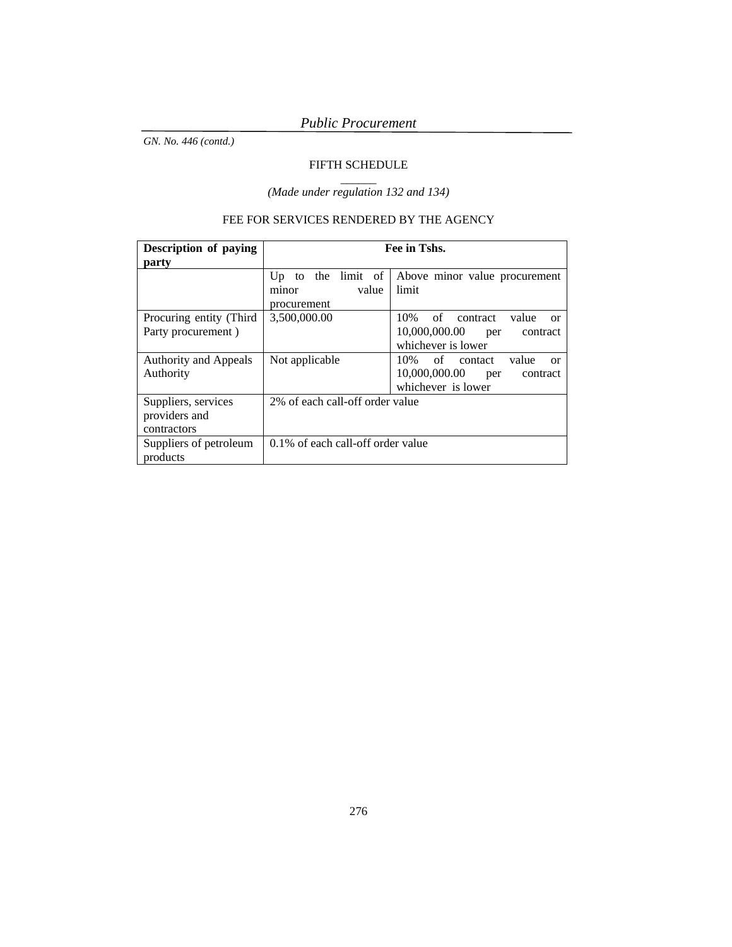## FIFTH SCHEDULE

 $\overline{\phantom{a}}$ *(Made under regulation 132 and 134)* 

# FEE FOR SERVICES RENDERED BY THE AGENCY

| Description of paying                               |                                                                                    | Fee in Tshs.                                                                             |
|-----------------------------------------------------|------------------------------------------------------------------------------------|------------------------------------------------------------------------------------------|
| party                                               |                                                                                    |                                                                                          |
|                                                     | $\lim$ t of $\mid$<br>the<br>U <sub>p</sub><br>to<br>value<br>minor<br>procurement | Above minor value procurement<br>limit                                                   |
| Procuring entity (Third<br>Party procurement)       | 3,500,000.00                                                                       | 10%<br>value<br>of contract<br>or<br>10,000,000.00 per<br>contract<br>whichever is lower |
| <b>Authority and Appeals</b><br>Authority           | Not applicable                                                                     | 10%<br>of contact<br>value<br>or<br>10,000,000.00 per<br>contract<br>whichever is lower  |
| Suppliers, services<br>providers and<br>contractors | 2% of each call-off order value                                                    |                                                                                          |
| Suppliers of petroleum<br>products                  | 0.1% of each call-off order value                                                  |                                                                                          |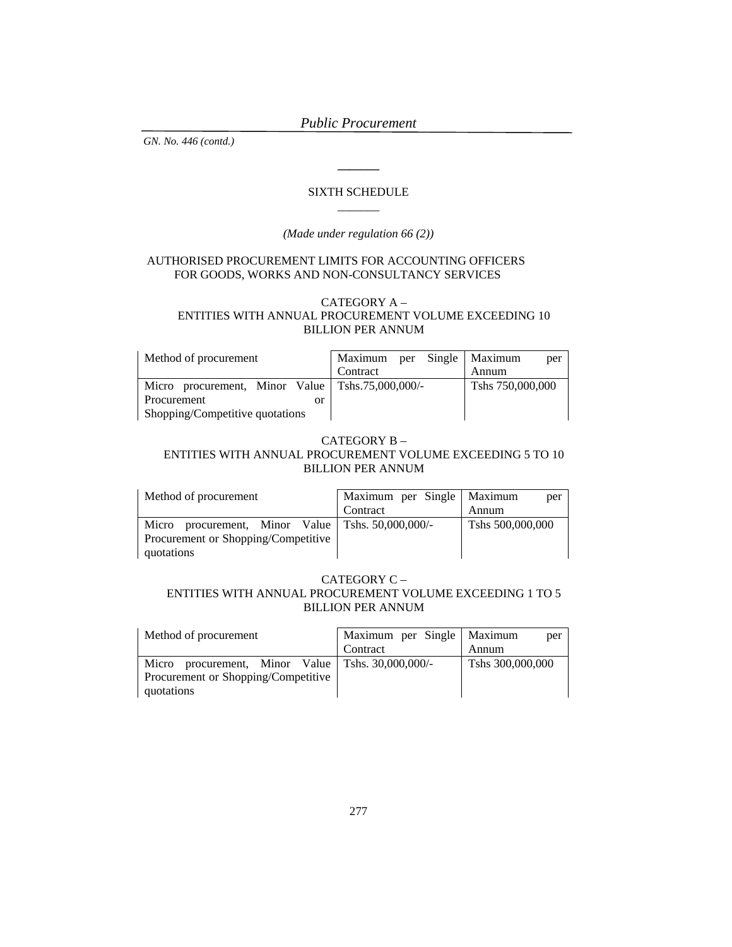*GN. No. 446 (contd.)* 

## SIXTH SCHEDULE  $\overline{\phantom{a}}$

**\_\_\_\_\_\_\_** 

## *(Made under regulation 66 (2))*

#### AUTHORISED PROCUREMENT LIMITS FOR ACCOUNTING OFFICERS FOR GOODS, WORKS AND NON-CONSULTANCY SERVICES

#### CATEGORY A – ENTITIES WITH ANNUAL PROCUREMENT VOLUME EXCEEDING 10 BILLION PER ANNUM

| Method of procurement                              | Maximum per Single Maximum | per              |
|----------------------------------------------------|----------------------------|------------------|
|                                                    | Contract                   | Annum            |
| Micro procurement, Minor Value   Tshs.75,000,000/- |                            | Tshs 750,000,000 |
| Procurement<br>or                                  |                            |                  |
| Shopping/Competitive quotations                    |                            |                  |

# CATEGORY B – ENTITIES WITH ANNUAL PROCUREMENT VOLUME EXCEEDING 5 TO 10 BILLION PER ANNUM

| Method of procurement                               | Maximum per Single   Maximum | per              |
|-----------------------------------------------------|------------------------------|------------------|
|                                                     | Contract                     | Annum            |
| Micro procurement, Minor Value   Tshs. 50,000,000/- |                              | Tshs 500,000,000 |
| Procurement or Shopping/Competitive                 |                              |                  |
| quotations                                          |                              |                  |

# CATEGORY C – ENTITIES WITH ANNUAL PROCUREMENT VOLUME EXCEEDING 1 TO 5 BILLION PER ANNUM

| Method of procurement                                                                                    | Maximum per Single   Maximum<br>Contract | per<br>Annum     |
|----------------------------------------------------------------------------------------------------------|------------------------------------------|------------------|
| Micro procurement, Minor Value   Tshs. 30,000,000/-<br>Procurement or Shopping/Competitive<br>quotations |                                          | Tshs 300,000,000 |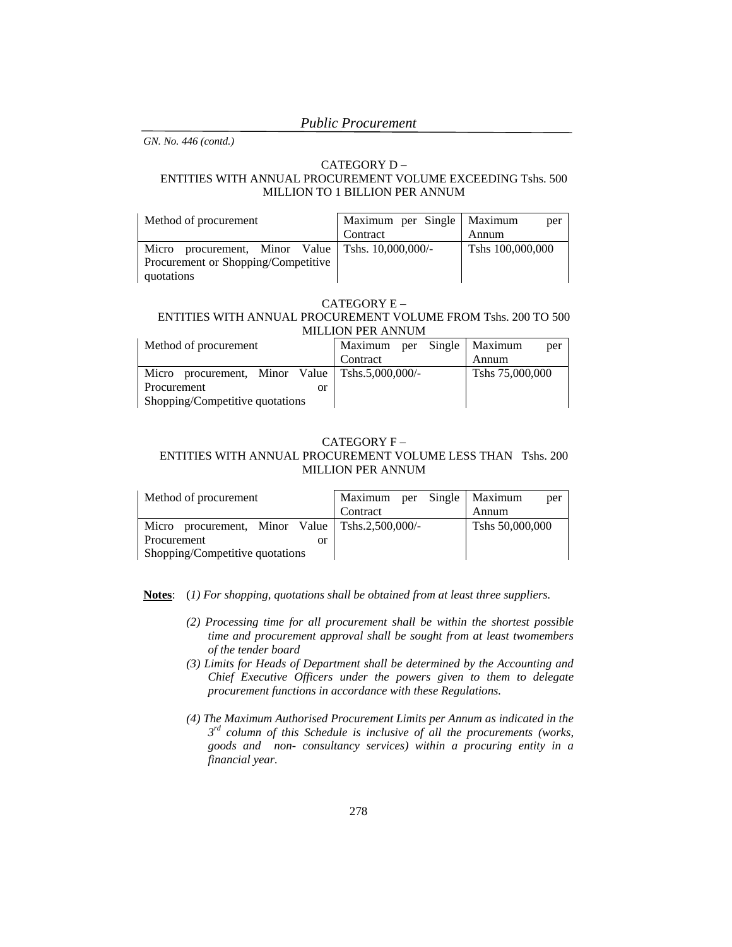# CATEGORY D –

## ENTITIES WITH ANNUAL PROCUREMENT VOLUME EXCEEDING Tshs. 500 MILLION TO 1 BILLION PER ANNUM

| Method of procurement                               | Maximum per Single   Maximum | per              |
|-----------------------------------------------------|------------------------------|------------------|
|                                                     | Contract                     | Annum            |
| Micro procurement, Minor Value   Tshs. 10,000,000/- |                              | Tshs 100,000,000 |
| Procurement or Shopping/Competitive                 |                              |                  |
| quotations                                          |                              |                  |

#### CATEGORY E – ENTITIES WITH ANNUAL PROCUREMENT VOLUME FROM Tshs. 200 TO 500 MILLION PER ANNUM

| Method of procurement                             |    | Maximum per Single   Maximum |  |                 | per |
|---------------------------------------------------|----|------------------------------|--|-----------------|-----|
|                                                   |    | Contract                     |  | Annum           |     |
| Micro procurement, Minor Value   Tshs.5,000,000/- |    |                              |  | Tshs 75,000,000 |     |
| Procurement                                       | or |                              |  |                 |     |
| Shopping/Competitive quotations                   |    |                              |  |                 |     |

## CATEGORY F – ENTITIES WITH ANNUAL PROCUREMENT VOLUME LESS THAN Tshs. 200 MILLION PER ANNUM

| Method of procurement                             | Maximum per Single   Maximum | per             |
|---------------------------------------------------|------------------------------|-----------------|
|                                                   | Contract                     | Annum           |
| Micro procurement, Minor Value   Tshs.2,500,000/- |                              | Tshs 50,000,000 |
| Procurement<br>or                                 |                              |                 |
| Shopping/Competitive quotations                   |                              |                 |

**Notes**: (*1) For shopping, quotations shall be obtained from at least three suppliers.* 

- *(2) Processing time for all procurement shall be within the shortest possible time and procurement approval shall be sought from at least twomembers of the tender board*
- *(3) Limits for Heads of Department shall be determined by the Accounting and Chief Executive Officers under the powers given to them to delegate procurement functions in accordance with these Regulations.*
- *(4) The Maximum Authorised Procurement Limits per Annum as indicated in the 3rd column of this Schedule is inclusive of all the procurements (works, goods and non- consultancy services) within a procuring entity in a financial year.*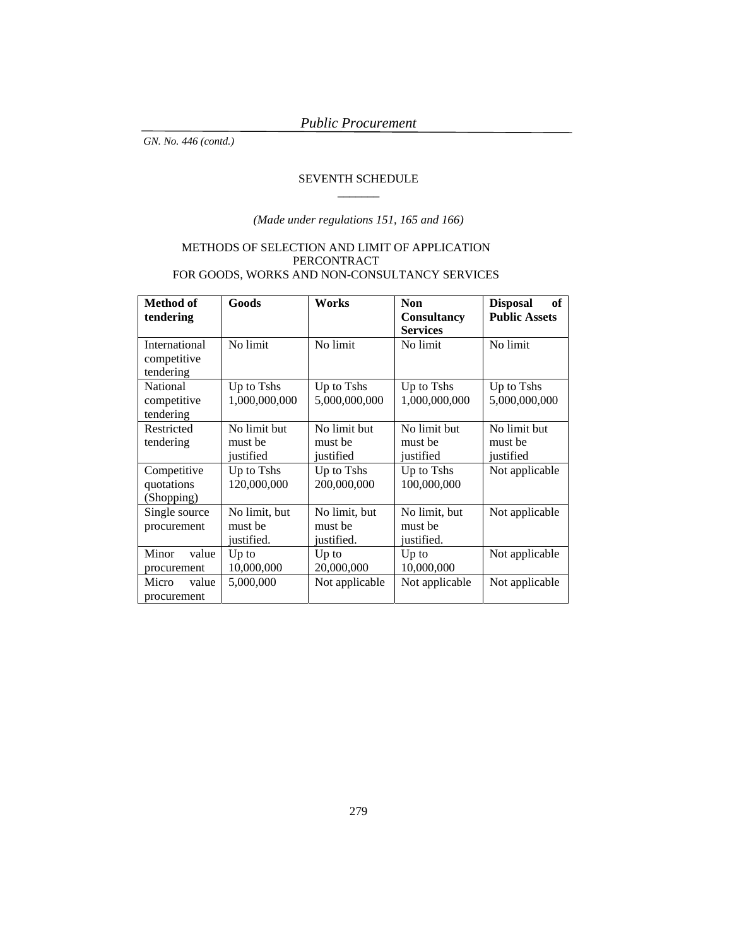## SEVENTH SCHEDULE  $\overline{\phantom{a}}$

*(Made under regulations 151, 165 and 166)* 

# METHODS OF SELECTION AND LIMIT OF APPLICATION PERCONTRACT FOR GOODS, WORKS AND NON-CONSULTANCY SERVICES

| Method of<br>tendering                    | Goods                                  | Works                                  | <b>Non</b><br><b>Consultancy</b><br><b>Services</b> | <b>Disposal</b><br>of<br><b>Public Assets</b> |
|-------------------------------------------|----------------------------------------|----------------------------------------|-----------------------------------------------------|-----------------------------------------------|
| International<br>competitive<br>tendering | No limit                               | No limit                               | No limit                                            | No limit                                      |
| National<br>competitive<br>tendering      | Up to Tshs<br>1,000,000,000            | Up to Tshs<br>5,000,000,000            | Up to Tshs<br>1,000,000,000                         | Up to Tshs<br>5,000,000,000                   |
| Restricted<br>tendering                   | No limit but<br>must be<br>justified   | No limit but<br>must be<br>justified   | No limit but<br>must be<br>justified                | No limit but<br>must be<br>justified          |
| Competitive<br>quotations<br>(Shopping)   | Up to Tshs<br>120,000,000              | Up to Tshs<br>200,000,000              | Up to Tshs<br>100,000,000                           | Not applicable                                |
| Single source<br>procurement              | No limit, but<br>must be<br>justified. | No limit, but<br>must be<br>justified. | No limit, but<br>must be<br>justified.              | Not applicable                                |
| Minor<br>value<br>procurement             | $Up$ to<br>10,000,000                  | $Up$ to<br>20,000,000                  | $Up$ to<br>10,000,000                               | Not applicable                                |
| Micro<br>value<br>procurement             | 5,000,000                              | Not applicable                         | Not applicable                                      | Not applicable                                |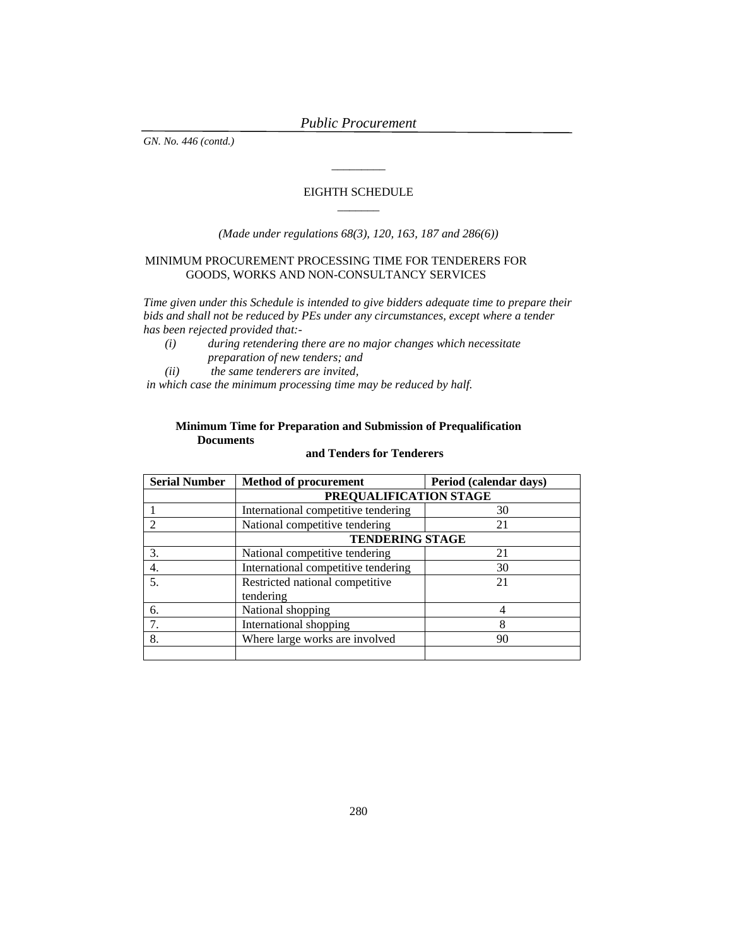*GN. No. 446 (contd.)* 

## EIGHTH SCHEDULE  $\overline{\phantom{a}}$

\_\_\_\_\_\_\_\_\_

#### *(Made under regulations 68(3), 120, 163, 187 and 286(6))*

#### MINIMUM PROCUREMENT PROCESSING TIME FOR TENDERERS FOR GOODS, WORKS AND NON-CONSULTANCY SERVICES

*Time given under this Schedule is intended to give bidders adequate time to prepare their bids and shall not be reduced by PEs under any circumstances, except where a tender has been rejected provided that:-* 

- *(i) during retendering there are no major changes which necessitate preparation of new tenders; and*
- *(ii) the same tenderers are invited,*

 *in which case the minimum processing time may be reduced by half.* 

#### **Minimum Time for Preparation and Submission of Prequalification Documents**

# **and Tenders for Tenderers**

| <b>Serial Number</b> | <b>Method of procurement</b>        | Period (calendar days) |  |
|----------------------|-------------------------------------|------------------------|--|
|                      | PREQUALIFICATION STAGE              |                        |  |
|                      | International competitive tendering | 30                     |  |
|                      | National competitive tendering      | 21                     |  |
|                      | <b>TENDERING STAGE</b>              |                        |  |
| 3.                   | National competitive tendering      | 21                     |  |
| 4.                   | International competitive tendering | 30                     |  |
| 5.                   | Restricted national competitive     | 21                     |  |
|                      | tendering                           |                        |  |
| 6.                   | National shopping                   |                        |  |
| 7.                   | International shopping              | 8                      |  |
| 8.                   | Where large works are involved      | 90                     |  |
|                      |                                     |                        |  |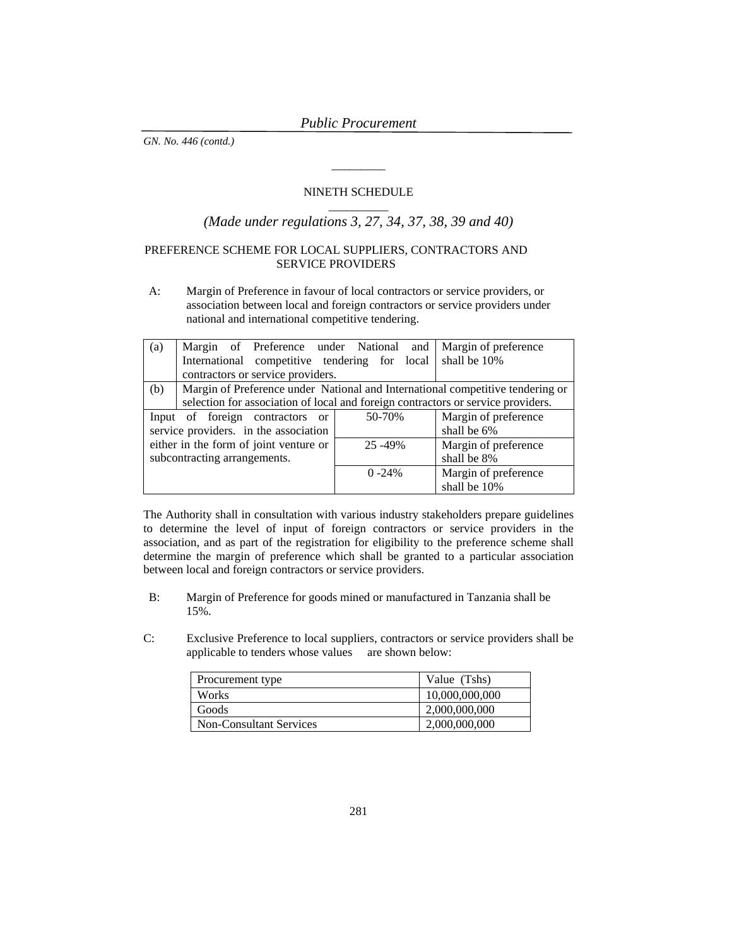## NINETH SCHEDULE \_\_\_\_\_\_\_\_\_\_

\_\_\_\_\_\_\_\_\_

# *(Made under regulations 3, 27, 34, 37, 38, 39 and 40)*

## PREFERENCE SCHEME FOR LOCAL SUPPLIERS, CONTRACTORS AND SERVICE PROVIDERS

A: Margin of Preference in favour of local contractors or service providers, or association between local and foreign contractors or service providers under national and international competitive tendering.

| (a) | Margin of Preference under National and                                          |           | Margin of preference |
|-----|----------------------------------------------------------------------------------|-----------|----------------------|
|     | International competitive tendering for local                                    |           | shall be 10%         |
|     | contractors or service providers.                                                |           |                      |
| (b) | Margin of Preference under National and International competitive tendering or   |           |                      |
|     | selection for association of local and foreign contractors or service providers. |           |                      |
|     | Input of foreign contractors or                                                  | 50-70%    | Margin of preference |
|     | service providers. in the association                                            |           | shall be 6%          |
|     | either in the form of joint venture or                                           | 25 - 49%  | Margin of preference |
|     | subcontracting arrangements.                                                     |           | shall be 8%          |
|     |                                                                                  | $0 - 24%$ | Margin of preference |
|     |                                                                                  |           | shall be 10%         |

The Authority shall in consultation with various industry stakeholders prepare guidelines to determine the level of input of foreign contractors or service providers in the association, and as part of the registration for eligibility to the preference scheme shall determine the margin of preference which shall be granted to a particular association between local and foreign contractors or service providers.

- B: Margin of Preference for goods mined or manufactured in Tanzania shall be 15%.
- C: Exclusive Preference to local suppliers, contractors or service providers shall be applicable to tenders whose values are shown below:

| Procurement type               | Value (Tshs)   |
|--------------------------------|----------------|
| Works                          | 10,000,000,000 |
| Goods                          | 2,000,000,000  |
| <b>Non-Consultant Services</b> | 2,000,000,000  |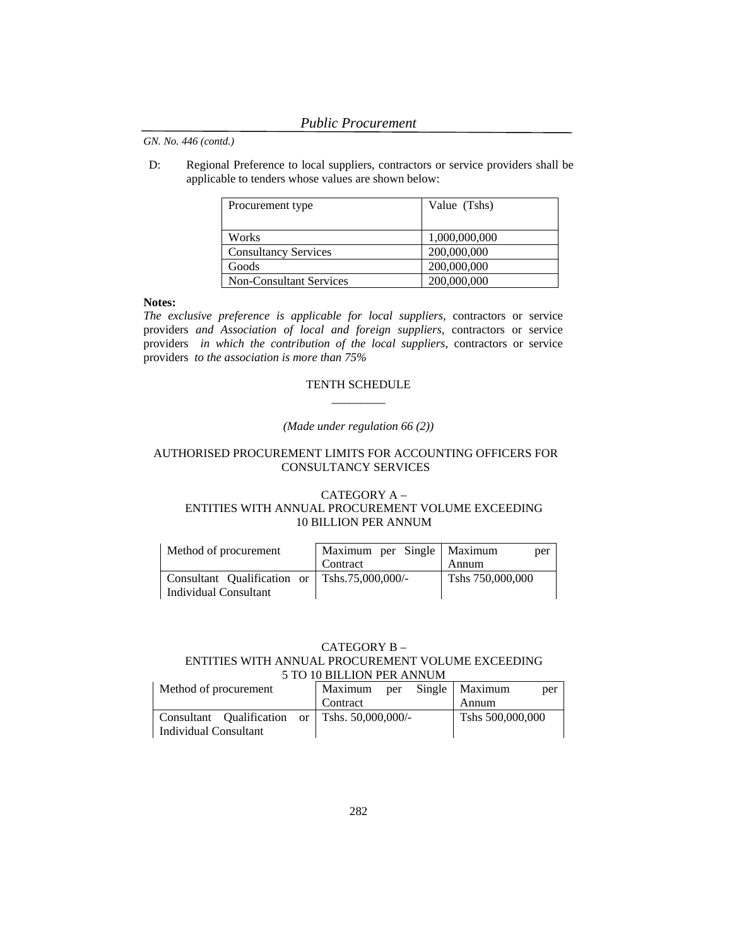D: Regional Preference to local suppliers, contractors or service providers shall be applicable to tenders whose values are shown below:

| Procurement type               | Value (Tshs)  |  |  |
|--------------------------------|---------------|--|--|
|                                |               |  |  |
| Works                          | 1,000,000,000 |  |  |
| <b>Consultancy Services</b>    | 200,000,000   |  |  |
| Goods                          | 200,000,000   |  |  |
| <b>Non-Consultant Services</b> | 200,000,000   |  |  |

#### **Notes:**

*The exclusive preference is applicable for local suppliers,* contractors or service providers *and Association of local and foreign suppliers,* contractors or service providers *in which the contribution of the local suppliers,* contractors or service providers *to the association is more than 75%* 

#### TENTH SCHEDULE  $\overline{\phantom{a}}$

## *(Made under regulation 66 (2))*

# AUTHORISED PROCUREMENT LIMITS FOR ACCOUNTING OFFICERS FOR CONSULTANCY SERVICES

## CATEGORY A – ENTITIES WITH ANNUAL PROCUREMENT VOLUME EXCEEDING 10 BILLION PER ANNUM

| Method of procurement                                | Maximum per Single   Maximum | per              |  |
|------------------------------------------------------|------------------------------|------------------|--|
|                                                      | Contract                     | Annum            |  |
| Consultant Qualification or<br>Individual Consultant | Tshs.75.000.000/-            | Tshs 750,000,000 |  |

## CATEGORY B – ENTITIES WITH ANNUAL PROCUREMENT VOLUME EXCEEDING 5 TO 10 BILLION PER ANNUM

| Method of procurement                          | per<br>Maximum | Single   Maximum<br>per |
|------------------------------------------------|----------------|-------------------------|
|                                                | Contract       | Annum                   |
| Consultant Qualification or Tshs. 50,000,000/- |                | Tshs 500,000,000        |
| Individual Consultant                          |                |                         |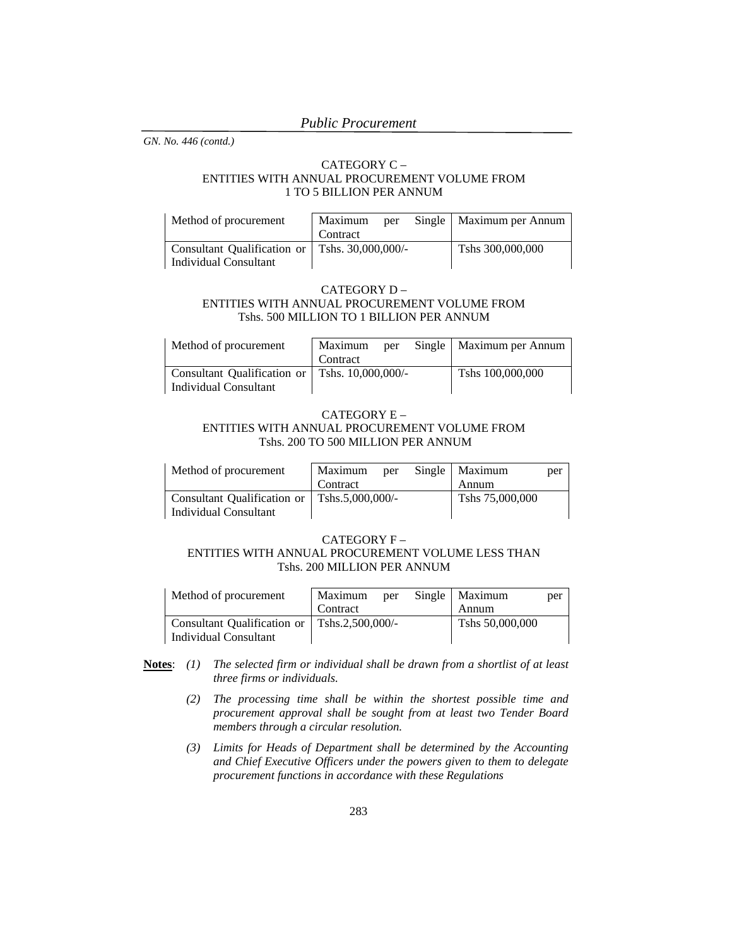# CATEGORY C – ENTITIES WITH ANNUAL PROCUREMENT VOLUME FROM 1 TO 5 BILLION PER ANNUM

| Method of procurement                            | Maximum  | per | Single   Maximum per Annum |
|--------------------------------------------------|----------|-----|----------------------------|
|                                                  | Contract |     |                            |
| Consultant Qualification or   Tshs. 30,000,000/- |          |     | Tshs 300,000,000           |
| Individual Consultant                            |          |     |                            |

## CATEGORY D – ENTITIES WITH ANNUAL PROCUREMENT VOLUME FROM Tshs. 500 MILLION TO 1 BILLION PER ANNUM

| Method of procurement                                | Maximum<br>Contract | per | Single   Maximum per Annum |
|------------------------------------------------------|---------------------|-----|----------------------------|
| Consultant Qualification or<br>Individual Consultant | Tshs. 10.000.000/-  |     | Tshs 100,000,000           |

#### CATEGORY E – ENTITIES WITH ANNUAL PROCUREMENT VOLUME FROM Tshs. 200 TO 500 MILLION PER ANNUM

| Method of procurement                                                   | Maximum<br>Contract | per | Single   Maximum<br>Annum | per |
|-------------------------------------------------------------------------|---------------------|-----|---------------------------|-----|
| Consultant Qualification or   Tshs.5,000,000/-<br>Individual Consultant |                     |     | Tshs 75,000,000           |     |

#### CATEGORY F –

# ENTITIES WITH ANNUAL PROCUREMENT VOLUME LESS THAN Tshs. 200 MILLION PER ANNUM

| Method of procurement                          | Maximum  | per | Single   Maximum | per |
|------------------------------------------------|----------|-----|------------------|-----|
|                                                | Contract |     | Annum            |     |
| Consultant Qualification or   Tshs.2,500,000/- |          |     | Tshs 50,000,000  |     |
| Individual Consultant                          |          |     |                  |     |

- **Notes**: *(1) The selected firm or individual shall be drawn from a shortlist of at least three firms or individuals.* 
	- *(2) The processing time shall be within the shortest possible time and procurement approval shall be sought from at least two Tender Board members through a circular resolution.*
	- *(3) Limits for Heads of Department shall be determined by the Accounting and Chief Executive Officers under the powers given to them to delegate procurement functions in accordance with these Regulations*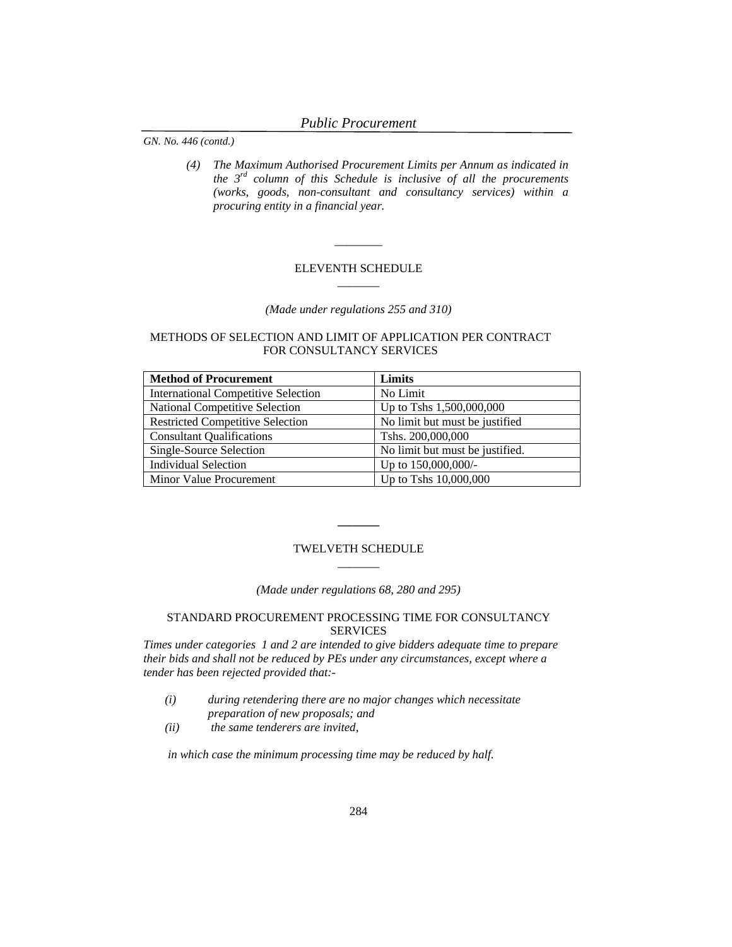*(4) The Maximum Authorised Procurement Limits per Annum as indicated in the 3rd column of this Schedule is inclusive of all the procurements (works, goods, non-consultant and consultancy services) within a procuring entity in a financial year.* 

#### ELEVENTH SCHEDULE  $\overline{\phantom{a}}$

 $\overline{\phantom{a}}$ 

#### *(Made under regulations 255 and 310)*

# METHODS OF SELECTION AND LIMIT OF APPLICATION PER CONTRACT FOR CONSULTANCY SERVICES

| <b>Method of Procurement</b>               | Limits                          |
|--------------------------------------------|---------------------------------|
| <b>International Competitive Selection</b> | No Limit                        |
| National Competitive Selection             | Up to Tshs 1,500,000,000        |
| <b>Restricted Competitive Selection</b>    | No limit but must be justified  |
| <b>Consultant Qualifications</b>           | Tshs. 200,000,000               |
| Single-Source Selection                    | No limit but must be justified. |
| <b>Individual Selection</b>                | Up to 150,000,000/-             |
| <b>Minor Value Procurement</b>             | Up to Tshs 10,000,000           |

#### TWELVETH SCHEDULE  $\overline{\phantom{a}}$

**\_\_\_\_\_\_\_** 

*(Made under regulations 68, 280 and 295)* 

#### STANDARD PROCUREMENT PROCESSING TIME FOR CONSULTANCY SERVICES

*Times under categories 1 and 2 are intended to give bidders adequate time to prepare their bids and shall not be reduced by PEs under any circumstances, except where a tender has been rejected provided that:-* 

- *(i) during retendering there are no major changes which necessitate preparation of new proposals; and*
- *(ii) the same tenderers are invited,*

 *in which case the minimum processing time may be reduced by half.*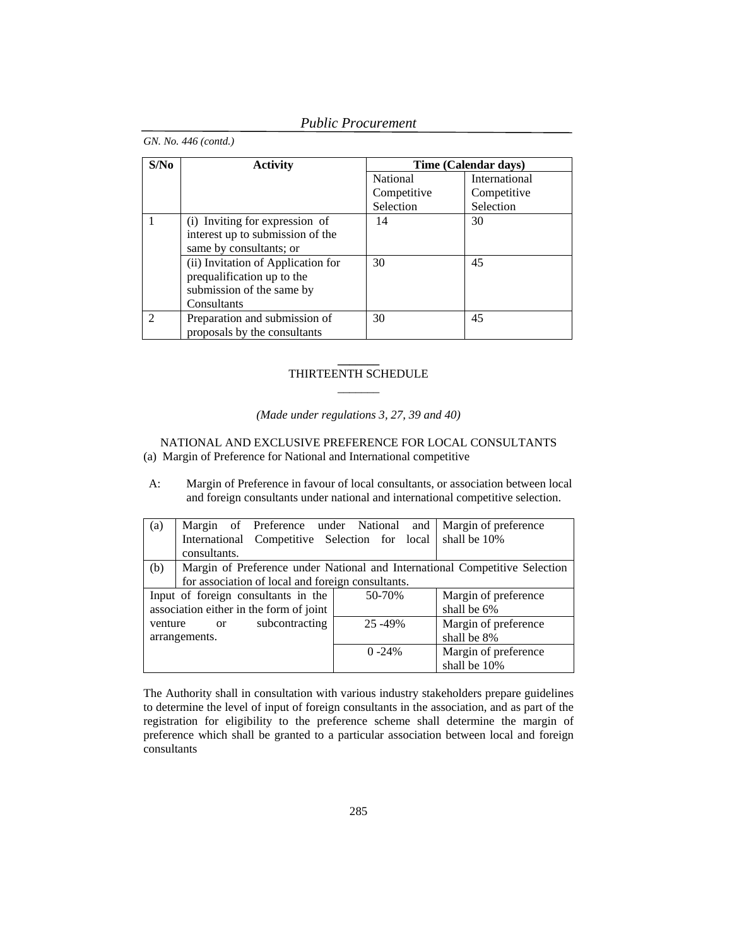| S/No | <b>Activity</b>                                                                                              | Time (Calendar days) |               |  |
|------|--------------------------------------------------------------------------------------------------------------|----------------------|---------------|--|
|      |                                                                                                              | National             | International |  |
|      |                                                                                                              | Competitive          | Competitive   |  |
|      |                                                                                                              | Selection            | Selection     |  |
|      | (i) Inviting for expression of<br>interest up to submission of the<br>same by consultants; or                | 14                   | 30            |  |
|      | (ii) Invitation of Application for<br>prequalification up to the<br>submission of the same by<br>Consultants | 30                   | 45            |  |
|      | Preparation and submission of<br>proposals by the consultants                                                | 30                   | 45            |  |

#### **\_\_\_\_\_\_\_**  THIRTEENTH SCHEDULE  $\overline{\phantom{a}}$

## *(Made under regulations 3, 27, 39 and 40)*

NATIONAL AND EXCLUSIVE PREFERENCE FOR LOCAL CONSULTANTS (a) Margin of Preference for National and International competitive

A: Margin of Preference in favour of local consultants, or association between local and foreign consultants under national and international competitive selection.

| (a)           | Margin of Preference under National                                         | and       | Margin of preference |  |
|---------------|-----------------------------------------------------------------------------|-----------|----------------------|--|
|               | International Competitive Selection for local                               |           | shall be 10%         |  |
|               | consultants.                                                                |           |                      |  |
| (b)           | Margin of Preference under National and International Competitive Selection |           |                      |  |
|               | for association of local and foreign consultants.                           |           |                      |  |
|               | Input of foreign consultants in the                                         | 50-70%    | Margin of preference |  |
|               | association either in the form of joint                                     |           | shall be 6%          |  |
| venture       | subcontracting<br><sub>or</sub>                                             | 25 - 49%  | Margin of preference |  |
| arrangements. |                                                                             |           | shall be 8%          |  |
|               |                                                                             | $0 - 24%$ | Margin of preference |  |
|               |                                                                             |           | shall be 10%         |  |

The Authority shall in consultation with various industry stakeholders prepare guidelines to determine the level of input of foreign consultants in the association, and as part of the registration for eligibility to the preference scheme shall determine the margin of preference which shall be granted to a particular association between local and foreign consultants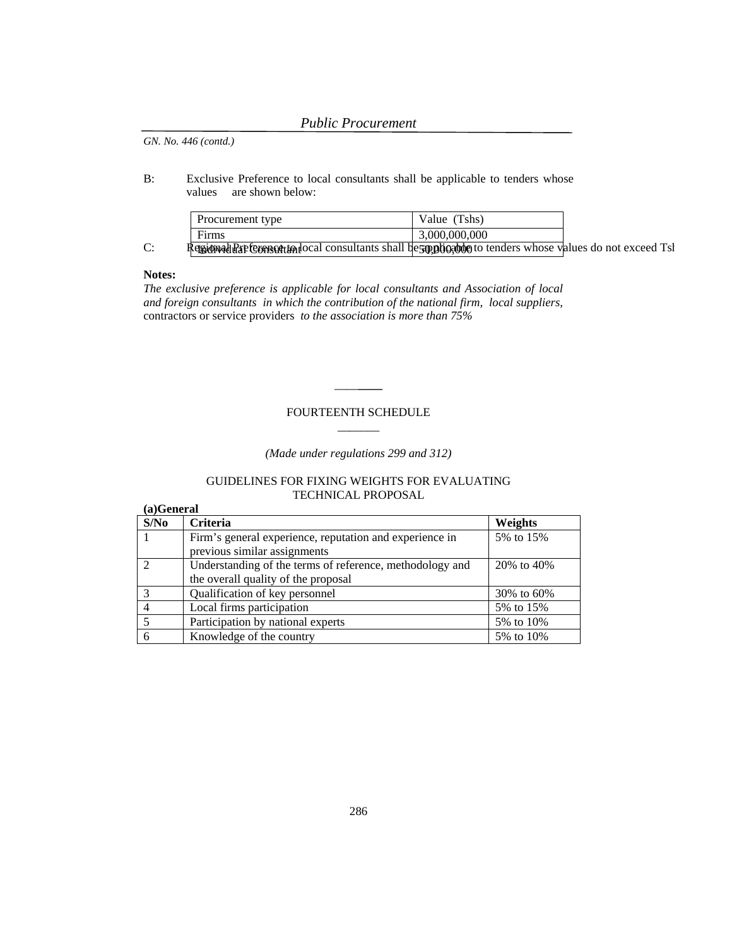B: Exclusive Preference to local consultants shall be applicable to tenders whose values are shown below:

|          | Procurement type                                                                                             | Value (Tshs)  |  |
|----------|--------------------------------------------------------------------------------------------------------------|---------------|--|
|          | Firms                                                                                                        | 3.000.000.000 |  |
| ⌒.<br>J. | Region of exceed Tsl Region of the consultants shall be supplicity to tenders whose values do not exceed Tsl |               |  |

#### **Notes:**

*The exclusive preference is applicable for local consultants and Association of local and foreign consultants in which the contribution of the national firm, local suppliers,*  contractors or service providers *to the association is more than 75%* 

## FOURTEENTH SCHEDULE  $\overline{\phantom{a}}$

\_\_\_\_**\_\_\_\_** 

## *(Made under regulations 299 and 312)*

## GUIDELINES FOR FIXING WEIGHTS FOR EVALUATING TECHNICAL PROPOSAL

| (a)General    |                                                                                                 |              |
|---------------|-------------------------------------------------------------------------------------------------|--------------|
| S/No          | Criteria                                                                                        | Weights      |
|               | Firm's general experience, reputation and experience in<br>previous similar assignments         | 5% to 15%    |
|               | Understanding of the terms of reference, methodology and<br>the overall quality of the proposal | 20\% to 40\% |
| $\mathcal{R}$ | Qualification of key personnel                                                                  | 30\% to 60\% |
|               | Local firms participation                                                                       | 5% to 15%    |
| 5             | Participation by national experts                                                               | 5% to 10%    |
|               | Knowledge of the country                                                                        | 5% to 10%    |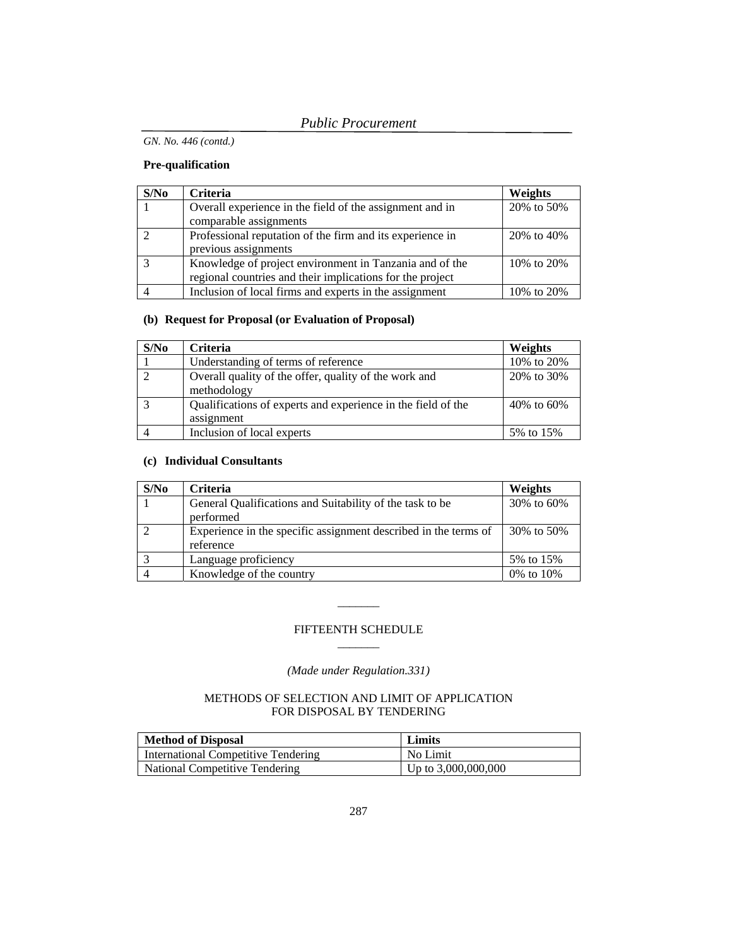# **Pre-qualification**

| S/No          | Criteria                                                  | Weights      |
|---------------|-----------------------------------------------------------|--------------|
|               | Overall experience in the field of the assignment and in  | 20% to 50%   |
|               | comparable assignments                                    |              |
|               | Professional reputation of the firm and its experience in | 20% to 40%   |
|               | previous assignments                                      |              |
| $\mathcal{L}$ | Knowledge of project environment in Tanzania and of the   | 10% to 20%   |
|               | regional countries and their implications for the project |              |
|               | Inclusion of local firms and experts in the assignment    | 10\% to 20\% |

## **(b) Request for Proposal (or Evaluation of Proposal)**

| S/N <sub>0</sub> | <b>Criteria</b>                                                            | <b>Weights</b> |
|------------------|----------------------------------------------------------------------------|----------------|
|                  | Understanding of terms of reference                                        | 10% to 20%     |
|                  | Overall quality of the offer, quality of the work and<br>methodology       | 20% to 30%     |
|                  | Qualifications of experts and experience in the field of the<br>assignment | 40% to 60%     |
|                  | Inclusion of local experts                                                 | 5% to 15%      |

# **(c) Individual Consultants**

| S/No | <b>Criteria</b>                                                 | Weights      |
|------|-----------------------------------------------------------------|--------------|
|      | General Qualifications and Suitability of the task to be        | 30% to 60%   |
|      | performed                                                       |              |
|      | Experience in the specific assignment described in the terms of | 30\% to 50\% |
|      | reference                                                       |              |
|      | Language proficiency                                            | 5% to 15%    |
|      | Knowledge of the country                                        | 0% to 10%    |

## FIFTEENTH SCHEDULE  $\overline{\phantom{a}}$

 $\overline{\phantom{a}}$ 

# *(Made under Regulation.331)*

# METHODS OF SELECTION AND LIMIT OF APPLICATION FOR DISPOSAL BY TENDERING

| <b>Method of Disposal</b>             | Limits                |
|---------------------------------------|-----------------------|
| International Competitive Tendering   | No Limit              |
| <b>National Competitive Tendering</b> | Up to $3,000,000,000$ |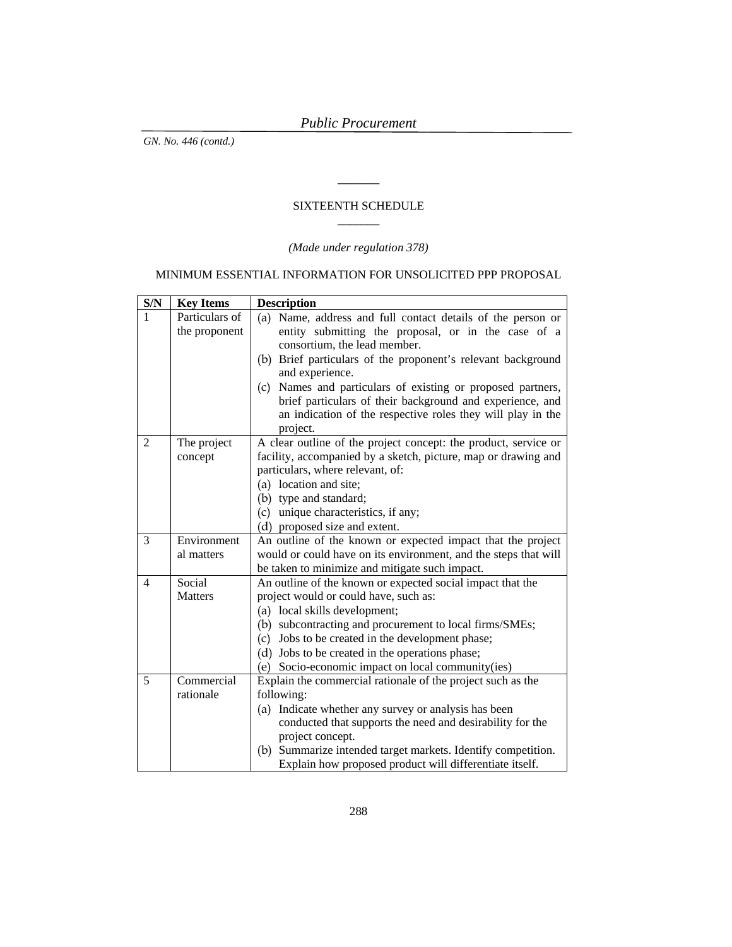*GN. No. 446 (contd.)* 

# SIXTEENTH SCHEDULE  $\overline{\phantom{a}}$

**\_\_\_\_\_\_\_** 

# *(Made under regulation 378)*

# MINIMUM ESSENTIAL INFORMATION FOR UNSOLICITED PPP PROPOSAL

| S/N            | <b>Key Items</b>          | <b>Description</b>                                                                                                |
|----------------|---------------------------|-------------------------------------------------------------------------------------------------------------------|
| 1              | Particulars of            | (a) Name, address and full contact details of the person or                                                       |
|                | the proponent             | entity submitting the proposal, or in the case of a                                                               |
|                |                           | consortium, the lead member.                                                                                      |
|                |                           | (b) Brief particulars of the proponent's relevant background                                                      |
|                |                           | and experience.                                                                                                   |
|                |                           | (c) Names and particulars of existing or proposed partners,                                                       |
|                |                           | brief particulars of their background and experience, and                                                         |
|                |                           | an indication of the respective roles they will play in the<br>project.                                           |
| $\overline{2}$ | The project               | A clear outline of the project concept: the product, service or                                                   |
|                | concept                   | facility, accompanied by a sketch, picture, map or drawing and                                                    |
|                |                           | particulars, where relevant, of:                                                                                  |
|                |                           | (a) location and site;                                                                                            |
|                |                           | (b) type and standard;                                                                                            |
|                |                           | unique characteristics, if any;<br>(c)                                                                            |
|                |                           | (d) proposed size and extent.                                                                                     |
| 3              | Environment<br>al matters | An outline of the known or expected impact that the project                                                       |
|                |                           | would or could have on its environment, and the steps that will<br>be taken to minimize and mitigate such impact. |
| $\overline{4}$ | Social                    | An outline of the known or expected social impact that the                                                        |
|                | <b>Matters</b>            | project would or could have, such as:                                                                             |
|                |                           | (a) local skills development;                                                                                     |
|                |                           | (b) subcontracting and procurement to local firms/SMEs;                                                           |
|                |                           | (c) Jobs to be created in the development phase;                                                                  |
|                |                           | (d) Jobs to be created in the operations phase;                                                                   |
|                |                           | Socio-economic impact on local community(ies)<br>(e)                                                              |
| 5              | Commercial                | Explain the commercial rationale of the project such as the                                                       |
|                | rationale                 | following:                                                                                                        |
|                |                           | Indicate whether any survey or analysis has been<br>(a)                                                           |
|                |                           | conducted that supports the need and desirability for the                                                         |
|                |                           | project concept.                                                                                                  |
|                |                           | Summarize intended target markets. Identify competition.<br>(b)                                                   |
|                |                           | Explain how proposed product will differentiate itself.                                                           |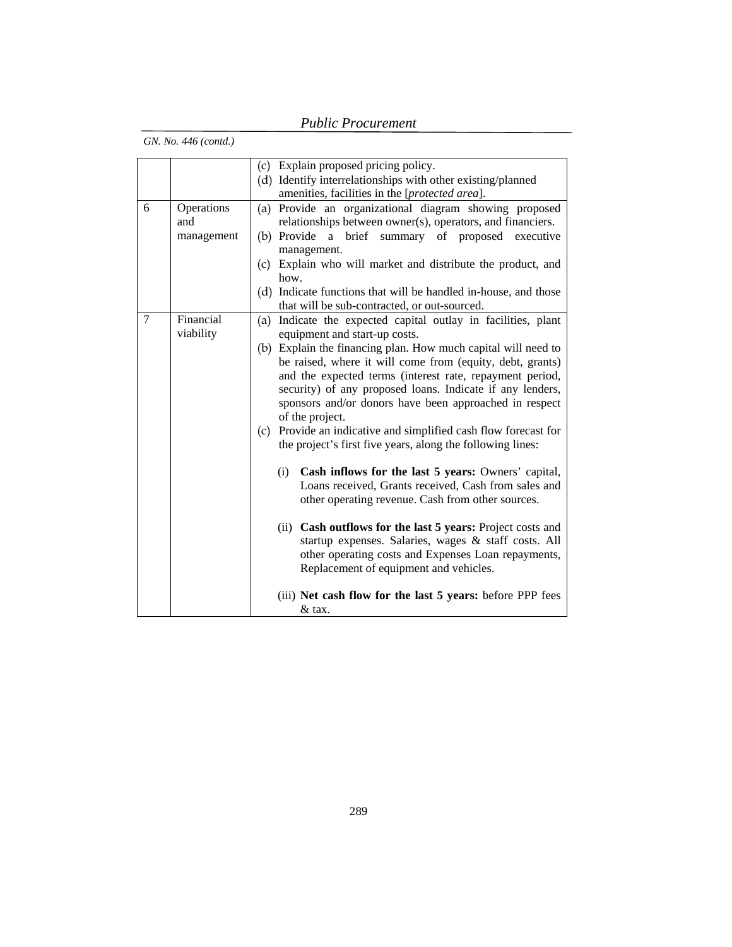|                | GN. No. 446 (contd.)            |                                                                                                                                                                                                                                                                                                                                                                                                                                                                                                                                                                                                                                                                                                                                                                                                                                                                                                                                                                                                                                       |
|----------------|---------------------------------|---------------------------------------------------------------------------------------------------------------------------------------------------------------------------------------------------------------------------------------------------------------------------------------------------------------------------------------------------------------------------------------------------------------------------------------------------------------------------------------------------------------------------------------------------------------------------------------------------------------------------------------------------------------------------------------------------------------------------------------------------------------------------------------------------------------------------------------------------------------------------------------------------------------------------------------------------------------------------------------------------------------------------------------|
|                |                                 | (c) Explain proposed pricing policy.<br>(d) Identify interrelationships with other existing/planned<br>amenities, facilities in the [protected area].                                                                                                                                                                                                                                                                                                                                                                                                                                                                                                                                                                                                                                                                                                                                                                                                                                                                                 |
| 6              | Operations<br>and<br>management | (a) Provide an organizational diagram showing proposed<br>relationships between owner(s), operators, and financiers.<br>(b) Provide<br>brief<br>summary of proposed executive<br>a<br>management.<br>(c) Explain who will market and distribute the product, and<br>how.<br>(d) Indicate functions that will be handled in-house, and those<br>that will be sub-contracted, or out-sourced.                                                                                                                                                                                                                                                                                                                                                                                                                                                                                                                                                                                                                                           |
| $\overline{7}$ | Financial<br>viability          | Indicate the expected capital outlay in facilities, plant<br>(a)<br>equipment and start-up costs.<br>(b) Explain the financing plan. How much capital will need to<br>be raised, where it will come from (equity, debt, grants)<br>and the expected terms (interest rate, repayment period,<br>security) of any proposed loans. Indicate if any lenders,<br>sponsors and/or donors have been approached in respect<br>of the project.<br>(c) Provide an indicative and simplified cash flow forecast for<br>the project's first five years, along the following lines:<br>(i)<br>Cash inflows for the last 5 years: Owners' capital,<br>Loans received, Grants received, Cash from sales and<br>other operating revenue. Cash from other sources.<br>(ii) Cash outflows for the last 5 years: Project costs and<br>startup expenses. Salaries, wages & staff costs. All<br>other operating costs and Expenses Loan repayments,<br>Replacement of equipment and vehicles.<br>(iii) Net cash flow for the last 5 years: before PPP fees |
|                |                                 | & tax.                                                                                                                                                                                                                                                                                                                                                                                                                                                                                                                                                                                                                                                                                                                                                                                                                                                                                                                                                                                                                                |

*Public Procurement*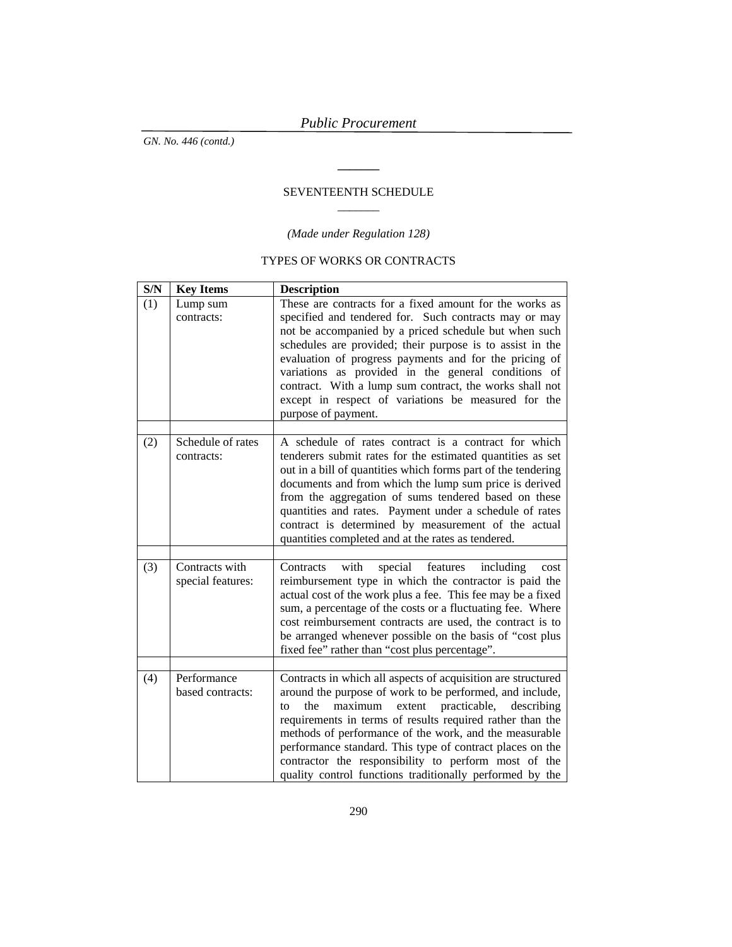*GN. No. 446 (contd.)* 

# SEVENTEENTH SCHEDULE  $\overline{\phantom{a}}$

**\_\_\_\_\_\_\_** 

# *(Made under Regulation 128)*

# TYPES OF WORKS OR CONTRACTS

| S/N | <b>Key Items</b>                    | <b>Description</b>                                                                                                                                                                                                                                                                                                                                                                                                                                                                               |  |  |
|-----|-------------------------------------|--------------------------------------------------------------------------------------------------------------------------------------------------------------------------------------------------------------------------------------------------------------------------------------------------------------------------------------------------------------------------------------------------------------------------------------------------------------------------------------------------|--|--|
| (1) | Lump sum<br>contracts:              | These are contracts for a fixed amount for the works as<br>specified and tendered for. Such contracts may or may<br>not be accompanied by a priced schedule but when such<br>schedules are provided; their purpose is to assist in the<br>evaluation of progress payments and for the pricing of<br>variations as provided in the general conditions of<br>contract. With a lump sum contract, the works shall not<br>except in respect of variations be measured for the<br>purpose of payment. |  |  |
| (2) | Schedule of rates<br>contracts:     | A schedule of rates contract is a contract for which<br>tenderers submit rates for the estimated quantities as set<br>out in a bill of quantities which forms part of the tendering<br>documents and from which the lump sum price is derived<br>from the aggregation of sums tendered based on these<br>quantities and rates. Payment under a schedule of rates<br>contract is determined by measurement of the actual<br>quantities completed and at the rates as tendered.                    |  |  |
| (3) | Contracts with<br>special features: | with<br>special features<br>Contracts<br>including<br>cost<br>reimbursement type in which the contractor is paid the<br>actual cost of the work plus a fee. This fee may be a fixed<br>sum, a percentage of the costs or a fluctuating fee. Where<br>cost reimbursement contracts are used, the contract is to<br>be arranged whenever possible on the basis of "cost plus<br>fixed fee" rather than "cost plus percentage".                                                                     |  |  |
| (4) | Performance<br>based contracts:     | Contracts in which all aspects of acquisition are structured<br>around the purpose of work to be performed, and include,<br>practicable,<br>the<br>maximum<br>extent<br>describing<br>to<br>requirements in terms of results required rather than the<br>methods of performance of the work, and the measurable<br>performance standard. This type of contract places on the<br>contractor the responsibility to perform most of the<br>quality control functions traditionally performed by the |  |  |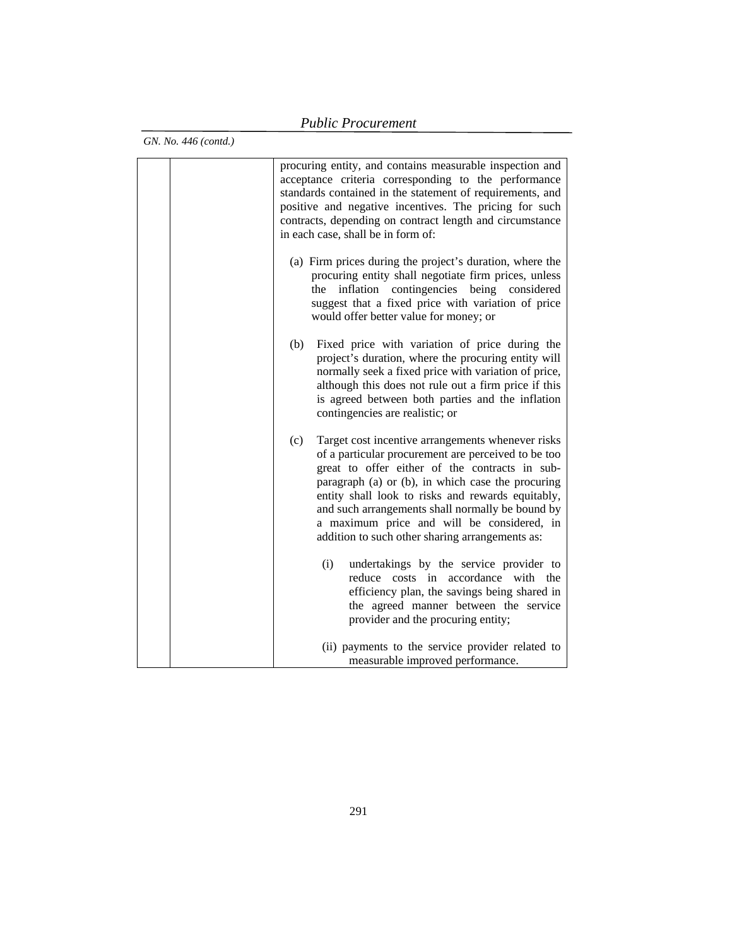| procuring entity, and contains measurable inspection and<br>acceptance criteria corresponding to the performance<br>standards contained in the statement of requirements, and<br>positive and negative incentives. The pricing for such<br>contracts, depending on contract length and circumstance<br>in each case, shall be in form of:                                                                                        |
|----------------------------------------------------------------------------------------------------------------------------------------------------------------------------------------------------------------------------------------------------------------------------------------------------------------------------------------------------------------------------------------------------------------------------------|
| (a) Firm prices during the project's duration, where the<br>procuring entity shall negotiate firm prices, unless<br>inflation contingencies being considered<br>the<br>suggest that a fixed price with variation of price<br>would offer better value for money; or                                                                                                                                                              |
| (b)<br>Fixed price with variation of price during the<br>project's duration, where the procuring entity will<br>normally seek a fixed price with variation of price,<br>although this does not rule out a firm price if this<br>is agreed between both parties and the inflation<br>contingencies are realistic; or                                                                                                              |
| Target cost incentive arrangements whenever risks<br>(c)<br>of a particular procurement are perceived to be too<br>great to offer either of the contracts in sub-<br>paragraph (a) or (b), in which case the procuring<br>entity shall look to risks and rewards equitably,<br>and such arrangements shall normally be bound by<br>a maximum price and will be considered, in<br>addition to such other sharing arrangements as: |
| undertakings by the service provider to<br>(i)<br>accordance<br>costs in<br>with the<br>reduce<br>efficiency plan, the savings being shared in<br>the agreed manner between the service<br>provider and the procuring entity;                                                                                                                                                                                                    |
| (ii) payments to the service provider related to<br>measurable improved performance.                                                                                                                                                                                                                                                                                                                                             |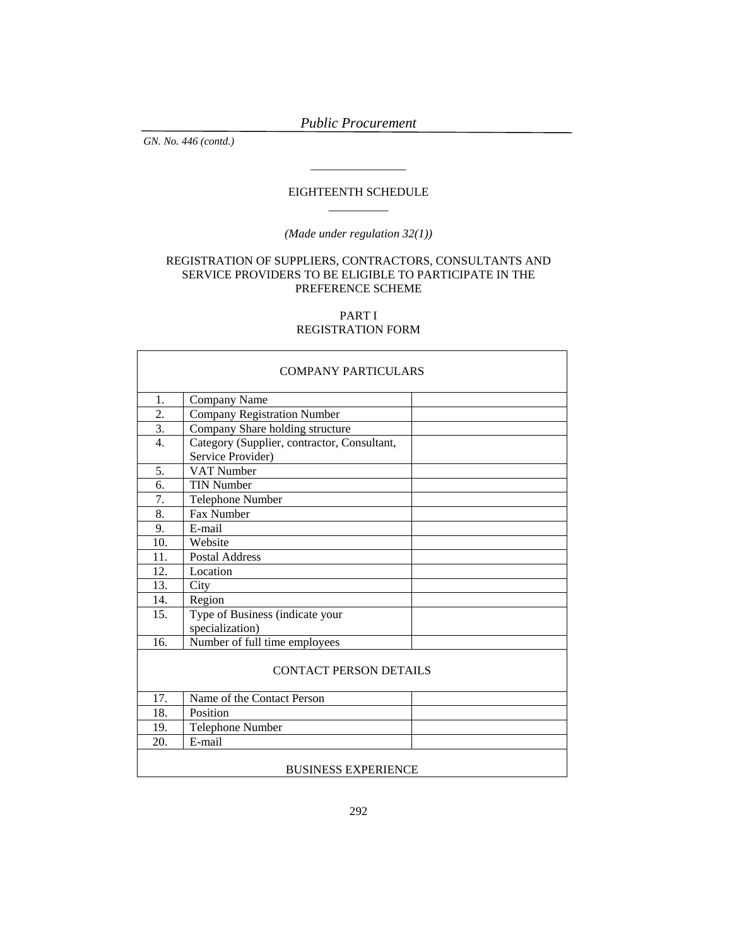*GN. No. 446 (contd.)* 

# EIGHTEENTH SCHEDULE \_\_\_\_\_\_\_\_\_\_

\_\_\_\_\_\_\_\_\_\_\_\_\_\_\_\_

*(Made under regulation 32(1))* 

# REGISTRATION OF SUPPLIERS, CONTRACTORS, CONSULTANTS AND SERVICE PROVIDERS TO BE ELIGIBLE TO PARTICIPATE IN THE PREFERENCE SCHEME

| 1.               | Company Name                                |  |
|------------------|---------------------------------------------|--|
| $\overline{2}$ . | <b>Company Registration Number</b>          |  |
| 3.               | Company Share holding structure             |  |
| $\overline{4}$ . | Category (Supplier, contractor, Consultant, |  |
|                  | Service Provider)                           |  |
| 5.               | <b>VAT Number</b>                           |  |
| 6.               | <b>TIN Number</b>                           |  |
| 7.               | Telephone Number                            |  |
| 8.               | <b>Fax Number</b>                           |  |
| 9.               | E-mail                                      |  |
| 10.              | Website                                     |  |
| 11.              | <b>Postal Address</b>                       |  |
| 12.              | Location                                    |  |
| 13.              | City                                        |  |
| 14.              | Region                                      |  |
| 15.              | Type of Business (indicate your             |  |
|                  | specialization)                             |  |
| 16.              | Number of full time employees               |  |
|                  | <b>CONTACT PERSON DETAILS</b>               |  |
| 17.              | Name of the Contact Person                  |  |
| 18.              | Position                                    |  |
| 19.              | Telephone Number                            |  |
| 20.              | E-mail                                      |  |

PART I REGISTRATION FORM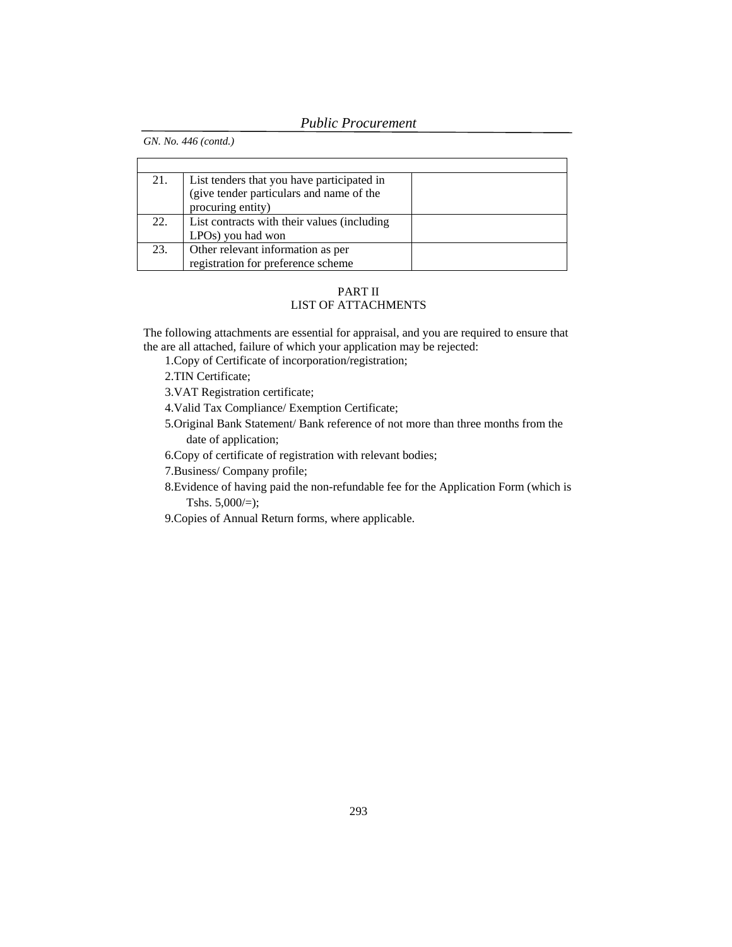| 21. | List tenders that you have participated in                    |  |
|-----|---------------------------------------------------------------|--|
|     | (give tender particulars and name of the<br>procuring entity) |  |
|     |                                                               |  |
| 22. | List contracts with their values (including                   |  |
|     | LPOs) you had won                                             |  |
| 23. | Other relevant information as per                             |  |
|     | registration for preference scheme                            |  |

# PART II LIST OF ATTACHMENTS

The following attachments are essential for appraisal, and you are required to ensure that the are all attached, failure of which your application may be rejected:

1.Copy of Certificate of incorporation/registration;

2.TIN Certificate;

3.VAT Registration certificate;

4.Valid Tax Compliance/ Exemption Certificate;

5.Original Bank Statement/ Bank reference of not more than three months from the date of application;

6.Copy of certificate of registration with relevant bodies;

7.Business/ Company profile;

8.Evidence of having paid the non-refundable fee for the Application Form (which is Tshs.  $5,000/=$ );

9.Copies of Annual Return forms, where applicable.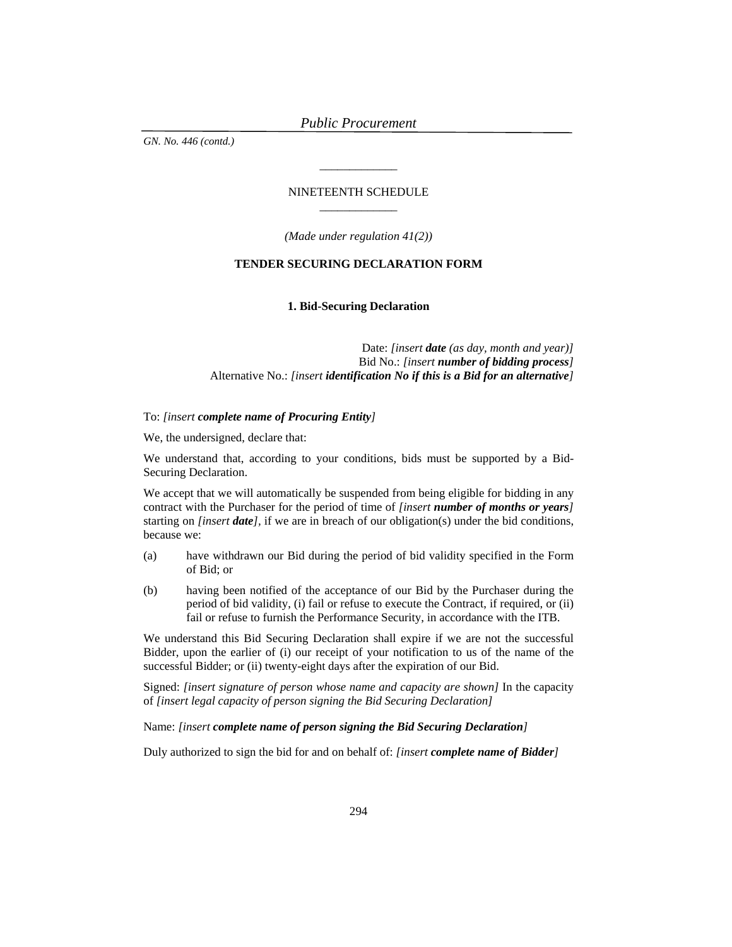*GN. No. 446 (contd.)* 

### NINETEENTH SCHEDULE \_\_\_\_\_\_\_\_\_\_\_\_\_

\_\_\_\_\_\_\_\_\_\_\_\_\_

*(Made under regulation 41(2))* 

# **TENDER SECURING DECLARATION FORM**

### **1. Bid-Securing Declaration**

Date: *[insert date (as day, month and year)]* Bid No.: *[insert number of bidding process]* Alternative No.: *[insert identification No if this is a Bid for an alternative]*

#### To: *[insert complete name of Procuring Entity]*

We, the undersigned, declare that:

We understand that, according to your conditions, bids must be supported by a Bid-Securing Declaration.

We accept that we will automatically be suspended from being eligible for bidding in any contract with the Purchaser for the period of time of *[insert number of months or years]* starting on *[insert date],* if we are in breach of our obligation(s) under the bid conditions, because we:

- (a) have withdrawn our Bid during the period of bid validity specified in the Form of Bid; or
- (b) having been notified of the acceptance of our Bid by the Purchaser during the period of bid validity, (i) fail or refuse to execute the Contract, if required, or (ii) fail or refuse to furnish the Performance Security, in accordance with the ITB.

We understand this Bid Securing Declaration shall expire if we are not the successful Bidder, upon the earlier of (i) our receipt of your notification to us of the name of the successful Bidder; or (ii) twenty-eight days after the expiration of our Bid.

Signed: *[insert signature of person whose name and capacity are shown]* In the capacity of *[insert legal capacity of person signing the Bid Securing Declaration]*

Name: *[insert complete name of person signing the Bid Securing Declaration]*

Duly authorized to sign the bid for and on behalf of: *[insert complete name of Bidder]*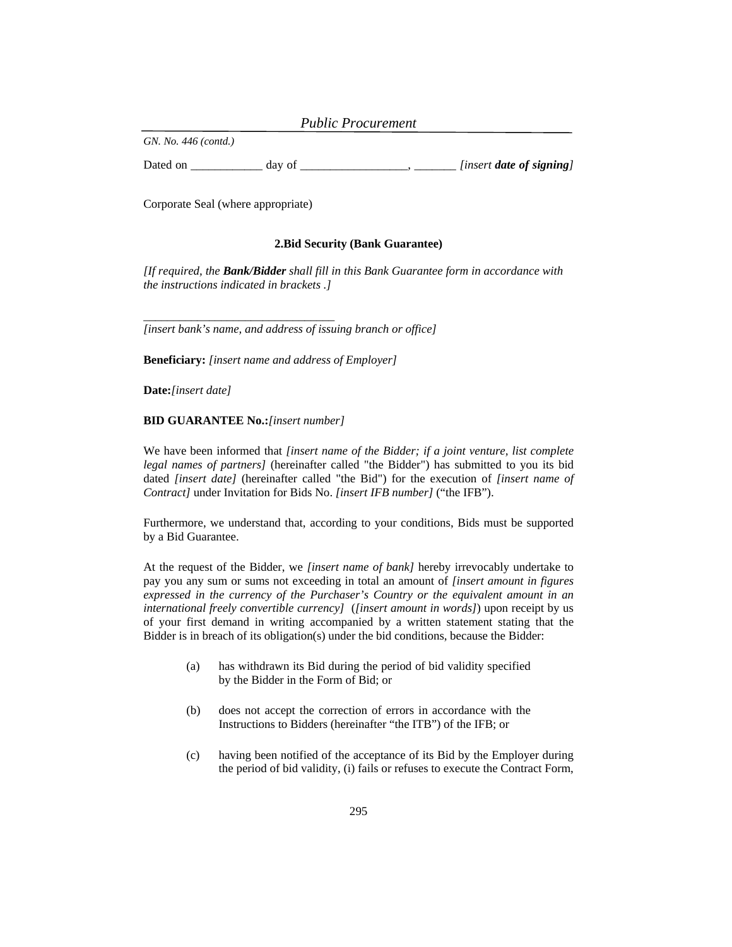*GN. No. 446 (contd.)* 

Dated on \_\_\_\_\_\_\_\_\_\_\_\_\_ day of \_\_\_\_\_\_\_\_\_\_\_\_\_\_\_\_\_\_\_\_\_, \_\_\_\_\_\_\_\_\_\_ *[insert date of signing]* 

Corporate Seal (where appropriate)

### **2.Bid Security (Bank Guarantee)**

*[If required, the Bank/Bidder shall fill in this Bank Guarantee form in accordance with the instructions indicated in brackets .]*

*[insert bank's name, and address of issuing branch or office]* 

**Beneficiary:** *[insert name and address of Employer]* 

**Date:***[insert date]*

**BID GUARANTEE No.:***[insert number]*

*\_\_\_\_\_\_\_\_\_\_\_\_\_\_\_\_\_\_\_\_\_\_\_\_\_\_\_\_\_\_\_\_* 

We have been informed that *[insert name of the Bidder; if a joint venture, list complete legal names of partners]* (hereinafter called "the Bidder") has submitted to you its bid dated *[insert date]* (hereinafter called "the Bid") for the execution of *[insert name of Contract]* under Invitation for Bids No. *[insert IFB number]* ("the IFB").

Furthermore, we understand that, according to your conditions, Bids must be supported by a Bid Guarantee.

At the request of the Bidder, we *[insert name of bank]* hereby irrevocably undertake to pay you any sum or sums not exceeding in total an amount of *[insert amount in figures expressed in the currency of the Purchaser's Country or the equivalent amount in an international freely convertible currency]* (*[insert amount in words]*) upon receipt by us of your first demand in writing accompanied by a written statement stating that the Bidder is in breach of its obligation(s) under the bid conditions, because the Bidder:

- (a) has withdrawn its Bid during the period of bid validity specified by the Bidder in the Form of Bid; or
- (b) does not accept the correction of errors in accordance with the Instructions to Bidders (hereinafter "the ITB") of the IFB; or
- (c) having been notified of the acceptance of its Bid by the Employer during the period of bid validity, (i) fails or refuses to execute the Contract Form,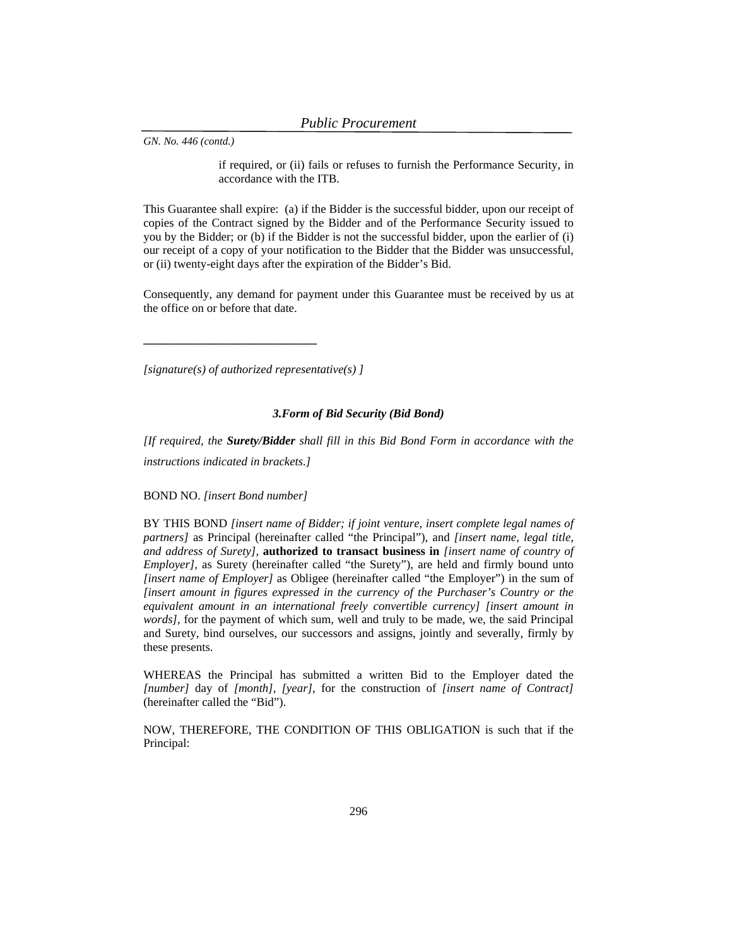if required, or (ii) fails or refuses to furnish the Performance Security, in accordance with the ITB.

This Guarantee shall expire: (a) if the Bidder is the successful bidder, upon our receipt of copies of the Contract signed by the Bidder and of the Performance Security issued to you by the Bidder; or (b) if the Bidder is not the successful bidder, upon the earlier of (i) our receipt of a copy of your notification to the Bidder that the Bidder was unsuccessful, or (ii) twenty-eight days after the expiration of the Bidder's Bid.

Consequently, any demand for payment under this Guarantee must be received by us at the office on or before that date.

*[signature(s) of authorized representative(s) ]* 

**\_\_\_\_\_\_\_\_\_\_\_\_\_\_\_\_\_\_\_\_\_\_\_\_\_\_\_\_\_** 

## *3.Form of Bid Security (Bid Bond)*

*[If required, the Surety/Bidder shall fill in this Bid Bond Form in accordance with the instructions indicated in brackets.]*

BOND NO. *[insert Bond number]* 

BY THIS BOND *[insert name of Bidder; if joint venture, insert complete legal names of partners]* as Principal (hereinafter called "the Principal"), and *[insert name, legal title, and address of Surety],* **authorized to transact business in** *[insert name of country of Employer],* as Surety (hereinafter called "the Surety"), are held and firmly bound unto *[insert name of Employer]* as Obligee (hereinafter called "the Employer") in the sum of *[insert amount in figures expressed in the currency of the Purchaser's Country or the equivalent amount in an international freely convertible currency] [insert amount in words]*, for the payment of which sum, well and truly to be made, we, the said Principal and Surety, bind ourselves, our successors and assigns, jointly and severally, firmly by these presents.

WHEREAS the Principal has submitted a written Bid to the Employer dated the *[number]* day of *[month], [year]*, for the construction of *[insert name of Contract]* (hereinafter called the "Bid").

NOW, THEREFORE, THE CONDITION OF THIS OBLIGATION is such that if the Principal: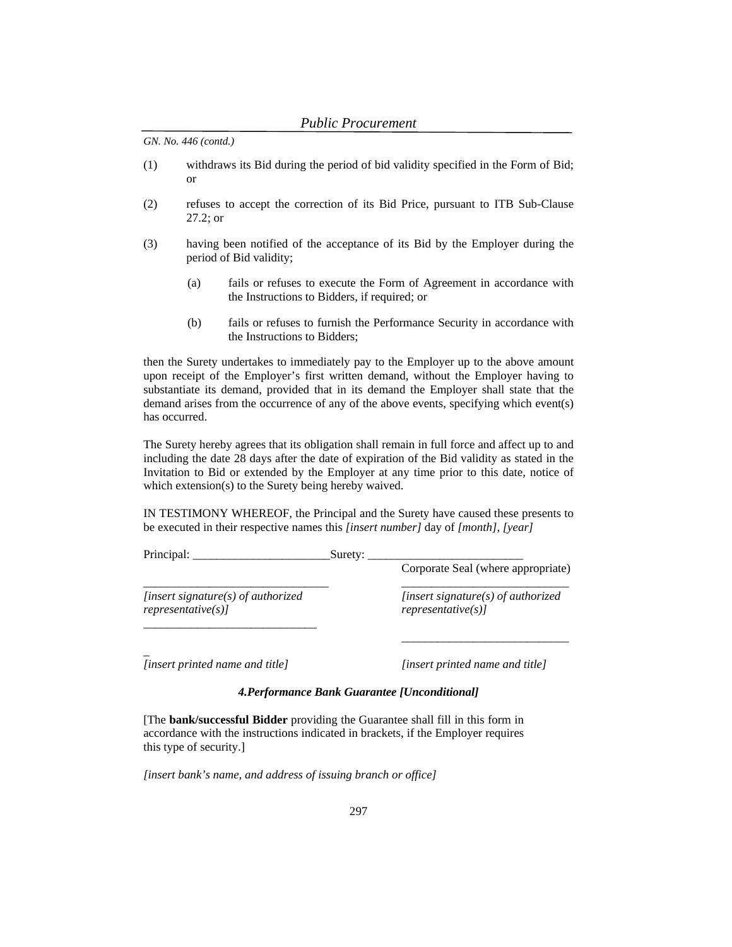- (1) withdraws its Bid during the period of bid validity specified in the Form of Bid; or
- (2) refuses to accept the correction of its Bid Price, pursuant to ITB Sub-Clause 27.2; or
- (3) having been notified of the acceptance of its Bid by the Employer during the period of Bid validity;
	- (a) fails or refuses to execute the Form of Agreement in accordance with the Instructions to Bidders, if required; or
	- (b) fails or refuses to furnish the Performance Security in accordance with the Instructions to Bidders;

then the Surety undertakes to immediately pay to the Employer up to the above amount upon receipt of the Employer's first written demand, without the Employer having to substantiate its demand, provided that in its demand the Employer shall state that the demand arises from the occurrence of any of the above events, specifying which event(s) has occurred.

The Surety hereby agrees that its obligation shall remain in full force and affect up to and including the date 28 days after the date of expiration of the Bid validity as stated in the Invitation to Bid or extended by the Employer at any time prior to this date, notice of which extension(s) to the Surety being hereby waived.

IN TESTIMONY WHEREOF, the Principal and the Surety have caused these presents to be executed in their respective names this *[insert number]* day of *[month], [year]*

| Principal:                                                   | Surety: | Corporate Seal (where appropriate)                                       |
|--------------------------------------------------------------|---------|--------------------------------------------------------------------------|
| [insert signature(s) of authorized]<br>$representative(s)$ ] |         | $f$ <i>insert signature(s)</i> of <i>authorized</i><br>representative(s) |
|                                                              |         |                                                                          |

*[insert printed name and title] [insert printed name and title]* 

 $\overline{a}$ 

### *4.Performance Bank Guarantee [Unconditional]*

[The **bank/successful Bidder** providing the Guarantee shall fill in this form in accordance with the instructions indicated in brackets, if the Employer requires this type of security.]

*[insert bank's name, and address of issuing branch or office]*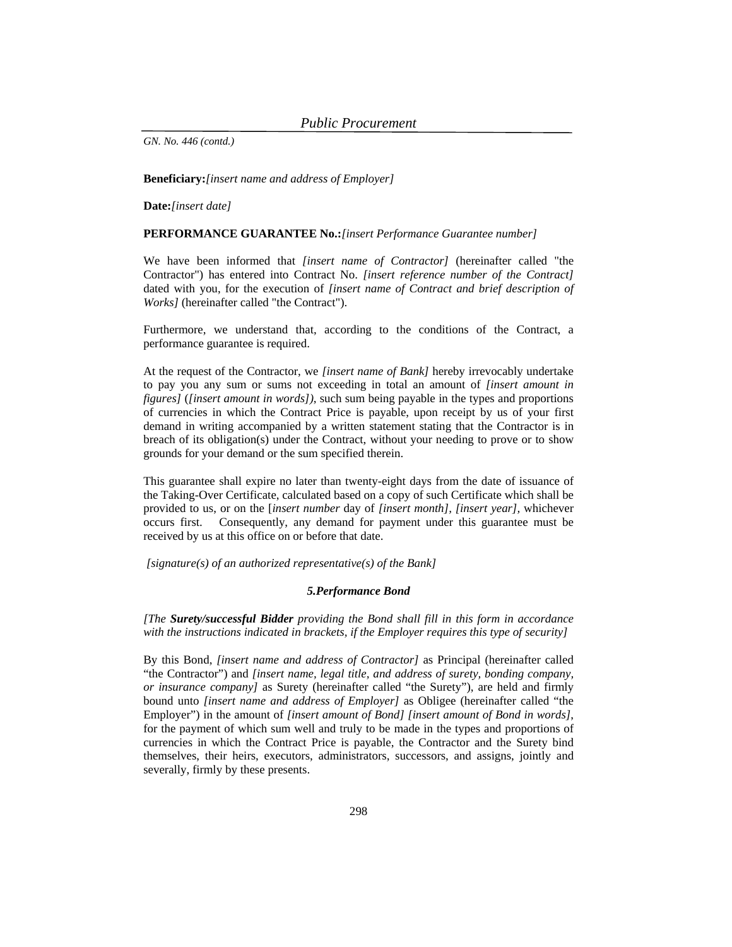#### **Beneficiary:***[insert name and address of Employer]*

**Date:***[insert date]*

#### **PERFORMANCE GUARANTEE No.:***[insert Performance Guarantee number]*

We have been informed that *[insert name of Contractor]* (hereinafter called "the Contractor") has entered into Contract No. *[insert reference number of the Contract]*  dated with you, for the execution of *[insert name of Contract and brief description of Works]* (hereinafter called "the Contract").

Furthermore, we understand that, according to the conditions of the Contract, a performance guarantee is required.

At the request of the Contractor, we *[insert name of Bank]* hereby irrevocably undertake to pay you any sum or sums not exceeding in total an amount of *[insert amount in figures]* (*[insert amount in words])*, such sum being payable in the types and proportions of currencies in which the Contract Price is payable, upon receipt by us of your first demand in writing accompanied by a written statement stating that the Contractor is in breach of its obligation(s) under the Contract, without your needing to prove or to show grounds for your demand or the sum specified therein.

This guarantee shall expire no later than twenty-eight days from the date of issuance of the Taking-Over Certificate, calculated based on a copy of such Certificate which shall be provided to us, or on the [*insert number* day of *[insert month], [insert year],* whichever occurs first. Consequently, any demand for payment under this guarantee must be received by us at this office on or before that date.

 *[signature(s) of an authorized representative(s) of the Bank]*

#### *5.Performance Bond*

*[The Surety/successful Bidder providing the Bond shall fill in this form in accordance with the instructions indicated in brackets, if the Employer requires this type of security]*

By this Bond, *[insert name and address of Contractor]* as Principal (hereinafter called "the Contractor") and *[insert name, legal title, and address of surety, bonding company, or insurance company]* as Surety (hereinafter called "the Surety"), are held and firmly bound unto *[insert name and address of Employer]* as Obligee (hereinafter called "the Employer") in the amount of *[insert amount of Bond] [insert amount of Bond in words]*, for the payment of which sum well and truly to be made in the types and proportions of currencies in which the Contract Price is payable, the Contractor and the Surety bind themselves, their heirs, executors, administrators, successors, and assigns, jointly and severally, firmly by these presents.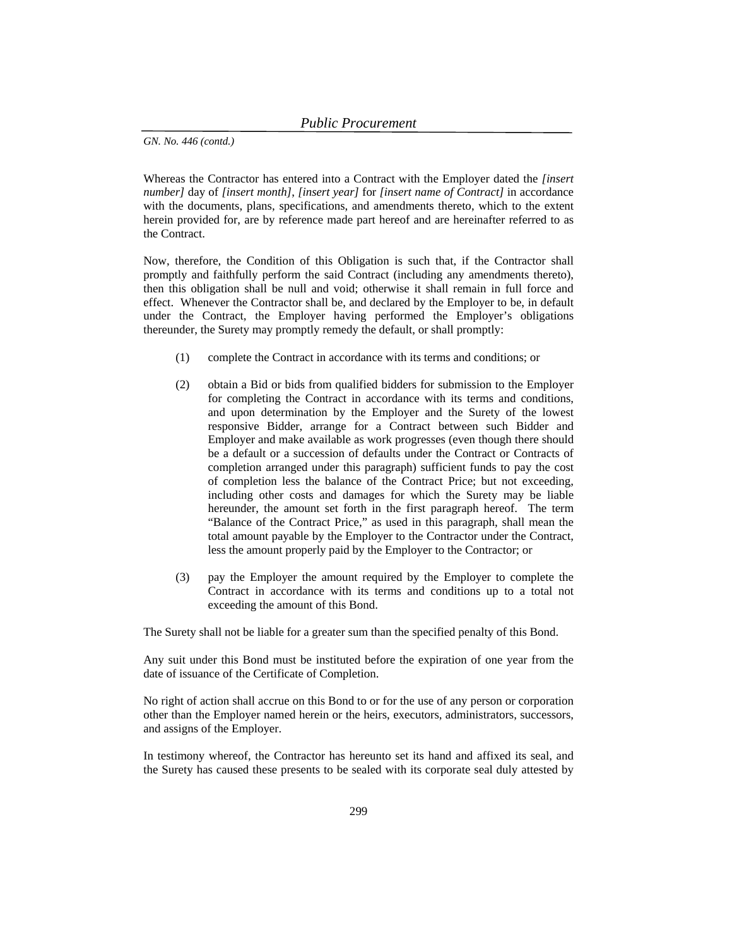Whereas the Contractor has entered into a Contract with the Employer dated the *[insert number]* day of *[insert month]*, *[insert year]* for *[insert name of Contract]* in accordance with the documents, plans, specifications, and amendments thereto, which to the extent herein provided for, are by reference made part hereof and are hereinafter referred to as the Contract.

Now, therefore, the Condition of this Obligation is such that, if the Contractor shall promptly and faithfully perform the said Contract (including any amendments thereto), then this obligation shall be null and void; otherwise it shall remain in full force and effect. Whenever the Contractor shall be, and declared by the Employer to be, in default under the Contract, the Employer having performed the Employer's obligations thereunder, the Surety may promptly remedy the default, or shall promptly:

- (1) complete the Contract in accordance with its terms and conditions; or
- (2) obtain a Bid or bids from qualified bidders for submission to the Employer for completing the Contract in accordance with its terms and conditions, and upon determination by the Employer and the Surety of the lowest responsive Bidder, arrange for a Contract between such Bidder and Employer and make available as work progresses (even though there should be a default or a succession of defaults under the Contract or Contracts of completion arranged under this paragraph) sufficient funds to pay the cost of completion less the balance of the Contract Price; but not exceeding, including other costs and damages for which the Surety may be liable hereunder, the amount set forth in the first paragraph hereof. The term "Balance of the Contract Price," as used in this paragraph, shall mean the total amount payable by the Employer to the Contractor under the Contract, less the amount properly paid by the Employer to the Contractor; or
- (3) pay the Employer the amount required by the Employer to complete the Contract in accordance with its terms and conditions up to a total not exceeding the amount of this Bond.

The Surety shall not be liable for a greater sum than the specified penalty of this Bond.

Any suit under this Bond must be instituted before the expiration of one year from the date of issuance of the Certificate of Completion.

No right of action shall accrue on this Bond to or for the use of any person or corporation other than the Employer named herein or the heirs, executors, administrators, successors, and assigns of the Employer.

In testimony whereof, the Contractor has hereunto set its hand and affixed its seal, and the Surety has caused these presents to be sealed with its corporate seal duly attested by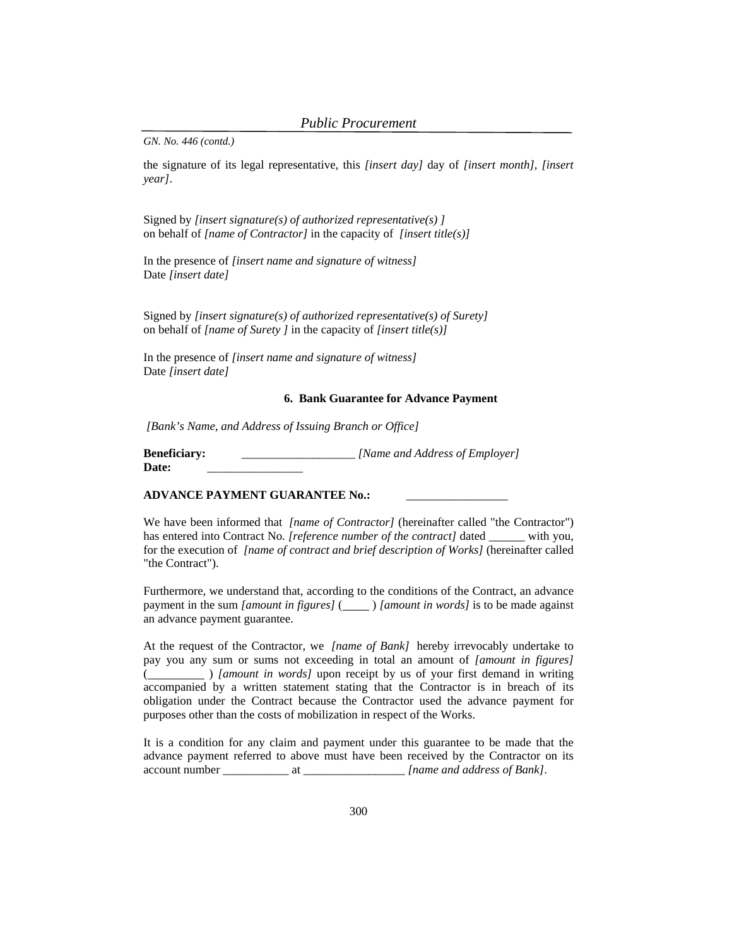the signature of its legal representative, this *[insert day]* day of *[insert month]*, *[insert year]*.

Signed by *[insert signature(s) of authorized representative(s) ]* on behalf of *[name of Contractor]* in the capacity of *[insert title(s)]*

In the presence of *[insert name and signature of witness]* Date *[insert date]*

Signed by *[insert signature(s) of authorized representative(s) of Surety]* on behalf of *[name of Surety ]* in the capacity of *[insert title(s)]*

In the presence of *[insert name and signature of witness]* Date *[insert date]*

### **6. Bank Guarantee for Advance Payment**

 *[Bank's Name, and Address of Issuing Branch or Office]* 

**Beneficiary:** \_\_\_\_\_\_\_\_\_\_\_\_\_\_\_\_\_\_\_ *[Name and Address of Employer]*  Date:

### **ADVANCE PAYMENT GUARANTEE No.:**

We have been informed that *[name of Contractor]* (hereinafter called "the Contractor") has entered into Contract No. *[reference number of the contract]* dated with you, for the execution of *[name of contract and brief description of Works]* (hereinafter called "the Contract").

Furthermore, we understand that, according to the conditions of the Contract, an advance payment in the sum *[amount in figures]* (\_\_\_\_\_\_*) [amount in words]* is to be made against an advance payment guarantee.

At the request of the Contractor, we *[name of Bank]* hereby irrevocably undertake to pay you any sum or sums not exceeding in total an amount of *[amount in figures]* ( ) *[amount in words]* upon receipt by us of your first demand in writing accompanied by a written statement stating that the Contractor is in breach of its obligation under the Contract because the Contractor used the advance payment for purposes other than the costs of mobilization in respect of the Works.

It is a condition for any claim and payment under this guarantee to be made that the advance payment referred to above must have been received by the Contractor on its account number \_\_\_\_\_\_\_\_\_\_\_ at \_\_\_\_\_\_\_\_\_\_\_\_\_\_\_\_\_ *[name and address of Bank]*.